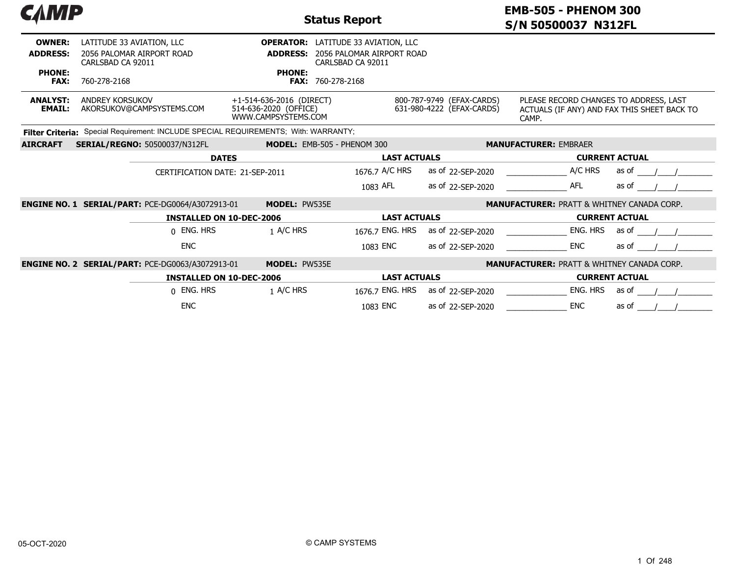| САМР                             |                                                                                     |                                                                          | <b>Status Report</b>                                                                         |                                                        | <b>EMB-505 - PHENOM 300</b><br>S/N 50500037 N312FL                                             |                       |  |  |  |  |
|----------------------------------|-------------------------------------------------------------------------------------|--------------------------------------------------------------------------|----------------------------------------------------------------------------------------------|--------------------------------------------------------|------------------------------------------------------------------------------------------------|-----------------------|--|--|--|--|
| <b>OWNER:</b><br><b>ADDRESS:</b> | LATITUDE 33 AVIATION, LLC<br>2056 PALOMAR AIRPORT ROAD<br>CARLSBAD CA 92011         | <b>ADDRESS:</b>                                                          | <b>OPERATOR:</b> LATITUDE 33 AVIATION, LLC<br>2056 PALOMAR AIRPORT ROAD<br>CARLSBAD CA 92011 |                                                        |                                                                                                |                       |  |  |  |  |
| <b>PHONE:</b><br><b>FAX:</b>     | 760-278-2168                                                                        | <b>PHONE:</b>                                                            | <b>FAX: 760-278-2168</b>                                                                     |                                                        |                                                                                                |                       |  |  |  |  |
| <b>ANALYST:</b><br><b>EMAIL:</b> | <b>ANDREY KORSUKOV</b><br>AKORSUKOV@CAMPSYSTEMS.COM                                 | +1-514-636-2016 (DIRECT)<br>514-636-2020 (OFFICE)<br>WWW.CAMPSYSTEMS.COM |                                                                                              | 800-787-9749 (EFAX-CARDS)<br>631-980-4222 (EFAX-CARDS) | PLEASE RECORD CHANGES TO ADDRESS, LAST<br>ACTUALS (IF ANY) AND FAX THIS SHEET BACK TO<br>CAMP. |                       |  |  |  |  |
|                                  | Filter Criteria: Special Requirement: INCLUDE SPECIAL REQUIREMENTS; With: WARRANTY; |                                                                          |                                                                                              |                                                        |                                                                                                |                       |  |  |  |  |
| <b>AIRCRAFT</b>                  | <b>SERIAL/REGNO: 50500037/N312FL</b>                                                |                                                                          | MODEL: EMB-505 - PHENOM 300                                                                  |                                                        | <b>MANUFACTURER: EMBRAER</b>                                                                   |                       |  |  |  |  |
|                                  |                                                                                     | <b>DATES</b>                                                             | <b>LAST ACTUALS</b>                                                                          |                                                        | <b>CURRENT ACTUAL</b>                                                                          |                       |  |  |  |  |
|                                  | CERTIFICATION DATE: 21-SEP-2011                                                     |                                                                          | 1676.7 A/C HRS                                                                               | as of 22-SEP-2020                                      | A/C HRS                                                                                        | as of                 |  |  |  |  |
|                                  |                                                                                     |                                                                          | 1083 AFL                                                                                     | as of 22-SEP-2020                                      | <b>AFL</b>                                                                                     | as of                 |  |  |  |  |
|                                  | <b>ENGINE NO. 1 SERIAL/PART: PCE-DG0064/A3072913-01</b>                             | <b>MODEL: PW535E</b>                                                     |                                                                                              |                                                        | <b>MANUFACTURER: PRATT &amp; WHITNEY CANADA CORP.</b>                                          |                       |  |  |  |  |
|                                  |                                                                                     | <b>INSTALLED ON 10-DEC-2006</b>                                          | <b>LAST ACTUALS</b>                                                                          |                                                        |                                                                                                | <b>CURRENT ACTUAL</b> |  |  |  |  |
|                                  | 0 ENG. HRS                                                                          | 1 A/C HRS                                                                | 1676.7 ENG. HRS                                                                              | as of 22-SEP-2020                                      | ENG. HRS                                                                                       | as of                 |  |  |  |  |
|                                  | <b>ENC</b>                                                                          |                                                                          | 1083 ENC                                                                                     | as of 22-SEP-2020                                      | <b>ENC</b>                                                                                     | as of                 |  |  |  |  |
|                                  | <b>ENGINE NO. 2 SERIAL/PART: PCE-DG0063/A3072913-01</b>                             | <b>MODEL: PW535E</b>                                                     |                                                                                              |                                                        | <b>MANUFACTURER: PRATT &amp; WHITNEY CANADA CORP.</b>                                          |                       |  |  |  |  |
|                                  |                                                                                     | <b>INSTALLED ON 10-DEC-2006</b>                                          | <b>LAST ACTUALS</b>                                                                          |                                                        |                                                                                                | <b>CURRENT ACTUAL</b> |  |  |  |  |
|                                  | 0 ENG. HRS                                                                          | 1 A/C HRS                                                                | 1676.7 ENG. HRS                                                                              | as of 22-SEP-2020                                      | ENG. HRS                                                                                       | as of                 |  |  |  |  |
|                                  | <b>ENC</b>                                                                          |                                                                          | 1083 ENC                                                                                     | as of 22-SEP-2020                                      | <b>ENC</b>                                                                                     | as of                 |  |  |  |  |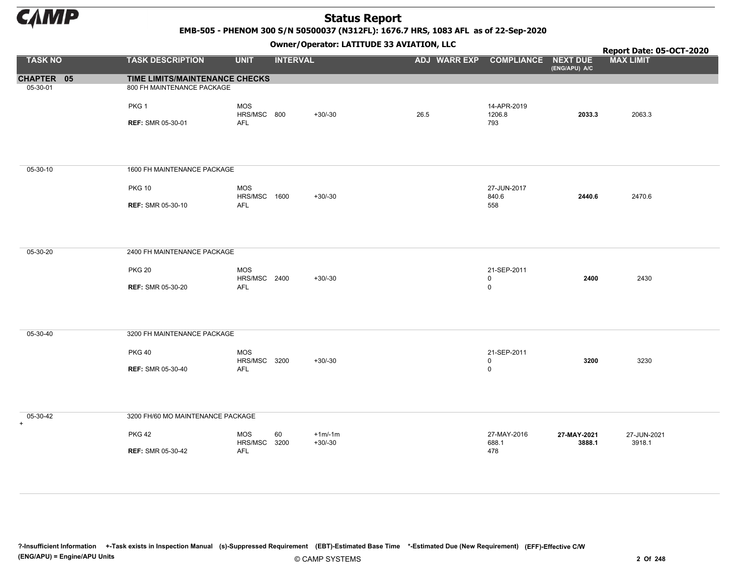

#### EMB-505 - PHENOM 300 S/N 50500037 (N312FL): 1676.7 HRS, 1083 AFL as of 22-Sep-2020

Owner/Operator: LATITUDE 33 AVIATION, LLC

|                 |                                                |                                   | - - - -         |                       | . .                              |                                    |                       | Report Date: 05-OCT-2020 |
|-----------------|------------------------------------------------|-----------------------------------|-----------------|-----------------------|----------------------------------|------------------------------------|-----------------------|--------------------------|
| <b>TASK NO</b>  | <b>TASK DESCRIPTION</b>                        | <b>UNIT</b>                       | <b>INTERVAL</b> |                       | ADJ WARR EXP COMPLIANCE NEXT DUE |                                    | (ENG/APU) A/C         | <b>MAX LIMIT</b>         |
| CHAPTER 05      | TIME LIMITS/MAINTENANCE CHECKS                 |                                   |                 |                       |                                  |                                    |                       |                          |
| 05-30-01        | 800 FH MAINTENANCE PACKAGE<br>PKG <sub>1</sub> | <b>MOS</b>                        |                 |                       |                                  | 14-APR-2019                        |                       |                          |
|                 | <b>REF: SMR 05-30-01</b>                       | HRS/MSC 800<br><b>AFL</b>         |                 | $+30/-30$             | 26.5                             | 1206.8<br>793                      | 2033.3                | 2063.3                   |
| 05-30-10        | 1600 FH MAINTENANCE PACKAGE                    |                                   |                 |                       |                                  |                                    |                       |                          |
|                 | <b>PKG 10</b>                                  | <b>MOS</b><br><b>HRS/MSC 1600</b> |                 | $+30/-30$             |                                  | 27-JUN-2017<br>840.6               | 2440.6                | 2470.6                   |
|                 | <b>REF: SMR 05-30-10</b>                       | <b>AFL</b>                        |                 |                       |                                  | 558                                |                       |                          |
| 05-30-20        | 2400 FH MAINTENANCE PACKAGE                    |                                   |                 |                       |                                  |                                    |                       |                          |
|                 | <b>PKG 20</b>                                  | <b>MOS</b><br>HRS/MSC 2400        |                 | $+30/-30$             |                                  | 21-SEP-2011<br>$\mathbf 0$         | 2400                  | 2430                     |
|                 | <b>REF: SMR 05-30-20</b>                       | AFL                               |                 |                       |                                  | $\mathsf 0$                        |                       |                          |
| 05-30-40        | 3200 FH MAINTENANCE PACKAGE                    |                                   |                 |                       |                                  |                                    |                       |                          |
|                 | <b>PKG 40</b>                                  | <b>MOS</b><br>HRS/MSC 3200        |                 | $+30/-30$             |                                  | 21-SEP-2011<br>$\mathsf{O}\xspace$ | 3200                  | 3230                     |
|                 | <b>REF: SMR 05-30-40</b>                       | <b>AFL</b>                        |                 |                       |                                  | $\mathsf{O}\xspace$                |                       |                          |
| 05-30-42<br>$+$ | 3200 FH/60 MO MAINTENANCE PACKAGE              |                                   |                 |                       |                                  |                                    |                       |                          |
|                 | <b>PKG 42</b>                                  | <b>MOS</b><br>HRS/MSC             | 60<br>3200      | $+1m/1m$<br>$+30/-30$ |                                  | 27-MAY-2016<br>688.1               | 27-MAY-2021<br>3888.1 | 27-JUN-2021<br>3918.1    |
|                 | <b>REF: SMR 05-30-42</b>                       | <b>AFL</b>                        |                 |                       |                                  | 478                                |                       |                          |

?-Insufficient Information +-Task exists in Inspection Manual (s)-Suppressed Requirement (EBT)-Estimated Base Time \*-Estimated Due (New Requirement) (EFF)-Effective C/W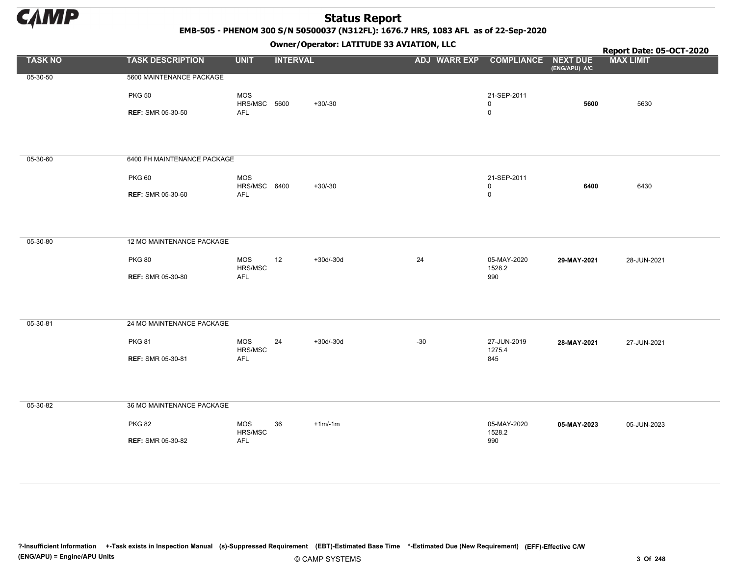

#### EMB-505 - PHENOM 300 S/N 50500037 (N312FL): 1676.7 HRS, 1083 AFL as of 22-Sep-2020

Owner/Operator: LATITUDE 33 AVIATION, LLC

|                |                                                                          |                                          | - <i>-</i> - -  |           | $\mathbf{r}$                     |                                             |               | Report Date: 05-OCT-2020 |
|----------------|--------------------------------------------------------------------------|------------------------------------------|-----------------|-----------|----------------------------------|---------------------------------------------|---------------|--------------------------|
| <b>TASK NO</b> | <b>TASK DESCRIPTION</b>                                                  | <b>UNIT</b>                              | <b>INTERVAL</b> |           | ADJ WARR EXP COMPLIANCE NEXT DUE |                                             | (ENG/APU) A/C | <b>MAX LIMIT</b>         |
| 05-30-50       | 5600 MAINTENANCE PACKAGE<br><b>PKG 50</b><br><b>REF: SMR 05-30-50</b>    | <b>MOS</b><br>HRS/MSC 5600<br><b>AFL</b> |                 | $+30/-30$ |                                  | 21-SEP-2011<br>0<br>$\mathsf{O}$            | 5600          | 5630                     |
| 05-30-60       | 6400 FH MAINTENANCE PACKAGE<br><b>PKG 60</b><br><b>REF: SMR 05-30-60</b> | <b>MOS</b><br>HRS/MSC 6400<br><b>AFL</b> |                 | $+30/-30$ |                                  | 21-SEP-2011<br>$\mathsf{O}$<br>$\mathsf{O}$ | 6400          | 6430                     |
| 05-30-80       | 12 MO MAINTENANCE PACKAGE<br><b>PKG 80</b><br><b>REF: SMR 05-30-80</b>   | MOS<br>HRS/MSC<br>AFL                    | 12              | +30d/-30d | 24                               | 05-MAY-2020<br>1528.2<br>990                | 29-MAY-2021   | 28-JUN-2021              |
| 05-30-81       | 24 MO MAINTENANCE PACKAGE<br><b>PKG 81</b><br><b>REF: SMR 05-30-81</b>   | <b>MOS</b><br>HRS/MSC<br><b>AFL</b>      | 24              | +30d/-30d | $-30$                            | 27-JUN-2019<br>1275.4<br>845                | 28-MAY-2021   | 27-JUN-2021              |
| 05-30-82       | 36 MO MAINTENANCE PACKAGE<br><b>PKG 82</b><br><b>REF: SMR 05-30-82</b>   | <b>MOS</b><br>HRS/MSC<br>AFL             | 36              | $+1m/1m$  |                                  | 05-MAY-2020<br>1528.2<br>990                | 05-MAY-2023   | 05-JUN-2023              |

?-Insufficient Information +-Task exists in Inspection Manual (s)-Suppressed Requirement (EBT)-Estimated Base Time \*-Estimated Due (New Requirement) (EFF)-Effective C/W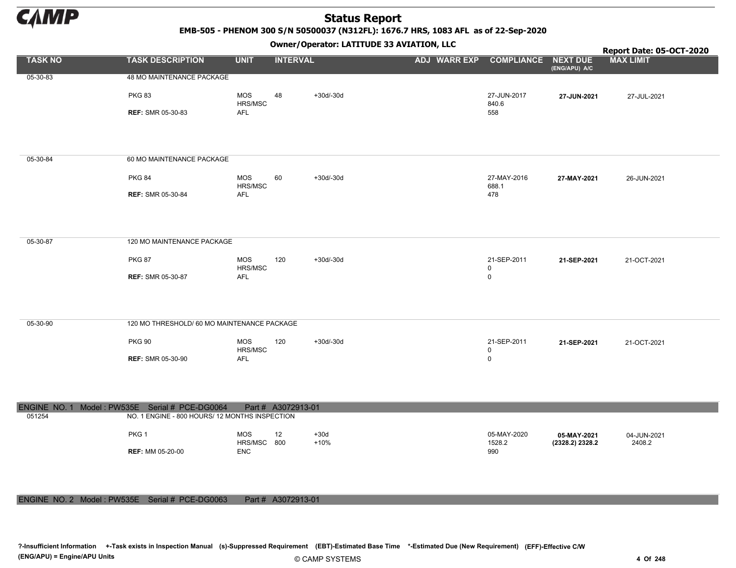

#### EMB-505 - PHENOM 300 S/N 50500037 (N312FL): 1676.7 HRS, 1083 AFL as of 22-Sep-2020

Owner/Operator: LATITUDE 33 AVIATION, LLC

|                |                                                                                                  |                           | - - -              |                  | . .                              |                                    |                                | Report Date: 05-OCT-2020 |
|----------------|--------------------------------------------------------------------------------------------------|---------------------------|--------------------|------------------|----------------------------------|------------------------------------|--------------------------------|--------------------------|
| <b>TASK NO</b> | <b>TASK DESCRIPTION</b>                                                                          | <b>UNIT</b>               | <b>INTERVAL</b>    |                  | ADJ WARR EXP COMPLIANCE NEXT DUE |                                    | (ENG/APU) A/C                  | <b>MAX LIMIT</b>         |
| 05-30-83       | 48 MO MAINTENANCE PACKAGE                                                                        |                           |                    |                  |                                  |                                    |                                |                          |
|                | <b>PKG 83</b>                                                                                    | MOS<br>HRS/MSC            | 48                 | $+30d/-30d$      |                                  | 27-JUN-2017<br>840.6               | 27-JUN-2021                    | 27-JUL-2021              |
|                | <b>REF: SMR 05-30-83</b>                                                                         | AFL                       |                    |                  |                                  | 558                                |                                |                          |
|                |                                                                                                  |                           |                    |                  |                                  |                                    |                                |                          |
| 05-30-84       | 60 MO MAINTENANCE PACKAGE                                                                        |                           |                    |                  |                                  |                                    |                                |                          |
|                | <b>PKG 84</b>                                                                                    | <b>MOS</b><br>HRS/MSC     | 60                 | $+30d/-30d$      |                                  | 27-MAY-2016<br>688.1               | 27-MAY-2021                    | 26-JUN-2021              |
|                | <b>REF: SMR 05-30-84</b>                                                                         | <b>AFL</b>                |                    |                  |                                  | 478                                |                                |                          |
|                |                                                                                                  |                           |                    |                  |                                  |                                    |                                |                          |
| 05-30-87       | 120 MO MAINTENANCE PACKAGE                                                                       |                           |                    |                  |                                  |                                    |                                |                          |
|                | <b>PKG 87</b>                                                                                    | <b>MOS</b><br>HRS/MSC     | 120                | $+30d/-30d$      |                                  | 21-SEP-2011                        | 21-SEP-2021                    | 21-OCT-2021              |
|                | <b>REF: SMR 05-30-87</b>                                                                         | <b>AFL</b>                |                    |                  |                                  | $\mathsf{O}\xspace$<br>$\mathbf 0$ |                                |                          |
|                |                                                                                                  |                           |                    |                  |                                  |                                    |                                |                          |
| 05-30-90       | 120 MO THRESHOLD/ 60 MO MAINTENANCE PACKAGE                                                      |                           |                    |                  |                                  |                                    |                                |                          |
|                | <b>PKG 90</b>                                                                                    | <b>MOS</b><br>HRS/MSC     | 120                | +30d/-30d        |                                  | 21-SEP-2011<br>$\mathbf 0$         | 21-SEP-2021                    | 21-OCT-2021              |
|                | <b>REF: SMR 05-30-90</b>                                                                         | AFL                       |                    |                  |                                  | $\mathbf 0$                        |                                |                          |
|                |                                                                                                  |                           |                    |                  |                                  |                                    |                                |                          |
|                |                                                                                                  |                           |                    |                  |                                  |                                    |                                |                          |
| 051254         | ENGINE NO. 1 Model: PW535E Serial # PCE-DG0064<br>NO. 1 ENGINE - 800 HOURS/ 12 MONTHS INSPECTION |                           | Part # A3072913-01 |                  |                                  |                                    |                                |                          |
|                | PKG <sub>1</sub>                                                                                 | <b>MOS</b><br>HRS/MSC 800 | 12                 | $+30d$<br>$+10%$ |                                  | 05-MAY-2020<br>1528.2              | 05-MAY-2021<br>(2328.2) 2328.2 | 04-JUN-2021<br>2408.2    |
|                | <b>REF: MM 05-20-00</b>                                                                          | <b>ENC</b>                |                    |                  |                                  | 990                                |                                |                          |
|                |                                                                                                  |                           |                    |                  |                                  |                                    |                                |                          |

#### ENGINE NO. 2 Model : PW535E Serial # PCE-DG0063 Part # A3072913-01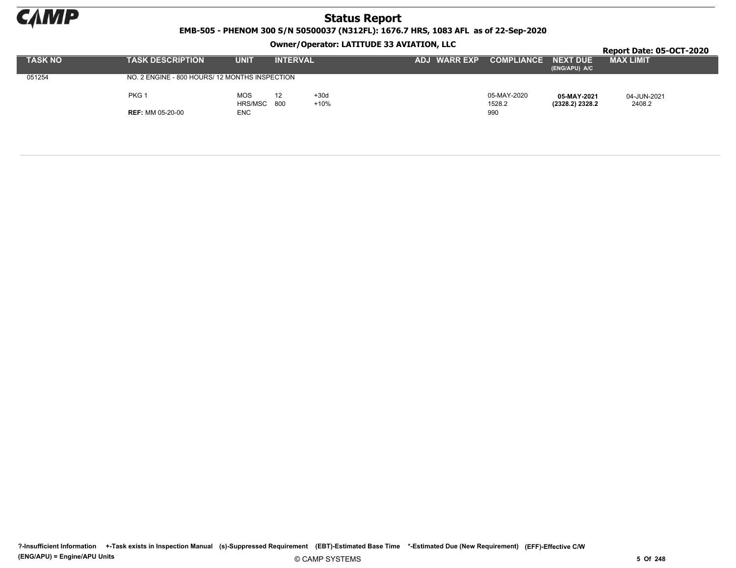

EMB-505 - PHENOM 300 S/N 50500037 (N312FL): 1676.7 HRS, 1083 AFL as of 22-Sep-2020

Owner/Operator: LATITUDE 33 AVIATION, LLC

|                | OWNER / ODERACOR. LATER ODE 33 AVIATION, LLC   |                |                 |                |                     |                       |                                  |                       |  |  |  |
|----------------|------------------------------------------------|----------------|-----------------|----------------|---------------------|-----------------------|----------------------------------|-----------------------|--|--|--|
| <b>TASK NO</b> | <b>TASK DESCRIPTION</b>                        | <b>UNIT</b>    | <b>INTERVAL</b> |                | <b>ADJ WARR EXP</b> | <b>COMPLIANCE</b>     | <b>NEXT DUE</b><br>(ENG/APU) A/C | <b>MAX LIMIT</b>      |  |  |  |
| 051254         | NO. 2 ENGINE - 800 HOURS/ 12 MONTHS INSPECTION |                |                 |                |                     |                       |                                  |                       |  |  |  |
|                | PKG 1                                          | MOS<br>HRS/MSC | 12<br>- 800     | $+30d$<br>+10% |                     | 05-MAY-2020<br>1528.2 | 05-MAY-2021<br>(2328.2) 2328.2   | 04-JUN-2021<br>2408.2 |  |  |  |
|                | <b>REF: MM 05-20-00</b>                        | ENC            |                 |                |                     | 990                   |                                  |                       |  |  |  |

?-Insufficient Information +-Task exists in Inspection Manual (s)-Suppressed Requirement (EBT)-Estimated Base Time \*-Estimated Due (New Requirement) (EFF)-Effective C/W (ENG/APU) = Engine/APU Units 6 Of 248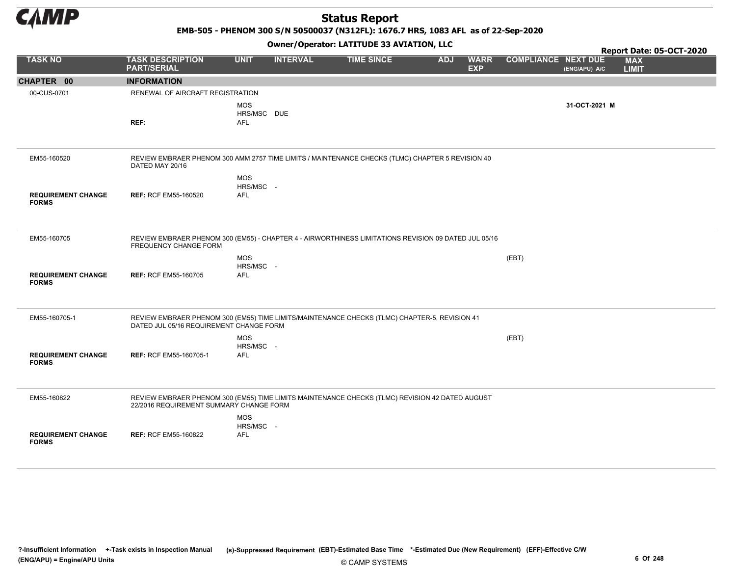

EMB-505 - PHENOM 300 S/N 50500037 (N312FL): 1676.7 HRS, 1083 AFL as of 22-Sep-2020

|                                           |                                                                                                                                            |                                         | - . - .         |                   |            |                           |                            |               | Report Date: 05-OCT-2020   |
|-------------------------------------------|--------------------------------------------------------------------------------------------------------------------------------------------|-----------------------------------------|-----------------|-------------------|------------|---------------------------|----------------------------|---------------|----------------------------|
| <b>TASK NO</b>                            | <b>TASK DESCRIPTION</b><br><b>PART/SERIAL</b>                                                                                              | <b>UNIT</b>                             | <b>INTERVAL</b> | <b>TIME SINCE</b> | <b>ADJ</b> | <b>WARR</b><br><b>EXP</b> | <b>COMPLIANCE NEXT DUE</b> | (ENG/APU) A/C | <b>MAX</b><br><b>LIMIT</b> |
| CHAPTER 00                                | <b>INFORMATION</b>                                                                                                                         |                                         |                 |                   |            |                           |                            |               |                            |
| 00-CUS-0701                               | RENEWAL OF AIRCRAFT REGISTRATION                                                                                                           |                                         |                 |                   |            |                           |                            |               |                            |
|                                           | REF:                                                                                                                                       | <b>MOS</b><br>HRS/MSC DUE<br><b>AFL</b> |                 |                   |            |                           |                            | 31-OCT-2021 M |                            |
| EM55-160520                               | REVIEW EMBRAER PHENOM 300 AMM 2757 TIME LIMITS / MAINTENANCE CHECKS (TLMC) CHAPTER 5 REVISION 40<br>DATED MAY 20/16                        | <b>MOS</b>                              |                 |                   |            |                           |                            |               |                            |
| <b>REQUIREMENT CHANGE</b><br><b>FORMS</b> | <b>REF: RCF EM55-160520</b>                                                                                                                | HRS/MSC -<br><b>AFL</b>                 |                 |                   |            |                           |                            |               |                            |
| EM55-160705                               | REVIEW EMBRAER PHENOM 300 (EM55) - CHAPTER 4 - AIRWORTHINESS LIMITATIONS REVISION 09 DATED JUL 05/16<br>FREQUENCY CHANGE FORM              | <b>MOS</b>                              |                 |                   |            |                           | (EBT)                      |               |                            |
| <b>REQUIREMENT CHANGE</b><br><b>FORMS</b> | <b>REF: RCF EM55-160705</b>                                                                                                                | HRS/MSC -<br><b>AFL</b>                 |                 |                   |            |                           |                            |               |                            |
| EM55-160705-1                             | REVIEW EMBRAER PHENOM 300 (EM55) TIME LIMITS/MAINTENANCE CHECKS (TLMC) CHAPTER-5, REVISION 41<br>DATED JUL 05/16 REQUIREMENT CHANGE FORM   |                                         |                 |                   |            |                           |                            |               |                            |
| <b>REQUIREMENT CHANGE</b><br><b>FORMS</b> | <b>REF: RCF EM55-160705-1</b>                                                                                                              | <b>MOS</b><br>HRS/MSC -<br><b>AFL</b>   |                 |                   |            |                           | (EBT)                      |               |                            |
| EM55-160822                               | REVIEW EMBRAER PHENOM 300 (EM55) TIME LIMITS MAINTENANCE CHECKS (TLMC) REVISION 42 DATED AUGUST<br>22/2016 REQUIREMENT SUMMARY CHANGE FORM | <b>MOS</b>                              |                 |                   |            |                           |                            |               |                            |
| <b>REQUIREMENT CHANGE</b><br><b>FORMS</b> | <b>REF: RCF EM55-160822</b>                                                                                                                | HRS/MSC -<br><b>AFL</b>                 |                 |                   |            |                           |                            |               |                            |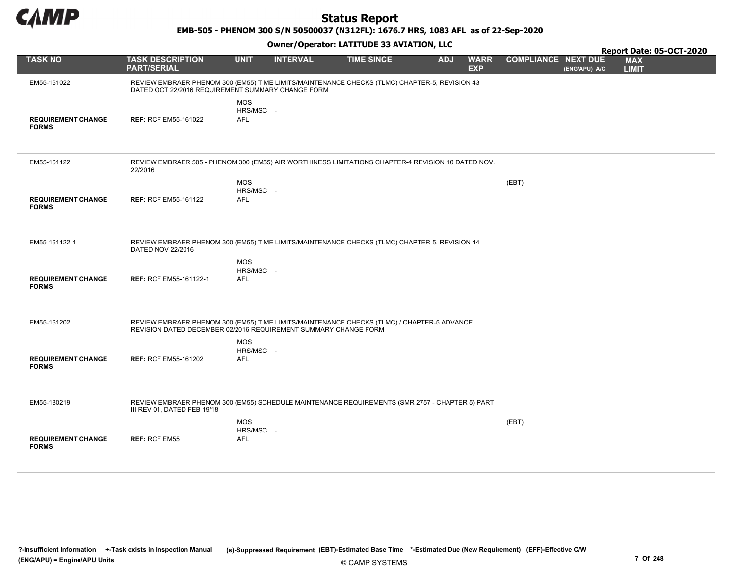

EMB-505 - PHENOM 300 S/N 50500037 (N312FL): 1676.7 HRS, 1083 AFL as of 22-Sep-2020

|                                           |                                                                                                                                                               |                                       |                 |                   |            |                           |                            |               | Report Date: 05-OCT-2020   |  |
|-------------------------------------------|---------------------------------------------------------------------------------------------------------------------------------------------------------------|---------------------------------------|-----------------|-------------------|------------|---------------------------|----------------------------|---------------|----------------------------|--|
| <b>TASK NO</b>                            | <b>TASK DESCRIPTION</b><br><b>PART/SERIAL</b>                                                                                                                 | <b>UNIT</b>                           | <b>INTERVAL</b> | <b>TIME SINCE</b> | <b>ADJ</b> | <b>WARR</b><br><b>EXP</b> | <b>COMPLIANCE NEXT DUE</b> | (ENG/APU) A/C | <b>MAX</b><br><b>LIMIT</b> |  |
| EM55-161022                               | REVIEW EMBRAER PHENOM 300 (EM55) TIME LIMITS/MAINTENANCE CHECKS (TLMC) CHAPTER-5, REVISION 43<br>DATED OCT 22/2016 REQUIREMENT SUMMARY CHANGE FORM            |                                       |                 |                   |            |                           |                            |               |                            |  |
| <b>REQUIREMENT CHANGE</b><br><b>FORMS</b> | <b>REF: RCF EM55-161022</b>                                                                                                                                   | <b>MOS</b><br>HRS/MSC -<br><b>AFL</b> |                 |                   |            |                           |                            |               |                            |  |
| EM55-161122                               | REVIEW EMBRAER 505 - PHENOM 300 (EM55) AIR WORTHINESS LIMITATIONS CHAPTER-4 REVISION 10 DATED NOV.<br>22/2016                                                 |                                       |                 |                   |            |                           |                            |               |                            |  |
| <b>REQUIREMENT CHANGE</b><br><b>FORMS</b> | <b>REF: RCF EM55-161122</b>                                                                                                                                   | <b>MOS</b><br>HRS/MSC -<br>AFL        |                 |                   |            |                           | (EBT)                      |               |                            |  |
| EM55-161122-1                             | REVIEW EMBRAER PHENOM 300 (EM55) TIME LIMITS/MAINTENANCE CHECKS (TLMC) CHAPTER-5, REVISION 44<br>DATED NOV 22/2016                                            |                                       |                 |                   |            |                           |                            |               |                            |  |
| <b>REQUIREMENT CHANGE</b><br><b>FORMS</b> | <b>REF: RCF EM55-161122-1</b>                                                                                                                                 | <b>MOS</b><br>HRS/MSC -<br><b>AFL</b> |                 |                   |            |                           |                            |               |                            |  |
| EM55-161202                               | REVIEW EMBRAER PHENOM 300 (EM55) TIME LIMITS/MAINTENANCE CHECKS (TLMC) / CHAPTER-5 ADVANCE<br>REVISION DATED DECEMBER 02/2016 REQUIREMENT SUMMARY CHANGE FORM |                                       |                 |                   |            |                           |                            |               |                            |  |
| <b>REQUIREMENT CHANGE</b><br><b>FORMS</b> | <b>REF: RCF EM55-161202</b>                                                                                                                                   | <b>MOS</b><br>HRS/MSC -<br>AFL        |                 |                   |            |                           |                            |               |                            |  |
| EM55-180219                               | REVIEW EMBRAER PHENOM 300 (EM55) SCHEDULE MAINTENANCE REQUIREMENTS (SMR 2757 - CHAPTER 5) PART<br>III REV 01, DATED FEB 19/18                                 |                                       |                 |                   |            |                           |                            |               |                            |  |
| <b>REQUIREMENT CHANGE</b><br><b>FORMS</b> | <b>REF: RCF EM55</b>                                                                                                                                          | <b>MOS</b><br>HRS/MSC -<br>AFL        |                 |                   |            |                           | (EBT)                      |               |                            |  |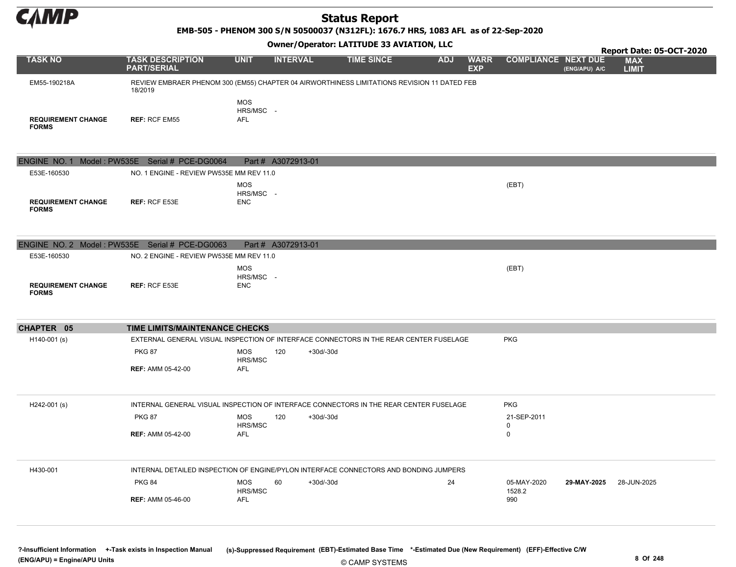

EMB-505 - PHENOM 300 S/N 50500037 (N312FL): 1676.7 HRS, 1083 AFL as of 22-Sep-2020

| <b>Owner/Operator: LATITUDE 33 AVIATION, LLC</b><br>Report Date: 05-OCT-2020 |                                                                                                        |                                       |                    |             |                   |  |            |                           |                  |                                             |                            |  |
|------------------------------------------------------------------------------|--------------------------------------------------------------------------------------------------------|---------------------------------------|--------------------|-------------|-------------------|--|------------|---------------------------|------------------|---------------------------------------------|----------------------------|--|
| <b>TASK NO</b>                                                               | <b>TASK DESCRIPTION</b><br><b>PART/SERIAL</b>                                                          | <b>UNIT</b>                           | <b>INTERVAL</b>    |             | <b>TIME SINCE</b> |  | <b>ADJ</b> | <b>WARR</b><br><b>EXP</b> |                  | <b>COMPLIANCE NEXT DUE</b><br>(ENG/APU) A/C | <b>MAX</b><br><b>LIMIT</b> |  |
| EM55-190218A                                                                 | REVIEW EMBRAER PHENOM 300 (EM55) CHAPTER 04 AIRWORTHINESS LIMITATIONS REVISION 11 DATED FEB<br>18/2019 |                                       |                    |             |                   |  |            |                           |                  |                                             |                            |  |
| <b>REQUIREMENT CHANGE</b><br><b>FORMS</b>                                    | <b>REF: RCF EM55</b>                                                                                   | <b>MOS</b><br>HRS/MSC -<br><b>AFL</b> |                    |             |                   |  |            |                           |                  |                                             |                            |  |
|                                                                              | ENGINE NO. 1 Model: PW535E Serial # PCE-DG0064                                                         |                                       | Part # A3072913-01 |             |                   |  |            |                           |                  |                                             |                            |  |
| E53E-160530                                                                  | NO. 1 ENGINE - REVIEW PW535E MM REV 11.0                                                               |                                       |                    |             |                   |  |            |                           |                  |                                             |                            |  |
| <b>REQUIREMENT CHANGE</b><br><b>FORMS</b>                                    | <b>REF: RCF E53E</b>                                                                                   | <b>MOS</b><br>HRS/MSC -<br><b>ENC</b> |                    |             |                   |  |            |                           | (EBT)            |                                             |                            |  |
|                                                                              |                                                                                                        |                                       |                    |             |                   |  |            |                           |                  |                                             |                            |  |
| E53E-160530                                                                  | ENGINE NO. 2 Model: PW535E Serial # PCE-DG0063<br>NO. 2 ENGINE - REVIEW PW535E MM REV 11.0             |                                       | Part # A3072913-01 |             |                   |  |            |                           |                  |                                             |                            |  |
| <b>REQUIREMENT CHANGE</b><br><b>FORMS</b>                                    | <b>REF: RCF E53E</b>                                                                                   | <b>MOS</b><br>HRS/MSC -<br><b>ENC</b> |                    |             |                   |  |            |                           | (EBT)            |                                             |                            |  |
| CHAPTER 05                                                                   | TIME LIMITS/MAINTENANCE CHECKS                                                                         |                                       |                    |             |                   |  |            |                           |                  |                                             |                            |  |
| H140-001 (s)                                                                 | EXTERNAL GENERAL VISUAL INSPECTION OF INTERFACE CONNECTORS IN THE REAR CENTER FUSELAGE                 |                                       |                    |             |                   |  |            |                           | <b>PKG</b>       |                                             |                            |  |
|                                                                              | <b>PKG 87</b>                                                                                          | <b>MOS</b><br>HRS/MSC                 | 120                | $+30d/-30d$ |                   |  |            |                           |                  |                                             |                            |  |
|                                                                              | <b>REF: AMM 05-42-00</b>                                                                               | AFL                                   |                    |             |                   |  |            |                           |                  |                                             |                            |  |
| H242-001 (s)                                                                 | INTERNAL GENERAL VISUAL INSPECTION OF INTERFACE CONNECTORS IN THE REAR CENTER FUSELAGE                 |                                       |                    |             |                   |  |            |                           | <b>PKG</b>       |                                             |                            |  |
|                                                                              | <b>PKG 87</b>                                                                                          | <b>MOS</b><br>HRS/MSC                 | 120                | $+30d/-30d$ |                   |  |            |                           | 21-SEP-2011<br>0 |                                             |                            |  |
|                                                                              | <b>REF: AMM 05-42-00</b>                                                                               | AFL                                   |                    |             |                   |  |            |                           | 0                |                                             |                            |  |
| H430-001                                                                     | INTERNAL DETAILED INSPECTION OF ENGINE/PYLON INTERFACE CONNECTORS AND BONDING JUMPERS                  |                                       |                    |             |                   |  |            |                           |                  |                                             |                            |  |
|                                                                              | <b>PKG 84</b>                                                                                          | <b>MOS</b>                            | 60                 | $+30d/-30d$ |                   |  | 24         |                           | 05-MAY-2020      | 29-MAY-2025                                 | 28-JUN-2025                |  |
|                                                                              | <b>REF: AMM 05-46-00</b>                                                                               | HRS/MSC<br>AFL                        |                    |             |                   |  |            |                           | 1528.2<br>990    |                                             |                            |  |
|                                                                              |                                                                                                        |                                       |                    |             |                   |  |            |                           |                  |                                             |                            |  |

© CAMP SYSTEMS ?-Insufficient Information +-Task exists in Inspection Manual (s)-Suppressed Requirement (EBT)-Estimated Base Time \*-Estimated Due (New Requirement) (EFF)-Effective C/W (ENG/APU) = Engine/APU Units 8 Of 248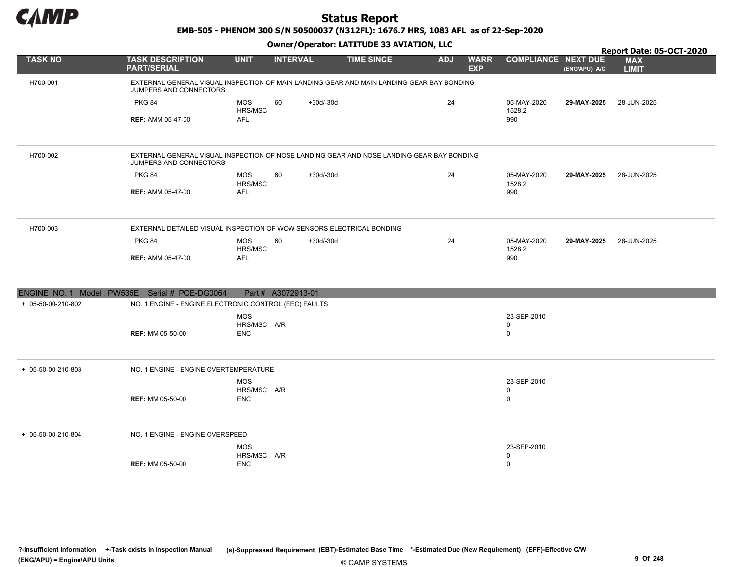

EMB-505 - PHENOM 300 S/N 50500037 (N312FL): 1676.7 HRS, 1083 AFL as of 22-Sep-2020

|                                                |                                                                                                                     |                                         |                    | Report Date: 05-OCT-2020 |            |                           |                                           |               |                            |
|------------------------------------------------|---------------------------------------------------------------------------------------------------------------------|-----------------------------------------|--------------------|--------------------------|------------|---------------------------|-------------------------------------------|---------------|----------------------------|
| <b>TASK NO</b>                                 | <b>TASK DESCRIPTION</b><br><b>PART/SERIAL</b>                                                                       | <b>UNIT</b>                             | <b>INTERVAL</b>    | <b>TIME SINCE</b>        | <b>ADJ</b> | <b>WARR</b><br><b>EXP</b> | <b>COMPLIANCE NEXT DUE</b>                | (ENG/APU) A/C | <b>MAX</b><br><b>LIMIT</b> |
| H700-001                                       | EXTERNAL GENERAL VISUAL INSPECTION OF MAIN LANDING GEAR AND MAIN LANDING GEAR BAY BONDING<br>JUMPERS AND CONNECTORS |                                         |                    |                          |            |                           |                                           |               |                            |
|                                                | <b>PKG 84</b><br><b>REF: AMM 05-47-00</b>                                                                           | <b>MOS</b><br>HRS/MSC<br><b>AFL</b>     | 60<br>$+30d/-30d$  |                          | 24         |                           | 05-MAY-2020<br>1528.2<br>990              | 29-MAY-2025   | 28-JUN-2025                |
| H700-002                                       | EXTERNAL GENERAL VISUAL INSPECTION OF NOSE LANDING GEAR AND NOSE LANDING GEAR BAY BONDING<br>JUMPERS AND CONNECTORS |                                         |                    |                          |            |                           |                                           |               |                            |
|                                                | <b>PKG 84</b><br><b>REF: AMM 05-47-00</b>                                                                           | <b>MOS</b><br>HRS/MSC<br><b>AFL</b>     | 60<br>$+30d/-30d$  |                          | 24         |                           | 05-MAY-2020<br>1528.2<br>990              | 29-MAY-2025   | 28-JUN-2025                |
| H700-003                                       | EXTERNAL DETAILED VISUAL INSPECTION OF WOW SENSORS ELECTRICAL BONDING                                               |                                         |                    |                          |            |                           |                                           |               |                            |
|                                                | <b>PKG 84</b><br><b>REF: AMM 05-47-00</b>                                                                           | <b>MOS</b><br>HRS/MSC<br><b>AFL</b>     | 60<br>$+30d/-30d$  |                          | 24         |                           | 05-MAY-2020<br>1528.2<br>990              | 29-MAY-2025   | 28-JUN-2025                |
| ENGINE NO. 1 Model: PW535E Serial # PCE-DG0064 |                                                                                                                     |                                         | Part # A3072913-01 |                          |            |                           |                                           |               |                            |
| + 05-50-00-210-802                             | NO. 1 ENGINE - ENGINE ELECTRONIC CONTROL (EEC) FAULTS                                                               |                                         |                    |                          |            |                           |                                           |               |                            |
|                                                | <b>REF: MM 05-50-00</b>                                                                                             | <b>MOS</b><br>HRS/MSC A/R<br><b>ENC</b> |                    |                          |            |                           | 23-SEP-2010<br>$\mathbf 0$<br>$\mathbf 0$ |               |                            |
| + 05-50-00-210-803                             | NO. 1 ENGINE - ENGINE OVERTEMPERATURE                                                                               |                                         |                    |                          |            |                           |                                           |               |                            |
|                                                | <b>REF: MM 05-50-00</b>                                                                                             | <b>MOS</b><br>HRS/MSC A/R<br><b>ENC</b> |                    |                          |            |                           | 23-SEP-2010<br>0<br>$\mathbf 0$           |               |                            |
| + 05-50-00-210-804                             | NO. 1 ENGINE - ENGINE OVERSPEED                                                                                     |                                         |                    |                          |            |                           |                                           |               |                            |
|                                                | <b>REF: MM 05-50-00</b>                                                                                             | MOS<br>HRS/MSC A/R<br><b>ENC</b>        |                    |                          |            |                           | 23-SEP-2010<br>$\mathbf 0$<br>$\mathbf 0$ |               |                            |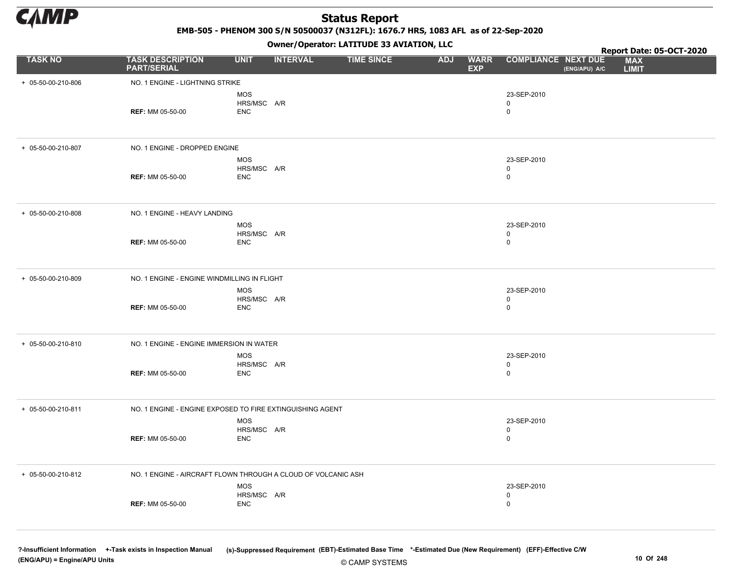

EMB-505 - PHENOM 300 S/N 50500037 (N312FL): 1676.7 HRS, 1083 AFL as of 22-Sep-2020

Owner/Operator: LATITUDE 33 AVIATION, LLC

|                    |                                                               |                           |                 | Owner/Operator. EATITODE 33 AVIATION, LLC |            |                           |                            | Report Date: 05-OCT-2020 |                            |
|--------------------|---------------------------------------------------------------|---------------------------|-----------------|-------------------------------------------|------------|---------------------------|----------------------------|--------------------------|----------------------------|
| <b>TASK NO</b>     | <b>TASK DESCRIPTION</b><br><b>PART/SERIAL</b>                 | <b>UNIT</b>               | <b>INTERVAL</b> | <b>TIME SINCE</b>                         | <b>ADJ</b> | <b>WARR</b><br><b>EXP</b> | <b>COMPLIANCE NEXT DUE</b> | (ENG/APU) A/C            | <b>MAX</b><br><b>LIMIT</b> |
| + 05-50-00-210-806 | NO. 1 ENGINE - LIGHTNING STRIKE                               |                           |                 |                                           |            |                           |                            |                          |                            |
|                    |                                                               | <b>MOS</b><br>HRS/MSC A/R |                 |                                           |            |                           | 23-SEP-2010                |                          |                            |
|                    | <b>REF: MM 05-50-00</b>                                       | <b>ENC</b>                |                 |                                           |            |                           | 0<br>$\mathbf 0$           |                          |                            |
|                    |                                                               |                           |                 |                                           |            |                           |                            |                          |                            |
| + 05-50-00-210-807 | NO. 1 ENGINE - DROPPED ENGINE                                 |                           |                 |                                           |            |                           |                            |                          |                            |
|                    |                                                               | MOS                       |                 |                                           |            |                           | 23-SEP-2010                |                          |                            |
|                    | <b>REF: MM 05-50-00</b>                                       | HRS/MSC A/R<br><b>ENC</b> |                 |                                           |            |                           | 0<br>$\mathbf 0$           |                          |                            |
|                    |                                                               |                           |                 |                                           |            |                           |                            |                          |                            |
| + 05-50-00-210-808 | NO. 1 ENGINE - HEAVY LANDING                                  |                           |                 |                                           |            |                           |                            |                          |                            |
|                    |                                                               | MOS<br>HRS/MSC A/R        |                 |                                           |            |                           | 23-SEP-2010<br>0           |                          |                            |
|                    | <b>REF: MM 05-50-00</b>                                       | <b>ENC</b>                |                 |                                           |            |                           | $\mathbf 0$                |                          |                            |
|                    |                                                               |                           |                 |                                           |            |                           |                            |                          |                            |
| + 05-50-00-210-809 | NO. 1 ENGINE - ENGINE WINDMILLING IN FLIGHT                   |                           |                 |                                           |            |                           |                            |                          |                            |
|                    |                                                               | MOS<br>HRS/MSC A/R        |                 |                                           |            |                           | 23-SEP-2010<br>0           |                          |                            |
|                    | <b>REF: MM 05-50-00</b>                                       | <b>ENC</b>                |                 |                                           |            |                           | $\mathbf 0$                |                          |                            |
|                    |                                                               |                           |                 |                                           |            |                           |                            |                          |                            |
| + 05-50-00-210-810 | NO. 1 ENGINE - ENGINE IMMERSION IN WATER                      |                           |                 |                                           |            |                           |                            |                          |                            |
|                    |                                                               | MOS<br>HRS/MSC A/R        |                 |                                           |            |                           | 23-SEP-2010<br>0           |                          |                            |
|                    | <b>REF: MM 05-50-00</b>                                       | <b>ENC</b>                |                 |                                           |            |                           | $\mathbf 0$                |                          |                            |
|                    |                                                               |                           |                 |                                           |            |                           |                            |                          |                            |
| + 05-50-00-210-811 | NO. 1 ENGINE - ENGINE EXPOSED TO FIRE EXTINGUISHING AGENT     |                           |                 |                                           |            |                           |                            |                          |                            |
|                    |                                                               | MOS<br>HRS/MSC A/R        |                 |                                           |            |                           | 23-SEP-2010<br>0           |                          |                            |
|                    | <b>REF: MM 05-50-00</b>                                       | <b>ENC</b>                |                 |                                           |            |                           | $\mathbf 0$                |                          |                            |
|                    |                                                               |                           |                 |                                           |            |                           |                            |                          |                            |
| + 05-50-00-210-812 | NO. 1 ENGINE - AIRCRAFT FLOWN THROUGH A CLOUD OF VOLCANIC ASH |                           |                 |                                           |            |                           |                            |                          |                            |
|                    |                                                               | MOS<br>HRS/MSC A/R        |                 |                                           |            |                           | 23-SEP-2010<br>0           |                          |                            |
|                    | <b>REF: MM 05-50-00</b>                                       | <b>ENC</b>                |                 |                                           |            |                           | $\mathbf 0$                |                          |                            |
|                    |                                                               |                           |                 |                                           |            |                           |                            |                          |                            |
|                    |                                                               |                           |                 |                                           |            |                           |                            |                          |                            |

© CAMP SYSTEMS ?-Insufficient Information +-Task exists in Inspection Manual (s)-Suppressed Requirement (EBT)-Estimated Base Time \*-Estimated Due (New Requirement) (EFF)-Effective C/W (ENG/APU) = Engine/APU Units 10 Of 248 and the control of the control of the control of the control of the control of the control of the control of the control of the control of the control of the control of the control o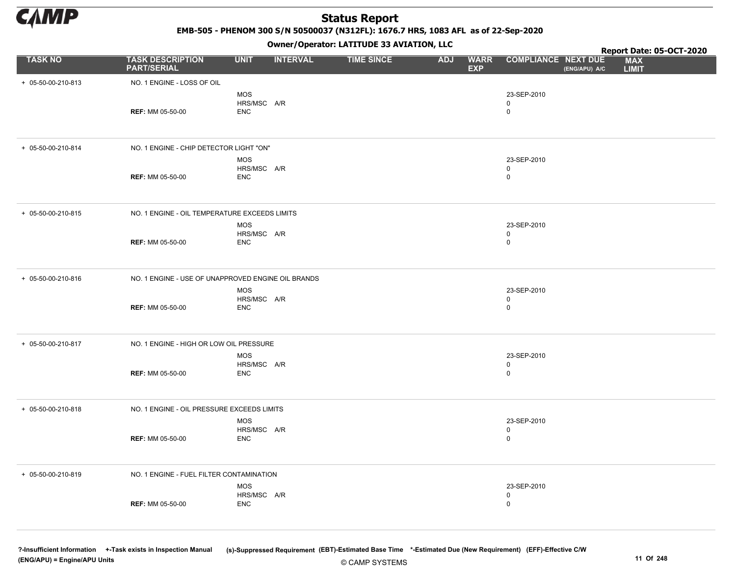

EMB-505 - PHENOM 300 S/N 50500037 (N312FL): 1676.7 HRS, 1083 AFL as of 22-Sep-2020

Owner/Operator: LATITUDE 33 AVIATION, LLC

|                    |                                                    |                           |                 | Owner/Operator. LATITUDE 33 AVIATION, LLC |            |                           |                            | Report Date: 05-OCT-2020 |                            |
|--------------------|----------------------------------------------------|---------------------------|-----------------|-------------------------------------------|------------|---------------------------|----------------------------|--------------------------|----------------------------|
| <b>TASK NO</b>     | <b>TASK DESCRIPTION</b><br><b>PART/SERIAL</b>      | <b>UNIT</b>               | <b>INTERVAL</b> | <b>TIME SINCE</b>                         | <b>ADJ</b> | <b>WARR</b><br><b>EXP</b> | <b>COMPLIANCE NEXT DUE</b> | (ENG/APU) A/C            | <b>MAX</b><br><b>LIMIT</b> |
| + 05-50-00-210-813 | NO. 1 ENGINE - LOSS OF OIL                         |                           |                 |                                           |            |                           |                            |                          |                            |
|                    |                                                    | <b>MOS</b><br>HRS/MSC A/R |                 |                                           |            |                           | 23-SEP-2010<br>0           |                          |                            |
|                    | <b>REF: MM 05-50-00</b>                            | ENC                       |                 |                                           |            |                           | $\mathbf 0$                |                          |                            |
| + 05-50-00-210-814 | NO. 1 ENGINE - CHIP DETECTOR LIGHT "ON"            |                           |                 |                                           |            |                           |                            |                          |                            |
|                    |                                                    | MOS                       |                 |                                           |            |                           | 23-SEP-2010                |                          |                            |
|                    | <b>REF: MM 05-50-00</b>                            | HRS/MSC A/R<br>ENC        |                 |                                           |            |                           | 0<br>$\mathbf 0$           |                          |                            |
| + 05-50-00-210-815 | NO. 1 ENGINE - OIL TEMPERATURE EXCEEDS LIMITS      |                           |                 |                                           |            |                           |                            |                          |                            |
|                    |                                                    | MOS                       |                 |                                           |            |                           | 23-SEP-2010                |                          |                            |
|                    | <b>REF: MM 05-50-00</b>                            | HRS/MSC A/R<br>ENC        |                 |                                           |            |                           | 0<br>$\mathbf 0$           |                          |                            |
|                    |                                                    |                           |                 |                                           |            |                           |                            |                          |                            |
| + 05-50-00-210-816 | NO. 1 ENGINE - USE OF UNAPPROVED ENGINE OIL BRANDS |                           |                 |                                           |            |                           |                            |                          |                            |
|                    |                                                    | MOS<br>HRS/MSC A/R        |                 |                                           |            |                           | 23-SEP-2010<br>0           |                          |                            |
|                    | <b>REF: MM 05-50-00</b>                            | <b>ENC</b>                |                 |                                           |            |                           | $\mathbf 0$                |                          |                            |
| + 05-50-00-210-817 | NO. 1 ENGINE - HIGH OR LOW OIL PRESSURE            |                           |                 |                                           |            |                           |                            |                          |                            |
|                    |                                                    | MOS<br>HRS/MSC A/R        |                 |                                           |            |                           | 23-SEP-2010                |                          |                            |
|                    | <b>REF: MM 05-50-00</b>                            | <b>ENC</b>                |                 |                                           |            |                           | 0<br>$\mathbf 0$           |                          |                            |
|                    |                                                    |                           |                 |                                           |            |                           |                            |                          |                            |
| + 05-50-00-210-818 | NO. 1 ENGINE - OIL PRESSURE EXCEEDS LIMITS         |                           |                 |                                           |            |                           |                            |                          |                            |
|                    |                                                    | MOS<br>HRS/MSC A/R        |                 |                                           |            |                           | 23-SEP-2010<br>0           |                          |                            |
|                    | <b>REF: MM 05-50-00</b>                            | <b>ENC</b>                |                 |                                           |            |                           | $\mathbf 0$                |                          |                            |
|                    |                                                    |                           |                 |                                           |            |                           |                            |                          |                            |
| + 05-50-00-210-819 | NO. 1 ENGINE - FUEL FILTER CONTAMINATION           |                           |                 |                                           |            |                           |                            |                          |                            |
|                    |                                                    | MOS<br>HRS/MSC A/R        |                 |                                           |            |                           | 23-SEP-2010                |                          |                            |
|                    | <b>REF: MM 05-50-00</b>                            | ENC                       |                 |                                           |            |                           | 0<br>$\mathbf 0$           |                          |                            |
|                    |                                                    |                           |                 |                                           |            |                           |                            |                          |                            |
|                    |                                                    |                           |                 |                                           |            |                           |                            |                          |                            |

© CAMP SYSTEMS ?-Insufficient Information +-Task exists in Inspection Manual (s)-Suppressed Requirement (EBT)-Estimated Base Time \*-Estimated Due (New Requirement) (EFF)-Effective C/W (ENG/APU) = Engine/APU Units 11 Of 248 and the control of the control of the control of the control of the control of the control of the control of the control of the control of the control of the control of the control o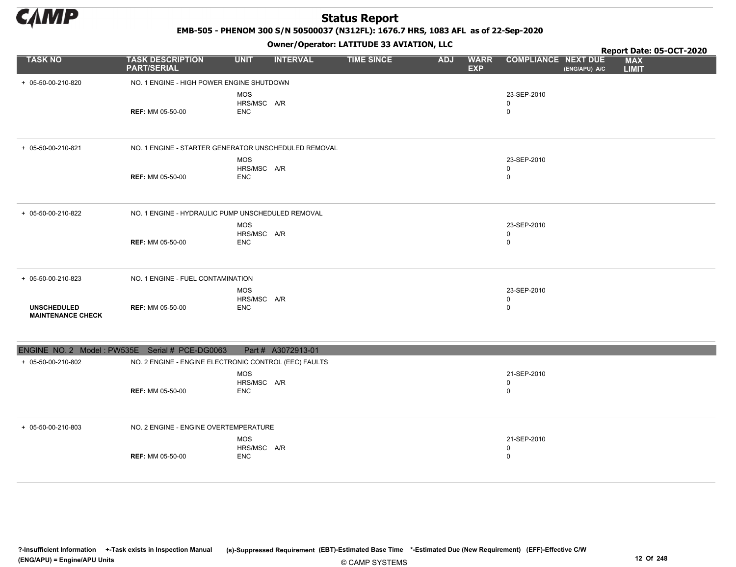

EMB-505 - PHENOM 300 S/N 50500037 (N312FL): 1676.7 HRS, 1083 AFL as of 22-Sep-2020

|                                                |                                                       |                                         |                    | Owner/Operator. EATITODE 33 AVIATION, LLC |            |                           |                                 |               | Report Date: 05-OCT-2020   |
|------------------------------------------------|-------------------------------------------------------|-----------------------------------------|--------------------|-------------------------------------------|------------|---------------------------|---------------------------------|---------------|----------------------------|
| <b>TASK NO</b>                                 | <b>TASK DESCRIPTION</b><br><b>PART/SERIAL</b>         | <b>UNIT</b>                             | <b>INTERVAL</b>    | <b>TIME SINCE</b>                         | <b>ADJ</b> | <b>WARR</b><br><b>EXP</b> | <b>COMPLIANCE NEXT DUE</b>      | (ENG/APU) A/C | <b>MAX</b><br><b>LIMIT</b> |
| + 05-50-00-210-820                             | NO. 1 ENGINE - HIGH POWER ENGINE SHUTDOWN             |                                         |                    |                                           |            |                           |                                 |               |                            |
|                                                | <b>REF: MM 05-50-00</b>                               | <b>MOS</b><br>HRS/MSC A/R<br><b>ENC</b> |                    |                                           |            |                           | 23-SEP-2010<br>0<br>0           |               |                            |
| + 05-50-00-210-821                             | NO. 1 ENGINE - STARTER GENERATOR UNSCHEDULED REMOVAL  |                                         |                    |                                           |            |                           |                                 |               |                            |
|                                                | <b>REF: MM 05-50-00</b>                               | <b>MOS</b><br>HRS/MSC A/R<br><b>ENC</b> |                    |                                           |            |                           | 23-SEP-2010<br>$\mathbf 0$<br>0 |               |                            |
| + 05-50-00-210-822                             | NO. 1 ENGINE - HYDRAULIC PUMP UNSCHEDULED REMOVAL     |                                         |                    |                                           |            |                           |                                 |               |                            |
|                                                | <b>REF: MM 05-50-00</b>                               | <b>MOS</b><br>HRS/MSC A/R<br><b>ENC</b> |                    |                                           |            |                           | 23-SEP-2010<br>0<br>$\mathbf 0$ |               |                            |
| + 05-50-00-210-823                             | NO. 1 ENGINE - FUEL CONTAMINATION                     |                                         |                    |                                           |            |                           |                                 |               |                            |
| <b>UNSCHEDULED</b><br><b>MAINTENANCE CHECK</b> | <b>REF: MM 05-50-00</b>                               | <b>MOS</b><br>HRS/MSC A/R<br><b>ENC</b> |                    |                                           |            |                           | 23-SEP-2010<br>0<br>0           |               |                            |
| ENGINE NO. 2 Model: PW535E Serial # PCE-DG0063 |                                                       |                                         | Part # A3072913-01 |                                           |            |                           |                                 |               |                            |
| + 05-50-00-210-802                             | NO. 2 ENGINE - ENGINE ELECTRONIC CONTROL (EEC) FAULTS |                                         |                    |                                           |            |                           |                                 |               |                            |
|                                                | <b>REF: MM 05-50-00</b>                               | <b>MOS</b><br>HRS/MSC A/R<br><b>ENC</b> |                    |                                           |            |                           | 21-SEP-2010<br>0<br>0           |               |                            |
| + 05-50-00-210-803                             | NO. 2 ENGINE - ENGINE OVERTEMPERATURE                 |                                         |                    |                                           |            |                           |                                 |               |                            |
|                                                | <b>REF: MM 05-50-00</b>                               | <b>MOS</b><br>HRS/MSC A/R<br><b>ENC</b> |                    |                                           |            |                           | 21-SEP-2010<br>0<br>0           |               |                            |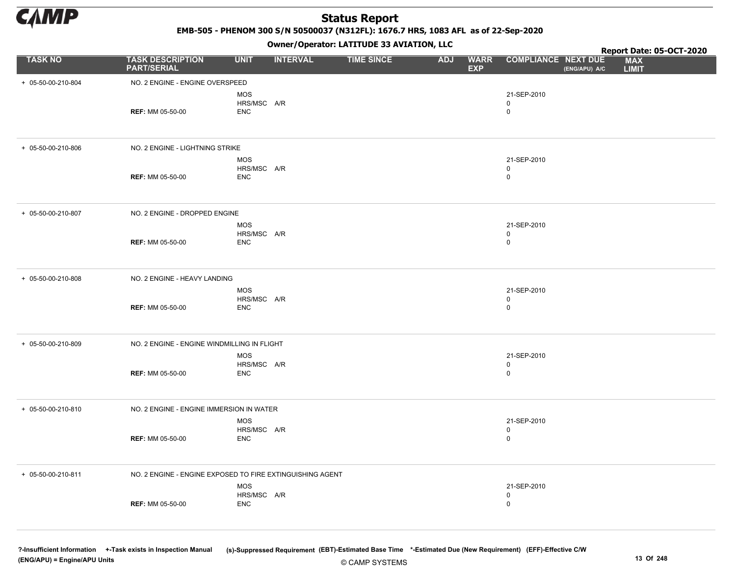

EMB-505 - PHENOM 300 S/N 50500037 (N312FL): 1676.7 HRS, 1083 AFL as of 22-Sep-2020

Owner/Operator: LATITUDE 33 AVIATION, LLC

|                    |                                                           |                           | Owner / Operator. LATTTODE 33 AVIATION, LLC |                   | Report Date: 05-OCT-2020 |                           |                            |               |                            |
|--------------------|-----------------------------------------------------------|---------------------------|---------------------------------------------|-------------------|--------------------------|---------------------------|----------------------------|---------------|----------------------------|
| <b>TASK NO</b>     | <b>TASK DESCRIPTION</b><br><b>PART/SERIAL</b>             | <b>UNIT</b>               | <b>INTERVAL</b>                             | <b>TIME SINCE</b> | <b>ADJ</b>               | <b>WARR</b><br><b>EXP</b> | <b>COMPLIANCE NEXT DUE</b> | (ENG/APU) A/C | <b>MAX</b><br><b>LIMIT</b> |
| + 05-50-00-210-804 | NO. 2 ENGINE - ENGINE OVERSPEED                           |                           |                                             |                   |                          |                           |                            |               |                            |
|                    |                                                           | <b>MOS</b>                |                                             |                   |                          |                           | 21-SEP-2010                |               |                            |
|                    | <b>REF: MM 05-50-00</b>                                   | HRS/MSC A/R               |                                             |                   |                          |                           | 0<br>$\mathbf 0$           |               |                            |
|                    |                                                           | ENC                       |                                             |                   |                          |                           |                            |               |                            |
| + 05-50-00-210-806 | NO. 2 ENGINE - LIGHTNING STRIKE                           |                           |                                             |                   |                          |                           |                            |               |                            |
|                    |                                                           | MOS                       |                                             |                   |                          |                           | 21-SEP-2010                |               |                            |
|                    |                                                           | HRS/MSC A/R               |                                             |                   |                          |                           | 0                          |               |                            |
|                    | <b>REF: MM 05-50-00</b>                                   | ENC                       |                                             |                   |                          |                           | $\mathbf 0$                |               |                            |
| + 05-50-00-210-807 | NO. 2 ENGINE - DROPPED ENGINE                             |                           |                                             |                   |                          |                           |                            |               |                            |
|                    |                                                           | MOS                       |                                             |                   |                          |                           | 21-SEP-2010                |               |                            |
|                    | <b>REF: MM 05-50-00</b>                                   | HRS/MSC A/R<br>ENC        |                                             |                   |                          |                           | 0<br>0                     |               |                            |
|                    |                                                           |                           |                                             |                   |                          |                           |                            |               |                            |
| + 05-50-00-210-808 | NO. 2 ENGINE - HEAVY LANDING                              |                           |                                             |                   |                          |                           |                            |               |                            |
|                    |                                                           | MOS<br>HRS/MSC A/R        |                                             |                   |                          |                           | 21-SEP-2010<br>0           |               |                            |
|                    | <b>REF: MM 05-50-00</b>                                   | <b>ENC</b>                |                                             |                   |                          |                           | $\mathbf 0$                |               |                            |
| + 05-50-00-210-809 | NO. 2 ENGINE - ENGINE WINDMILLING IN FLIGHT               |                           |                                             |                   |                          |                           |                            |               |                            |
|                    |                                                           | MOS                       |                                             |                   |                          |                           | 21-SEP-2010                |               |                            |
|                    | <b>REF: MM 05-50-00</b>                                   | HRS/MSC A/R<br><b>ENC</b> |                                             |                   |                          |                           | 0<br>$\mathbf 0$           |               |                            |
|                    |                                                           |                           |                                             |                   |                          |                           |                            |               |                            |
| + 05-50-00-210-810 | NO. 2 ENGINE - ENGINE IMMERSION IN WATER                  |                           |                                             |                   |                          |                           |                            |               |                            |
|                    |                                                           | MOS<br>HRS/MSC A/R        |                                             |                   |                          |                           | 21-SEP-2010                |               |                            |
|                    | <b>REF: MM 05-50-00</b>                                   | <b>ENC</b>                |                                             |                   |                          |                           | 0<br>$\mathbf 0$           |               |                            |
|                    |                                                           |                           |                                             |                   |                          |                           |                            |               |                            |
| + 05-50-00-210-811 | NO. 2 ENGINE - ENGINE EXPOSED TO FIRE EXTINGUISHING AGENT |                           |                                             |                   |                          |                           |                            |               |                            |
|                    |                                                           | MOS                       |                                             |                   |                          |                           | 21-SEP-2010                |               |                            |
|                    | <b>REF: MM 05-50-00</b>                                   | HRS/MSC A/R<br>ENC        |                                             |                   |                          |                           | 0<br>0                     |               |                            |
|                    |                                                           |                           |                                             |                   |                          |                           |                            |               |                            |
|                    |                                                           |                           |                                             |                   |                          |                           |                            |               |                            |

© CAMP SYSTEMS ?-Insufficient Information +-Task exists in Inspection Manual (s)-Suppressed Requirement (EBT)-Estimated Base Time \*-Estimated Due (New Requirement) (EFF)-Effective C/W (ENG/APU) = Engine/APU Units 13 Of 248 and the control of the control of the control of the control of the control of the control of the control of the control of the control of the control of the control of the control o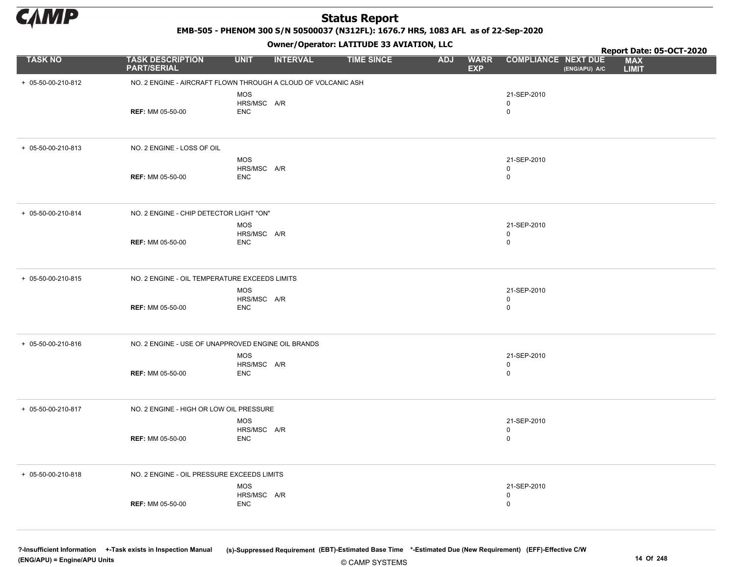

EMB-505 - PHENOM 300 S/N 50500037 (N312FL): 1676.7 HRS, 1083 AFL as of 22-Sep-2020

Owner/Operator: LATITUDE 33 AVIATION, LLC

|                    |                                                               |                                         |                 | Owner/Operator. EATITODE 33 AVIATION, LLC |            |                           | Report Date: 05-OCT-2020        |               |                            |  |
|--------------------|---------------------------------------------------------------|-----------------------------------------|-----------------|-------------------------------------------|------------|---------------------------|---------------------------------|---------------|----------------------------|--|
| <b>TASK NO</b>     | <b>TASK DESCRIPTION</b><br><b>PART/SERIAL</b>                 | <b>UNIT</b>                             | <b>INTERVAL</b> | <b>TIME SINCE</b>                         | <b>ADJ</b> | <b>WARR</b><br><b>EXP</b> | <b>COMPLIANCE NEXT DUE</b>      | (ENG/APU) A/C | <b>MAX</b><br><b>LIMIT</b> |  |
| + 05-50-00-210-812 | NO. 2 ENGINE - AIRCRAFT FLOWN THROUGH A CLOUD OF VOLCANIC ASH |                                         |                 |                                           |            |                           |                                 |               |                            |  |
|                    | <b>REF: MM 05-50-00</b>                                       | <b>MOS</b><br>HRS/MSC A/R<br><b>ENC</b> |                 |                                           |            |                           | 21-SEP-2010<br>0<br>$\mathbf 0$ |               |                            |  |
| + 05-50-00-210-813 | NO. 2 ENGINE - LOSS OF OIL                                    |                                         |                 |                                           |            |                           |                                 |               |                            |  |
|                    | <b>REF: MM 05-50-00</b>                                       | <b>MOS</b><br>HRS/MSC A/R<br><b>ENC</b> |                 |                                           |            |                           | 21-SEP-2010<br>0<br>$\mathbf 0$ |               |                            |  |
| + 05-50-00-210-814 | NO. 2 ENGINE - CHIP DETECTOR LIGHT "ON"                       |                                         |                 |                                           |            |                           |                                 |               |                            |  |
|                    | <b>REF: MM 05-50-00</b>                                       | MOS<br>HRS/MSC A/R<br><b>ENC</b>        |                 |                                           |            |                           | 21-SEP-2010<br>0<br>0           |               |                            |  |
| + 05-50-00-210-815 | NO. 2 ENGINE - OIL TEMPERATURE EXCEEDS LIMITS                 |                                         |                 |                                           |            |                           |                                 |               |                            |  |
|                    | <b>REF: MM 05-50-00</b>                                       | MOS<br>HRS/MSC A/R<br><b>ENC</b>        |                 |                                           |            |                           | 21-SEP-2010<br>0<br>$\mathbf 0$ |               |                            |  |
| + 05-50-00-210-816 | NO. 2 ENGINE - USE OF UNAPPROVED ENGINE OIL BRANDS            |                                         |                 |                                           |            |                           |                                 |               |                            |  |
|                    | <b>REF: MM 05-50-00</b>                                       | MOS<br>HRS/MSC A/R<br><b>ENC</b>        |                 |                                           |            |                           | 21-SEP-2010<br>0<br>$\mathbf 0$ |               |                            |  |
| + 05-50-00-210-817 | NO. 2 ENGINE - HIGH OR LOW OIL PRESSURE                       |                                         |                 |                                           |            |                           |                                 |               |                            |  |
|                    | <b>REF: MM 05-50-00</b>                                       | MOS<br>HRS/MSC A/R<br><b>ENC</b>        |                 |                                           |            |                           | 21-SEP-2010<br>0<br>$\mathbf 0$ |               |                            |  |
| + 05-50-00-210-818 | NO. 2 ENGINE - OIL PRESSURE EXCEEDS LIMITS                    |                                         |                 |                                           |            |                           |                                 |               |                            |  |
|                    | <b>REF: MM 05-50-00</b>                                       | MOS<br>HRS/MSC A/R<br><b>ENC</b>        |                 |                                           |            |                           | 21-SEP-2010<br>0<br>0           |               |                            |  |

© CAMP SYSTEMS ?-Insufficient Information +-Task exists in Inspection Manual (s)-Suppressed Requirement (EBT)-Estimated Base Time \*-Estimated Due (New Requirement) (EFF)-Effective C/W (ENG/APU) = Engine/APU Units 14 Of 248 and the control of the control of the control of the control of the control of the control of the control of the control of the control of the control of the control of the control o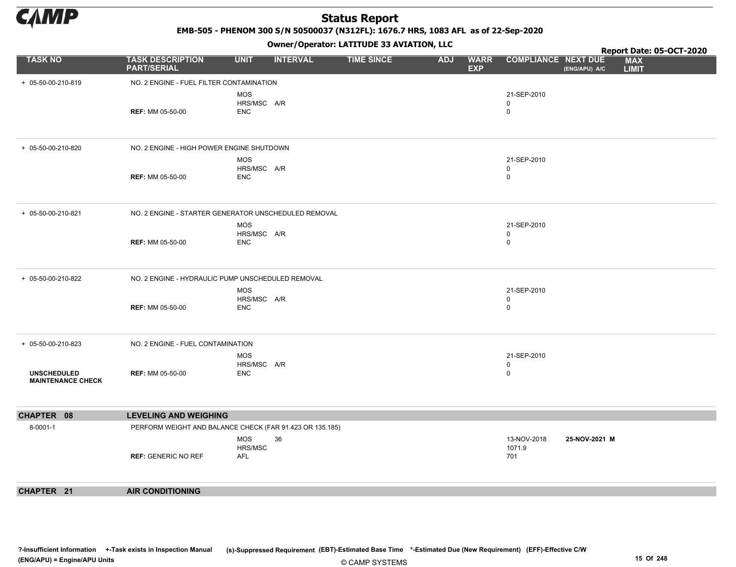

EMB-505 - PHENOM 300 S/N 50500037 (N312FL): 1676.7 HRS, 1083 AFL as of 22-Sep-2020

|                                                |                                                          |                                         | - - - -         |                   |            |                           |                                           |               | Report Date: 05-OCT-2020   |
|------------------------------------------------|----------------------------------------------------------|-----------------------------------------|-----------------|-------------------|------------|---------------------------|-------------------------------------------|---------------|----------------------------|
| <b>TASK NO</b>                                 | <b>TASK DESCRIPTION</b><br><b>PART/SERIAL</b>            | <b>UNIT</b>                             | <b>INTERVAL</b> | <b>TIME SINCE</b> | <b>ADJ</b> | <b>WARR</b><br><b>EXP</b> | <b>COMPLIANCE NEXT DUE</b>                | (ENG/APU) A/C | <b>MAX</b><br><b>LIMIT</b> |
| + 05-50-00-210-819                             | NO. 2 ENGINE - FUEL FILTER CONTAMINATION                 |                                         |                 |                   |            |                           |                                           |               |                            |
|                                                | <b>REF: MM 05-50-00</b>                                  | <b>MOS</b><br>HRS/MSC A/R<br><b>ENC</b> |                 |                   |            |                           | 21-SEP-2010<br>$\mathbf 0$<br>$\mathsf 0$ |               |                            |
| + 05-50-00-210-820                             | NO. 2 ENGINE - HIGH POWER ENGINE SHUTDOWN                |                                         |                 |                   |            |                           |                                           |               |                            |
|                                                | <b>REF: MM 05-50-00</b>                                  | <b>MOS</b><br>HRS/MSC A/R<br><b>ENC</b> |                 |                   |            |                           | 21-SEP-2010<br>$\mathbf 0$<br>$\mathbf 0$ |               |                            |
| + 05-50-00-210-821                             | NO. 2 ENGINE - STARTER GENERATOR UNSCHEDULED REMOVAL     |                                         |                 |                   |            |                           |                                           |               |                            |
|                                                | <b>REF: MM 05-50-00</b>                                  | <b>MOS</b><br>HRS/MSC A/R<br><b>ENC</b> |                 |                   |            |                           | 21-SEP-2010<br>0<br>$\mathsf 0$           |               |                            |
| + 05-50-00-210-822                             | NO. 2 ENGINE - HYDRAULIC PUMP UNSCHEDULED REMOVAL        |                                         |                 |                   |            |                           |                                           |               |                            |
|                                                | <b>REF: MM 05-50-00</b>                                  | <b>MOS</b><br>HRS/MSC A/R<br><b>ENC</b> |                 |                   |            |                           | 21-SEP-2010<br>$\mathbf 0$<br>$\mathbf 0$ |               |                            |
| + 05-50-00-210-823                             | NO. 2 ENGINE - FUEL CONTAMINATION                        |                                         |                 |                   |            |                           |                                           |               |                            |
| <b>UNSCHEDULED</b><br><b>MAINTENANCE CHECK</b> | <b>REF: MM 05-50-00</b>                                  | <b>MOS</b><br>HRS/MSC A/R<br><b>ENC</b> |                 |                   |            |                           | 21-SEP-2010<br>0<br>$\pmb{0}$             |               |                            |
| CHAPTER 08                                     | <b>LEVELING AND WEIGHING</b>                             |                                         |                 |                   |            |                           |                                           |               |                            |
| 8-0001-1                                       | PERFORM WEIGHT AND BALANCE CHECK (FAR 91.423 OR 135.185) |                                         |                 |                   |            |                           |                                           |               |                            |
|                                                | <b>REF: GENERIC NO REF</b>                               | <b>MOS</b><br>HRS/MSC<br>AFL            | 36              |                   |            |                           | 13-NOV-2018<br>1071.9<br>701              | 25-NOV-2021 M |                            |
| CHAPTER 21                                     | <b>AIR CONDITIONING</b>                                  |                                         |                 |                   |            |                           |                                           |               |                            |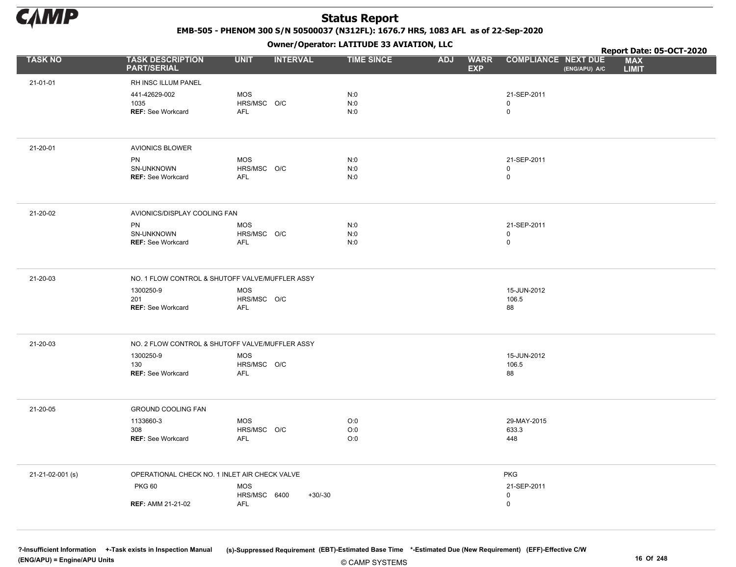

EMB-505 - PHENOM 300 S/N 50500037 (N312FL): 1676.7 HRS, 1083 AFL as of 22-Sep-2020

Owner/Operator: LATITUDE 33 AVIATION, LLC

|                  |                                                 |                            |                 | Owner/Operator. EATITODE 33 AVIATION, LLC |            | Report Date: 05-OCT-2020  |                              |               |                            |
|------------------|-------------------------------------------------|----------------------------|-----------------|-------------------------------------------|------------|---------------------------|------------------------------|---------------|----------------------------|
| <b>TASK NO</b>   | <b>TASK DESCRIPTION</b><br><b>PART/SERIAL</b>   | <b>UNIT</b>                | <b>INTERVAL</b> | <b>TIME SINCE</b>                         | <b>ADJ</b> | <b>WARR</b><br><b>EXP</b> | <b>COMPLIANCE NEXT DUE</b>   | (ENG/APU) A/C | <b>MAX</b><br><b>LIMIT</b> |
| 21-01-01         | RH INSC ILLUM PANEL                             |                            |                 |                                           |            |                           |                              |               |                            |
|                  | 441-42629-002                                   | <b>MOS</b>                 |                 | N:0                                       |            |                           | 21-SEP-2011                  |               |                            |
|                  | 1035<br><b>REF: See Workcard</b>                | HRS/MSC O/C<br><b>AFL</b>  |                 | N:0<br>N:0                                |            |                           | $\mathsf{O}$<br>$\mathsf{O}$ |               |                            |
|                  |                                                 |                            |                 |                                           |            |                           |                              |               |                            |
| 21-20-01         | <b>AVIONICS BLOWER</b>                          |                            |                 |                                           |            |                           |                              |               |                            |
|                  | PN                                              | MOS                        |                 | N:0                                       |            |                           | 21-SEP-2011                  |               |                            |
|                  | SN-UNKNOWN<br><b>REF: See Workcard</b>          | HRS/MSC O/C<br><b>AFL</b>  |                 | N:0<br>N:0                                |            |                           | 0<br>$\mathsf{O}$            |               |                            |
|                  |                                                 |                            |                 |                                           |            |                           |                              |               |                            |
| 21-20-02         | AVIONICS/DISPLAY COOLING FAN                    |                            |                 |                                           |            |                           |                              |               |                            |
|                  | PN                                              | <b>MOS</b>                 |                 | N:0                                       |            |                           | 21-SEP-2011                  |               |                            |
|                  | SN-UNKNOWN<br><b>REF: See Workcard</b>          | HRS/MSC O/C<br><b>AFL</b>  |                 | N:0<br>N:0                                |            |                           | 0<br>$\mathsf{O}$            |               |                            |
|                  |                                                 |                            |                 |                                           |            |                           |                              |               |                            |
| 21-20-03         | NO. 1 FLOW CONTROL & SHUTOFF VALVE/MUFFLER ASSY |                            |                 |                                           |            |                           |                              |               |                            |
|                  | 1300250-9<br>201                                | <b>MOS</b><br>HRS/MSC O/C  |                 |                                           |            |                           | 15-JUN-2012<br>106.5         |               |                            |
|                  | REF: See Workcard                               | AFL                        |                 |                                           |            |                           | 88                           |               |                            |
|                  |                                                 |                            |                 |                                           |            |                           |                              |               |                            |
| 21-20-03         | NO. 2 FLOW CONTROL & SHUTOFF VALVE/MUFFLER ASSY |                            |                 |                                           |            |                           |                              |               |                            |
|                  | 1300250-9<br>130                                | <b>MOS</b><br>HRS/MSC O/C  |                 |                                           |            |                           | 15-JUN-2012<br>106.5         |               |                            |
|                  | REF: See Workcard                               | <b>AFL</b>                 |                 |                                           |            |                           | 88                           |               |                            |
|                  |                                                 |                            |                 |                                           |            |                           |                              |               |                            |
| 21-20-05         | <b>GROUND COOLING FAN</b>                       |                            |                 |                                           |            |                           |                              |               |                            |
|                  | 1133660-3<br>308                                | MOS<br>HRS/MSC O/C         |                 | O:0<br>O:0                                |            |                           | 29-MAY-2015<br>633.3         |               |                            |
|                  | <b>REF: See Workcard</b>                        | <b>AFL</b>                 |                 | O:0                                       |            |                           | 448                          |               |                            |
|                  |                                                 |                            |                 |                                           |            |                           |                              |               |                            |
| 21-21-02-001 (s) | OPERATIONAL CHECK NO. 1 INLET AIR CHECK VALVE   |                            |                 |                                           |            |                           | <b>PKG</b>                   |               |                            |
|                  | <b>PKG 60</b>                                   | <b>MOS</b><br>HRS/MSC 6400 | $+30/-30$       |                                           |            |                           | 21-SEP-2011<br>0             |               |                            |
|                  | <b>REF: AMM 21-21-02</b>                        | <b>AFL</b>                 |                 |                                           |            |                           | $\mathsf{O}$                 |               |                            |
|                  |                                                 |                            |                 |                                           |            |                           |                              |               |                            |

© CAMP SYSTEMS ?-Insufficient Information +-Task exists in Inspection Manual (s)-Suppressed Requirement (EBT)-Estimated Base Time \*-Estimated Due (New Requirement) (EFF)-Effective C/W (ENG/APU) = Engine/APU Units 16 Of 248 and the control of 248 and the control of 248 and the control of 248 and the control of 248 and the control of 248 and the control of 248 and the control of 248 and the control of 24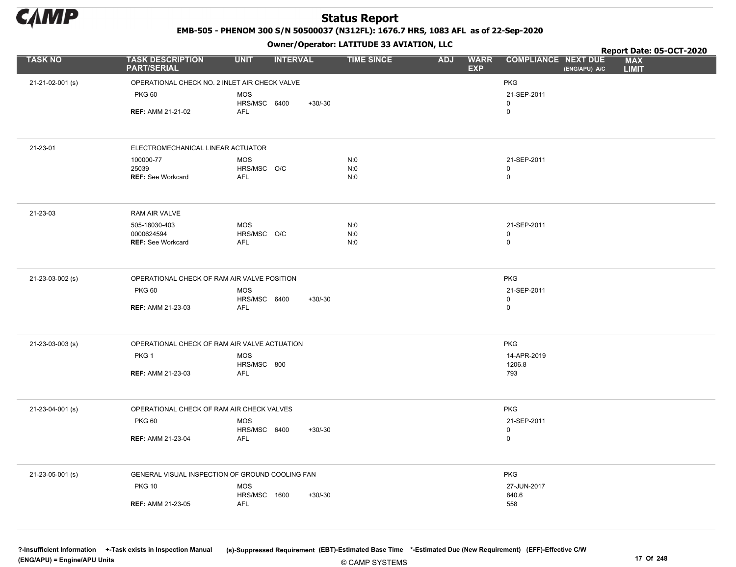

EMB-505 - PHENOM 300 S/N 50500037 (N312FL): 1676.7 HRS, 1083 AFL as of 22-Sep-2020

|                  |                                                 |                            | .               |           |                   |            |                           |                                             | Report Date: 05-OCT-2020   |
|------------------|-------------------------------------------------|----------------------------|-----------------|-----------|-------------------|------------|---------------------------|---------------------------------------------|----------------------------|
| <b>TASK NO</b>   | <b>TASK DESCRIPTION</b><br><b>PART/SERIAL</b>   | <b>UNIT</b>                | <b>INTERVAL</b> |           | <b>TIME SINCE</b> | <b>ADJ</b> | <b>WARR</b><br><b>EXP</b> | <b>COMPLIANCE NEXT DUE</b><br>(ENG/APU) A/C | <b>MAX</b><br><b>LIMIT</b> |
| 21-21-02-001 (s) | OPERATIONAL CHECK NO. 2 INLET AIR CHECK VALVE   |                            |                 |           |                   |            |                           | <b>PKG</b>                                  |                            |
|                  | <b>PKG 60</b>                                   | <b>MOS</b>                 |                 |           |                   |            |                           | 21-SEP-2011                                 |                            |
|                  |                                                 | HRS/MSC 6400               |                 | $+30/-30$ |                   |            |                           | $\mathbf 0$                                 |                            |
|                  | <b>REF: AMM 21-21-02</b>                        | AFL                        |                 |           |                   |            |                           | $\mathbf 0$                                 |                            |
|                  |                                                 |                            |                 |           |                   |            |                           |                                             |                            |
| 21-23-01         | ELECTROMECHANICAL LINEAR ACTUATOR               |                            |                 |           |                   |            |                           |                                             |                            |
|                  | 100000-77                                       | <b>MOS</b>                 |                 |           | N:0               |            |                           | 21-SEP-2011                                 |                            |
|                  | 25039<br><b>REF: See Workcard</b>               | HRS/MSC O/C<br>AFL         |                 |           | N:0<br>N:0        |            |                           | $\mathsf 0$<br>$\mathbf 0$                  |                            |
|                  |                                                 |                            |                 |           |                   |            |                           |                                             |                            |
| 21-23-03         | RAM AIR VALVE                                   |                            |                 |           |                   |            |                           |                                             |                            |
|                  | 505-18030-403                                   | <b>MOS</b>                 |                 |           | N:0               |            |                           | 21-SEP-2011                                 |                            |
|                  | 0000624594<br><b>REF: See Workcard</b>          | HRS/MSC O/C<br>AFL         |                 |           | N:0<br>N:0        |            |                           | $\mathbf 0$<br>$\mathsf 0$                  |                            |
|                  |                                                 |                            |                 |           |                   |            |                           |                                             |                            |
| 21-23-03-002 (s) | OPERATIONAL CHECK OF RAM AIR VALVE POSITION     |                            |                 |           |                   |            |                           | <b>PKG</b>                                  |                            |
|                  | <b>PKG 60</b>                                   | <b>MOS</b>                 |                 |           |                   |            |                           | 21-SEP-2011                                 |                            |
|                  | <b>REF: AMM 21-23-03</b>                        | HRS/MSC 6400<br><b>AFL</b> |                 | $+30/-30$ |                   |            |                           | $\mathsf 0$<br>$\mathbf 0$                  |                            |
|                  |                                                 |                            |                 |           |                   |            |                           |                                             |                            |
| 21-23-03-003 (s) | OPERATIONAL CHECK OF RAM AIR VALVE ACTUATION    |                            |                 |           |                   |            |                           | <b>PKG</b>                                  |                            |
|                  | PKG <sub>1</sub>                                | <b>MOS</b>                 |                 |           |                   |            |                           | 14-APR-2019                                 |                            |
|                  | <b>REF: AMM 21-23-03</b>                        | HRS/MSC 800<br><b>AFL</b>  |                 |           |                   |            |                           | 1206.8<br>793                               |                            |
|                  |                                                 |                            |                 |           |                   |            |                           |                                             |                            |
| 21-23-04-001 (s) | OPERATIONAL CHECK OF RAM AIR CHECK VALVES       |                            |                 |           |                   |            |                           | <b>PKG</b>                                  |                            |
|                  | <b>PKG 60</b>                                   | <b>MOS</b>                 |                 |           |                   |            |                           | 21-SEP-2011                                 |                            |
|                  |                                                 | HRS/MSC 6400               |                 | $+30/-30$ |                   |            |                           | $\mathbf 0$                                 |                            |
|                  | <b>REF: AMM 21-23-04</b>                        | AFL                        |                 |           |                   |            |                           | $\mathsf 0$                                 |                            |
| 21-23-05-001 (s) | GENERAL VISUAL INSPECTION OF GROUND COOLING FAN |                            |                 |           |                   |            |                           | <b>PKG</b>                                  |                            |
|                  | <b>PKG 10</b>                                   | <b>MOS</b>                 |                 |           |                   |            |                           | 27-JUN-2017                                 |                            |
|                  |                                                 | HRS/MSC 1600<br><b>AFL</b> |                 | $+30/-30$ |                   |            |                           | 840.6                                       |                            |
|                  | <b>REF: AMM 21-23-05</b>                        |                            |                 |           |                   |            |                           | 558                                         |                            |
|                  |                                                 |                            |                 |           |                   |            |                           |                                             |                            |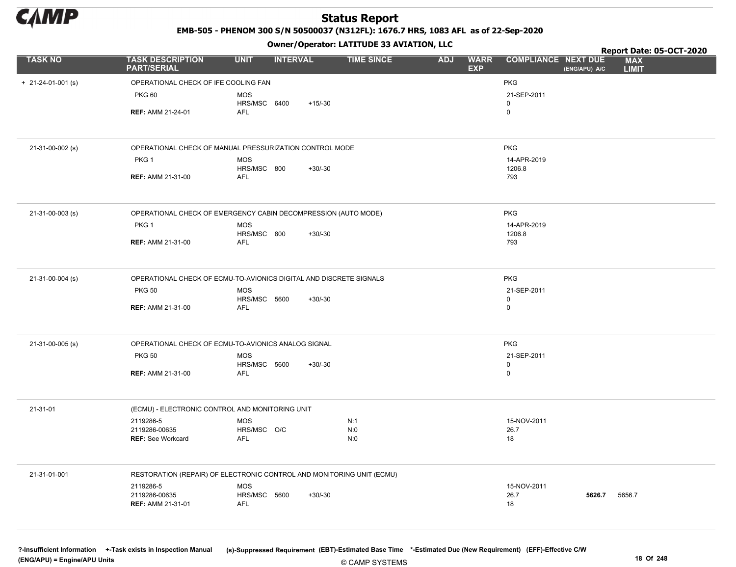

EMB-505 - PHENOM 300 S/N 50500037 (N312FL): 1676.7 HRS, 1083 AFL as of 22-Sep-2020

Owner/Operator: LATITUDE 33 AVIATION, LLC

|                            |                                                                       |                            | .               |           |                   |            |                           |                            |               | Report Date: 05-OCT-2020   |  |
|----------------------------|-----------------------------------------------------------------------|----------------------------|-----------------|-----------|-------------------|------------|---------------------------|----------------------------|---------------|----------------------------|--|
| <b>TASK NO</b>             | <b>TASK DESCRIPTION</b><br><b>PART/SERIAL</b>                         | <b>UNIT</b>                | <b>INTERVAL</b> |           | <b>TIME SINCE</b> | <b>ADJ</b> | <b>WARR</b><br><b>EXP</b> | <b>COMPLIANCE NEXT DUE</b> | (ENG/APU) A/C | <b>MAX</b><br><b>LIMIT</b> |  |
| $+ 21 - 24 - 01 - 001$ (s) | OPERATIONAL CHECK OF IFE COOLING FAN                                  |                            |                 |           |                   |            |                           | <b>PKG</b>                 |               |                            |  |
|                            | <b>PKG 60</b>                                                         | <b>MOS</b>                 |                 |           |                   |            |                           | 21-SEP-2011                |               |                            |  |
|                            |                                                                       | HRS/MSC 6400               |                 | $+15/-30$ |                   |            |                           | $\mathbf 0$                |               |                            |  |
|                            | <b>REF: AMM 21-24-01</b>                                              | AFL                        |                 |           |                   |            |                           | $\mathsf 0$                |               |                            |  |
|                            |                                                                       |                            |                 |           |                   |            |                           |                            |               |                            |  |
| 21-31-00-002 (s)           | OPERATIONAL CHECK OF MANUAL PRESSURIZATION CONTROL MODE               |                            |                 |           |                   |            |                           | <b>PKG</b>                 |               |                            |  |
|                            | PKG <sub>1</sub>                                                      | <b>MOS</b><br>HRS/MSC 800  |                 | $+30/-30$ |                   |            |                           | 14-APR-2019<br>1206.8      |               |                            |  |
|                            | <b>REF: AMM 21-31-00</b>                                              | <b>AFL</b>                 |                 |           |                   |            |                           | 793                        |               |                            |  |
|                            |                                                                       |                            |                 |           |                   |            |                           |                            |               |                            |  |
| 21-31-00-003 (s)           | OPERATIONAL CHECK OF EMERGENCY CABIN DECOMPRESSION (AUTO MODE)        |                            |                 |           |                   |            |                           | <b>PKG</b>                 |               |                            |  |
|                            | PKG <sub>1</sub>                                                      | <b>MOS</b>                 |                 |           |                   |            |                           | 14-APR-2019                |               |                            |  |
|                            | <b>REF: AMM 21-31-00</b>                                              | HRS/MSC 800<br><b>AFL</b>  |                 | $+30/-30$ |                   |            |                           | 1206.8<br>793              |               |                            |  |
|                            |                                                                       |                            |                 |           |                   |            |                           |                            |               |                            |  |
| 21-31-00-004 (s)           | OPERATIONAL CHECK OF ECMU-TO-AVIONICS DIGITAL AND DISCRETE SIGNALS    |                            |                 |           |                   |            |                           | <b>PKG</b>                 |               |                            |  |
|                            | <b>PKG 50</b>                                                         | <b>MOS</b>                 |                 |           |                   |            |                           | 21-SEP-2011                |               |                            |  |
|                            |                                                                       | HRS/MSC 5600               |                 | $+30/-30$ |                   |            |                           | $\mathbf 0$                |               |                            |  |
|                            | <b>REF: AMM 21-31-00</b>                                              | <b>AFL</b>                 |                 |           |                   |            |                           | $\mathsf 0$                |               |                            |  |
| 21-31-00-005 (s)           | OPERATIONAL CHECK OF ECMU-TO-AVIONICS ANALOG SIGNAL                   |                            |                 |           |                   |            |                           | <b>PKG</b>                 |               |                            |  |
|                            | <b>PKG 50</b>                                                         | <b>MOS</b>                 |                 |           |                   |            |                           | 21-SEP-2011                |               |                            |  |
|                            | <b>REF: AMM 21-31-00</b>                                              | HRS/MSC 5600<br><b>AFL</b> |                 | $+30/-30$ |                   |            |                           | $\mathbf 0$<br>$\mathbf 0$ |               |                            |  |
|                            |                                                                       |                            |                 |           |                   |            |                           |                            |               |                            |  |
| 21-31-01                   | (ECMU) - ELECTRONIC CONTROL AND MONITORING UNIT                       |                            |                 |           |                   |            |                           |                            |               |                            |  |
|                            | 2119286-5                                                             | <b>MOS</b>                 |                 |           | N:1               |            |                           | 15-NOV-2011                |               |                            |  |
|                            | 2119286-00635                                                         | HRS/MSC O/C<br><b>AFL</b>  |                 |           | N:0               |            |                           | 26.7                       |               |                            |  |
|                            | <b>REF: See Workcard</b>                                              |                            |                 |           | N:0               |            |                           | 18                         |               |                            |  |
| 21-31-01-001               | RESTORATION (REPAIR) OF ELECTRONIC CONTROL AND MONITORING UNIT (ECMU) |                            |                 |           |                   |            |                           |                            |               |                            |  |
|                            | 2119286-5                                                             | <b>MOS</b>                 |                 |           |                   |            |                           | 15-NOV-2011                |               |                            |  |
|                            | 2119286-00635                                                         | HRS/MSC 5600               |                 | $+30/-30$ |                   |            |                           | 26.7                       | 5626.7        | 5656.7                     |  |
|                            | <b>REF: AMM 21-31-01</b>                                              | AFL                        |                 |           |                   |            |                           | 18                         |               |                            |  |
|                            |                                                                       |                            |                 |           |                   |            |                           |                            |               |                            |  |

© CAMP SYSTEMS ?-Insufficient Information +-Task exists in Inspection Manual (s)-Suppressed Requirement (EBT)-Estimated Base Time \*-Estimated Due (New Requirement) (EFF)-Effective C/W (ENG/APU) = Engine/APU Units 18 Of 248 and the control of 248 and the control of 248 and the control of 248 of 248 and the control of 248 and the control of 248 and the control of 248 and the control of 248 and the contro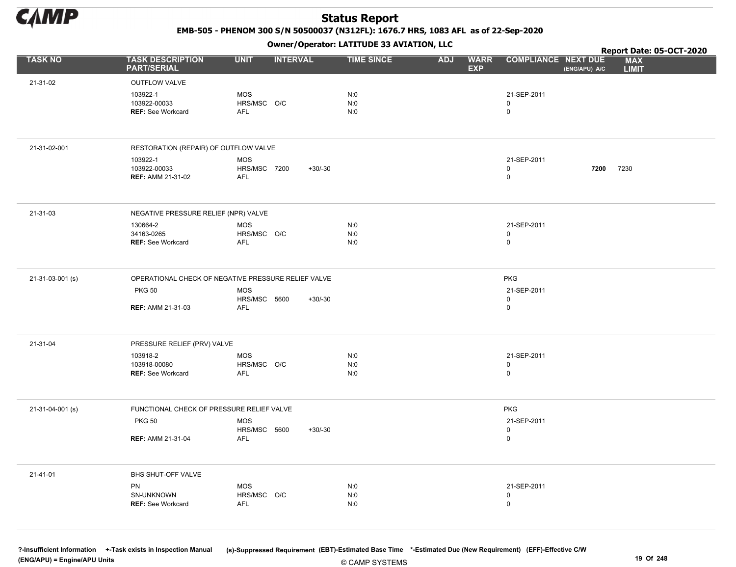

EMB-505 - PHENOM 300 S/N 50500037 (N312FL): 1676.7 HRS, 1083 AFL as of 22-Sep-2020

Owner/Operator: LATITUDE 33 AVIATION, LLC

|                  |                                                      |                                                       | Owner, Operator. EATITODE 33 AVIATION, LECT |                                         | Report Date: 05-OCT-2020         |               |                            |  |
|------------------|------------------------------------------------------|-------------------------------------------------------|---------------------------------------------|-----------------------------------------|----------------------------------|---------------|----------------------------|--|
| <b>TASK NO</b>   | <b>TASK DESCRIPTION</b><br><b>PART/SERIAL</b>        | <b>UNIT</b><br><b>INTERVAL</b>                        | <b>TIME SINCE</b>                           | <b>ADJ</b><br><b>WARR</b><br><b>EXP</b> | <b>COMPLIANCE NEXT DUE</b>       | (ENG/APU) A/C | <b>MAX</b><br><b>LIMIT</b> |  |
| 21-31-02         | OUTFLOW VALVE                                        |                                                       |                                             |                                         |                                  |               |                            |  |
|                  | 103922-1<br>103922-00033<br><b>REF: See Workcard</b> | MOS<br>HRS/MSC O/C<br>AFL                             | N:0<br>N:0<br>N:0                           |                                         | 21-SEP-2011<br>0<br>0            |               |                            |  |
| 21-31-02-001     | RESTORATION (REPAIR) OF OUTFLOW VALVE                |                                                       |                                             |                                         |                                  |               |                            |  |
|                  | 103922-1<br>103922-00033<br><b>REF: AMM 21-31-02</b> | MOS<br><b>HRS/MSC 7200</b><br>$+30/-30$<br>AFL        |                                             |                                         | 21-SEP-2011<br>0<br>0            | 7200          | 7230                       |  |
| 21-31-03         | NEGATIVE PRESSURE RELIEF (NPR) VALVE                 |                                                       |                                             |                                         |                                  |               |                            |  |
|                  | 130664-2<br>34163-0265<br><b>REF: See Workcard</b>   | MOS<br>HRS/MSC O/C<br>AFL                             | N:0<br>N:0<br>N:0                           |                                         | 21-SEP-2011<br>0<br>0            |               |                            |  |
| 21-31-03-001 (s) |                                                      | OPERATIONAL CHECK OF NEGATIVE PRESSURE RELIEF VALVE   |                                             |                                         | PKG                              |               |                            |  |
|                  | <b>PKG 50</b><br><b>REF: AMM 21-31-03</b>            | <b>MOS</b><br>HRS/MSC 5600<br>$+30/-30$<br><b>AFL</b> |                                             |                                         | 21-SEP-2011<br>0<br>0            |               |                            |  |
| 21-31-04         | PRESSURE RELIEF (PRV) VALVE                          |                                                       |                                             |                                         |                                  |               |                            |  |
|                  | 103918-2<br>103918-00080<br>REF: See Workcard        | <b>MOS</b><br>HRS/MSC O/C<br>AFL                      | N:0<br>N:0<br>N:0                           |                                         | 21-SEP-2011<br>0<br>0            |               |                            |  |
| 21-31-04-001 (s) | FUNCTIONAL CHECK OF PRESSURE RELIEF VALVE            |                                                       |                                             |                                         | PKG                              |               |                            |  |
|                  | <b>PKG 50</b>                                        | <b>MOS</b><br>HRS/MSC 5600<br>$+30/-30$               |                                             |                                         | 21-SEP-2011<br>0                 |               |                            |  |
|                  | <b>REF: AMM 21-31-04</b>                             | AFL                                                   |                                             |                                         | 0                                |               |                            |  |
| 21-41-01         | BHS SHUT-OFF VALVE                                   |                                                       |                                             |                                         |                                  |               |                            |  |
|                  | PN<br>SN-UNKNOWN<br>REF: See Workcard                | <b>MOS</b><br>HRS/MSC O/C<br>AFL                      | N:0<br>N:0<br>N:0                           |                                         | 21-SEP-2011<br>0<br>$\mathsf{O}$ |               |                            |  |
|                  |                                                      |                                                       |                                             |                                         |                                  |               |                            |  |

?-Insufficient Information +-Task exists in Inspection Manual (s)-Suppressed Requirement (EBT)-Estimated Base Time \*-Estimated Due (New Requirement) (EFF)-Effective C/W (ENG/APU) = Engine/APU Units 19 Of 248 and the control of the control of the control of the control of the control of the control of the control of the control of the control of the control of the control of the control o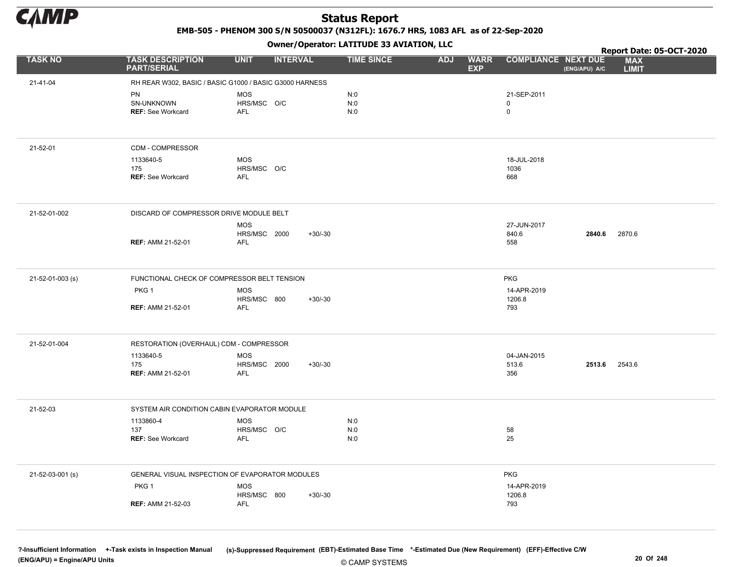

EMB-505 - PHENOM 300 S/N 50500037 (N312FL): 1676.7 HRS, 1083 AFL as of 22-Sep-2020

Owner/Operator: LATITUDE 33 AVIATION, LLC

|                  |                                                 | .                                                       |                   |                                         |                                             | Report Date: 05-OCT-2020   |
|------------------|-------------------------------------------------|---------------------------------------------------------|-------------------|-----------------------------------------|---------------------------------------------|----------------------------|
| <b>TASK NO</b>   | <b>TASK DESCRIPTION</b><br><b>PART/SERIAL</b>   | <b>UNIT</b><br><b>INTERVAL</b>                          | <b>TIME SINCE</b> | <b>ADJ</b><br><b>WARR</b><br><b>EXP</b> | <b>COMPLIANCE NEXT DUE</b><br>(ENG/APU) A/C | <b>MAX</b><br><b>LIMIT</b> |
| 21-41-04         |                                                 | RH REAR W302, BASIC / BASIC G1000 / BASIC G3000 HARNESS |                   |                                         |                                             |                            |
|                  | <b>PN</b>                                       | <b>MOS</b>                                              | N:0               |                                         | 21-SEP-2011                                 |                            |
|                  | SN-UNKNOWN                                      | HRS/MSC O/C                                             | N:0               |                                         | 0                                           |                            |
|                  | <b>REF: See Workcard</b>                        | <b>AFL</b>                                              | N:0               |                                         | 0                                           |                            |
|                  |                                                 |                                                         |                   |                                         |                                             |                            |
| 21-52-01         | CDM - COMPRESSOR                                |                                                         |                   |                                         |                                             |                            |
|                  | 1133640-5                                       | <b>MOS</b>                                              |                   |                                         | 18-JUL-2018                                 |                            |
|                  | 175                                             | HRS/MSC O/C                                             |                   |                                         | 1036                                        |                            |
|                  | <b>REF: See Workcard</b>                        | <b>AFL</b>                                              |                   |                                         | 668                                         |                            |
| 21-52-01-002     | DISCARD OF COMPRESSOR DRIVE MODULE BELT         |                                                         |                   |                                         |                                             |                            |
|                  |                                                 | <b>MOS</b>                                              |                   |                                         | 27-JUN-2017                                 |                            |
|                  |                                                 | HRS/MSC 2000<br>$+30/-30$                               |                   |                                         | 840.6<br>2840.6                             | 2870.6                     |
|                  | <b>REF: AMM 21-52-01</b>                        | <b>AFL</b>                                              |                   |                                         | 558                                         |                            |
| 21-52-01-003 (s) | FUNCTIONAL CHECK OF COMPRESSOR BELT TENSION     |                                                         |                   |                                         | <b>PKG</b>                                  |                            |
|                  | PKG <sub>1</sub>                                | <b>MOS</b>                                              |                   |                                         | 14-APR-2019                                 |                            |
|                  | <b>REF: AMM 21-52-01</b>                        | HRS/MSC 800<br>$+30/-30$<br><b>AFL</b>                  |                   |                                         | 1206.8<br>793                               |                            |
|                  |                                                 |                                                         |                   |                                         |                                             |                            |
| 21-52-01-004     | RESTORATION (OVERHAUL) CDM - COMPRESSOR         |                                                         |                   |                                         |                                             |                            |
|                  | 1133640-5                                       | <b>MOS</b>                                              |                   |                                         | 04-JAN-2015                                 |                            |
|                  | 175                                             | $+30/-30$<br>HRS/MSC 2000                               |                   |                                         | 2513.6<br>513.6                             | 2543.6                     |
|                  | <b>REF: AMM 21-52-01</b>                        | <b>AFL</b>                                              |                   |                                         | 356                                         |                            |
| 21-52-03         | SYSTEM AIR CONDITION CABIN EVAPORATOR MODULE    |                                                         |                   |                                         |                                             |                            |
|                  | 1133860-4                                       | <b>MOS</b>                                              | N:0               |                                         |                                             |                            |
|                  | 137<br><b>REF: See Workcard</b>                 | HRS/MSC O/C<br><b>AFL</b>                               | N:0<br>N:0        |                                         | 58<br>25                                    |                            |
|                  |                                                 |                                                         |                   |                                         |                                             |                            |
| 21-52-03-001 (s) | GENERAL VISUAL INSPECTION OF EVAPORATOR MODULES |                                                         |                   |                                         | <b>PKG</b>                                  |                            |
|                  | PKG <sub>1</sub>                                | <b>MOS</b>                                              |                   |                                         | 14-APR-2019                                 |                            |
|                  |                                                 | HRS/MSC 800<br>$+30/-30$                                |                   |                                         | 1206.8                                      |                            |
|                  | <b>REF: AMM 21-52-03</b>                        | <b>AFL</b>                                              |                   |                                         | 793                                         |                            |
|                  |                                                 |                                                         |                   |                                         |                                             |                            |

© CAMP SYSTEMS ?-Insufficient Information +-Task exists in Inspection Manual (s)-Suppressed Requirement (EBT)-Estimated Base Time \*-Estimated Due (New Requirement) (EFF)-Effective C/W (ENG/APU) = Engine/APU Units 20 Of 248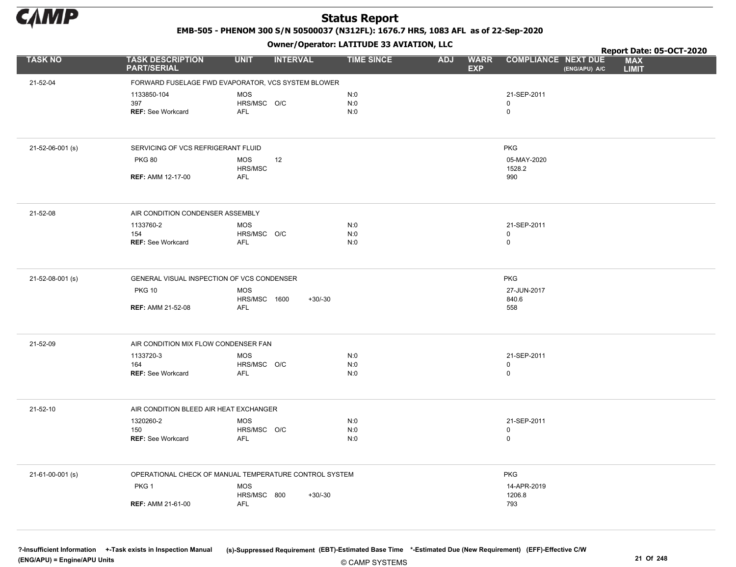

EMB-505 - PHENOM 300 S/N 50500037 (N312FL): 1676.7 HRS, 1083 AFL as of 22-Sep-2020

Owner/Operator: LATITUDE 33 AVIATION, LLC

|                  |                                                        |                       | .               |                   |                                         |                                             | Report Date: 05-OCT-2020   |
|------------------|--------------------------------------------------------|-----------------------|-----------------|-------------------|-----------------------------------------|---------------------------------------------|----------------------------|
| <b>TASK NO</b>   | <b>TASK DESCRIPTION</b><br><b>PART/SERIAL</b>          | <b>UNIT</b>           | <b>INTERVAL</b> | <b>TIME SINCE</b> | <b>WARR</b><br><b>ADJ</b><br><b>EXP</b> | <b>COMPLIANCE NEXT DUE</b><br>(ENG/APU) A/C | <b>MAX</b><br><b>LIMIT</b> |
| 21-52-04         | FORWARD FUSELAGE FWD EVAPORATOR, VCS SYSTEM BLOWER     |                       |                 |                   |                                         |                                             |                            |
|                  | 1133850-104                                            | <b>MOS</b>            |                 | N:0               |                                         | 21-SEP-2011                                 |                            |
|                  | 397                                                    | HRS/MSC O/C           |                 | N:0               |                                         | 0                                           |                            |
|                  | <b>REF: See Workcard</b>                               | <b>AFL</b>            |                 | N:0               |                                         | $\mathsf{O}$                                |                            |
|                  |                                                        |                       |                 |                   |                                         |                                             |                            |
| 21-52-06-001 (s) | SERVICING OF VCS REFRIGERANT FLUID                     |                       |                 |                   |                                         | <b>PKG</b>                                  |                            |
|                  | <b>PKG 80</b>                                          | <b>MOS</b>            | 12              |                   |                                         | 05-MAY-2020                                 |                            |
|                  | <b>REF: AMM 12-17-00</b>                               | HRS/MSC<br><b>AFL</b> |                 |                   |                                         | 1528.2<br>990                               |                            |
|                  |                                                        |                       |                 |                   |                                         |                                             |                            |
| 21-52-08         | AIR CONDITION CONDENSER ASSEMBLY                       |                       |                 |                   |                                         |                                             |                            |
|                  | 1133760-2                                              | <b>MOS</b>            |                 | N:0               |                                         | 21-SEP-2011                                 |                            |
|                  | 154                                                    | HRS/MSC O/C           |                 | N:0               |                                         | 0                                           |                            |
|                  | <b>REF: See Workcard</b>                               | <b>AFL</b>            |                 | N:0               |                                         | $\mathsf 0$                                 |                            |
| 21-52-08-001 (s) | GENERAL VISUAL INSPECTION OF VCS CONDENSER             |                       |                 |                   |                                         | <b>PKG</b>                                  |                            |
|                  | <b>PKG 10</b>                                          | <b>MOS</b>            |                 |                   |                                         | 27-JUN-2017                                 |                            |
|                  | <b>REF: AMM 21-52-08</b>                               | HRS/MSC 1600<br>AFL   | $+30/-30$       |                   |                                         | 840.6<br>558                                |                            |
|                  |                                                        |                       |                 |                   |                                         |                                             |                            |
| 21-52-09         | AIR CONDITION MIX FLOW CONDENSER FAN                   |                       |                 |                   |                                         |                                             |                            |
|                  | 1133720-3                                              | <b>MOS</b>            |                 | N:0               |                                         | 21-SEP-2011                                 |                            |
|                  | 164                                                    | HRS/MSC O/C           |                 | N:0               |                                         | 0                                           |                            |
|                  | <b>REF: See Workcard</b>                               | AFL                   |                 | N:0               |                                         | 0                                           |                            |
| 21-52-10         | AIR CONDITION BLEED AIR HEAT EXCHANGER                 |                       |                 |                   |                                         |                                             |                            |
|                  | 1320260-2                                              | <b>MOS</b>            |                 | N:0               |                                         | 21-SEP-2011                                 |                            |
|                  | 150                                                    | HRS/MSC O/C           |                 | N:0               |                                         | 0                                           |                            |
|                  | REF: See Workcard                                      | AFL                   |                 | N:0               |                                         | $\mathsf 0$                                 |                            |
| 21-61-00-001 (s) | OPERATIONAL CHECK OF MANUAL TEMPERATURE CONTROL SYSTEM |                       |                 |                   |                                         | <b>PKG</b>                                  |                            |
|                  | PKG <sub>1</sub>                                       | <b>MOS</b>            |                 |                   |                                         | 14-APR-2019                                 |                            |
|                  |                                                        | HRS/MSC 800           | $+30/-30$       |                   |                                         | 1206.8                                      |                            |
|                  | <b>REF: AMM 21-61-00</b>                               | <b>AFL</b>            |                 |                   |                                         | 793                                         |                            |
|                  |                                                        |                       |                 |                   |                                         |                                             |                            |

© CAMP SYSTEMS ?-Insufficient Information +-Task exists in Inspection Manual (s)-Suppressed Requirement (EBT)-Estimated Base Time \*-Estimated Due (New Requirement) (EFF)-Effective C/W (ENG/APU) = Engine/APU Units 21 Of 248 and 21 Of 248 and 21 Of 248 and 21 Of 248 and 21 Of 248 and 21 Of 248 and 21 Of 248 and 21 Of 248 and 21 Of 248 and 21 Of 248 and 21 Of 248 and 21 Of 248 and 21 Of 248 and 21 Of 248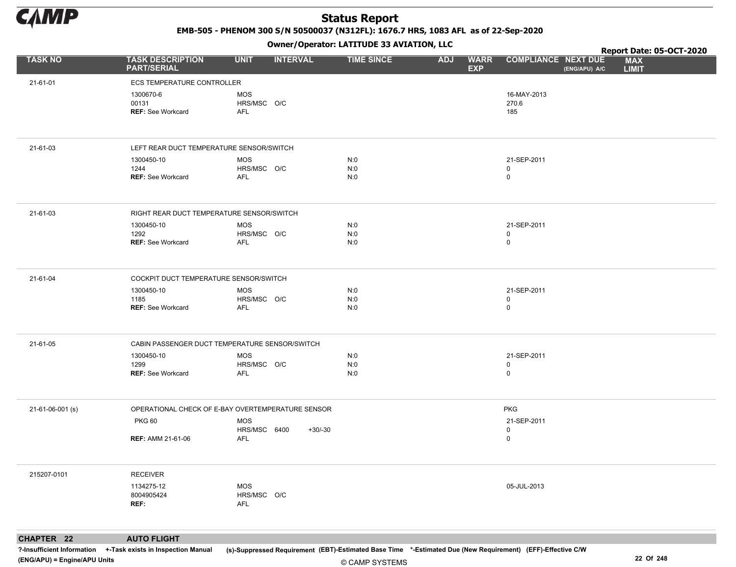

EMB-505 - PHENOM 300 S/N 50500037 (N312FL): 1676.7 HRS, 1083 AFL as of 22-Sep-2020

Owner/Operator: LATITUDE 33 AVIATION, LLC

|                  |                                                |                                                   | Owner/Operator. EATITODE 33 AVIATION, LLC |                                         | Report Date: 05-OCT-2020                  |               |                            |  |
|------------------|------------------------------------------------|---------------------------------------------------|-------------------------------------------|-----------------------------------------|-------------------------------------------|---------------|----------------------------|--|
| <b>TASK NO</b>   | <b>TASK DESCRIPTION</b><br><b>PART/SERIAL</b>  | <b>UNIT</b><br><b>INTERVAL</b>                    | <b>TIME SINCE</b>                         | <b>ADJ</b><br><b>WARR</b><br><b>EXP</b> | <b>COMPLIANCE NEXT DUE</b>                | (ENG/APU) A/C | <b>MAX</b><br><b>LIMIT</b> |  |
| 21-61-01         | <b>ECS TEMPERATURE CONTROLLER</b>              |                                                   |                                           |                                         |                                           |               |                            |  |
|                  | 1300670-6<br>00131<br><b>REF: See Workcard</b> | <b>MOS</b><br>HRS/MSC O/C<br>AFL                  |                                           |                                         | 16-MAY-2013<br>270.6<br>185               |               |                            |  |
| 21-61-03         | LEFT REAR DUCT TEMPERATURE SENSOR/SWITCH       |                                                   |                                           |                                         |                                           |               |                            |  |
|                  | 1300450-10<br>1244<br><b>REF: See Workcard</b> | <b>MOS</b><br>HRS/MSC O/C<br><b>AFL</b>           | N:0<br>N:0<br>N:0                         |                                         | 21-SEP-2011<br>$\mathsf 0$<br>$\mathbf 0$ |               |                            |  |
| 21-61-03         | RIGHT REAR DUCT TEMPERATURE SENSOR/SWITCH      |                                                   |                                           |                                         |                                           |               |                            |  |
|                  | 1300450-10<br>1292<br><b>REF: See Workcard</b> | <b>MOS</b><br>HRS/MSC O/C<br>AFL                  | N:0<br>N:0<br>N:0                         |                                         | 21-SEP-2011<br>$\mathbf 0$<br>$\mathsf 0$ |               |                            |  |
| 21-61-04         | COCKPIT DUCT TEMPERATURE SENSOR/SWITCH         |                                                   |                                           |                                         |                                           |               |                            |  |
|                  | 1300450-10<br>1185<br><b>REF: See Workcard</b> | <b>MOS</b><br>HRS/MSC O/C<br><b>AFL</b>           | N:0<br>N:0<br>N:0                         |                                         | 21-SEP-2011<br>$\mathbf 0$<br>$\mathsf 0$ |               |                            |  |
| 21-61-05         | CABIN PASSENGER DUCT TEMPERATURE SENSOR/SWITCH |                                                   |                                           |                                         |                                           |               |                            |  |
|                  | 1300450-10<br>1299<br><b>REF: See Workcard</b> | MOS<br>HRS/MSC O/C<br><b>AFL</b>                  | N:0<br>N:0<br>N:0                         |                                         | 21-SEP-2011<br>$\mathsf 0$<br>$\mathsf 0$ |               |                            |  |
| 21-61-06-001 (s) |                                                | OPERATIONAL CHECK OF E-BAY OVERTEMPERATURE SENSOR |                                           |                                         | <b>PKG</b>                                |               |                            |  |
|                  | <b>PKG 60</b>                                  | <b>MOS</b><br>HRS/MSC 6400<br>$+30/-30$           |                                           |                                         | 21-SEP-2011<br>$\mathsf 0$                |               |                            |  |
|                  | <b>REF: AMM 21-61-06</b>                       | AFL                                               |                                           |                                         | $\mathsf 0$                               |               |                            |  |
| 215207-0101      | <b>RECEIVER</b>                                |                                                   |                                           |                                         |                                           |               |                            |  |
|                  | 1134275-12<br>8004905424<br>REF:               | <b>MOS</b><br>HRS/MSC O/C<br>AFL                  |                                           |                                         | 05-JUL-2013                               |               |                            |  |
|                  |                                                |                                                   |                                           |                                         |                                           |               |                            |  |

CHAPTER 22 AUTO FLIGHT

?-Insufficient Information +-Task exists in Inspection Manual (s)-Suppressed Requirement (EBT)-Estimated Base Time \*-Estimated Due (New Requirement) (EFF)-Effective C/W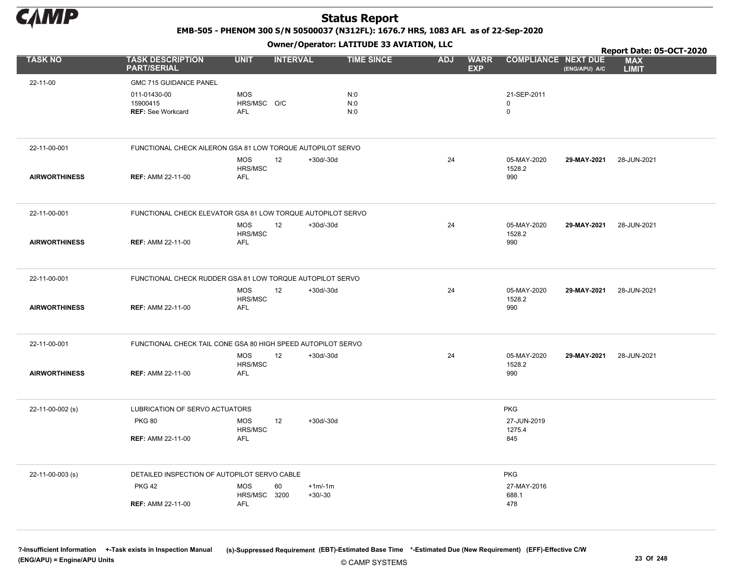

EMB-505 - PHENOM 300 S/N 50500037 (N312FL): 1676.7 HRS, 1083 AFL as of 22-Sep-2020

Owner/Operator: LATITUDE 33 AVIATION, LLC

|                      | Owner, Operator: EATITODE 33 AVIATION, LEC                   |                                          |                 |                       |                   |            |                           |                              |               | Report Date: 05-OCT-2020   |
|----------------------|--------------------------------------------------------------|------------------------------------------|-----------------|-----------------------|-------------------|------------|---------------------------|------------------------------|---------------|----------------------------|
| <b>TASK NO</b>       | <b>TASK DESCRIPTION</b><br><b>PART/SERIAL</b>                | <b>UNIT</b>                              | <b>INTERVAL</b> |                       | <b>TIME SINCE</b> | <b>ADJ</b> | <b>WARR</b><br><b>EXP</b> | <b>COMPLIANCE NEXT DUE</b>   | (ENG/APU) A/C | <b>MAX</b><br><b>LIMIT</b> |
| 22-11-00             | GMC 715 GUIDANCE PANEL                                       |                                          |                 |                       |                   |            |                           |                              |               |                            |
|                      | 011-01430-00<br>15900415<br><b>REF: See Workcard</b>         | <b>MOS</b><br>HRS/MSC O/C<br><b>AFL</b>  |                 |                       | N:0<br>N:0<br>N:0 |            |                           | 21-SEP-2011<br>0<br>0        |               |                            |
| 22-11-00-001         | FUNCTIONAL CHECK AILERON GSA 81 LOW TORQUE AUTOPILOT SERVO   |                                          |                 |                       |                   |            |                           |                              |               |                            |
| <b>AIRWORTHINESS</b> | <b>REF: AMM 22-11-00</b>                                     | <b>MOS</b><br>HRS/MSC<br><b>AFL</b>      | 12              | $+30d/-30d$           |                   | 24         |                           | 05-MAY-2020<br>1528.2<br>990 | 29-MAY-2021   | 28-JUN-2021                |
| 22-11-00-001         | FUNCTIONAL CHECK ELEVATOR GSA 81 LOW TORQUE AUTOPILOT SERVO  |                                          |                 |                       |                   |            |                           |                              |               |                            |
| <b>AIRWORTHINESS</b> | <b>REF: AMM 22-11-00</b>                                     | <b>MOS</b><br>HRS/MSC<br><b>AFL</b>      | 12              | $+30d/-30d$           |                   | 24         |                           | 05-MAY-2020<br>1528.2<br>990 | 29-MAY-2021   | 28-JUN-2021                |
| 22-11-00-001         | FUNCTIONAL CHECK RUDDER GSA 81 LOW TORQUE AUTOPILOT SERVO    |                                          |                 |                       |                   |            |                           |                              |               |                            |
| <b>AIRWORTHINESS</b> | <b>REF: AMM 22-11-00</b>                                     | MOS<br>HRS/MSC<br><b>AFL</b>             | 12              | $+30d/-30d$           |                   | 24         |                           | 05-MAY-2020<br>1528.2<br>990 | 29-MAY-2021   | 28-JUN-2021                |
| 22-11-00-001         | FUNCTIONAL CHECK TAIL CONE GSA 80 HIGH SPEED AUTOPILOT SERVO |                                          |                 |                       |                   |            |                           |                              |               |                            |
| <b>AIRWORTHINESS</b> | <b>REF: AMM 22-11-00</b>                                     | <b>MOS</b><br>HRS/MSC<br><b>AFL</b>      | 12              | $+30d/-30d$           |                   | 24         |                           | 05-MAY-2020<br>1528.2<br>990 | 29-MAY-2021   | 28-JUN-2021                |
| 22-11-00-002 (s)     | LUBRICATION OF SERVO ACTUATORS                               |                                          |                 |                       |                   |            |                           | <b>PKG</b>                   |               |                            |
|                      | <b>PKG 80</b>                                                | <b>MOS</b><br>HRS/MSC                    | 12              | $+30d/-30d$           |                   |            |                           | 27-JUN-2019<br>1275.4        |               |                            |
|                      | <b>REF: AMM 22-11-00</b>                                     | <b>AFL</b>                               |                 |                       |                   |            |                           | 845                          |               |                            |
| 22-11-00-003 (s)     | DETAILED INSPECTION OF AUTOPILOT SERVO CABLE                 |                                          |                 |                       |                   |            |                           | <b>PKG</b>                   |               |                            |
|                      | <b>PKG 42</b><br><b>REF: AMM 22-11-00</b>                    | <b>MOS</b><br>HRS/MSC 3200<br><b>AFL</b> | 60              | $+1m/1m$<br>$+30/-30$ |                   |            |                           | 27-MAY-2016<br>688.1<br>478  |               |                            |
|                      |                                                              |                                          |                 |                       |                   |            |                           |                              |               |                            |

© CAMP SYSTEMS ?-Insufficient Information +-Task exists in Inspection Manual (s)-Suppressed Requirement (EBT)-Estimated Base Time \*-Estimated Due (New Requirement) (EFF)-Effective C/W (ENG/APU) = Engine/APU Units 23 Of 248 and 248 and 248 and 248 and 248 and 248 and 25 Of 248 and 25 Of 248 and 25 Of 248 and 25 Of 248 and 25 Of 248 and 25 Of 248 and 25 Of 248 and 25 Of 248 and 25 Of 248 and 25 Of 248 an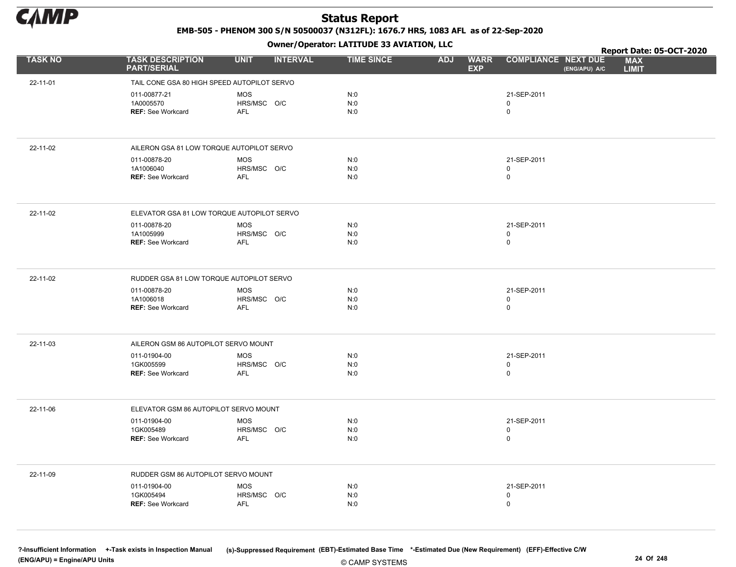

EMB-505 - PHENOM 300 S/N 50500037 (N312FL): 1676.7 HRS, 1083 AFL as of 22-Sep-2020

Owner/Operator: LATITUDE 33 AVIATION, LLC

|                |                                               | .                              |                   |                                         |                                             | Report Date: 05-OCT-2020   |
|----------------|-----------------------------------------------|--------------------------------|-------------------|-----------------------------------------|---------------------------------------------|----------------------------|
| <b>TASK NO</b> | <b>TASK DESCRIPTION</b><br><b>PART/SERIAL</b> | <b>UNIT</b><br><b>INTERVAL</b> | <b>TIME SINCE</b> | <b>ADJ</b><br><b>WARR</b><br><b>EXP</b> | <b>COMPLIANCE NEXT DUE</b><br>(ENG/APU) A/C | <b>MAX</b><br><b>LIMIT</b> |
| 22-11-01       | TAIL CONE GSA 80 HIGH SPEED AUTOPILOT SERVO   |                                |                   |                                         |                                             |                            |
|                | 011-00877-21                                  | <b>MOS</b>                     | N:0               |                                         | 21-SEP-2011                                 |                            |
|                | 1A0005570                                     | HRS/MSC O/C                    | N:0               |                                         | 0                                           |                            |
|                | <b>REF: See Workcard</b>                      | AFL                            | N:0               |                                         | 0                                           |                            |
|                |                                               |                                |                   |                                         |                                             |                            |
| 22-11-02       | AILERON GSA 81 LOW TORQUE AUTOPILOT SERVO     |                                |                   |                                         |                                             |                            |
|                | 011-00878-20<br>1A1006040                     | <b>MOS</b><br>HRS/MSC O/C      | N:0<br>N:0        |                                         | 21-SEP-2011<br>0                            |                            |
|                | <b>REF: See Workcard</b>                      | <b>AFL</b>                     | N:0               |                                         | 0                                           |                            |
|                |                                               |                                |                   |                                         |                                             |                            |
| 22-11-02       | ELEVATOR GSA 81 LOW TORQUE AUTOPILOT SERVO    |                                |                   |                                         |                                             |                            |
|                | 011-00878-20                                  | <b>MOS</b>                     | N:0               |                                         | 21-SEP-2011                                 |                            |
|                | 1A1005999<br><b>REF: See Workcard</b>         | HRS/MSC O/C<br><b>AFL</b>      | N:0<br>N:0        |                                         | 0<br>0                                      |                            |
|                |                                               |                                |                   |                                         |                                             |                            |
|                |                                               |                                |                   |                                         |                                             |                            |
| 22-11-02       | RUDDER GSA 81 LOW TORQUE AUTOPILOT SERVO      |                                |                   |                                         |                                             |                            |
|                | 011-00878-20                                  | MOS                            | N:0               |                                         | 21-SEP-2011                                 |                            |
|                | 1A1006018<br><b>REF: See Workcard</b>         | HRS/MSC O/C<br>AFL             | N:0<br>N:0        |                                         | 0<br>0                                      |                            |
|                |                                               |                                |                   |                                         |                                             |                            |
| 22-11-03       | AILERON GSM 86 AUTOPILOT SERVO MOUNT          |                                |                   |                                         |                                             |                            |
|                | 011-01904-00                                  | <b>MOS</b>                     | N:0               |                                         | 21-SEP-2011                                 |                            |
|                | 1GK005599                                     | HRS/MSC O/C                    | N:0               |                                         | 0                                           |                            |
|                | <b>REF: See Workcard</b>                      | AFL                            | N:0               |                                         | 0                                           |                            |
|                |                                               |                                |                   |                                         |                                             |                            |
| 22-11-06       | ELEVATOR GSM 86 AUTOPILOT SERVO MOUNT         |                                |                   |                                         |                                             |                            |
|                | 011-01904-00                                  | <b>MOS</b>                     | N:0               |                                         | 21-SEP-2011                                 |                            |
|                | 1GK005489<br><b>REF: See Workcard</b>         | HRS/MSC O/C<br>AFL             | N:0<br>N:0        |                                         | 0<br>0                                      |                            |
|                |                                               |                                |                   |                                         |                                             |                            |
| 22-11-09       | RUDDER GSM 86 AUTOPILOT SERVO MOUNT           |                                |                   |                                         |                                             |                            |
|                | 011-01904-00                                  | <b>MOS</b>                     | N:0               |                                         | 21-SEP-2011                                 |                            |
|                | 1GK005494                                     | HRS/MSC O/C                    | N:0               |                                         | 0                                           |                            |
|                | REF: See Workcard                             | <b>AFL</b>                     | N:0               |                                         | 0                                           |                            |
|                |                                               |                                |                   |                                         |                                             |                            |
|                |                                               |                                |                   |                                         |                                             |                            |

© CAMP SYSTEMS ?-Insufficient Information +-Task exists in Inspection Manual (s)-Suppressed Requirement (EBT)-Estimated Base Time \*-Estimated Due (New Requirement) (EFF)-Effective C/W (ENG/APU) = Engine/APU Units 24 Of 248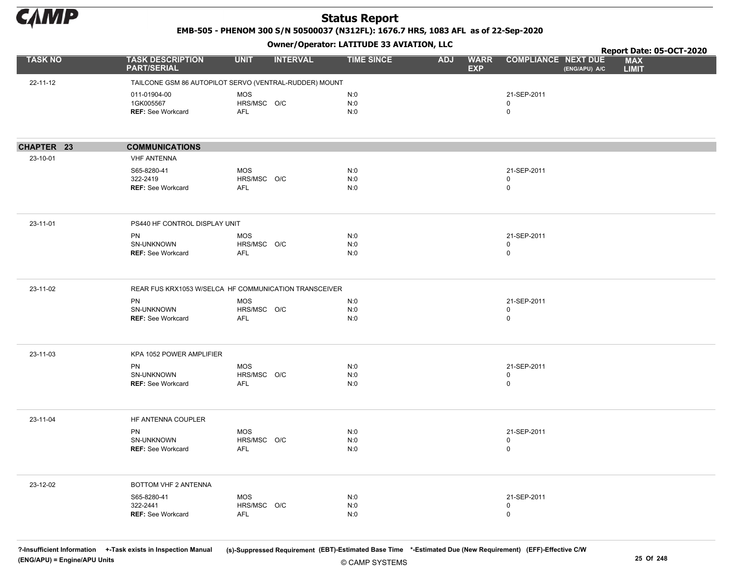

EMB-505 - PHENOM 300 S/N 50500037 (N312FL): 1676.7 HRS, 1083 AFL as of 22-Sep-2020

Owner/Operator: LATITUDE 33 AVIATION, LLC

|                |                                                                    | - - - -                                                |                   |                                         |                                             | Report Date: 05-OCT-2020   |
|----------------|--------------------------------------------------------------------|--------------------------------------------------------|-------------------|-----------------------------------------|---------------------------------------------|----------------------------|
| <b>TASK NO</b> | <b>TASK DESCRIPTION</b><br><b>PART/SERIAL</b>                      | <b>INTERVAL</b><br><b>UNIT</b>                         | <b>TIME SINCE</b> | <b>ADJ</b><br><b>WARR</b><br><b>EXP</b> | <b>COMPLIANCE NEXT DUE</b><br>(ENG/APU) A/C | <b>MAX</b><br><b>LIMIT</b> |
| 22-11-12       |                                                                    | TAILCONE GSM 86 AUTOPILOT SERVO (VENTRAL-RUDDER) MOUNT |                   |                                         |                                             |                            |
|                | 011-01904-00<br>1GK005567<br><b>REF: See Workcard</b>              | <b>MOS</b><br>HRS/MSC O/C<br>AFL                       | N:0<br>N:0<br>N:0 |                                         | 21-SEP-2011<br>0<br>0                       |                            |
| CHAPTER 23     | <b>COMMUNICATIONS</b>                                              |                                                        |                   |                                         |                                             |                            |
| 23-10-01       | <b>VHF ANTENNA</b>                                                 |                                                        |                   |                                         |                                             |                            |
|                | S65-8280-41<br>322-2419<br><b>REF: See Workcard</b>                | <b>MOS</b><br>HRS/MSC O/C<br><b>AFL</b>                | N:0<br>N:0<br>N:0 |                                         | 21-SEP-2011<br>0<br>0                       |                            |
| 23-11-01       | PS440 HF CONTROL DISPLAY UNIT                                      |                                                        |                   |                                         |                                             |                            |
|                | <b>PN</b><br>SN-UNKNOWN<br><b>REF:</b> See Workcard                | <b>MOS</b><br>HRS/MSC O/C<br>AFL                       | N:0<br>N:0<br>N:0 |                                         | 21-SEP-2011<br>0<br>0                       |                            |
| 23-11-02       |                                                                    | REAR FUS KRX1053 W/SELCA HF COMMUNICATION TRANSCEIVER  |                   |                                         |                                             |                            |
|                | <b>PN</b><br>SN-UNKNOWN<br><b>REF: See Workcard</b>                | <b>MOS</b><br>HRS/MSC O/C<br><b>AFL</b>                | N:0<br>N:0<br>N:0 |                                         | 21-SEP-2011<br>0<br>$\mathsf{O}$            |                            |
| 23-11-03       | KPA 1052 POWER AMPLIFIER                                           |                                                        |                   |                                         |                                             |                            |
|                | PN<br>SN-UNKNOWN<br><b>REF: See Workcard</b>                       | <b>MOS</b><br>HRS/MSC O/C<br>AFL                       | N:0<br>N:0<br>N:0 |                                         | 21-SEP-2011<br>0<br>0                       |                            |
| 23-11-04       | HF ANTENNA COUPLER<br>PN<br>SN-UNKNOWN<br><b>REF: See Workcard</b> | MOS<br>HRS/MSC O/C<br><b>AFL</b>                       | N:0<br>N:0<br>N:0 |                                         | 21-SEP-2011<br>0<br>$\mathbf 0$             |                            |
|                |                                                                    |                                                        |                   |                                         |                                             |                            |
| 23-12-02       | BOTTOM VHF 2 ANTENNA                                               |                                                        |                   |                                         |                                             |                            |
|                | S65-8280-41<br>322-2441<br><b>REF: See Workcard</b>                | MOS<br>HRS/MSC O/C<br><b>AFL</b>                       | N:0<br>N:0<br>N:0 |                                         | 21-SEP-2011<br>0<br>$\mathsf{O}$            |                            |

© CAMP SYSTEMS ?-Insufficient Information +-Task exists in Inspection Manual (s)-Suppressed Requirement (EBT)-Estimated Base Time \*-Estimated Due (New Requirement) (EFF)-Effective C/W (ENG/APU) = Engine/APU Units 25 Of 248 and 25 Of 248 and 25 Of 248 and 25 Of 248 and 25 Of 248 and 25 Of 248 and 25 Of 248 and 25 Of 248 and 25 Of 248 and 25 Of 248 and 25 Of 248 and 25 Of 248 and 25 Of 248 and 25 Of 248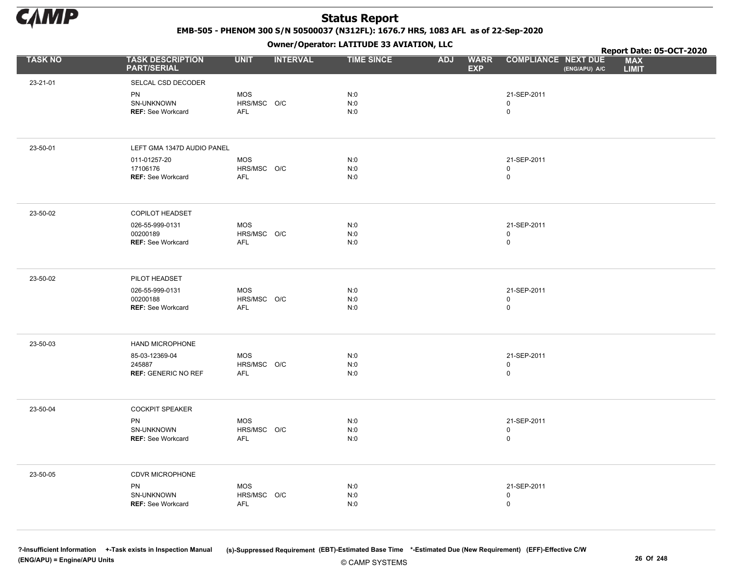

EMB-505 - PHENOM 300 S/N 50500037 (N312FL): 1676.7 HRS, 1083 AFL as of 22-Sep-2020

Owner/Operator: LATITUDE 33 AVIATION, LLC

|                |                                               |                           | .               |                   |                                         |                                             | Report Date: 05-OCT-2020   |
|----------------|-----------------------------------------------|---------------------------|-----------------|-------------------|-----------------------------------------|---------------------------------------------|----------------------------|
| <b>TASK NO</b> | <b>TASK DESCRIPTION</b><br><b>PART/SERIAL</b> | <b>UNIT</b>               | <b>INTERVAL</b> | <b>TIME SINCE</b> | <b>WARR</b><br><b>ADJ</b><br><b>EXP</b> | <b>COMPLIANCE NEXT DUE</b><br>(ENG/APU) A/C | <b>MAX</b><br><b>LIMIT</b> |
| 23-21-01       | SELCAL CSD DECODER                            |                           |                 |                   |                                         |                                             |                            |
|                | PN                                            | <b>MOS</b>                |                 | N:0               |                                         | 21-SEP-2011                                 |                            |
|                | SN-UNKNOWN                                    | HRS/MSC O/C               |                 | N:0               |                                         | 0                                           |                            |
|                | <b>REF: See Workcard</b>                      | AFL                       |                 | N:0               |                                         | 0                                           |                            |
|                |                                               |                           |                 |                   |                                         |                                             |                            |
| 23-50-01       | LEFT GMA 1347D AUDIO PANEL                    |                           |                 |                   |                                         |                                             |                            |
|                | 011-01257-20                                  | MOS                       |                 | N:0               |                                         | 21-SEP-2011                                 |                            |
|                | 17106176                                      | HRS/MSC O/C               |                 | N:0               |                                         | 0                                           |                            |
|                | <b>REF: See Workcard</b>                      | AFL                       |                 | N:0               |                                         | $\mathsf{O}\xspace$                         |                            |
|                |                                               |                           |                 |                   |                                         |                                             |                            |
| 23-50-02       | COPILOT HEADSET                               |                           |                 |                   |                                         |                                             |                            |
|                | 026-55-999-0131                               | MOS                       |                 | N:0               |                                         | 21-SEP-2011                                 |                            |
|                | 00200189                                      | HRS/MSC O/C               |                 | N:0               |                                         | 0                                           |                            |
|                | <b>REF: See Workcard</b>                      | <b>AFL</b>                |                 | N:0               |                                         | 0                                           |                            |
|                |                                               |                           |                 |                   |                                         |                                             |                            |
| 23-50-02       | PILOT HEADSET                                 |                           |                 |                   |                                         |                                             |                            |
|                | 026-55-999-0131                               | <b>MOS</b>                |                 | N:0               |                                         | 21-SEP-2011                                 |                            |
|                | 00200188<br><b>REF: See Workcard</b>          | HRS/MSC O/C<br><b>AFL</b> |                 | N:0<br>N:0        |                                         | $\mathsf{O}$<br>$\mathsf{O}\xspace$         |                            |
|                |                                               |                           |                 |                   |                                         |                                             |                            |
|                |                                               |                           |                 |                   |                                         |                                             |                            |
| 23-50-03       | HAND MICROPHONE                               |                           |                 |                   |                                         |                                             |                            |
|                | 85-03-12369-04                                | <b>MOS</b>                |                 | N:0               |                                         | 21-SEP-2011                                 |                            |
|                | 245887<br><b>REF: GENERIC NO REF</b>          | HRS/MSC O/C<br><b>AFL</b> |                 | N:0<br>N:0        |                                         | 0<br>$\mathsf{O}$                           |                            |
|                |                                               |                           |                 |                   |                                         |                                             |                            |
|                |                                               |                           |                 |                   |                                         |                                             |                            |
| 23-50-04       | <b>COCKPIT SPEAKER</b>                        |                           |                 |                   |                                         |                                             |                            |
|                | PN                                            | <b>MOS</b>                |                 | N:0               |                                         | 21-SEP-2011                                 |                            |
|                | SN-UNKNOWN                                    | HRS/MSC O/C               |                 | $N:0$             |                                         | $\mathsf{O}\xspace$                         |                            |
|                | <b>REF: See Workcard</b>                      | <b>AFL</b>                |                 | N:0               |                                         | $\mathsf{O}\xspace$                         |                            |
|                |                                               |                           |                 |                   |                                         |                                             |                            |
| 23-50-05       | CDVR MICROPHONE                               |                           |                 |                   |                                         |                                             |                            |
|                | PN                                            | MOS                       |                 | N:0               |                                         | 21-SEP-2011                                 |                            |
|                | SN-UNKNOWN                                    | HRS/MSC O/C               |                 | N:0               |                                         | 0                                           |                            |
|                | REF: See Workcard                             | AFL                       |                 | N:0               |                                         | $\pmb{0}$                                   |                            |
|                |                                               |                           |                 |                   |                                         |                                             |                            |
|                |                                               |                           |                 |                   |                                         |                                             |                            |

© CAMP SYSTEMS ?-Insufficient Information +-Task exists in Inspection Manual (s)-Suppressed Requirement (EBT)-Estimated Base Time \*-Estimated Due (New Requirement) (EFF)-Effective C/W (ENG/APU) = Engine/APU Units 26 Of 248 and 2000 and 2000 and 2000 and 2000 and 2000 and 2000 and 2000 and 2000 and 2000 and 2000 and 2000 and 2000 and 2000 and 2000 and 2000 and 2000 and 2000 and 2000 and 2000 and 2000 an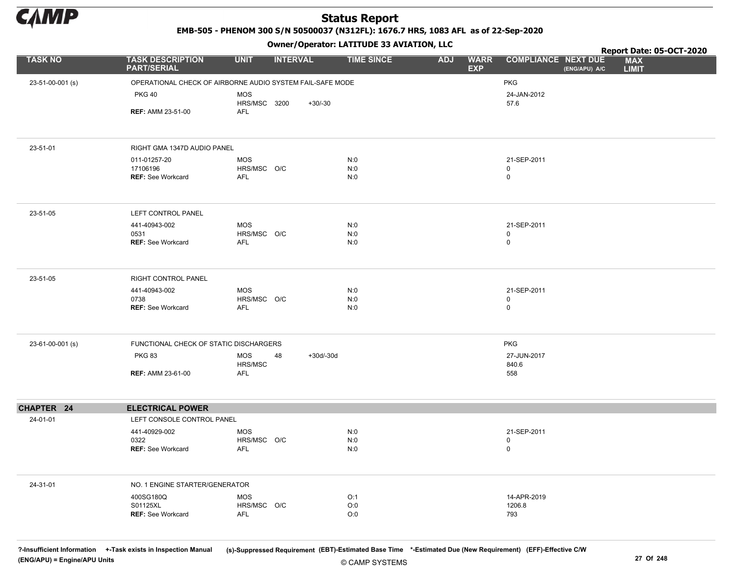

EMB-505 - PHENOM 300 S/N 50500037 (N312FL): 1676.7 HRS, 1083 AFL as of 22-Sep-2020

Owner/Operator: LATITUDE 33 AVIATION, LLC

|                  |                                                           |                           | .               |             |                   |                                         | Report Date: 05-OCT-2020                                                  |
|------------------|-----------------------------------------------------------|---------------------------|-----------------|-------------|-------------------|-----------------------------------------|---------------------------------------------------------------------------|
| <b>TASK NO</b>   | <b>TASK DESCRIPTION</b><br><b>PART/SERIAL</b>             | <b>UNIT</b>               | <b>INTERVAL</b> |             | <b>TIME SINCE</b> | <b>ADJ</b><br><b>WARR</b><br><b>EXP</b> | <b>COMPLIANCE NEXT DUE</b><br><b>MAX</b><br>(ENG/APU) A/C<br><b>LIMIT</b> |
| 23-51-00-001 (s) | OPERATIONAL CHECK OF AIRBORNE AUDIO SYSTEM FAIL-SAFE MODE |                           |                 |             |                   |                                         | <b>PKG</b>                                                                |
|                  | <b>PKG 40</b>                                             | <b>MOS</b>                |                 |             |                   |                                         | 24-JAN-2012                                                               |
|                  |                                                           | HRS/MSC 3200              |                 | $+30/-30$   |                   |                                         | 57.6                                                                      |
|                  | <b>REF: AMM 23-51-00</b>                                  | AFL                       |                 |             |                   |                                         |                                                                           |
|                  |                                                           |                           |                 |             |                   |                                         |                                                                           |
| 23-51-01         | RIGHT GMA 1347D AUDIO PANEL                               |                           |                 |             |                   |                                         |                                                                           |
|                  | 011-01257-20                                              | <b>MOS</b>                |                 |             | N:0               |                                         | 21-SEP-2011                                                               |
|                  | 17106196<br><b>REF: See Workcard</b>                      | HRS/MSC O/C<br><b>AFL</b> |                 |             | N:0<br>N:0        |                                         | 0<br>0                                                                    |
|                  |                                                           |                           |                 |             |                   |                                         |                                                                           |
| 23-51-05         | LEFT CONTROL PANEL                                        |                           |                 |             |                   |                                         |                                                                           |
|                  | 441-40943-002                                             | <b>MOS</b>                |                 |             | N:0               |                                         | 21-SEP-2011                                                               |
|                  | 0531<br><b>REF: See Workcard</b>                          | HRS/MSC O/C<br>AFL        |                 |             | N:0<br>N:0        |                                         | 0<br>0                                                                    |
|                  |                                                           |                           |                 |             |                   |                                         |                                                                           |
| 23-51-05         | RIGHT CONTROL PANEL                                       |                           |                 |             |                   |                                         |                                                                           |
|                  | 441-40943-002                                             | <b>MOS</b>                |                 |             | N:0               |                                         | 21-SEP-2011                                                               |
|                  | 0738<br><b>REF: See Workcard</b>                          | HRS/MSC O/C<br>AFL        |                 |             | N:0<br>N:0        |                                         | 0<br>0                                                                    |
|                  |                                                           |                           |                 |             |                   |                                         |                                                                           |
| 23-61-00-001 (s) | FUNCTIONAL CHECK OF STATIC DISCHARGERS                    |                           |                 |             |                   |                                         | <b>PKG</b>                                                                |
|                  | <b>PKG 83</b>                                             | MOS                       | 48              | $+30d/-30d$ |                   |                                         | 27-JUN-2017                                                               |
|                  | <b>REF: AMM 23-61-00</b>                                  | HRS/MSC<br><b>AFL</b>     |                 |             |                   |                                         | 840.6<br>558                                                              |
|                  |                                                           |                           |                 |             |                   |                                         |                                                                           |
| CHAPTER 24       | <b>ELECTRICAL POWER</b>                                   |                           |                 |             |                   |                                         |                                                                           |
| 24-01-01         | LEFT CONSOLE CONTROL PANEL                                |                           |                 |             |                   |                                         |                                                                           |
|                  | 441-40929-002                                             | <b>MOS</b>                |                 |             | N:0               |                                         | 21-SEP-2011                                                               |
|                  | 0322                                                      | HRS/MSC O/C               |                 |             | N:0               |                                         | 0                                                                         |
|                  | <b>REF: See Workcard</b>                                  | <b>AFL</b>                |                 |             | N:0               |                                         | 0                                                                         |
| 24-31-01         | NO. 1 ENGINE STARTER/GENERATOR                            |                           |                 |             |                   |                                         |                                                                           |
|                  | 400SG180Q                                                 | <b>MOS</b>                |                 |             | O:1               |                                         | 14-APR-2019                                                               |
|                  | S01125XL                                                  | HRS/MSC O/C               |                 |             | O:0               |                                         | 1206.8                                                                    |
|                  | REF: See Workcard                                         | <b>AFL</b>                |                 |             | O:0               |                                         | 793                                                                       |
|                  |                                                           |                           |                 |             |                   |                                         |                                                                           |

© CAMP SYSTEMS ?-Insufficient Information +-Task exists in Inspection Manual (s)-Suppressed Requirement (EBT)-Estimated Base Time \*-Estimated Due (New Requirement) (EFF)-Effective C/W (ENG/APU) = Engine/APU Units 27 Of 248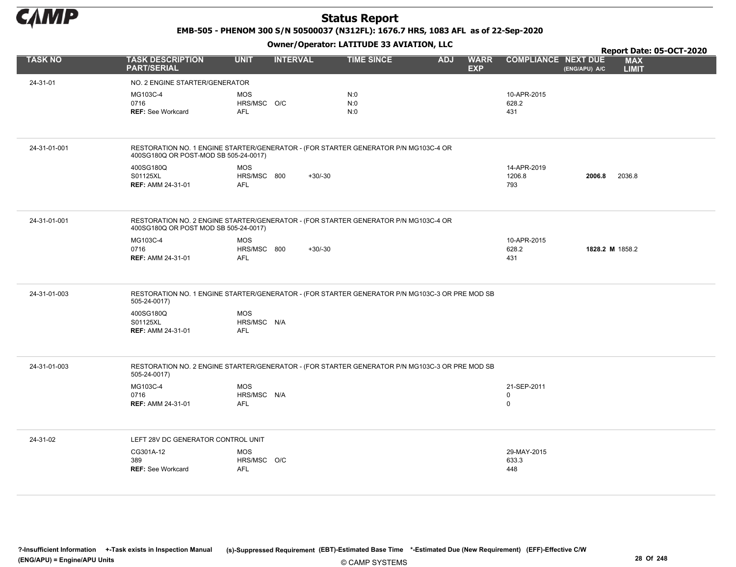

EMB-505 - PHENOM 300 S/N 50500037 (N312FL): 1676.7 HRS, 1083 AFL as of 22-Sep-2020

|                |                                                                                                                              |                                         | .               |                   |            |                           |                                 |               | Report Date: 05-OCT-2020   |
|----------------|------------------------------------------------------------------------------------------------------------------------------|-----------------------------------------|-----------------|-------------------|------------|---------------------------|---------------------------------|---------------|----------------------------|
| <b>TASK NO</b> | <b>TASK DESCRIPTION</b><br><b>PART/SERIAL</b>                                                                                | <b>UNIT</b>                             | <b>INTERVAL</b> | <b>TIME SINCE</b> | <b>ADJ</b> | <b>WARR</b><br><b>EXP</b> | <b>COMPLIANCE NEXT DUE</b>      | (ENG/APU) A/C | <b>MAX</b><br><b>LIMIT</b> |
| 24-31-01       | NO. 2 ENGINE STARTER/GENERATOR                                                                                               |                                         |                 |                   |            |                           |                                 |               |                            |
|                | MG103C-4<br>0716<br><b>REF: See Workcard</b>                                                                                 | <b>MOS</b><br>HRS/MSC O/C<br><b>AFL</b> |                 | N:0<br>N:0<br>N:0 |            |                           | 10-APR-2015<br>628.2<br>431     |               |                            |
| 24-31-01-001   | RESTORATION NO. 1 ENGINE STARTER/GENERATOR - (FOR STARTER GENERATOR P/N MG103C-4 OR<br>400SG180Q OR POST-MOD SB 505-24-0017) |                                         |                 |                   |            |                           |                                 |               |                            |
|                | 400SG180Q<br>S01125XL<br><b>REF: AMM 24-31-01</b>                                                                            | <b>MOS</b><br>HRS/MSC 800<br><b>AFL</b> | $+30/-30$       |                   |            |                           | 14-APR-2019<br>1206.8<br>793    | 2006.8        | 2036.8                     |
| 24-31-01-001   | RESTORATION NO. 2 ENGINE STARTER/GENERATOR - (FOR STARTER GENERATOR P/N MG103C-4 OR<br>400SG180Q OR POST MOD SB 505-24-0017) |                                         |                 |                   |            |                           |                                 |               |                            |
|                | MG103C-4<br>0716<br><b>REF: AMM 24-31-01</b>                                                                                 | <b>MOS</b><br>HRS/MSC 800<br><b>AFL</b> | $+30/-30$       |                   |            |                           | 10-APR-2015<br>628.2<br>431     |               | 1828.2 M 1858.2            |
| 24-31-01-003   | RESTORATION NO. 1 ENGINE STARTER/GENERATOR - (FOR STARTER GENERATOR P/N MG103C-3 OR PRE MOD SB<br>505-24-0017)               |                                         |                 |                   |            |                           |                                 |               |                            |
|                | 400SG180Q<br>S01125XL<br><b>REF: AMM 24-31-01</b>                                                                            | <b>MOS</b><br>HRS/MSC N/A<br><b>AFL</b> |                 |                   |            |                           |                                 |               |                            |
| 24-31-01-003   | RESTORATION NO. 2 ENGINE STARTER/GENERATOR - (FOR STARTER GENERATOR P/N MG103C-3 OR PRE MOD SB<br>505-24-0017)               |                                         |                 |                   |            |                           |                                 |               |                            |
|                | MG103C-4<br>0716<br><b>REF: AMM 24-31-01</b>                                                                                 | <b>MOS</b><br>HRS/MSC N/A<br><b>AFL</b> |                 |                   |            |                           | 21-SEP-2011<br>0<br>$\mathbf 0$ |               |                            |
| 24-31-02       | LEFT 28V DC GENERATOR CONTROL UNIT                                                                                           |                                         |                 |                   |            |                           |                                 |               |                            |
|                | CG301A-12<br>389<br><b>REF: See Workcard</b>                                                                                 | <b>MOS</b><br>HRS/MSC O/C<br>AFL        |                 |                   |            |                           | 29-MAY-2015<br>633.3<br>448     |               |                            |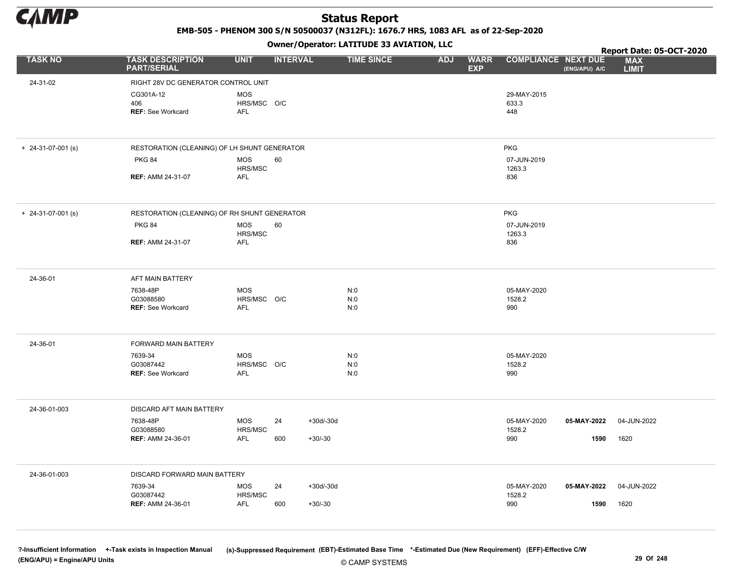

EMB-505 - PHENOM 300 S/N 50500037 (N312FL): 1676.7 HRS, 1083 AFL as of 22-Sep-2020

Owner/Operator: LATITUDE 33 AVIATION, LLC

|                            |                                                   |                                  |                 |             | Owner/Operator. EATITODE 33 AVIATION, LLC |            |                           |                              |                  | Report Date: 05-OCT-2020   |
|----------------------------|---------------------------------------------------|----------------------------------|-----------------|-------------|-------------------------------------------|------------|---------------------------|------------------------------|------------------|----------------------------|
| <b>TASK NO</b>             | <b>TASK DESCRIPTION</b><br><b>PART/SERIAL</b>     | <b>UNIT</b>                      | <b>INTERVAL</b> |             | <b>TIME SINCE</b>                         | <b>ADJ</b> | <b>WARR</b><br><b>EXP</b> | <b>COMPLIANCE NEXT DUE</b>   | $E(ENG/APU)$ A/C | <b>MAX</b><br><b>LIMIT</b> |
| 24-31-02                   | RIGHT 28V DC GENERATOR CONTROL UNIT               |                                  |                 |             |                                           |            |                           |                              |                  |                            |
|                            | CG301A-12<br>406<br><b>REF: See Workcard</b>      | <b>MOS</b><br>HRS/MSC O/C<br>AFL |                 |             |                                           |            |                           | 29-MAY-2015<br>633.3<br>448  |                  |                            |
| $+$ 24-31-07-001 (s)       | RESTORATION (CLEANING) OF LH SHUNT GENERATOR      |                                  |                 |             |                                           |            |                           | <b>PKG</b>                   |                  |                            |
|                            | <b>PKG 84</b>                                     | <b>MOS</b><br>HRS/MSC            | 60              |             |                                           |            |                           | 07-JUN-2019<br>1263.3        |                  |                            |
|                            | <b>REF: AMM 24-31-07</b>                          | AFL                              |                 |             |                                           |            |                           | 836                          |                  |                            |
| $+ 24 - 31 - 07 - 001$ (s) | RESTORATION (CLEANING) OF RH SHUNT GENERATOR      |                                  |                 |             |                                           |            |                           | <b>PKG</b>                   |                  |                            |
|                            | <b>PKG 84</b>                                     | MOS<br>HRS/MSC                   | 60              |             |                                           |            |                           | 07-JUN-2019<br>1263.3        |                  |                            |
|                            | <b>REF: AMM 24-31-07</b>                          | <b>AFL</b>                       |                 |             |                                           |            |                           | 836                          |                  |                            |
| 24-36-01                   | AFT MAIN BATTERY                                  |                                  |                 |             |                                           |            |                           |                              |                  |                            |
|                            | 7638-48P<br>G03088580<br><b>REF: See Workcard</b> | <b>MOS</b><br>HRS/MSC O/C<br>AFL |                 |             | N:0<br>N:0<br>N:0                         |            |                           | 05-MAY-2020<br>1528.2<br>990 |                  |                            |
|                            |                                                   |                                  |                 |             |                                           |            |                           |                              |                  |                            |
| 24-36-01                   | FORWARD MAIN BATTERY                              |                                  |                 |             |                                           |            |                           |                              |                  |                            |
|                            | 7639-34<br>G03087442                              | <b>MOS</b><br>HRS/MSC O/C        |                 |             | N:0<br>N:0                                |            |                           | 05-MAY-2020<br>1528.2        |                  |                            |
|                            | REF: See Workcard                                 | AFL                              |                 |             | N:0                                       |            |                           | 990                          |                  |                            |
| 24-36-01-003               | DISCARD AFT MAIN BATTERY                          |                                  |                 |             |                                           |            |                           |                              |                  |                            |
|                            | 7638-48P<br>G03088580                             | <b>MOS</b><br>HRS/MSC            | 24              | $+30d/-30d$ |                                           |            |                           | 05-MAY-2020<br>1528.2        | 05-MAY-2022      | 04-JUN-2022                |
|                            | <b>REF: AMM 24-36-01</b>                          | <b>AFL</b>                       | 600             | $+30/-30$   |                                           |            |                           | 990                          | 1590             | 1620                       |
| 24-36-01-003               | DISCARD FORWARD MAIN BATTERY                      |                                  |                 |             |                                           |            |                           |                              |                  |                            |
|                            | 7639-34<br>G03087442                              | <b>MOS</b><br>HRS/MSC            | 24              | $+30d/-30d$ |                                           |            |                           | 05-MAY-2020<br>1528.2        | 05-MAY-2022      | 04-JUN-2022                |
|                            | <b>REF: AMM 24-36-01</b>                          | <b>AFL</b>                       | 600             | $+30/-30$   |                                           |            |                           | 990                          | 1590             | 1620                       |

© CAMP SYSTEMS ?-Insufficient Information +-Task exists in Inspection Manual (s)-Suppressed Requirement (EBT)-Estimated Base Time \*-Estimated Due (New Requirement) (EFF)-Effective C/W (ENG/APU) = Engine/APU Units 29 Of 248 and 29 Of 248 and 29 Of 248 and 29 Of 248 and 29 Of 248 and 29 Of 248 and 29 Of 248 and 29 Of 248 and 29 Of 248 and 29 Of 248 and 29 Of 248 and 29 Of 248 and 29 Of 248 and 29 Of 248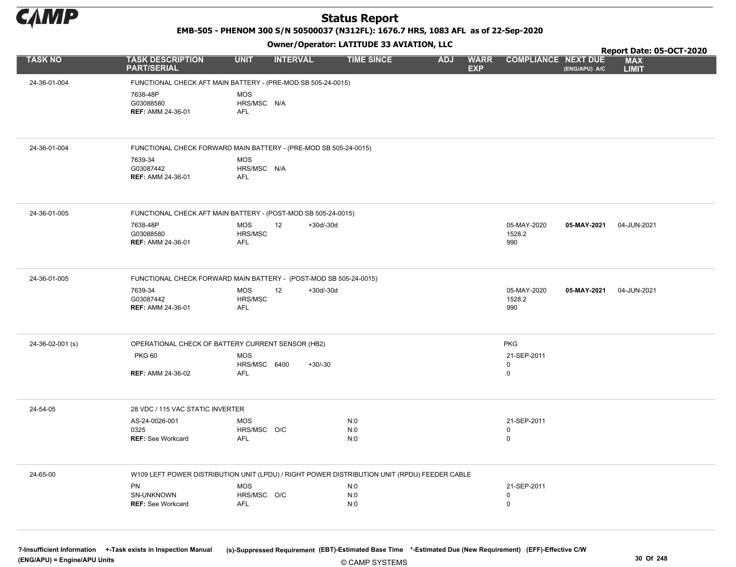

EMB-505 - PHENOM 300 S/N 50500037 (N312FL): 1676.7 HRS, 1083 AFL as of 22-Sep-2020

Owner/Operator: LATITUDE 33 AVIATION, LLC

|                  |                                                                                              |                                         |                   |                   |                                         |                                 |               | Report Date: 05-OCT-2020   |
|------------------|----------------------------------------------------------------------------------------------|-----------------------------------------|-------------------|-------------------|-----------------------------------------|---------------------------------|---------------|----------------------------|
| <b>TASK NO</b>   | <b>TASK DESCRIPTION</b><br><b>PART/SERIAL</b>                                                | <b>UNIT</b>                             | <b>INTERVAL</b>   | <b>TIME SINCE</b> | <b>WARR</b><br><b>ADJ</b><br><b>EXP</b> | <b>COMPLIANCE NEXT DUE</b>      | (ENG/APU) A/C | <b>MAX</b><br><b>LIMIT</b> |
| 24-36-01-004     | FUNCTIONAL CHECK AFT MAIN BATTERY - (PRE-MOD SB 505-24-0015)                                 |                                         |                   |                   |                                         |                                 |               |                            |
|                  | 7638-48P<br>G03088580<br><b>REF: AMM 24-36-01</b>                                            | <b>MOS</b><br>HRS/MSC N/A<br><b>AFL</b> |                   |                   |                                         |                                 |               |                            |
| 24-36-01-004     | FUNCTIONAL CHECK FORWARD MAIN BATTERY - (PRE-MOD SB 505-24-0015)                             |                                         |                   |                   |                                         |                                 |               |                            |
|                  | 7639-34<br>G03087442<br><b>REF: AMM 24-36-01</b>                                             | <b>MOS</b><br>HRS/MSC N/A<br><b>AFL</b> |                   |                   |                                         |                                 |               |                            |
| 24-36-01-005     | FUNCTIONAL CHECK AFT MAIN BATTERY - (POST-MOD SB 505-24-0015)                                |                                         |                   |                   |                                         |                                 |               |                            |
|                  | 7638-48P<br>G03088580<br><b>REF: AMM 24-36-01</b>                                            | <b>MOS</b><br>HRS/MSC<br><b>AFL</b>     | 12<br>$+30d/-30d$ |                   |                                         | 05-MAY-2020<br>1528.2<br>990    | 05-MAY-2021   | 04-JUN-2021                |
| 24-36-01-005     | FUNCTIONAL CHECK FORWARD MAIN BATTERY - (POST-MOD SB 505-24-0015)                            |                                         |                   |                   |                                         |                                 |               |                            |
|                  | 7639-34<br>G03087442<br>REF: AMM 24-36-01                                                    | <b>MOS</b><br>HRS/MSC<br>AFL            | 12<br>$+30d/-30d$ |                   |                                         | 05-MAY-2020<br>1528.2<br>990    | 05-MAY-2021   | 04-JUN-2021                |
| 24-36-02-001 (s) | OPERATIONAL CHECK OF BATTERY CURRENT SENSOR (HB2)                                            |                                         |                   |                   |                                         | <b>PKG</b>                      |               |                            |
|                  | <b>PKG 60</b>                                                                                | <b>MOS</b>                              |                   |                   |                                         | 21-SEP-2011                     |               |                            |
|                  | <b>REF: AMM 24-36-02</b>                                                                     | HRS/MSC 6400<br><b>AFL</b>              | $+30/-30$         |                   |                                         | 0<br>0                          |               |                            |
| 24-54-05         | 28 VDC / 115 VAC STATIC INVERTER                                                             |                                         |                   |                   |                                         |                                 |               |                            |
|                  | AS-24-0026-001<br>0325<br><b>REF: See Workcard</b>                                           | <b>MOS</b><br>HRS/MSC O/C<br><b>AFL</b> |                   | N:0<br>N:0<br>N:0 |                                         | 21-SEP-2011<br>0<br>$\mathbf 0$ |               |                            |
| 24-65-00         | W109 LEFT POWER DISTRIBUTION UNIT (LPDU) / RIGHT POWER DISTRIBUTION UNIT (RPDU) FEEDER CABLE |                                         |                   |                   |                                         |                                 |               |                            |
|                  | PN<br>SN-UNKNOWN<br><b>REF: See Workcard</b>                                                 | <b>MOS</b><br>HRS/MSC O/C<br><b>AFL</b> |                   | N:0<br>N:0<br>N:0 |                                         | 21-SEP-2011<br>0<br>0           |               |                            |

© CAMP SYSTEMS ?-Insufficient Information +-Task exists in Inspection Manual (s)-Suppressed Requirement (EBT)-Estimated Base Time \*-Estimated Due (New Requirement) (EFF)-Effective C/W (ENG/APU) = Engine/APU Units 30 Of 248 and 248 and 248 and 248 and 25 and 25 and 25 and 25 and 25 and 25 and 25 and 25 and 26 and 25 and 25 and 26 and 26 and 26 and 26 and 26 and 26 and 26 and 26 and 26 and 26 and 26 and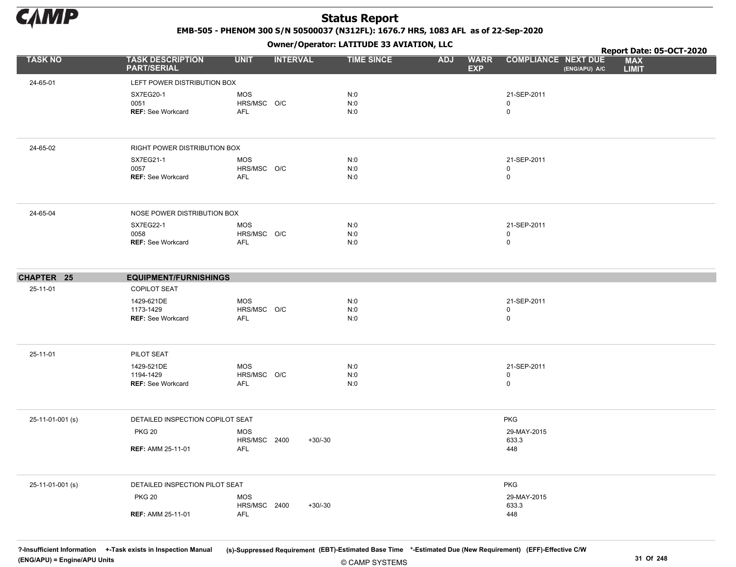

EMB-505 - PHENOM 300 S/N 50500037 (N312FL): 1676.7 HRS, 1083 AFL as of 22-Sep-2020

Owner/Operator: LATITUDE 33 AVIATION, LLC

|                  |                                                      |                                   |                 | Owner / Operator. EATTTODE 33 AVIATION, LLC |            |                           |                             |               |                            | Report Date: 05-OCT-2020 |
|------------------|------------------------------------------------------|-----------------------------------|-----------------|---------------------------------------------|------------|---------------------------|-----------------------------|---------------|----------------------------|--------------------------|
| <b>TASK NO</b>   | <b>TASK DESCRIPTION</b><br><b>PART/SERIAL</b>        | <b>UNIT</b>                       | <b>INTERVAL</b> | <b>TIME SINCE</b>                           | <b>ADJ</b> | <b>WARR</b><br><b>EXP</b> | <b>COMPLIANCE NEXT DUE</b>  | (ENG/APU) A/C | <b>MAX</b><br><b>LIMIT</b> |                          |
| 24-65-01         | LEFT POWER DISTRIBUTION BOX                          |                                   |                 |                                             |            |                           |                             |               |                            |                          |
|                  | <b>SX7EG20-1</b><br>0051<br><b>REF: See Workcard</b> | <b>MOS</b><br>HRS/MSC O/C<br>AFL  |                 | N:0<br>N:0<br>N:0                           |            |                           | 21-SEP-2011<br>0<br>0       |               |                            |                          |
| 24-65-02         | <b>RIGHT POWER DISTRIBUTION BOX</b>                  |                                   |                 |                                             |            |                           |                             |               |                            |                          |
|                  | SX7EG21-1<br>0057<br><b>REF:</b> See Workcard        | MOS<br>HRS/MSC O/C<br>AFL         |                 | N:0<br>N:0<br>N:0                           |            |                           | 21-SEP-2011<br>0<br>0       |               |                            |                          |
| 24-65-04         | NOSE POWER DISTRIBUTION BOX                          |                                   |                 |                                             |            |                           |                             |               |                            |                          |
|                  | <b>SX7EG22-1</b><br>0058<br><b>REF: See Workcard</b> | MOS<br>HRS/MSC O/C<br><b>AFL</b>  |                 | N:0<br>N:0<br>N:0                           |            |                           | 21-SEP-2011<br>0<br>0       |               |                            |                          |
| CHAPTER 25       | <b>EQUIPMENT/FURNISHINGS</b>                         |                                   |                 |                                             |            |                           |                             |               |                            |                          |
| 25-11-01         | <b>COPILOT SEAT</b>                                  |                                   |                 |                                             |            |                           |                             |               |                            |                          |
|                  | 1429-621DE<br>1173-1429<br><b>REF:</b> See Workcard  | <b>MOS</b><br>HRS/MSC O/C<br>AFL  |                 | N:0<br>N:0<br>N:0                           |            |                           | 21-SEP-2011<br>0<br>0       |               |                            |                          |
| 25-11-01         | PILOT SEAT                                           |                                   |                 |                                             |            |                           |                             |               |                            |                          |
|                  | 1429-521DE<br>1194-1429<br><b>REF: See Workcard</b>  | <b>MOS</b><br>HRS/MSC O/C<br>AFL  |                 | N:0<br>N:0<br>N:0                           |            |                           | 21-SEP-2011<br>0<br>0       |               |                            |                          |
| 25-11-01-001 (s) | DETAILED INSPECTION COPILOT SEAT                     |                                   |                 |                                             |            |                           | <b>PKG</b>                  |               |                            |                          |
|                  | <b>PKG 20</b><br><b>REF: AMM 25-11-01</b>            | <b>MOS</b><br>HRS/MSC 2400<br>AFL | $+30/-30$       |                                             |            |                           | 29-MAY-2015<br>633.3<br>448 |               |                            |                          |
| 25-11-01-001 (s) | DETAILED INSPECTION PILOT SEAT                       |                                   |                 |                                             |            |                           | PKG                         |               |                            |                          |
|                  | <b>PKG 20</b>                                        | <b>MOS</b><br>HRS/MSC 2400        | $+30/-30$       |                                             |            |                           | 29-MAY-2015<br>633.3        |               |                            |                          |
|                  | <b>REF: AMM 25-11-01</b>                             | AFL                               |                 |                                             |            |                           | 448                         |               |                            |                          |

© CAMP SYSTEMS ?-Insufficient Information +-Task exists in Inspection Manual (s)-Suppressed Requirement (EBT)-Estimated Base Time \*-Estimated Due (New Requirement) (EFF)-Effective C/W (ENG/APU) = Engine/APU Units 31 Of 248 and 248 and 248 and 248 and 248 and 248 and 25 camp systems 31 Of 248 and 25 camp systems 31 Of 248 and 25 camp systems 31 Of 248 and 25 camp systems 31 Of 248 and 25 camp systems 31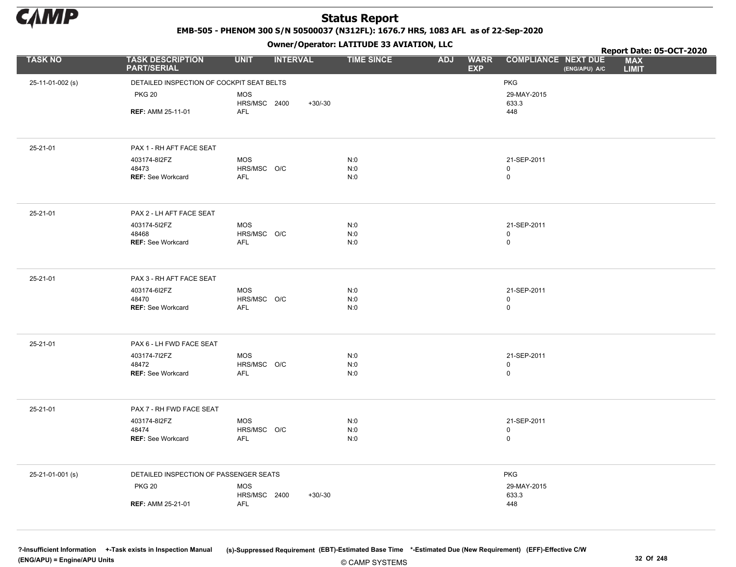

EMB-505 - PHENOM 300 S/N 50500037 (N312FL): 1676.7 HRS, 1083 AFL as of 22-Sep-2020

Owner/Operator: LATITUDE 33 AVIATION, LLC

|                  |                                               |                            | .               |           |                   |            |                           | Report Date: 05-OCT-2020                                                  |
|------------------|-----------------------------------------------|----------------------------|-----------------|-----------|-------------------|------------|---------------------------|---------------------------------------------------------------------------|
| <b>TASK NO</b>   | <b>TASK DESCRIPTION</b><br><b>PART/SERIAL</b> | <b>UNIT</b>                | <b>INTERVAL</b> |           | <b>TIME SINCE</b> | <b>ADJ</b> | <b>WARR</b><br><b>EXP</b> | <b>COMPLIANCE NEXT DUE</b><br><b>MAX</b><br>(ENG/APU) A/C<br><b>LIMIT</b> |
| 25-11-01-002 (s) | DETAILED INSPECTION OF COCKPIT SEAT BELTS     |                            |                 |           |                   |            |                           | <b>PKG</b>                                                                |
|                  | <b>PKG 20</b>                                 | <b>MOS</b>                 |                 |           |                   |            |                           | 29-MAY-2015                                                               |
|                  |                                               | HRS/MSC 2400               |                 | $+30/-30$ |                   |            |                           | 633.3                                                                     |
|                  | <b>REF: AMM 25-11-01</b>                      | AFL                        |                 |           |                   |            |                           | 448                                                                       |
|                  |                                               |                            |                 |           |                   |            |                           |                                                                           |
| 25-21-01         | PAX 1 - RH AFT FACE SEAT                      |                            |                 |           |                   |            |                           |                                                                           |
|                  | 403174-8I2FZ                                  | <b>MOS</b>                 |                 |           | N:0               |            |                           | 21-SEP-2011                                                               |
|                  | 48473<br>REF: See Workcard                    | HRS/MSC O/C<br><b>AFL</b>  |                 |           | N:0<br>N:0        |            |                           | 0<br>0                                                                    |
|                  |                                               |                            |                 |           |                   |            |                           |                                                                           |
| 25-21-01         | PAX 2 - LH AFT FACE SEAT                      |                            |                 |           |                   |            |                           |                                                                           |
|                  | 403174-5I2FZ                                  | <b>MOS</b>                 |                 |           | N:0               |            |                           | 21-SEP-2011                                                               |
|                  | 48468                                         | HRS/MSC O/C                |                 |           | N:0               |            |                           | 0                                                                         |
|                  | <b>REF: See Workcard</b>                      | AFL                        |                 |           | N:0               |            |                           | 0                                                                         |
| 25-21-01         | PAX 3 - RH AFT FACE SEAT                      |                            |                 |           |                   |            |                           |                                                                           |
|                  | 403174-6I2FZ                                  | MOS                        |                 |           | N:0               |            |                           | 21-SEP-2011                                                               |
|                  | 48470                                         | HRS/MSC O/C<br><b>AFL</b>  |                 |           | N:0<br>N:0        |            |                           | 0<br>0                                                                    |
|                  | <b>REF: See Workcard</b>                      |                            |                 |           |                   |            |                           |                                                                           |
| 25-21-01         | PAX 6 - LH FWD FACE SEAT                      |                            |                 |           |                   |            |                           |                                                                           |
|                  | 403174-712FZ                                  | MOS                        |                 |           | N:0               |            |                           | 21-SEP-2011                                                               |
|                  | 48472<br><b>REF: See Workcard</b>             | HRS/MSC O/C<br>AFL         |                 |           | N:0<br>N:0        |            |                           | $\mathsf 0$<br>0                                                          |
|                  |                                               |                            |                 |           |                   |            |                           |                                                                           |
| 25-21-01         | PAX 7 - RH FWD FACE SEAT                      |                            |                 |           |                   |            |                           |                                                                           |
|                  | 403174-8I2FZ                                  | MOS                        |                 |           | N:0               |            |                           | 21-SEP-2011                                                               |
|                  | 48474<br><b>REF: See Workcard</b>             | HRS/MSC O/C<br>AFL         |                 |           | N:0<br>N:0        |            |                           | 0<br>$\mathsf 0$                                                          |
|                  |                                               |                            |                 |           |                   |            |                           |                                                                           |
| 25-21-01-001 (s) | DETAILED INSPECTION OF PASSENGER SEATS        |                            |                 |           |                   |            |                           | <b>PKG</b>                                                                |
|                  | <b>PKG 20</b>                                 | <b>MOS</b><br>HRS/MSC 2400 |                 | $+30/30$  |                   |            |                           | 29-MAY-2015<br>633.3                                                      |
|                  | <b>REF: AMM 25-21-01</b>                      | <b>AFL</b>                 |                 |           |                   |            |                           | 448                                                                       |
|                  |                                               |                            |                 |           |                   |            |                           |                                                                           |

© CAMP SYSTEMS ?-Insufficient Information +-Task exists in Inspection Manual (s)-Suppressed Requirement (EBT)-Estimated Base Time \*-Estimated Due (New Requirement) (EFF)-Effective C/W (ENG/APU) = Engine/APU Units 32 Of 248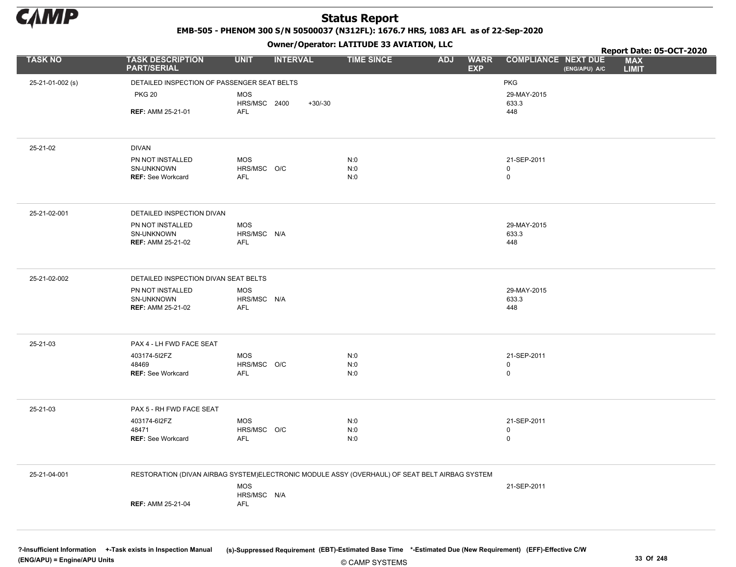

EMB-505 - PHENOM 300 S/N 50500037 (N312FL): 1676.7 HRS, 1083 AFL as of 22-Sep-2020

Owner/Operator: LATITUDE 33 AVIATION, LLC

|                  |                                                                                               |                           | .               |           |                   |            |                           | Report Date: 05-OCT-2020                                                  |
|------------------|-----------------------------------------------------------------------------------------------|---------------------------|-----------------|-----------|-------------------|------------|---------------------------|---------------------------------------------------------------------------|
| <b>TASK NO</b>   | <b>TASK DESCRIPTION</b><br><b>PART/SERIAL</b>                                                 | <b>UNIT</b>               | <b>INTERVAL</b> |           | <b>TIME SINCE</b> | <b>ADJ</b> | <b>WARR</b><br><b>EXP</b> | <b>COMPLIANCE NEXT DUE</b><br><b>MAX</b><br>(ENG/APU) A/C<br><b>LIMIT</b> |
| 25-21-01-002 (s) | DETAILED INSPECTION OF PASSENGER SEAT BELTS                                                   |                           |                 |           |                   |            |                           | <b>PKG</b>                                                                |
|                  | <b>PKG 20</b>                                                                                 | <b>MOS</b>                |                 |           |                   |            |                           | 29-MAY-2015                                                               |
|                  |                                                                                               | HRS/MSC 2400              |                 | $+30/-30$ |                   |            |                           | 633.3                                                                     |
|                  | <b>REF: AMM 25-21-01</b>                                                                      | AFL                       |                 |           |                   |            |                           | 448                                                                       |
|                  |                                                                                               |                           |                 |           |                   |            |                           |                                                                           |
| 25-21-02         | <b>DIVAN</b>                                                                                  |                           |                 |           |                   |            |                           |                                                                           |
|                  | PN NOT INSTALLED<br>SN-UNKNOWN                                                                | <b>MOS</b><br>HRS/MSC O/C |                 |           | N:0<br>N:0        |            |                           | 21-SEP-2011<br>$\mathbf 0$                                                |
|                  | <b>REF: See Workcard</b>                                                                      | AFL                       |                 |           | N:0               |            |                           | $\pmb{0}$                                                                 |
|                  |                                                                                               |                           |                 |           |                   |            |                           |                                                                           |
| 25-21-02-001     | DETAILED INSPECTION DIVAN                                                                     |                           |                 |           |                   |            |                           |                                                                           |
|                  | PN NOT INSTALLED                                                                              | <b>MOS</b>                |                 |           |                   |            |                           | 29-MAY-2015                                                               |
|                  | SN-UNKNOWN<br><b>REF: AMM 25-21-02</b>                                                        | HRS/MSC N/A<br>AFL        |                 |           |                   |            |                           | 633.3<br>448                                                              |
|                  |                                                                                               |                           |                 |           |                   |            |                           |                                                                           |
|                  |                                                                                               |                           |                 |           |                   |            |                           |                                                                           |
| 25-21-02-002     | DETAILED INSPECTION DIVAN SEAT BELTS                                                          |                           |                 |           |                   |            |                           |                                                                           |
|                  | PN NOT INSTALLED<br>SN-UNKNOWN                                                                | <b>MOS</b><br>HRS/MSC N/A |                 |           |                   |            |                           | 29-MAY-2015<br>633.3                                                      |
|                  | <b>REF: AMM 25-21-02</b>                                                                      | <b>AFL</b>                |                 |           |                   |            |                           | 448                                                                       |
|                  |                                                                                               |                           |                 |           |                   |            |                           |                                                                           |
| 25-21-03         | PAX 4 - LH FWD FACE SEAT                                                                      |                           |                 |           |                   |            |                           |                                                                           |
|                  | 403174-512FZ                                                                                  | <b>MOS</b>                |                 |           | N:0               |            |                           | 21-SEP-2011                                                               |
|                  | 48469<br><b>REF: See Workcard</b>                                                             | HRS/MSC O/C<br>AFL        |                 |           | N:0<br>N:0        |            |                           | $\mathsf 0$<br>$\mathsf 0$                                                |
|                  |                                                                                               |                           |                 |           |                   |            |                           |                                                                           |
|                  |                                                                                               |                           |                 |           |                   |            |                           |                                                                           |
| 25-21-03         | PAX 5 - RH FWD FACE SEAT                                                                      |                           |                 |           |                   |            |                           |                                                                           |
|                  | 403174-6I2FZ<br>48471                                                                         | <b>MOS</b><br>HRS/MSC O/C |                 |           | N:0<br>N:0        |            |                           | 21-SEP-2011<br>$\mathbf 0$                                                |
|                  | REF: See Workcard                                                                             | AFL                       |                 |           | N:0               |            |                           | $\mathsf 0$                                                               |
|                  |                                                                                               |                           |                 |           |                   |            |                           |                                                                           |
| 25-21-04-001     | RESTORATION (DIVAN AIRBAG SYSTEM)ELECTRONIC MODULE ASSY (OVERHAUL) OF SEAT BELT AIRBAG SYSTEM |                           |                 |           |                   |            |                           |                                                                           |
|                  |                                                                                               | <b>MOS</b>                |                 |           |                   |            |                           | 21-SEP-2011                                                               |
|                  | <b>REF: AMM 25-21-04</b>                                                                      | HRS/MSC N/A<br><b>AFL</b> |                 |           |                   |            |                           |                                                                           |
|                  |                                                                                               |                           |                 |           |                   |            |                           |                                                                           |
|                  |                                                                                               |                           |                 |           |                   |            |                           |                                                                           |

© CAMP SYSTEMS ?-Insufficient Information +-Task exists in Inspection Manual (s)-Suppressed Requirement (EBT)-Estimated Base Time \*-Estimated Due (New Requirement) (EFF)-Effective C/W (ENG/APU) = Engine/APU Units 33 Of 248 and 248 and 248 and 248 and 25 of 248 and 25 of 248 and 25 of 248 and 25 of 248 and 25 of 248 and 25 of 248 and 25 of 248 and 25 of 248 and 25 of 248 and 25 of 248 and 25 of 248 and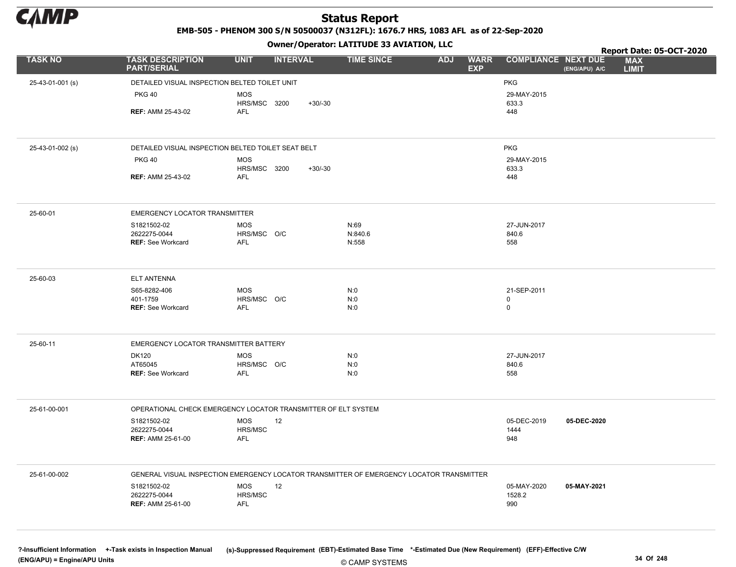

EMB-505 - PHENOM 300 S/N 50500037 (N312FL): 1676.7 HRS, 1083 AFL as of 22-Sep-2020

|                  |                                                    | - - - -                                                       |                                                                                          | Report Date: 05-OCT-2020                                                  |
|------------------|----------------------------------------------------|---------------------------------------------------------------|------------------------------------------------------------------------------------------|---------------------------------------------------------------------------|
| <b>TASK NO</b>   | <b>TASK DESCRIPTION</b><br><b>PART/SERIAL</b>      | <b>UNIT</b><br><b>INTERVAL</b>                                | <b>TIME SINCE</b><br><b>ADJ</b><br><b>WARR</b><br><b>EXP</b>                             | <b>COMPLIANCE NEXT DUE</b><br><b>MAX</b><br><b>LIMIT</b><br>(ENG/APU) A/C |
| 25-43-01-001 (s) | DETAILED VISUAL INSPECTION BELTED TOILET UNIT      |                                                               |                                                                                          | <b>PKG</b>                                                                |
|                  | <b>PKG 40</b>                                      | <b>MOS</b><br>HRS/MSC 3200<br>$+30/-30$                       |                                                                                          | 29-MAY-2015<br>633.3                                                      |
|                  | <b>REF: AMM 25-43-02</b>                           | <b>AFL</b>                                                    |                                                                                          | 448                                                                       |
|                  |                                                    |                                                               |                                                                                          |                                                                           |
| 25-43-01-002 (s) | DETAILED VISUAL INSPECTION BELTED TOILET SEAT BELT |                                                               |                                                                                          | <b>PKG</b>                                                                |
|                  | <b>PKG 40</b>                                      | <b>MOS</b><br>HRS/MSC 3200<br>$+30/-30$                       |                                                                                          | 29-MAY-2015<br>633.3                                                      |
|                  | <b>REF: AMM 25-43-02</b>                           | <b>AFL</b>                                                    |                                                                                          | 448                                                                       |
| 25-60-01         | <b>EMERGENCY LOCATOR TRANSMITTER</b>               |                                                               |                                                                                          |                                                                           |
|                  | S1821502-02                                        | <b>MOS</b>                                                    | N:69                                                                                     | 27-JUN-2017                                                               |
|                  | 2622275-0044<br><b>REF: See Workcard</b>           | HRS/MSC O/C<br><b>AFL</b>                                     | N:840.6<br>N:558                                                                         | 840.6<br>558                                                              |
|                  |                                                    |                                                               |                                                                                          |                                                                           |
| 25-60-03         | <b>ELT ANTENNA</b>                                 |                                                               |                                                                                          |                                                                           |
|                  | S65-8282-406                                       | <b>MOS</b>                                                    | N:0                                                                                      | 21-SEP-2011                                                               |
|                  | 401-1759<br><b>REF: See Workcard</b>               | HRS/MSC O/C<br><b>AFL</b>                                     | N:0<br>N:0                                                                               | 0<br>0                                                                    |
|                  |                                                    |                                                               |                                                                                          |                                                                           |
| 25-60-11         | EMERGENCY LOCATOR TRANSMITTER BATTERY              |                                                               |                                                                                          |                                                                           |
|                  | <b>DK120</b><br>AT65045                            | <b>MOS</b><br>HRS/MSC O/C                                     | N:0<br>N:0                                                                               | 27-JUN-2017<br>840.6                                                      |
|                  | <b>REF: See Workcard</b>                           | <b>AFL</b>                                                    | N:0                                                                                      | 558                                                                       |
|                  |                                                    |                                                               |                                                                                          |                                                                           |
| 25-61-00-001     |                                                    | OPERATIONAL CHECK EMERGENCY LOCATOR TRANSMITTER OF ELT SYSTEM |                                                                                          |                                                                           |
|                  | S1821502-02                                        | <b>MOS</b><br>12                                              |                                                                                          | 05-DEC-2019<br>05-DEC-2020                                                |
|                  | 2622275-0044<br><b>REF: AMM 25-61-00</b>           | HRS/MSC<br><b>AFL</b>                                         |                                                                                          | 1444<br>948                                                               |
|                  |                                                    |                                                               |                                                                                          |                                                                           |
| 25-61-00-002     |                                                    |                                                               | GENERAL VISUAL INSPECTION EMERGENCY LOCATOR TRANSMITTER OF EMERGENCY LOCATOR TRANSMITTER |                                                                           |
|                  | S1821502-02<br>2622275-0044                        | <b>MOS</b><br>12<br>HRS/MSC                                   |                                                                                          | 05-MAY-2020<br>05-MAY-2021<br>1528.2                                      |
|                  | <b>REF: AMM 25-61-00</b>                           | AFL                                                           |                                                                                          | 990                                                                       |
|                  |                                                    |                                                               |                                                                                          |                                                                           |
|                  |                                                    |                                                               |                                                                                          |                                                                           |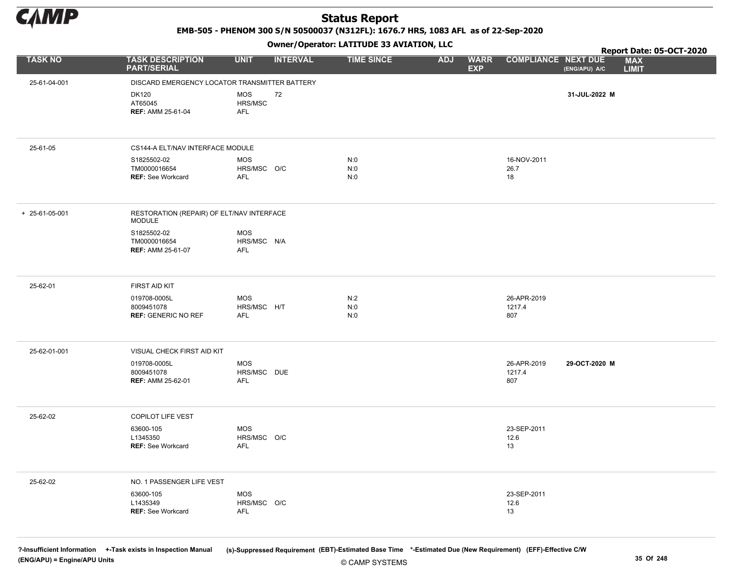

EMB-505 - PHENOM 300 S/N 50500037 (N312FL): 1676.7 HRS, 1083 AFL as of 22-Sep-2020

Owner/Operator: LATITUDE 33 AVIATION, LLC

|                |                                                          |                                         | .               |                   |                                         |                              | <b>Report Date: 05-OCT-2020</b>             |
|----------------|----------------------------------------------------------|-----------------------------------------|-----------------|-------------------|-----------------------------------------|------------------------------|---------------------------------------------|
| <b>TASK NO</b> | <b>TASK DESCRIPTION</b><br><b>PART/SERIAL</b>            | <b>UNIT</b>                             | <b>INTERVAL</b> | <b>TIME SINCE</b> | <b>WARR</b><br><b>ADJ</b><br><b>EXP</b> | <b>COMPLIANCE NEXT DUE</b>   | <b>MAX</b><br>(ENG/APU) A/C<br><b>LIMIT</b> |
| 25-61-04-001   | DISCARD EMERGENCY LOCATOR TRANSMITTER BATTERY            |                                         |                 |                   |                                         |                              |                                             |
|                | <b>DK120</b><br>AT65045<br><b>REF: AMM 25-61-04</b>      | <b>MOS</b><br>HRS/MSC<br>AFL            | 72              |                   |                                         |                              | 31-JUL-2022 M                               |
| 25-61-05       | CS144-A ELT/NAV INTERFACE MODULE                         |                                         |                 |                   |                                         |                              |                                             |
|                | S1825502-02<br>TM0000016654<br><b>REF: See Workcard</b>  | <b>MOS</b><br>HRS/MSC O/C<br><b>AFL</b> |                 | N:0<br>N:0<br>N:0 |                                         | 16-NOV-2011<br>26.7<br>18    |                                             |
| + 25-61-05-001 | RESTORATION (REPAIR) OF ELT/NAV INTERFACE<br>MODULE      |                                         |                 |                   |                                         |                              |                                             |
|                | S1825502-02<br>TM0000016654<br><b>REF: AMM 25-61-07</b>  | <b>MOS</b><br>HRS/MSC N/A<br><b>AFL</b> |                 |                   |                                         |                              |                                             |
| 25-62-01       | FIRST AID KIT                                            |                                         |                 |                   |                                         |                              |                                             |
|                | 019708-0005L<br>8009451078<br><b>REF: GENERIC NO REF</b> | <b>MOS</b><br>HRS/MSC H/T<br>AFL        |                 | N:2<br>N:0<br>N:0 |                                         | 26-APR-2019<br>1217.4<br>807 |                                             |
| 25-62-01-001   | VISUAL CHECK FIRST AID KIT                               |                                         |                 |                   |                                         |                              |                                             |
|                | 019708-0005L<br>8009451078<br><b>REF: AMM 25-62-01</b>   | MOS<br>HRS/MSC DUE<br><b>AFL</b>        |                 |                   |                                         | 26-APR-2019<br>1217.4<br>807 | 29-OCT-2020 M                               |
| 25-62-02       | COPILOT LIFE VEST                                        |                                         |                 |                   |                                         |                              |                                             |
|                | 63600-105<br>L1345350<br><b>REF: See Workcard</b>        | <b>MOS</b><br>HRS/MSC O/C<br>AFL        |                 |                   |                                         | 23-SEP-2011<br>12.6<br>13    |                                             |
| 25-62-02       | NO. 1 PASSENGER LIFE VEST                                |                                         |                 |                   |                                         |                              |                                             |
|                | 63600-105<br>L1435349<br><b>REF: See Workcard</b>        | MOS<br>HRS/MSC O/C<br><b>AFL</b>        |                 |                   |                                         | 23-SEP-2011<br>12.6<br>13    |                                             |

© CAMP SYSTEMS ?-Insufficient Information +-Task exists in Inspection Manual (s)-Suppressed Requirement (EBT)-Estimated Base Time \*-Estimated Due (New Requirement) (EFF)-Effective C/W (ENG/APU) = Engine/APU Units 35 Of 248 and 248 and 248 and 248 and 25 Of 248 and 25 Of 248 and 25 Of 248 and 25 Of 248 and 25 Of 248 and 25 Of 248 and 25 Of 248 and 25 Of 248 and 25 Of 248 and 25 Of 248 and 25 Of 248 and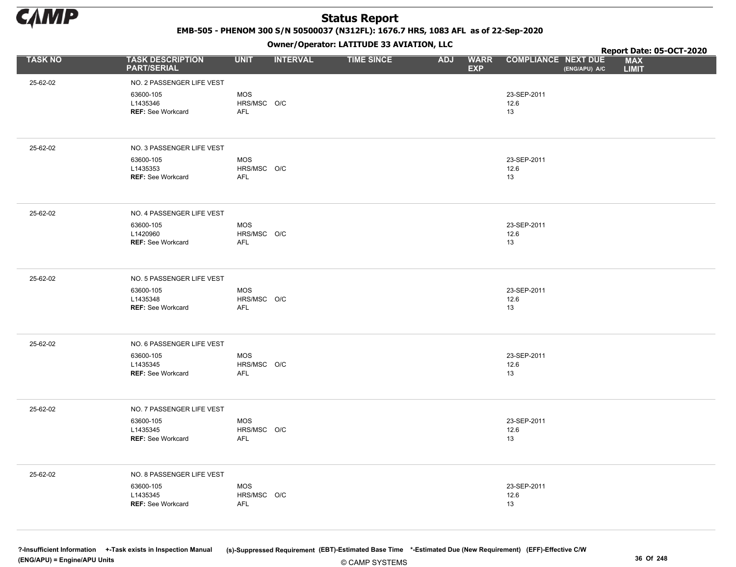

EMB-505 - PHENOM 300 S/N 50500037 (N312FL): 1676.7 HRS, 1083 AFL as of 22-Sep-2020

Owner/Operator: LATITUDE 33 AVIATION, LLC

|                |                                                                                |                                  |                 | Owner / Operator: EATITODE 33 AVIATION, LLC |                          |             |                            | Report Date: 05-OCT-2020 |                            |  |
|----------------|--------------------------------------------------------------------------------|----------------------------------|-----------------|---------------------------------------------|--------------------------|-------------|----------------------------|--------------------------|----------------------------|--|
| <b>TASK NO</b> | <b>TASK DESCRIPTION</b><br><b>PART/SERIAL</b>                                  | <b>UNIT</b>                      | <b>INTERVAL</b> | <b>TIME SINCE</b>                           | <b>ADJ</b><br><b>EXP</b> | <b>WARR</b> | <b>COMPLIANCE NEXT DUE</b> | (ENG/APU) A/C            | <b>MAX</b><br><b>LIMIT</b> |  |
| 25-62-02       | NO. 2 PASSENGER LIFE VEST                                                      |                                  |                 |                                             |                          |             |                            |                          |                            |  |
|                | 63600-105<br>L1435346<br><b>REF: See Workcard</b>                              | <b>MOS</b><br>HRS/MSC O/C<br>AFL |                 |                                             |                          |             | 23-SEP-2011<br>12.6<br>13  |                          |                            |  |
| 25-62-02       | NO. 3 PASSENGER LIFE VEST                                                      |                                  |                 |                                             |                          |             |                            |                          |                            |  |
|                | 63600-105<br>L1435353<br><b>REF: See Workcard</b>                              | <b>MOS</b><br>HRS/MSC O/C<br>AFL |                 |                                             |                          |             | 23-SEP-2011<br>12.6<br>13  |                          |                            |  |
| 25-62-02       | NO. 4 PASSENGER LIFE VEST<br>63600-105<br>L1420960<br><b>REF: See Workcard</b> | MOS<br>HRS/MSC O/C<br>AFL        |                 |                                             |                          |             | 23-SEP-2011<br>12.6<br>13  |                          |                            |  |
| 25-62-02       | NO. 5 PASSENGER LIFE VEST<br>63600-105<br>L1435348<br><b>REF: See Workcard</b> | MOS<br>HRS/MSC O/C<br>AFL        |                 |                                             |                          |             | 23-SEP-2011<br>12.6<br>13  |                          |                            |  |
| 25-62-02       | NO. 6 PASSENGER LIFE VEST                                                      |                                  |                 |                                             |                          |             |                            |                          |                            |  |
|                | 63600-105<br>L1435345<br><b>REF: See Workcard</b>                              | MOS<br>HRS/MSC O/C<br>AFL        |                 |                                             |                          |             | 23-SEP-2011<br>12.6<br>13  |                          |                            |  |
| 25-62-02       | NO. 7 PASSENGER LIFE VEST                                                      |                                  |                 |                                             |                          |             |                            |                          |                            |  |
|                | 63600-105<br>L1435345<br><b>REF: See Workcard</b>                              | MOS<br>HRS/MSC O/C<br>AFL        |                 |                                             |                          |             | 23-SEP-2011<br>12.6<br>13  |                          |                            |  |
| 25-62-02       | NO. 8 PASSENGER LIFE VEST                                                      |                                  |                 |                                             |                          |             |                            |                          |                            |  |
|                | 63600-105<br>L1435345<br>REF: See Workcard                                     | <b>MOS</b><br>HRS/MSC O/C<br>AFL |                 |                                             |                          |             | 23-SEP-2011<br>12.6<br>13  |                          |                            |  |
|                |                                                                                |                                  |                 |                                             |                          |             |                            |                          |                            |  |

© CAMP SYSTEMS ?-Insufficient Information +-Task exists in Inspection Manual (s)-Suppressed Requirement (EBT)-Estimated Base Time \*-Estimated Due (New Requirement) (EFF)-Effective C/W (ENG/APU) = Engine/APU Units 36 Of 248 and 248 and 248 and 248 and 25 Of 248 and 25 Of 248 and 25 Of 248 and 25 Of 248 and 25 Of 248 and 25 Of 248 and 25 Of 248 and 25 Of 248 and 25 Of 248 and 25 Of 248 and 25 Of 248 and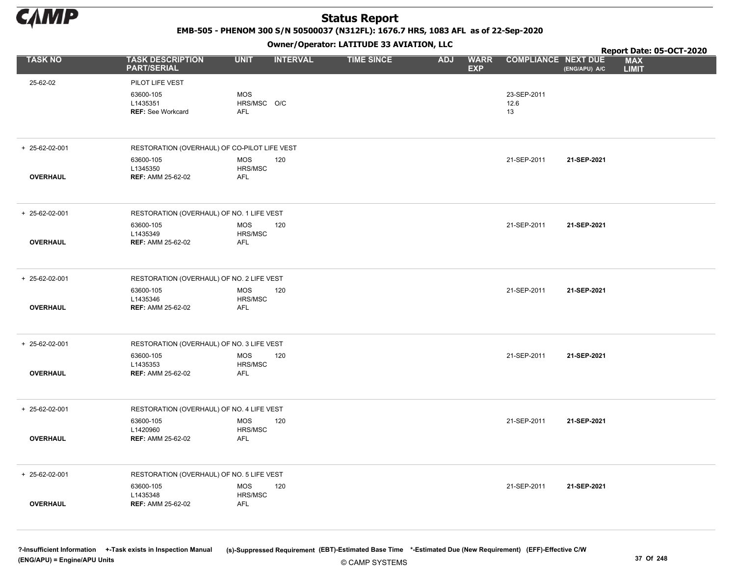

EMB-505 - PHENOM 300 S/N 50500037 (N312FL): 1676.7 HRS, 1083 AFL as of 22-Sep-2020

Owner/Operator: LATITUDE 33 AVIATION, LLC

|                 |                                                        |                                         |                 | Owner/Operator. EATITODE 33 AVIATION, LLC |            |                           |                            | Report Date: 05-OCT-2020 |                            |  |
|-----------------|--------------------------------------------------------|-----------------------------------------|-----------------|-------------------------------------------|------------|---------------------------|----------------------------|--------------------------|----------------------------|--|
| <b>TASK NO</b>  | <b>TASK DESCRIPTION</b><br><b>PART/SERIAL</b>          | <b>UNIT</b>                             | <b>INTERVAL</b> | <b>TIME SINCE</b>                         | <b>ADJ</b> | <b>WARR</b><br><b>EXP</b> | <b>COMPLIANCE NEXT DUE</b> | (ENG/APU) A/C            | <b>MAX</b><br><b>LIMIT</b> |  |
| 25-62-02        | PILOT LIFE VEST                                        |                                         |                 |                                           |            |                           |                            |                          |                            |  |
|                 | 63600-105<br>L1435351<br><b>REF: See Workcard</b>      | <b>MOS</b><br>HRS/MSC O/C<br><b>AFL</b> |                 |                                           |            |                           | 23-SEP-2011<br>12.6<br>13  |                          |                            |  |
| + 25-62-02-001  | RESTORATION (OVERHAUL) OF CO-PILOT LIFE VEST           |                                         |                 |                                           |            |                           |                            |                          |                            |  |
| <b>OVERHAUL</b> | 63600-105<br>L1345350<br><b>REF: AMM 25-62-02</b>      | <b>MOS</b><br>HRS/MSC<br><b>AFL</b>     | 120             |                                           |            |                           | 21-SEP-2011                | 21-SEP-2021              |                            |  |
| + 25-62-02-001  | RESTORATION (OVERHAUL) OF NO. 1 LIFE VEST              |                                         |                 |                                           |            |                           |                            |                          |                            |  |
| <b>OVERHAUL</b> | 63600-105<br>L1435349<br><b>REF: AMM 25-62-02</b>      | <b>MOS</b><br>HRS/MSC<br><b>AFL</b>     | 120             |                                           |            |                           | 21-SEP-2011                | 21-SEP-2021              |                            |  |
| + 25-62-02-001  | RESTORATION (OVERHAUL) OF NO. 2 LIFE VEST              |                                         |                 |                                           |            |                           |                            |                          |                            |  |
| <b>OVERHAUL</b> | 63600-105<br>L1435346<br><b>REF: AMM 25-62-02</b>      | MOS<br>HRS/MSC<br><b>AFL</b>            | 120             |                                           |            |                           | 21-SEP-2011                | 21-SEP-2021              |                            |  |
| + 25-62-02-001  | RESTORATION (OVERHAUL) OF NO. 3 LIFE VEST              |                                         |                 |                                           |            |                           |                            |                          |                            |  |
|                 | 63600-105<br>L1435353                                  | <b>MOS</b><br>HRS/MSC                   | 120             |                                           |            |                           | 21-SEP-2011                | 21-SEP-2021              |                            |  |
| <b>OVERHAUL</b> | <b>REF: AMM 25-62-02</b>                               | <b>AFL</b>                              |                 |                                           |            |                           |                            |                          |                            |  |
| + 25-62-02-001  | RESTORATION (OVERHAUL) OF NO. 4 LIFE VEST              |                                         |                 |                                           |            |                           |                            |                          |                            |  |
| <b>OVERHAUL</b> | 63600-105<br>L1420960<br><b>REF: AMM 25-62-02</b>      | <b>MOS</b><br>HRS/MSC<br><b>AFL</b>     | 120             |                                           |            |                           | 21-SEP-2011                | 21-SEP-2021              |                            |  |
|                 |                                                        |                                         |                 |                                           |            |                           |                            |                          |                            |  |
| + 25-62-02-001  | RESTORATION (OVERHAUL) OF NO. 5 LIFE VEST<br>63600-105 | <b>MOS</b>                              | 120             |                                           |            |                           | 21-SEP-2011                | 21-SEP-2021              |                            |  |
| <b>OVERHAUL</b> | L1435348<br><b>REF: AMM 25-62-02</b>                   | HRS/MSC<br><b>AFL</b>                   |                 |                                           |            |                           |                            |                          |                            |  |
|                 |                                                        |                                         |                 |                                           |            |                           |                            |                          |                            |  |

© CAMP SYSTEMS ?-Insufficient Information +-Task exists in Inspection Manual (s)-Suppressed Requirement (EBT)-Estimated Base Time \*-Estimated Due (New Requirement) (EFF)-Effective C/W (ENG/APU) = Engine/APU Units 37 Of 248 and 248 and 248 and 25 of 248 and 25 of 248 and 25 of 248 and 25 of 248 and 25 of 248 and 25 of 248 and 25 of 248 and 25 of 248 and 25 of 248 and 25 of 248 and 25 of 248 and 25 of 24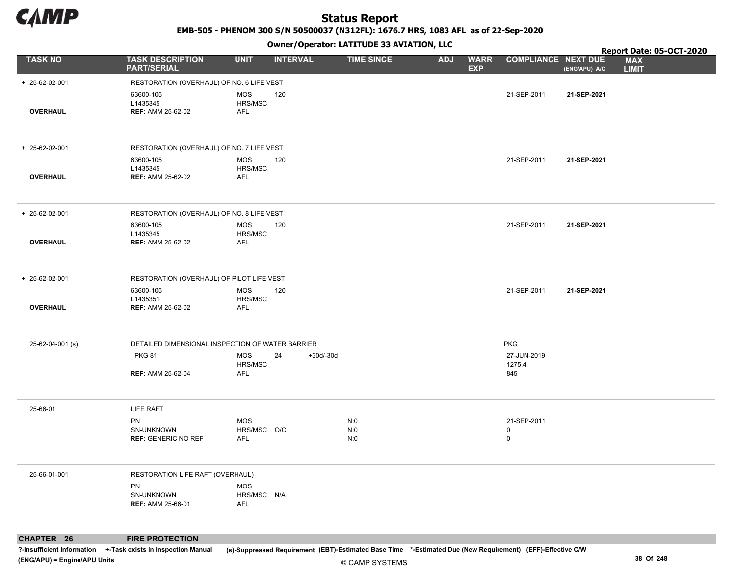

EMB-505 - PHENOM 300 S/N 50500037 (N312FL): 1676.7 HRS, 1083 AFL as of 22-Sep-2020

Owner/Operator: LATITUDE 33 AVIATION, LLC

|                        |                                                   |                                  |                 |                   | Owner / Operator. EATTTODE 33 AVIATION, LLC |            |                           |                            | Report Date: 05-OCT-2020 |                            |  |
|------------------------|---------------------------------------------------|----------------------------------|-----------------|-------------------|---------------------------------------------|------------|---------------------------|----------------------------|--------------------------|----------------------------|--|
| <b>TASK NO</b>         | <b>TASK DESCRIPTION</b><br><b>PART/SERIAL</b>     | <b>UNIT</b>                      | <b>INTERVAL</b> |                   | <b>TIME SINCE</b>                           | <b>ADJ</b> | <b>WARR</b><br><b>EXP</b> | <b>COMPLIANCE NEXT DUE</b> | (ENG/APU) A/C            | <b>MAX</b><br><b>LIMIT</b> |  |
| $+ 25 - 62 - 02 - 001$ | RESTORATION (OVERHAUL) OF NO. 6 LIFE VEST         |                                  |                 |                   |                                             |            |                           |                            |                          |                            |  |
| <b>OVERHAUL</b>        | 63600-105<br>L1435345<br><b>REF: AMM 25-62-02</b> | <b>MOS</b><br>HRS/MSC<br>AFL     | 120             |                   |                                             |            |                           | 21-SEP-2011                | 21-SEP-2021              |                            |  |
|                        |                                                   |                                  |                 |                   |                                             |            |                           |                            |                          |                            |  |
| + 25-62-02-001         | RESTORATION (OVERHAUL) OF NO. 7 LIFE VEST         |                                  |                 |                   |                                             |            |                           |                            |                          |                            |  |
| <b>OVERHAUL</b>        | 63600-105<br>L1435345<br><b>REF: AMM 25-62-02</b> | MOS<br>HRS/MSC<br>AFL            | 120             |                   |                                             |            |                           | 21-SEP-2011                | 21-SEP-2021              |                            |  |
| $+ 25 - 62 - 02 - 001$ | RESTORATION (OVERHAUL) OF NO. 8 LIFE VEST         |                                  |                 |                   |                                             |            |                           |                            |                          |                            |  |
|                        | 63600-105<br>L1435345                             | MOS<br>HRS/MSC                   | 120             |                   |                                             |            |                           | 21-SEP-2011                | 21-SEP-2021              |                            |  |
| <b>OVERHAUL</b>        | <b>REF: AMM 25-62-02</b>                          | AFL                              |                 |                   |                                             |            |                           |                            |                          |                            |  |
| + 25-62-02-001         | RESTORATION (OVERHAUL) OF PILOT LIFE VEST         |                                  |                 |                   |                                             |            |                           |                            |                          |                            |  |
| <b>OVERHAUL</b>        | 63600-105<br>L1435351<br><b>REF: AMM 25-62-02</b> | MOS<br>HRS/MSC<br>AFL            | 120             |                   |                                             |            |                           | 21-SEP-2011                | 21-SEP-2021              |                            |  |
|                        |                                                   |                                  |                 |                   |                                             |            |                           |                            |                          |                            |  |
| 25-62-04-001 (s)       | DETAILED DIMENSIONAL INSPECTION OF WATER BARRIER  |                                  |                 |                   |                                             |            |                           | PKG                        |                          |                            |  |
|                        | <b>PKG 81</b>                                     | MOS<br>HRS/MSC                   | 24              | $+30d/-30d$       |                                             |            |                           | 27-JUN-2019<br>1275.4      |                          |                            |  |
|                        | <b>REF: AMM 25-62-04</b>                          | AFL                              |                 |                   |                                             |            |                           | 845                        |                          |                            |  |
| 25-66-01               | <b>LIFE RAFT</b>                                  |                                  |                 |                   |                                             |            |                           |                            |                          |                            |  |
|                        | PN<br>SN-UNKNOWN<br><b>REF: GENERIC NO REF</b>    | MOS<br>HRS/MSC O/C<br>AFL        |                 | N:0<br>N:0<br>N:0 |                                             |            |                           | 21-SEP-2011<br>0<br>0      |                          |                            |  |
| 25-66-01-001           | RESTORATION LIFE RAFT (OVERHAUL)                  |                                  |                 |                   |                                             |            |                           |                            |                          |                            |  |
|                        | PN<br>SN-UNKNOWN<br><b>REF: AMM 25-66-01</b>      | <b>MOS</b><br>HRS/MSC N/A<br>AFL |                 |                   |                                             |            |                           |                            |                          |                            |  |
|                        |                                                   |                                  |                 |                   |                                             |            |                           |                            |                          |                            |  |

CHAPTER 26 FIRE PROTECTION

?-Insufficient Information +-Task exists in Inspection Manual (s)-Suppressed Requirement (EBT)-Estimated Base Time \*-Estimated Due (New Requirement) (EFF)-Effective C/W (ENG/APU) = Engine/APU Units 38 Of 248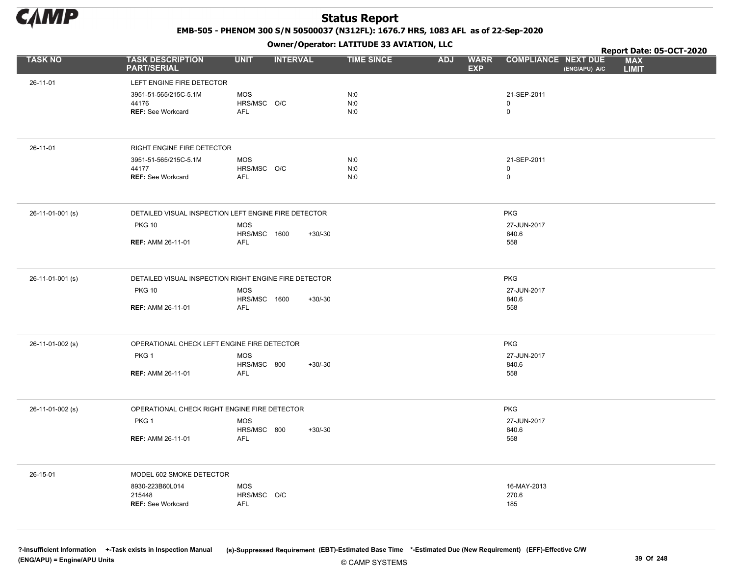

EMB-505 - PHENOM 300 S/N 50500037 (N312FL): 1676.7 HRS, 1083 AFL as of 22-Sep-2020

Owner/Operator: LATITUDE 33 AVIATION, LLC

|                  |                                               | - <i>-</i> - -                                        |                                 |                           |                                             | Report Date: 05-OCT-2020   |
|------------------|-----------------------------------------------|-------------------------------------------------------|---------------------------------|---------------------------|---------------------------------------------|----------------------------|
| <b>TASK NO</b>   | <b>TASK DESCRIPTION</b><br><b>PART/SERIAL</b> | <b>UNIT</b><br><b>INTERVAL</b>                        | <b>TIME SINCE</b><br><b>ADJ</b> | <b>WARR</b><br><b>EXP</b> | <b>COMPLIANCE NEXT DUE</b><br>(ENG/APU) A/C | <b>MAX</b><br><b>LIMIT</b> |
| 26-11-01         | LEFT ENGINE FIRE DETECTOR                     |                                                       |                                 |                           |                                             |                            |
|                  | 3951-51-565/215C-5.1M                         | <b>MOS</b>                                            | N:0                             |                           | 21-SEP-2011                                 |                            |
|                  | 44176                                         | HRS/MSC O/C                                           | N:0                             |                           | 0                                           |                            |
|                  | REF: See Workcard                             | AFL                                                   | N:0                             |                           | 0                                           |                            |
|                  |                                               |                                                       |                                 |                           |                                             |                            |
| 26-11-01         | RIGHT ENGINE FIRE DETECTOR                    |                                                       |                                 |                           |                                             |                            |
|                  | 3951-51-565/215C-5.1M                         | <b>MOS</b>                                            | N:0                             |                           | 21-SEP-2011                                 |                            |
|                  | 44177<br>REF: See Workcard                    | HRS/MSC O/C<br>AFL                                    | N:0<br>N:0                      |                           | 0<br>0                                      |                            |
|                  |                                               |                                                       |                                 |                           |                                             |                            |
| 26-11-01-001 (s) |                                               | DETAILED VISUAL INSPECTION LEFT ENGINE FIRE DETECTOR  |                                 |                           | <b>PKG</b>                                  |                            |
|                  | <b>PKG 10</b>                                 | <b>MOS</b>                                            |                                 |                           | 27-JUN-2017                                 |                            |
|                  | <b>REF: AMM 26-11-01</b>                      | HRS/MSC 1600<br>$+30/-30$<br><b>AFL</b>               |                                 |                           | 840.6<br>558                                |                            |
|                  |                                               |                                                       |                                 |                           |                                             |                            |
| 26-11-01-001 (s) |                                               | DETAILED VISUAL INSPECTION RIGHT ENGINE FIRE DETECTOR |                                 |                           | <b>PKG</b>                                  |                            |
|                  | <b>PKG 10</b>                                 | <b>MOS</b>                                            |                                 |                           | 27-JUN-2017                                 |                            |
|                  |                                               | HRS/MSC 1600<br>$+30/-30$                             |                                 |                           | 840.6                                       |                            |
|                  | <b>REF: AMM 26-11-01</b>                      | <b>AFL</b>                                            |                                 |                           | 558                                         |                            |
| 26-11-01-002 (s) | OPERATIONAL CHECK LEFT ENGINE FIRE DETECTOR   |                                                       |                                 |                           | <b>PKG</b>                                  |                            |
|                  | PKG <sub>1</sub>                              | <b>MOS</b>                                            |                                 |                           | 27-JUN-2017                                 |                            |
|                  |                                               | HRS/MSC 800<br>$+30/-30$                              |                                 |                           | 840.6                                       |                            |
|                  | <b>REF: AMM 26-11-01</b>                      | <b>AFL</b>                                            |                                 |                           | 558                                         |                            |
| 26-11-01-002 (s) | OPERATIONAL CHECK RIGHT ENGINE FIRE DETECTOR  |                                                       |                                 |                           | <b>PKG</b>                                  |                            |
|                  | PKG 1                                         | <b>MOS</b>                                            |                                 |                           | 27-JUN-2017                                 |                            |
|                  |                                               | HRS/MSC 800<br>$+30/-30$                              |                                 |                           | 840.6                                       |                            |
|                  | <b>REF: AMM 26-11-01</b>                      | <b>AFL</b>                                            |                                 |                           | 558                                         |                            |
| 26-15-01         | MODEL 602 SMOKE DETECTOR                      |                                                       |                                 |                           |                                             |                            |
|                  | 8930-223B60L014                               | <b>MOS</b>                                            |                                 |                           | 16-MAY-2013                                 |                            |
|                  | 215448<br>REF: See Workcard                   | HRS/MSC O/C<br>AFL                                    |                                 |                           | 270.6                                       |                            |
|                  |                                               |                                                       |                                 |                           | 185                                         |                            |
|                  |                                               |                                                       |                                 |                           |                                             |                            |
|                  |                                               |                                                       |                                 |                           |                                             |                            |

?-Insufficient Information +-Task exists in Inspection Manual (s)-Suppressed Requirement (EBT)-Estimated Base Time \*-Estimated Due (New Requirement) (EFF)-Effective C/W (ENG/APU) = Engine/APU Units 39 Of 248 and the control of the control of the control of the control of the control of the control of the control of the control of the control of the control of the control of the control o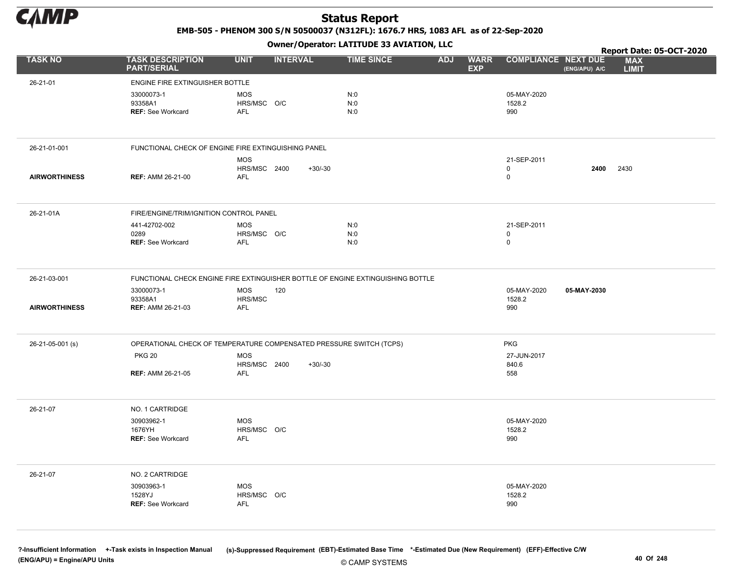

EMB-505 - PHENOM 300 S/N 50500037 (N312FL): 1676.7 HRS, 1083 AFL as of 22-Sep-2020

Owner/Operator: LATITUDE 33 AVIATION, LLC

|                      |                                               | $\cdots$                                                                        |                                 |                                                         | Report Date: 05-OCT-2020                    |
|----------------------|-----------------------------------------------|---------------------------------------------------------------------------------|---------------------------------|---------------------------------------------------------|---------------------------------------------|
| <b>TASK NO</b>       | <b>TASK DESCRIPTION</b><br><b>PART/SERIAL</b> | <b>UNIT</b><br><b>INTERVAL</b>                                                  | <b>TIME SINCE</b><br><b>ADJ</b> | <b>WARR</b><br><b>COMPLIANCE NEXT DUE</b><br><b>EXP</b> | <b>MAX</b><br>(ENG/APU) A/C<br><b>LIMIT</b> |
| 26-21-01             | ENGINE FIRE EXTINGUISHER BOTTLE               |                                                                                 |                                 |                                                         |                                             |
|                      | 33000073-1                                    | <b>MOS</b>                                                                      | N:0                             | 05-MAY-2020                                             |                                             |
|                      | 93358A1                                       | HRS/MSC O/C                                                                     | N:0                             | 1528.2                                                  |                                             |
|                      | <b>REF: See Workcard</b>                      | AFL                                                                             | N:0                             | 990                                                     |                                             |
|                      |                                               |                                                                                 |                                 |                                                         |                                             |
| 26-21-01-001         |                                               | FUNCTIONAL CHECK OF ENGINE FIRE EXTINGUISHING PANEL                             |                                 |                                                         |                                             |
|                      |                                               | <b>MOS</b>                                                                      |                                 | 21-SEP-2011                                             |                                             |
|                      |                                               | HRS/MSC 2400<br>$+30/-30$                                                       |                                 | 0<br>$\mathbf 0$                                        | 2430<br>2400                                |
| <b>AIRWORTHINESS</b> | <b>REF: AMM 26-21-00</b>                      | AFL                                                                             |                                 |                                                         |                                             |
| 26-21-01A            | FIRE/ENGINE/TRIM/IGNITION CONTROL PANEL       |                                                                                 |                                 |                                                         |                                             |
|                      | 441-42702-002                                 | <b>MOS</b>                                                                      | N:0                             | 21-SEP-2011                                             |                                             |
|                      | 0289                                          | HRS/MSC O/C                                                                     | N:0                             | 0<br>$\mathsf{O}\xspace$                                |                                             |
|                      | <b>REF: See Workcard</b>                      | AFL                                                                             | N:0                             |                                                         |                                             |
| 26-21-03-001         |                                               | FUNCTIONAL CHECK ENGINE FIRE EXTINGUISHER BOTTLE OF ENGINE EXTINGUISHING BOTTLE |                                 |                                                         |                                             |
|                      | 33000073-1                                    | <b>MOS</b><br>120                                                               |                                 | 05-MAY-2020                                             | 05-MAY-2030                                 |
| <b>AIRWORTHINESS</b> | 93358A1<br><b>REF: AMM 26-21-03</b>           | HRS/MSC<br>AFL                                                                  |                                 | 1528.2<br>990                                           |                                             |
|                      |                                               |                                                                                 |                                 |                                                         |                                             |
| 26-21-05-001 (s)     |                                               | OPERATIONAL CHECK OF TEMPERATURE COMPENSATED PRESSURE SWITCH (TCPS)             |                                 | <b>PKG</b>                                              |                                             |
|                      | <b>PKG 20</b>                                 | <b>MOS</b>                                                                      |                                 | 27-JUN-2017                                             |                                             |
|                      | <b>REF: AMM 26-21-05</b>                      | HRS/MSC 2400<br>$+30/-30$<br><b>AFL</b>                                         |                                 | 840.6<br>558                                            |                                             |
|                      |                                               |                                                                                 |                                 |                                                         |                                             |
| 26-21-07             | NO. 1 CARTRIDGE                               |                                                                                 |                                 |                                                         |                                             |
|                      | 30903962-1<br>1676YH                          | <b>MOS</b>                                                                      |                                 | 05-MAY-2020                                             |                                             |
|                      | <b>REF: See Workcard</b>                      | HRS/MSC O/C<br><b>AFL</b>                                                       |                                 | 1528.2<br>990                                           |                                             |
|                      |                                               |                                                                                 |                                 |                                                         |                                             |
| 26-21-07             | NO. 2 CARTRIDGE                               |                                                                                 |                                 |                                                         |                                             |
|                      | 30903963-1<br>1528YJ                          | <b>MOS</b><br>HRS/MSC O/C                                                       |                                 | 05-MAY-2020<br>1528.2                                   |                                             |
|                      | <b>REF: See Workcard</b>                      | <b>AFL</b>                                                                      |                                 | 990                                                     |                                             |
|                      |                                               |                                                                                 |                                 |                                                         |                                             |
|                      |                                               |                                                                                 |                                 |                                                         |                                             |

© CAMP SYSTEMS ?-Insufficient Information +-Task exists in Inspection Manual (s)-Suppressed Requirement (EBT)-Estimated Base Time \*-Estimated Due (New Requirement) (EFF)-Effective C/W (ENG/APU) = Engine/APU Units 40 Of 248 and the control of 248 and the control of 248 and the control of 248 and the control of 248 and the control of 248 and the control of 248 and the control of 248 and the control of 24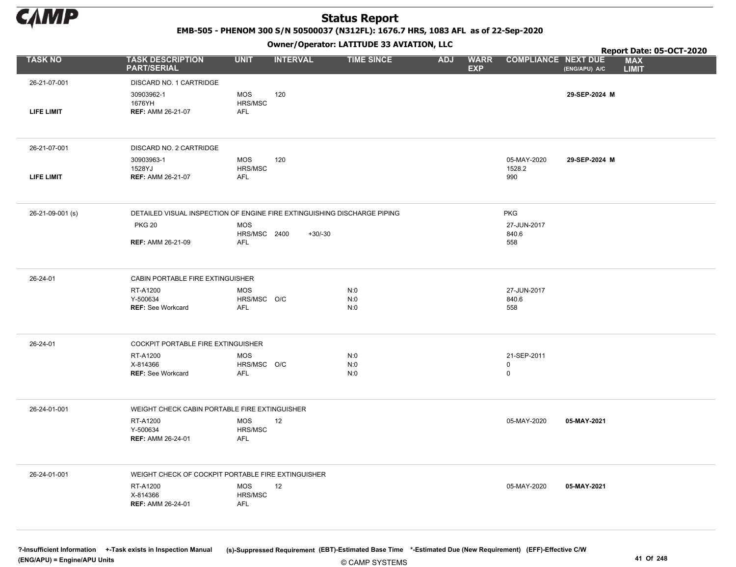

EMB-505 - PHENOM 300 S/N 50500037 (N312FL): 1676.7 HRS, 1083 AFL as of 22-Sep-2020

Owner/Operator: LATITUDE 33 AVIATION, LLC

|                   |                                                                          |                            | .               |                   |            |                           |                            |               | Report Date: 05-OCT-2020   |
|-------------------|--------------------------------------------------------------------------|----------------------------|-----------------|-------------------|------------|---------------------------|----------------------------|---------------|----------------------------|
| <b>TASK NO</b>    | <b>TASK DESCRIPTION</b><br><b>PART/SERIAL</b>                            | <b>UNIT</b>                | <b>INTERVAL</b> | <b>TIME SINCE</b> | <b>ADJ</b> | <b>WARR</b><br><b>EXP</b> | <b>COMPLIANCE NEXT DUE</b> | (ENG/APU) A/C | <b>MAX</b><br><b>LIMIT</b> |
| 26-21-07-001      | DISCARD NO. 1 CARTRIDGE                                                  |                            |                 |                   |            |                           |                            |               |                            |
| <b>LIFE LIMIT</b> | 30903962-1<br>1676YH<br><b>REF: AMM 26-21-07</b>                         | MOS<br>HRS/MSC<br>AFL      | 120             |                   |            |                           |                            | 29-SEP-2024 M |                            |
| 26-21-07-001      | DISCARD NO. 2 CARTRIDGE                                                  |                            |                 |                   |            |                           |                            |               |                            |
|                   | 30903963-1                                                               | MOS                        | 120             |                   |            |                           | 05-MAY-2020                | 29-SEP-2024 M |                            |
|                   | 1528YJ                                                                   | HRS/MSC                    |                 |                   |            |                           | 1528.2                     |               |                            |
| LIFE LIMIT        | <b>REF: AMM 26-21-07</b>                                                 | AFL                        |                 |                   |            |                           | 990                        |               |                            |
|                   |                                                                          |                            |                 |                   |            |                           |                            |               |                            |
| 26-21-09-001 (s)  | DETAILED VISUAL INSPECTION OF ENGINE FIRE EXTINGUISHING DISCHARGE PIPING |                            |                 |                   |            |                           | <b>PKG</b>                 |               |                            |
|                   | <b>PKG 20</b>                                                            | <b>MOS</b>                 |                 |                   |            |                           | 27-JUN-2017                |               |                            |
|                   | <b>REF: AMM 26-21-09</b>                                                 | HRS/MSC 2400<br><b>AFL</b> | $+30/-30$       |                   |            |                           | 840.6<br>558               |               |                            |
|                   |                                                                          |                            |                 |                   |            |                           |                            |               |                            |
|                   |                                                                          |                            |                 |                   |            |                           |                            |               |                            |
| 26-24-01          | CABIN PORTABLE FIRE EXTINGUISHER                                         |                            |                 |                   |            |                           |                            |               |                            |
|                   | RT-A1200<br>Y-500634                                                     | <b>MOS</b><br>HRS/MSC O/C  |                 | N:0<br>N:0        |            |                           | 27-JUN-2017<br>840.6       |               |                            |
|                   | <b>REF: See Workcard</b>                                                 | <b>AFL</b>                 |                 | N:0               |            |                           | 558                        |               |                            |
|                   |                                                                          |                            |                 |                   |            |                           |                            |               |                            |
|                   |                                                                          |                            |                 |                   |            |                           |                            |               |                            |
| 26-24-01          | COCKPIT PORTABLE FIRE EXTINGUISHER                                       |                            |                 |                   |            |                           |                            |               |                            |
|                   | RT-A1200<br>X-814366                                                     | <b>MOS</b><br>HRS/MSC O/C  |                 | N:0<br>N:0        |            |                           | 21-SEP-2011<br>0           |               |                            |
|                   | <b>REF: See Workcard</b>                                                 | AFL                        |                 | N:0               |            |                           | $\mathbf 0$                |               |                            |
|                   |                                                                          |                            |                 |                   |            |                           |                            |               |                            |
| 26-24-01-001      | WEIGHT CHECK CABIN PORTABLE FIRE EXTINGUISHER                            |                            |                 |                   |            |                           |                            |               |                            |
|                   | RT-A1200                                                                 | MOS                        | 12              |                   |            |                           | 05-MAY-2020                | 05-MAY-2021   |                            |
|                   | Y-500634                                                                 | HRS/MSC                    |                 |                   |            |                           |                            |               |                            |
|                   | <b>REF: AMM 26-24-01</b>                                                 | <b>AFL</b>                 |                 |                   |            |                           |                            |               |                            |
|                   |                                                                          |                            |                 |                   |            |                           |                            |               |                            |
| 26-24-01-001      | WEIGHT CHECK OF COCKPIT PORTABLE FIRE EXTINGUISHER                       |                            |                 |                   |            |                           |                            |               |                            |
|                   | RT-A1200<br>X-814366                                                     | MOS<br>HRS/MSC             | 12              |                   |            |                           | 05-MAY-2020                | 05-MAY-2021   |                            |
|                   | <b>REF: AMM 26-24-01</b>                                                 | <b>AFL</b>                 |                 |                   |            |                           |                            |               |                            |
|                   |                                                                          |                            |                 |                   |            |                           |                            |               |                            |
|                   |                                                                          |                            |                 |                   |            |                           |                            |               |                            |

© CAMP SYSTEMS ?-Insufficient Information +-Task exists in Inspection Manual (s)-Suppressed Requirement (EBT)-Estimated Base Time \*-Estimated Due (New Requirement) (EFF)-Effective C/W (ENG/APU) = Engine/APU Units 41 Of 248 and the control of the control of the control of the control of the control of the control of the control of the control of the control of the control of the control of the control o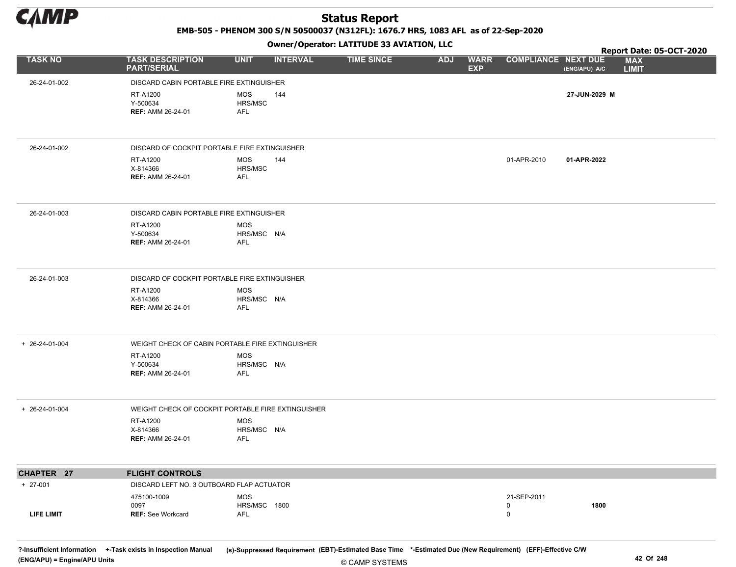

EMB-505 - PHENOM 300 S/N 50500037 (N312FL): 1676.7 HRS, 1083 AFL as of 22-Sep-2020

Owner/Operator: LATITUDE 33 AVIATION, LLC

|                   |                                                    |                                  | .               |                   |            |                           |                            |               | Report Date: 05-OCT-2020   |
|-------------------|----------------------------------------------------|----------------------------------|-----------------|-------------------|------------|---------------------------|----------------------------|---------------|----------------------------|
| <b>TASK NO</b>    | <b>TASK DESCRIPTION</b><br><b>PART/SERIAL</b>      | <b>UNIT</b>                      | <b>INTERVAL</b> | <b>TIME SINCE</b> | <b>ADJ</b> | <b>WARR</b><br><b>EXP</b> | <b>COMPLIANCE NEXT DUE</b> | (ENG/APU) A/C | <b>MAX</b><br><b>LIMIT</b> |
| 26-24-01-002      | DISCARD CABIN PORTABLE FIRE EXTINGUISHER           |                                  |                 |                   |            |                           |                            |               |                            |
|                   | RT-A1200<br>Y-500634<br><b>REF: AMM 26-24-01</b>   | MOS<br>HRS/MSC<br>AFL            | 144             |                   |            |                           |                            | 27-JUN-2029 M |                            |
| 26-24-01-002      | DISCARD OF COCKPIT PORTABLE FIRE EXTINGUISHER      |                                  |                 |                   |            |                           |                            |               |                            |
|                   | RT-A1200<br>X-814366<br><b>REF: AMM 26-24-01</b>   | MOS<br>HRS/MSC<br>AFL            | 144             |                   |            |                           | 01-APR-2010                | 01-APR-2022   |                            |
| 26-24-01-003      | DISCARD CABIN PORTABLE FIRE EXTINGUISHER           |                                  |                 |                   |            |                           |                            |               |                            |
|                   | RT-A1200<br>Y-500634<br><b>REF: AMM 26-24-01</b>   | <b>MOS</b><br>HRS/MSC N/A<br>AFL |                 |                   |            |                           |                            |               |                            |
| 26-24-01-003      | DISCARD OF COCKPIT PORTABLE FIRE EXTINGUISHER      |                                  |                 |                   |            |                           |                            |               |                            |
|                   | RT-A1200<br>X-814366<br><b>REF: AMM 26-24-01</b>   | MOS<br>HRS/MSC N/A<br>AFL        |                 |                   |            |                           |                            |               |                            |
| + 26-24-01-004    | WEIGHT CHECK OF CABIN PORTABLE FIRE EXTINGUISHER   |                                  |                 |                   |            |                           |                            |               |                            |
|                   | RT-A1200<br>Y-500634<br><b>REF: AMM 26-24-01</b>   | MOS<br>HRS/MSC N/A<br><b>AFL</b> |                 |                   |            |                           |                            |               |                            |
| + 26-24-01-004    | WEIGHT CHECK OF COCKPIT PORTABLE FIRE EXTINGUISHER |                                  |                 |                   |            |                           |                            |               |                            |
|                   | RT-A1200<br>X-814366<br><b>REF: AMM 26-24-01</b>   | <b>MOS</b><br>HRS/MSC N/A<br>AFL |                 |                   |            |                           |                            |               |                            |
| CHAPTER 27        | <b>FLIGHT CONTROLS</b>                             |                                  |                 |                   |            |                           |                            |               |                            |
| $+ 27-001$        | DISCARD LEFT NO. 3 OUTBOARD FLAP ACTUATOR          |                                  |                 |                   |            |                           |                            |               |                            |
|                   | 475100-1009<br>0097                                | MOS<br>HRS/MSC 1800              |                 |                   |            |                           | 21-SEP-2011<br>0           | 1800          |                            |
| <b>LIFE LIMIT</b> | <b>REF: See Workcard</b>                           | AFL                              |                 |                   |            |                           | 0                          |               |                            |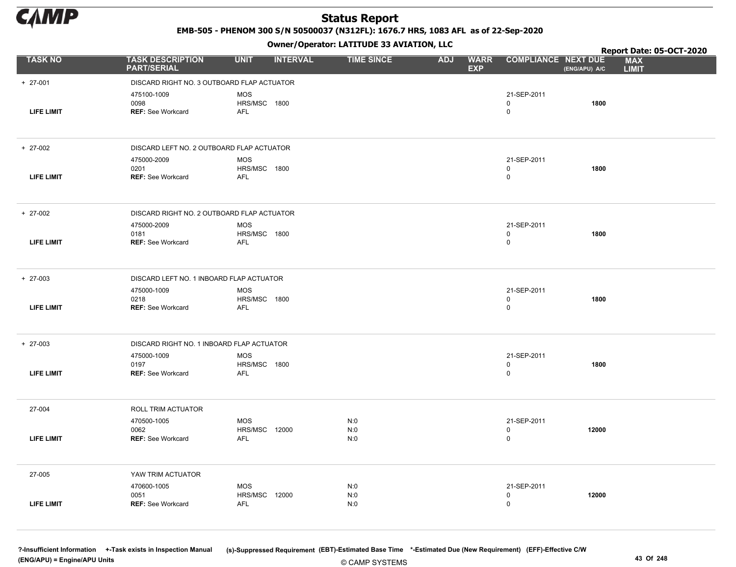

EMB-505 - PHENOM 300 S/N 50500037 (N312FL): 1676.7 HRS, 1083 AFL as of 22-Sep-2020

Owner/Operator: LATITUDE 33 AVIATION, LLC

|                   |                                               |                                | Owner/Operator. EATITODE 33 AVIATION, LLC |                                         |                             | Report Date: 05-OCT-2020 |                            |
|-------------------|-----------------------------------------------|--------------------------------|-------------------------------------------|-----------------------------------------|-----------------------------|--------------------------|----------------------------|
| <b>TASK NO</b>    | <b>TASK DESCRIPTION</b><br><b>PART/SERIAL</b> | <b>UNIT</b><br><b>INTERVAL</b> | <b>TIME SINCE</b>                         | <b>ADJ</b><br><b>WARR</b><br><b>EXP</b> | <b>COMPLIANCE NEXT DUE</b>  | (ENG/APU) A/C            | <b>MAX</b><br><b>LIMIT</b> |
| $+ 27-001$        | DISCARD RIGHT NO. 3 OUTBOARD FLAP ACTUATOR    |                                |                                           |                                         |                             |                          |                            |
|                   | 475100-1009                                   | <b>MOS</b>                     |                                           |                                         | 21-SEP-2011                 |                          |                            |
| <b>LIFE LIMIT</b> | 0098<br><b>REF: See Workcard</b>              | HRS/MSC 1800<br><b>AFL</b>     |                                           |                                         | 0<br>$\mathsf{O}$           | 1800                     |                            |
|                   |                                               |                                |                                           |                                         |                             |                          |                            |
| $+ 27-002$        | DISCARD LEFT NO. 2 OUTBOARD FLAP ACTUATOR     |                                |                                           |                                         |                             |                          |                            |
|                   | 475000-2009                                   | <b>MOS</b>                     |                                           |                                         | 21-SEP-2011                 |                          |                            |
| <b>LIFE LIMIT</b> | 0201<br><b>REF: See Workcard</b>              | HRS/MSC 1800<br>AFL            |                                           |                                         | 0<br>0                      | 1800                     |                            |
|                   |                                               |                                |                                           |                                         |                             |                          |                            |
| $+ 27-002$        | DISCARD RIGHT NO. 2 OUTBOARD FLAP ACTUATOR    |                                |                                           |                                         |                             |                          |                            |
|                   | 475000-2009                                   | <b>MOS</b>                     |                                           |                                         | 21-SEP-2011                 |                          |                            |
| <b>LIFE LIMIT</b> | 0181<br><b>REF: See Workcard</b>              | HRS/MSC 1800<br>AFL            |                                           |                                         | 0<br>0                      | 1800                     |                            |
|                   |                                               |                                |                                           |                                         |                             |                          |                            |
| $+ 27-003$        | DISCARD LEFT NO. 1 INBOARD FLAP ACTUATOR      |                                |                                           |                                         |                             |                          |                            |
|                   | 475000-1009                                   | MOS                            |                                           |                                         | 21-SEP-2011                 |                          |                            |
| <b>LIFE LIMIT</b> | 0218<br>REF: See Workcard                     | HRS/MSC 1800<br><b>AFL</b>     |                                           |                                         | 0<br>$\mathbf 0$            | 1800                     |                            |
|                   |                                               |                                |                                           |                                         |                             |                          |                            |
| $+ 27-003$        | DISCARD RIGHT NO. 1 INBOARD FLAP ACTUATOR     |                                |                                           |                                         |                             |                          |                            |
|                   | 475000-1009                                   | <b>MOS</b>                     |                                           |                                         | 21-SEP-2011                 |                          |                            |
| LIFE LIMIT        | 0197<br><b>REF: See Workcard</b>              | HRS/MSC 1800<br><b>AFL</b>     |                                           |                                         | 0<br>$\mathsf{O}$           | 1800                     |                            |
|                   |                                               |                                |                                           |                                         |                             |                          |                            |
| 27-004            | ROLL TRIM ACTUATOR                            |                                |                                           |                                         |                             |                          |                            |
|                   | 470500-1005                                   | <b>MOS</b>                     | N:0                                       |                                         | 21-SEP-2011                 |                          |                            |
| <b>LIFE LIMIT</b> | 0062<br><b>REF: See Workcard</b>              | HRS/MSC 12000<br><b>AFL</b>    | N:0<br>N:0                                |                                         | $\mathbf 0$<br>$\mathsf{O}$ | 12000                    |                            |
|                   |                                               |                                |                                           |                                         |                             |                          |                            |
| 27-005            | YAW TRIM ACTUATOR                             |                                |                                           |                                         |                             |                          |                            |
|                   | 470600-1005                                   | MOS                            | N:0                                       |                                         | 21-SEP-2011                 |                          |                            |
| <b>LIFE LIMIT</b> | 0051<br><b>REF: See Workcard</b>              | HRS/MSC 12000<br>AFL           | N:0<br>N:0                                |                                         | 0<br>$\mathbf 0$            | 12000                    |                            |
|                   |                                               |                                |                                           |                                         |                             |                          |                            |
|                   |                                               |                                |                                           |                                         |                             |                          |                            |

© CAMP SYSTEMS ?-Insufficient Information +-Task exists in Inspection Manual (s)-Suppressed Requirement (EBT)-Estimated Base Time \*-Estimated Due (New Requirement) (EFF)-Effective C/W (ENG/APU) = Engine/APU Units 43 Of 248 and the control of the control of the control of the control of the control of the control of the control of the control of the control of the control of the control of the control o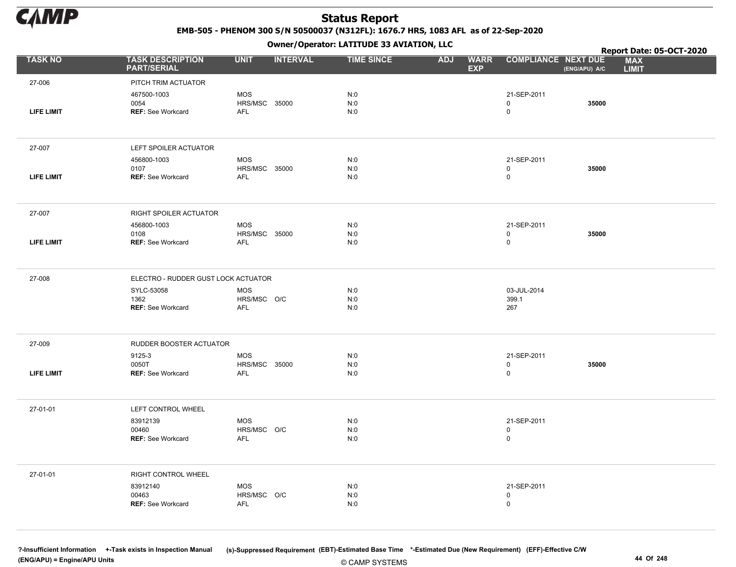

EMB-505 - PHENOM 300 S/N 50500037 (N312FL): 1676.7 HRS, 1083 AFL as of 22-Sep-2020

Owner/Operator: LATITUDE 33 AVIATION, LLC

|                   |                                                                                       |                                           | Owner / Operator: EATITODE 33 AVIATION, LLC |                                         |                                  | Report Date: 05-OCT-2020 |                            |
|-------------------|---------------------------------------------------------------------------------------|-------------------------------------------|---------------------------------------------|-----------------------------------------|----------------------------------|--------------------------|----------------------------|
| <b>TASK NO</b>    | <b>TASK DESCRIPTION</b><br><b>PART/SERIAL</b>                                         | <b>UNIT</b><br><b>INTERVAL</b>            | <b>TIME SINCE</b>                           | <b>ADJ</b><br><b>WARR</b><br><b>EXP</b> | <b>COMPLIANCE NEXT DUE</b>       | (ENG/APU) A/C            | <b>MAX</b><br><b>LIMIT</b> |
| 27-006            | PITCH TRIM ACTUATOR                                                                   |                                           |                                             |                                         |                                  |                          |                            |
| LIFE LIMIT        | 467500-1003<br>0054<br><b>REF: See Workcard</b>                                       | MOS<br>HRS/MSC 35000<br><b>AFL</b>        | N:0<br>N:0<br>N:0                           |                                         | 21-SEP-2011<br>0<br>$\mathsf{O}$ | 35000                    |                            |
| 27-007            | LEFT SPOILER ACTUATOR                                                                 |                                           |                                             |                                         |                                  |                          |                            |
| <b>LIFE LIMIT</b> | 456800-1003<br>0107<br><b>REF: See Workcard</b>                                       | <b>MOS</b><br>HRS/MSC 35000<br><b>AFL</b> | N:0<br>N:0<br>N:0                           |                                         | 21-SEP-2011<br>0<br>0            | 35000                    |                            |
| 27-007            | RIGHT SPOILER ACTUATOR                                                                |                                           |                                             |                                         |                                  |                          |                            |
| <b>LIFE LIMIT</b> | 456800-1003<br>0108<br><b>REF: See Workcard</b>                                       | <b>MOS</b><br>HRS/MSC 35000<br><b>AFL</b> | N:0<br>N:0<br>N:0                           |                                         | 21-SEP-2011<br>0<br>$\mathsf{O}$ | 35000                    |                            |
|                   |                                                                                       |                                           |                                             |                                         |                                  |                          |                            |
| 27-008            | ELECTRO - RUDDER GUST LOCK ACTUATOR<br>SYLC-53058<br>1362<br><b>REF: See Workcard</b> | MOS<br>HRS/MSC O/C<br><b>AFL</b>          | N:0<br>N:0<br>N:0                           |                                         | 03-JUL-2014<br>399.1<br>267      |                          |                            |
| 27-009            | RUDDER BOOSTER ACTUATOR                                                               |                                           |                                             |                                         |                                  |                          |                            |
| LIFE LIMIT        | 9125-3<br>0050T<br>REF: See Workcard                                                  | <b>MOS</b><br>HRS/MSC 35000<br><b>AFL</b> | N:0<br>N:0<br>N:0                           |                                         | 21-SEP-2011<br>$\pmb{0}$<br>0    | 35000                    |                            |
| 27-01-01          | LEFT CONTROL WHEEL                                                                    |                                           |                                             |                                         |                                  |                          |                            |
|                   | 83912139<br>00460<br>REF: See Workcard                                                | MOS<br>HRS/MSC O/C<br><b>AFL</b>          | N:0<br>N:0<br>N:0                           |                                         | 21-SEP-2011<br>0<br>$\mathsf{O}$ |                          |                            |
| 27-01-01          | RIGHT CONTROL WHEEL                                                                   |                                           |                                             |                                         |                                  |                          |                            |
|                   | 83912140<br>00463<br><b>REF: See Workcard</b>                                         | <b>MOS</b><br>HRS/MSC O/C<br><b>AFL</b>   | N:0<br>N:0<br>N:0                           |                                         | 21-SEP-2011<br>0<br>0            |                          |                            |

© CAMP SYSTEMS ?-Insufficient Information +-Task exists in Inspection Manual (s)-Suppressed Requirement (EBT)-Estimated Base Time \*-Estimated Due (New Requirement) (EFF)-Effective C/W (ENG/APU) = Engine/APU Units 44 Of 248 and the control of the control of the control of the control of the control of the control of the control of the control of the control of the control of the control of the control o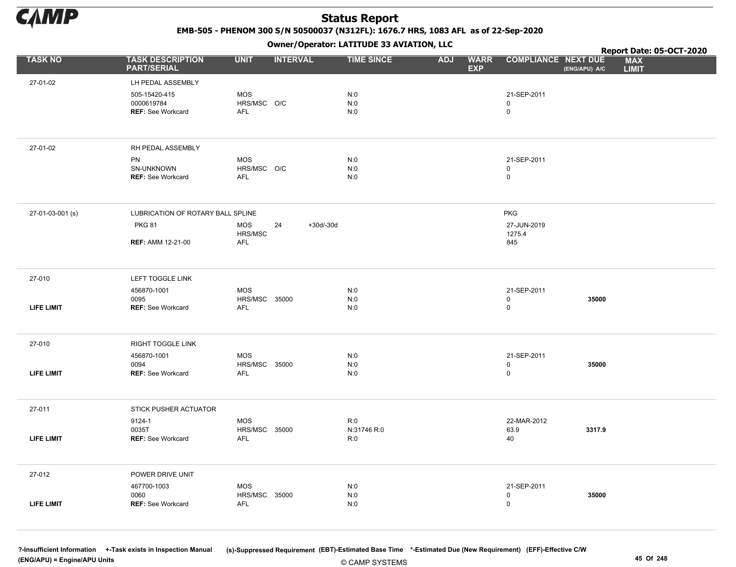

EMB-505 - PHENOM 300 S/N 50500037 (N312FL): 1676.7 HRS, 1083 AFL as of 22-Sep-2020

Owner/Operator: LATITUDE 33 AVIATION, LLC

|                   |                                                         |                                         |                   | Owner/Operator. EATITODE 33 AVIATION, LLC |            | Report Date: 05-OCT-2020  |                                         |               |                            |
|-------------------|---------------------------------------------------------|-----------------------------------------|-------------------|-------------------------------------------|------------|---------------------------|-----------------------------------------|---------------|----------------------------|
| <b>TASK NO</b>    | <b>TASK DESCRIPTION</b><br><b>PART/SERIAL</b>           | <b>UNIT</b>                             | <b>INTERVAL</b>   | <b>TIME SINCE</b>                         | <b>ADJ</b> | <b>WARR</b><br><b>EXP</b> | <b>COMPLIANCE NEXT DUE</b>              | (ENG/APU) A/C | <b>MAX</b><br><b>LIMIT</b> |
| 27-01-02          | LH PEDAL ASSEMBLY                                       |                                         |                   |                                           |            |                           |                                         |               |                            |
|                   | 505-15420-415<br>0000619784<br><b>REF: See Workcard</b> | <b>MOS</b><br>HRS/MSC O/C<br><b>AFL</b> |                   | N:0<br>N:0<br>N:0                         |            |                           | 21-SEP-2011<br>0<br>0                   |               |                            |
| 27-01-02          | RH PEDAL ASSEMBLY                                       |                                         |                   |                                           |            |                           |                                         |               |                            |
|                   | PN<br>SN-UNKNOWN<br><b>REF: See Workcard</b>            | <b>MOS</b><br>HRS/MSC O/C<br><b>AFL</b> |                   | N:0<br>N:0<br>N:0                         |            |                           | 21-SEP-2011<br>0<br>$\mathsf{O}\xspace$ |               |                            |
| 27-01-03-001 (s)  | LUBRICATION OF ROTARY BALL SPLINE                       |                                         |                   |                                           |            |                           | <b>PKG</b>                              |               |                            |
|                   | <b>PKG 81</b><br><b>REF: AMM 12-21-00</b>               | MOS<br>HRS/MSC<br><b>AFL</b>            | 24<br>$+30d/-30d$ |                                           |            |                           | 27-JUN-2019<br>1275.4<br>845            |               |                            |
|                   |                                                         |                                         |                   |                                           |            |                           |                                         |               |                            |
| 27-010            | LEFT TOGGLE LINK                                        |                                         |                   |                                           |            |                           |                                         |               |                            |
| <b>LIFE LIMIT</b> | 456870-1001<br>0095<br><b>REF: See Workcard</b>         | <b>MOS</b><br>HRS/MSC 35000<br>AFL      |                   | N:0<br>$N:0$<br>N:0                       |            |                           | 21-SEP-2011<br>0<br>0                   | 35000         |                            |
| 27-010            | RIGHT TOGGLE LINK                                       |                                         |                   |                                           |            |                           |                                         |               |                            |
| <b>LIFE LIMIT</b> | 456870-1001<br>0094<br><b>REF: See Workcard</b>         | <b>MOS</b><br>HRS/MSC 35000<br>AFL      |                   | N:0<br>N:0<br>N:0                         |            |                           | 21-SEP-2011<br>0<br>0                   | 35000         |                            |
|                   |                                                         |                                         |                   |                                           |            |                           |                                         |               |                            |
| 27-011            | STICK PUSHER ACTUATOR                                   |                                         |                   |                                           |            |                           |                                         |               |                            |
| <b>LIFE LIMIT</b> | 9124-1<br>0035T<br><b>REF: See Workcard</b>             | <b>MOS</b><br>HRS/MSC 35000<br>AFL      |                   | R:0<br>N:31746 R:0<br>R:0                 |            |                           | 22-MAR-2012<br>63.9<br>40               | 3317.9        |                            |
| 27-012            | POWER DRIVE UNIT                                        |                                         |                   |                                           |            |                           |                                         |               |                            |
| <b>LIFE LIMIT</b> | 467700-1003<br>0060<br>REF: See Workcard                | <b>MOS</b><br>HRS/MSC 35000<br>AFL      |                   | N:0<br>N:0<br>N:0                         |            |                           | 21-SEP-2011<br>0<br>0                   | 35000         |                            |

© CAMP SYSTEMS ?-Insufficient Information +-Task exists in Inspection Manual (s)-Suppressed Requirement (EBT)-Estimated Base Time \*-Estimated Due (New Requirement) (EFF)-Effective C/W (ENG/APU) = Engine/APU Units 45 Of 248 and the control of 248 and the control of 248 and the control of 248 and the control of 248 and the control of 248 and the control of 248 and the control of 248 and the control of 24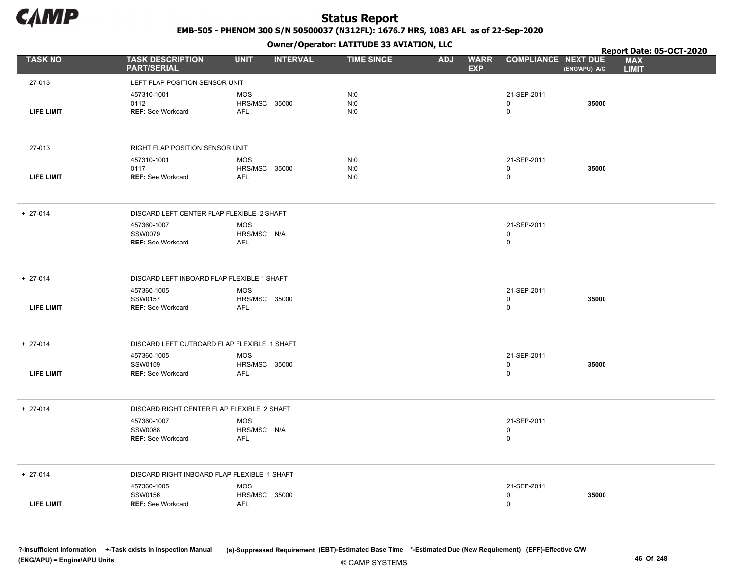

EMB-505 - PHENOM 300 S/N 50500037 (N312FL): 1676.7 HRS, 1083 AFL as of 22-Sep-2020

Owner/Operator: LATITUDE 33 AVIATION, LLC

|                   |                                               | .                                  |                   |                                         |                            |               | Report Date: 05-OCT-2020   |
|-------------------|-----------------------------------------------|------------------------------------|-------------------|-----------------------------------------|----------------------------|---------------|----------------------------|
| <b>TASK NO</b>    | <b>TASK DESCRIPTION</b><br><b>PART/SERIAL</b> | <b>UNIT</b><br><b>INTERVAL</b>     | <b>TIME SINCE</b> | <b>WARR</b><br><b>ADJ</b><br><b>EXP</b> | <b>COMPLIANCE NEXT DUE</b> | (ENG/APU) A/C | <b>MAX</b><br><b>LIMIT</b> |
| 27-013            | LEFT FLAP POSITION SENSOR UNIT                |                                    |                   |                                         |                            |               |                            |
|                   | 457310-1001                                   | <b>MOS</b>                         | N:0               |                                         | 21-SEP-2011                |               |                            |
|                   | 0112                                          | HRS/MSC 35000                      | N:0               |                                         | $\mathbf 0$                | 35000         |                            |
| <b>LIFE LIMIT</b> | <b>REF: See Workcard</b>                      | AFL                                | N:0               |                                         | $\mathsf 0$                |               |                            |
| 27-013            | RIGHT FLAP POSITION SENSOR UNIT               |                                    |                   |                                         |                            |               |                            |
|                   | 457310-1001                                   | <b>MOS</b>                         | N:0               |                                         | 21-SEP-2011                |               |                            |
| <b>LIFE LIMIT</b> | 0117<br><b>REF: See Workcard</b>              | <b>HRS/MSC 35000</b><br><b>AFL</b> | N:0<br>N:0        |                                         | $\mathbf 0$<br>$\mathsf 0$ | 35000         |                            |
|                   |                                               |                                    |                   |                                         |                            |               |                            |
| $+ 27-014$        | DISCARD LEFT CENTER FLAP FLEXIBLE 2 SHAFT     |                                    |                   |                                         |                            |               |                            |
|                   | 457360-1007<br><b>SSW0079</b>                 | <b>MOS</b><br>HRS/MSC N/A          |                   |                                         | 21-SEP-2011<br>$\mathbf 0$ |               |                            |
|                   | <b>REF: See Workcard</b>                      | AFL                                |                   |                                         | $\mathsf 0$                |               |                            |
|                   |                                               |                                    |                   |                                         |                            |               |                            |
| $+ 27-014$        | DISCARD LEFT INBOARD FLAP FLEXIBLE 1 SHAFT    |                                    |                   |                                         |                            |               |                            |
|                   | 457360-1005                                   | <b>MOS</b>                         |                   |                                         | 21-SEP-2011                |               |                            |
| <b>LIFE LIMIT</b> | SSW0157<br><b>REF: See Workcard</b>           | HRS/MSC 35000<br><b>AFL</b>        |                   |                                         | $\mathbf 0$<br>$\mathbf 0$ | 35000         |                            |
|                   |                                               |                                    |                   |                                         |                            |               |                            |
| $+ 27-014$        | DISCARD LEFT OUTBOARD FLAP FLEXIBLE 1 SHAFT   |                                    |                   |                                         |                            |               |                            |
|                   | 457360-1005                                   | MOS                                |                   |                                         | 21-SEP-2011                |               |                            |
| <b>LIFE LIMIT</b> | SSW0159<br><b>REF: See Workcard</b>           | HRS/MSC 35000<br>AFL               |                   |                                         | $\mathbf 0$<br>$\mathsf 0$ | 35000         |                            |
|                   |                                               |                                    |                   |                                         |                            |               |                            |
| $+ 27-014$        | DISCARD RIGHT CENTER FLAP FLEXIBLE 2 SHAFT    |                                    |                   |                                         |                            |               |                            |
|                   | 457360-1007                                   | <b>MOS</b>                         |                   |                                         | 21-SEP-2011                |               |                            |
|                   | <b>SSW0088</b><br><b>REF: See Workcard</b>    | HRS/MSC N/A<br>AFL                 |                   |                                         | $\mathbf 0$<br>$\mathbf 0$ |               |                            |
|                   |                                               |                                    |                   |                                         |                            |               |                            |
| $+ 27-014$        | DISCARD RIGHT INBOARD FLAP FLEXIBLE 1 SHAFT   |                                    |                   |                                         |                            |               |                            |
|                   | 457360-1005                                   | <b>MOS</b>                         |                   |                                         | 21-SEP-2011                |               |                            |
| <b>LIFE LIMIT</b> | SSW0156<br><b>REF: See Workcard</b>           | HRS/MSC 35000<br><b>AFL</b>        |                   |                                         | $\mathbf 0$<br>$\mathbf 0$ | 35000         |                            |
|                   |                                               |                                    |                   |                                         |                            |               |                            |
|                   |                                               |                                    |                   |                                         |                            |               |                            |

© CAMP SYSTEMS ?-Insufficient Information +-Task exists in Inspection Manual (s)-Suppressed Requirement (EBT)-Estimated Base Time \*-Estimated Due (New Requirement) (EFF)-Effective C/W (ENG/APU) = Engine/APU Units 46 Of 248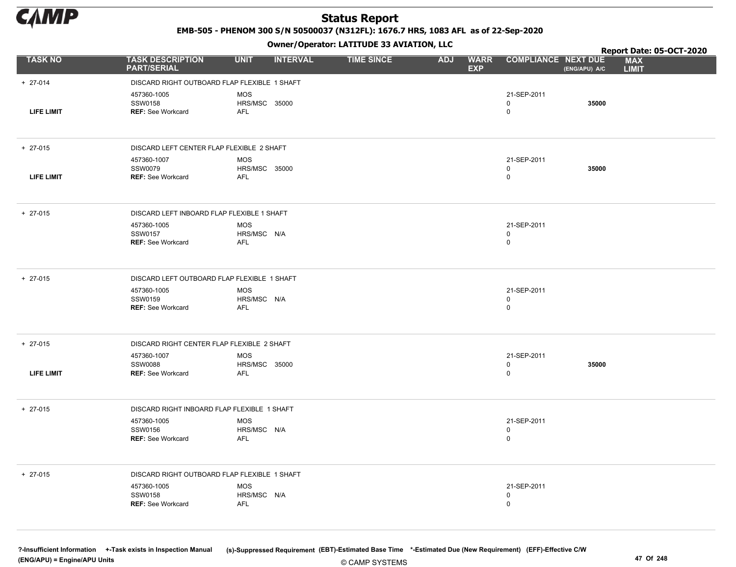

EMB-505 - PHENOM 300 S/N 50500037 (N312FL): 1676.7 HRS, 1083 AFL as of 22-Sep-2020

Owner/Operator: LATITUDE 33 AVIATION, LLC

|                   |                                                           |                                           | - - -           |                   |                                         |                                  | Report Date: 05-OCT-2020                    |
|-------------------|-----------------------------------------------------------|-------------------------------------------|-----------------|-------------------|-----------------------------------------|----------------------------------|---------------------------------------------|
| <b>TASK NO</b>    | <b>TASK DESCRIPTION</b><br><b>PART/SERIAL</b>             | <b>UNIT</b>                               | <b>INTERVAL</b> | <b>TIME SINCE</b> | <b>WARR</b><br><b>ADJ</b><br><b>EXP</b> | <b>COMPLIANCE NEXT DUE</b>       | <b>MAX</b><br>(ENG/APU) A/C<br><b>LIMIT</b> |
| $+ 27-014$        | DISCARD RIGHT OUTBOARD FLAP FLEXIBLE 1 SHAFT              |                                           |                 |                   |                                         |                                  |                                             |
| <b>LIFE LIMIT</b> | 457360-1005<br>SSW0158<br><b>REF: See Workcard</b>        | <b>MOS</b><br>HRS/MSC 35000<br><b>AFL</b> |                 |                   |                                         | 21-SEP-2011<br>0<br>$\mathbf 0$  | 35000                                       |
| $+ 27-015$        | DISCARD LEFT CENTER FLAP FLEXIBLE 2 SHAFT                 |                                           |                 |                   |                                         |                                  |                                             |
| LIFE LIMIT        | 457360-1007<br><b>SSW0079</b><br><b>REF: See Workcard</b> | <b>MOS</b><br><b>HRS/MSC 35000</b><br>AFL |                 |                   |                                         | 21-SEP-2011<br>0<br>$\mathsf{O}$ | 35000                                       |
|                   |                                                           |                                           |                 |                   |                                         |                                  |                                             |
| $+ 27-015$        | DISCARD LEFT INBOARD FLAP FLEXIBLE 1 SHAFT                |                                           |                 |                   |                                         |                                  |                                             |
|                   | 457360-1005<br>SSW0157                                    | <b>MOS</b>                                |                 |                   |                                         | 21-SEP-2011<br>0                 |                                             |
|                   | <b>REF: See Workcard</b>                                  | HRS/MSC N/A<br><b>AFL</b>                 |                 |                   |                                         | $\mathsf{O}$                     |                                             |
|                   |                                                           |                                           |                 |                   |                                         |                                  |                                             |
| $+ 27-015$        | DISCARD LEFT OUTBOARD FLAP FLEXIBLE 1 SHAFT               |                                           |                 |                   |                                         |                                  |                                             |
|                   | 457360-1005<br>SSW0159                                    | <b>MOS</b><br>HRS/MSC N/A                 |                 |                   |                                         | 21-SEP-2011<br>0                 |                                             |
|                   | <b>REF: See Workcard</b>                                  | <b>AFL</b>                                |                 |                   |                                         | 0                                |                                             |
|                   |                                                           |                                           |                 |                   |                                         |                                  |                                             |
| $+ 27-015$        | DISCARD RIGHT CENTER FLAP FLEXIBLE 2 SHAFT                |                                           |                 |                   |                                         |                                  |                                             |
|                   | 457360-1007<br><b>SSW0088</b>                             | <b>MOS</b>                                |                 |                   |                                         | 21-SEP-2011<br>0                 | 35000                                       |
| <b>LIFE LIMIT</b> | <b>REF: See Workcard</b>                                  | HRS/MSC 35000<br><b>AFL</b>               |                 |                   |                                         | $\mathbf 0$                      |                                             |
|                   |                                                           |                                           |                 |                   |                                         |                                  |                                             |
| $+ 27-015$        | DISCARD RIGHT INBOARD FLAP FLEXIBLE 1 SHAFT               |                                           |                 |                   |                                         |                                  |                                             |
|                   | 457360-1005<br>SSW0156                                    | <b>MOS</b>                                |                 |                   |                                         | 21-SEP-2011                      |                                             |
|                   | <b>REF: See Workcard</b>                                  | HRS/MSC N/A<br><b>AFL</b>                 |                 |                   |                                         | 0<br>$\mathbf 0$                 |                                             |
|                   |                                                           |                                           |                 |                   |                                         |                                  |                                             |
| $+ 27-015$        | DISCARD RIGHT OUTBOARD FLAP FLEXIBLE 1 SHAFT              |                                           |                 |                   |                                         |                                  |                                             |
|                   | 457360-1005                                               | <b>MOS</b>                                |                 |                   |                                         | 21-SEP-2011                      |                                             |
|                   | <b>SSW0158</b><br><b>REF: See Workcard</b>                | HRS/MSC N/A<br><b>AFL</b>                 |                 |                   |                                         | 0<br>$\mathbf 0$                 |                                             |
|                   |                                                           |                                           |                 |                   |                                         |                                  |                                             |
|                   |                                                           |                                           |                 |                   |                                         |                                  |                                             |

© CAMP SYSTEMS ?-Insufficient Information +-Task exists in Inspection Manual (s)-Suppressed Requirement (EBT)-Estimated Base Time \*-Estimated Due (New Requirement) (EFF)-Effective C/W (ENG/APU) = Engine/APU Units 47 Of 248 and the control of the control of the control of the control of the control of the control of the control of the control of the control of the control of the control of the control o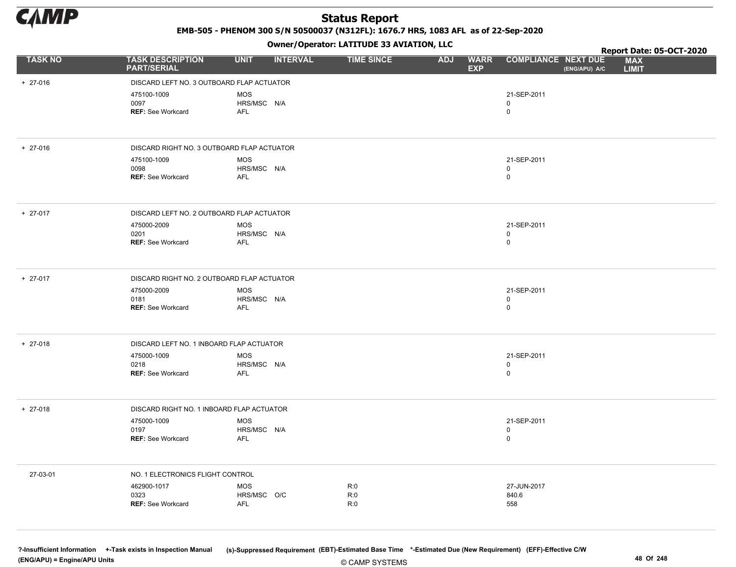

EMB-505 - PHENOM 300 S/N 50500037 (N312FL): 1676.7 HRS, 1083 AFL as of 22-Sep-2020

#### Owner/Operator: LATITUDE 33 AVIATION, LLC

|                |                                               | - - -                          |                   |            |                                                         | Report Date: 05-OCT-2020                    |
|----------------|-----------------------------------------------|--------------------------------|-------------------|------------|---------------------------------------------------------|---------------------------------------------|
| <b>TASK NO</b> | <b>TASK DESCRIPTION</b><br><b>PART/SERIAL</b> | <b>INTERVAL</b><br><b>UNIT</b> | <b>TIME SINCE</b> | <b>ADJ</b> | <b>WARR</b><br><b>COMPLIANCE NEXT DUE</b><br><b>EXP</b> | <b>MAX</b><br>(ENG/APU) A/C<br><b>LIMIT</b> |
| $+ 27-016$     | DISCARD LEFT NO. 3 OUTBOARD FLAP ACTUATOR     |                                |                   |            |                                                         |                                             |
|                | 475100-1009                                   | <b>MOS</b>                     |                   |            | 21-SEP-2011                                             |                                             |
|                | 0097                                          | HRS/MSC N/A                    |                   |            | $\mathbf 0$                                             |                                             |
|                | <b>REF: See Workcard</b>                      | <b>AFL</b>                     |                   |            | $\mathbf 0$                                             |                                             |
| $+ 27-016$     | DISCARD RIGHT NO. 3 OUTBOARD FLAP ACTUATOR    |                                |                   |            |                                                         |                                             |
|                | 475100-1009                                   | <b>MOS</b>                     |                   |            | 21-SEP-2011                                             |                                             |
|                | 0098<br><b>REF: See Workcard</b>              | HRS/MSC N/A<br>AFL             |                   |            | $\mathbf 0$<br>$\mathbf 0$                              |                                             |
|                |                                               |                                |                   |            |                                                         |                                             |
| $+ 27-017$     | DISCARD LEFT NO. 2 OUTBOARD FLAP ACTUATOR     |                                |                   |            |                                                         |                                             |
|                | 475000-2009                                   | <b>MOS</b>                     |                   |            | 21-SEP-2011                                             |                                             |
|                | 0201<br><b>REF: See Workcard</b>              | HRS/MSC N/A<br><b>AFL</b>      |                   |            | $\mathbf 0$<br>$\mathbf 0$                              |                                             |
|                |                                               |                                |                   |            |                                                         |                                             |
| $+ 27-017$     | DISCARD RIGHT NO. 2 OUTBOARD FLAP ACTUATOR    |                                |                   |            |                                                         |                                             |
|                | 475000-2009                                   | <b>MOS</b>                     |                   |            | 21-SEP-2011                                             |                                             |
|                | 0181<br><b>REF: See Workcard</b>              | HRS/MSC N/A<br><b>AFL</b>      |                   |            | $\mathbf 0$<br>$\mathbf 0$                              |                                             |
|                |                                               |                                |                   |            |                                                         |                                             |
| $+ 27-018$     | DISCARD LEFT NO. 1 INBOARD FLAP ACTUATOR      |                                |                   |            |                                                         |                                             |
|                | 475000-1009                                   | <b>MOS</b>                     |                   |            | 21-SEP-2011                                             |                                             |
|                | 0218<br>REF: See Workcard                     | HRS/MSC N/A<br><b>AFL</b>      |                   |            | $\mathbf 0$<br>$\mathbf 0$                              |                                             |
|                |                                               |                                |                   |            |                                                         |                                             |
| $+ 27-018$     | DISCARD RIGHT NO. 1 INBOARD FLAP ACTUATOR     |                                |                   |            |                                                         |                                             |
|                | 475000-1009                                   | <b>MOS</b>                     |                   |            | 21-SEP-2011                                             |                                             |
|                | 0197<br>REF: See Workcard                     | HRS/MSC N/A<br><b>AFL</b>      |                   |            | $\mathbf 0$<br>$\mathbf 0$                              |                                             |
|                |                                               |                                |                   |            |                                                         |                                             |
| 27-03-01       | NO. 1 ELECTRONICS FLIGHT CONTROL              |                                |                   |            |                                                         |                                             |
|                | 462900-1017                                   | MOS                            | R:0               |            | 27-JUN-2017                                             |                                             |
|                | 0323                                          | HRS/MSC O/C                    | R:0               |            | 840.6                                                   |                                             |
|                | <b>REF: See Workcard</b>                      | <b>AFL</b>                     | R:0               |            | 558                                                     |                                             |
|                |                                               |                                |                   |            |                                                         |                                             |

© CAMP SYSTEMS ?-Insufficient Information +-Task exists in Inspection Manual (s)-Suppressed Requirement (EBT)-Estimated Base Time \*-Estimated Due (New Requirement) (EFF)-Effective C/W (ENG/APU) = Engine/APU Units 48 Of 248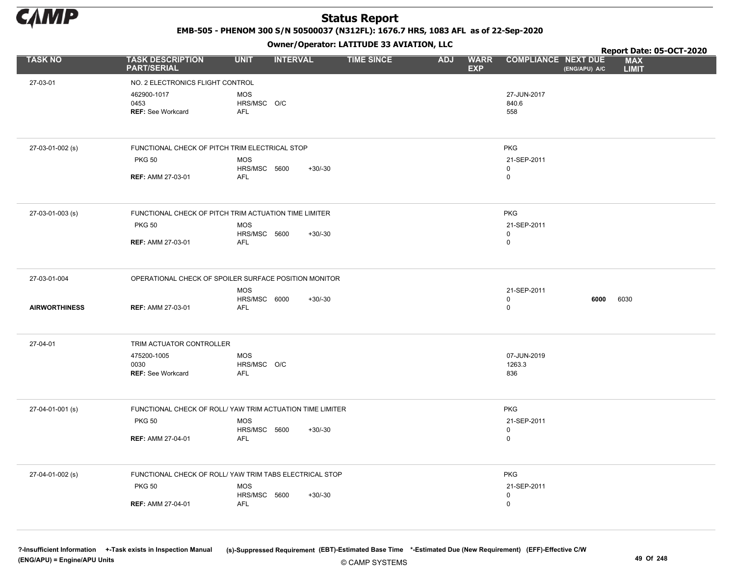

EMB-505 - PHENOM 300 S/N 50500037 (N312FL): 1676.7 HRS, 1083 AFL as of 22-Sep-2020

Owner/Operator: LATITUDE 33 AVIATION, LLC

|                      |                                                 |                                                           | Owner / Operator. LATTTODE 33 AVIATION, LLC |                                         |                                  | Report Date: 05-OCT-2020 |                            |  |
|----------------------|-------------------------------------------------|-----------------------------------------------------------|---------------------------------------------|-----------------------------------------|----------------------------------|--------------------------|----------------------------|--|
| <b>TASK NO</b>       | <b>TASK DESCRIPTION</b><br><b>PART/SERIAL</b>   | <b>UNIT</b><br><b>INTERVAL</b>                            | <b>TIME SINCE</b>                           | <b>ADJ</b><br><b>WARR</b><br><b>EXP</b> | <b>COMPLIANCE NEXT DUE</b>       | (ENG/APU) A/C            | <b>MAX</b><br><b>LIMIT</b> |  |
| 27-03-01             | NO. 2 ELECTRONICS FLIGHT CONTROL                |                                                           |                                             |                                         |                                  |                          |                            |  |
|                      | 462900-1017<br>0453<br><b>REF: See Workcard</b> | <b>MOS</b><br>HRS/MSC O/C<br><b>AFL</b>                   |                                             |                                         | 27-JUN-2017<br>840.6<br>558      |                          |                            |  |
| 27-03-01-002 (s)     | FUNCTIONAL CHECK OF PITCH TRIM ELECTRICAL STOP  |                                                           |                                             |                                         | <b>PKG</b>                       |                          |                            |  |
|                      | <b>PKG 50</b>                                   | <b>MOS</b><br>HRS/MSC 5600<br>$+30/-30$                   |                                             |                                         | 21-SEP-2011<br>$\mathbf 0$       |                          |                            |  |
|                      | <b>REF: AMM 27-03-01</b>                        | AFL                                                       |                                             |                                         | 0                                |                          |                            |  |
| 27-03-01-003 (s)     |                                                 | FUNCTIONAL CHECK OF PITCH TRIM ACTUATION TIME LIMITER     |                                             |                                         | <b>PKG</b>                       |                          |                            |  |
|                      | <b>PKG 50</b>                                   | <b>MOS</b><br>HRS/MSC 5600<br>$+30/-30$                   |                                             |                                         | 21-SEP-2011<br>0                 |                          |                            |  |
|                      | <b>REF: AMM 27-03-01</b>                        | <b>AFL</b>                                                |                                             |                                         | 0                                |                          |                            |  |
| 27-03-01-004         |                                                 | OPERATIONAL CHECK OF SPOILER SURFACE POSITION MONITOR     |                                             |                                         |                                  |                          |                            |  |
| <b>AIRWORTHINESS</b> | <b>REF: AMM 27-03-01</b>                        | <b>MOS</b><br>HRS/MSC 6000<br>$+30/-30$<br>AFL            |                                             |                                         | 21-SEP-2011<br>$\mathsf{O}$<br>0 | 6000                     | 6030                       |  |
| 27-04-01             | TRIM ACTUATOR CONTROLLER                        |                                                           |                                             |                                         |                                  |                          |                            |  |
|                      | 475200-1005                                     | <b>MOS</b>                                                |                                             |                                         | 07-JUN-2019                      |                          |                            |  |
|                      | 0030<br><b>REF: See Workcard</b>                | HRS/MSC O/C<br><b>AFL</b>                                 |                                             |                                         | 1263.3<br>836                    |                          |                            |  |
| 27-04-01-001 (s)     |                                                 | FUNCTIONAL CHECK OF ROLL/ YAW TRIM ACTUATION TIME LIMITER |                                             |                                         | <b>PKG</b>                       |                          |                            |  |
|                      | <b>PKG 50</b>                                   | <b>MOS</b><br>HRS/MSC 5600<br>$+30/-30$                   |                                             |                                         | 21-SEP-2011<br>0                 |                          |                            |  |
|                      | <b>REF: AMM 27-04-01</b>                        | <b>AFL</b>                                                |                                             |                                         | $\mathbf 0$                      |                          |                            |  |
| 27-04-01-002 (s)     |                                                 | FUNCTIONAL CHECK OF ROLL/ YAW TRIM TABS ELECTRICAL STOP   |                                             |                                         | <b>PKG</b>                       |                          |                            |  |
|                      | <b>PKG 50</b>                                   | <b>MOS</b><br>HRS/MSC 5600<br>$+30/-30$                   |                                             |                                         | 21-SEP-2011<br>0                 |                          |                            |  |
|                      | <b>REF: AMM 27-04-01</b>                        | <b>AFL</b>                                                |                                             |                                         | $\mathsf{O}$                     |                          |                            |  |
|                      |                                                 |                                                           |                                             |                                         |                                  |                          |                            |  |

© CAMP SYSTEMS ?-Insufficient Information +-Task exists in Inspection Manual (s)-Suppressed Requirement (EBT)-Estimated Base Time \*-Estimated Due (New Requirement) (EFF)-Effective C/W (ENG/APU) = Engine/APU Units 49 Of 248 and the control of the control of the control of the control of the control of the control of the control of the control of the control of the control of the control of the control o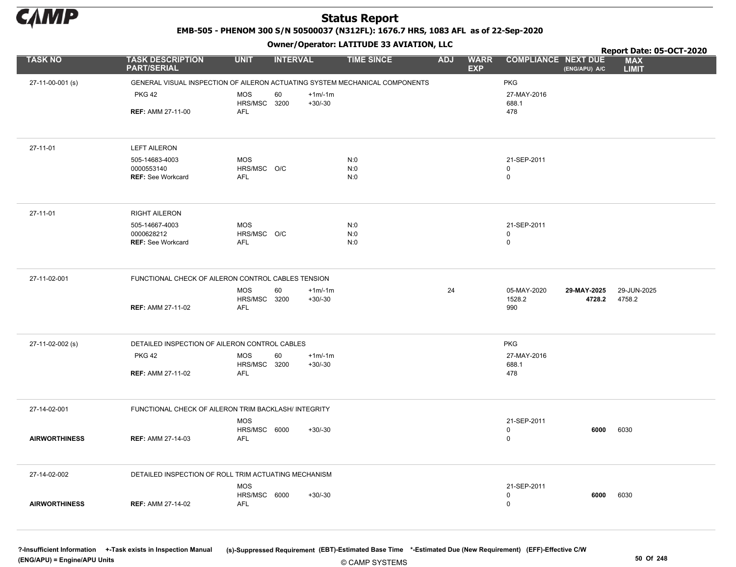

EMB-505 - PHENOM 300 S/N 50500037 (N312FL): 1676.7 HRS, 1083 AFL as of 22-Sep-2020

Owner/Operator: LATITUDE 33 AVIATION, LLC

|                      |                                                                             |                                | $\mathbf{r}$      |                                         |                            |               | Report Date: 05-OCT-2020   |
|----------------------|-----------------------------------------------------------------------------|--------------------------------|-------------------|-----------------------------------------|----------------------------|---------------|----------------------------|
| <b>TASK NO</b>       | <b>TASK DESCRIPTION</b><br><b>PART/SERIAL</b>                               | <b>UNIT</b><br><b>INTERVAL</b> | <b>TIME SINCE</b> | <b>WARR</b><br><b>ADJ</b><br><b>EXP</b> | <b>COMPLIANCE NEXT DUE</b> | (ENG/APU) A/C | <b>MAX</b><br><b>LIMIT</b> |
| 27-11-00-001 (s)     | GENERAL VISUAL INSPECTION OF AILERON ACTUATING SYSTEM MECHANICAL COMPONENTS |                                |                   |                                         | <b>PKG</b>                 |               |                            |
|                      | <b>PKG 42</b>                                                               | <b>MOS</b><br>60               | $+1m/1m$          |                                         | 27-MAY-2016                |               |                            |
|                      |                                                                             | HRS/MSC 3200                   | $+30/-30$         |                                         | 688.1                      |               |                            |
|                      | <b>REF: AMM 27-11-00</b>                                                    | AFL                            |                   |                                         | 478                        |               |                            |
|                      |                                                                             |                                |                   |                                         |                            |               |                            |
| 27-11-01             | <b>LEFT AILERON</b>                                                         |                                |                   |                                         |                            |               |                            |
|                      | 505-14683-4003                                                              | MOS                            | N:0               |                                         | 21-SEP-2011                |               |                            |
|                      | 0000553140<br><b>REF: See Workcard</b>                                      | HRS/MSC O/C<br><b>AFL</b>      | N:0<br>N:0        |                                         | $\mathbf 0$<br>$\mathbf 0$ |               |                            |
|                      |                                                                             |                                |                   |                                         |                            |               |                            |
|                      |                                                                             |                                |                   |                                         |                            |               |                            |
| 27-11-01             | <b>RIGHT AILERON</b>                                                        |                                |                   |                                         |                            |               |                            |
|                      | 505-14667-4003<br>0000628212                                                | <b>MOS</b><br>HRS/MSC O/C      | N:0<br>N:0        |                                         | 21-SEP-2011<br>$\mathbf 0$ |               |                            |
|                      | <b>REF: See Workcard</b>                                                    | AFL                            | N:0               |                                         | $\mathbf 0$                |               |                            |
|                      |                                                                             |                                |                   |                                         |                            |               |                            |
|                      |                                                                             |                                |                   |                                         |                            |               |                            |
| 27-11-02-001         | FUNCTIONAL CHECK OF AILERON CONTROL CABLES TENSION                          |                                |                   |                                         |                            |               |                            |
|                      |                                                                             | <b>MOS</b><br>60               | $+1m/1m$          | 24                                      | 05-MAY-2020                | 29-MAY-2025   | 29-JUN-2025                |
|                      |                                                                             | HRS/MSC 3200                   | $+30/-30$         |                                         | 1528.2                     | 4728.2        | 4758.2                     |
|                      | <b>REF: AMM 27-11-02</b>                                                    | AFL                            |                   |                                         | 990                        |               |                            |
|                      |                                                                             |                                |                   |                                         |                            |               |                            |
| 27-11-02-002 (s)     | DETAILED INSPECTION OF AILERON CONTROL CABLES                               |                                |                   |                                         | <b>PKG</b>                 |               |                            |
|                      | <b>PKG 42</b>                                                               | <b>MOS</b><br>60               | $+1m/1m$          |                                         | 27-MAY-2016                |               |                            |
|                      |                                                                             | HRS/MSC 3200                   | $+30/-30$         |                                         | 688.1                      |               |                            |
|                      | <b>REF: AMM 27-11-02</b>                                                    | AFL                            |                   |                                         | 478                        |               |                            |
|                      |                                                                             |                                |                   |                                         |                            |               |                            |
|                      |                                                                             |                                |                   |                                         |                            |               |                            |
| 27-14-02-001         | FUNCTIONAL CHECK OF AILERON TRIM BACKLASH/ INTEGRITY                        |                                |                   |                                         |                            |               |                            |
|                      |                                                                             | <b>MOS</b>                     |                   |                                         | 21-SEP-2011                |               |                            |
|                      |                                                                             | HRS/MSC 6000                   | $+30/-30$         |                                         | $\mathbf 0$<br>$\mathsf 0$ | 6000          | 6030                       |
| <b>AIRWORTHINESS</b> | <b>REF: AMM 27-14-03</b>                                                    | <b>AFL</b>                     |                   |                                         |                            |               |                            |
|                      |                                                                             |                                |                   |                                         |                            |               |                            |
| 27-14-02-002         | DETAILED INSPECTION OF ROLL TRIM ACTUATING MECHANISM                        |                                |                   |                                         |                            |               |                            |
|                      |                                                                             | MOS                            |                   |                                         | 21-SEP-2011                |               |                            |
|                      |                                                                             | HRS/MSC 6000                   | $+30/-30$         |                                         | $\mathbf 0$                | 6000          | 6030                       |
| <b>AIRWORTHINESS</b> | <b>REF: AMM 27-14-02</b>                                                    | AFL                            |                   |                                         | $\mathbf 0$                |               |                            |
|                      |                                                                             |                                |                   |                                         |                            |               |                            |
|                      |                                                                             |                                |                   |                                         |                            |               |                            |

© CAMP SYSTEMS ?-Insufficient Information +-Task exists in Inspection Manual (s)-Suppressed Requirement (EBT)-Estimated Base Time \*-Estimated Due (New Requirement) (EFF)-Effective C/W (ENG/APU) = Engine/APU Units 50 Of 248 and the control of the control of the control of the control of the control of the control of the control of the control of the control of the control of the control of the control o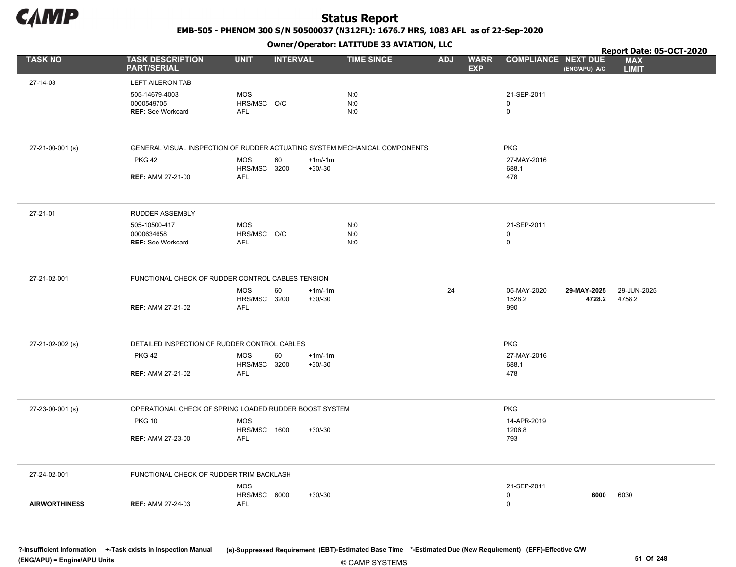

EMB-505 - PHENOM 300 S/N 50500037 (N312FL): 1676.7 HRS, 1083 AFL as of 22-Sep-2020

Owner/Operator: LATITUDE 33 AVIATION, LLC

|                      |                                                                            |                                  |                 |                       | Owner / Operator. EATITODE 33 AVIATION, LLC |            |                           |                                           |                       | Report Date: 05-OCT-2020   |
|----------------------|----------------------------------------------------------------------------|----------------------------------|-----------------|-----------------------|---------------------------------------------|------------|---------------------------|-------------------------------------------|-----------------------|----------------------------|
| <b>TASK NO</b>       | <b>TASK DESCRIPTION</b><br><b>PART/SERIAL</b>                              | <b>UNIT</b>                      | <b>INTERVAL</b> |                       | <b>TIME SINCE</b>                           | <b>ADJ</b> | <b>WARR</b><br><b>EXP</b> | <b>COMPLIANCE NEXT DUE</b>                | (ENG/APU) A/C         | <b>MAX</b><br><b>LIMIT</b> |
| 27-14-03             | <b>LEFT AILERON TAB</b>                                                    |                                  |                 |                       |                                             |            |                           |                                           |                       |                            |
|                      | 505-14679-4003<br>0000549705<br><b>REF: See Workcard</b>                   | <b>MOS</b><br>HRS/MSC O/C<br>AFL |                 |                       | N:0<br>N:0<br>N:0                           |            |                           | 21-SEP-2011<br>$\mathbf 0$<br>$\mathbf 0$ |                       |                            |
| 27-21-00-001 (s)     | GENERAL VISUAL INSPECTION OF RUDDER ACTUATING SYSTEM MECHANICAL COMPONENTS |                                  |                 |                       |                                             |            |                           | <b>PKG</b>                                |                       |                            |
|                      | <b>PKG 42</b>                                                              | MOS<br>HRS/MSC                   | 60<br>3200      | $+1m/1m$<br>$+30/-30$ |                                             |            |                           | 27-MAY-2016<br>688.1                      |                       |                            |
|                      | <b>REF: AMM 27-21-00</b>                                                   | <b>AFL</b>                       |                 |                       |                                             |            |                           | 478                                       |                       |                            |
| 27-21-01             | <b>RUDDER ASSEMBLY</b>                                                     |                                  |                 |                       |                                             |            |                           |                                           |                       |                            |
|                      | 505-10500-417<br>0000634658                                                | MOS<br>HRS/MSC O/C               |                 |                       | N:0<br>N:0                                  |            |                           | 21-SEP-2011<br>$\mathbf 0$                |                       |                            |
|                      | <b>REF: See Workcard</b>                                                   | AFL                              |                 |                       | N:0                                         |            |                           | $\mathbf 0$                               |                       |                            |
| 27-21-02-001         | FUNCTIONAL CHECK OF RUDDER CONTROL CABLES TENSION                          |                                  |                 |                       |                                             |            |                           |                                           |                       |                            |
|                      | <b>REF: AMM 27-21-02</b>                                                   | MOS<br>HRS/MSC<br>AFL            | 60<br>3200      | $+1m/1m$<br>$+30/-30$ |                                             | 24         |                           | 05-MAY-2020<br>1528.2<br>990              | 29-MAY-2025<br>4728.2 | 29-JUN-2025<br>4758.2      |
| 27-21-02-002 (s)     | DETAILED INSPECTION OF RUDDER CONTROL CABLES                               |                                  |                 |                       |                                             |            |                           | <b>PKG</b>                                |                       |                            |
|                      | <b>PKG 42</b>                                                              | MOS<br>HRS/MSC                   | 60<br>3200      | $+1m/1m$<br>$+30/-30$ |                                             |            |                           | 27-MAY-2016<br>688.1                      |                       |                            |
|                      | <b>REF: AMM 27-21-02</b>                                                   | AFL                              |                 |                       |                                             |            |                           | 478                                       |                       |                            |
| 27-23-00-001 (s)     | OPERATIONAL CHECK OF SPRING LOADED RUDDER BOOST SYSTEM                     |                                  |                 |                       |                                             |            |                           | <b>PKG</b>                                |                       |                            |
|                      | <b>PKG 10</b>                                                              | MOS<br>HRS/MSC 1600              |                 | +30/-30               |                                             |            |                           | 14-APR-2019<br>1206.8                     |                       |                            |
|                      | <b>REF: AMM 27-23-00</b>                                                   | AFL                              |                 |                       |                                             |            |                           | 793                                       |                       |                            |
| 27-24-02-001         | FUNCTIONAL CHECK OF RUDDER TRIM BACKLASH                                   |                                  |                 |                       |                                             |            |                           |                                           |                       |                            |
|                      |                                                                            | MOS<br>HRS/MSC 6000              |                 | +30/-30               |                                             |            |                           | 21-SEP-2011<br>0                          | 6000                  | 6030                       |
| <b>AIRWORTHINESS</b> | <b>REF: AMM 27-24-03</b>                                                   | AFL                              |                 |                       |                                             |            |                           | $\mathbf 0$                               |                       |                            |
|                      |                                                                            |                                  |                 |                       |                                             |            |                           |                                           |                       |                            |

© CAMP SYSTEMS ?-Insufficient Information +-Task exists in Inspection Manual (s)-Suppressed Requirement (EBT)-Estimated Base Time \*-Estimated Due (New Requirement) (EFF)-Effective C/W (ENG/APU) = Engine/APU Units 51 Of 248 and the set of the set of the set of the set of the set of the set of the set of the set of the set of the set of the set of the set of the set of the set of the set of the set of th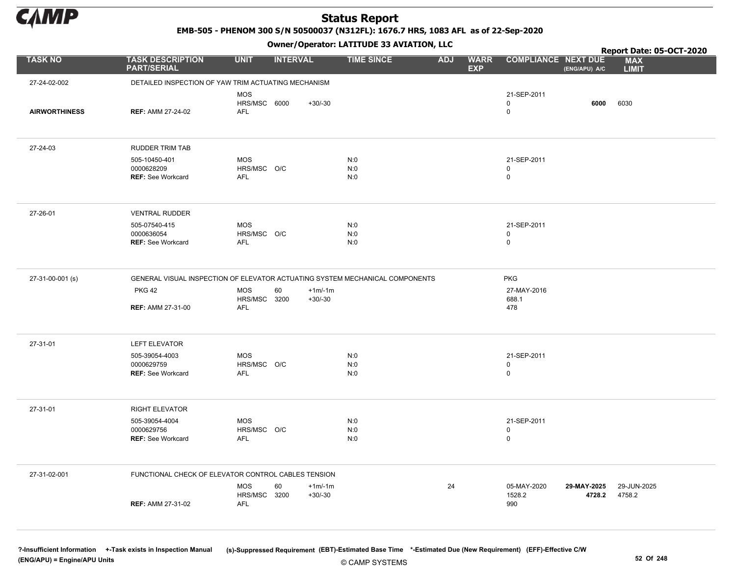

EMB-505 - PHENOM 300 S/N 50500037 (N312FL): 1676.7 HRS, 1083 AFL as of 22-Sep-2020

Owner/Operator: LATITUDE 33 AVIATION, LLC

|                      |                                                          |                                                                         | Owner/Operator. EATITODE 33 AVIATION, LLC                                    |                                           | Report Date: 05-OCT-2020                    |                            |
|----------------------|----------------------------------------------------------|-------------------------------------------------------------------------|------------------------------------------------------------------------------|-------------------------------------------|---------------------------------------------|----------------------------|
| <b>TASK NO</b>       | <b>TASK DESCRIPTION</b><br><b>PART/SERIAL</b>            | <b>UNIT</b><br><b>INTERVAL</b>                                          | <b>TIME SINCE</b><br><b>ADJ</b>                                              | <b>WARR</b><br><b>EXP</b>                 | <b>COMPLIANCE NEXT DUE</b><br>(ENG/APU) A/C | <b>MAX</b><br><b>LIMIT</b> |
| 27-24-02-002         |                                                          | DETAILED INSPECTION OF YAW TRIM ACTUATING MECHANISM                     |                                                                              |                                           |                                             |                            |
| <b>AIRWORTHINESS</b> | <b>REF: AMM 27-24-02</b>                                 | <b>MOS</b><br>HRS/MSC 6000<br>$+30/-30$<br>AFL                          |                                                                              | 21-SEP-2011<br>$\mathbf 0$<br>$\mathsf 0$ | 6000                                        | 6030                       |
| 27-24-03             | <b>RUDDER TRIM TAB</b>                                   |                                                                         |                                                                              |                                           |                                             |                            |
|                      | 505-10450-401<br>0000628209<br><b>REF: See Workcard</b>  | <b>MOS</b><br>HRS/MSC O/C<br><b>AFL</b>                                 | N:0<br>N:0<br>N:0                                                            | 21-SEP-2011<br>$\mathbf 0$<br>$\mathsf 0$ |                                             |                            |
| 27-26-01             | <b>VENTRAL RUDDER</b>                                    |                                                                         |                                                                              |                                           |                                             |                            |
|                      | 505-07540-415<br>0000636054<br><b>REF: See Workcard</b>  | <b>MOS</b><br>HRS/MSC O/C<br>AFL                                        | N:0<br>N:0<br>N:0                                                            | 21-SEP-2011<br>$\mathbf 0$<br>$\mathsf 0$ |                                             |                            |
| 27-31-00-001 (s)     |                                                          |                                                                         | GENERAL VISUAL INSPECTION OF ELEVATOR ACTUATING SYSTEM MECHANICAL COMPONENTS | <b>PKG</b>                                |                                             |                            |
|                      | <b>PKG 42</b><br><b>REF: AMM 27-31-00</b>                | MOS<br>60<br>$+1m/1m$<br>HRS/MSC 3200<br>$+30/-30$<br>AFL               |                                                                              | 27-MAY-2016<br>688.1<br>478               |                                             |                            |
| 27-31-01             | <b>LEFT ELEVATOR</b>                                     |                                                                         |                                                                              |                                           |                                             |                            |
|                      | 505-39054-4003<br>0000629759<br><b>REF: See Workcard</b> | <b>MOS</b><br>HRS/MSC O/C<br><b>AFL</b>                                 | N:0<br>N:0<br>N:0                                                            | 21-SEP-2011<br>$\mathbf 0$<br>$\mathsf 0$ |                                             |                            |
| 27-31-01             | <b>RIGHT ELEVATOR</b>                                    |                                                                         |                                                                              |                                           |                                             |                            |
|                      | 505-39054-4004<br>0000629756<br>REF: See Workcard        | <b>MOS</b><br>HRS/MSC O/C<br>AFL                                        | N:0<br>N:0<br>N:0                                                            | 21-SEP-2011<br>$\mathbf 0$<br>$\mathbf 0$ |                                             |                            |
| 27-31-02-001         |                                                          | FUNCTIONAL CHECK OF ELEVATOR CONTROL CABLES TENSION                     |                                                                              |                                           |                                             |                            |
|                      | <b>REF: AMM 27-31-02</b>                                 | <b>MOS</b><br>60<br>$+1m/1m$<br><b>HRS/MSC 3200</b><br>$+30/-30$<br>AFL | 24                                                                           | 05-MAY-2020<br>1528.2<br>990              | 29-MAY-2025<br>4728.2                       | 29-JUN-2025<br>4758.2      |

© CAMP SYSTEMS ?-Insufficient Information +-Task exists in Inspection Manual (s)-Suppressed Requirement (EBT)-Estimated Base Time \*-Estimated Due (New Requirement) (EFF)-Effective C/W (ENG/APU) = Engine/APU Units 52 Of 248 and 52 Of 248 and 52 Of 248 and 52 Of 248 and 52 Of 248 and 52 Of 248 and 52 Of 248 and 52 Of 248 and 52 Of 248 and 52 Of 248 and 52 Of 248 and 52 Of 248 and 52 Of 248 and 52 Of 248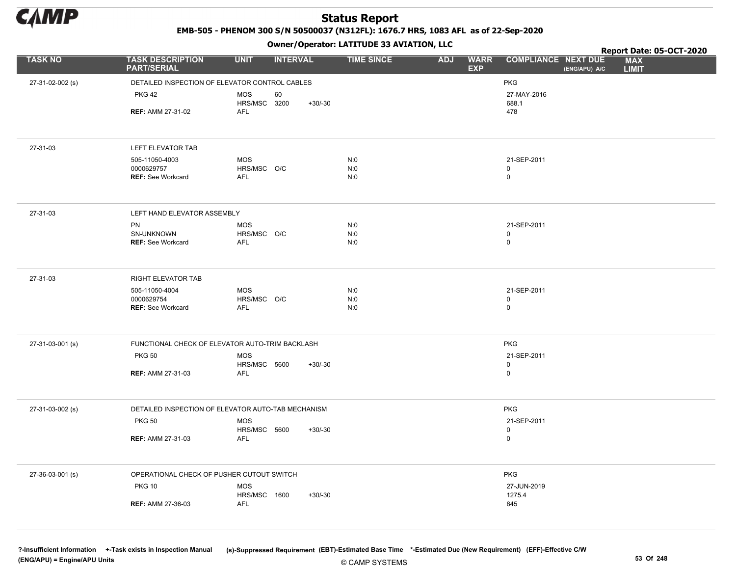

EMB-505 - PHENOM 300 S/N 50500037 (N312FL): 1676.7 HRS, 1083 AFL as of 22-Sep-2020

Owner/Operator: LATITUDE 33 AVIATION, LLC

|                  |                                                 | .                                                  |                   |                                         | Report Date: 05-OCT-2020                                                  |
|------------------|-------------------------------------------------|----------------------------------------------------|-------------------|-----------------------------------------|---------------------------------------------------------------------------|
| <b>TASK NO</b>   | <b>TASK DESCRIPTION</b><br><b>PART/SERIAL</b>   | <b>UNIT</b><br><b>INTERVAL</b>                     | <b>TIME SINCE</b> | <b>WARR</b><br><b>ADJ</b><br><b>EXP</b> | <b>COMPLIANCE NEXT DUE</b><br><b>MAX</b><br>(ENG/APU) A/C<br><b>LIMIT</b> |
| 27-31-02-002 (s) | DETAILED INSPECTION OF ELEVATOR CONTROL CABLES  |                                                    |                   |                                         | PKG                                                                       |
|                  | <b>PKG 42</b>                                   | <b>MOS</b><br>60                                   |                   |                                         | 27-MAY-2016                                                               |
|                  |                                                 | HRS/MSC 3200<br>$+30/-30$                          |                   |                                         | 688.1                                                                     |
|                  | <b>REF: AMM 27-31-02</b>                        | AFL                                                |                   |                                         | 478                                                                       |
|                  |                                                 |                                                    |                   |                                         |                                                                           |
| 27-31-03         | LEFT ELEVATOR TAB                               |                                                    |                   |                                         |                                                                           |
|                  | 505-11050-4003                                  | <b>MOS</b>                                         | N:0               |                                         | 21-SEP-2011                                                               |
|                  | 0000629757<br><b>REF: See Workcard</b>          | HRS/MSC O/C<br>AFL                                 | N:0<br>N:0        |                                         | $\mathsf 0$<br>$\pmb{0}$                                                  |
|                  |                                                 |                                                    |                   |                                         |                                                                           |
| 27-31-03         | LEFT HAND ELEVATOR ASSEMBLY                     |                                                    |                   |                                         |                                                                           |
|                  | <b>PN</b>                                       | <b>MOS</b>                                         | N:0               |                                         | 21-SEP-2011                                                               |
|                  | SN-UNKNOWN<br><b>REF: See Workcard</b>          | HRS/MSC O/C<br><b>AFL</b>                          | N:0<br>N:0        |                                         | $\mathsf 0$<br>$\mathbf 0$                                                |
|                  |                                                 |                                                    |                   |                                         |                                                                           |
| 27-31-03         | <b>RIGHT ELEVATOR TAB</b>                       |                                                    |                   |                                         |                                                                           |
|                  | 505-11050-4004                                  | <b>MOS</b>                                         | N:0               |                                         | 21-SEP-2011                                                               |
|                  | 0000629754<br><b>REF: See Workcard</b>          | HRS/MSC O/C<br><b>AFL</b>                          | N:0<br>N:0        |                                         | $\mathbf 0$<br>$\mathbf 0$                                                |
|                  |                                                 |                                                    |                   |                                         |                                                                           |
| 27-31-03-001 (s) | FUNCTIONAL CHECK OF ELEVATOR AUTO-TRIM BACKLASH |                                                    |                   |                                         | <b>PKG</b>                                                                |
|                  | <b>PKG 50</b>                                   | <b>MOS</b><br>HRS/MSC 5600<br>$+30/-30$            |                   |                                         | 21-SEP-2011<br>$\mathbf 0$                                                |
|                  | <b>REF: AMM 27-31-03</b>                        | AFL                                                |                   |                                         | $\pmb{0}$                                                                 |
|                  |                                                 |                                                    |                   |                                         |                                                                           |
| 27-31-03-002 (s) |                                                 | DETAILED INSPECTION OF ELEVATOR AUTO-TAB MECHANISM |                   |                                         | <b>PKG</b>                                                                |
|                  | <b>PKG 50</b>                                   | <b>MOS</b>                                         |                   |                                         | 21-SEP-2011                                                               |
|                  | <b>REF: AMM 27-31-03</b>                        | HRS/MSC 5600<br>$+30/-30$<br>AFL                   |                   |                                         | $\mathbf 0$<br>$\mathsf 0$                                                |
|                  |                                                 |                                                    |                   |                                         |                                                                           |
| 27-36-03-001 (s) | OPERATIONAL CHECK OF PUSHER CUTOUT SWITCH       |                                                    |                   |                                         | <b>PKG</b>                                                                |
|                  | <b>PKG 10</b>                                   | <b>MOS</b>                                         |                   |                                         | 27-JUN-2019                                                               |
|                  | <b>REF: AMM 27-36-03</b>                        | HRS/MSC 1600<br>$+30/-30$<br>AFL                   |                   |                                         | 1275.4<br>845                                                             |
|                  |                                                 |                                                    |                   |                                         |                                                                           |
|                  |                                                 |                                                    |                   |                                         |                                                                           |

© CAMP SYSTEMS ?-Insufficient Information +-Task exists in Inspection Manual (s)-Suppressed Requirement (EBT)-Estimated Base Time \*-Estimated Due (New Requirement) (EFF)-Effective C/W (ENG/APU) = Engine/APU Units 53 Of 248 and 53 Of 248 and 53 Of 248 and 53 Of 248 and 53 Of 248 and 53 Of 248 and 53 Of 248 and 53 Of 248 and 53 Of 248 and 53 Of 248 and 53 Of 248 and 53 Of 248 and 53 Of 248 and 53 Of 248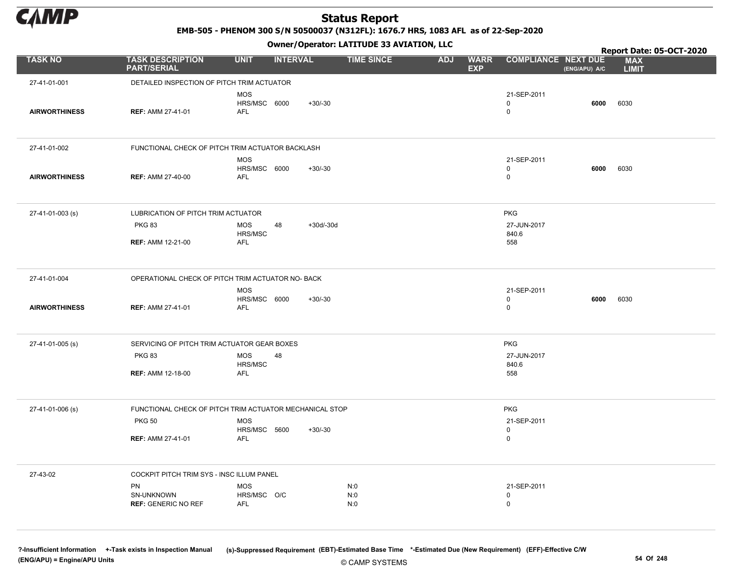

EMB-505 - PHENOM 300 S/N 50500037 (N312FL): 1676.7 HRS, 1083 AFL as of 22-Sep-2020

Owner/Operator: LATITUDE 33 AVIATION, LLC

|                      |                                                         |                                          |                   | Owner/Operator. EATITODE 33 AVIATION, LLC |            |                           |                                           | Report Date: 05-OCT-2020 |                            |
|----------------------|---------------------------------------------------------|------------------------------------------|-------------------|-------------------------------------------|------------|---------------------------|-------------------------------------------|--------------------------|----------------------------|
| <b>TASK NO</b>       | <b>TASK DESCRIPTION</b><br><b>PART/SERIAL</b>           | <b>UNIT</b>                              | <b>INTERVAL</b>   | <b>TIME SINCE</b>                         | <b>ADJ</b> | <b>WARR</b><br><b>EXP</b> | <b>COMPLIANCE NEXT DUE</b>                | (ENG/APU) A/C            | <b>MAX</b><br><b>LIMIT</b> |
| 27-41-01-001         | DETAILED INSPECTION OF PITCH TRIM ACTUATOR              |                                          |                   |                                           |            |                           |                                           |                          |                            |
| <b>AIRWORTHINESS</b> | <b>REF: AMM 27-41-01</b>                                | <b>MOS</b><br>HRS/MSC 6000<br><b>AFL</b> | $+30/-30$         |                                           |            |                           | 21-SEP-2011<br>$\mathbf 0$<br>$\mathbf 0$ | 6000                     | 6030                       |
| 27-41-01-002         | FUNCTIONAL CHECK OF PITCH TRIM ACTUATOR BACKLASH        |                                          |                   |                                           |            |                           |                                           |                          |                            |
| <b>AIRWORTHINESS</b> | <b>REF: AMM 27-40-00</b>                                | <b>MOS</b><br>HRS/MSC 6000<br><b>AFL</b> | $+30/-30$         |                                           |            |                           | 21-SEP-2011<br>$\mathbf 0$<br>$\mathbf 0$ | 6000                     | 6030                       |
| 27-41-01-003 (s)     | LUBRICATION OF PITCH TRIM ACTUATOR                      |                                          |                   |                                           |            |                           | <b>PKG</b>                                |                          |                            |
|                      | <b>PKG 83</b>                                           | <b>MOS</b><br>HRS/MSC                    | 48<br>$+30d/-30d$ |                                           |            |                           | 27-JUN-2017<br>840.6                      |                          |                            |
|                      | <b>REF: AMM 12-21-00</b>                                | AFL                                      |                   |                                           |            |                           | 558                                       |                          |                            |
| 27-41-01-004         | OPERATIONAL CHECK OF PITCH TRIM ACTUATOR NO- BACK       |                                          |                   |                                           |            |                           |                                           |                          |                            |
| <b>AIRWORTHINESS</b> | <b>REF: AMM 27-41-01</b>                                | <b>MOS</b><br>HRS/MSC 6000<br><b>AFL</b> | $+30/-30$         |                                           |            |                           | 21-SEP-2011<br>$\mathbf 0$<br>$\mathsf 0$ | 6000                     | 6030                       |
| 27-41-01-005 (s)     | SERVICING OF PITCH TRIM ACTUATOR GEAR BOXES             |                                          |                   |                                           |            |                           | <b>PKG</b>                                |                          |                            |
|                      | <b>PKG 83</b>                                           | <b>MOS</b><br>HRS/MSC                    | 48                |                                           |            |                           | 27-JUN-2017<br>840.6                      |                          |                            |
|                      | <b>REF: AMM 12-18-00</b>                                | <b>AFL</b>                               |                   |                                           |            |                           | 558                                       |                          |                            |
| 27-41-01-006 (s)     | FUNCTIONAL CHECK OF PITCH TRIM ACTUATOR MECHANICAL STOP |                                          |                   |                                           |            |                           | <b>PKG</b>                                |                          |                            |
|                      | <b>PKG 50</b>                                           | <b>MOS</b><br>HRS/MSC 5600               | $+30/-30$         |                                           |            |                           | 21-SEP-2011<br>0                          |                          |                            |
|                      | <b>REF: AMM 27-41-01</b>                                | <b>AFL</b>                               |                   |                                           |            |                           | $\mathbf 0$                               |                          |                            |
| 27-43-02             | COCKPIT PITCH TRIM SYS - INSC ILLUM PANEL               |                                          |                   |                                           |            |                           |                                           |                          |                            |
|                      | PN<br>SN-UNKNOWN                                        | <b>MOS</b><br>HRS/MSC O/C                |                   | N:0<br>N:0                                |            |                           | 21-SEP-2011<br>$\mathbf 0$                |                          |                            |
|                      | <b>REF: GENERIC NO REF</b>                              | AFL                                      |                   | N:0                                       |            |                           | $\mathbf 0$                               |                          |                            |
|                      |                                                         |                                          |                   |                                           |            |                           |                                           |                          |                            |

© CAMP SYSTEMS ?-Insufficient Information +-Task exists in Inspection Manual (s)-Suppressed Requirement (EBT)-Estimated Base Time \*-Estimated Due (New Requirement) (EFF)-Effective C/W (ENG/APU) = Engine/APU Units 54 Of 248 and the set of 248 and the set of 248 and the set of 248 and the set of 248 and the set of 248 and the set of 248 and the set of 248 and the set of 248 and the set of 248 and the set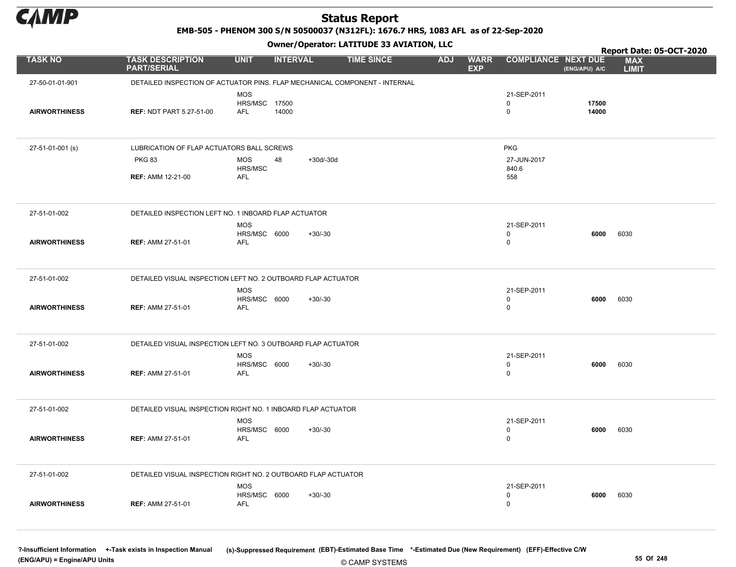

EMB-505 - PHENOM 300 S/N 50500037 (N312FL): 1676.7 HRS, 1083 AFL as of 22-Sep-2020

Owner/Operator: LATITUDE 33 AVIATION, LLC

|                      |                                                               | .                                           |                                                                            |                                         |                                             | Report Date: 05-OCT-2020   |
|----------------------|---------------------------------------------------------------|---------------------------------------------|----------------------------------------------------------------------------|-----------------------------------------|---------------------------------------------|----------------------------|
| <b>TASK NO</b>       | <b>TASK DESCRIPTION</b><br><b>PART/SERIAL</b>                 | <b>UNIT</b><br><b>INTERVAL</b>              | <b>TIME SINCE</b>                                                          | <b>WARR</b><br><b>ADJ</b><br><b>EXP</b> | <b>COMPLIANCE NEXT DUE</b><br>(ENG/APU) A/C | <b>MAX</b><br><b>LIMIT</b> |
| 27-50-01-01-901      |                                                               |                                             | DETAILED INSPECTION OF ACTUATOR PINS. FLAP MECHANICAL COMPONENT - INTERNAL |                                         |                                             |                            |
| <b>AIRWORTHINESS</b> | <b>REF: NDT PART 5 27-51-00</b>                               | <b>MOS</b><br>HRS/MSC 17500<br>AFL<br>14000 |                                                                            |                                         | 21-SEP-2011<br>$\mathbf 0$<br>0             | 17500<br>14000             |
| 27-51-01-001 (s)     | LUBRICATION OF FLAP ACTUATORS BALL SCREWS                     |                                             |                                                                            |                                         | <b>PKG</b>                                  |                            |
|                      | <b>PKG 83</b>                                                 | <b>MOS</b><br>48                            | $+30d/-30d$                                                                |                                         | 27-JUN-2017                                 |                            |
|                      | <b>REF: AMM 12-21-00</b>                                      | HRS/MSC<br><b>AFL</b>                       |                                                                            |                                         | 840.6<br>558                                |                            |
|                      |                                                               |                                             |                                                                            |                                         |                                             |                            |
| 27-51-01-002         | DETAILED INSPECTION LEFT NO. 1 INBOARD FLAP ACTUATOR          |                                             |                                                                            |                                         |                                             |                            |
| <b>AIRWORTHINESS</b> | <b>REF: AMM 27-51-01</b>                                      | <b>MOS</b><br>HRS/MSC 6000<br>AFL           | $+30/-30$                                                                  |                                         | 21-SEP-2011<br>0<br>0                       | 6000<br>6030               |
| 27-51-01-002         | DETAILED VISUAL INSPECTION LEFT NO. 2 OUTBOARD FLAP ACTUATOR  |                                             |                                                                            |                                         |                                             |                            |
| <b>AIRWORTHINESS</b> | <b>REF: AMM 27-51-01</b>                                      | <b>MOS</b><br>HRS/MSC 6000<br>AFL           | $+30/-30$                                                                  |                                         | 21-SEP-2011<br>$\mathbf 0$<br>0             | 6030<br>6000               |
| 27-51-01-002         | DETAILED VISUAL INSPECTION LEFT NO. 3 OUTBOARD FLAP ACTUATOR  |                                             |                                                                            |                                         |                                             |                            |
| <b>AIRWORTHINESS</b> | <b>REF: AMM 27-51-01</b>                                      | MOS<br>HRS/MSC 6000<br><b>AFL</b>           | $+30/-30$                                                                  |                                         | 21-SEP-2011<br>0<br>$\mathbf 0$             | 6030<br>6000               |
| 27-51-01-002         | DETAILED VISUAL INSPECTION RIGHT NO. 1 INBOARD FLAP ACTUATOR  |                                             |                                                                            |                                         |                                             |                            |
| <b>AIRWORTHINESS</b> | <b>REF: AMM 27-51-01</b>                                      | <b>MOS</b><br>HRS/MSC 6000<br><b>AFL</b>    | $+30/-30$                                                                  |                                         | 21-SEP-2011<br>0<br>$\mathbf 0$             | 6000<br>6030               |
| 27-51-01-002         | DETAILED VISUAL INSPECTION RIGHT NO. 2 OUTBOARD FLAP ACTUATOR |                                             |                                                                            |                                         |                                             |                            |
| <b>AIRWORTHINESS</b> | <b>REF: AMM 27-51-01</b>                                      | <b>MOS</b><br>HRS/MSC 6000<br>AFL           | $+30/-30$                                                                  |                                         | 21-SEP-2011<br>$\mathbf 0$<br>$\mathbf 0$   | 6030<br>6000               |

© CAMP SYSTEMS ?-Insufficient Information +-Task exists in Inspection Manual (s)-Suppressed Requirement (EBT)-Estimated Base Time \*-Estimated Due (New Requirement) (EFF)-Effective C/W (ENG/APU) = Engine/APU Units 55 Of 248 and the control of the control of the control of the control of the control of the control of the control of the control of the control of the control of the control of the control o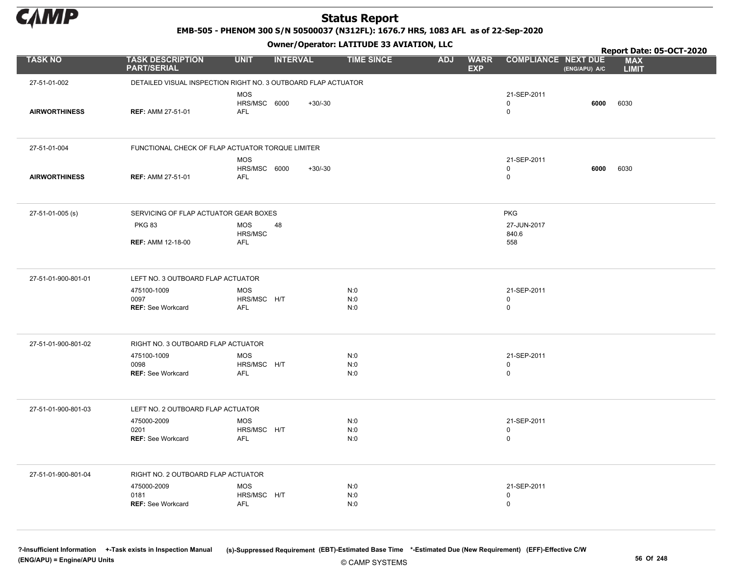

EMB-505 - PHENOM 300 S/N 50500037 (N312FL): 1676.7 HRS, 1083 AFL as of 22-Sep-2020

Owner/Operator: LATITUDE 33 AVIATION, LLC

|                      |                                                               |                                          |                 | Owner/Operator. EATITODE 33 AVIATION, LLC |            |                           |                                           | Report Date: 05-OCT-2020 |                            |
|----------------------|---------------------------------------------------------------|------------------------------------------|-----------------|-------------------------------------------|------------|---------------------------|-------------------------------------------|--------------------------|----------------------------|
| <b>TASK NO</b>       | <b>TASK DESCRIPTION</b><br><b>PART/SERIAL</b>                 | <b>UNIT</b>                              | <b>INTERVAL</b> | <b>TIME SINCE</b>                         | <b>ADJ</b> | <b>WARR</b><br><b>EXP</b> | <b>COMPLIANCE NEXT DUE</b>                | (ENG/APU) A/C            | <b>MAX</b><br><b>LIMIT</b> |
| 27-51-01-002         | DETAILED VISUAL INSPECTION RIGHT NO. 3 OUTBOARD FLAP ACTUATOR |                                          |                 |                                           |            |                           |                                           |                          |                            |
| <b>AIRWORTHINESS</b> | <b>REF: AMM 27-51-01</b>                                      | <b>MOS</b><br>HRS/MSC 6000<br><b>AFL</b> | $+30/-30$       |                                           |            |                           | 21-SEP-2011<br>$\mathbf 0$<br>$\mathbf 0$ | 6000                     | 6030                       |
| 27-51-01-004         | FUNCTIONAL CHECK OF FLAP ACTUATOR TORQUE LIMITER              |                                          |                 |                                           |            |                           |                                           |                          |                            |
| <b>AIRWORTHINESS</b> | <b>REF: AMM 27-51-01</b>                                      | <b>MOS</b><br>HRS/MSC 6000<br>AFL        | $+30/-30$       |                                           |            |                           | 21-SEP-2011<br>0<br>$\mathbf 0$           | 6000                     | 6030                       |
| 27-51-01-005 (s)     | SERVICING OF FLAP ACTUATOR GEAR BOXES                         |                                          |                 |                                           |            |                           | <b>PKG</b>                                |                          |                            |
|                      | <b>PKG 83</b>                                                 | <b>MOS</b><br>48<br>HRS/MSC              |                 |                                           |            |                           | 27-JUN-2017<br>840.6                      |                          |                            |
|                      | <b>REF: AMM 12-18-00</b>                                      | AFL                                      |                 |                                           |            |                           | 558                                       |                          |                            |
| 27-51-01-900-801-01  | LEFT NO. 3 OUTBOARD FLAP ACTUATOR                             |                                          |                 |                                           |            |                           |                                           |                          |                            |
|                      | 475100-1009<br>0097<br><b>REF: See Workcard</b>               | <b>MOS</b><br>HRS/MSC H/T<br><b>AFL</b>  |                 | N:0<br>N:0<br>N:0                         |            |                           | 21-SEP-2011<br>$\mathbf 0$<br>$\mathsf 0$ |                          |                            |
| 27-51-01-900-801-02  | RIGHT NO. 3 OUTBOARD FLAP ACTUATOR                            |                                          |                 |                                           |            |                           |                                           |                          |                            |
|                      | 475100-1009                                                   | <b>MOS</b>                               |                 | N:0                                       |            |                           | 21-SEP-2011                               |                          |                            |
|                      | 0098<br><b>REF: See Workcard</b>                              | HRS/MSC H/T<br>AFL                       |                 | N:0<br>N:0                                |            |                           | $\mathbf 0$<br>$\mathbf 0$                |                          |                            |
| 27-51-01-900-801-03  | LEFT NO. 2 OUTBOARD FLAP ACTUATOR                             |                                          |                 |                                           |            |                           |                                           |                          |                            |
|                      | 475000-2009<br>0201                                           | <b>MOS</b><br>HRS/MSC H/T                |                 | N:0<br>N:0                                |            |                           | 21-SEP-2011<br>$\mathbf 0$                |                          |                            |
|                      | <b>REF: See Workcard</b>                                      | <b>AFL</b>                               |                 | N:0                                       |            |                           | $\mathbf 0$                               |                          |                            |
| 27-51-01-900-801-04  | RIGHT NO. 2 OUTBOARD FLAP ACTUATOR                            |                                          |                 |                                           |            |                           |                                           |                          |                            |
|                      | 475000-2009<br>0181                                           | <b>MOS</b><br>HRS/MSC H/T                |                 | N:0<br>N:0                                |            |                           | 21-SEP-2011<br>$\mathbf 0$                |                          |                            |
|                      | <b>REF: See Workcard</b>                                      | AFL                                      |                 | N:0                                       |            |                           | $\mathbf 0$                               |                          |                            |
|                      |                                                               |                                          |                 |                                           |            |                           |                                           |                          |                            |

© CAMP SYSTEMS ?-Insufficient Information +-Task exists in Inspection Manual (s)-Suppressed Requirement (EBT)-Estimated Base Time \*-Estimated Due (New Requirement) (EFF)-Effective C/W (ENG/APU) = Engine/APU Units 56 Of 248 and the control of 248 and the control of 248 and the control of 248 and the control of 248 and the control of 248 and the control of 248 and the control of 248 and the control of 24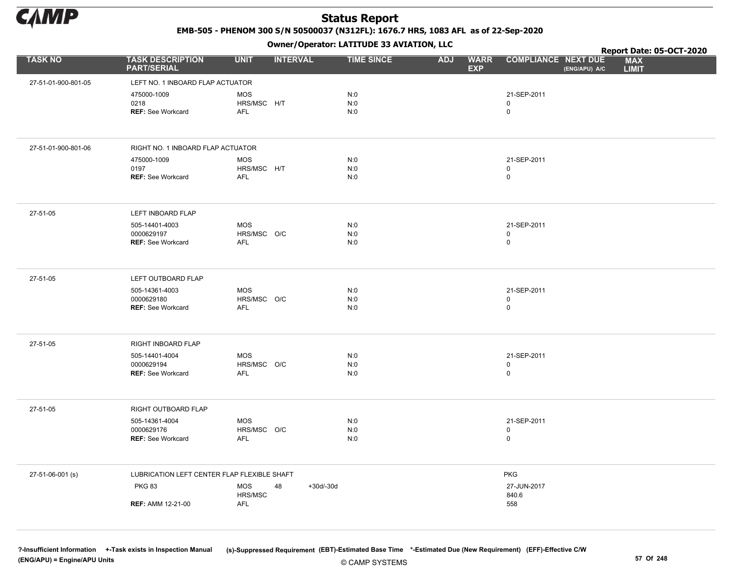

EMB-505 - PHENOM 300 S/N 50500037 (N312FL): 1676.7 HRS, 1083 AFL as of 22-Sep-2020

Owner/Operator: LATITUDE 33 AVIATION, LLC

|                     |                                               | .                              |                   |                                         |                                             | Report Date: 05-OCT-2020   |
|---------------------|-----------------------------------------------|--------------------------------|-------------------|-----------------------------------------|---------------------------------------------|----------------------------|
| <b>TASK NO</b>      | <b>TASK DESCRIPTION</b><br><b>PART/SERIAL</b> | <b>UNIT</b><br><b>INTERVAL</b> | <b>TIME SINCE</b> | <b>WARR</b><br><b>ADJ</b><br><b>EXP</b> | <b>COMPLIANCE NEXT DUE</b><br>(ENG/APU) A/C | <b>MAX</b><br><b>LIMIT</b> |
| 27-51-01-900-801-05 | LEFT NO. 1 INBOARD FLAP ACTUATOR              |                                |                   |                                         |                                             |                            |
|                     | 475000-1009                                   | <b>MOS</b>                     | N:0               |                                         | 21-SEP-2011                                 |                            |
|                     | 0218                                          | HRS/MSC H/T                    | N:0               |                                         | 0                                           |                            |
|                     | <b>REF: See Workcard</b>                      | <b>AFL</b>                     | N:0               |                                         | $\mathsf{O}$                                |                            |
| 27-51-01-900-801-06 | RIGHT NO. 1 INBOARD FLAP ACTUATOR             |                                |                   |                                         |                                             |                            |
|                     | 475000-1009                                   | <b>MOS</b>                     | N:0               |                                         | 21-SEP-2011                                 |                            |
|                     | 0197                                          | HRS/MSC H/T                    | N:0               |                                         | 0                                           |                            |
|                     | <b>REF: See Workcard</b>                      | <b>AFL</b>                     | N:0               |                                         | $\mathsf{O}$                                |                            |
| 27-51-05            | LEFT INBOARD FLAP                             |                                |                   |                                         |                                             |                            |
|                     | 505-14401-4003                                | <b>MOS</b>                     | N:0               |                                         | 21-SEP-2011                                 |                            |
|                     | 0000629197                                    | HRS/MSC O/C                    | N:0               |                                         | 0                                           |                            |
|                     | <b>REF: See Workcard</b>                      | <b>AFL</b>                     | N:0               |                                         | $\mathsf 0$                                 |                            |
| 27-51-05            | LEFT OUTBOARD FLAP                            |                                |                   |                                         |                                             |                            |
|                     | 505-14361-4003<br>0000629180                  | <b>MOS</b>                     | N:0<br>N:0        |                                         | 21-SEP-2011<br>0                            |                            |
|                     | <b>REF: See Workcard</b>                      | HRS/MSC O/C<br>AFL             | N:0               |                                         | $\mathsf 0$                                 |                            |
| 27-51-05            | RIGHT INBOARD FLAP                            |                                |                   |                                         |                                             |                            |
|                     | 505-14401-4004                                | <b>MOS</b>                     | N:0               |                                         | 21-SEP-2011                                 |                            |
|                     | 0000629194                                    | HRS/MSC O/C                    | N:0               |                                         | 0                                           |                            |
|                     | <b>REF: See Workcard</b>                      | AFL                            | N:0               |                                         | $\mathsf 0$                                 |                            |
| 27-51-05            | RIGHT OUTBOARD FLAP                           |                                |                   |                                         |                                             |                            |
|                     | 505-14361-4004                                | <b>MOS</b>                     | N:0               |                                         | 21-SEP-2011                                 |                            |
|                     | 0000629176<br><b>REF: See Workcard</b>        | HRS/MSC O/C<br>AFL             | N:0<br>N:0        |                                         | 0<br>$\mathsf 0$                            |                            |
|                     |                                               |                                |                   |                                         |                                             |                            |
| 27-51-06-001 (s)    | LUBRICATION LEFT CENTER FLAP FLEXIBLE SHAFT   |                                |                   |                                         | <b>PKG</b>                                  |                            |
|                     | <b>PKG 83</b>                                 | <b>MOS</b><br>48               | $+30d/-30d$       |                                         | 27-JUN-2017                                 |                            |
|                     | <b>REF: AMM 12-21-00</b>                      | HRS/MSC<br><b>AFL</b>          |                   |                                         | 840.6<br>558                                |                            |
|                     |                                               |                                |                   |                                         |                                             |                            |

© CAMP SYSTEMS ?-Insufficient Information +-Task exists in Inspection Manual (s)-Suppressed Requirement (EBT)-Estimated Base Time \*-Estimated Due (New Requirement) (EFF)-Effective C/W (ENG/APU) = Engine/APU Units 57 Of 248 and the set of the set of the set of the set of the set of the set of the set of the set of the set of the set of the set of the set of the set of the set of the set of the set of th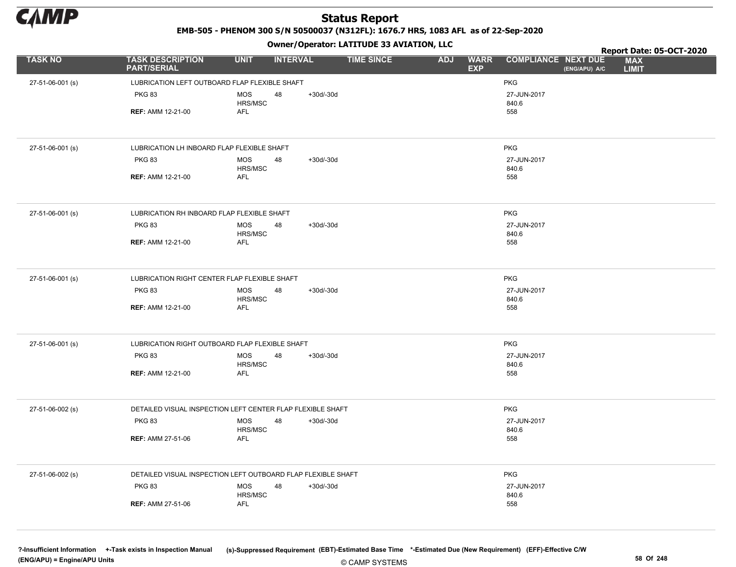

EMB-505 - PHENOM 300 S/N 50500037 (N312FL): 1676.7 HRS, 1083 AFL as of 22-Sep-2020

Owner/Operator: LATITUDE 33 AVIATION, LLC

|                  |                                                              |                       |                 |             | Owner/Operator. EATITODE 33 AVIATION, LLC |            |                           | Report Date: 05-OCT-2020   |               |                            |  |
|------------------|--------------------------------------------------------------|-----------------------|-----------------|-------------|-------------------------------------------|------------|---------------------------|----------------------------|---------------|----------------------------|--|
| <b>TASK NO</b>   | <b>TASK DESCRIPTION</b><br><b>PART/SERIAL</b>                | <b>UNIT</b>           | <b>INTERVAL</b> |             | <b>TIME SINCE</b>                         | <b>ADJ</b> | <b>WARR</b><br><b>EXP</b> | <b>COMPLIANCE NEXT DUE</b> | (ENG/APU) A/C | <b>MAX</b><br><b>LIMIT</b> |  |
| 27-51-06-001 (s) | LUBRICATION LEFT OUTBOARD FLAP FLEXIBLE SHAFT                |                       |                 |             |                                           |            |                           | <b>PKG</b>                 |               |                            |  |
|                  | <b>PKG 83</b>                                                | <b>MOS</b><br>HRS/MSC | 48              | $+30d/-30d$ |                                           |            |                           | 27-JUN-2017<br>840.6       |               |                            |  |
|                  | <b>REF: AMM 12-21-00</b>                                     | <b>AFL</b>            |                 |             |                                           |            |                           | 558                        |               |                            |  |
| 27-51-06-001 (s) | LUBRICATION LH INBOARD FLAP FLEXIBLE SHAFT                   |                       |                 |             |                                           |            |                           | <b>PKG</b>                 |               |                            |  |
|                  | <b>PKG 83</b>                                                | <b>MOS</b><br>HRS/MSC | 48              | $+30d/-30d$ |                                           |            |                           | 27-JUN-2017<br>840.6       |               |                            |  |
|                  | <b>REF: AMM 12-21-00</b>                                     | AFL                   |                 |             |                                           |            |                           | 558                        |               |                            |  |
| 27-51-06-001 (s) | LUBRICATION RH INBOARD FLAP FLEXIBLE SHAFT                   |                       |                 |             |                                           |            |                           | <b>PKG</b>                 |               |                            |  |
|                  | <b>PKG 83</b>                                                | <b>MOS</b><br>HRS/MSC | 48              | $+30d/-30d$ |                                           |            |                           | 27-JUN-2017<br>840.6       |               |                            |  |
|                  | <b>REF: AMM 12-21-00</b>                                     | <b>AFL</b>            |                 |             |                                           |            |                           | 558                        |               |                            |  |
| 27-51-06-001 (s) | LUBRICATION RIGHT CENTER FLAP FLEXIBLE SHAFT                 |                       |                 |             |                                           |            |                           | <b>PKG</b>                 |               |                            |  |
|                  | <b>PKG 83</b>                                                | <b>MOS</b><br>HRS/MSC | 48              | $+30d/-30d$ |                                           |            |                           | 27-JUN-2017<br>840.6       |               |                            |  |
|                  | <b>REF: AMM 12-21-00</b>                                     | AFL                   |                 |             |                                           |            |                           | 558                        |               |                            |  |
| 27-51-06-001 (s) | LUBRICATION RIGHT OUTBOARD FLAP FLEXIBLE SHAFT               |                       |                 |             |                                           |            |                           | <b>PKG</b>                 |               |                            |  |
|                  | <b>PKG 83</b>                                                | <b>MOS</b><br>HRS/MSC | 48              | $+30d/-30d$ |                                           |            |                           | 27-JUN-2017<br>840.6       |               |                            |  |
|                  | <b>REF: AMM 12-21-00</b>                                     | <b>AFL</b>            |                 |             |                                           |            |                           | 558                        |               |                            |  |
| 27-51-06-002 (s) | DETAILED VISUAL INSPECTION LEFT CENTER FLAP FLEXIBLE SHAFT   |                       |                 |             |                                           |            |                           | <b>PKG</b>                 |               |                            |  |
|                  | <b>PKG 83</b>                                                | <b>MOS</b><br>HRS/MSC | 48              | $+30d/-30d$ |                                           |            |                           | 27-JUN-2017<br>840.6       |               |                            |  |
|                  | <b>REF: AMM 27-51-06</b>                                     | AFL                   |                 |             |                                           |            |                           | 558                        |               |                            |  |
| 27-51-06-002 (s) | DETAILED VISUAL INSPECTION LEFT OUTBOARD FLAP FLEXIBLE SHAFT |                       |                 |             |                                           |            |                           | <b>PKG</b>                 |               |                            |  |
|                  | <b>PKG 83</b>                                                | <b>MOS</b><br>HRS/MSC | 48              | $+30d/-30d$ |                                           |            |                           | 27-JUN-2017<br>840.6       |               |                            |  |
|                  | <b>REF: AMM 27-51-06</b>                                     | <b>AFL</b>            |                 |             |                                           |            |                           | 558                        |               |                            |  |

© CAMP SYSTEMS ?-Insufficient Information +-Task exists in Inspection Manual (s)-Suppressed Requirement (EBT)-Estimated Base Time \*-Estimated Due (New Requirement) (EFF)-Effective C/W (ENG/APU) = Engine/APU Units 58 Of 248 and the control of the control of the control of the control of the control of the control of the control of the control of the control of the control of the control of the control o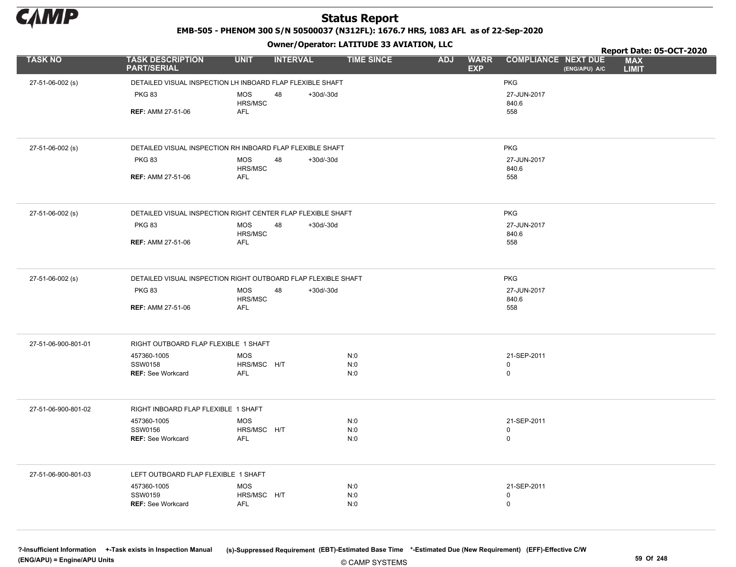

EMB-505 - PHENOM 300 S/N 50500037 (N312FL): 1676.7 HRS, 1083 AFL as of 22-Sep-2020

Owner/Operator: LATITUDE 33 AVIATION, LLC

|                     |                                                               |                       | .               |             |                   |            |                           |                                             | Report Date: 05-OCT-2020   |
|---------------------|---------------------------------------------------------------|-----------------------|-----------------|-------------|-------------------|------------|---------------------------|---------------------------------------------|----------------------------|
| <b>TASK NO</b>      | <b>TASK DESCRIPTION</b><br><b>PART/SERIAL</b>                 | <b>UNIT</b>           | <b>INTERVAL</b> |             | <b>TIME SINCE</b> | <b>ADJ</b> | <b>WARR</b><br><b>EXP</b> | <b>COMPLIANCE NEXT DUE</b><br>(ENG/APU) A/C | <b>MAX</b><br><b>LIMIT</b> |
| 27-51-06-002 (s)    | DETAILED VISUAL INSPECTION LH INBOARD FLAP FLEXIBLE SHAFT     |                       |                 |             |                   |            |                           | <b>PKG</b>                                  |                            |
|                     | <b>PKG 83</b>                                                 | <b>MOS</b>            | 48              | $+30d/-30d$ |                   |            |                           | 27-JUN-2017                                 |                            |
|                     |                                                               | HRS/MSC               |                 |             |                   |            |                           | 840.6                                       |                            |
|                     | <b>REF: AMM 27-51-06</b>                                      | AFL                   |                 |             |                   |            |                           | 558                                         |                            |
|                     |                                                               |                       |                 |             |                   |            |                           |                                             |                            |
| 27-51-06-002 (s)    | DETAILED VISUAL INSPECTION RH INBOARD FLAP FLEXIBLE SHAFT     |                       |                 |             |                   |            |                           | <b>PKG</b>                                  |                            |
|                     | <b>PKG 83</b>                                                 | <b>MOS</b><br>HRS/MSC | 48              | $+30d/-30d$ |                   |            |                           | 27-JUN-2017<br>840.6                        |                            |
|                     | <b>REF: AMM 27-51-06</b>                                      | <b>AFL</b>            |                 |             |                   |            |                           | 558                                         |                            |
|                     |                                                               |                       |                 |             |                   |            |                           |                                             |                            |
| 27-51-06-002 (s)    | DETAILED VISUAL INSPECTION RIGHT CENTER FLAP FLEXIBLE SHAFT   |                       |                 |             |                   |            |                           | <b>PKG</b>                                  |                            |
|                     | <b>PKG 83</b>                                                 | <b>MOS</b>            | 48              | +30d/-30d   |                   |            |                           | 27-JUN-2017                                 |                            |
|                     |                                                               | HRS/MSC<br>AFL        |                 |             |                   |            |                           | 840.6                                       |                            |
|                     | <b>REF: AMM 27-51-06</b>                                      |                       |                 |             |                   |            |                           | 558                                         |                            |
| 27-51-06-002 (s)    | DETAILED VISUAL INSPECTION RIGHT OUTBOARD FLAP FLEXIBLE SHAFT |                       |                 |             |                   |            |                           | PKG                                         |                            |
|                     | <b>PKG 83</b>                                                 | <b>MOS</b>            | 48              | $+30d/-30d$ |                   |            |                           | 27-JUN-2017                                 |                            |
|                     |                                                               | HRS/MSC               |                 |             |                   |            |                           | 840.6                                       |                            |
|                     | <b>REF: AMM 27-51-06</b>                                      | <b>AFL</b>            |                 |             |                   |            |                           | 558                                         |                            |
| 27-51-06-900-801-01 | RIGHT OUTBOARD FLAP FLEXIBLE 1 SHAFT                          |                       |                 |             |                   |            |                           |                                             |                            |
|                     | 457360-1005                                                   | <b>MOS</b>            |                 |             | N:0               |            |                           | 21-SEP-2011                                 |                            |
|                     | SSW0158<br><b>REF: See Workcard</b>                           | HRS/MSC H/T<br>AFL    |                 |             | N:0<br>N:0        |            |                           | $\mathbf 0$<br>$\mathsf 0$                  |                            |
|                     |                                                               |                       |                 |             |                   |            |                           |                                             |                            |
| 27-51-06-900-801-02 | RIGHT INBOARD FLAP FLEXIBLE 1 SHAFT                           |                       |                 |             |                   |            |                           |                                             |                            |
|                     | 457360-1005                                                   | <b>MOS</b>            |                 |             | N:0               |            |                           | 21-SEP-2011                                 |                            |
|                     | SSW0156<br><b>REF: See Workcard</b>                           | HRS/MSC H/T<br>AFL    |                 |             | N:0<br>N:0        |            |                           | $\mathbf 0$<br>$\mathbf 0$                  |                            |
|                     |                                                               |                       |                 |             |                   |            |                           |                                             |                            |
| 27-51-06-900-801-03 | LEFT OUTBOARD FLAP FLEXIBLE 1 SHAFT                           |                       |                 |             |                   |            |                           |                                             |                            |
|                     | 457360-1005                                                   | <b>MOS</b>            |                 |             | N:0               |            |                           | 21-SEP-2011                                 |                            |
|                     | SSW0159<br><b>REF: See Workcard</b>                           | HRS/MSC H/T<br>AFL    |                 |             | N:0<br>N:0        |            |                           | $\mathbf 0$<br>$\mathbf 0$                  |                            |
|                     |                                                               |                       |                 |             |                   |            |                           |                                             |                            |
|                     |                                                               |                       |                 |             |                   |            |                           |                                             |                            |

© CAMP SYSTEMS ?-Insufficient Information +-Task exists in Inspection Manual (s)-Suppressed Requirement (EBT)-Estimated Base Time \*-Estimated Due (New Requirement) (EFF)-Effective C/W (ENG/APU) = Engine/APU Units 59 Of 248 and the control of the control of the control of the control of the control of the control of the control of the control of the control of the control of the control of the control o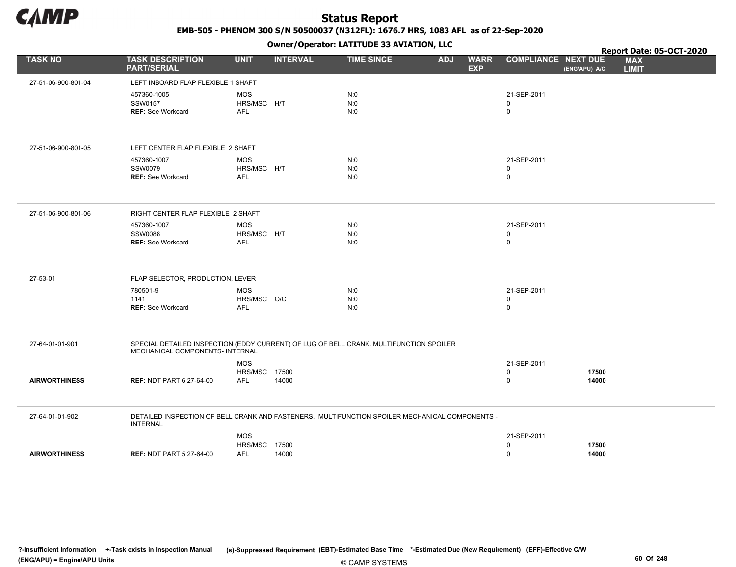

EMB-505 - PHENOM 300 S/N 50500037 (N312FL): 1676.7 HRS, 1083 AFL as of 22-Sep-2020

Owner/Operator: LATITUDE 33 AVIATION, LLC

|                      |                                                                                                                           |                           |                 | Owner / Operator. EATITODE 33 AVIATION, LLC |                                         |                            |               | Report Date: 05-OCT-2020   |
|----------------------|---------------------------------------------------------------------------------------------------------------------------|---------------------------|-----------------|---------------------------------------------|-----------------------------------------|----------------------------|---------------|----------------------------|
| <b>TASK NO</b>       | <b>TASK DESCRIPTION</b><br><b>PART/SERIAL</b>                                                                             | <b>UNIT</b>               | <b>INTERVAL</b> | <b>TIME SINCE</b>                           | <b>WARR</b><br><b>ADJ</b><br><b>EXP</b> | <b>COMPLIANCE NEXT DUE</b> | (ENG/APU) A/C | <b>MAX</b><br><b>LIMIT</b> |
| 27-51-06-900-801-04  | LEFT INBOARD FLAP FLEXIBLE 1 SHAFT                                                                                        |                           |                 |                                             |                                         |                            |               |                            |
|                      | 457360-1005                                                                                                               | <b>MOS</b>                |                 | N:0                                         |                                         | 21-SEP-2011                |               |                            |
|                      | SSW0157                                                                                                                   | HRS/MSC H/T               |                 | N:0                                         |                                         | 0                          |               |                            |
|                      | <b>REF:</b> See Workcard                                                                                                  | <b>AFL</b>                |                 | N:0                                         |                                         | $\mathbf 0$                |               |                            |
|                      |                                                                                                                           |                           |                 |                                             |                                         |                            |               |                            |
| 27-51-06-900-801-05  | LEFT CENTER FLAP FLEXIBLE 2 SHAFT                                                                                         |                           |                 |                                             |                                         |                            |               |                            |
|                      | 457360-1007                                                                                                               | <b>MOS</b>                |                 | N:0                                         |                                         | 21-SEP-2011                |               |                            |
|                      | <b>SSW0079</b><br><b>REF: See Workcard</b>                                                                                | HRS/MSC H/T<br><b>AFL</b> |                 | N:0<br>N:0                                  |                                         | $\mathbf 0$<br>$\mathbf 0$ |               |                            |
|                      |                                                                                                                           |                           |                 |                                             |                                         |                            |               |                            |
| 27-51-06-900-801-06  | RIGHT CENTER FLAP FLEXIBLE 2 SHAFT                                                                                        |                           |                 |                                             |                                         |                            |               |                            |
|                      | 457360-1007                                                                                                               | <b>MOS</b>                |                 | N:0                                         |                                         | 21-SEP-2011                |               |                            |
|                      | <b>SSW0088</b><br><b>REF: See Workcard</b>                                                                                | HRS/MSC H/T<br><b>AFL</b> |                 | N:0<br>N:0                                  |                                         | $\mathbf 0$<br>$\mathbf 0$ |               |                            |
|                      |                                                                                                                           |                           |                 |                                             |                                         |                            |               |                            |
| 27-53-01             | FLAP SELECTOR, PRODUCTION, LEVER                                                                                          |                           |                 |                                             |                                         |                            |               |                            |
|                      | 780501-9                                                                                                                  | <b>MOS</b>                |                 | N:0                                         |                                         | 21-SEP-2011                |               |                            |
|                      | 1141<br><b>REF: See Workcard</b>                                                                                          | HRS/MSC O/C<br><b>AFL</b> |                 | N:0<br>N:0                                  |                                         | $\mathbf 0$<br>$\mathsf 0$ |               |                            |
|                      |                                                                                                                           |                           |                 |                                             |                                         |                            |               |                            |
| 27-64-01-01-901      | SPECIAL DETAILED INSPECTION (EDDY CURRENT) OF LUG OF BELL CRANK. MULTIFUNCTION SPOILER<br>MECHANICAL COMPONENTS- INTERNAL |                           |                 |                                             |                                         |                            |               |                            |
|                      |                                                                                                                           | <b>MOS</b>                |                 |                                             |                                         | 21-SEP-2011                |               |                            |
|                      |                                                                                                                           | <b>HRS/MSC 17500</b>      |                 |                                             |                                         | $\mathbf 0$                | 17500         |                            |
| <b>AIRWORTHINESS</b> | <b>REF: NDT PART 6 27-64-00</b>                                                                                           | <b>AFL</b>                | 14000           |                                             |                                         | $\mathbf 0$                | 14000         |                            |
| 27-64-01-01-902      | DETAILED INSPECTION OF BELL CRANK AND FASTENERS. MULTIFUNCTION SPOILER MECHANICAL COMPONENTS -<br><b>INTERNAL</b>         |                           |                 |                                             |                                         |                            |               |                            |
|                      |                                                                                                                           | <b>MOS</b>                |                 |                                             |                                         | 21-SEP-2011                |               |                            |
|                      |                                                                                                                           | HRS/MSC 17500             |                 |                                             |                                         | $\mathsf 0$                | 17500         |                            |
| <b>AIRWORTHINESS</b> | <b>REF: NDT PART 5 27-64-00</b>                                                                                           | <b>AFL</b>                | 14000           |                                             |                                         | $\mathsf 0$                | 14000         |                            |
|                      |                                                                                                                           |                           |                 |                                             |                                         |                            |               |                            |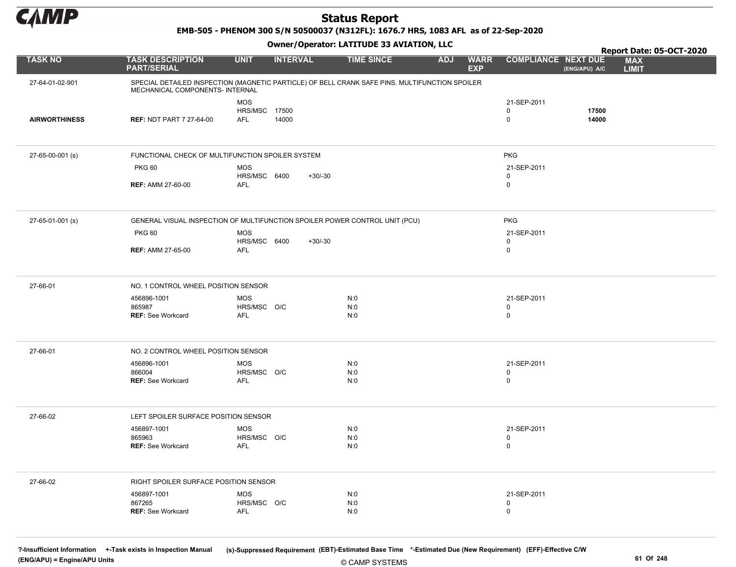

EMB-505 - PHENOM 300 S/N 50500037 (N312FL): 1676.7 HRS, 1083 AFL as of 22-Sep-2020

#### Owner/Operator: LATITUDE 33 AVIATION, LLC

|                      |                                                                                                                                   |                            | .               |                   |                                         |                            |               | Report Date: 05-OCT-2020   |
|----------------------|-----------------------------------------------------------------------------------------------------------------------------------|----------------------------|-----------------|-------------------|-----------------------------------------|----------------------------|---------------|----------------------------|
| <b>TASK NO</b>       | <b>TASK DESCRIPTION</b><br><b>PART/SERIAL</b>                                                                                     | <b>UNIT</b>                | <b>INTERVAL</b> | <b>TIME SINCE</b> | <b>WARR</b><br><b>ADJ</b><br><b>EXP</b> | <b>COMPLIANCE NEXT DUE</b> | (ENG/APU) A/C | <b>MAX</b><br><b>LIMIT</b> |
| 27-64-01-02-901      | SPECIAL DETAILED INSPECTION (MAGNETIC PARTICLE) OF BELL CRANK SAFE PINS. MULTIFUNCTION SPOILER<br>MECHANICAL COMPONENTS- INTERNAL |                            |                 |                   |                                         |                            |               |                            |
|                      |                                                                                                                                   | <b>MOS</b>                 |                 |                   |                                         | 21-SEP-2011                |               |                            |
|                      |                                                                                                                                   | <b>HRS/MSC 17500</b>       |                 |                   |                                         | $\mathbf 0$<br>$\mathbf 0$ | 17500         |                            |
| <b>AIRWORTHINESS</b> | <b>REF: NDT PART 7 27-64-00</b>                                                                                                   | <b>AFL</b>                 | 14000           |                   |                                         |                            | 14000         |                            |
|                      |                                                                                                                                   |                            |                 |                   |                                         |                            |               |                            |
| 27-65-00-001 (s)     | FUNCTIONAL CHECK OF MULTIFUNCTION SPOILER SYSTEM                                                                                  |                            |                 |                   |                                         | <b>PKG</b>                 |               |                            |
|                      | <b>PKG 60</b>                                                                                                                     | <b>MOS</b>                 |                 |                   |                                         | 21-SEP-2011                |               |                            |
|                      | <b>REF: AMM 27-60-00</b>                                                                                                          | HRS/MSC 6400<br>AFL        | $+30/-30$       |                   |                                         | $\mathbf 0$<br>$\mathbf 0$ |               |                            |
|                      |                                                                                                                                   |                            |                 |                   |                                         |                            |               |                            |
|                      |                                                                                                                                   |                            |                 |                   |                                         |                            |               |                            |
| 27-65-01-001 (s)     | GENERAL VISUAL INSPECTION OF MULTIFUNCTION SPOILER POWER CONTROL UNIT (PCU)                                                       |                            |                 |                   |                                         | <b>PKG</b>                 |               |                            |
|                      | <b>PKG 60</b>                                                                                                                     | <b>MOS</b>                 |                 |                   |                                         | 21-SEP-2011                |               |                            |
|                      | <b>REF: AMM 27-65-00</b>                                                                                                          | HRS/MSC 6400<br><b>AFL</b> | $+30/-30$       |                   |                                         | $\mathbf 0$<br>$\mathbf 0$ |               |                            |
|                      |                                                                                                                                   |                            |                 |                   |                                         |                            |               |                            |
| 27-66-01             | NO. 1 CONTROL WHEEL POSITION SENSOR                                                                                               |                            |                 |                   |                                         |                            |               |                            |
|                      | 456896-1001                                                                                                                       | <b>MOS</b>                 |                 | N:0               |                                         | 21-SEP-2011                |               |                            |
|                      | 865987                                                                                                                            | HRS/MSC O/C                |                 | N:0               |                                         | $\mathbf 0$                |               |                            |
|                      | <b>REF: See Workcard</b>                                                                                                          | <b>AFL</b>                 |                 | N:0               |                                         | $\mathbf 0$                |               |                            |
|                      |                                                                                                                                   |                            |                 |                   |                                         |                            |               |                            |
| 27-66-01             | NO. 2 CONTROL WHEEL POSITION SENSOR                                                                                               |                            |                 |                   |                                         |                            |               |                            |
|                      | 456896-1001                                                                                                                       | <b>MOS</b>                 |                 | N:0               |                                         | 21-SEP-2011                |               |                            |
|                      | 866004                                                                                                                            | HRS/MSC O/C                |                 | N:0               |                                         | $\mathbf 0$                |               |                            |
|                      | <b>REF: See Workcard</b>                                                                                                          | <b>AFL</b>                 |                 | N:0               |                                         | $\mathbf 0$                |               |                            |
|                      |                                                                                                                                   |                            |                 |                   |                                         |                            |               |                            |
| 27-66-02             | LEFT SPOILER SURFACE POSITION SENSOR                                                                                              |                            |                 |                   |                                         |                            |               |                            |
|                      | 456897-1001                                                                                                                       | <b>MOS</b>                 |                 | N:0               |                                         | 21-SEP-2011                |               |                            |
|                      | 865963<br><b>REF: See Workcard</b>                                                                                                | HRS/MSC O/C<br>AFL         |                 | N:0<br>N:0        |                                         | $\mathbf 0$<br>$\mathbf 0$ |               |                            |
|                      |                                                                                                                                   |                            |                 |                   |                                         |                            |               |                            |
|                      |                                                                                                                                   |                            |                 |                   |                                         |                            |               |                            |
| 27-66-02             | RIGHT SPOILER SURFACE POSITION SENSOR                                                                                             |                            |                 |                   |                                         |                            |               |                            |
|                      | 456897-1001<br>867265                                                                                                             | <b>MOS</b><br>HRS/MSC O/C  |                 | N:0<br>N:0        |                                         | 21-SEP-2011<br>$\mathbf 0$ |               |                            |
|                      | <b>REF: See Workcard</b>                                                                                                          | <b>AFL</b>                 |                 | N:0               |                                         | $\mathbf 0$                |               |                            |
|                      |                                                                                                                                   |                            |                 |                   |                                         |                            |               |                            |

© CAMP SYSTEMS ?-Insufficient Information +-Task exists in Inspection Manual (s)-Suppressed Requirement (EBT)-Estimated Base Time \*-Estimated Due (New Requirement) (EFF)-Effective C/W (ENG/APU) = Engine/APU Units 61 Of 248 and the control of the control of the control of the control of the control of the control of the control of the control of 248 and the control of 248 and the control of 248 and the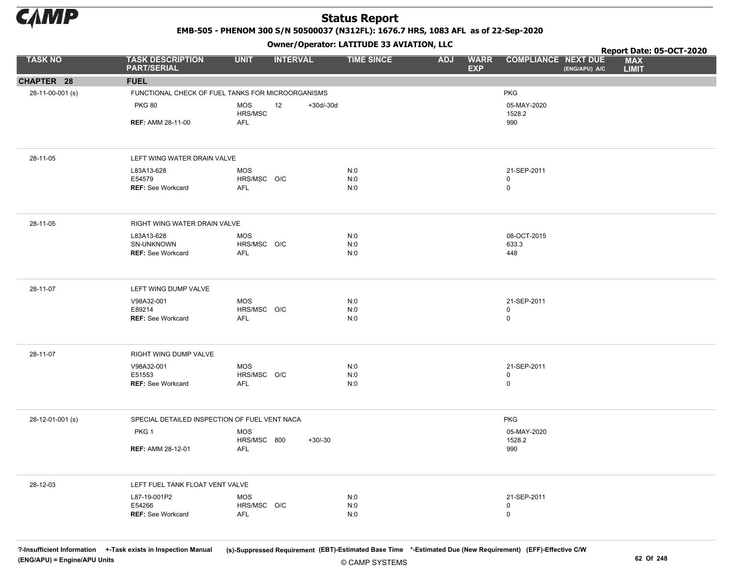

EMB-505 - PHENOM 300 S/N 50500037 (N312FL): 1676.7 HRS, 1083 AFL as of 22-Sep-2020

Owner/Operator: LATITUDE 33 AVIATION, LLC

|                  |                                                   |                           | .                 |                   |            |                           |                            |               | Report Date: 05-OCT-2020   |  |
|------------------|---------------------------------------------------|---------------------------|-------------------|-------------------|------------|---------------------------|----------------------------|---------------|----------------------------|--|
| <b>TASK NO</b>   | <b>TASK DESCRIPTION</b><br><b>PART/SERIAL</b>     | <b>UNIT</b>               | <b>INTERVAL</b>   | <b>TIME SINCE</b> | <b>ADJ</b> | <b>WARR</b><br><b>EXP</b> | <b>COMPLIANCE NEXT DUE</b> | (ENG/APU) A/C | <b>MAX</b><br><b>LIMIT</b> |  |
| CHAPTER 28       | <b>FUEL</b>                                       |                           |                   |                   |            |                           |                            |               |                            |  |
| 28-11-00-001 (s) | FUNCTIONAL CHECK OF FUEL TANKS FOR MICROORGANISMS |                           |                   |                   |            |                           | <b>PKG</b>                 |               |                            |  |
|                  | <b>PKG 80</b>                                     | <b>MOS</b><br>HRS/MSC     | $+30d/-30d$<br>12 |                   |            |                           | 05-MAY-2020<br>1528.2      |               |                            |  |
|                  | <b>REF: AMM 28-11-00</b>                          | <b>AFL</b>                |                   |                   |            |                           | 990                        |               |                            |  |
| 28-11-05         | LEFT WING WATER DRAIN VALVE                       |                           |                   |                   |            |                           |                            |               |                            |  |
|                  | L83A13-628                                        | MOS                       |                   | N:0               |            |                           | 21-SEP-2011                |               |                            |  |
|                  | E54579                                            | HRS/MSC O/C               |                   | N:0               |            |                           | $\mathbf 0$                |               |                            |  |
|                  | <b>REF: See Workcard</b>                          | <b>AFL</b>                |                   | N:0               |            |                           | $\mathsf 0$                |               |                            |  |
| 28-11-05         | RIGHT WING WATER DRAIN VALVE                      |                           |                   |                   |            |                           |                            |               |                            |  |
|                  | L83A13-628                                        | <b>MOS</b>                |                   | N:0               |            |                           | 08-OCT-2015                |               |                            |  |
|                  | SN-UNKNOWN<br><b>REF: See Workcard</b>            | HRS/MSC O/C<br>AFL        |                   | N:0<br>N:0        |            |                           | 633.3<br>448               |               |                            |  |
|                  |                                                   |                           |                   |                   |            |                           |                            |               |                            |  |
| 28-11-07         | LEFT WING DUMP VALVE                              |                           |                   |                   |            |                           |                            |               |                            |  |
|                  | V98A32-001                                        | <b>MOS</b>                |                   | N:0               |            |                           | 21-SEP-2011                |               |                            |  |
|                  | E89214                                            | HRS/MSC O/C               |                   | N:0               |            |                           | 0                          |               |                            |  |
|                  | <b>REF: See Workcard</b>                          | <b>AFL</b>                |                   | N:0               |            |                           | $\mathsf 0$                |               |                            |  |
| 28-11-07         | RIGHT WING DUMP VALVE                             |                           |                   |                   |            |                           |                            |               |                            |  |
|                  | V98A32-001                                        | MOS                       |                   | N:0               |            |                           | 21-SEP-2011                |               |                            |  |
|                  | E51553                                            | HRS/MSC O/C               |                   | N:0               |            |                           | $\mathsf 0$                |               |                            |  |
|                  | <b>REF: See Workcard</b>                          | <b>AFL</b>                |                   | N:0               |            |                           | $\mathsf 0$                |               |                            |  |
| 28-12-01-001 (s) | SPECIAL DETAILED INSPECTION OF FUEL VENT NACA     |                           |                   |                   |            |                           | <b>PKG</b>                 |               |                            |  |
|                  | PKG 1                                             | <b>MOS</b><br>HRS/MSC 800 | $+30/-30$         |                   |            |                           | 05-MAY-2020<br>1528.2      |               |                            |  |
|                  | <b>REF: AMM 28-12-01</b>                          | <b>AFL</b>                |                   |                   |            |                           | 990                        |               |                            |  |
| 28-12-03         | LEFT FUEL TANK FLOAT VENT VALVE                   |                           |                   |                   |            |                           |                            |               |                            |  |
|                  | L87-19-001P2                                      | <b>MOS</b>                |                   | N:0               |            |                           | 21-SEP-2011                |               |                            |  |
|                  | E54266                                            | HRS/MSC O/C               |                   | N:0               |            |                           | $\mathbf 0$                |               |                            |  |
|                  | <b>REF: See Workcard</b>                          | AFL                       |                   | N:0               |            |                           | $\mathbf 0$                |               |                            |  |

© CAMP SYSTEMS ?-Insufficient Information +-Task exists in Inspection Manual (s)-Suppressed Requirement (EBT)-Estimated Base Time \*-Estimated Due (New Requirement) (EFF)-Effective C/W (ENG/APU) = Engine/APU Units 62 Of 248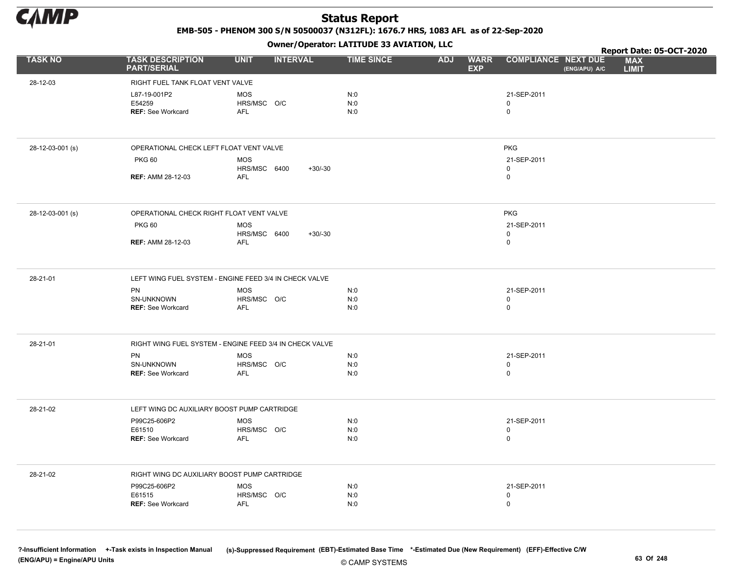

EMB-505 - PHENOM 300 S/N 50500037 (N312FL): 1676.7 HRS, 1083 AFL as of 22-Sep-2020

Owner/Operator: LATITUDE 33 AVIATION, LLC

|                  |                                               | .                                                       |                   |                                         |                                             | Report Date: 05-OCT-2020   |
|------------------|-----------------------------------------------|---------------------------------------------------------|-------------------|-----------------------------------------|---------------------------------------------|----------------------------|
| <b>TASK NO</b>   | <b>TASK DESCRIPTION</b><br><b>PART/SERIAL</b> | <b>UNIT</b><br><b>INTERVAL</b>                          | <b>TIME SINCE</b> | <b>WARR</b><br><b>ADJ</b><br><b>EXP</b> | <b>COMPLIANCE NEXT DUE</b><br>(ENG/APU) A/C | <b>MAX</b><br><b>LIMIT</b> |
| 28-12-03         | RIGHT FUEL TANK FLOAT VENT VALVE              |                                                         |                   |                                         |                                             |                            |
|                  | L87-19-001P2                                  | <b>MOS</b>                                              | N:0               |                                         | 21-SEP-2011                                 |                            |
|                  | E54259                                        | HRS/MSC O/C                                             | N:0               |                                         | $\mathbf 0$                                 |                            |
|                  | <b>REF: See Workcard</b>                      | <b>AFL</b>                                              | N:0               |                                         | $\mathsf 0$                                 |                            |
|                  |                                               |                                                         |                   |                                         |                                             |                            |
| 28-12-03-001 (s) | OPERATIONAL CHECK LEFT FLOAT VENT VALVE       |                                                         |                   |                                         | <b>PKG</b>                                  |                            |
|                  | <b>PKG 60</b>                                 | <b>MOS</b>                                              |                   |                                         | 21-SEP-2011                                 |                            |
|                  |                                               | HRS/MSC 6400<br>$+30/-30$                               |                   |                                         | $\mathsf 0$                                 |                            |
|                  | <b>REF: AMM 28-12-03</b>                      | <b>AFL</b>                                              |                   |                                         | $\pmb{0}$                                   |                            |
| 28-12-03-001 (s) | OPERATIONAL CHECK RIGHT FLOAT VENT VALVE      |                                                         |                   |                                         | <b>PKG</b>                                  |                            |
|                  | <b>PKG 60</b>                                 | <b>MOS</b>                                              |                   |                                         | 21-SEP-2011                                 |                            |
|                  |                                               | HRS/MSC 6400<br>$+30/-30$                               |                   |                                         | $\mathsf 0$                                 |                            |
|                  | <b>REF: AMM 28-12-03</b>                      | <b>AFL</b>                                              |                   |                                         | $\mathsf 0$                                 |                            |
|                  |                                               |                                                         |                   |                                         |                                             |                            |
| 28-21-01         |                                               | LEFT WING FUEL SYSTEM - ENGINE FEED 3/4 IN CHECK VALVE  |                   |                                         |                                             |                            |
|                  | PN                                            | <b>MOS</b>                                              | N:0               |                                         | 21-SEP-2011                                 |                            |
|                  | SN-UNKNOWN<br><b>REF: See Workcard</b>        | HRS/MSC O/C<br><b>AFL</b>                               | N:0<br>N:0        |                                         | 0<br>$\mathsf 0$                            |                            |
|                  |                                               |                                                         |                   |                                         |                                             |                            |
|                  |                                               |                                                         |                   |                                         |                                             |                            |
| 28-21-01         |                                               | RIGHT WING FUEL SYSTEM - ENGINE FEED 3/4 IN CHECK VALVE |                   |                                         |                                             |                            |
|                  | PN<br>SN-UNKNOWN                              | <b>MOS</b><br>HRS/MSC O/C                               | N:0<br>N:0        |                                         | 21-SEP-2011<br>$\mathbf 0$                  |                            |
|                  | <b>REF: See Workcard</b>                      | <b>AFL</b>                                              | N:0               |                                         | $\mathbf 0$                                 |                            |
|                  |                                               |                                                         |                   |                                         |                                             |                            |
| 28-21-02         | LEFT WING DC AUXILIARY BOOST PUMP CARTRIDGE   |                                                         |                   |                                         |                                             |                            |
|                  |                                               |                                                         |                   |                                         |                                             |                            |
|                  | P99C25-606P2<br>E61510                        | MOS<br>HRS/MSC O/C                                      | N:0<br>N:0        |                                         | 21-SEP-2011<br>$\mathbf 0$                  |                            |
|                  | REF: See Workcard                             | <b>AFL</b>                                              | N:0               |                                         | $\mathbf 0$                                 |                            |
|                  |                                               |                                                         |                   |                                         |                                             |                            |
| 28-21-02         | RIGHT WING DC AUXILIARY BOOST PUMP CARTRIDGE  |                                                         |                   |                                         |                                             |                            |
|                  | P99C25-606P2                                  | MOS                                                     | N:0               |                                         | 21-SEP-2011                                 |                            |
|                  | E61515                                        | HRS/MSC O/C                                             | N:0               |                                         | $\mathbf 0$                                 |                            |
|                  | <b>REF: See Workcard</b>                      | <b>AFL</b>                                              | N:0               |                                         | $\mathbf 0$                                 |                            |
|                  |                                               |                                                         |                   |                                         |                                             |                            |
|                  |                                               |                                                         |                   |                                         |                                             |                            |

© CAMP SYSTEMS ?-Insufficient Information +-Task exists in Inspection Manual (s)-Suppressed Requirement (EBT)-Estimated Base Time \*-Estimated Due (New Requirement) (EFF)-Effective C/W (ENG/APU) = Engine/APU Units 63 Of 248 and the control of the control of the control of the control of the control of the control of the control of the control of the control of the control of the control of the control o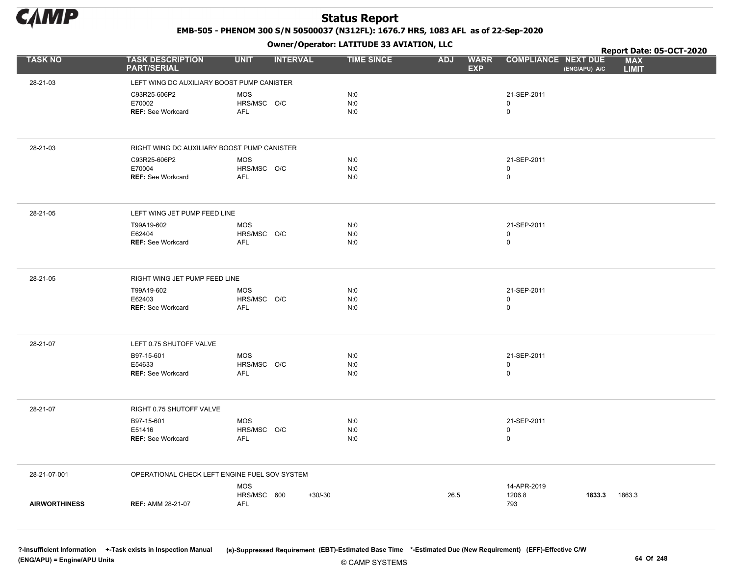

EMB-505 - PHENOM 300 S/N 50500037 (N312FL): 1676.7 HRS, 1083 AFL as of 22-Sep-2020

Owner/Operator: LATITUDE 33 AVIATION, LLC

|                      |                                               |                           | .               |                   |                                         |                             |               | Report Date: 05-OCT-2020   |  |
|----------------------|-----------------------------------------------|---------------------------|-----------------|-------------------|-----------------------------------------|-----------------------------|---------------|----------------------------|--|
| <b>TASK NO</b>       | <b>TASK DESCRIPTION</b><br><b>PART/SERIAL</b> | <b>UNIT</b>               | <b>INTERVAL</b> | <b>TIME SINCE</b> | <b>WARR</b><br><b>ADJ</b><br><b>EXP</b> | <b>COMPLIANCE NEXT DUE</b>  | (ENG/APU) A/C | <b>MAX</b><br><b>LIMIT</b> |  |
| 28-21-03             | LEFT WING DC AUXILIARY BOOST PUMP CANISTER    |                           |                 |                   |                                         |                             |               |                            |  |
|                      | C93R25-606P2                                  | <b>MOS</b>                |                 | N:0               |                                         | 21-SEP-2011                 |               |                            |  |
|                      | E70002                                        | HRS/MSC O/C               |                 | N:0               |                                         | 0                           |               |                            |  |
|                      | <b>REF: See Workcard</b>                      | AFL                       |                 | N:0               |                                         | $\mathsf 0$                 |               |                            |  |
|                      |                                               |                           |                 |                   |                                         |                             |               |                            |  |
| 28-21-03             | RIGHT WING DC AUXILIARY BOOST PUMP CANISTER   |                           |                 |                   |                                         |                             |               |                            |  |
|                      | C93R25-606P2                                  | <b>MOS</b>                |                 | N:0               |                                         | 21-SEP-2011                 |               |                            |  |
|                      | E70004                                        | HRS/MSC O/C               |                 | N:0               |                                         | 0                           |               |                            |  |
|                      | <b>REF: See Workcard</b>                      | AFL                       |                 | N:0               |                                         | 0                           |               |                            |  |
| 28-21-05             | LEFT WING JET PUMP FEED LINE                  |                           |                 |                   |                                         |                             |               |                            |  |
|                      | T99A19-602                                    | <b>MOS</b>                |                 | N:0               |                                         | 21-SEP-2011                 |               |                            |  |
|                      | E62404                                        | HRS/MSC O/C               |                 | N:0               |                                         | 0                           |               |                            |  |
|                      | <b>REF: See Workcard</b>                      | AFL                       |                 | N:0               |                                         | $\mathsf{O}$                |               |                            |  |
| 28-21-05             | RIGHT WING JET PUMP FEED LINE                 |                           |                 |                   |                                         |                             |               |                            |  |
|                      | T99A19-602                                    | <b>MOS</b>                |                 | N:0               |                                         | 21-SEP-2011                 |               |                            |  |
|                      | E62403                                        | HRS/MSC O/C               |                 | N:0               |                                         | $\mathsf{O}$                |               |                            |  |
|                      | REF: See Workcard                             | AFL                       |                 | N:0               |                                         | 0                           |               |                            |  |
| 28-21-07             | LEFT 0.75 SHUTOFF VALVE                       |                           |                 |                   |                                         |                             |               |                            |  |
|                      | B97-15-601                                    | <b>MOS</b>                |                 | N:0               |                                         | 21-SEP-2011                 |               |                            |  |
|                      | E54633                                        | HRS/MSC O/C               |                 | N:0               |                                         | 0                           |               |                            |  |
|                      | <b>REF: See Workcard</b>                      | AFL                       |                 | N:0               |                                         | 0                           |               |                            |  |
|                      |                                               |                           |                 |                   |                                         |                             |               |                            |  |
| 28-21-07             | RIGHT 0.75 SHUTOFF VALVE                      |                           |                 |                   |                                         |                             |               |                            |  |
|                      | B97-15-601                                    | <b>MOS</b><br>HRS/MSC O/C |                 | N:0<br>N:0        |                                         | 21-SEP-2011<br>$\mathsf{O}$ |               |                            |  |
|                      | E51416<br>REF: See Workcard                   | <b>AFL</b>                |                 | N:0               |                                         | $\mathbf 0$                 |               |                            |  |
|                      |                                               |                           |                 |                   |                                         |                             |               |                            |  |
| 28-21-07-001         | OPERATIONAL CHECK LEFT ENGINE FUEL SOV SYSTEM |                           |                 |                   |                                         |                             |               |                            |  |
|                      |                                               | <b>MOS</b>                |                 |                   |                                         | 14-APR-2019                 |               |                            |  |
| <b>AIRWORTHINESS</b> | <b>REF: AMM 28-21-07</b>                      | HRS/MSC 600<br><b>AFL</b> | $+30/-30$       |                   | 26.5                                    | 1206.8<br>793               | 1833.3        | 1863.3                     |  |
|                      |                                               |                           |                 |                   |                                         |                             |               |                            |  |
|                      |                                               |                           |                 |                   |                                         |                             |               |                            |  |

?-Insufficient Information +-Task exists in Inspection Manual (s)-Suppressed Requirement (EBT)-Estimated Base Time \*-Estimated Due (New Requirement) (EFF)-Effective C/W (ENG/APU) = Engine/APU Units 64 Of 248 and the control of 248 and the control of 248 and the control of 248 and the control of 248 and the control of 248 and the control of 248 and the control of 248 and the control of 24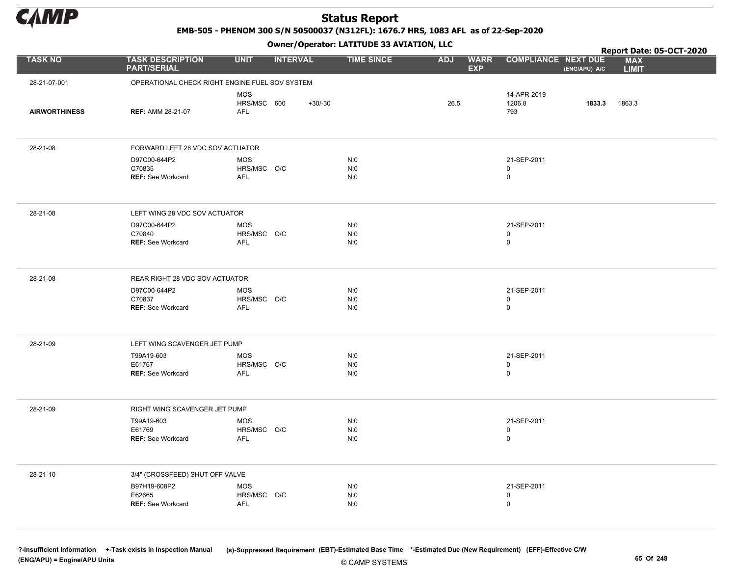

EMB-505 - PHENOM 300 S/N 50500037 (N312FL): 1676.7 HRS, 1083 AFL as of 22-Sep-2020

Owner/Operator: LATITUDE 33 AVIATION, LLC

|                      |                                                    |                                                      | Owner/Operator. EATITODE 33 AVIATION, LLC |                                         |                                           |               | Report Date: 05-OCT-2020   |
|----------------------|----------------------------------------------------|------------------------------------------------------|-------------------------------------------|-----------------------------------------|-------------------------------------------|---------------|----------------------------|
| <b>TASK NO</b>       | <b>TASK DESCRIPTION</b><br><b>PART/SERIAL</b>      | <b>UNIT</b><br><b>INTERVAL</b>                       | <b>TIME SINCE</b>                         | <b>ADJ</b><br><b>WARR</b><br><b>EXP</b> | <b>COMPLIANCE NEXT DUE</b>                | (ENG/APU) A/C | <b>MAX</b><br><b>LIMIT</b> |
| 28-21-07-001         |                                                    | OPERATIONAL CHECK RIGHT ENGINE FUEL SOV SYSTEM       |                                           |                                         |                                           |               |                            |
| <b>AIRWORTHINESS</b> | <b>REF: AMM 28-21-07</b>                           | <b>MOS</b><br>HRS/MSC 600<br>$+30/-30$<br><b>AFL</b> |                                           | 26.5                                    | 14-APR-2019<br>1206.8<br>793              | 1833.3        | 1863.3                     |
| 28-21-08             | FORWARD LEFT 28 VDC SOV ACTUATOR                   |                                                      |                                           |                                         |                                           |               |                            |
|                      | D97C00-644P2<br>C70835<br><b>REF: See Workcard</b> | <b>MOS</b><br>HRS/MSC O/C<br>AFL                     | N:0<br>N:0<br>N:0                         |                                         | 21-SEP-2011<br>$\mathbf 0$<br>$\mathsf 0$ |               |                            |
| 28-21-08             | LEFT WING 28 VDC SOV ACTUATOR                      |                                                      |                                           |                                         |                                           |               |                            |
|                      | D97C00-644P2<br>C70840<br><b>REF: See Workcard</b> | <b>MOS</b><br>HRS/MSC O/C<br><b>AFL</b>              | N:0<br>N:0<br>N:0                         |                                         | 21-SEP-2011<br>$\mathsf 0$<br>$\mathbf 0$ |               |                            |
| 28-21-08             | REAR RIGHT 28 VDC SOV ACTUATOR                     |                                                      |                                           |                                         |                                           |               |                            |
|                      | D97C00-644P2<br>C70837<br><b>REF: See Workcard</b> | <b>MOS</b><br>HRS/MSC O/C<br>AFL                     | N:0<br>N:0<br>N:0                         |                                         | 21-SEP-2011<br>$\mathsf 0$<br>$\mathbf 0$ |               |                            |
| 28-21-09             | LEFT WING SCAVENGER JET PUMP                       |                                                      |                                           |                                         |                                           |               |                            |
|                      | T99A19-603<br>E61767<br><b>REF: See Workcard</b>   | <b>MOS</b><br>HRS/MSC O/C<br><b>AFL</b>              | N:0<br>N:0<br>N:0                         |                                         | 21-SEP-2011<br>0<br>$\mathsf 0$           |               |                            |
| 28-21-09             | RIGHT WING SCAVENGER JET PUMP                      |                                                      |                                           |                                         |                                           |               |                            |
|                      | T99A19-603<br>E61769<br><b>REF: See Workcard</b>   | <b>MOS</b><br>HRS/MSC O/C<br>AFL                     | N:0<br>N:0<br>N:0                         |                                         | 21-SEP-2011<br>$\mathsf 0$<br>$\mathsf 0$ |               |                            |
| 28-21-10             | 3/4" (CROSSFEED) SHUT OFF VALVE                    |                                                      |                                           |                                         |                                           |               |                            |
|                      | B97H19-608P2<br>E62665<br><b>REF: See Workcard</b> | <b>MOS</b><br>HRS/MSC O/C<br>AFL                     | N:0<br>N:0<br>N:0                         |                                         | 21-SEP-2011<br>$\mathbf 0$<br>$\mathsf 0$ |               |                            |

© CAMP SYSTEMS ?-Insufficient Information +-Task exists in Inspection Manual (s)-Suppressed Requirement (EBT)-Estimated Base Time \*-Estimated Due (New Requirement) (EFF)-Effective C/W (ENG/APU) = Engine/APU Units 65 Of 248 and the control of the control of the control of the control of the control of the control of the control of the control of the control of the control of the control of the control o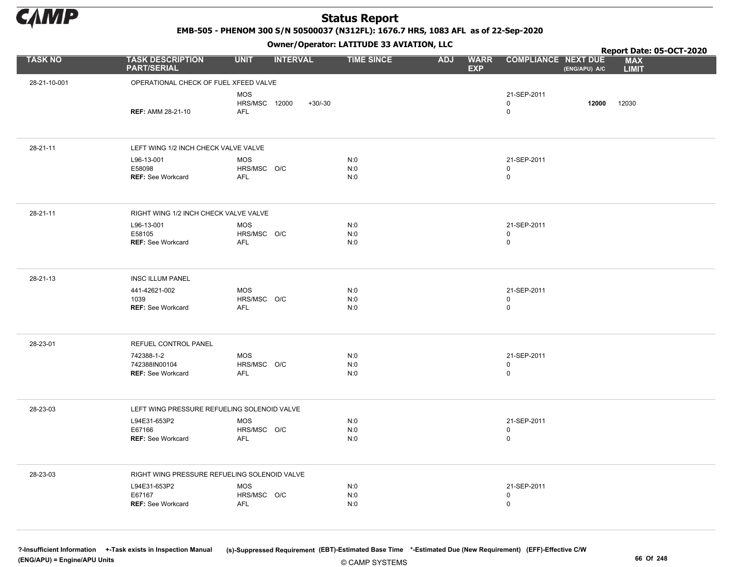

EMB-505 - PHENOM 300 S/N 50500037 (N312FL): 1676.7 HRS, 1083 AFL as of 22-Sep-2020

Owner/Operator: LATITUDE 33 AVIATION, LLC

|                |                                                         |                                                        | Owner / Operator: EATITODE 33 AVIATION, LLC |                                         | Report Date: 05-OCT-2020                |               |                            |  |  |
|----------------|---------------------------------------------------------|--------------------------------------------------------|---------------------------------------------|-----------------------------------------|-----------------------------------------|---------------|----------------------------|--|--|
| <b>TASK NO</b> | <b>TASK DESCRIPTION</b><br><b>PART/SERIAL</b>           | <b>UNIT</b><br><b>INTERVAL</b>                         | <b>TIME SINCE</b>                           | <b>ADJ</b><br><b>WARR</b><br><b>EXP</b> | <b>COMPLIANCE NEXT DUE</b>              | (ENG/APU) A/C | <b>MAX</b><br><b>LIMIT</b> |  |  |
| 28-21-10-001   | OPERATIONAL CHECK OF FUEL XFEED VALVE                   |                                                        |                                             |                                         |                                         |               |                            |  |  |
|                | <b>REF: AMM 28-21-10</b>                                | <b>MOS</b><br>HRS/MSC 12000<br>$+30/-30$<br><b>AFL</b> |                                             |                                         | 21-SEP-2011<br>0<br>$\mathbf 0$         | 12000         | 12030                      |  |  |
| 28-21-11       | LEFT WING 1/2 INCH CHECK VALVE VALVE                    |                                                        |                                             |                                         |                                         |               |                            |  |  |
|                | L96-13-001<br>E58098<br><b>REF: See Workcard</b>        | <b>MOS</b><br>HRS/MSC O/C<br><b>AFL</b>                | N:0<br>N:0<br>N:0                           |                                         | 21-SEP-2011<br>0<br>$\mathsf{O}\xspace$ |               |                            |  |  |
| 28-21-11       | RIGHT WING 1/2 INCH CHECK VALVE VALVE                   |                                                        |                                             |                                         |                                         |               |                            |  |  |
|                | L96-13-001<br>E58105<br><b>REF: See Workcard</b>        | MOS<br>HRS/MSC O/C<br><b>AFL</b>                       | N:0<br>N:0<br>N:0                           |                                         | 21-SEP-2011<br>0<br>$\mathbf 0$         |               |                            |  |  |
| 28-21-13       | <b>INSC ILLUM PANEL</b>                                 |                                                        |                                             |                                         |                                         |               |                            |  |  |
|                | 441-42621-002<br>1039<br><b>REF: See Workcard</b>       | <b>MOS</b><br>HRS/MSC O/C<br><b>AFL</b>                | N:0<br>N:0<br>N:0                           |                                         | 21-SEP-2011<br>0<br>0                   |               |                            |  |  |
| 28-23-01       | REFUEL CONTROL PANEL                                    |                                                        |                                             |                                         |                                         |               |                            |  |  |
|                | 742388-1-2<br>742388IN00104<br><b>REF: See Workcard</b> | MOS<br>HRS/MSC O/C<br><b>AFL</b>                       | N:0<br>N:0<br>N:0                           |                                         | 21-SEP-2011<br>0<br>$\mathbf 0$         |               |                            |  |  |
| 28-23-03       | LEFT WING PRESSURE REFUELING SOLENOID VALVE             |                                                        |                                             |                                         |                                         |               |                            |  |  |
|                | L94E31-653P2<br>E67166<br><b>REF: See Workcard</b>      | <b>MOS</b><br>HRS/MSC O/C<br>AFL                       | N:0<br>N:0<br>N:0                           |                                         | 21-SEP-2011<br>0<br>0                   |               |                            |  |  |
| 28-23-03       | RIGHT WING PRESSURE REFUELING SOLENOID VALVE            |                                                        |                                             |                                         |                                         |               |                            |  |  |
|                | L94E31-653P2<br>E67167<br><b>REF: See Workcard</b>      | MOS<br>HRS/MSC O/C<br>AFL                              | N:0<br>N:0<br>N:0                           |                                         | 21-SEP-2011<br>0<br>$\mathbf 0$         |               |                            |  |  |

© CAMP SYSTEMS ?-Insufficient Information +-Task exists in Inspection Manual (s)-Suppressed Requirement (EBT)-Estimated Base Time \*-Estimated Due (New Requirement) (EFF)-Effective C/W (ENG/APU) = Engine/APU Units 66 Of 248 and the control of the control of the control of the control of the control of the control of the control of the control of the control of the control of the control of the control o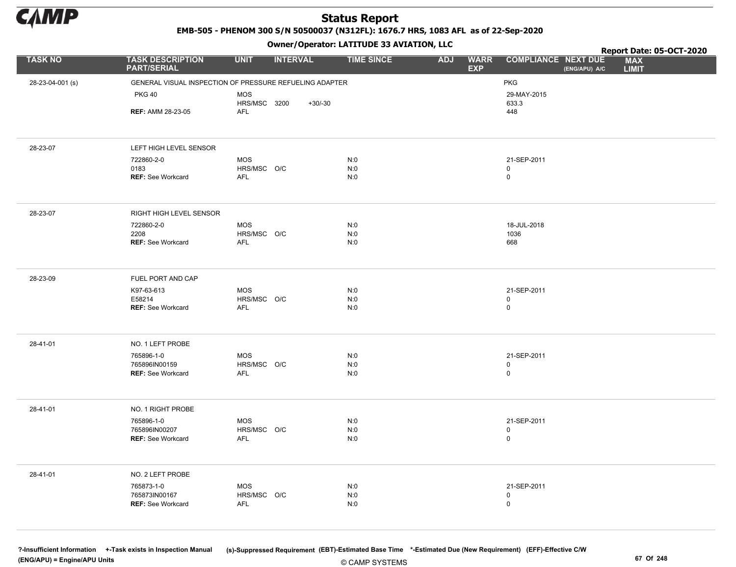

EMB-505 - PHENOM 300 S/N 50500037 (N312FL): 1676.7 HRS, 1083 AFL as of 22-Sep-2020

Owner/Operator: LATITUDE 33 AVIATION, LLC

|                  |                                                         |                           | .               |           |                   |            |                           | Report Date: 05-OCT-2020                                                  |
|------------------|---------------------------------------------------------|---------------------------|-----------------|-----------|-------------------|------------|---------------------------|---------------------------------------------------------------------------|
| <b>TASK NO</b>   | <b>TASK DESCRIPTION</b><br><b>PART/SERIAL</b>           | <b>UNIT</b>               | <b>INTERVAL</b> |           | <b>TIME SINCE</b> | <b>ADJ</b> | <b>WARR</b><br><b>EXP</b> | <b>MAX</b><br><b>COMPLIANCE NEXT DUE</b><br>(ENG/APU) A/C<br><b>LIMIT</b> |
| 28-23-04-001 (s) | GENERAL VISUAL INSPECTION OF PRESSURE REFUELING ADAPTER |                           |                 |           |                   |            |                           | PKG                                                                       |
|                  | <b>PKG 40</b>                                           | <b>MOS</b>                |                 |           |                   |            |                           | 29-MAY-2015                                                               |
|                  |                                                         | HRS/MSC 3200              |                 | $+30/-30$ |                   |            |                           | 633.3                                                                     |
|                  | <b>REF: AMM 28-23-05</b>                                | <b>AFL</b>                |                 |           |                   |            |                           | 448                                                                       |
|                  |                                                         |                           |                 |           |                   |            |                           |                                                                           |
| 28-23-07         | LEFT HIGH LEVEL SENSOR                                  |                           |                 |           |                   |            |                           |                                                                           |
|                  | 722860-2-0                                              | <b>MOS</b>                |                 |           | N:0               |            |                           | 21-SEP-2011                                                               |
|                  | 0183<br><b>REF: See Workcard</b>                        | HRS/MSC O/C<br><b>AFL</b> |                 |           | N:0<br>N:0        |            |                           | 0<br>$\mathsf{O}$                                                         |
|                  |                                                         |                           |                 |           |                   |            |                           |                                                                           |
| 28-23-07         | RIGHT HIGH LEVEL SENSOR                                 |                           |                 |           |                   |            |                           |                                                                           |
|                  | 722860-2-0                                              | <b>MOS</b>                |                 |           | N:0               |            |                           | 18-JUL-2018                                                               |
|                  | 2208<br><b>REF: See Workcard</b>                        | HRS/MSC O/C<br>AFL        |                 |           | N:0<br>N:0        |            |                           | 1036<br>668                                                               |
|                  |                                                         |                           |                 |           |                   |            |                           |                                                                           |
| 28-23-09         | FUEL PORT AND CAP                                       |                           |                 |           |                   |            |                           |                                                                           |
|                  | K97-63-613                                              | MOS                       |                 |           | N:0               |            |                           | 21-SEP-2011                                                               |
|                  | E58214<br><b>REF: See Workcard</b>                      | HRS/MSC O/C<br><b>AFL</b> |                 |           | N:0<br>N:0        |            |                           | 0<br>$\mathsf{O}\xspace$                                                  |
|                  |                                                         |                           |                 |           |                   |            |                           |                                                                           |
| 28-41-01         | NO. 1 LEFT PROBE                                        |                           |                 |           |                   |            |                           |                                                                           |
|                  | 765896-1-0                                              | <b>MOS</b>                |                 |           | N:0               |            |                           | 21-SEP-2011                                                               |
|                  | 765896IN00159<br>REF: See Workcard                      | HRS/MSC O/C<br><b>AFL</b> |                 |           | N:0<br>N:0        |            |                           | 0<br>0                                                                    |
|                  |                                                         |                           |                 |           |                   |            |                           |                                                                           |
| 28-41-01         | NO. 1 RIGHT PROBE                                       |                           |                 |           |                   |            |                           |                                                                           |
|                  | 765896-1-0                                              | MOS                       |                 |           | N:0               |            |                           | 21-SEP-2011                                                               |
|                  | 765896IN00207<br><b>REF: See Workcard</b>               | HRS/MSC O/C<br><b>AFL</b> |                 |           | N:0<br>N:0        |            |                           | $\mathsf{O}\xspace$<br>$\mathsf{O}$                                       |
|                  |                                                         |                           |                 |           |                   |            |                           |                                                                           |
| 28-41-01         | NO. 2 LEFT PROBE                                        |                           |                 |           |                   |            |                           |                                                                           |
|                  | 765873-1-0                                              | <b>MOS</b>                |                 |           | N:0               |            |                           | 21-SEP-2011                                                               |
|                  | 765873IN00167<br><b>REF: See Workcard</b>               | HRS/MSC O/C<br><b>AFL</b> |                 |           | N:0<br>N:0        |            |                           | $\pmb{0}$<br>$\mathsf{O}$                                                 |
|                  |                                                         |                           |                 |           |                   |            |                           |                                                                           |
|                  |                                                         |                           |                 |           |                   |            |                           |                                                                           |

© CAMP SYSTEMS ?-Insufficient Information +-Task exists in Inspection Manual (s)-Suppressed Requirement (EBT)-Estimated Base Time \*-Estimated Due (New Requirement) (EFF)-Effective C/W (ENG/APU) = Engine/APU Units 67 Of 248 and the control of the control of the control of the control of the control of the control of the control of the control of the control of the control of the control of the control o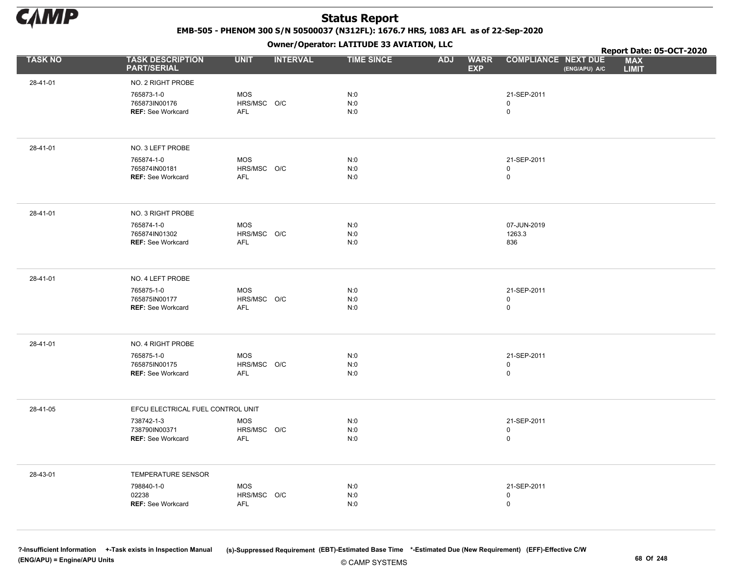

EMB-505 - PHENOM 300 S/N 50500037 (N312FL): 1676.7 HRS, 1083 AFL as of 22-Sep-2020

Owner/Operator: LATITUDE 33 AVIATION, LLC

|                |                                                         |                                  |                 | Owner/Operator. EATITODE 33 AVIATION, LLC |                                         |                                  | Report Date: 05-OCT-2020 |                            |  |
|----------------|---------------------------------------------------------|----------------------------------|-----------------|-------------------------------------------|-----------------------------------------|----------------------------------|--------------------------|----------------------------|--|
| <b>TASK NO</b> | <b>TASK DESCRIPTION</b><br><b>PART/SERIAL</b>           | <b>UNIT</b>                      | <b>INTERVAL</b> | <b>TIME SINCE</b>                         | <b>ADJ</b><br><b>WARR</b><br><b>EXP</b> | <b>COMPLIANCE NEXT DUE</b>       | (ENG/APU) A/C            | <b>MAX</b><br><b>LIMIT</b> |  |
| 28-41-01       | NO. 2 RIGHT PROBE                                       |                                  |                 |                                           |                                         |                                  |                          |                            |  |
|                | 765873-1-0<br>765873IN00176<br><b>REF: See Workcard</b> | <b>MOS</b><br>HRS/MSC O/C<br>AFL |                 | N:0<br>N:0<br>N:0                         |                                         | 21-SEP-2011<br>0<br>$\mathbf 0$  |                          |                            |  |
| 28-41-01       | NO. 3 LEFT PROBE                                        |                                  |                 |                                           |                                         |                                  |                          |                            |  |
|                | 765874-1-0<br>765874IN00181<br><b>REF: See Workcard</b> | MOS<br>HRS/MSC O/C<br><b>AFL</b> |                 | N:0<br>N:0<br>N:0                         |                                         | 21-SEP-2011<br>0<br>0            |                          |                            |  |
| 28-41-01       | NO. 3 RIGHT PROBE                                       |                                  |                 |                                           |                                         |                                  |                          |                            |  |
|                | 765874-1-0<br>765874IN01302<br>REF: See Workcard        | <b>MOS</b><br>HRS/MSC O/C<br>AFL |                 | N:0<br>N:0<br>N:0                         |                                         | 07-JUN-2019<br>1263.3<br>836     |                          |                            |  |
| 28-41-01       | NO. 4 LEFT PROBE                                        |                                  |                 |                                           |                                         |                                  |                          |                            |  |
|                | 765875-1-0<br>765875IN00177<br><b>REF: See Workcard</b> | MOS<br>HRS/MSC O/C<br>AFL        |                 | N:0<br>N:0<br>N:0                         |                                         | 21-SEP-2011<br>$\mathsf{O}$<br>0 |                          |                            |  |
| 28-41-01       | NO. 4 RIGHT PROBE                                       |                                  |                 |                                           |                                         |                                  |                          |                            |  |
|                | 765875-1-0<br>765875IN00175<br><b>REF: See Workcard</b> | MOS<br>HRS/MSC O/C<br>AFL        |                 | N:0<br>N:0<br>N:0                         |                                         | 21-SEP-2011<br>0<br>0            |                          |                            |  |
| 28-41-05       | EFCU ELECTRICAL FUEL CONTROL UNIT                       |                                  |                 |                                           |                                         |                                  |                          |                            |  |
|                | 738742-1-3<br>738790IN00371<br>REF: See Workcard        | MOS<br>HRS/MSC O/C<br>AFL        |                 | N:0<br>N:0<br>N:0                         |                                         | 21-SEP-2011<br>0<br>0            |                          |                            |  |
| 28-43-01       | TEMPERATURE SENSOR                                      |                                  |                 |                                           |                                         |                                  |                          |                            |  |
|                | 798840-1-0<br>02238<br><b>REF: See Workcard</b>         | <b>MOS</b><br>HRS/MSC O/C<br>AFL |                 | N:0<br>N:0<br>N:0                         |                                         | 21-SEP-2011<br>0<br>0            |                          |                            |  |

© CAMP SYSTEMS ?-Insufficient Information +-Task exists in Inspection Manual (s)-Suppressed Requirement (EBT)-Estimated Base Time \*-Estimated Due (New Requirement) (EFF)-Effective C/W (ENG/APU) = Engine/APU Units 68 Of 248 and the control of the control of the control of the control of the control of the control of the control of the control of the control of the control of the control of the control o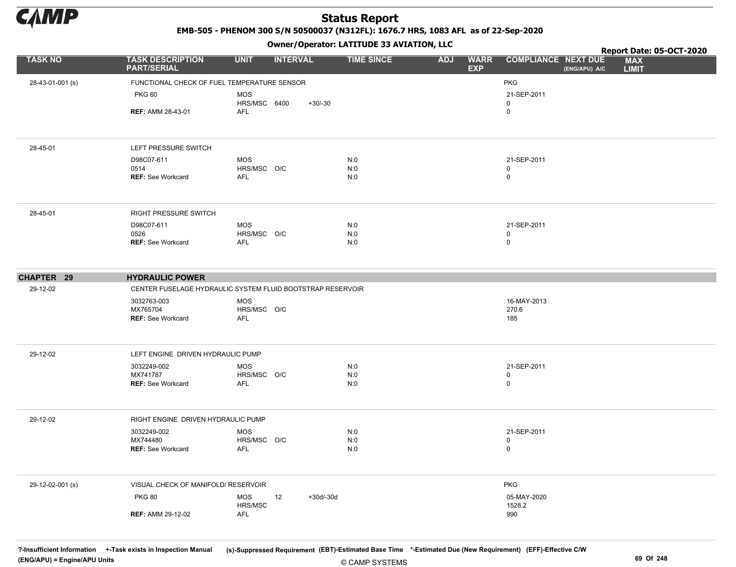

EMB-505 - PHENOM 300 S/N 50500037 (N312FL): 1676.7 HRS, 1083 AFL as of 22-Sep-2020

Owner/Operator: LATITUDE 33 AVIATION, LLC

|                  |                                                            |                           | .               |           |                   |            |                           | Report Date: 05-OCT-2020                                                  |  |
|------------------|------------------------------------------------------------|---------------------------|-----------------|-----------|-------------------|------------|---------------------------|---------------------------------------------------------------------------|--|
| <b>TASK NO</b>   | <b>TASK DESCRIPTION</b><br><b>PART/SERIAL</b>              | <b>UNIT</b>               | <b>INTERVAL</b> |           | <b>TIME SINCE</b> | <b>ADJ</b> | <b>WARR</b><br><b>EXP</b> | <b>COMPLIANCE NEXT DUE</b><br><b>MAX</b><br>(ENG/APU) A/C<br><b>LIMIT</b> |  |
| 28-43-01-001 (s) | FUNCTIONAL CHECK OF FUEL TEMPERATURE SENSOR                |                           |                 |           |                   |            |                           | <b>PKG</b>                                                                |  |
|                  | <b>PKG 60</b>                                              | <b>MOS</b>                |                 |           |                   |            |                           | 21-SEP-2011                                                               |  |
|                  |                                                            | HRS/MSC 6400              |                 | $+30/-30$ |                   |            |                           | 0                                                                         |  |
|                  | <b>REF: AMM 28-43-01</b>                                   | <b>AFL</b>                |                 |           |                   |            |                           | 0                                                                         |  |
| 28-45-01         | LEFT PRESSURE SWITCH                                       |                           |                 |           |                   |            |                           |                                                                           |  |
|                  | D98C07-611                                                 | MOS                       |                 |           | N:0               |            |                           | 21-SEP-2011                                                               |  |
|                  | 0514<br><b>REF: See Workcard</b>                           | HRS/MSC O/C<br>AFL        |                 |           | N:0<br>N:0        |            |                           | 0<br>0                                                                    |  |
|                  |                                                            |                           |                 |           |                   |            |                           |                                                                           |  |
| 28-45-01         | RIGHT PRESSURE SWITCH                                      |                           |                 |           |                   |            |                           |                                                                           |  |
|                  | D98C07-611                                                 | MOS                       |                 |           | N:0               |            |                           | 21-SEP-2011                                                               |  |
|                  | 0526<br><b>REF: See Workcard</b>                           | HRS/MSC O/C<br><b>AFL</b> |                 |           | N:0<br>N:0        |            |                           | 0<br>0                                                                    |  |
|                  |                                                            |                           |                 |           |                   |            |                           |                                                                           |  |
| CHAPTER 29       | <b>HYDRAULIC POWER</b>                                     |                           |                 |           |                   |            |                           |                                                                           |  |
| 29-12-02         | CENTER FUSELAGE HYDRAULIC SYSTEM FLUID BOOTSTRAP RESERVOIR |                           |                 |           |                   |            |                           |                                                                           |  |
|                  | 3032763-003                                                | <b>MOS</b>                |                 |           |                   |            |                           | 16-MAY-2013                                                               |  |
|                  | MX765704                                                   | HRS/MSC O/C<br>AFL        |                 |           |                   |            |                           | 270.6                                                                     |  |
|                  | <b>REF: See Workcard</b>                                   |                           |                 |           |                   |            |                           | 185                                                                       |  |
| 29-12-02         | LEFT ENGINE DRIVEN HYDRAULIC PUMP                          |                           |                 |           |                   |            |                           |                                                                           |  |
|                  | 3032249-002                                                | <b>MOS</b>                |                 |           | N:0               |            |                           | 21-SEP-2011                                                               |  |
|                  | MX741787                                                   | HRS/MSC O/C               |                 |           | N:0               |            |                           | 0                                                                         |  |
|                  | <b>REF: See Workcard</b>                                   | AFL                       |                 |           | N:0               |            |                           | 0                                                                         |  |
| 29-12-02         | RIGHT ENGINE DRIVEN HYDRAULIC PUMP                         |                           |                 |           |                   |            |                           |                                                                           |  |
|                  | 3032249-002                                                | <b>MOS</b>                |                 |           | N:0               |            |                           | 21-SEP-2011                                                               |  |
|                  | MX744480                                                   | HRS/MSC O/C               |                 |           | N:0               |            |                           | 0                                                                         |  |
|                  | <b>REF: See Workcard</b>                                   | AFL                       |                 |           | N:0               |            |                           | 0                                                                         |  |
| 29-12-02-001 (s) | VISUAL CHECK OF MANIFOLD/ RESERVOIR                        |                           |                 |           |                   |            |                           | <b>PKG</b>                                                                |  |
|                  | <b>PKG 80</b>                                              | <b>MOS</b><br>HRS/MSC     | 12              | +30d/-30d |                   |            |                           | 05-MAY-2020<br>1528.2                                                     |  |
|                  | <b>REF: AMM 29-12-02</b>                                   | AFL                       |                 |           |                   |            |                           | 990                                                                       |  |

© CAMP SYSTEMS ?-Insufficient Information +-Task exists in Inspection Manual (s)-Suppressed Requirement (EBT)-Estimated Base Time \*-Estimated Due (New Requirement) (EFF)-Effective C/W (ENG/APU) = Engine/APU Units 69 Of 248 and the control of the control of the control of the control of the control of the control of the control of the control of the control of the control of the control of the control o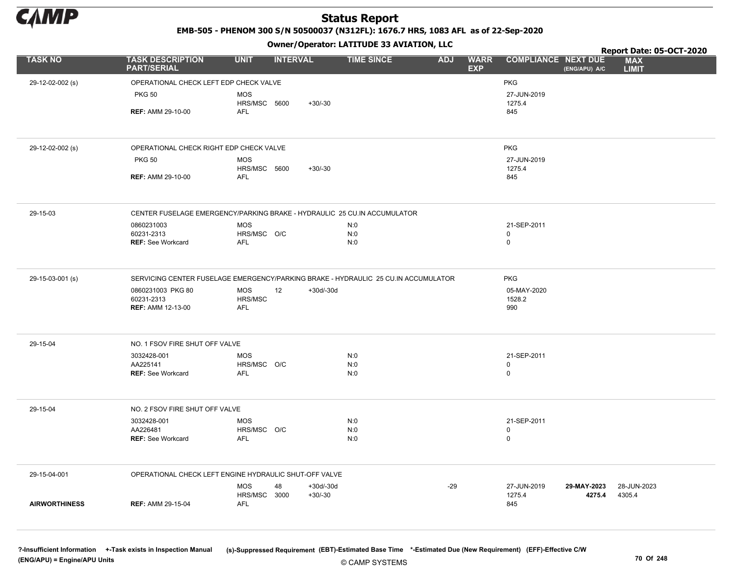

EMB-505 - PHENOM 300 S/N 50500037 (N312FL): 1676.7 HRS, 1083 AFL as of 22-Sep-2020

Owner/Operator: LATITUDE 33 AVIATION, LLC

|                      |                                               | .                                                                        |                                                                                    |                                         |                                             | Report Date: 05-OCT-2020   |
|----------------------|-----------------------------------------------|--------------------------------------------------------------------------|------------------------------------------------------------------------------------|-----------------------------------------|---------------------------------------------|----------------------------|
| <b>TASK NO</b>       | <b>TASK DESCRIPTION</b><br><b>PART/SERIAL</b> | <b>UNIT</b><br><b>INTERVAL</b>                                           | <b>TIME SINCE</b>                                                                  | <b>WARR</b><br><b>ADJ</b><br><b>EXP</b> | <b>COMPLIANCE NEXT DUE</b><br>(ENG/APU) A/C | <b>MAX</b><br><b>LIMIT</b> |
| 29-12-02-002 (s)     | OPERATIONAL CHECK LEFT EDP CHECK VALVE        |                                                                          |                                                                                    |                                         | <b>PKG</b>                                  |                            |
|                      | <b>PKG 50</b>                                 | <b>MOS</b>                                                               |                                                                                    |                                         | 27-JUN-2019                                 |                            |
|                      |                                               | HRS/MSC 5600<br>$+30/-30$                                                |                                                                                    |                                         | 1275.4                                      |                            |
|                      | <b>REF: AMM 29-10-00</b>                      | AFL                                                                      |                                                                                    |                                         | 845                                         |                            |
|                      |                                               |                                                                          |                                                                                    |                                         |                                             |                            |
| 29-12-02-002 (s)     | OPERATIONAL CHECK RIGHT EDP CHECK VALVE       |                                                                          |                                                                                    |                                         | <b>PKG</b>                                  |                            |
|                      | <b>PKG 50</b>                                 | <b>MOS</b><br>$+30/-30$                                                  |                                                                                    |                                         | 27-JUN-2019<br>1275.4                       |                            |
|                      | <b>REF: AMM 29-10-00</b>                      | HRS/MSC 5600<br>AFL                                                      |                                                                                    |                                         | 845                                         |                            |
|                      |                                               |                                                                          |                                                                                    |                                         |                                             |                            |
| 29-15-03             |                                               | CENTER FUSELAGE EMERGENCY/PARKING BRAKE - HYDRAULIC 25 CU.IN ACCUMULATOR |                                                                                    |                                         |                                             |                            |
|                      | 0860231003                                    | <b>MOS</b>                                                               | N:0                                                                                |                                         | 21-SEP-2011                                 |                            |
|                      | 60231-2313<br>REF: See Workcard               | HRS/MSC O/C<br>AFL                                                       | N:0<br>N:0                                                                         |                                         | 0<br>$\mathbf 0$                            |                            |
|                      |                                               |                                                                          |                                                                                    |                                         |                                             |                            |
| 29-15-03-001 (s)     |                                               |                                                                          | SERVICING CENTER FUSELAGE EMERGENCY/PARKING BRAKE - HYDRAULIC 25 CU.IN ACCUMULATOR |                                         | <b>PKG</b>                                  |                            |
|                      | 0860231003 PKG 80<br>60231-2313               | <b>MOS</b><br>12<br>$+30d/-30d$                                          |                                                                                    |                                         | 05-MAY-2020                                 |                            |
|                      | <b>REF: AMM 12-13-00</b>                      | HRS/MSC<br>AFL                                                           |                                                                                    |                                         | 1528.2<br>990                               |                            |
|                      |                                               |                                                                          |                                                                                    |                                         |                                             |                            |
| 29-15-04             | NO. 1 FSOV FIRE SHUT OFF VALVE                |                                                                          |                                                                                    |                                         |                                             |                            |
|                      | 3032428-001                                   | <b>MOS</b>                                                               | N:0                                                                                |                                         | 21-SEP-2011                                 |                            |
|                      | AA225141<br><b>REF: See Workcard</b>          | HRS/MSC O/C<br>AFL                                                       | N:0<br>N:0                                                                         |                                         | $\mathbf 0$<br>0                            |                            |
|                      |                                               |                                                                          |                                                                                    |                                         |                                             |                            |
| 29-15-04             | NO. 2 FSOV FIRE SHUT OFF VALVE                |                                                                          |                                                                                    |                                         |                                             |                            |
|                      | 3032428-001                                   | <b>MOS</b>                                                               | N:0                                                                                |                                         | 21-SEP-2011                                 |                            |
|                      | AA226481<br><b>REF: See Workcard</b>          | HRS/MSC O/C<br><b>AFL</b>                                                | N:0<br>N:0                                                                         |                                         | $\mathbf 0$<br>$\mathsf 0$                  |                            |
|                      |                                               |                                                                          |                                                                                    |                                         |                                             |                            |
| 29-15-04-001         |                                               | OPERATIONAL CHECK LEFT ENGINE HYDRAULIC SHUT-OFF VALVE                   |                                                                                    |                                         |                                             |                            |
|                      |                                               | <b>MOS</b><br>$+30d/-30d$<br>48                                          |                                                                                    | $-29$                                   | 27-JUN-2019<br>29-MAY-2023                  | 28-JUN-2023                |
| <b>AIRWORTHINESS</b> | <b>REF: AMM 29-15-04</b>                      | HRS/MSC<br>3000<br>$+30/-30$<br>AFL                                      |                                                                                    |                                         | 1275.4<br>4275.4<br>845                     | 4305.4                     |
|                      |                                               |                                                                          |                                                                                    |                                         |                                             |                            |
|                      |                                               |                                                                          |                                                                                    |                                         |                                             |                            |

© CAMP SYSTEMS ?-Insufficient Information +-Task exists in Inspection Manual (s)-Suppressed Requirement (EBT)-Estimated Base Time \*-Estimated Due (New Requirement) (EFF)-Effective C/W (ENG/APU) = Engine/APU Units 70 Of 248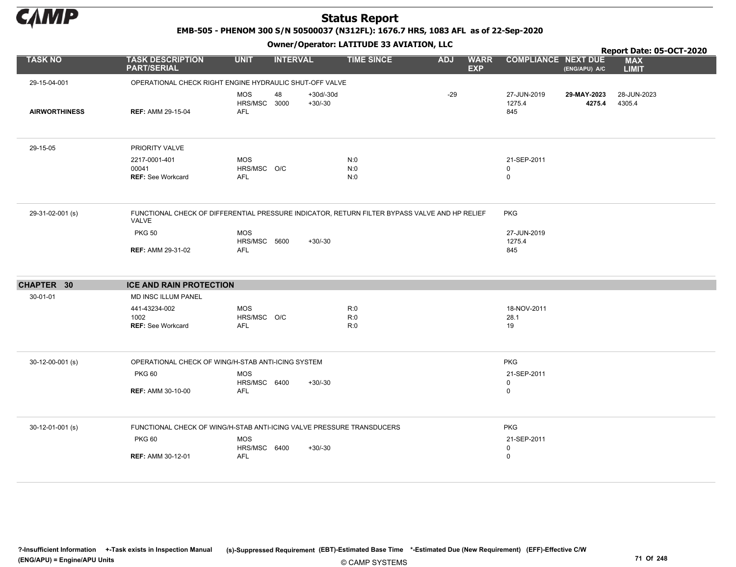

EMB-505 - PHENOM 300 S/N 50500037 (N312FL): 1676.7 HRS, 1083 AFL as of 22-Sep-2020

Owner/Operator: LATITUDE 33 AVIATION, LLC

|                      |                                                                                                        |                                          |                 |                          | Owner / Operator. EATITODE 33 AVIATION, LLC |            |                           |                                           |                       | Report Date: 05-OCT-2020   |
|----------------------|--------------------------------------------------------------------------------------------------------|------------------------------------------|-----------------|--------------------------|---------------------------------------------|------------|---------------------------|-------------------------------------------|-----------------------|----------------------------|
| <b>TASK NO</b>       | <b>TASK DESCRIPTION</b><br><b>PART/SERIAL</b>                                                          | <b>UNIT</b>                              | <b>INTERVAL</b> |                          | <b>TIME SINCE</b>                           | <b>ADJ</b> | <b>WARR</b><br><b>EXP</b> | <b>COMPLIANCE NEXT DUE</b>                | (ENG/APU) A/C         | <b>MAX</b><br><b>LIMIT</b> |
| 29-15-04-001         | OPERATIONAL CHECK RIGHT ENGINE HYDRAULIC SHUT-OFF VALVE                                                |                                          |                 |                          |                                             |            |                           |                                           |                       |                            |
| <b>AIRWORTHINESS</b> | <b>REF: AMM 29-15-04</b>                                                                               | <b>MOS</b><br>HRS/MSC 3000<br><b>AFL</b> | 48              | $+30d/-30d$<br>$+30/-30$ |                                             | $-29$      |                           | 27-JUN-2019<br>1275.4<br>845              | 29-MAY-2023<br>4275.4 | 28-JUN-2023<br>4305.4      |
| 29-15-05             | PRIORITY VALVE                                                                                         |                                          |                 |                          |                                             |            |                           |                                           |                       |                            |
|                      | 2217-0001-401<br>00041<br><b>REF: See Workcard</b>                                                     | <b>MOS</b><br>HRS/MSC O/C<br><b>AFL</b>  |                 |                          | N:0<br>N:0<br>N:0                           |            |                           | 21-SEP-2011<br>$\mathbf 0$<br>$\mathbf 0$ |                       |                            |
| 29-31-02-001 (s)     | FUNCTIONAL CHECK OF DIFFERENTIAL PRESSURE INDICATOR, RETURN FILTER BYPASS VALVE AND HP RELIEF<br>VALVE |                                          |                 |                          |                                             |            |                           | <b>PKG</b>                                |                       |                            |
|                      | <b>PKG 50</b>                                                                                          | <b>MOS</b><br>HRS/MSC 5600               |                 | $+30/-30$                |                                             |            |                           | 27-JUN-2019<br>1275.4                     |                       |                            |
|                      | <b>REF: AMM 29-31-02</b>                                                                               | <b>AFL</b>                               |                 |                          |                                             |            |                           | 845                                       |                       |                            |
| CHAPTER 30           | <b>ICE AND RAIN PROTECTION</b>                                                                         |                                          |                 |                          |                                             |            |                           |                                           |                       |                            |
| 30-01-01             | MD INSC ILLUM PANEL                                                                                    |                                          |                 |                          |                                             |            |                           |                                           |                       |                            |
|                      | 441-43234-002                                                                                          | <b>MOS</b>                               |                 |                          | R:0                                         |            |                           | 18-NOV-2011                               |                       |                            |
|                      | 1002<br><b>REF: See Workcard</b>                                                                       | HRS/MSC O/C<br>AFL                       |                 |                          | R:0<br>R:0                                  |            |                           | 28.1<br>19                                |                       |                            |
| $30-12-00-001$ (s)   | OPERATIONAL CHECK OF WING/H-STAB ANTI-ICING SYSTEM                                                     |                                          |                 |                          |                                             |            |                           | <b>PKG</b>                                |                       |                            |
|                      | <b>PKG 60</b>                                                                                          | <b>MOS</b>                               |                 |                          |                                             |            |                           | 21-SEP-2011                               |                       |                            |
|                      | <b>REF: AMM 30-10-00</b>                                                                               | HRS/MSC 6400<br><b>AFL</b>               |                 | $+30/-30$                |                                             |            |                           | $\mathbf 0$<br>$\mathbf 0$                |                       |                            |
| 30-12-01-001 (s)     | FUNCTIONAL CHECK OF WING/H-STAB ANTI-ICING VALVE PRESSURE TRANSDUCERS                                  |                                          |                 |                          |                                             |            |                           | <b>PKG</b>                                |                       |                            |
|                      | <b>PKG 60</b>                                                                                          | <b>MOS</b><br>HRS/MSC 6400               |                 | $+30/-30$                |                                             |            |                           | 21-SEP-2011<br>$\mathbf 0$                |                       |                            |
|                      | <b>REF: AMM 30-12-01</b>                                                                               | AFL                                      |                 |                          |                                             |            |                           | $\mathsf 0$                               |                       |                            |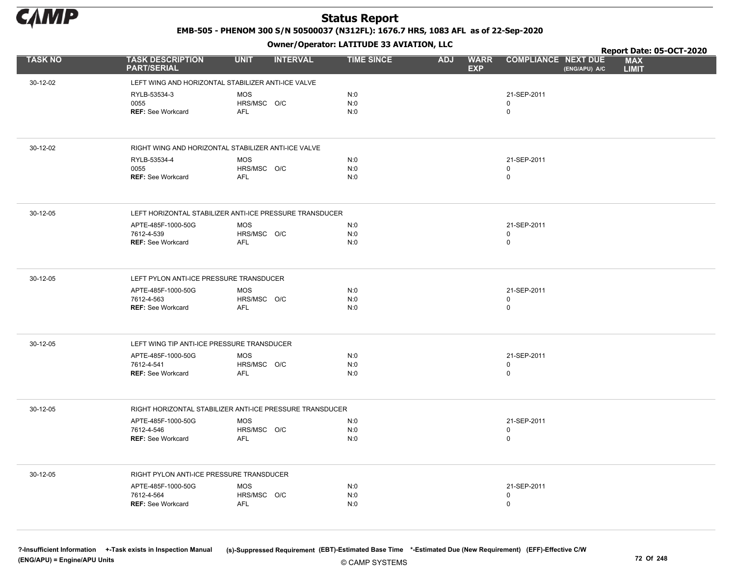

EMB-505 - PHENOM 300 S/N 50500037 (N312FL): 1676.7 HRS, 1083 AFL as of 22-Sep-2020

Owner/Operator: LATITUDE 33 AVIATION, LLC

|                |                                                          | .                              |                   |                                         |                                             | Report Date: 05-OCT-2020   |
|----------------|----------------------------------------------------------|--------------------------------|-------------------|-----------------------------------------|---------------------------------------------|----------------------------|
| <b>TASK NO</b> | <b>TASK DESCRIPTION</b><br><b>PART/SERIAL</b>            | <b>UNIT</b><br><b>INTERVAL</b> | <b>TIME SINCE</b> | <b>WARR</b><br><b>ADJ</b><br><b>EXP</b> | <b>COMPLIANCE NEXT DUE</b><br>(ENG/APU) A/C | <b>MAX</b><br><b>LIMIT</b> |
| 30-12-02       | LEFT WING AND HORIZONTAL STABILIZER ANTI-ICE VALVE       |                                |                   |                                         |                                             |                            |
|                | RYLB-53534-3                                             | <b>MOS</b>                     | N:0               |                                         | 21-SEP-2011                                 |                            |
|                | 0055                                                     | HRS/MSC O/C                    | N:0               |                                         | 0                                           |                            |
|                | <b>REF: See Workcard</b>                                 | AFL                            | N:0               |                                         | 0                                           |                            |
|                |                                                          |                                |                   |                                         |                                             |                            |
| 30-12-02       | RIGHT WING AND HORIZONTAL STABILIZER ANTI-ICE VALVE      |                                |                   |                                         |                                             |                            |
|                | RYLB-53534-4                                             | <b>MOS</b>                     | N:0               |                                         | 21-SEP-2011                                 |                            |
|                | 0055<br><b>REF: See Workcard</b>                         | HRS/MSC O/C<br>AFL             | N:0<br>N:0        |                                         | 0<br>0                                      |                            |
|                |                                                          |                                |                   |                                         |                                             |                            |
| 30-12-05       | LEFT HORIZONTAL STABILIZER ANTI-ICE PRESSURE TRANSDUCER  |                                |                   |                                         |                                             |                            |
|                | APTE-485F-1000-50G                                       | <b>MOS</b>                     | N:0               |                                         | 21-SEP-2011                                 |                            |
|                | 7612-4-539<br><b>REF: See Workcard</b>                   | HRS/MSC O/C<br><b>AFL</b>      | N:0<br>N:0        |                                         | 0<br>$\mathbf 0$                            |                            |
|                |                                                          |                                |                   |                                         |                                             |                            |
| 30-12-05       | LEFT PYLON ANTI-ICE PRESSURE TRANSDUCER                  |                                |                   |                                         |                                             |                            |
|                | APTE-485F-1000-50G                                       | MOS                            | N:0               |                                         | 21-SEP-2011                                 |                            |
|                | 7612-4-563<br><b>REF: See Workcard</b>                   | HRS/MSC O/C<br><b>AFL</b>      | N:0<br>N:0        |                                         | 0<br>$\mathbf 0$                            |                            |
|                |                                                          |                                |                   |                                         |                                             |                            |
| 30-12-05       | LEFT WING TIP ANTI-ICE PRESSURE TRANSDUCER               |                                |                   |                                         |                                             |                            |
|                | APTE-485F-1000-50G                                       | <b>MOS</b>                     | N:0               |                                         | 21-SEP-2011                                 |                            |
|                | 7612-4-541<br><b>REF: See Workcard</b>                   | HRS/MSC O/C<br>AFL             | N:0<br>N:0        |                                         | 0<br>0                                      |                            |
|                |                                                          |                                |                   |                                         |                                             |                            |
| 30-12-05       | RIGHT HORIZONTAL STABILIZER ANTI-ICE PRESSURE TRANSDUCER |                                |                   |                                         |                                             |                            |
|                | APTE-485F-1000-50G                                       | <b>MOS</b>                     | N:0               |                                         | 21-SEP-2011                                 |                            |
|                | 7612-4-546                                               | HRS/MSC O/C                    | N:0<br>N:0        |                                         | 0<br>0                                      |                            |
|                | <b>REF: See Workcard</b>                                 | <b>AFL</b>                     |                   |                                         |                                             |                            |
| 30-12-05       | RIGHT PYLON ANTI-ICE PRESSURE TRANSDUCER                 |                                |                   |                                         |                                             |                            |
|                | APTE-485F-1000-50G                                       | <b>MOS</b>                     | N:0               |                                         | 21-SEP-2011                                 |                            |
|                | 7612-4-564                                               | HRS/MSC O/C                    | N:0               |                                         | $\mathbf 0$                                 |                            |
|                | <b>REF: See Workcard</b>                                 | <b>AFL</b>                     | N:0               |                                         | 0                                           |                            |
|                |                                                          |                                |                   |                                         |                                             |                            |

© CAMP SYSTEMS ?-Insufficient Information +-Task exists in Inspection Manual (s)-Suppressed Requirement (EBT)-Estimated Base Time \*-Estimated Due (New Requirement) (EFF)-Effective C/W (ENG/APU) = Engine/APU Units 72 Of 248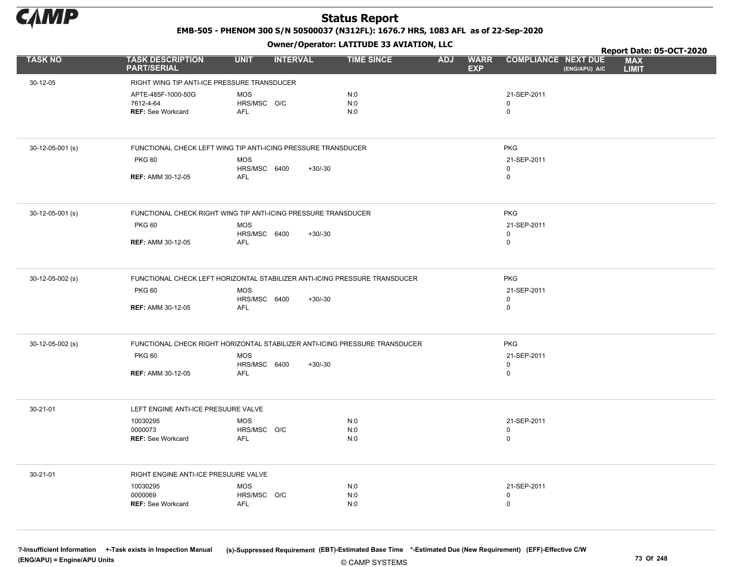

EMB-505 - PHENOM 300 S/N 50500037 (N312FL): 1676.7 HRS, 1083 AFL as of 22-Sep-2020

Owner/Operator: LATITUDE 33 AVIATION, LLC

|                  |                                               | .                                                                           |                   |                                         |                                             | Report Date: 05-OCT-2020   |
|------------------|-----------------------------------------------|-----------------------------------------------------------------------------|-------------------|-----------------------------------------|---------------------------------------------|----------------------------|
| <b>TASK NO</b>   | <b>TASK DESCRIPTION</b><br><b>PART/SERIAL</b> | <b>UNIT</b><br><b>INTERVAL</b>                                              | <b>TIME SINCE</b> | <b>WARR</b><br><b>ADJ</b><br><b>EXP</b> | <b>COMPLIANCE NEXT DUE</b><br>(ENG/APU) A/C | <b>MAX</b><br><b>LIMIT</b> |
| 30-12-05         | RIGHT WING TIP ANTI-ICE PRESSURE TRANSDUCER   |                                                                             |                   |                                         |                                             |                            |
|                  | APTE-485F-1000-50G                            | <b>MOS</b>                                                                  | N:0               |                                         | 21-SEP-2011                                 |                            |
|                  | 7612-4-64                                     | HRS/MSC O/C                                                                 | N:0               |                                         | $\mathbf 0$                                 |                            |
|                  | <b>REF: See Workcard</b>                      | <b>AFL</b>                                                                  | N:0               |                                         | $\mathbf 0$                                 |                            |
|                  |                                               |                                                                             |                   |                                         |                                             |                            |
| 30-12-05-001 (s) |                                               | FUNCTIONAL CHECK LEFT WING TIP ANTI-ICING PRESSURE TRANSDUCER               |                   |                                         | <b>PKG</b>                                  |                            |
|                  | <b>PKG 60</b>                                 | <b>MOS</b>                                                                  |                   |                                         | 21-SEP-2011                                 |                            |
|                  | <b>REF: AMM 30-12-05</b>                      | HRS/MSC 6400<br>$+30/-30$<br><b>AFL</b>                                     |                   |                                         | $\mathbf 0$<br>$\mathbf 0$                  |                            |
|                  |                                               |                                                                             |                   |                                         |                                             |                            |
| 30-12-05-001 (s) |                                               | FUNCTIONAL CHECK RIGHT WING TIP ANTI-ICING PRESSURE TRANSDUCER              |                   |                                         | <b>PKG</b>                                  |                            |
|                  | <b>PKG 60</b>                                 | <b>MOS</b>                                                                  |                   |                                         | 21-SEP-2011                                 |                            |
|                  | <b>REF: AMM 30-12-05</b>                      | HRS/MSC 6400<br>$+30/-30$<br>AFL                                            |                   |                                         | $\mathbf 0$<br>$\mathbf 0$                  |                            |
|                  |                                               |                                                                             |                   |                                         |                                             |                            |
| 30-12-05-002 (s) |                                               | FUNCTIONAL CHECK LEFT HORIZONTAL STABILIZER ANTI-ICING PRESSURE TRANSDUCER  |                   |                                         | <b>PKG</b>                                  |                            |
|                  | <b>PKG 60</b>                                 | <b>MOS</b>                                                                  |                   |                                         | 21-SEP-2011                                 |                            |
|                  | <b>REF: AMM 30-12-05</b>                      | HRS/MSC 6400<br>$+30/-30$<br><b>AFL</b>                                     |                   |                                         | $\mathbf 0$<br>$\mathbf 0$                  |                            |
|                  |                                               |                                                                             |                   |                                         |                                             |                            |
| 30-12-05-002 (s) |                                               | FUNCTIONAL CHECK RIGHT HORIZONTAL STABILIZER ANTI-ICING PRESSURE TRANSDUCER |                   |                                         | <b>PKG</b>                                  |                            |
|                  | <b>PKG 60</b>                                 | <b>MOS</b>                                                                  |                   |                                         | 21-SEP-2011                                 |                            |
|                  |                                               | HRS/MSC 6400<br>$+30/-30$                                                   |                   |                                         | $\mathbf 0$                                 |                            |
|                  | <b>REF: AMM 30-12-05</b>                      | <b>AFL</b>                                                                  |                   |                                         | $\mathbf 0$                                 |                            |
| 30-21-01         | LEFT ENGINE ANTI-ICE PRESUURE VALVE           |                                                                             |                   |                                         |                                             |                            |
|                  | 10030295                                      | <b>MOS</b>                                                                  | N:0               |                                         | 21-SEP-2011                                 |                            |
|                  | 0000073<br>REF: See Workcard                  | HRS/MSC O/C<br><b>AFL</b>                                                   | N:0<br>N:0        |                                         | 0<br>$\mathbf 0$                            |                            |
|                  |                                               |                                                                             |                   |                                         |                                             |                            |
| 30-21-01         | RIGHT ENGINE ANTI-ICE PRESUURE VALVE          |                                                                             |                   |                                         |                                             |                            |
|                  | 10030295                                      | <b>MOS</b>                                                                  | N:0               |                                         | 21-SEP-2011                                 |                            |
|                  | 0000069<br><b>REF: See Workcard</b>           | HRS/MSC O/C<br><b>AFL</b>                                                   | N:0<br>N:0        |                                         | 0<br>$\mathbf 0$                            |                            |
|                  |                                               |                                                                             |                   |                                         |                                             |                            |
|                  |                                               |                                                                             |                   |                                         |                                             |                            |

© CAMP SYSTEMS ?-Insufficient Information +-Task exists in Inspection Manual (s)-Suppressed Requirement (EBT)-Estimated Base Time \*-Estimated Due (New Requirement) (EFF)-Effective C/W (ENG/APU) = Engine/APU Units 73 Of 248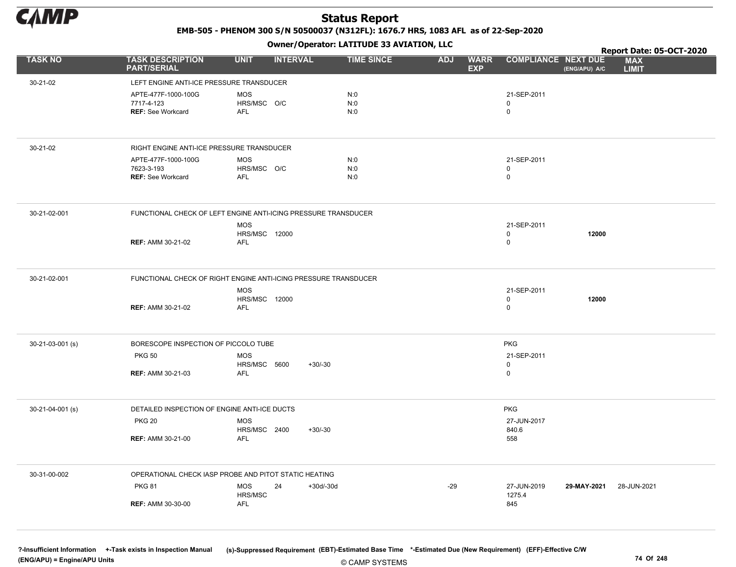

EMB-505 - PHENOM 300 S/N 50500037 (N312FL): 1676.7 HRS, 1083 AFL as of 22-Sep-2020

Owner/Operator: LATITUDE 33 AVIATION, LLC

|                  |                                                                 |                                                  | Owner / Operator: EATITODE 33 AVIATION, LLC |                                         |                            |               | Report Date: 05-OCT-2020   |
|------------------|-----------------------------------------------------------------|--------------------------------------------------|---------------------------------------------|-----------------------------------------|----------------------------|---------------|----------------------------|
| <b>TASK NO</b>   | <b>TASK DESCRIPTION</b><br><b>PART/SERIAL</b>                   | <b>UNIT</b><br><b>INTERVAL</b>                   | <b>TIME SINCE</b>                           | <b>ADJ</b><br><b>WARR</b><br><b>EXP</b> | <b>COMPLIANCE NEXT DUE</b> | (ENG/APU) A/C | <b>MAX</b><br><b>LIMIT</b> |
| 30-21-02         | LEFT ENGINE ANTI-ICE PRESSURE TRANSDUCER                        |                                                  |                                             |                                         |                            |               |                            |
|                  | APTE-477F-1000-100G<br>7717-4-123<br><b>REF: See Workcard</b>   | MOS<br>HRS/MSC O/C<br>AFL                        | N:0<br>N:0<br>N:0                           |                                         | 21-SEP-2011<br>0<br>0      |               |                            |
| 30-21-02         | RIGHT ENGINE ANTI-ICE PRESSURE TRANSDUCER                       |                                                  |                                             |                                         |                            |               |                            |
|                  | APTE-477F-1000-100G<br>7623-3-193<br><b>REF: See Workcard</b>   | MOS<br>HRS/MSC O/C<br>AFL                        | N:0<br>N:0<br>N:0                           |                                         | 21-SEP-2011<br>0<br>0      |               |                            |
| 30-21-02-001     | FUNCTIONAL CHECK OF LEFT ENGINE ANTI-ICING PRESSURE TRANSDUCER  |                                                  |                                             |                                         |                            |               |                            |
|                  | <b>REF: AMM 30-21-02</b>                                        | <b>MOS</b><br><b>HRS/MSC 12000</b><br><b>AFL</b> |                                             |                                         | 21-SEP-2011<br>0<br>0      | 12000         |                            |
| 30-21-02-001     | FUNCTIONAL CHECK OF RIGHT ENGINE ANTI-ICING PRESSURE TRANSDUCER |                                                  |                                             |                                         |                            |               |                            |
|                  | <b>REF: AMM 30-21-02</b>                                        | <b>MOS</b><br><b>HRS/MSC 12000</b><br>AFL        |                                             |                                         | 21-SEP-2011<br>0<br>0      | 12000         |                            |
| 30-21-03-001 (s) | BORESCOPE INSPECTION OF PICCOLO TUBE                            |                                                  |                                             |                                         | <b>PKG</b>                 |               |                            |
|                  | <b>PKG 50</b>                                                   | <b>MOS</b><br>HRS/MSC 5600                       | $+30/-30$                                   |                                         | 21-SEP-2011<br>0           |               |                            |
|                  | <b>REF: AMM 30-21-03</b>                                        | <b>AFL</b>                                       |                                             |                                         | 0                          |               |                            |
| 30-21-04-001 (s) | DETAILED INSPECTION OF ENGINE ANTI-ICE DUCTS                    |                                                  |                                             |                                         | <b>PKG</b>                 |               |                            |
|                  | <b>PKG 20</b>                                                   | <b>MOS</b><br>HRS/MSC 2400                       | $+30/-30$                                   |                                         | 27-JUN-2017<br>840.6       |               |                            |
|                  | <b>REF: AMM 30-21-00</b>                                        | AFL                                              |                                             |                                         | 558                        |               |                            |
| 30-31-00-002     | OPERATIONAL CHECK IASP PROBE AND PITOT STATIC HEATING           |                                                  |                                             |                                         |                            |               |                            |
|                  | <b>PKG 81</b>                                                   | 24<br>MOS<br>HRS/MSC                             | +30d/-30d                                   | $-29$                                   | 27-JUN-2019<br>1275.4      | 29-MAY-2021   | 28-JUN-2021                |
|                  | <b>REF: AMM 30-30-00</b>                                        | AFL                                              |                                             |                                         | 845                        |               |                            |
|                  |                                                                 |                                                  |                                             |                                         |                            |               |                            |

© CAMP SYSTEMS ?-Insufficient Information +-Task exists in Inspection Manual (s)-Suppressed Requirement (EBT)-Estimated Base Time \*-Estimated Due (New Requirement) (EFF)-Effective C/W (ENG/APU) = Engine/APU Units 74 Of 248 and the control of 248 and the control of 248 and the control of 248 and the control of 248 and the control of 248 and the control of 248 and the control of 248 and the control of 24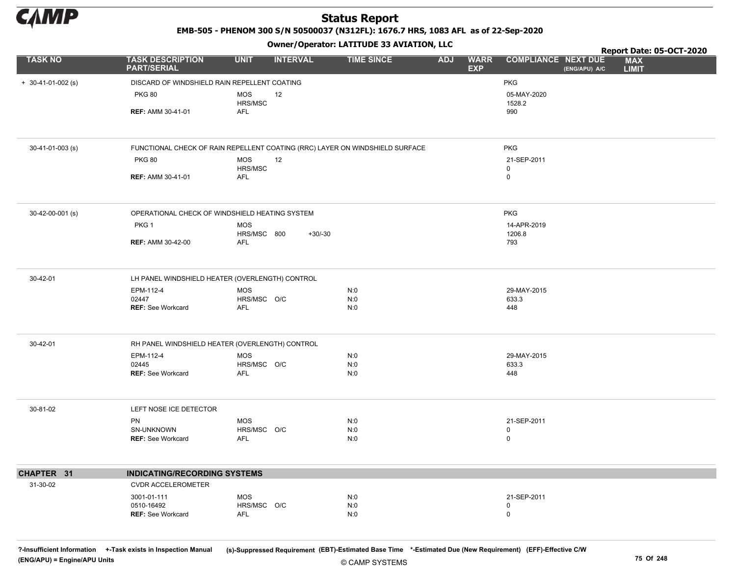

EMB-505 - PHENOM 300 S/N 50500037 (N312FL): 1676.7 HRS, 1083 AFL as of 22-Sep-2020

#### Owner/Operator: LATITUDE 33 AVIATION, LLC

|                      |                                                                              |                           | .               |                   |                                         |                                             | Report Date: 05-OCT-2020   |
|----------------------|------------------------------------------------------------------------------|---------------------------|-----------------|-------------------|-----------------------------------------|---------------------------------------------|----------------------------|
| <b>TASK NO</b>       | <b>TASK DESCRIPTION</b><br><b>PART/SERIAL</b>                                | <b>UNIT</b>               | <b>INTERVAL</b> | <b>TIME SINCE</b> | <b>WARR</b><br><b>ADJ</b><br><b>EXP</b> | <b>COMPLIANCE NEXT DUE</b><br>(ENG/APU) A/C | <b>MAX</b><br><b>LIMIT</b> |
| $+ 30-41-01-002$ (s) | DISCARD OF WINDSHIELD RAIN REPELLENT COATING                                 |                           |                 |                   |                                         | <b>PKG</b>                                  |                            |
|                      | <b>PKG 80</b>                                                                | <b>MOS</b><br>HRS/MSC     | 12              |                   |                                         | 05-MAY-2020<br>1528.2                       |                            |
|                      | <b>REF: AMM 30-41-01</b>                                                     | <b>AFL</b>                |                 |                   |                                         | 990                                         |                            |
| 30-41-01-003 (s)     | FUNCTIONAL CHECK OF RAIN REPELLENT COATING (RRC) LAYER ON WINDSHIELD SURFACE |                           |                 |                   |                                         | PKG                                         |                            |
|                      | <b>PKG 80</b>                                                                | <b>MOS</b><br>HRS/MSC     | 12              |                   |                                         | 21-SEP-2011<br>$\mathbf 0$                  |                            |
|                      | <b>REF: AMM 30-41-01</b>                                                     | <b>AFL</b>                |                 |                   |                                         | $\mathsf 0$                                 |                            |
| 30-42-00-001 (s)     | OPERATIONAL CHECK OF WINDSHIELD HEATING SYSTEM                               |                           |                 |                   |                                         | <b>PKG</b>                                  |                            |
|                      | PKG <sub>1</sub>                                                             | <b>MOS</b><br>HRS/MSC 800 | $+30/-30$       |                   |                                         | 14-APR-2019<br>1206.8                       |                            |
|                      | <b>REF: AMM 30-42-00</b>                                                     | <b>AFL</b>                |                 |                   |                                         | 793                                         |                            |
| 30-42-01             | LH PANEL WINDSHIELD HEATER (OVERLENGTH) CONTROL                              |                           |                 |                   |                                         |                                             |                            |
|                      | EPM-112-4<br>02447                                                           | <b>MOS</b><br>HRS/MSC O/C |                 | N:0<br>N:0        |                                         | 29-MAY-2015<br>633.3                        |                            |
|                      | <b>REF: See Workcard</b>                                                     | <b>AFL</b>                |                 | N:0               |                                         | 448                                         |                            |
| 30-42-01             | RH PANEL WINDSHIELD HEATER (OVERLENGTH) CONTROL                              |                           |                 |                   |                                         |                                             |                            |
|                      | EPM-112-4                                                                    | <b>MOS</b>                |                 | N:0               |                                         | 29-MAY-2015                                 |                            |
|                      | 02445<br><b>REF: See Workcard</b>                                            | HRS/MSC O/C<br>AFL        |                 | N:0<br>N:0        |                                         | 633.3<br>448                                |                            |
| 30-81-02             | LEFT NOSE ICE DETECTOR                                                       |                           |                 |                   |                                         |                                             |                            |
|                      | PN                                                                           | <b>MOS</b>                |                 | N:0               |                                         | 21-SEP-2011                                 |                            |
|                      | SN-UNKNOWN<br><b>REF: See Workcard</b>                                       | HRS/MSC O/C<br><b>AFL</b> |                 | N:0<br>N:0        |                                         | $\mathbf 0$<br>$\mathsf 0$                  |                            |
| CHAPTER 31           | <b>INDICATING/RECORDING SYSTEMS</b>                                          |                           |                 |                   |                                         |                                             |                            |
| 31-30-02             | <b>CVDR ACCELEROMETER</b>                                                    |                           |                 |                   |                                         |                                             |                            |
|                      | 3001-01-111                                                                  | <b>MOS</b>                |                 | N:0               |                                         | 21-SEP-2011                                 |                            |
|                      | 0510-16492<br><b>REF: See Workcard</b>                                       | HRS/MSC O/C<br>AFL        |                 | N:0<br>N:0        |                                         | $\mathbf 0$<br>$\mathsf 0$                  |                            |

?-Insufficient Information +-Task exists in Inspection Manual (s)-Suppressed Requirement (EBT)-Estimated Base Time \*-Estimated Due (New Requirement) (EFF)-Effective C/W (ENG/APU) = Engine/APU Units 75 Of 248 and 248 and 248 and 248 and 25 Of 248 and 25 Of 248 and 25 Of 248 and 25 Of 248 and 25 Of 248 and 25 Of 248 and 25 Of 248 and 25 Of 248 and 25 Of 248 and 25 Of 248 and 25 Of 248 and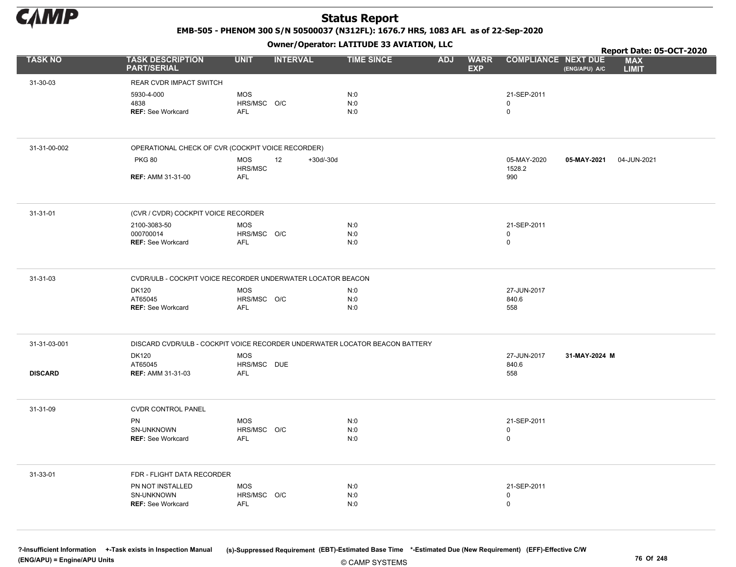

EMB-505 - PHENOM 300 S/N 50500037 (N312FL): 1676.7 HRS, 1083 AFL as of 22-Sep-2020

Owner/Operator: LATITUDE 33 AVIATION, LLC

|                |                                                                             |                                         |                   | Owner/Operator. EATITODE 33 AVIATION, LLC |            |                           |                             | Report Date: 05-OCT-2020 |                            |  |
|----------------|-----------------------------------------------------------------------------|-----------------------------------------|-------------------|-------------------------------------------|------------|---------------------------|-----------------------------|--------------------------|----------------------------|--|
| <b>TASK NO</b> | <b>TASK DESCRIPTION</b><br><b>PART/SERIAL</b>                               | <b>UNIT</b>                             | <b>INTERVAL</b>   | <b>TIME SINCE</b>                         | <b>ADJ</b> | <b>WARR</b><br><b>EXP</b> | <b>COMPLIANCE NEXT DUE</b>  | (ENG/APU) A/C            | <b>MAX</b><br><b>LIMIT</b> |  |
| 31-30-03       | REAR CVDR IMPACT SWITCH                                                     |                                         |                   |                                           |            |                           |                             |                          |                            |  |
|                | 5930-4-000<br>4838<br><b>REF: See Workcard</b>                              | <b>MOS</b><br>HRS/MSC O/C<br><b>AFL</b> |                   | N:0<br>N:0<br>N:0                         |            |                           | 21-SEP-2011<br>0<br>0       |                          |                            |  |
| 31-31-00-002   | OPERATIONAL CHECK OF CVR (COCKPIT VOICE RECORDER)                           |                                         |                   |                                           |            |                           |                             |                          |                            |  |
|                | <b>PKG 80</b>                                                               | <b>MOS</b>                              | 12<br>$+30d/-30d$ |                                           |            |                           | 05-MAY-2020                 | 05-MAY-2021              | 04-JUN-2021                |  |
|                | <b>REF: AMM 31-31-00</b>                                                    | HRS/MSC<br>AFL                          |                   |                                           |            |                           | 1528.2<br>990               |                          |                            |  |
| 31-31-01       | (CVR / CVDR) COCKPIT VOICE RECORDER                                         |                                         |                   |                                           |            |                           |                             |                          |                            |  |
|                | 2100-3083-50<br>000700014<br><b>REF: See Workcard</b>                       | <b>MOS</b><br>HRS/MSC O/C<br><b>AFL</b> |                   | N:0<br>N:0<br>N:0                         |            |                           | 21-SEP-2011<br>0<br>0       |                          |                            |  |
| 31-31-03       | CVDR/ULB - COCKPIT VOICE RECORDER UNDERWATER LOCATOR BEACON                 |                                         |                   |                                           |            |                           |                             |                          |                            |  |
|                | <b>DK120</b><br>AT65045<br><b>REF: See Workcard</b>                         | <b>MOS</b><br>HRS/MSC O/C<br>AFL        |                   | N:0<br>N:0<br>N:0                         |            |                           | 27-JUN-2017<br>840.6<br>558 |                          |                            |  |
| 31-31-03-001   | DISCARD CVDR/ULB - COCKPIT VOICE RECORDER UNDERWATER LOCATOR BEACON BATTERY |                                         |                   |                                           |            |                           |                             |                          |                            |  |
| <b>DISCARD</b> | <b>DK120</b><br>AT65045<br><b>REF: AMM 31-31-03</b>                         | <b>MOS</b><br>HRS/MSC DUE<br><b>AFL</b> |                   |                                           |            |                           | 27-JUN-2017<br>840.6<br>558 | 31-MAY-2024 M            |                            |  |
| 31-31-09       | <b>CVDR CONTROL PANEL</b>                                                   |                                         |                   |                                           |            |                           |                             |                          |                            |  |
|                | PN<br>SN-UNKNOWN<br>REF: See Workcard                                       | MOS<br>HRS/MSC O/C<br>AFL               |                   | N:0<br>N:0<br>N:0                         |            |                           | 21-SEP-2011<br>0<br>0       |                          |                            |  |
| 31-33-01       | FDR - FLIGHT DATA RECORDER                                                  |                                         |                   |                                           |            |                           |                             |                          |                            |  |
|                | PN NOT INSTALLED<br>SN-UNKNOWN<br>REF: See Workcard                         | <b>MOS</b><br>HRS/MSC O/C<br>AFL        |                   | N:0<br>N:0<br>N:0                         |            |                           | 21-SEP-2011<br>0<br>0       |                          |                            |  |

© CAMP SYSTEMS ?-Insufficient Information +-Task exists in Inspection Manual (s)-Suppressed Requirement (EBT)-Estimated Base Time \*-Estimated Due (New Requirement) (EFF)-Effective C/W (ENG/APU) = Engine/APU Units 76 Of 248 and the control of 248 and the control of 248 and the control of 248 and the control of 248 and the control of 248 and the control of 248 and the control of 248 and the control of 24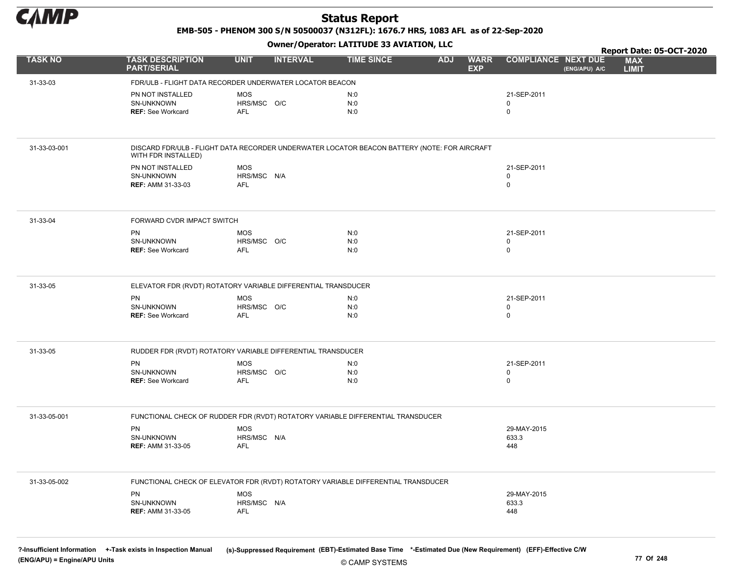

EMB-505 - PHENOM 300 S/N 50500037 (N312FL): 1676.7 HRS, 1083 AFL as of 22-Sep-2020

Owner/Operator: LATITUDE 33 AVIATION, LLC

|                |                                                                                                                     |                           | .               |                   |            |                           |                                             | Report Date: 05-OCT-2020   |
|----------------|---------------------------------------------------------------------------------------------------------------------|---------------------------|-----------------|-------------------|------------|---------------------------|---------------------------------------------|----------------------------|
| <b>TASK NO</b> | <b>TASK DESCRIPTION</b><br><b>PART/SERIAL</b>                                                                       | <b>UNIT</b>               | <b>INTERVAL</b> | <b>TIME SINCE</b> | <b>ADJ</b> | <b>WARR</b><br><b>EXP</b> | <b>COMPLIANCE NEXT DUE</b><br>(ENG/APU) A/C | <b>MAX</b><br><b>LIMIT</b> |
| 31-33-03       | FDR/ULB - FLIGHT DATA RECORDER UNDERWATER LOCATOR BEACON                                                            |                           |                 |                   |            |                           |                                             |                            |
|                | PN NOT INSTALLED                                                                                                    | <b>MOS</b>                |                 | N:0               |            |                           | 21-SEP-2011                                 |                            |
|                | SN-UNKNOWN                                                                                                          | HRS/MSC O/C               |                 | N:0               |            |                           | 0                                           |                            |
|                | <b>REF: See Workcard</b>                                                                                            | <b>AFL</b>                |                 | N:0               |            |                           | 0                                           |                            |
|                |                                                                                                                     |                           |                 |                   |            |                           |                                             |                            |
| 31-33-03-001   | DISCARD FDR/ULB - FLIGHT DATA RECORDER UNDERWATER LOCATOR BEACON BATTERY (NOTE: FOR AIRCRAFT<br>WITH FDR INSTALLED) |                           |                 |                   |            |                           |                                             |                            |
|                | PN NOT INSTALLED                                                                                                    | MOS                       |                 |                   |            |                           | 21-SEP-2011                                 |                            |
|                | SN-UNKNOWN                                                                                                          | HRS/MSC N/A               |                 |                   |            |                           | 0                                           |                            |
|                | <b>REF: AMM 31-33-03</b>                                                                                            | AFL                       |                 |                   |            |                           | 0                                           |                            |
| 31-33-04       | FORWARD CVDR IMPACT SWITCH                                                                                          |                           |                 |                   |            |                           |                                             |                            |
|                | <b>PN</b>                                                                                                           | <b>MOS</b>                |                 | N:0               |            |                           | 21-SEP-2011                                 |                            |
|                | SN-UNKNOWN                                                                                                          | HRS/MSC O/C               |                 | N:0               |            |                           | 0                                           |                            |
|                | <b>REF: See Workcard</b>                                                                                            | <b>AFL</b>                |                 | N:0               |            |                           | 0                                           |                            |
|                |                                                                                                                     |                           |                 |                   |            |                           |                                             |                            |
| 31-33-05       | ELEVATOR FDR (RVDT) ROTATORY VARIABLE DIFFERENTIAL TRANSDUCER                                                       |                           |                 |                   |            |                           |                                             |                            |
|                | <b>PN</b>                                                                                                           | <b>MOS</b><br>HRS/MSC O/C |                 | N:0               |            |                           | 21-SEP-2011                                 |                            |
|                | SN-UNKNOWN<br><b>REF: See Workcard</b>                                                                              | <b>AFL</b>                |                 | N:0<br>N:0        |            |                           | 0<br>0                                      |                            |
|                |                                                                                                                     |                           |                 |                   |            |                           |                                             |                            |
| 31-33-05       | RUDDER FDR (RVDT) ROTATORY VARIABLE DIFFERENTIAL TRANSDUCER                                                         |                           |                 |                   |            |                           |                                             |                            |
|                | PN                                                                                                                  | <b>MOS</b>                |                 | N:0               |            |                           | 21-SEP-2011                                 |                            |
|                | SN-UNKNOWN                                                                                                          | HRS/MSC O/C               |                 | N:0               |            |                           | 0                                           |                            |
|                | <b>REF: See Workcard</b>                                                                                            | AFL                       |                 | N:0               |            |                           | 0                                           |                            |
|                |                                                                                                                     |                           |                 |                   |            |                           |                                             |                            |
| 31-33-05-001   | FUNCTIONAL CHECK OF RUDDER FDR (RVDT) ROTATORY VARIABLE DIFFERENTIAL TRANSDUCER                                     |                           |                 |                   |            |                           |                                             |                            |
|                | <b>PN</b><br>SN-UNKNOWN                                                                                             | <b>MOS</b><br>HRS/MSC N/A |                 |                   |            |                           | 29-MAY-2015<br>633.3                        |                            |
|                | <b>REF: AMM 31-33-05</b>                                                                                            | AFL                       |                 |                   |            |                           | 448                                         |                            |
|                |                                                                                                                     |                           |                 |                   |            |                           |                                             |                            |
| 31-33-05-002   | FUNCTIONAL CHECK OF ELEVATOR FDR (RVDT) ROTATORY VARIABLE DIFFERENTIAL TRANSDUCER                                   |                           |                 |                   |            |                           |                                             |                            |
|                | <b>PN</b>                                                                                                           | <b>MOS</b>                |                 |                   |            |                           | 29-MAY-2015                                 |                            |
|                | SN-UNKNOWN                                                                                                          | HRS/MSC N/A               |                 |                   |            |                           | 633.3                                       |                            |
|                | <b>REF: AMM 31-33-05</b>                                                                                            | <b>AFL</b>                |                 |                   |            |                           | 448                                         |                            |
|                |                                                                                                                     |                           |                 |                   |            |                           |                                             |                            |

?-Insufficient Information +-Task exists in Inspection Manual (s)-Suppressed Requirement (EBT)-Estimated Base Time \*-Estimated Due (New Requirement) (EFF)-Effective C/W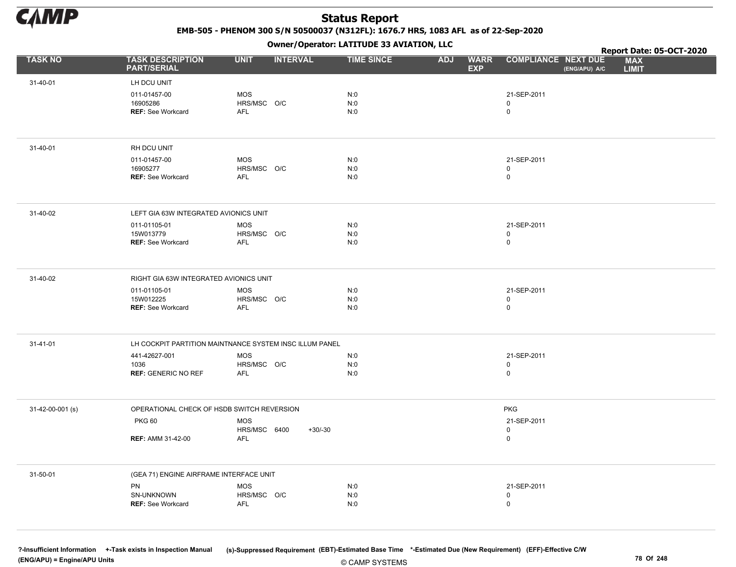

EMB-505 - PHENOM 300 S/N 50500037 (N312FL): 1676.7 HRS, 1083 AFL as of 22-Sep-2020

Owner/Operator: LATITUDE 33 AVIATION, LLC

| <b>TASK NO</b><br><b>TASK DESCRIPTION</b><br><b>PART/SERIAL</b><br>31-40-01<br>LH DCU UNIT<br>011-01457-00<br>16905286 | <b>UNIT</b><br><b>MOS</b><br>HRS/MSC O/C<br>AFL         | <b>INTERVAL</b> | <b>TIME SINCE</b> | <b>ADJ</b><br><b>EXP</b> | <b>COMPLIANCE NEXT DUE</b><br><b>WARR</b> | (ENG/APU) A/C | Report Date: 05-OCT-2020<br><b>MAX</b><br><b>LIMIT</b> |  |
|------------------------------------------------------------------------------------------------------------------------|---------------------------------------------------------|-----------------|-------------------|--------------------------|-------------------------------------------|---------------|--------------------------------------------------------|--|
|                                                                                                                        |                                                         |                 |                   |                          |                                           |               |                                                        |  |
|                                                                                                                        |                                                         |                 |                   |                          |                                           |               |                                                        |  |
| <b>REF: See Workcard</b>                                                                                               |                                                         |                 | N:0<br>N:0<br>N:0 |                          | 21-SEP-2011<br>$\mathbf 0$<br>$\mathsf 0$ |               |                                                        |  |
| 31-40-01<br>RH DCU UNIT                                                                                                |                                                         |                 |                   |                          |                                           |               |                                                        |  |
| 011-01457-00<br>16905277<br><b>REF: See Workcard</b>                                                                   | <b>MOS</b><br>HRS/MSC O/C<br><b>AFL</b>                 |                 | N:0<br>N:0<br>N:0 |                          | 21-SEP-2011<br>$\mathbf 0$<br>$\mathbf 0$ |               |                                                        |  |
| 31-40-02                                                                                                               | LEFT GIA 63W INTEGRATED AVIONICS UNIT                   |                 |                   |                          |                                           |               |                                                        |  |
| 011-01105-01<br>15W013779<br><b>REF: See Workcard</b>                                                                  | <b>MOS</b><br>HRS/MSC O/C<br>AFL                        |                 | N:0<br>N:0<br>N:0 |                          | 21-SEP-2011<br>$\mathbf 0$<br>$\mathsf 0$ |               |                                                        |  |
| 31-40-02                                                                                                               | RIGHT GIA 63W INTEGRATED AVIONICS UNIT                  |                 |                   |                          |                                           |               |                                                        |  |
| 011-01105-01<br>15W012225<br><b>REF: See Workcard</b>                                                                  | <b>MOS</b><br>HRS/MSC O/C<br>AFL                        |                 | N:0<br>N:0<br>N:0 |                          | 21-SEP-2011<br>$\mathsf 0$<br>$\mathsf 0$ |               |                                                        |  |
| 31-41-01                                                                                                               | LH COCKPIT PARTITION MAINTNANCE SYSTEM INSC ILLUM PANEL |                 |                   |                          |                                           |               |                                                        |  |
| 441-42627-001<br>1036<br><b>REF: GENERIC NO REF</b>                                                                    | MOS<br>HRS/MSC O/C<br>AFL                               |                 | N:0<br>N:0<br>N:0 |                          | 21-SEP-2011<br>$\mathbf 0$<br>$\mathsf 0$ |               |                                                        |  |
| 31-42-00-001 (s)                                                                                                       | OPERATIONAL CHECK OF HSDB SWITCH REVERSION              |                 |                   |                          | <b>PKG</b>                                |               |                                                        |  |
| <b>PKG 60</b><br><b>REF: AMM 31-42-00</b>                                                                              | <b>MOS</b><br>HRS/MSC 6400<br><b>AFL</b>                | $+30/-30$       |                   |                          | 21-SEP-2011<br>$\mathbf 0$<br>$\mathsf 0$ |               |                                                        |  |
| 31-50-01                                                                                                               | (GEA 71) ENGINE AIRFRAME INTERFACE UNIT                 |                 |                   |                          |                                           |               |                                                        |  |
| PN<br>SN-UNKNOWN<br><b>REF: See Workcard</b>                                                                           | <b>MOS</b><br>HRS/MSC O/C<br><b>AFL</b>                 |                 | N:0<br>N:0<br>N:0 |                          | 21-SEP-2011<br>$\mathbf 0$<br>$\mathbf 0$ |               |                                                        |  |

© CAMP SYSTEMS ?-Insufficient Information +-Task exists in Inspection Manual (s)-Suppressed Requirement (EBT)-Estimated Base Time \*-Estimated Due (New Requirement) (EFF)-Effective C/W (ENG/APU) = Engine/APU Units 78 Of 248 and 248 and 248 and 248 and 25 of 248 and 25 of 248 and 25 of 248 and 25 of 248 and 25 of 248 and 25 of 248 and 25 of 248 and 25 of 248 and 25 of 248 and 25 of 248 and 25 of 248 and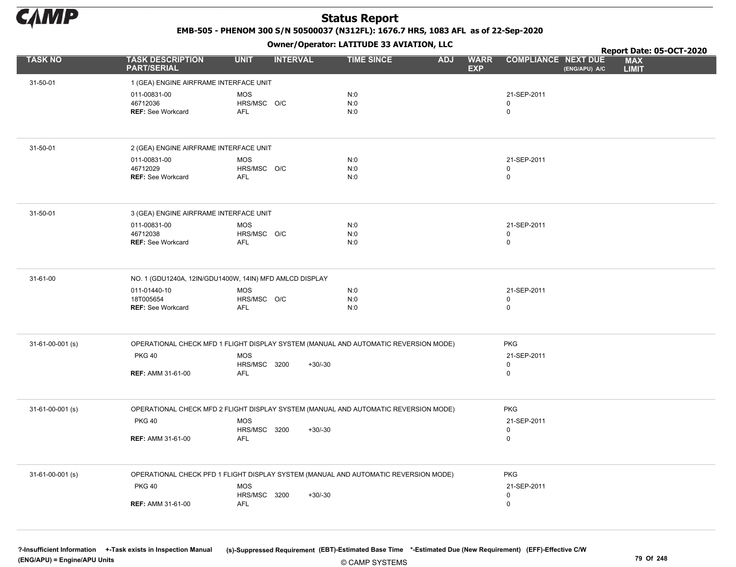

EMB-505 - PHENOM 300 S/N 50500037 (N312FL): 1676.7 HRS, 1083 AFL as of 22-Sep-2020

Owner/Operator: LATITUDE 33 AVIATION, LLC

|                    |                                                      |                                                                                                   | Owner/Operator. EATITODE 33 AVIATION, LLC |                                         |                                             | Report Date: 05-OCT-2020   |
|--------------------|------------------------------------------------------|---------------------------------------------------------------------------------------------------|-------------------------------------------|-----------------------------------------|---------------------------------------------|----------------------------|
| <b>TASK NO</b>     | <b>TASK DESCRIPTION</b><br><b>PART/SERIAL</b>        | <b>UNIT</b><br><b>INTERVAL</b>                                                                    | <b>TIME SINCE</b>                         | <b>ADJ</b><br><b>WARR</b><br><b>EXP</b> | <b>COMPLIANCE NEXT DUE</b><br>(ENG/APU) A/C | <b>MAX</b><br><b>LIMIT</b> |
| 31-50-01           | 1 (GEA) ENGINE AIRFRAME INTERFACE UNIT               |                                                                                                   |                                           |                                         |                                             |                            |
|                    | 011-00831-00<br>46712036<br><b>REF: See Workcard</b> | <b>MOS</b><br>HRS/MSC O/C<br>AFL                                                                  | N:0<br>N:0<br>N:0                         |                                         | 21-SEP-2011<br>0<br>0                       |                            |
|                    |                                                      |                                                                                                   |                                           |                                         |                                             |                            |
| 31-50-01           | 2 (GEA) ENGINE AIRFRAME INTERFACE UNIT               |                                                                                                   |                                           |                                         |                                             |                            |
|                    | 011-00831-00<br>46712029                             | <b>MOS</b><br>HRS/MSC O/C                                                                         | N:0<br>N:0                                |                                         | 21-SEP-2011<br>0                            |                            |
|                    | <b>REF: See Workcard</b>                             | AFL                                                                                               | N:0                                       |                                         | 0                                           |                            |
| 31-50-01           | 3 (GEA) ENGINE AIRFRAME INTERFACE UNIT               |                                                                                                   |                                           |                                         |                                             |                            |
|                    | 011-00831-00                                         | MOS                                                                                               | N:0                                       |                                         | 21-SEP-2011                                 |                            |
|                    | 46712038<br><b>REF: See Workcard</b>                 | HRS/MSC O/C<br>AFL                                                                                | N:0<br>N:0                                |                                         | 0<br>0                                      |                            |
|                    |                                                      |                                                                                                   |                                           |                                         |                                             |                            |
| 31-61-00           |                                                      | NO. 1 (GDU1240A, 12IN/GDU1400W, 14IN) MFD AMLCD DISPLAY                                           |                                           |                                         |                                             |                            |
|                    | 011-01440-10<br>18T005654                            | <b>MOS</b><br>HRS/MSC O/C                                                                         | N:0<br>N:0                                |                                         | 21-SEP-2011<br>0                            |                            |
|                    | <b>REF: See Workcard</b>                             | AFL                                                                                               | N:0                                       |                                         | 0                                           |                            |
|                    |                                                      |                                                                                                   |                                           |                                         |                                             |                            |
| 31-61-00-001 (s)   | <b>PKG 40</b>                                        | OPERATIONAL CHECK MFD 1 FLIGHT DISPLAY SYSTEM (MANUAL AND AUTOMATIC REVERSION MODE)<br><b>MOS</b> |                                           |                                         | <b>PKG</b><br>21-SEP-2011                   |                            |
|                    |                                                      | <b>HRS/MSC 3200</b><br>$+30/-30$                                                                  |                                           |                                         | 0                                           |                            |
|                    | <b>REF: AMM 31-61-00</b>                             | AFL                                                                                               |                                           |                                         | 0                                           |                            |
| 31-61-00-001 (s)   |                                                      | OPERATIONAL CHECK MFD 2 FLIGHT DISPLAY SYSTEM (MANUAL AND AUTOMATIC REVERSION MODE)               |                                           |                                         | <b>PKG</b>                                  |                            |
|                    | <b>PKG 40</b>                                        | <b>MOS</b>                                                                                        |                                           |                                         | 21-SEP-2011                                 |                            |
|                    | <b>REF: AMM 31-61-00</b>                             | HRS/MSC 3200<br>$+30/-30$<br><b>AFL</b>                                                           |                                           |                                         | 0<br>0                                      |                            |
|                    |                                                      |                                                                                                   |                                           |                                         |                                             |                            |
| $31-61-00-001$ (s) |                                                      | OPERATIONAL CHECK PFD 1 FLIGHT DISPLAY SYSTEM (MANUAL AND AUTOMATIC REVERSION MODE)               |                                           |                                         | <b>PKG</b>                                  |                            |
|                    | <b>PKG 40</b>                                        | MOS<br><b>HRS/MSC 3200</b><br>$+30/-30$                                                           |                                           |                                         | 21-SEP-2011<br>0                            |                            |
|                    | <b>REF: AMM 31-61-00</b>                             | AFL                                                                                               |                                           |                                         | 0                                           |                            |
|                    |                                                      |                                                                                                   |                                           |                                         |                                             |                            |
|                    |                                                      |                                                                                                   |                                           |                                         |                                             |                            |

© CAMP SYSTEMS ?-Insufficient Information +-Task exists in Inspection Manual (s)-Suppressed Requirement (EBT)-Estimated Base Time \*-Estimated Due (New Requirement) (EFF)-Effective C/W (ENG/APU) = Engine/APU Units 79 Of 248 and the control of the control of the control of the control of the control of the control of the control of the control of the control of the control of the control of the control o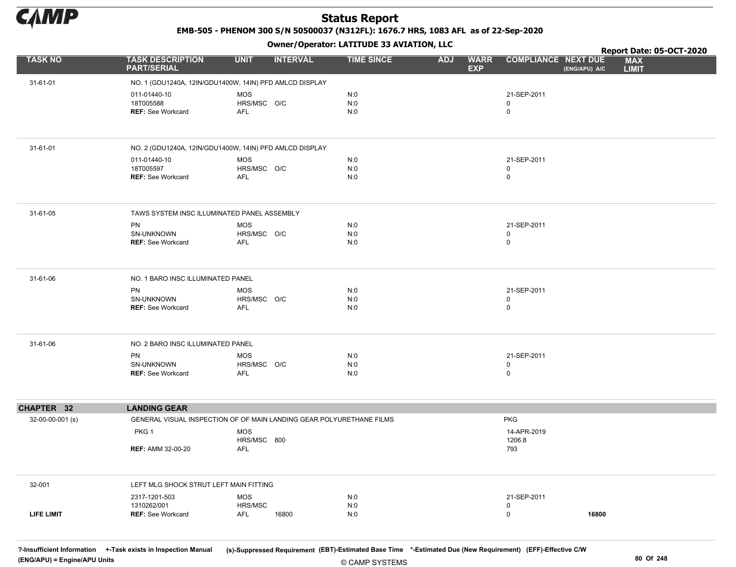

EMB-505 - PHENOM 300 S/N 50500037 (N312FL): 1676.7 HRS, 1083 AFL as of 22-Sep-2020

Owner/Operator: LATITUDE 33 AVIATION, LLC

|                   |                                               | - - - -                                                              |                   |                                         |                                             | Report Date: 05-OCT-2020   |
|-------------------|-----------------------------------------------|----------------------------------------------------------------------|-------------------|-----------------------------------------|---------------------------------------------|----------------------------|
| <b>TASK NO</b>    | <b>TASK DESCRIPTION</b><br><b>PART/SERIAL</b> | <b>UNIT</b><br><b>INTERVAL</b>                                       | <b>TIME SINCE</b> | <b>ADJ</b><br><b>WARR</b><br><b>EXP</b> | <b>COMPLIANCE NEXT DUE</b><br>(ENG/APU) A/C | <b>MAX</b><br><b>LIMIT</b> |
| 31-61-01          |                                               | NO. 1 (GDU1240A, 12IN/GDU1400W, 14IN) PFD AMLCD DISPLAY              |                   |                                         |                                             |                            |
|                   | 011-01440-10                                  | MOS                                                                  | N:0               |                                         | 21-SEP-2011                                 |                            |
|                   | 18T005588                                     | HRS/MSC O/C                                                          | N:0               |                                         | 0                                           |                            |
|                   | <b>REF: See Workcard</b>                      | AFL                                                                  | N:0               |                                         | 0                                           |                            |
|                   |                                               |                                                                      |                   |                                         |                                             |                            |
| 31-61-01          |                                               | NO. 2 (GDU1240A, 12IN/GDU1400W, 14IN) PFD AMLCD DISPLAY              |                   |                                         |                                             |                            |
|                   | 011-01440-10                                  | MOS                                                                  | N:0               |                                         | 21-SEP-2011                                 |                            |
|                   | 18T005597                                     | HRS/MSC O/C                                                          | N:0               |                                         | 0                                           |                            |
|                   | <b>REF: See Workcard</b>                      | AFL                                                                  | N:0               |                                         | 0                                           |                            |
| 31-61-05          | TAWS SYSTEM INSC ILLUMINATED PANEL ASSEMBLY   |                                                                      |                   |                                         |                                             |                            |
|                   | PN                                            | MOS                                                                  | N:0               |                                         | 21-SEP-2011                                 |                            |
|                   | SN-UNKNOWN                                    | HRS/MSC O/C                                                          | N:0               |                                         | 0                                           |                            |
|                   | <b>REF: See Workcard</b>                      | AFL                                                                  | N:0               |                                         | 0                                           |                            |
| 31-61-06          | NO. 1 BARO INSC ILLUMINATED PANEL             |                                                                      |                   |                                         |                                             |                            |
|                   | PN                                            | <b>MOS</b>                                                           | N:0               |                                         | 21-SEP-2011                                 |                            |
|                   | SN-UNKNOWN                                    | HRS/MSC O/C                                                          | N:0               |                                         | 0                                           |                            |
|                   | <b>REF: See Workcard</b>                      | AFL                                                                  | N:0               |                                         | 0                                           |                            |
| 31-61-06          | NO. 2 BARO INSC ILLUMINATED PANEL             |                                                                      |                   |                                         |                                             |                            |
|                   | <b>PN</b>                                     | <b>MOS</b>                                                           | N:0               |                                         | 21-SEP-2011                                 |                            |
|                   | SN-UNKNOWN<br><b>REF: See Workcard</b>        | HRS/MSC O/C<br>AFL                                                   | N:0<br>N:0        |                                         | 0<br>0                                      |                            |
|                   |                                               |                                                                      |                   |                                         |                                             |                            |
| CHAPTER 32        | <b>LANDING GEAR</b>                           |                                                                      |                   |                                         |                                             |                            |
| 32-00-00-001 (s)  |                                               | GENERAL VISUAL INSPECTION OF OF MAIN LANDING GEAR POLYURETHANE FILMS |                   |                                         | <b>PKG</b>                                  |                            |
|                   | PKG <sub>1</sub>                              | <b>MOS</b>                                                           |                   |                                         | 14-APR-2019                                 |                            |
|                   |                                               | HRS/MSC 800                                                          |                   |                                         | 1206.8                                      |                            |
|                   | <b>REF: AMM 32-00-20</b>                      | <b>AFL</b>                                                           |                   |                                         | 793                                         |                            |
| 32-001            | LEFT MLG SHOCK STRUT LEFT MAIN FITTING        |                                                                      |                   |                                         |                                             |                            |
|                   | 2317-1201-503                                 | <b>MOS</b>                                                           | N:0               |                                         | 21-SEP-2011                                 |                            |
|                   | 1310262/001                                   | HRS/MSC                                                              | N:0               |                                         | 0                                           |                            |
| <b>LIFE LIMIT</b> | <b>REF: See Workcard</b>                      | AFL<br>16800                                                         | N:0               |                                         | 0<br>16800                                  |                            |

© CAMP SYSTEMS ?-Insufficient Information +-Task exists in Inspection Manual (s)-Suppressed Requirement (EBT)-Estimated Base Time \*-Estimated Due (New Requirement) (EFF)-Effective C/W (ENG/APU) = Engine/APU Units 80 Of 248 and 248 and 248 and 248 and 248 and 248 and 250 of 248 and 250 of 248 and 250 of 248 and 250 of 248 and 250 of 248 and 250 of 248 and 250 of 248 and 250 of 248 and 250 of 248 and 250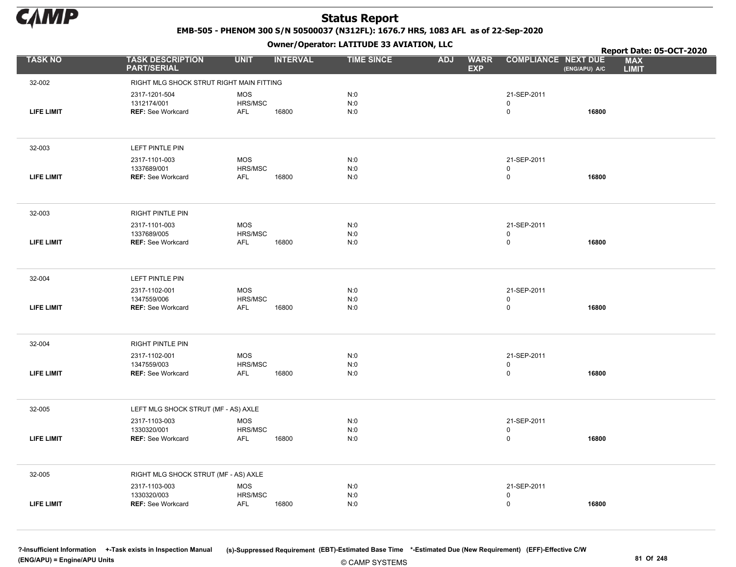

EMB-505 - PHENOM 300 S/N 50500037 (N312FL): 1676.7 HRS, 1083 AFL as of 22-Sep-2020

Owner/Operator: LATITUDE 33 AVIATION, LLC

|                   |                                               |                       |                 | Owner / Operator. EATTTODE 33 AVIATION, LLC |                                         |                            |               | Report Date: 05-OCT-2020   |
|-------------------|-----------------------------------------------|-----------------------|-----------------|---------------------------------------------|-----------------------------------------|----------------------------|---------------|----------------------------|
| <b>TASK NO</b>    | <b>TASK DESCRIPTION</b><br><b>PART/SERIAL</b> | <b>UNIT</b>           | <b>INTERVAL</b> | <b>TIME SINCE</b>                           | <b>ADJ</b><br><b>WARR</b><br><b>EXP</b> | <b>COMPLIANCE NEXT DUE</b> | (ENG/APU) A/C | <b>MAX</b><br><b>LIMIT</b> |
| 32-002            | RIGHT MLG SHOCK STRUT RIGHT MAIN FITTING      |                       |                 |                                             |                                         |                            |               |                            |
|                   | 2317-1201-504                                 | <b>MOS</b>            |                 | N:0                                         |                                         | 21-SEP-2011                |               |                            |
| <b>LIFE LIMIT</b> | 1312174/001<br><b>REF: See Workcard</b>       | HRS/MSC<br><b>AFL</b> | 16800           | N:0<br>N:0                                  |                                         | 0<br>0                     | 16800         |                            |
|                   |                                               |                       |                 |                                             |                                         |                            |               |                            |
| 32-003            | LEFT PINTLE PIN                               |                       |                 |                                             |                                         |                            |               |                            |
|                   | 2317-1101-003                                 | <b>MOS</b>            |                 | N:0                                         |                                         | 21-SEP-2011                |               |                            |
| <b>LIFE LIMIT</b> | 1337689/001<br><b>REF: See Workcard</b>       | HRS/MSC<br><b>AFL</b> | 16800           | N:0<br>N:0                                  |                                         | 0<br>0                     | 16800         |                            |
|                   |                                               |                       |                 |                                             |                                         |                            |               |                            |
| 32-003            | <b>RIGHT PINTLE PIN</b>                       |                       |                 |                                             |                                         |                            |               |                            |
|                   | 2317-1101-003                                 | <b>MOS</b>            |                 | N:0                                         |                                         | 21-SEP-2011                |               |                            |
| <b>LIFE LIMIT</b> | 1337689/005<br><b>REF: See Workcard</b>       | HRS/MSC<br>AFL        | 16800           | N:0<br>N:0                                  |                                         | 0<br>0                     | 16800         |                            |
|                   |                                               |                       |                 |                                             |                                         |                            |               |                            |
| 32-004            | LEFT PINTLE PIN                               |                       |                 |                                             |                                         |                            |               |                            |
|                   | 2317-1102-001                                 | <b>MOS</b>            |                 | N:0                                         |                                         | 21-SEP-2011                |               |                            |
| <b>LIFE LIMIT</b> | 1347559/006<br>REF: See Workcard              | HRS/MSC<br>AFL        | 16800           | N:0<br>N:0                                  |                                         | 0<br>0                     | 16800         |                            |
|                   |                                               |                       |                 |                                             |                                         |                            |               |                            |
| 32-004            | RIGHT PINTLE PIN                              |                       |                 |                                             |                                         |                            |               |                            |
|                   | 2317-1102-001                                 | MOS                   |                 | N:0                                         |                                         | 21-SEP-2011                |               |                            |
| <b>LIFE LIMIT</b> | 1347559/003<br><b>REF: See Workcard</b>       | HRS/MSC<br>AFL        | 16800           | N:0<br>N:0                                  |                                         | 0<br>0                     | 16800         |                            |
|                   |                                               |                       |                 |                                             |                                         |                            |               |                            |
| 32-005            | LEFT MLG SHOCK STRUT (MF - AS) AXLE           |                       |                 |                                             |                                         |                            |               |                            |
|                   | 2317-1103-003                                 | <b>MOS</b>            |                 | N:0                                         |                                         | 21-SEP-2011                |               |                            |
| <b>LIFE LIMIT</b> | 1330320/001<br><b>REF: See Workcard</b>       | HRS/MSC<br><b>AFL</b> | 16800           | N:0<br>N:0                                  |                                         | 0<br>0                     | 16800         |                            |
|                   |                                               |                       |                 |                                             |                                         |                            |               |                            |
| 32-005            | RIGHT MLG SHOCK STRUT (MF - AS) AXLE          |                       |                 |                                             |                                         |                            |               |                            |
|                   | 2317-1103-003                                 | <b>MOS</b>            |                 | N:0                                         |                                         | 21-SEP-2011                |               |                            |
| <b>LIFE LIMIT</b> | 1330320/003<br><b>REF: See Workcard</b>       | HRS/MSC<br><b>AFL</b> | 16800           | N:0<br>N:0                                  |                                         | 0<br>0                     | 16800         |                            |
|                   |                                               |                       |                 |                                             |                                         |                            |               |                            |

© CAMP SYSTEMS ?-Insufficient Information +-Task exists in Inspection Manual (s)-Suppressed Requirement (EBT)-Estimated Base Time \*-Estimated Due (New Requirement) (EFF)-Effective C/W (ENG/APU) = Engine/APU Units 81 Of 248 and the control of the control of the control of the control of the control of the control of the control of the control of 248 and the control of 248 and the control of 248 and the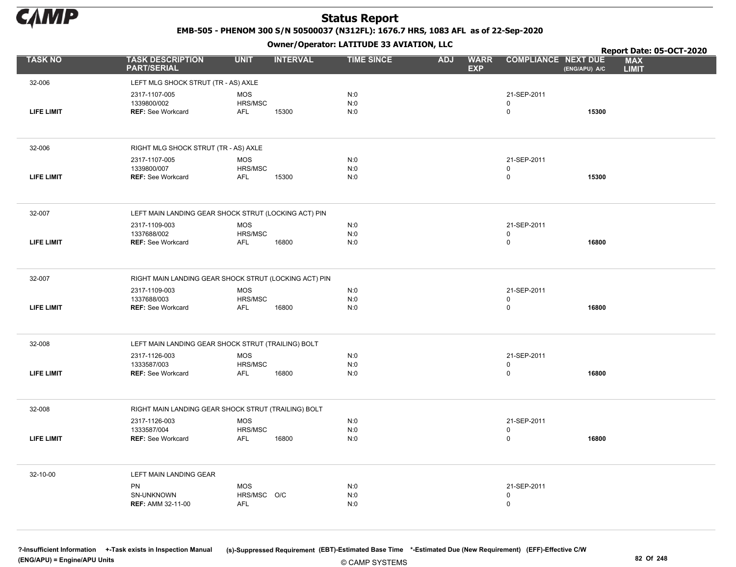

EMB-505 - PHENOM 300 S/N 50500037 (N312FL): 1676.7 HRS, 1083 AFL as of 22-Sep-2020

Owner/Operator: LATITUDE 33 AVIATION, LLC

|                   |                                                       |                       | .               |                   |            |                           |                                             |       | Report Date: 05-OCT-2020   |
|-------------------|-------------------------------------------------------|-----------------------|-----------------|-------------------|------------|---------------------------|---------------------------------------------|-------|----------------------------|
| <b>TASK NO</b>    | <b>TASK DESCRIPTION</b><br><b>PART/SERIAL</b>         | <b>UNIT</b>           | <b>INTERVAL</b> | <b>TIME SINCE</b> | <b>ADJ</b> | <b>WARR</b><br><b>EXP</b> | <b>COMPLIANCE NEXT DUE</b><br>(ENG/APU) A/C |       | <b>MAX</b><br><b>LIMIT</b> |
| 32-006            | LEFT MLG SHOCK STRUT (TR - AS) AXLE                   |                       |                 |                   |            |                           |                                             |       |                            |
|                   | 2317-1107-005                                         | <b>MOS</b>            |                 | N:0               |            |                           | 21-SEP-2011                                 |       |                            |
|                   | 1339800/002                                           | HRS/MSC               |                 | N:0               |            | 0                         |                                             |       |                            |
| <b>LIFE LIMIT</b> | <b>REF: See Workcard</b>                              | AFL                   | 15300           | N:0               |            | 0                         |                                             | 15300 |                            |
|                   |                                                       |                       |                 |                   |            |                           |                                             |       |                            |
| 32-006            | RIGHT MLG SHOCK STRUT (TR - AS) AXLE                  |                       |                 |                   |            |                           |                                             |       |                            |
|                   | 2317-1107-005                                         | <b>MOS</b><br>HRS/MSC |                 | N:0<br>N:0        |            |                           | 21-SEP-2011                                 |       |                            |
| <b>LIFE LIMIT</b> | 1339800/007<br><b>REF: See Workcard</b>               | AFL                   | 15300           | N:0               |            | 0<br>0                    |                                             | 15300 |                            |
|                   |                                                       |                       |                 |                   |            |                           |                                             |       |                            |
| 32-007            | LEFT MAIN LANDING GEAR SHOCK STRUT (LOCKING ACT) PIN  |                       |                 |                   |            |                           |                                             |       |                            |
|                   | 2317-1109-003                                         | <b>MOS</b>            |                 | N:0               |            |                           | 21-SEP-2011                                 |       |                            |
| <b>LIFE LIMIT</b> | 1337688/002<br><b>REF: See Workcard</b>               | HRS/MSC<br><b>AFL</b> | 16800           | N:0<br>N:0        |            | 0<br>0                    |                                             | 16800 |                            |
|                   |                                                       |                       |                 |                   |            |                           |                                             |       |                            |
|                   |                                                       |                       |                 |                   |            |                           |                                             |       |                            |
| 32-007            | RIGHT MAIN LANDING GEAR SHOCK STRUT (LOCKING ACT) PIN |                       |                 |                   |            |                           |                                             |       |                            |
|                   | 2317-1109-003<br>1337688/003                          | <b>MOS</b><br>HRS/MSC |                 | N:0<br>N:0        |            | $\pmb{0}$                 | 21-SEP-2011                                 |       |                            |
| <b>LIFE LIMIT</b> | <b>REF: See Workcard</b>                              | <b>AFL</b>            | 16800           | N:0               |            | 0                         |                                             | 16800 |                            |
|                   |                                                       |                       |                 |                   |            |                           |                                             |       |                            |
| 32-008            | LEFT MAIN LANDING GEAR SHOCK STRUT (TRAILING) BOLT    |                       |                 |                   |            |                           |                                             |       |                            |
|                   | 2317-1126-003                                         | <b>MOS</b>            |                 | N:0               |            |                           | 21-SEP-2011                                 |       |                            |
|                   | 1333587/003                                           | HRS/MSC               |                 | N:0               |            | 0                         |                                             |       |                            |
| LIFE LIMIT        | <b>REF: See Workcard</b>                              | AFL                   | 16800           | N:0               |            | $\mathbf 0$               |                                             | 16800 |                            |
|                   |                                                       |                       |                 |                   |            |                           |                                             |       |                            |
| 32-008            | RIGHT MAIN LANDING GEAR SHOCK STRUT (TRAILING) BOLT   |                       |                 |                   |            |                           |                                             |       |                            |
|                   | 2317-1126-003                                         | <b>MOS</b>            |                 | N:0               |            |                           | 21-SEP-2011                                 |       |                            |
| <b>LIFE LIMIT</b> | 1333587/004<br><b>REF: See Workcard</b>               | HRS/MSC<br><b>AFL</b> | 16800           | N:0<br>N:0        |            | 0<br>0                    |                                             | 16800 |                            |
|                   |                                                       |                       |                 |                   |            |                           |                                             |       |                            |
| 32-10-00          | LEFT MAIN LANDING GEAR                                |                       |                 |                   |            |                           |                                             |       |                            |
|                   | PN                                                    | <b>MOS</b>            |                 | N:0               |            |                           | 21-SEP-2011                                 |       |                            |
|                   | SN-UNKNOWN                                            | HRS/MSC O/C           |                 | N:0               |            | 0                         |                                             |       |                            |
|                   | <b>REF: AMM 32-11-00</b>                              | <b>AFL</b>            |                 | N:0               |            | 0                         |                                             |       |                            |
|                   |                                                       |                       |                 |                   |            |                           |                                             |       |                            |

© CAMP SYSTEMS ?-Insufficient Information +-Task exists in Inspection Manual (s)-Suppressed Requirement (EBT)-Estimated Base Time \*-Estimated Due (New Requirement) (EFF)-Effective C/W (ENG/APU) = Engine/APU Units 82 Of 248 and the control of the control of the control of the control of the control of the control of the control of the control of the control of the control of the control of the control o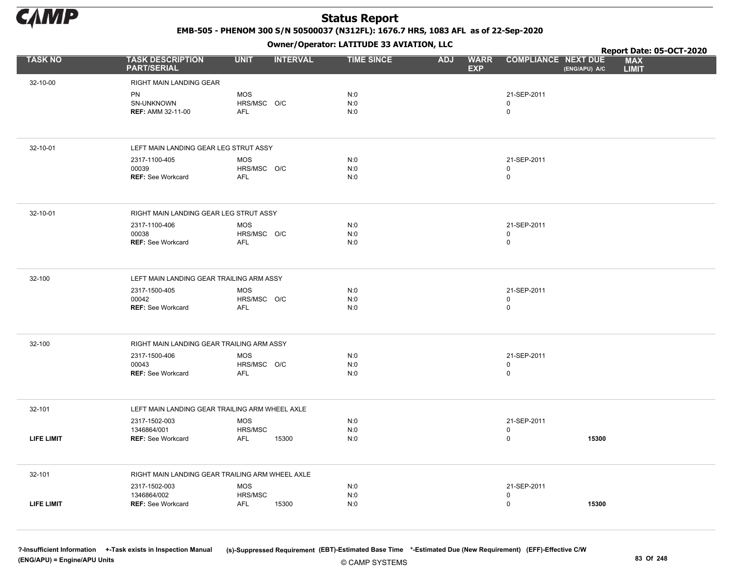

EMB-505 - PHENOM 300 S/N 50500037 (N312FL): 1676.7 HRS, 1083 AFL as of 22-Sep-2020

Owner/Operator: LATITUDE 33 AVIATION, LLC

|                   |                                                 | .                              |                   |                                         |                                             | Report Date: 05-OCT-2020   |
|-------------------|-------------------------------------------------|--------------------------------|-------------------|-----------------------------------------|---------------------------------------------|----------------------------|
| <b>TASK NO</b>    | <b>TASK DESCRIPTION</b><br><b>PART/SERIAL</b>   | <b>UNIT</b><br><b>INTERVAL</b> | <b>TIME SINCE</b> | <b>WARR</b><br><b>ADJ</b><br><b>EXP</b> | <b>COMPLIANCE NEXT DUE</b><br>(ENG/APU) A/C | <b>MAX</b><br><b>LIMIT</b> |
| 32-10-00          | RIGHT MAIN LANDING GEAR                         |                                |                   |                                         |                                             |                            |
|                   | <b>PN</b>                                       | <b>MOS</b>                     | N:0               |                                         | 21-SEP-2011                                 |                            |
|                   | SN-UNKNOWN                                      | HRS/MSC O/C                    | N:0               |                                         | 0                                           |                            |
|                   | <b>REF: AMM 32-11-00</b>                        | AFL                            | N:0               |                                         | 0                                           |                            |
|                   |                                                 |                                |                   |                                         |                                             |                            |
| 32-10-01          | LEFT MAIN LANDING GEAR LEG STRUT ASSY           |                                |                   |                                         |                                             |                            |
|                   | 2317-1100-405                                   | <b>MOS</b>                     | N:0               |                                         | 21-SEP-2011                                 |                            |
|                   | 00039                                           | HRS/MSC O/C                    | N:0               |                                         | 0                                           |                            |
|                   | <b>REF: See Workcard</b>                        | <b>AFL</b>                     | N:0               |                                         | 0                                           |                            |
| 32-10-01          | RIGHT MAIN LANDING GEAR LEG STRUT ASSY          |                                |                   |                                         |                                             |                            |
|                   | 2317-1100-406                                   | <b>MOS</b>                     | N:0               |                                         | 21-SEP-2011                                 |                            |
|                   | 00038                                           | HRS/MSC O/C                    | N:0               |                                         | 0                                           |                            |
|                   | <b>REF: See Workcard</b>                        | AFL                            | N:0               |                                         | 0                                           |                            |
|                   |                                                 |                                |                   |                                         |                                             |                            |
| 32-100            | LEFT MAIN LANDING GEAR TRAILING ARM ASSY        |                                |                   |                                         |                                             |                            |
|                   | 2317-1500-405                                   | <b>MOS</b>                     | N:0               |                                         | 21-SEP-2011                                 |                            |
|                   | 00042<br><b>REF: See Workcard</b>               | HRS/MSC O/C<br><b>AFL</b>      | N:0<br>N:0        |                                         | 0<br>$\mathbf 0$                            |                            |
|                   |                                                 |                                |                   |                                         |                                             |                            |
| 32-100            | RIGHT MAIN LANDING GEAR TRAILING ARM ASSY       |                                |                   |                                         |                                             |                            |
|                   | 2317-1500-406                                   | <b>MOS</b>                     | N:0               |                                         | 21-SEP-2011                                 |                            |
|                   | 00043                                           | HRS/MSC O/C                    | N:0               |                                         | $\mathbf 0$                                 |                            |
|                   | <b>REF: See Workcard</b>                        | AFL                            | N:0               |                                         | $\mathsf 0$                                 |                            |
| 32-101            | LEFT MAIN LANDING GEAR TRAILING ARM WHEEL AXLE  |                                |                   |                                         |                                             |                            |
|                   | 2317-1502-003                                   | <b>MOS</b>                     | N:0               |                                         | 21-SEP-2011                                 |                            |
|                   | 1346864/001                                     | HRS/MSC                        | N:0               |                                         | 0                                           |                            |
| <b>LIFE LIMIT</b> | <b>REF: See Workcard</b>                        | AFL<br>15300                   | N:0               |                                         | $\mathsf{O}\xspace$                         | 15300                      |
| 32-101            | RIGHT MAIN LANDING GEAR TRAILING ARM WHEEL AXLE |                                |                   |                                         |                                             |                            |
|                   | 2317-1502-003                                   | <b>MOS</b>                     | N:0               |                                         | 21-SEP-2011                                 |                            |
|                   | 1346864/002                                     | HRS/MSC                        | N:0               |                                         | 0                                           |                            |
| <b>LIFE LIMIT</b> | <b>REF: See Workcard</b>                        | <b>AFL</b><br>15300            | N:0               |                                         | 0                                           | 15300                      |
|                   |                                                 |                                |                   |                                         |                                             |                            |

© CAMP SYSTEMS ?-Insufficient Information +-Task exists in Inspection Manual (s)-Suppressed Requirement (EBT)-Estimated Base Time \*-Estimated Due (New Requirement) (EFF)-Effective C/W (ENG/APU) = Engine/APU Units 83 Of 248 and the control of the control of the control of the control of the control of the control of the control of the control of the control of the control of the control of the control o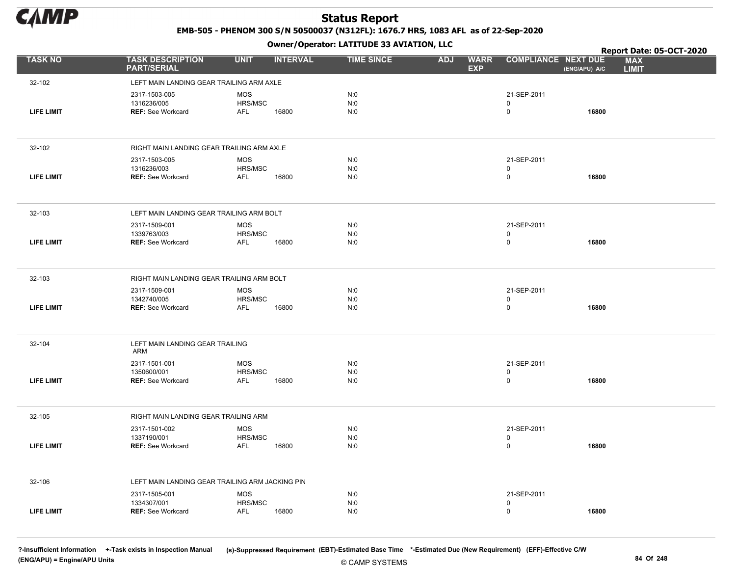

EMB-505 - PHENOM 300 S/N 50500037 (N312FL): 1676.7 HRS, 1083 AFL as of 22-Sep-2020

Owner/Operator: LATITUDE 33 AVIATION, LLC

|                   |                                                 |                       | .               |                   |                                         |                            | Report Date: 05-OCT-2020                    |
|-------------------|-------------------------------------------------|-----------------------|-----------------|-------------------|-----------------------------------------|----------------------------|---------------------------------------------|
| <b>TASK NO</b>    | <b>TASK DESCRIPTION</b><br><b>PART/SERIAL</b>   | <b>UNIT</b>           | <b>INTERVAL</b> | <b>TIME SINCE</b> | <b>WARR</b><br><b>ADJ</b><br><b>EXP</b> | <b>COMPLIANCE NEXT DUE</b> | <b>MAX</b><br>(ENG/APU) A/C<br><b>LIMIT</b> |
| 32-102            | LEFT MAIN LANDING GEAR TRAILING ARM AXLE        |                       |                 |                   |                                         |                            |                                             |
|                   | 2317-1503-005                                   | <b>MOS</b>            |                 | N:0               |                                         | 21-SEP-2011                |                                             |
|                   | 1316236/005                                     | HRS/MSC               |                 | N:0               |                                         | $\mathbf 0$                |                                             |
| <b>LIFE LIMIT</b> | <b>REF: See Workcard</b>                        | AFL                   | 16800           | N:0               |                                         | $\mathsf 0$                | 16800                                       |
|                   |                                                 |                       |                 |                   |                                         |                            |                                             |
| 32-102            | RIGHT MAIN LANDING GEAR TRAILING ARM AXLE       |                       |                 |                   |                                         |                            |                                             |
|                   | 2317-1503-005                                   | <b>MOS</b>            |                 | N:0               |                                         | 21-SEP-2011                |                                             |
| <b>LIFE LIMIT</b> | 1316236/003<br><b>REF: See Workcard</b>         | HRS/MSC<br><b>AFL</b> | 16800           | N:0<br>N:0        |                                         | $\mathbf 0$<br>$\mathsf 0$ | 16800                                       |
|                   |                                                 |                       |                 |                   |                                         |                            |                                             |
| 32-103            | LEFT MAIN LANDING GEAR TRAILING ARM BOLT        |                       |                 |                   |                                         |                            |                                             |
|                   | 2317-1509-001                                   | <b>MOS</b>            |                 | N:0               |                                         | 21-SEP-2011                |                                             |
|                   | 1339763/003                                     | HRS/MSC               |                 | N:0               |                                         | 0                          |                                             |
| <b>LIFE LIMIT</b> | <b>REF: See Workcard</b>                        | <b>AFL</b>            | 16800           | N:0               |                                         | $\mathsf 0$                | 16800                                       |
|                   |                                                 |                       |                 |                   |                                         |                            |                                             |
| 32-103            | RIGHT MAIN LANDING GEAR TRAILING ARM BOLT       |                       |                 |                   |                                         |                            |                                             |
|                   | 2317-1509-001                                   | <b>MOS</b><br>HRS/MSC |                 | N:0<br>N:0        |                                         | 21-SEP-2011                |                                             |
| <b>LIFE LIMIT</b> | 1342740/005<br><b>REF: See Workcard</b>         | <b>AFL</b>            | 16800           | N:0               |                                         | 0<br>$\mathsf 0$           | 16800                                       |
|                   |                                                 |                       |                 |                   |                                         |                            |                                             |
| 32-104            | LEFT MAIN LANDING GEAR TRAILING<br>ARM          |                       |                 |                   |                                         |                            |                                             |
|                   | 2317-1501-001                                   | <b>MOS</b>            |                 | N:0               |                                         | 21-SEP-2011                |                                             |
|                   | 1350600/001                                     | HRS/MSC               |                 | N:0               |                                         | $\mathsf 0$                |                                             |
| LIFE LIMIT        | <b>REF: See Workcard</b>                        | AFL                   | 16800           | N:0               |                                         | $\mathsf 0$                | 16800                                       |
|                   |                                                 |                       |                 |                   |                                         |                            |                                             |
| 32-105            | RIGHT MAIN LANDING GEAR TRAILING ARM            |                       |                 |                   |                                         |                            |                                             |
|                   | 2317-1501-002<br>1337190/001                    | <b>MOS</b>            |                 | N:0               |                                         | 21-SEP-2011                |                                             |
| LIFE LIMIT        | <b>REF: See Workcard</b>                        | HRS/MSC<br>AFL        | 16800           | N:0<br>N:0        |                                         | 0<br>$\mathsf 0$           | 16800                                       |
|                   |                                                 |                       |                 |                   |                                         |                            |                                             |
| 32-106            | LEFT MAIN LANDING GEAR TRAILING ARM JACKING PIN |                       |                 |                   |                                         |                            |                                             |
|                   | 2317-1505-001                                   | <b>MOS</b>            |                 | N:0               |                                         | 21-SEP-2011                |                                             |
|                   | 1334307/001                                     | HRS/MSC               |                 | N:0               |                                         | 0                          |                                             |
| <b>LIFE LIMIT</b> | <b>REF: See Workcard</b>                        | AFL                   | 16800           | N:0               |                                         | $\mathbf 0$                | 16800                                       |
|                   |                                                 |                       |                 |                   |                                         |                            |                                             |

?-Insufficient Information +-Task exists in Inspection Manual (s)-Suppressed Requirement (EBT)-Estimated Base Time \*-Estimated Due (New Requirement) (EFF)-Effective C/W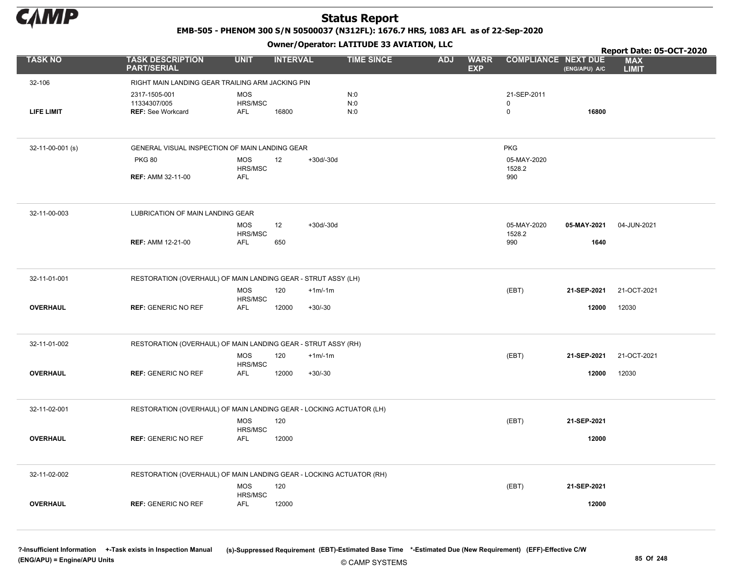

EMB-505 - PHENOM 300 S/N 50500037 (N312FL): 1676.7 HRS, 1083 AFL as of 22-Sep-2020

Owner/Operator: LATITUDE 33 AVIATION, LLC

|                   |                                                                     |                                | .           |                   |            |                           |                            |               | Report Date: 05-OCT-2020   |
|-------------------|---------------------------------------------------------------------|--------------------------------|-------------|-------------------|------------|---------------------------|----------------------------|---------------|----------------------------|
| <b>TASK NO</b>    | <b>TASK DESCRIPTION</b><br><b>PART/SERIAL</b>                       | <b>UNIT</b><br><b>INTERVAL</b> |             | <b>TIME SINCE</b> | <b>ADJ</b> | <b>WARR</b><br><b>EXP</b> | <b>COMPLIANCE NEXT DUE</b> | (ENG/APU) A/C | <b>MAX</b><br><b>LIMIT</b> |
| 32-106            | RIGHT MAIN LANDING GEAR TRAILING ARM JACKING PIN                    |                                |             |                   |            |                           |                            |               |                            |
|                   | 2317-1505-001                                                       | <b>MOS</b>                     |             | N:0               |            |                           | 21-SEP-2011                |               |                            |
|                   | 11334307/005                                                        | HRS/MSC                        |             | N:0               |            |                           | 0                          |               |                            |
| <b>LIFE LIMIT</b> | <b>REF: See Workcard</b>                                            | <b>AFL</b><br>16800            |             | N:0               |            |                           | $\mathsf{O}$               | 16800         |                            |
|                   |                                                                     |                                |             |                   |            |                           |                            |               |                            |
| 32-11-00-001 (s)  | GENERAL VISUAL INSPECTION OF MAIN LANDING GEAR                      |                                |             |                   |            |                           | <b>PKG</b>                 |               |                            |
|                   | <b>PKG 80</b>                                                       | 12<br><b>MOS</b>               | $+30d/-30d$ |                   |            |                           | 05-MAY-2020                |               |                            |
|                   | <b>REF: AMM 32-11-00</b>                                            | HRS/MSC<br><b>AFL</b>          |             |                   |            |                           | 1528.2<br>990              |               |                            |
|                   |                                                                     |                                |             |                   |            |                           |                            |               |                            |
| 32-11-00-003      | LUBRICATION OF MAIN LANDING GEAR                                    |                                |             |                   |            |                           |                            |               |                            |
|                   |                                                                     | <b>MOS</b><br>12<br>HRS/MSC    | $+30d/-30d$ |                   |            |                           | 05-MAY-2020<br>1528.2      | 05-MAY-2021   | 04-JUN-2021                |
|                   | <b>REF: AMM 12-21-00</b>                                            | <b>AFL</b><br>650              |             |                   |            |                           | 990                        | 1640          |                            |
|                   |                                                                     |                                |             |                   |            |                           |                            |               |                            |
| 32-11-01-001      | RESTORATION (OVERHAUL) OF MAIN LANDING GEAR - STRUT ASSY (LH)       |                                |             |                   |            |                           |                            |               |                            |
|                   |                                                                     | <b>MOS</b><br>120<br>HRS/MSC   | $+1m/1m$    |                   |            |                           | (EBT)                      | 21-SEP-2021   | 21-OCT-2021                |
| <b>OVERHAUL</b>   | <b>REF: GENERIC NO REF</b>                                          | <b>AFL</b><br>12000            | $+30/-30$   |                   |            |                           |                            | 12000         | 12030                      |
|                   |                                                                     |                                |             |                   |            |                           |                            |               |                            |
| 32-11-01-002      | RESTORATION (OVERHAUL) OF MAIN LANDING GEAR - STRUT ASSY (RH)       |                                |             |                   |            |                           |                            |               |                            |
|                   |                                                                     | <b>MOS</b><br>120<br>HRS/MSC   | $+1m/1m$    |                   |            |                           | (EBT)                      | 21-SEP-2021   | 21-OCT-2021                |
| <b>OVERHAUL</b>   | <b>REF: GENERIC NO REF</b>                                          | 12000<br>AFL                   | $+30/-30$   |                   |            |                           |                            | 12000         | 12030                      |
|                   |                                                                     |                                |             |                   |            |                           |                            |               |                            |
| 32-11-02-001      | RESTORATION (OVERHAUL) OF MAIN LANDING GEAR - LOCKING ACTUATOR (LH) |                                |             |                   |            |                           |                            |               |                            |
|                   |                                                                     | MOS<br>120                     |             |                   |            |                           | (EBT)                      | 21-SEP-2021   |                            |
| <b>OVERHAUL</b>   | <b>REF: GENERIC NO REF</b>                                          | HRS/MSC<br>12000<br>AFL        |             |                   |            |                           |                            | 12000         |                            |
|                   |                                                                     |                                |             |                   |            |                           |                            |               |                            |
| 32-11-02-002      | RESTORATION (OVERHAUL) OF MAIN LANDING GEAR - LOCKING ACTUATOR (RH) |                                |             |                   |            |                           |                            |               |                            |
|                   |                                                                     | <b>MOS</b><br>120              |             |                   |            |                           | (EBT)                      | 21-SEP-2021   |                            |
| <b>OVERHAUL</b>   |                                                                     | HRS/MSC                        |             |                   |            |                           |                            | 12000         |                            |
|                   | <b>REF: GENERIC NO REF</b>                                          | <b>AFL</b><br>12000            |             |                   |            |                           |                            |               |                            |
|                   |                                                                     |                                |             |                   |            |                           |                            |               |                            |
|                   |                                                                     |                                |             |                   |            |                           |                            |               |                            |

© CAMP SYSTEMS ?-Insufficient Information +-Task exists in Inspection Manual (s)-Suppressed Requirement (EBT)-Estimated Base Time \*-Estimated Due (New Requirement) (EFF)-Effective C/W (ENG/APU) = Engine/APU Units 85 Of 248 and 248 and 248 and 25 Of 248 and 25 Of 248 and 25 Of 248 and 25 Of 248 and 25 Of 248 and 25 Of 248 and 25 Of 248 and 25 Of 248 and 25 Of 248 and 25 Of 248 and 25 Of 248 and 25 Of 24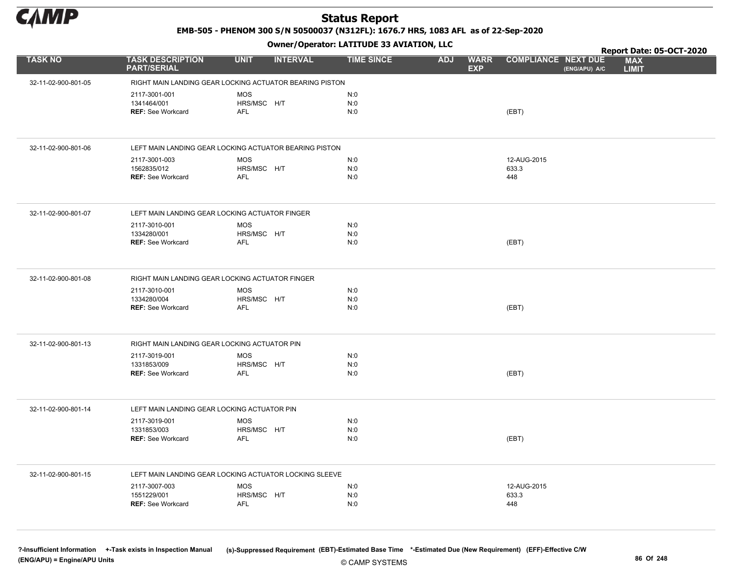

EMB-505 - PHENOM 300 S/N 50500037 (N312FL): 1676.7 HRS, 1083 AFL as of 22-Sep-2020

Owner/Operator: LATITUDE 33 AVIATION, LLC

|                     |                                                          |                                                         | Owner/Operator. EATITODE 33 AVIATION, LLC |                                         |                                             | Report Date: 05-OCT-2020   |
|---------------------|----------------------------------------------------------|---------------------------------------------------------|-------------------------------------------|-----------------------------------------|---------------------------------------------|----------------------------|
| <b>TASK NO</b>      | <b>TASK DESCRIPTION</b><br><b>PART/SERIAL</b>            | <b>UNIT</b><br><b>INTERVAL</b>                          | <b>TIME SINCE</b>                         | <b>ADJ</b><br><b>WARR</b><br><b>EXP</b> | <b>COMPLIANCE NEXT DUE</b><br>(ENG/APU) A/C | <b>MAX</b><br><b>LIMIT</b> |
| 32-11-02-900-801-05 |                                                          | RIGHT MAIN LANDING GEAR LOCKING ACTUATOR BEARING PISTON |                                           |                                         |                                             |                            |
|                     | 2117-3001-001<br>1341464/001<br><b>REF: See Workcard</b> | <b>MOS</b><br>HRS/MSC H/T<br><b>AFL</b>                 | N:0<br>N:0<br>N:0                         |                                         | (EBT)                                       |                            |
| 32-11-02-900-801-06 |                                                          | LEFT MAIN LANDING GEAR LOCKING ACTUATOR BEARING PISTON  |                                           |                                         |                                             |                            |
|                     | 2117-3001-003<br>1562835/012<br><b>REF: See Workcard</b> | <b>MOS</b><br>HRS/MSC H/T<br><b>AFL</b>                 | N:0<br>N:0<br>N:0                         |                                         | 12-AUG-2015<br>633.3<br>448                 |                            |
| 32-11-02-900-801-07 | LEFT MAIN LANDING GEAR LOCKING ACTUATOR FINGER           |                                                         |                                           |                                         |                                             |                            |
|                     | 2117-3010-001<br>1334280/001<br><b>REF: See Workcard</b> | <b>MOS</b><br>HRS/MSC H/T<br>AFL                        | N:0<br>N:0<br>N:0                         |                                         | (EBT)                                       |                            |
| 32-11-02-900-801-08 | RIGHT MAIN LANDING GEAR LOCKING ACTUATOR FINGER          |                                                         |                                           |                                         |                                             |                            |
|                     | 2117-3010-001<br>1334280/004<br><b>REF: See Workcard</b> | <b>MOS</b><br>HRS/MSC H/T<br><b>AFL</b>                 | N:0<br>N:0<br>N:0                         |                                         | (EBT)                                       |                            |
| 32-11-02-900-801-13 | RIGHT MAIN LANDING GEAR LOCKING ACTUATOR PIN             |                                                         |                                           |                                         |                                             |                            |
|                     | 2117-3019-001<br>1331853/009<br><b>REF: See Workcard</b> | <b>MOS</b><br>HRS/MSC H/T<br><b>AFL</b>                 | N:0<br>N:0<br>N:0                         |                                         | (EBT)                                       |                            |
| 32-11-02-900-801-14 | LEFT MAIN LANDING GEAR LOCKING ACTUATOR PIN              |                                                         |                                           |                                         |                                             |                            |
|                     | 2117-3019-001<br>1331853/003<br><b>REF: See Workcard</b> | <b>MOS</b><br>HRS/MSC H/T<br>AFL                        | N:0<br>N:0<br>N:0                         |                                         | (EBT)                                       |                            |
| 32-11-02-900-801-15 |                                                          | LEFT MAIN LANDING GEAR LOCKING ACTUATOR LOCKING SLEEVE  |                                           |                                         |                                             |                            |
|                     | 2117-3007-003<br>1551229/001<br><b>REF: See Workcard</b> | <b>MOS</b><br>HRS/MSC H/T<br>AFL                        | N:0<br>N:0<br>N:0                         |                                         | 12-AUG-2015<br>633.3<br>448                 |                            |

© CAMP SYSTEMS ?-Insufficient Information +-Task exists in Inspection Manual (s)-Suppressed Requirement (EBT)-Estimated Base Time \*-Estimated Due (New Requirement) (EFF)-Effective C/W (ENG/APU) = Engine/APU Units 86 Of 248 and the control of 248 and the control of 248 and the control of 248 and the control of 248 and the control of 248 and the control of 248 and the control of 248 and the control of 24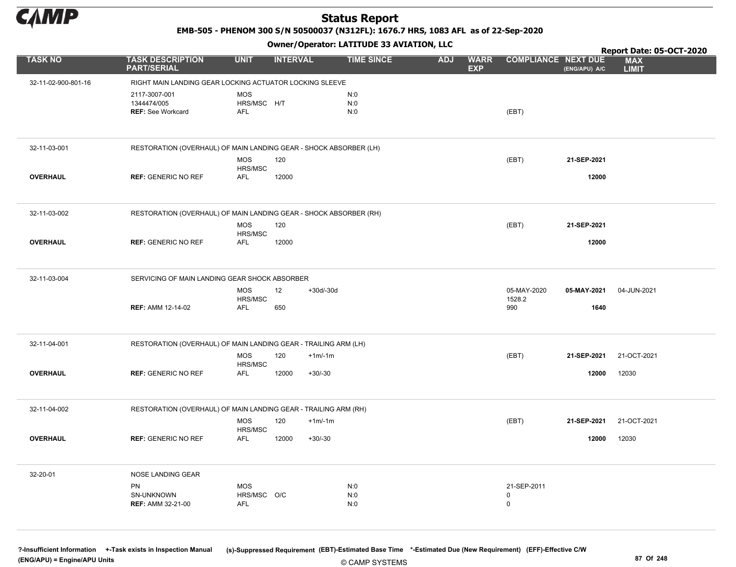

EMB-505 - PHENOM 300 S/N 50500037 (N312FL): 1676.7 HRS, 1083 AFL as of 22-Sep-2020

Owner/Operator: LATITUDE 33 AVIATION, LLC

|                     |                                                                   |                                         |                 | Owner/Operator. EATITODE 33 AVIATION, LLC |            |                           |                              | Report Date: 05-OCT-2020 |                            |  |
|---------------------|-------------------------------------------------------------------|-----------------------------------------|-----------------|-------------------------------------------|------------|---------------------------|------------------------------|--------------------------|----------------------------|--|
| <b>TASK NO</b>      | <b>TASK DESCRIPTION</b><br><b>PART/SERIAL</b>                     | <b>UNIT</b>                             | <b>INTERVAL</b> | <b>TIME SINCE</b>                         | <b>ADJ</b> | <b>WARR</b><br><b>EXP</b> | <b>COMPLIANCE NEXT DUE</b>   | (ENG/APU) A/C            | <b>MAX</b><br><b>LIMIT</b> |  |
| 32-11-02-900-801-16 | RIGHT MAIN LANDING GEAR LOCKING ACTUATOR LOCKING SLEEVE           |                                         |                 |                                           |            |                           |                              |                          |                            |  |
|                     | 2117-3007-001<br>1344474/005<br><b>REF: See Workcard</b>          | <b>MOS</b><br>HRS/MSC H/T<br><b>AFL</b> |                 | N:0<br>N:0<br>N:0                         |            |                           | (EBT)                        |                          |                            |  |
| 32-11-03-001        | RESTORATION (OVERHAUL) OF MAIN LANDING GEAR - SHOCK ABSORBER (LH) |                                         |                 |                                           |            |                           |                              |                          |                            |  |
|                     |                                                                   | MOS<br>HRS/MSC                          | 120             |                                           |            |                           | (EBT)                        | 21-SEP-2021              |                            |  |
| <b>OVERHAUL</b>     | <b>REF: GENERIC NO REF</b>                                        | <b>AFL</b>                              | 12000           |                                           |            |                           |                              | 12000                    |                            |  |
| 32-11-03-002        | RESTORATION (OVERHAUL) OF MAIN LANDING GEAR - SHOCK ABSORBER (RH) |                                         |                 |                                           |            |                           |                              |                          |                            |  |
|                     |                                                                   | <b>MOS</b><br>HRS/MSC                   | 120             |                                           |            |                           | (EBT)                        | 21-SEP-2021              |                            |  |
| <b>OVERHAUL</b>     | <b>REF: GENERIC NO REF</b>                                        | <b>AFL</b>                              | 12000           |                                           |            |                           |                              | 12000                    |                            |  |
| 32-11-03-004        | SERVICING OF MAIN LANDING GEAR SHOCK ABSORBER                     |                                         |                 |                                           |            |                           |                              |                          |                            |  |
|                     | <b>REF: AMM 12-14-02</b>                                          | <b>MOS</b><br>HRS/MSC<br><b>AFL</b>     | 12<br>650       | +30d/-30d                                 |            |                           | 05-MAY-2020<br>1528.2<br>990 | 05-MAY-2021<br>1640      | 04-JUN-2021                |  |
| 32-11-04-001        | RESTORATION (OVERHAUL) OF MAIN LANDING GEAR - TRAILING ARM (LH)   |                                         |                 |                                           |            |                           |                              |                          |                            |  |
|                     |                                                                   | MOS<br>HRS/MSC                          | 120             | $+1m/1m$                                  |            |                           | (EBT)                        | 21-SEP-2021              | 21-OCT-2021                |  |
| <b>OVERHAUL</b>     | <b>REF: GENERIC NO REF</b>                                        | <b>AFL</b>                              | 12000           | $+30/-30$                                 |            |                           |                              | 12000                    | 12030                      |  |
| 32-11-04-002        | RESTORATION (OVERHAUL) OF MAIN LANDING GEAR - TRAILING ARM (RH)   |                                         |                 |                                           |            |                           |                              |                          |                            |  |
|                     |                                                                   | <b>MOS</b><br>HRS/MSC                   | 120             | $+1m/1m$                                  |            |                           | (EBT)                        | 21-SEP-2021              | 21-OCT-2021                |  |
| <b>OVERHAUL</b>     | <b>REF: GENERIC NO REF</b>                                        | AFL                                     | 12000           | $+30/-30$                                 |            |                           |                              | 12000                    | 12030                      |  |
| 32-20-01            | NOSE LANDING GEAR                                                 |                                         |                 |                                           |            |                           |                              |                          |                            |  |
|                     | PN<br>SN-UNKNOWN                                                  | <b>MOS</b><br>HRS/MSC O/C               |                 | N:0<br>N:0                                |            |                           | 21-SEP-2011<br>$\mathbf 0$   |                          |                            |  |
|                     | <b>REF: AMM 32-21-00</b>                                          | AFL                                     |                 | N:0                                       |            |                           | $\mathsf{O}$                 |                          |                            |  |

© CAMP SYSTEMS ?-Insufficient Information +-Task exists in Inspection Manual (s)-Suppressed Requirement (EBT)-Estimated Base Time \*-Estimated Due (New Requirement) (EFF)-Effective C/W (ENG/APU) = Engine/APU Units 87 Of 248 and the control of the control of the control of the control of the control of the control of the control of the control of the control of the control of the control of the control o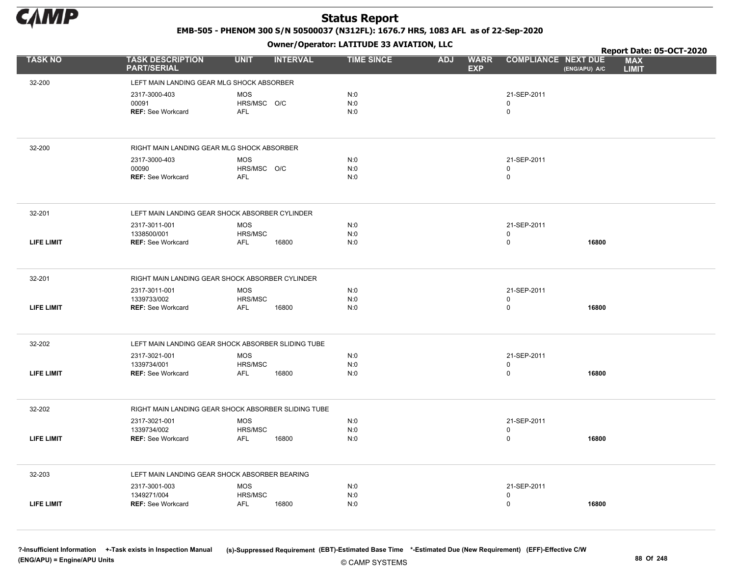

EMB-505 - PHENOM 300 S/N 50500037 (N312FL): 1676.7 HRS, 1083 AFL as of 22-Sep-2020

Owner/Operator: LATITUDE 33 AVIATION, LLC

|                   |                                                 | .                                                   |                   |                                         |                                             | Report Date: 05-OCT-2020   |
|-------------------|-------------------------------------------------|-----------------------------------------------------|-------------------|-----------------------------------------|---------------------------------------------|----------------------------|
| <b>TASK NO</b>    | <b>TASK DESCRIPTION</b><br><b>PART/SERIAL</b>   | <b>UNIT</b><br><b>INTERVAL</b>                      | <b>TIME SINCE</b> | <b>ADJ</b><br><b>WARR</b><br><b>EXP</b> | <b>COMPLIANCE NEXT DUE</b><br>(ENG/APU) A/C | <b>MAX</b><br><b>LIMIT</b> |
| 32-200            | LEFT MAIN LANDING GEAR MLG SHOCK ABSORBER       |                                                     |                   |                                         |                                             |                            |
|                   | 2317-3000-403                                   | <b>MOS</b>                                          | N:0               |                                         | 21-SEP-2011                                 |                            |
|                   | 00091                                           | HRS/MSC O/C                                         | N:0               |                                         | 0                                           |                            |
|                   | <b>REF: See Workcard</b>                        | <b>AFL</b>                                          | N:0               |                                         | $\mathsf{O}$                                |                            |
|                   |                                                 |                                                     |                   |                                         |                                             |                            |
| 32-200            | RIGHT MAIN LANDING GEAR MLG SHOCK ABSORBER      |                                                     |                   |                                         |                                             |                            |
|                   | 2317-3000-403                                   | <b>MOS</b>                                          | N:0               |                                         | 21-SEP-2011                                 |                            |
|                   | 00090<br><b>REF: See Workcard</b>               | HRS/MSC O/C<br><b>AFL</b>                           | N:0<br>N:0        |                                         | 0<br>$\mathsf{O}$                           |                            |
|                   |                                                 |                                                     |                   |                                         |                                             |                            |
| 32-201            | LEFT MAIN LANDING GEAR SHOCK ABSORBER CYLINDER  |                                                     |                   |                                         |                                             |                            |
|                   | 2317-3011-001                                   | <b>MOS</b>                                          | N:0               |                                         | 21-SEP-2011                                 |                            |
|                   | 1338500/001                                     | HRS/MSC                                             | N:0               |                                         | 0                                           |                            |
| <b>LIFE LIMIT</b> | <b>REF: See Workcard</b>                        | <b>AFL</b><br>16800                                 | N:0               |                                         | $\mathsf{O}$                                | 16800                      |
|                   |                                                 |                                                     |                   |                                         |                                             |                            |
| 32-201            | RIGHT MAIN LANDING GEAR SHOCK ABSORBER CYLINDER |                                                     |                   |                                         |                                             |                            |
|                   | 2317-3011-001<br>1339733/002                    | <b>MOS</b><br>HRS/MSC                               | N:0<br>N:0        |                                         | 21-SEP-2011<br>0                            |                            |
| <b>LIFE LIMIT</b> | <b>REF: See Workcard</b>                        | 16800<br><b>AFL</b>                                 | N:0               |                                         | 0                                           | 16800                      |
|                   |                                                 |                                                     |                   |                                         |                                             |                            |
| 32-202            |                                                 | LEFT MAIN LANDING GEAR SHOCK ABSORBER SLIDING TUBE  |                   |                                         |                                             |                            |
|                   | 2317-3021-001                                   | <b>MOS</b>                                          | N:0               |                                         | 21-SEP-2011                                 |                            |
|                   | 1339734/001                                     | HRS/MSC                                             | N:0               |                                         | 0                                           |                            |
| <b>LIFE LIMIT</b> | <b>REF: See Workcard</b>                        | 16800<br><b>AFL</b>                                 | N:0               |                                         | 0                                           | 16800                      |
|                   |                                                 |                                                     |                   |                                         |                                             |                            |
| 32-202            |                                                 | RIGHT MAIN LANDING GEAR SHOCK ABSORBER SLIDING TUBE |                   |                                         |                                             |                            |
|                   | 2317-3021-001<br>1339734/002                    | <b>MOS</b><br>HRS/MSC                               | N:0<br>N:0        |                                         | 21-SEP-2011<br>0                            |                            |
| <b>LIFE LIMIT</b> | <b>REF: See Workcard</b>                        | <b>AFL</b><br>16800                                 | N:0               |                                         | 0                                           | 16800                      |
|                   |                                                 |                                                     |                   |                                         |                                             |                            |
| 32-203            | LEFT MAIN LANDING GEAR SHOCK ABSORBER BEARING   |                                                     |                   |                                         |                                             |                            |
|                   | 2317-3001-003                                   | MOS                                                 | N:0               |                                         | 21-SEP-2011                                 |                            |
|                   | 1349271/004                                     | HRS/MSC                                             | N:0               |                                         | 0                                           |                            |
| <b>LIFE LIMIT</b> | <b>REF: See Workcard</b>                        | 16800<br><b>AFL</b>                                 | N:0               |                                         | $\pmb{0}$                                   | 16800                      |
|                   |                                                 |                                                     |                   |                                         |                                             |                            |

© CAMP SYSTEMS ?-Insufficient Information +-Task exists in Inspection Manual (s)-Suppressed Requirement (EBT)-Estimated Base Time \*-Estimated Due (New Requirement) (EFF)-Effective C/W (ENG/APU) = Engine/APU Units 88 Of 248 CAMP SOUTHER COMP SOUTH SALES AND SOUTHER A SALES AND SOUTH A SALES AND SOUTH SALES AND SOUTH A SALES AND SOUTH A SALES AND SOUTH A SALES AND SOUTH A SALES AND SOUTH A SALES AND SOUT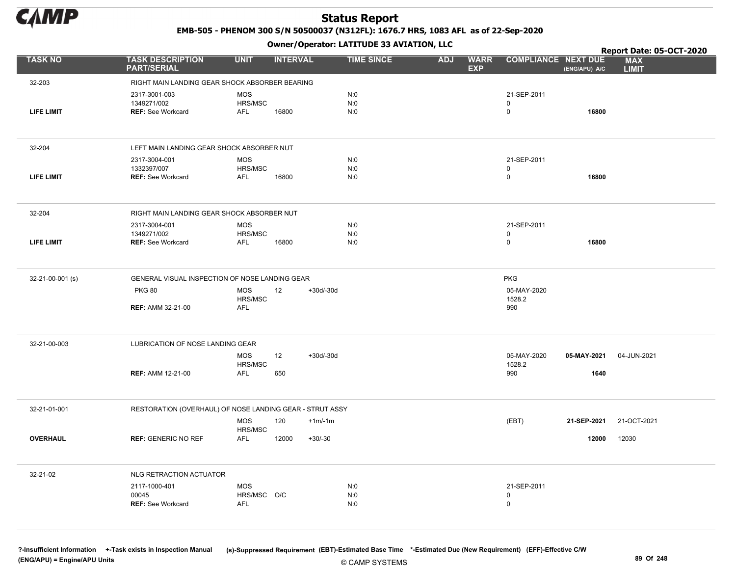

EMB-505 - PHENOM 300 S/N 50500037 (N312FL): 1676.7 HRS, 1083 AFL as of 22-Sep-2020

Owner/Operator: LATITUDE 33 AVIATION, LLC

|                   |                                                          |                                         | .               |             |                   |            |                           |                                  |                     | Report Date: 05-OCT-2020   |
|-------------------|----------------------------------------------------------|-----------------------------------------|-----------------|-------------|-------------------|------------|---------------------------|----------------------------------|---------------------|----------------------------|
| <b>TASK NO</b>    | <b>TASK DESCRIPTION</b><br><b>PART/SERIAL</b>            | <b>UNIT</b>                             | <b>INTERVAL</b> |             | <b>TIME SINCE</b> | <b>ADJ</b> | <b>WARR</b><br><b>EXP</b> | <b>COMPLIANCE NEXT DUE</b>       | (ENG/APU) A/C       | <b>MAX</b><br><b>LIMIT</b> |
| 32-203            | RIGHT MAIN LANDING GEAR SHOCK ABSORBER BEARING           |                                         |                 |             |                   |            |                           |                                  |                     |                            |
| <b>LIFE LIMIT</b> | 2317-3001-003<br>1349271/002<br><b>REF: See Workcard</b> | <b>MOS</b><br>HRS/MSC<br>AFL            | 16800           |             | N:0<br>N:0<br>N:0 |            |                           | 21-SEP-2011<br>0<br>0            | 16800               |                            |
| 32-204            | LEFT MAIN LANDING GEAR SHOCK ABSORBER NUT                |                                         |                 |             |                   |            |                           |                                  |                     |                            |
| <b>LIFE LIMIT</b> | 2317-3004-001<br>1332397/007<br><b>REF: See Workcard</b> | <b>MOS</b><br>HRS/MSC<br><b>AFL</b>     | 16800           |             | N:0<br>N:0<br>N:0 |            |                           | 21-SEP-2011<br>0<br>$\mathsf{O}$ | 16800               |                            |
| 32-204            | RIGHT MAIN LANDING GEAR SHOCK ABSORBER NUT               |                                         |                 |             |                   |            |                           |                                  |                     |                            |
| <b>LIFE LIMIT</b> | 2317-3004-001<br>1349271/002<br><b>REF: See Workcard</b> | <b>MOS</b><br>HRS/MSC<br>AFL            | 16800           |             | N:0<br>N:0<br>N:0 |            |                           | 21-SEP-2011<br>0<br>0            | 16800               |                            |
| 32-21-00-001 (s)  | GENERAL VISUAL INSPECTION OF NOSE LANDING GEAR           |                                         |                 |             |                   |            |                           | <b>PKG</b>                       |                     |                            |
|                   | <b>PKG 80</b><br><b>REF: AMM 32-21-00</b>                | <b>MOS</b><br>HRS/MSC<br><b>AFL</b>     | 12              | $+30d/-30d$ |                   |            |                           | 05-MAY-2020<br>1528.2<br>990     |                     |                            |
| 32-21-00-003      | LUBRICATION OF NOSE LANDING GEAR                         |                                         |                 |             |                   |            |                           |                                  |                     |                            |
|                   | <b>REF: AMM 12-21-00</b>                                 | <b>MOS</b><br>HRS/MSC<br><b>AFL</b>     | 12<br>650       | $+30d/-30d$ |                   |            |                           | 05-MAY-2020<br>1528.2<br>990     | 05-MAY-2021<br>1640 | 04-JUN-2021                |
| 32-21-01-001      | RESTORATION (OVERHAUL) OF NOSE LANDING GEAR - STRUT ASSY |                                         |                 |             |                   |            |                           |                                  |                     |                            |
|                   |                                                          | <b>MOS</b><br>HRS/MSC                   | 120             | $+1m/1m$    |                   |            |                           | (EBT)                            | 21-SEP-2021         | 21-OCT-2021                |
| <b>OVERHAUL</b>   | <b>REF: GENERIC NO REF</b>                               | <b>AFL</b>                              | 12000           | $+30/-30$   |                   |            |                           |                                  | 12000               | 12030                      |
| 32-21-02          | NLG RETRACTION ACTUATOR                                  |                                         |                 |             |                   |            |                           |                                  |                     |                            |
|                   | 2117-1000-401<br>00045<br><b>REF: See Workcard</b>       | <b>MOS</b><br>HRS/MSC O/C<br><b>AFL</b> |                 |             | N:0<br>N:0<br>N:0 |            |                           | 21-SEP-2011<br>0<br>0            |                     |                            |
|                   |                                                          |                                         |                 |             |                   |            |                           |                                  |                     |                            |

© CAMP SYSTEMS ?-Insufficient Information +-Task exists in Inspection Manual (s)-Suppressed Requirement (EBT)-Estimated Base Time \*-Estimated Due (New Requirement) (EFF)-Effective C/W (ENG/APU) = Engine/APU Units 89 Of 248 and the control of the control of the control of the control of the control of the control of the control of the control of the control of the control of the control of the control o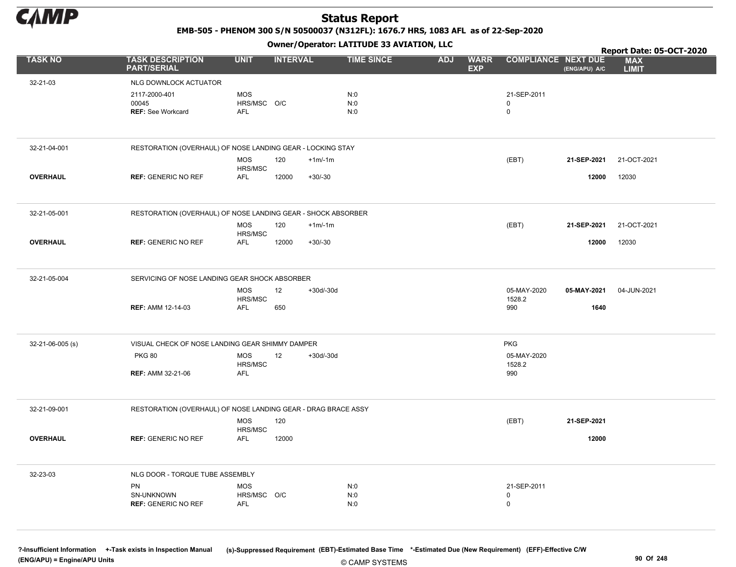

EMB-505 - PHENOM 300 S/N 50500037 (N312FL): 1676.7 HRS, 1083 AFL as of 22-Sep-2020

Owner/Operator: LATITUDE 33 AVIATION, LLC

|                  |                                                               |                       | .               |             |                   |            |                           |                            |               | Report Date: 05-OCT-2020   |
|------------------|---------------------------------------------------------------|-----------------------|-----------------|-------------|-------------------|------------|---------------------------|----------------------------|---------------|----------------------------|
| <b>TASK NO</b>   | <b>TASK DESCRIPTION</b><br><b>PART/SERIAL</b>                 | <b>UNIT</b>           | <b>INTERVAL</b> |             | <b>TIME SINCE</b> | <b>ADJ</b> | <b>WARR</b><br><b>EXP</b> | <b>COMPLIANCE NEXT DUE</b> | (ENG/APU) A/C | <b>MAX</b><br><b>LIMIT</b> |
| 32-21-03         | NLG DOWNLOCK ACTUATOR                                         |                       |                 |             |                   |            |                           |                            |               |                            |
|                  | 2117-2000-401                                                 | <b>MOS</b>            |                 |             | N:0               |            |                           | 21-SEP-2011                |               |                            |
|                  | 00045                                                         | HRS/MSC O/C           |                 |             | N:0               |            |                           | 0                          |               |                            |
|                  | <b>REF: See Workcard</b>                                      | <b>AFL</b>            |                 |             | N:0               |            |                           | $\mathbf 0$                |               |                            |
|                  |                                                               |                       |                 |             |                   |            |                           |                            |               |                            |
| 32-21-04-001     | RESTORATION (OVERHAUL) OF NOSE LANDING GEAR - LOCKING STAY    |                       |                 |             |                   |            |                           |                            |               |                            |
|                  |                                                               | <b>MOS</b><br>HRS/MSC | 120             | $+1m/1m$    |                   |            |                           | (EBT)                      | 21-SEP-2021   | 21-OCT-2021                |
| <b>OVERHAUL</b>  | <b>REF: GENERIC NO REF</b>                                    | AFL                   | 12000           | $+30/-30$   |                   |            |                           |                            | 12000         | 12030                      |
|                  |                                                               |                       |                 |             |                   |            |                           |                            |               |                            |
| 32-21-05-001     | RESTORATION (OVERHAUL) OF NOSE LANDING GEAR - SHOCK ABSORBER  |                       |                 |             |                   |            |                           |                            |               |                            |
|                  |                                                               | <b>MOS</b><br>HRS/MSC | 120             | $+1m/1m$    |                   |            |                           | (EBT)                      | 21-SEP-2021   | 21-OCT-2021                |
| <b>OVERHAUL</b>  | <b>REF: GENERIC NO REF</b>                                    | AFL                   | 12000           | $+30/-30$   |                   |            |                           |                            | 12000         | 12030                      |
|                  |                                                               |                       |                 |             |                   |            |                           |                            |               |                            |
| 32-21-05-004     | SERVICING OF NOSE LANDING GEAR SHOCK ABSORBER                 |                       |                 |             |                   |            |                           |                            |               |                            |
|                  |                                                               | <b>MOS</b>            | 12              | $+30d/-30d$ |                   |            |                           | 05-MAY-2020                | 05-MAY-2021   | 04-JUN-2021                |
|                  | <b>REF: AMM 12-14-03</b>                                      | HRS/MSC<br>AFL        | 650             |             |                   |            |                           | 1528.2<br>990              | 1640          |                            |
|                  |                                                               |                       |                 |             |                   |            |                           |                            |               |                            |
| 32-21-06-005 (s) | VISUAL CHECK OF NOSE LANDING GEAR SHIMMY DAMPER               |                       |                 |             |                   |            |                           | <b>PKG</b>                 |               |                            |
|                  | <b>PKG 80</b>                                                 | <b>MOS</b><br>HRS/MSC | 12              | $+30d/-30d$ |                   |            |                           | 05-MAY-2020<br>1528.2      |               |                            |
|                  | <b>REF: AMM 32-21-06</b>                                      | <b>AFL</b>            |                 |             |                   |            |                           | 990                        |               |                            |
|                  |                                                               |                       |                 |             |                   |            |                           |                            |               |                            |
| 32-21-09-001     | RESTORATION (OVERHAUL) OF NOSE LANDING GEAR - DRAG BRACE ASSY |                       |                 |             |                   |            |                           |                            |               |                            |
|                  |                                                               | <b>MOS</b><br>HRS/MSC | 120             |             |                   |            |                           | (EBT)                      | 21-SEP-2021   |                            |
| <b>OVERHAUL</b>  | <b>REF: GENERIC NO REF</b>                                    | AFL                   | 12000           |             |                   |            |                           |                            | 12000         |                            |
|                  |                                                               |                       |                 |             |                   |            |                           |                            |               |                            |
| 32-23-03         | NLG DOOR - TORQUE TUBE ASSEMBLY                               |                       |                 |             |                   |            |                           |                            |               |                            |
|                  | PN                                                            | <b>MOS</b>            |                 |             | N:0               |            |                           | 21-SEP-2011                |               |                            |
|                  | SN-UNKNOWN<br><b>REF: GENERIC NO REF</b>                      | HRS/MSC O/C<br>AFL    |                 |             | N:0<br>N:0        |            |                           | 0<br>$\mathbf 0$           |               |                            |
|                  |                                                               |                       |                 |             |                   |            |                           |                            |               |                            |
|                  |                                                               |                       |                 |             |                   |            |                           |                            |               |                            |

© CAMP SYSTEMS ?-Insufficient Information +-Task exists in Inspection Manual (s)-Suppressed Requirement (EBT)-Estimated Base Time \*-Estimated Due (New Requirement) (EFF)-Effective C/W (ENG/APU) = Engine/APU Units 90 Of 248 and the control of the control of the control of the control of the control of the control of the control of the control of the control of the control of the control of the control o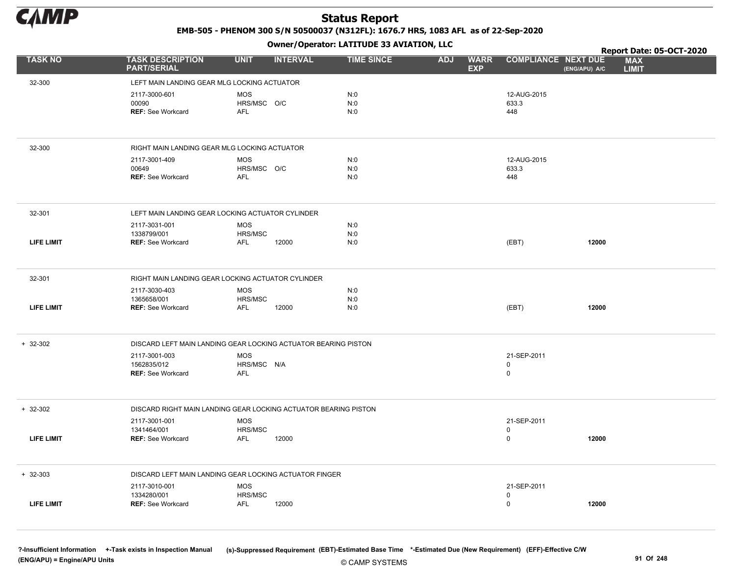

EMB-505 - PHENOM 300 S/N 50500037 (N312FL): 1676.7 HRS, 1083 AFL as of 22-Sep-2020

Owner/Operator: LATITUDE 33 AVIATION, LLC

|                   |                                                                 |                       | .               |                   |                                         |                            | Report Date: 05-OCT-2020                    |
|-------------------|-----------------------------------------------------------------|-----------------------|-----------------|-------------------|-----------------------------------------|----------------------------|---------------------------------------------|
| <b>TASK NO</b>    | <b>TASK DESCRIPTION</b><br><b>PART/SERIAL</b>                   | <b>UNIT</b>           | <b>INTERVAL</b> | <b>TIME SINCE</b> | <b>ADJ</b><br><b>WARR</b><br><b>EXP</b> | <b>COMPLIANCE NEXT DUE</b> | <b>MAX</b><br>(ENG/APU) A/C<br><b>LIMIT</b> |
| 32-300            | LEFT MAIN LANDING GEAR MLG LOCKING ACTUATOR                     |                       |                 |                   |                                         |                            |                                             |
|                   | 2117-3000-601                                                   | <b>MOS</b>            |                 | N:0               |                                         | 12-AUG-2015                |                                             |
|                   | 00090                                                           | HRS/MSC O/C           |                 | N:0               |                                         | 633.3                      |                                             |
|                   | <b>REF: See Workcard</b>                                        | <b>AFL</b>            |                 | N:0               |                                         | 448                        |                                             |
|                   |                                                                 |                       |                 |                   |                                         |                            |                                             |
| 32-300            | RIGHT MAIN LANDING GEAR MLG LOCKING ACTUATOR                    |                       |                 |                   |                                         |                            |                                             |
|                   | 2117-3001-409                                                   | <b>MOS</b>            |                 | N:0               |                                         | 12-AUG-2015                |                                             |
|                   | 00649<br><b>REF: See Workcard</b>                               | HRS/MSC O/C<br>AFL    |                 | N:0<br>N:0        |                                         | 633.3<br>448               |                                             |
|                   |                                                                 |                       |                 |                   |                                         |                            |                                             |
| 32-301            | LEFT MAIN LANDING GEAR LOCKING ACTUATOR CYLINDER                |                       |                 |                   |                                         |                            |                                             |
|                   | 2117-3031-001                                                   | <b>MOS</b>            |                 | N:0               |                                         |                            |                                             |
|                   | 1338799/001                                                     | HRS/MSC               |                 | N:0               |                                         |                            |                                             |
| <b>LIFE LIMIT</b> | <b>REF: See Workcard</b>                                        | AFL                   | 12000           | N:0               |                                         | (EBT)                      | 12000                                       |
|                   |                                                                 |                       |                 |                   |                                         |                            |                                             |
| 32-301            | RIGHT MAIN LANDING GEAR LOCKING ACTUATOR CYLINDER               |                       |                 |                   |                                         |                            |                                             |
|                   | 2117-3030-403                                                   | <b>MOS</b><br>HRS/MSC |                 | N:0<br>N:0        |                                         |                            |                                             |
| <b>LIFE LIMIT</b> | 1365658/001<br><b>REF: See Workcard</b>                         | <b>AFL</b>            | 12000           | N:0               |                                         | (EBT)                      | 12000                                       |
|                   |                                                                 |                       |                 |                   |                                         |                            |                                             |
|                   |                                                                 |                       |                 |                   |                                         |                            |                                             |
| $+ 32-302$        | DISCARD LEFT MAIN LANDING GEAR LOCKING ACTUATOR BEARING PISTON  |                       |                 |                   |                                         |                            |                                             |
|                   | 2117-3001-003                                                   | <b>MOS</b>            |                 |                   |                                         | 21-SEP-2011                |                                             |
|                   | 1562835/012<br><b>REF: See Workcard</b>                         | HRS/MSC N/A<br>AFL    |                 |                   |                                         | 0<br>$\mathbf 0$           |                                             |
|                   |                                                                 |                       |                 |                   |                                         |                            |                                             |
|                   |                                                                 |                       |                 |                   |                                         |                            |                                             |
| $+ 32-302$        | DISCARD RIGHT MAIN LANDING GEAR LOCKING ACTUATOR BEARING PISTON |                       |                 |                   |                                         |                            |                                             |
|                   | 2117-3001-001                                                   | <b>MOS</b>            |                 |                   |                                         | 21-SEP-2011                |                                             |
| <b>LIFE LIMIT</b> | 1341464/001<br><b>REF: See Workcard</b>                         | HRS/MSC<br><b>AFL</b> | 12000           |                   |                                         | 0<br>0                     | 12000                                       |
|                   |                                                                 |                       |                 |                   |                                         |                            |                                             |
| $+ 32 - 303$      | DISCARD LEFT MAIN LANDING GEAR LOCKING ACTUATOR FINGER          |                       |                 |                   |                                         |                            |                                             |
|                   | 2117-3010-001                                                   | <b>MOS</b>            |                 |                   |                                         | 21-SEP-2011                |                                             |
|                   | 1334280/001                                                     | HRS/MSC               |                 |                   |                                         | 0                          |                                             |
| <b>LIFE LIMIT</b> | <b>REF: See Workcard</b>                                        | <b>AFL</b>            | 12000           |                   |                                         | $\mathbf 0$                | 12000                                       |
|                   |                                                                 |                       |                 |                   |                                         |                            |                                             |

© CAMP SYSTEMS ?-Insufficient Information +-Task exists in Inspection Manual (s)-Suppressed Requirement (EBT)-Estimated Base Time \*-Estimated Due (New Requirement) (EFF)-Effective C/W (ENG/APU) = Engine/APU Units 91 Of 248 and the control of the control of the control of the control of the control of the control of the control of the control of the control of the control of the control of the control o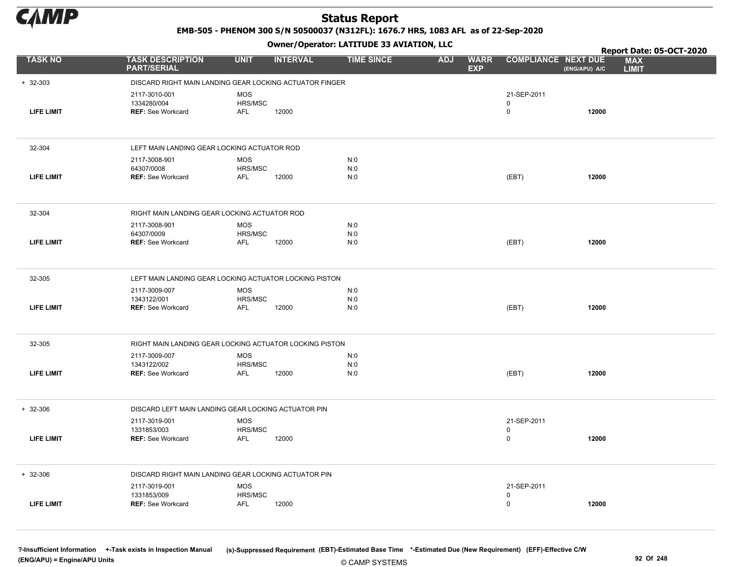

EMB-505 - PHENOM 300 S/N 50500037 (N312FL): 1676.7 HRS, 1083 AFL as of 22-Sep-2020

Owner/Operator: LATITUDE 33 AVIATION, LLC

|                   |                                                          |                                                         | Owner/Operator. EATITODE 33 AVIATION, LLC |                                         | Report Date: 05-OCT-2020                  |               |                            |  |
|-------------------|----------------------------------------------------------|---------------------------------------------------------|-------------------------------------------|-----------------------------------------|-------------------------------------------|---------------|----------------------------|--|
| <b>TASK NO</b>    | <b>TASK DESCRIPTION</b><br><b>PART/SERIAL</b>            | <b>UNIT</b><br><b>INTERVAL</b>                          | <b>TIME SINCE</b>                         | <b>ADJ</b><br><b>WARR</b><br><b>EXP</b> | <b>COMPLIANCE NEXT DUE</b>                | (ENG/APU) A/C | <b>MAX</b><br><b>LIMIT</b> |  |
| $+ 32 - 303$      |                                                          | DISCARD RIGHT MAIN LANDING GEAR LOCKING ACTUATOR FINGER |                                           |                                         |                                           |               |                            |  |
| <b>LIFE LIMIT</b> | 2117-3010-001<br>1334280/004<br><b>REF: See Workcard</b> | <b>MOS</b><br>HRS/MSC<br>12000<br><b>AFL</b>            |                                           |                                         | 21-SEP-2011<br>$\mathbf 0$<br>$\mathsf 0$ | 12000         |                            |  |
| 32-304            | LEFT MAIN LANDING GEAR LOCKING ACTUATOR ROD              |                                                         |                                           |                                         |                                           |               |                            |  |
| <b>LIFE LIMIT</b> | 2117-3008-901<br>64307/0008<br><b>REF: See Workcard</b>  | <b>MOS</b><br>HRS/MSC<br><b>AFL</b><br>12000            | N:0<br>N:0<br>N:0                         |                                         | (EBT)                                     | 12000         |                            |  |
| 32-304            | RIGHT MAIN LANDING GEAR LOCKING ACTUATOR ROD             |                                                         |                                           |                                         |                                           |               |                            |  |
| <b>LIFE LIMIT</b> | 2117-3008-901<br>64307/0009<br><b>REF: See Workcard</b>  | <b>MOS</b><br>HRS/MSC<br>12000<br>AFL                   | N:0<br>N:0<br>N:0                         |                                         | (EBT)                                     | 12000         |                            |  |
| 32-305            |                                                          | LEFT MAIN LANDING GEAR LOCKING ACTUATOR LOCKING PISTON  |                                           |                                         |                                           |               |                            |  |
| <b>LIFE LIMIT</b> | 2117-3009-007<br>1343122/001<br><b>REF: See Workcard</b> | <b>MOS</b><br>HRS/MSC<br>AFL<br>12000                   | N:0<br>N:0<br>N:0                         |                                         | (EBT)                                     | 12000         |                            |  |
| 32-305            |                                                          | RIGHT MAIN LANDING GEAR LOCKING ACTUATOR LOCKING PISTON |                                           |                                         |                                           |               |                            |  |
| <b>LIFE LIMIT</b> | 2117-3009-007<br>1343122/002<br><b>REF: See Workcard</b> | MOS<br>HRS/MSC<br><b>AFL</b><br>12000                   | N:0<br>N:0<br>N:0                         |                                         | (EBT)                                     | 12000         |                            |  |
| $+ 32 - 306$      |                                                          | DISCARD LEFT MAIN LANDING GEAR LOCKING ACTUATOR PIN     |                                           |                                         |                                           |               |                            |  |
| <b>LIFE LIMIT</b> | 2117-3019-001<br>1331853/003<br><b>REF: See Workcard</b> | <b>MOS</b><br>HRS/MSC<br>AFL<br>12000                   |                                           |                                         | 21-SEP-2011<br>$\mathsf 0$<br>$\mathbf 0$ | 12000         |                            |  |
| $+ 32 - 306$      |                                                          | DISCARD RIGHT MAIN LANDING GEAR LOCKING ACTUATOR PIN    |                                           |                                         |                                           |               |                            |  |
| <b>LIFE LIMIT</b> | 2117-3019-001<br>1331853/009<br><b>REF: See Workcard</b> | <b>MOS</b><br>HRS/MSC<br><b>AFL</b><br>12000            |                                           |                                         | 21-SEP-2011<br>$\mathbf 0$<br>$\mathsf 0$ | 12000         |                            |  |

© CAMP SYSTEMS ?-Insufficient Information +-Task exists in Inspection Manual (s)-Suppressed Requirement (EBT)-Estimated Base Time \*-Estimated Due (New Requirement) (EFF)-Effective C/W (ENG/APU) = Engine/APU Units 92 Of 248 and the control of the control of the control of the control of the control of the control of the control of the control of the control of the control of the control of the control o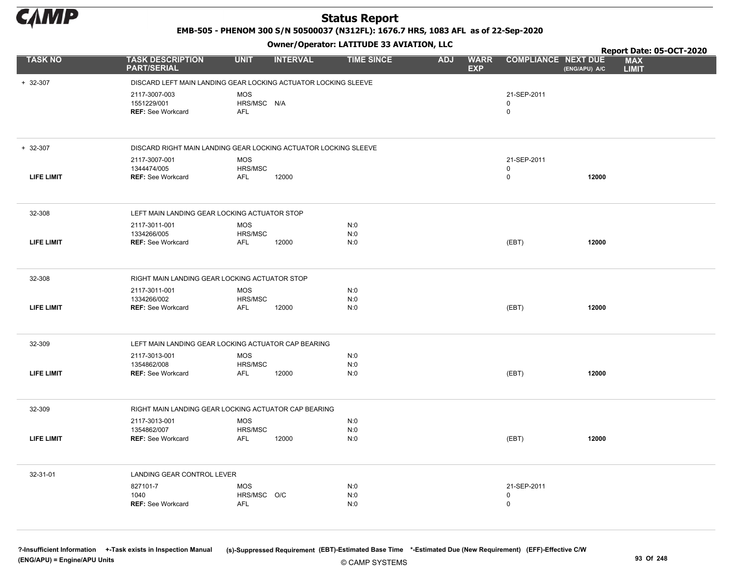

EMB-505 - PHENOM 300 S/N 50500037 (N312FL): 1676.7 HRS, 1083 AFL as of 22-Sep-2020

Owner/Operator: LATITUDE 33 AVIATION, LLC

|                   |                                                          |                                                                 | Owner/Operator. EATITODE 33 AVIATION, LLC |                                         |                                 |               | Report Date: 05-OCT-2020   |  |
|-------------------|----------------------------------------------------------|-----------------------------------------------------------------|-------------------------------------------|-----------------------------------------|---------------------------------|---------------|----------------------------|--|
| <b>TASK NO</b>    | <b>TASK DESCRIPTION</b><br><b>PART/SERIAL</b>            | <b>UNIT</b><br><b>INTERVAL</b>                                  | <b>TIME SINCE</b>                         | <b>ADJ</b><br><b>WARR</b><br><b>EXP</b> | <b>COMPLIANCE NEXT DUE</b>      | (ENG/APU) A/C | <b>MAX</b><br><b>LIMIT</b> |  |
| $+ 32-307$        |                                                          | DISCARD LEFT MAIN LANDING GEAR LOCKING ACTUATOR LOCKING SLEEVE  |                                           |                                         |                                 |               |                            |  |
|                   | 2117-3007-003<br>1551229/001<br><b>REF: See Workcard</b> | <b>MOS</b><br>HRS/MSC N/A<br><b>AFL</b>                         |                                           |                                         | 21-SEP-2011<br>$\mathbf 0$<br>0 |               |                            |  |
| $+ 32-307$        |                                                          | DISCARD RIGHT MAIN LANDING GEAR LOCKING ACTUATOR LOCKING SLEEVE |                                           |                                         |                                 |               |                            |  |
| <b>LIFE LIMIT</b> | 2117-3007-001<br>1344474/005<br><b>REF: See Workcard</b> | <b>MOS</b><br>HRS/MSC<br><b>AFL</b><br>12000                    |                                           |                                         | 21-SEP-2011<br>0<br>0           | 12000         |                            |  |
| 32-308            | LEFT MAIN LANDING GEAR LOCKING ACTUATOR STOP             |                                                                 |                                           |                                         |                                 |               |                            |  |
| <b>LIFE LIMIT</b> | 2117-3011-001<br>1334266/005<br><b>REF: See Workcard</b> | <b>MOS</b><br>HRS/MSC<br>AFL<br>12000                           | N:0<br>N:0<br>N:0                         |                                         | (EBT)                           | 12000         |                            |  |
| 32-308            | RIGHT MAIN LANDING GEAR LOCKING ACTUATOR STOP            |                                                                 |                                           |                                         |                                 |               |                            |  |
| LIFE LIMIT        | 2117-3011-001<br>1334266/002<br><b>REF: See Workcard</b> | <b>MOS</b><br>HRS/MSC<br>12000<br>AFL                           | N:0<br>N:0<br>N:0                         |                                         | (EBT)                           | 12000         |                            |  |
| 32-309            |                                                          | LEFT MAIN LANDING GEAR LOCKING ACTUATOR CAP BEARING             |                                           |                                         |                                 |               |                            |  |
|                   | 2117-3013-001                                            | <b>MOS</b>                                                      | N:0                                       |                                         |                                 |               |                            |  |
| <b>LIFE LIMIT</b> | 1354862/008<br><b>REF: See Workcard</b>                  | HRS/MSC<br>12000<br>AFL                                         | N:0<br>N:0                                |                                         | (EBT)                           | 12000         |                            |  |
| 32-309            |                                                          | RIGHT MAIN LANDING GEAR LOCKING ACTUATOR CAP BEARING            |                                           |                                         |                                 |               |                            |  |
| <b>LIFE LIMIT</b> | 2117-3013-001<br>1354862/007<br><b>REF: See Workcard</b> | <b>MOS</b><br>HRS/MSC<br>AFL<br>12000                           | N:0<br>N:0<br>N:0                         |                                         | (EBT)                           | 12000         |                            |  |
| 32-31-01          | LANDING GEAR CONTROL LEVER                               |                                                                 |                                           |                                         |                                 |               |                            |  |
|                   | 827101-7<br>1040<br><b>REF:</b> See Workcard             | <b>MOS</b><br>HRS/MSC O/C<br><b>AFL</b>                         | N:0<br>N:0<br>N:0                         |                                         | 21-SEP-2011<br>0<br>0           |               |                            |  |

© CAMP SYSTEMS ?-Insufficient Information +-Task exists in Inspection Manual (s)-Suppressed Requirement (EBT)-Estimated Base Time \*-Estimated Due (New Requirement) (EFF)-Effective C/W (ENG/APU) = Engine/APU Units 93 Of 248 and the control of the control of the control of the control of the control of the control of the control of the control of the control of the control of the control of the control o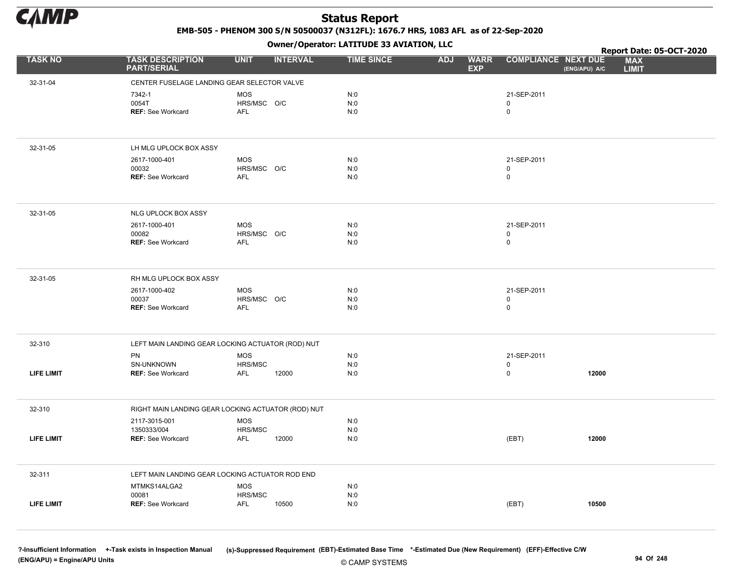

EMB-505 - PHENOM 300 S/N 50500037 (N312FL): 1676.7 HRS, 1083 AFL as of 22-Sep-2020

Owner/Operator: LATITUDE 33 AVIATION, LLC

|                   |                                                    |                           | .               |                   |                                         |                            | Report Date: 05-OCT-2020                    |
|-------------------|----------------------------------------------------|---------------------------|-----------------|-------------------|-----------------------------------------|----------------------------|---------------------------------------------|
| <b>TASK NO</b>    | <b>TASK DESCRIPTION</b><br><b>PART/SERIAL</b>      | <b>UNIT</b>               | <b>INTERVAL</b> | <b>TIME SINCE</b> | <b>WARR</b><br><b>ADJ</b><br><b>EXP</b> | <b>COMPLIANCE NEXT DUE</b> | <b>MAX</b><br>(ENG/APU) A/C<br><b>LIMIT</b> |
| 32-31-04          | CENTER FUSELAGE LANDING GEAR SELECTOR VALVE        |                           |                 |                   |                                         |                            |                                             |
|                   | 7342-1                                             | <b>MOS</b>                |                 | N:0               |                                         | 21-SEP-2011                |                                             |
|                   | 0054T                                              | HRS/MSC O/C               |                 | N:0               |                                         | 0                          |                                             |
|                   | <b>REF: See Workcard</b>                           | <b>AFL</b>                |                 | N:0               |                                         | 0                          |                                             |
|                   |                                                    |                           |                 |                   |                                         |                            |                                             |
| 32-31-05          | LH MLG UPLOCK BOX ASSY                             |                           |                 |                   |                                         |                            |                                             |
|                   | 2617-1000-401                                      | <b>MOS</b>                |                 | N:0               |                                         | 21-SEP-2011                |                                             |
|                   | 00032                                              | HRS/MSC O/C               |                 | N:0               |                                         | 0                          |                                             |
|                   | <b>REF: See Workcard</b>                           | AFL                       |                 | N:0               |                                         | 0                          |                                             |
| 32-31-05          | NLG UPLOCK BOX ASSY                                |                           |                 |                   |                                         |                            |                                             |
|                   | 2617-1000-401                                      | <b>MOS</b>                |                 | N:0               |                                         | 21-SEP-2011                |                                             |
|                   | 00082                                              | HRS/MSC O/C               |                 | N:0               |                                         | 0                          |                                             |
|                   | <b>REF: See Workcard</b>                           | <b>AFL</b>                |                 | N:0               |                                         | 0                          |                                             |
|                   |                                                    |                           |                 |                   |                                         |                            |                                             |
| 32-31-05          | RH MLG UPLOCK BOX ASSY                             |                           |                 |                   |                                         |                            |                                             |
|                   | 2617-1000-402                                      | MOS                       |                 | N:0               |                                         | 21-SEP-2011                |                                             |
|                   | 00037<br><b>REF: See Workcard</b>                  | HRS/MSC O/C<br><b>AFL</b> |                 | N:0<br>N:0        |                                         | 0<br>0                     |                                             |
|                   |                                                    |                           |                 |                   |                                         |                            |                                             |
| 32-310            | LEFT MAIN LANDING GEAR LOCKING ACTUATOR (ROD) NUT  |                           |                 |                   |                                         |                            |                                             |
|                   | PN                                                 | MOS                       |                 | N:0               |                                         | 21-SEP-2011                |                                             |
|                   | SN-UNKNOWN                                         | HRS/MSC                   |                 | N:0               |                                         | 0                          |                                             |
| <b>LIFE LIMIT</b> | <b>REF: See Workcard</b>                           | AFL                       | 12000           | N:0               |                                         | 0                          | 12000                                       |
| 32-310            | RIGHT MAIN LANDING GEAR LOCKING ACTUATOR (ROD) NUT |                           |                 |                   |                                         |                            |                                             |
|                   | 2117-3015-001                                      | <b>MOS</b>                |                 | N:0               |                                         |                            |                                             |
|                   | 1350333/004                                        | HRS/MSC                   |                 | N:0               |                                         |                            |                                             |
| <b>LIFE LIMIT</b> | REF: See Workcard                                  | AFL                       | 12000           | N:0               |                                         | (EBT)                      | 12000                                       |
| 32-311            | LEFT MAIN LANDING GEAR LOCKING ACTUATOR ROD END    |                           |                 |                   |                                         |                            |                                             |
|                   | MTMKS14ALGA2                                       | MOS                       |                 | N:0               |                                         |                            |                                             |
|                   | 00081                                              | HRS/MSC                   |                 | N:0               |                                         |                            |                                             |
| <b>LIFE LIMIT</b> | <b>REF: See Workcard</b>                           | AFL                       | 10500           | N:0               |                                         | (EBT)                      | 10500                                       |
|                   |                                                    |                           |                 |                   |                                         |                            |                                             |

© CAMP SYSTEMS ?-Insufficient Information +-Task exists in Inspection Manual (s)-Suppressed Requirement (EBT)-Estimated Base Time \*-Estimated Due (New Requirement) (EFF)-Effective C/W (ENG/APU) = Engine/APU Units 94 Of 248 and the control of the control of the control of the control of the control of the control of the control of the control of the control of the control of the control of the control o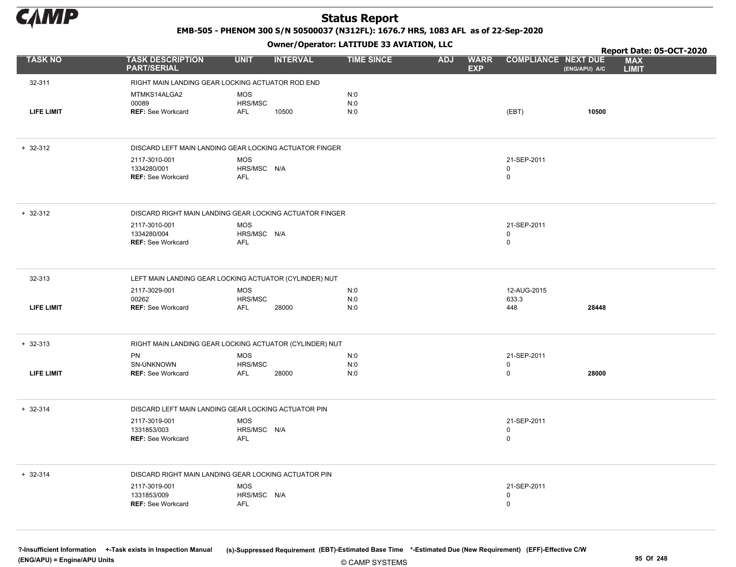

EMB-505 - PHENOM 300 S/N 50500037 (N312FL): 1676.7 HRS, 1083 AFL as of 22-Sep-2020

Owner/Operator: LATITUDE 33 AVIATION, LLC

|                   |                                                         |                       | .               |                   |                                         |                            | Report Date: 05-OCT-2020                    |
|-------------------|---------------------------------------------------------|-----------------------|-----------------|-------------------|-----------------------------------------|----------------------------|---------------------------------------------|
| <b>TASK NO</b>    | <b>TASK DESCRIPTION</b><br><b>PART/SERIAL</b>           | <b>UNIT</b>           | <b>INTERVAL</b> | <b>TIME SINCE</b> | <b>WARR</b><br><b>ADJ</b><br><b>EXP</b> | <b>COMPLIANCE NEXT DUE</b> | <b>MAX</b><br>(ENG/APU) A/C<br><b>LIMIT</b> |
| 32-311            | RIGHT MAIN LANDING GEAR LOCKING ACTUATOR ROD END        |                       |                 |                   |                                         |                            |                                             |
|                   | MTMKS14ALGA2                                            | <b>MOS</b>            |                 | N:0               |                                         |                            |                                             |
|                   | 00089                                                   | HRS/MSC               |                 | N:0               |                                         |                            |                                             |
| <b>LIFE LIMIT</b> | <b>REF: See Workcard</b>                                | AFL                   | 10500           | N:0               |                                         | (EBT)                      | 10500                                       |
|                   |                                                         |                       |                 |                   |                                         |                            |                                             |
| $+ 32 - 312$      | DISCARD LEFT MAIN LANDING GEAR LOCKING ACTUATOR FINGER  |                       |                 |                   |                                         |                            |                                             |
|                   | 2117-3010-001                                           | <b>MOS</b>            |                 |                   |                                         | 21-SEP-2011                |                                             |
|                   | 1334280/001<br><b>REF: See Workcard</b>                 | HRS/MSC N/A<br>AFL    |                 |                   |                                         | 0<br>$\mathsf 0$           |                                             |
|                   |                                                         |                       |                 |                   |                                         |                            |                                             |
| $+ 32 - 312$      | DISCARD RIGHT MAIN LANDING GEAR LOCKING ACTUATOR FINGER |                       |                 |                   |                                         |                            |                                             |
|                   | 2117-3010-001                                           | <b>MOS</b>            |                 |                   |                                         | 21-SEP-2011                |                                             |
|                   | 1334280/004<br><b>REF: See Workcard</b>                 | HRS/MSC N/A<br>AFL    |                 |                   |                                         | $\mathsf 0$<br>$\mathsf 0$ |                                             |
|                   |                                                         |                       |                 |                   |                                         |                            |                                             |
| 32-313            | LEFT MAIN LANDING GEAR LOCKING ACTUATOR (CYLINDER) NUT  |                       |                 |                   |                                         |                            |                                             |
|                   | 2117-3029-001                                           | MOS                   |                 | N:0               |                                         | 12-AUG-2015                |                                             |
|                   | 00262                                                   | HRS/MSC               |                 | N:0               |                                         | 633.3                      |                                             |
| <b>LIFE LIMIT</b> | <b>REF: See Workcard</b>                                | <b>AFL</b>            | 28000           | N:0               |                                         | 448                        | 28448                                       |
|                   |                                                         |                       |                 |                   |                                         |                            |                                             |
| $+ 32 - 313$      | RIGHT MAIN LANDING GEAR LOCKING ACTUATOR (CYLINDER) NUT |                       |                 |                   |                                         |                            |                                             |
|                   | PN                                                      | <b>MOS</b>            |                 | N:0               |                                         | 21-SEP-2011                |                                             |
| <b>LIFE LIMIT</b> | SN-UNKNOWN<br><b>REF: See Workcard</b>                  | HRS/MSC<br><b>AFL</b> | 28000           | N:0<br>N:0        |                                         | $\mathbf 0$<br>$\mathbf 0$ | 28000                                       |
|                   |                                                         |                       |                 |                   |                                         |                            |                                             |
| $+ 32 - 314$      | DISCARD LEFT MAIN LANDING GEAR LOCKING ACTUATOR PIN     |                       |                 |                   |                                         |                            |                                             |
|                   | 2117-3019-001                                           | MOS                   |                 |                   |                                         | 21-SEP-2011                |                                             |
|                   | 1331853/003                                             | HRS/MSC N/A           |                 |                   |                                         | $\mathsf 0$                |                                             |
|                   | <b>REF: See Workcard</b>                                | AFL                   |                 |                   |                                         | $\mathsf 0$                |                                             |
| $+ 32 - 314$      | DISCARD RIGHT MAIN LANDING GEAR LOCKING ACTUATOR PIN    |                       |                 |                   |                                         |                            |                                             |
|                   | 2117-3019-001                                           | <b>MOS</b>            |                 |                   |                                         | 21-SEP-2011                |                                             |
|                   | 1331853/009                                             | HRS/MSC N/A           |                 |                   |                                         | $\mathbf 0$                |                                             |
|                   | <b>REF: See Workcard</b>                                | AFL                   |                 |                   |                                         | $\mathsf 0$                |                                             |
|                   |                                                         |                       |                 |                   |                                         |                            |                                             |
|                   |                                                         |                       |                 |                   |                                         |                            |                                             |

© CAMP SYSTEMS ?-Insufficient Information +-Task exists in Inspection Manual (s)-Suppressed Requirement (EBT)-Estimated Base Time \*-Estimated Due (New Requirement) (EFF)-Effective C/W (ENG/APU) = Engine/APU Units 95 Of 248 and the control of the control of the control of the control of the control of the control of the control of the control of the control of the control of the control of the control o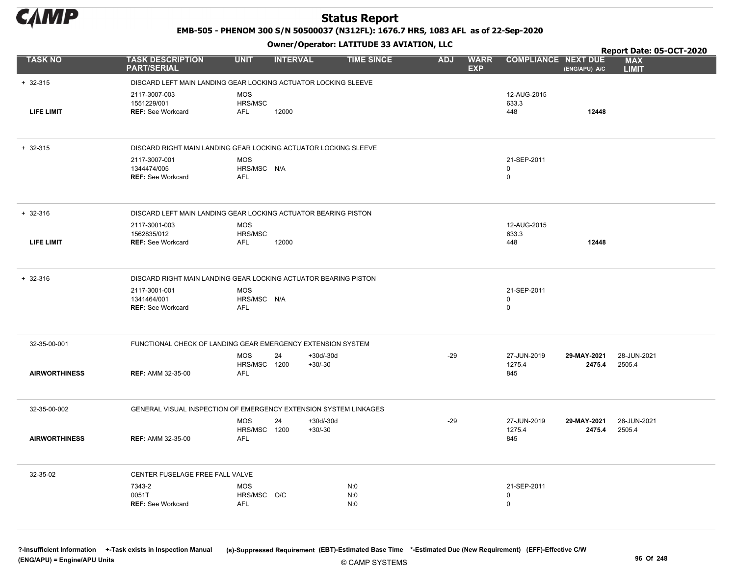

EMB-505 - PHENOM 300 S/N 50500037 (N312FL): 1676.7 HRS, 1083 AFL as of 22-Sep-2020

Owner/Operator: LATITUDE 33 AVIATION, LLC

|                      |                                                                  |                            | .               |                   |            |                           |                            |               | Report Date: 05-OCT-2020   |
|----------------------|------------------------------------------------------------------|----------------------------|-----------------|-------------------|------------|---------------------------|----------------------------|---------------|----------------------------|
| <b>TASK NO</b>       | <b>TASK DESCRIPTION</b><br><b>PART/SERIAL</b>                    | <b>UNIT</b>                | <b>INTERVAL</b> | <b>TIME SINCE</b> | <b>ADJ</b> | <b>WARR</b><br><b>EXP</b> | <b>COMPLIANCE NEXT DUE</b> | (ENG/APU) A/C | <b>MAX</b><br><b>LIMIT</b> |
| $+ 32 - 315$         | DISCARD LEFT MAIN LANDING GEAR LOCKING ACTUATOR LOCKING SLEEVE   |                            |                 |                   |            |                           |                            |               |                            |
|                      | 2117-3007-003                                                    | <b>MOS</b>                 |                 |                   |            |                           | 12-AUG-2015                |               |                            |
| <b>LIFE LIMIT</b>    | 1551229/001<br><b>REF: See Workcard</b>                          | HRS/MSC<br>AFL             | 12000           |                   |            |                           | 633.3<br>448               | 12448         |                            |
|                      |                                                                  |                            |                 |                   |            |                           |                            |               |                            |
| $+ 32 - 315$         | DISCARD RIGHT MAIN LANDING GEAR LOCKING ACTUATOR LOCKING SLEEVE  |                            |                 |                   |            |                           |                            |               |                            |
|                      | 2117-3007-001                                                    | <b>MOS</b>                 |                 |                   |            |                           | 21-SEP-2011                |               |                            |
|                      | 1344474/005<br><b>REF: See Workcard</b>                          | HRS/MSC N/A<br><b>AFL</b>  |                 |                   |            |                           | 0<br>0                     |               |                            |
|                      |                                                                  |                            |                 |                   |            |                           |                            |               |                            |
| $+ 32 - 316$         | DISCARD LEFT MAIN LANDING GEAR LOCKING ACTUATOR BEARING PISTON   |                            |                 |                   |            |                           |                            |               |                            |
|                      | 2117-3001-003                                                    | <b>MOS</b>                 |                 |                   |            |                           | 12-AUG-2015                |               |                            |
| <b>LIFE LIMIT</b>    | 1562835/012<br><b>REF: See Workcard</b>                          | HRS/MSC<br><b>AFL</b>      | 12000           |                   |            |                           | 633.3<br>448               | 12448         |                            |
|                      |                                                                  |                            |                 |                   |            |                           |                            |               |                            |
| $+ 32 - 316$         | DISCARD RIGHT MAIN LANDING GEAR LOCKING ACTUATOR BEARING PISTON  |                            |                 |                   |            |                           |                            |               |                            |
|                      | 2117-3001-001                                                    | <b>MOS</b>                 |                 |                   |            |                           | 21-SEP-2011                |               |                            |
|                      | 1341464/001<br><b>REF: See Workcard</b>                          | HRS/MSC N/A<br><b>AFL</b>  |                 |                   |            |                           | 0<br>0                     |               |                            |
|                      |                                                                  |                            |                 |                   |            |                           |                            |               |                            |
| 32-35-00-001         | FUNCTIONAL CHECK OF LANDING GEAR EMERGENCY EXTENSION SYSTEM      |                            |                 |                   |            |                           |                            |               |                            |
|                      |                                                                  | <b>MOS</b>                 | 24              | $+30d/-30d$       | $-29$      |                           | 27-JUN-2019                | 29-MAY-2021   | 28-JUN-2021                |
| <b>AIRWORTHINESS</b> | <b>REF: AMM 32-35-00</b>                                         | HRS/MSC 1200<br><b>AFL</b> |                 | $+30/-30$         |            |                           | 1275.4<br>845              | 2475.4        | 2505.4                     |
|                      |                                                                  |                            |                 |                   |            |                           |                            |               |                            |
| 32-35-00-002         | GENERAL VISUAL INSPECTION OF EMERGENCY EXTENSION SYSTEM LINKAGES |                            |                 |                   |            |                           |                            |               |                            |
|                      |                                                                  | <b>MOS</b>                 | 24              | $+30d/-30d$       | $-29$      |                           | 27-JUN-2019                | 29-MAY-2021   | 28-JUN-2021                |
| <b>AIRWORTHINESS</b> | <b>REF: AMM 32-35-00</b>                                         | HRS/MSC 1200<br><b>AFL</b> |                 | $+30/-30$         |            |                           | 1275.4<br>845              | 2475.4        | 2505.4                     |
|                      |                                                                  |                            |                 |                   |            |                           |                            |               |                            |
| 32-35-02             | CENTER FUSELAGE FREE FALL VALVE                                  |                            |                 |                   |            |                           |                            |               |                            |
|                      | 7343-2                                                           | <b>MOS</b>                 |                 | N:0               |            |                           | 21-SEP-2011                |               |                            |
|                      | 0051T<br><b>REF: See Workcard</b>                                | HRS/MSC O/C<br><b>AFL</b>  |                 | N:0<br>N:0        |            |                           | 0<br>$\mathbf 0$           |               |                            |
|                      |                                                                  |                            |                 |                   |            |                           |                            |               |                            |
|                      |                                                                  |                            |                 |                   |            |                           |                            |               |                            |

© CAMP SYSTEMS ?-Insufficient Information +-Task exists in Inspection Manual (s)-Suppressed Requirement (EBT)-Estimated Base Time \*-Estimated Due (New Requirement) (EFF)-Effective C/W (ENG/APU) = Engine/APU Units 96 Of 248 and the control of the control of the control of the control of the control of the control of the control of the control of the control of the control of the control of the control o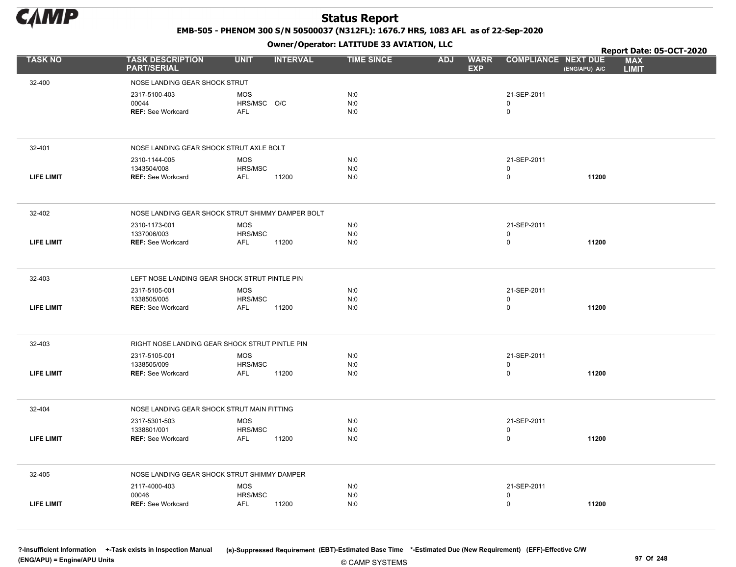

EMB-505 - PHENOM 300 S/N 50500037 (N312FL): 1676.7 HRS, 1083 AFL as of 22-Sep-2020

Owner/Operator: LATITUDE 33 AVIATION, LLC

|                   |                                                |                                                  | Owner / Operator: EATITODE 33 AVIATION, LLC |                                         |                            |               | Report Date: 05-OCT-2020   |
|-------------------|------------------------------------------------|--------------------------------------------------|---------------------------------------------|-----------------------------------------|----------------------------|---------------|----------------------------|
| <b>TASK NO</b>    | <b>TASK DESCRIPTION</b><br><b>PART/SERIAL</b>  | <b>UNIT</b><br><b>INTERVAL</b>                   | <b>TIME SINCE</b>                           | <b>ADJ</b><br><b>WARR</b><br><b>EXP</b> | <b>COMPLIANCE NEXT DUE</b> | (ENG/APU) A/C | <b>MAX</b><br><b>LIMIT</b> |
| 32-400            | NOSE LANDING GEAR SHOCK STRUT                  |                                                  |                                             |                                         |                            |               |                            |
|                   | 2317-5100-403                                  | <b>MOS</b>                                       | N:0                                         |                                         | 21-SEP-2011                |               |                            |
|                   | 00044                                          | HRS/MSC O/C                                      | N:0                                         |                                         | $\mathbf 0$                |               |                            |
|                   | <b>REF: See Workcard</b>                       | <b>AFL</b>                                       | N:0                                         |                                         | 0                          |               |                            |
| 32-401            | NOSE LANDING GEAR SHOCK STRUT AXLE BOLT        |                                                  |                                             |                                         |                            |               |                            |
|                   | 2310-1144-005                                  | <b>MOS</b>                                       | N:0                                         |                                         | 21-SEP-2011                |               |                            |
| <b>LIFE LIMIT</b> | 1343504/008<br><b>REF: See Workcard</b>        | HRS/MSC<br>11200<br>AFL                          | N:0<br>N:0                                  |                                         | 0<br>$\mathbf 0$           | 11200         |                            |
|                   |                                                |                                                  |                                             |                                         |                            |               |                            |
| 32-402            |                                                | NOSE LANDING GEAR SHOCK STRUT SHIMMY DAMPER BOLT |                                             |                                         |                            |               |                            |
|                   | 2310-1173-001                                  | <b>MOS</b>                                       | N:0                                         |                                         | 21-SEP-2011                |               |                            |
| <b>LIFE LIMIT</b> | 1337006/003<br><b>REF: See Workcard</b>        | HRS/MSC<br><b>AFL</b><br>11200                   | N:0<br>N:0                                  |                                         | $\mathbf 0$<br>0           | 11200         |                            |
|                   |                                                |                                                  |                                             |                                         |                            |               |                            |
| 32-403            | LEFT NOSE LANDING GEAR SHOCK STRUT PINTLE PIN  |                                                  |                                             |                                         |                            |               |                            |
|                   | 2317-5105-001                                  | <b>MOS</b>                                       | N:0                                         |                                         | 21-SEP-2011                |               |                            |
| <b>LIFE LIMIT</b> | 1338505/005<br><b>REF: See Workcard</b>        | HRS/MSC<br>11200<br>AFL                          | N:0<br>N:0                                  |                                         | 0<br>$\mathbf 0$           | 11200         |                            |
|                   |                                                |                                                  |                                             |                                         |                            |               |                            |
| 32-403            | RIGHT NOSE LANDING GEAR SHOCK STRUT PINTLE PIN |                                                  |                                             |                                         |                            |               |                            |
|                   | 2317-5105-001                                  | <b>MOS</b>                                       | N:0                                         |                                         | 21-SEP-2011                |               |                            |
| <b>LIFE LIMIT</b> | 1338505/009<br><b>REF: See Workcard</b>        | HRS/MSC<br><b>AFL</b><br>11200                   | N:0<br>N:0                                  |                                         | 0<br>$\mathbf 0$           | 11200         |                            |
|                   |                                                |                                                  |                                             |                                         |                            |               |                            |
| 32-404            | NOSE LANDING GEAR SHOCK STRUT MAIN FITTING     |                                                  |                                             |                                         |                            |               |                            |
|                   | 2317-5301-503                                  | <b>MOS</b>                                       | N:0                                         |                                         | 21-SEP-2011                |               |                            |
| <b>LIFE LIMIT</b> | 1338801/001<br><b>REF: See Workcard</b>        | HRS/MSC<br>11200<br><b>AFL</b>                   | N:0<br>N:0                                  |                                         | 0<br>0                     | 11200         |                            |
|                   |                                                |                                                  |                                             |                                         |                            |               |                            |
| 32-405            | NOSE LANDING GEAR SHOCK STRUT SHIMMY DAMPER    |                                                  |                                             |                                         |                            |               |                            |
|                   | 2117-4000-403                                  | <b>MOS</b>                                       | N:0                                         |                                         | 21-SEP-2011                |               |                            |
|                   | 00046                                          | HRS/MSC                                          | N:0                                         |                                         | 0                          |               |                            |
| <b>LIFE LIMIT</b> | <b>REF: See Workcard</b>                       | <b>AFL</b><br>11200                              | N:0                                         |                                         | 0                          | 11200         |                            |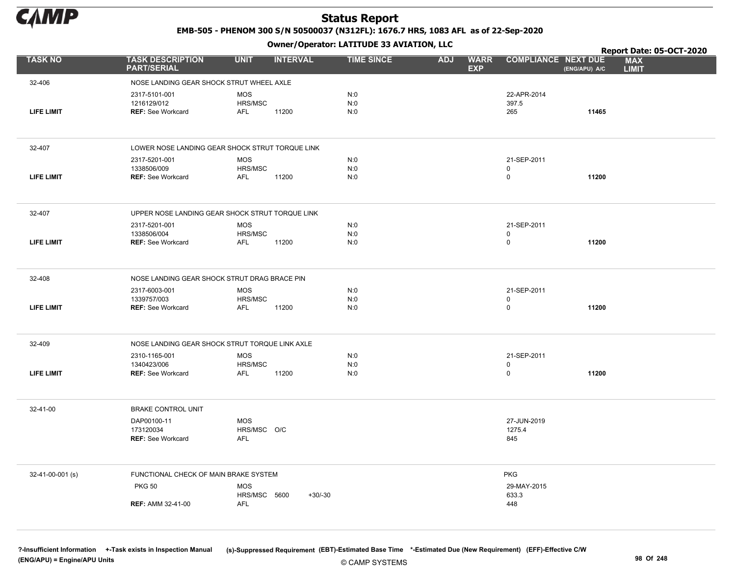

EMB-505 - PHENOM 300 S/N 50500037 (N312FL): 1676.7 HRS, 1083 AFL as of 22-Sep-2020

Owner/Operator: LATITUDE 33 AVIATION, LLC

|                   |                                                | .                                               |                   |                                         |                             | Report Date: 05-OCT-2020                    |
|-------------------|------------------------------------------------|-------------------------------------------------|-------------------|-----------------------------------------|-----------------------------|---------------------------------------------|
| <b>TASK NO</b>    | <b>TASK DESCRIPTION</b><br><b>PART/SERIAL</b>  | <b>UNIT</b><br><b>INTERVAL</b>                  | <b>TIME SINCE</b> | <b>ADJ</b><br><b>WARR</b><br><b>EXP</b> | <b>COMPLIANCE NEXT DUE</b>  | <b>MAX</b><br>(ENG/APU) A/C<br><b>LIMIT</b> |
| 32-406            | NOSE LANDING GEAR SHOCK STRUT WHEEL AXLE       |                                                 |                   |                                         |                             |                                             |
|                   | 2317-5101-001                                  | <b>MOS</b>                                      | N:0               |                                         | 22-APR-2014                 |                                             |
|                   | 1216129/012                                    | HRS/MSC                                         | N:0               |                                         | 397.5                       |                                             |
| <b>LIFE LIMIT</b> | <b>REF: See Workcard</b>                       | <b>AFL</b><br>11200                             | N:0               |                                         | 265                         | 11465                                       |
|                   |                                                |                                                 |                   |                                         |                             |                                             |
| 32-407            |                                                | LOWER NOSE LANDING GEAR SHOCK STRUT TORQUE LINK |                   |                                         |                             |                                             |
|                   | 2317-5201-001                                  | <b>MOS</b>                                      | N:0               |                                         | 21-SEP-2011                 |                                             |
| LIFE LIMIT        | 1338506/009<br><b>REF: See Workcard</b>        | HRS/MSC<br>11200<br><b>AFL</b>                  | N:0<br>N:0        |                                         | $\mathsf{O}$<br>$\mathbf 0$ | 11200                                       |
|                   |                                                |                                                 |                   |                                         |                             |                                             |
| 32-407            |                                                | UPPER NOSE LANDING GEAR SHOCK STRUT TORQUE LINK |                   |                                         |                             |                                             |
|                   | 2317-5201-001                                  | MOS                                             | N:0               |                                         | 21-SEP-2011                 |                                             |
|                   | 1338506/004                                    | HRS/MSC                                         | N:0               |                                         | 0                           |                                             |
| <b>LIFE LIMIT</b> | <b>REF: See Workcard</b>                       | <b>AFL</b><br>11200                             | N:0               |                                         | $\mathsf 0$                 | 11200                                       |
|                   |                                                |                                                 |                   |                                         |                             |                                             |
| 32-408            | NOSE LANDING GEAR SHOCK STRUT DRAG BRACE PIN   |                                                 |                   |                                         |                             |                                             |
|                   | 2317-6003-001<br>1339757/003                   | <b>MOS</b><br>HRS/MSC                           | N:0<br>N:0        |                                         | 21-SEP-2011<br>$\pmb{0}$    |                                             |
| <b>LIFE LIMIT</b> | <b>REF: See Workcard</b>                       | AFL<br>11200                                    | N:0               |                                         | 0                           | 11200                                       |
|                   |                                                |                                                 |                   |                                         |                             |                                             |
| 32-409            | NOSE LANDING GEAR SHOCK STRUT TORQUE LINK AXLE |                                                 |                   |                                         |                             |                                             |
|                   | 2310-1165-001                                  | <b>MOS</b>                                      | N:0               |                                         | 21-SEP-2011                 |                                             |
|                   | 1340423/006                                    | HRS/MSC                                         | N:0               |                                         | 0                           |                                             |
| <b>LIFE LIMIT</b> | <b>REF: See Workcard</b>                       | AFL<br>11200                                    | N:0               |                                         | 0                           | 11200                                       |
|                   |                                                |                                                 |                   |                                         |                             |                                             |
| 32-41-00          | <b>BRAKE CONTROL UNIT</b>                      |                                                 |                   |                                         |                             |                                             |
|                   | DAP00100-11                                    | MOS                                             |                   |                                         | 27-JUN-2019                 |                                             |
|                   | 173120034<br><b>REF: See Workcard</b>          | HRS/MSC O/C<br><b>AFL</b>                       |                   |                                         | 1275.4<br>845               |                                             |
|                   |                                                |                                                 |                   |                                         |                             |                                             |
| 32-41-00-001 (s)  | FUNCTIONAL CHECK OF MAIN BRAKE SYSTEM          |                                                 |                   |                                         | <b>PKG</b>                  |                                             |
|                   | <b>PKG 50</b>                                  | <b>MOS</b>                                      |                   |                                         | 29-MAY-2015                 |                                             |
|                   |                                                | HRS/MSC 5600<br>$+30/-30$                       |                   |                                         | 633.3                       |                                             |
|                   | <b>REF: AMM 32-41-00</b>                       | AFL                                             |                   |                                         | 448                         |                                             |
|                   |                                                |                                                 |                   |                                         |                             |                                             |

© CAMP SYSTEMS ?-Insufficient Information +-Task exists in Inspection Manual (s)-Suppressed Requirement (EBT)-Estimated Base Time \*-Estimated Due (New Requirement) (EFF)-Effective C/W (ENG/APU) = Engine/APU Units 98 Of 248 Property and the control of the control of the control of the control of the control of the control of the control of the control of the control of the control of the control of the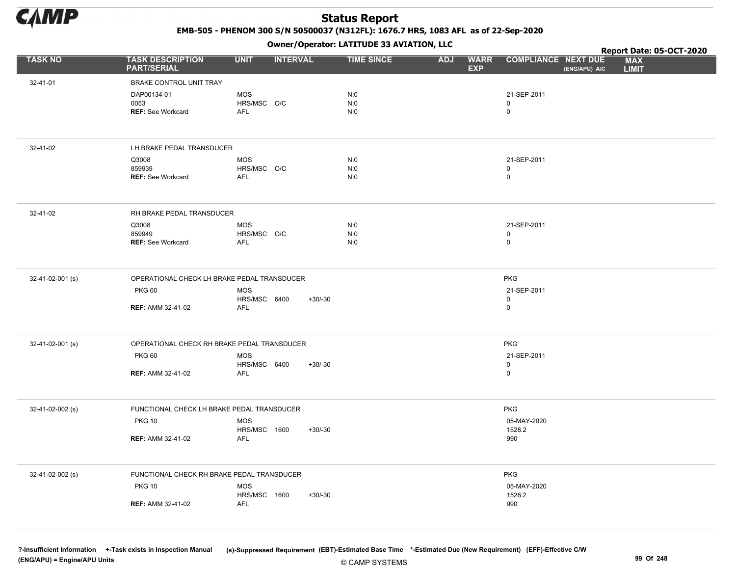

EMB-505 - PHENOM 300 S/N 50500037 (N312FL): 1676.7 HRS, 1083 AFL as of 22-Sep-2020

Owner/Operator: LATITUDE 33 AVIATION, LLC

|                  |                                                 |                                          |                 | Owner / Operator: EATITODE 33 AVIATION, LLC |                                         |                                             | Report Date: 05-OCT-2020   |
|------------------|-------------------------------------------------|------------------------------------------|-----------------|---------------------------------------------|-----------------------------------------|---------------------------------------------|----------------------------|
| <b>TASK NO</b>   | <b>TASK DESCRIPTION</b><br><b>PART/SERIAL</b>   | <b>UNIT</b>                              | <b>INTERVAL</b> | <b>TIME SINCE</b>                           | <b>ADJ</b><br><b>WARR</b><br><b>EXP</b> | <b>COMPLIANCE NEXT DUE</b><br>(ENG/APU) A/C | <b>MAX</b><br><b>LIMIT</b> |
| 32-41-01         | BRAKE CONTROL UNIT TRAY                         |                                          |                 |                                             |                                         |                                             |                            |
|                  | DAP00134-01<br>0053<br><b>REF: See Workcard</b> | <b>MOS</b><br>HRS/MSC O/C<br><b>AFL</b>  |                 | N:0<br>N:0<br>N:0                           |                                         | 21-SEP-2011<br>0<br>$\mathbf 0$             |                            |
|                  |                                                 |                                          |                 |                                             |                                         |                                             |                            |
| 32-41-02         | LH BRAKE PEDAL TRANSDUCER                       |                                          |                 |                                             |                                         |                                             |                            |
|                  | Q3008<br>859939<br>REF: See Workcard            | <b>MOS</b><br>HRS/MSC O/C<br><b>AFL</b>  |                 | N:0<br>N:0<br>N:0                           |                                         | 21-SEP-2011<br>0<br>0                       |                            |
| 32-41-02         | RH BRAKE PEDAL TRANSDUCER                       |                                          |                 |                                             |                                         |                                             |                            |
|                  | Q3008<br>859949<br><b>REF: See Workcard</b>     | <b>MOS</b><br>HRS/MSC O/C<br>AFL         |                 | N:0<br>N:0<br>N:0                           |                                         | 21-SEP-2011<br>$\mathsf 0$<br>$\mathsf{O}$  |                            |
| 32-41-02-001 (s) | OPERATIONAL CHECK LH BRAKE PEDAL TRANSDUCER     |                                          |                 |                                             |                                         | <b>PKG</b>                                  |                            |
|                  | <b>PKG 60</b><br><b>REF: AMM 32-41-02</b>       | <b>MOS</b><br>HRS/MSC 6400<br><b>AFL</b> | $+30/-30$       |                                             |                                         | 21-SEP-2011<br>0<br>0                       |                            |
|                  |                                                 |                                          |                 |                                             |                                         |                                             |                            |
| 32-41-02-001 (s) | OPERATIONAL CHECK RH BRAKE PEDAL TRANSDUCER     |                                          |                 |                                             |                                         | <b>PKG</b>                                  |                            |
|                  | <b>PKG 60</b>                                   | <b>MOS</b><br>HRS/MSC 6400               |                 |                                             |                                         | 21-SEP-2011<br>$\mathsf 0$                  |                            |
|                  | <b>REF: AMM 32-41-02</b>                        | <b>AFL</b>                               | $+30/-30$       |                                             |                                         | 0                                           |                            |
| 32-41-02-002 (s) | FUNCTIONAL CHECK LH BRAKE PEDAL TRANSDUCER      |                                          |                 |                                             |                                         | <b>PKG</b>                                  |                            |
|                  | <b>PKG 10</b>                                   | <b>MOS</b><br>HRS/MSC 1600               | $+30/-30$       |                                             |                                         | 05-MAY-2020<br>1528.2                       |                            |
|                  | <b>REF: AMM 32-41-02</b>                        | <b>AFL</b>                               |                 |                                             |                                         | 990                                         |                            |
| 32-41-02-002 (s) | FUNCTIONAL CHECK RH BRAKE PEDAL TRANSDUCER      |                                          |                 |                                             |                                         | <b>PKG</b>                                  |                            |
|                  | <b>PKG 10</b>                                   | <b>MOS</b>                               |                 |                                             |                                         | 05-MAY-2020                                 |                            |
|                  | <b>REF: AMM 32-41-02</b>                        | HRS/MSC 1600<br><b>AFL</b>               | $+30/-30$       |                                             |                                         | 1528.2<br>990                               |                            |
|                  |                                                 |                                          |                 |                                             |                                         |                                             |                            |

© CAMP SYSTEMS ?-Insufficient Information +-Task exists in Inspection Manual (s)-Suppressed Requirement (EBT)-Estimated Base Time \*-Estimated Due (New Requirement) (EFF)-Effective C/W (ENG/APU) = Engine/APU Units 99 Of 248 and the control of the control of the control of the control of the control of the control of the control of the control of the control of the control of the control of the control o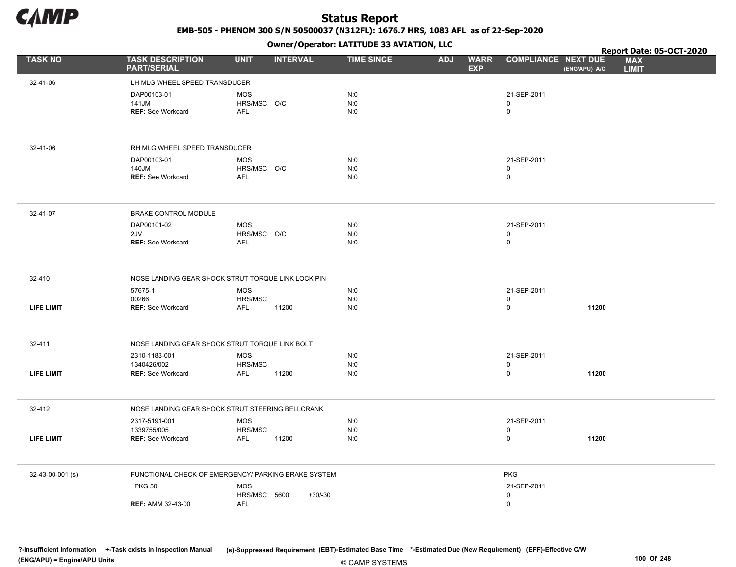

EMB-505 - PHENOM 300 S/N 50500037 (N312FL): 1676.7 HRS, 1083 AFL as of 22-Sep-2020

Owner/Operator: LATITUDE 33 AVIATION, LLC

|                   |                                                     |                                         | Owner/Operator. EATITODE 33 AVIATION, LLC |                                         |                                             | Report Date: 05-OCT-2020   |
|-------------------|-----------------------------------------------------|-----------------------------------------|-------------------------------------------|-----------------------------------------|---------------------------------------------|----------------------------|
| <b>TASK NO</b>    | <b>TASK DESCRIPTION</b><br><b>PART/SERIAL</b>       | <b>UNIT</b><br><b>INTERVAL</b>          | <b>TIME SINCE</b>                         | <b>ADJ</b><br><b>WARR</b><br><b>EXP</b> | <b>COMPLIANCE NEXT DUE</b><br>(ENG/APU) A/C | <b>MAX</b><br><b>LIMIT</b> |
| 32-41-06          | LH MLG WHEEL SPEED TRANSDUCER                       |                                         |                                           |                                         |                                             |                            |
|                   | DAP00103-01<br>141JM<br><b>REF: See Workcard</b>    | <b>MOS</b><br>HRS/MSC O/C<br><b>AFL</b> | N:0<br>N:0<br>N:0                         |                                         | 21-SEP-2011<br>0<br>0                       |                            |
| 32-41-06          | RH MLG WHEEL SPEED TRANSDUCER                       |                                         |                                           |                                         |                                             |                            |
|                   | DAP00103-01<br>140JM<br><b>REF: See Workcard</b>    | <b>MOS</b><br>HRS/MSC O/C<br><b>AFL</b> | N:0<br>N:0<br>N:0                         |                                         | 21-SEP-2011<br>0<br>0                       |                            |
| 32-41-07          | BRAKE CONTROL MODULE                                |                                         |                                           |                                         |                                             |                            |
|                   | DAP00101-02<br>2JV<br><b>REF: See Workcard</b>      | <b>MOS</b><br>HRS/MSC O/C<br>AFL        | N:0<br>N:0<br>N:0                         |                                         | 21-SEP-2011<br>0<br>0                       |                            |
| 32-410            | NOSE LANDING GEAR SHOCK STRUT TORQUE LINK LOCK PIN  |                                         |                                           |                                         |                                             |                            |
|                   | 57675-1<br>00266                                    | <b>MOS</b><br>HRS/MSC                   | N:0<br>N:0                                |                                         | 21-SEP-2011<br>0                            |                            |
| <b>LIFE LIMIT</b> | <b>REF: See Workcard</b>                            | 11200<br>AFL                            | N:0                                       |                                         | 11200<br>0                                  |                            |
| 32-411            | NOSE LANDING GEAR SHOCK STRUT TORQUE LINK BOLT      |                                         |                                           |                                         |                                             |                            |
|                   | 2310-1183-001                                       | <b>MOS</b>                              | N:0                                       |                                         | 21-SEP-2011                                 |                            |
| <b>LIFE LIMIT</b> | 1340426/002<br><b>REF: See Workcard</b>             | HRS/MSC<br>AFL<br>11200                 | N:0<br>N:0                                |                                         | 0<br>0<br>11200                             |                            |
| 32-412            | NOSE LANDING GEAR SHOCK STRUT STEERING BELLCRANK    |                                         |                                           |                                         |                                             |                            |
| LIFE LIMIT        | 2317-5191-001<br>1339755/005<br>REF: See Workcard   | <b>MOS</b><br>HRS/MSC<br>AFL<br>11200   | N:0<br>N:0<br>N:0                         |                                         | 21-SEP-2011<br>0<br>0<br>11200              |                            |
| 32-43-00-001 (s)  | FUNCTIONAL CHECK OF EMERGENCY/ PARKING BRAKE SYSTEM |                                         |                                           |                                         | <b>PKG</b>                                  |                            |
|                   | <b>PKG 50</b>                                       | <b>MOS</b><br>HRS/MSC 5600              | $+30/-30$                                 |                                         | 21-SEP-2011<br>$\mathsf{O}$                 |                            |
|                   | <b>REF: AMM 32-43-00</b>                            | <b>AFL</b>                              |                                           |                                         | 0                                           |                            |

© CAMP SYSTEMS ?-Insufficient Information +-Task exists in Inspection Manual (s)-Suppressed Requirement (EBT)-Estimated Base Time \*-Estimated Due (New Requirement) (EFF)-Effective C/W (ENG/APU) = Engine/APU Units 100 Of 248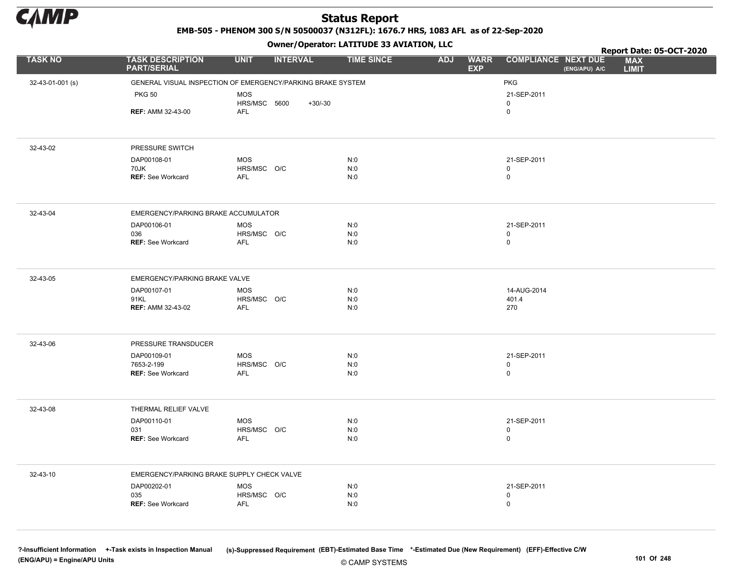

EMB-505 - PHENOM 300 S/N 50500037 (N312FL): 1676.7 HRS, 1083 AFL as of 22-Sep-2020

Owner/Operator: LATITUDE 33 AVIATION, LLC

|                  |                                                             |                           | .               |                   |                                         | Report Date: 05-OCT-2020                                                  |
|------------------|-------------------------------------------------------------|---------------------------|-----------------|-------------------|-----------------------------------------|---------------------------------------------------------------------------|
| <b>TASK NO</b>   | <b>TASK DESCRIPTION</b><br><b>PART/SERIAL</b>               | <b>UNIT</b>               | <b>INTERVAL</b> | <b>TIME SINCE</b> | <b>WARR</b><br><b>ADJ</b><br><b>EXP</b> | <b>COMPLIANCE NEXT DUE</b><br><b>MAX</b><br>(ENG/APU) A/C<br><b>LIMIT</b> |
| 32-43-01-001 (s) | GENERAL VISUAL INSPECTION OF EMERGENCY/PARKING BRAKE SYSTEM |                           |                 |                   |                                         | <b>PKG</b>                                                                |
|                  | <b>PKG 50</b>                                               | <b>MOS</b>                |                 |                   |                                         | 21-SEP-2011                                                               |
|                  |                                                             | HRS/MSC 5600              | $+30/-30$       |                   |                                         | 0                                                                         |
|                  | <b>REF: AMM 32-43-00</b>                                    | AFL                       |                 |                   |                                         | $\mathsf 0$                                                               |
|                  |                                                             |                           |                 |                   |                                         |                                                                           |
| 32-43-02         | PRESSURE SWITCH                                             |                           |                 |                   |                                         |                                                                           |
|                  | DAP00108-01                                                 | <b>MOS</b>                |                 | N:0               |                                         | 21-SEP-2011                                                               |
|                  | 70JK<br><b>REF: See Workcard</b>                            | HRS/MSC O/C<br><b>AFL</b> |                 | N:0<br>N:0        |                                         | 0<br>$\mathsf 0$                                                          |
|                  |                                                             |                           |                 |                   |                                         |                                                                           |
| 32-43-04         | EMERGENCY/PARKING BRAKE ACCUMULATOR                         |                           |                 |                   |                                         |                                                                           |
|                  | DAP00106-01                                                 | <b>MOS</b>                |                 | N:0               |                                         | 21-SEP-2011                                                               |
|                  | 036                                                         | HRS/MSC O/C               |                 | N:0               |                                         | 0                                                                         |
|                  | <b>REF: See Workcard</b>                                    | AFL                       |                 | N:0               |                                         | 0                                                                         |
| 32-43-05         | EMERGENCY/PARKING BRAKE VALVE                               |                           |                 |                   |                                         |                                                                           |
|                  | DAP00107-01                                                 | <b>MOS</b>                |                 | N:0               |                                         | 14-AUG-2014                                                               |
|                  | 91KL<br><b>REF: AMM 32-43-02</b>                            | HRS/MSC O/C<br><b>AFL</b> |                 | N:0<br>N:0        |                                         | 401.4<br>270                                                              |
|                  |                                                             |                           |                 |                   |                                         |                                                                           |
| 32-43-06         | PRESSURE TRANSDUCER                                         |                           |                 |                   |                                         |                                                                           |
|                  | DAP00109-01                                                 | <b>MOS</b>                |                 | N:0               |                                         | 21-SEP-2011                                                               |
|                  | 7653-2-199<br><b>REF: See Workcard</b>                      | HRS/MSC O/C<br>AFL        |                 | N:0<br>N:0        |                                         | 0<br>$\mathsf 0$                                                          |
|                  |                                                             |                           |                 |                   |                                         |                                                                           |
| 32-43-08         | THERMAL RELIEF VALVE                                        |                           |                 |                   |                                         |                                                                           |
|                  | DAP00110-01                                                 | <b>MOS</b>                |                 | N:0               |                                         | 21-SEP-2011                                                               |
|                  | 031<br><b>REF: See Workcard</b>                             | HRS/MSC O/C<br>AFL        |                 | N:0<br>N:0        |                                         | 0<br>$\mathsf{O}$                                                         |
|                  |                                                             |                           |                 |                   |                                         |                                                                           |
| 32-43-10         | EMERGENCY/PARKING BRAKE SUPPLY CHECK VALVE                  |                           |                 |                   |                                         |                                                                           |
|                  | DAP00202-01                                                 | <b>MOS</b>                |                 | N:0               |                                         | 21-SEP-2011                                                               |
|                  | 035                                                         | HRS/MSC O/C               |                 | N:0               |                                         | 0                                                                         |
|                  | <b>REF: See Workcard</b>                                    | <b>AFL</b>                |                 | N:0               |                                         | 0                                                                         |
|                  |                                                             |                           |                 |                   |                                         |                                                                           |

© CAMP SYSTEMS ?-Insufficient Information +-Task exists in Inspection Manual (s)-Suppressed Requirement (EBT)-Estimated Base Time \*-Estimated Due (New Requirement) (EFF)-Effective C/W (ENG/APU) = Engine/APU Units 101 Of 248 and the control of 248 and the control of 248 and the control of 248 and the control of 248 and the control of 248 and the control of 248 and the control of 248 and the control of 2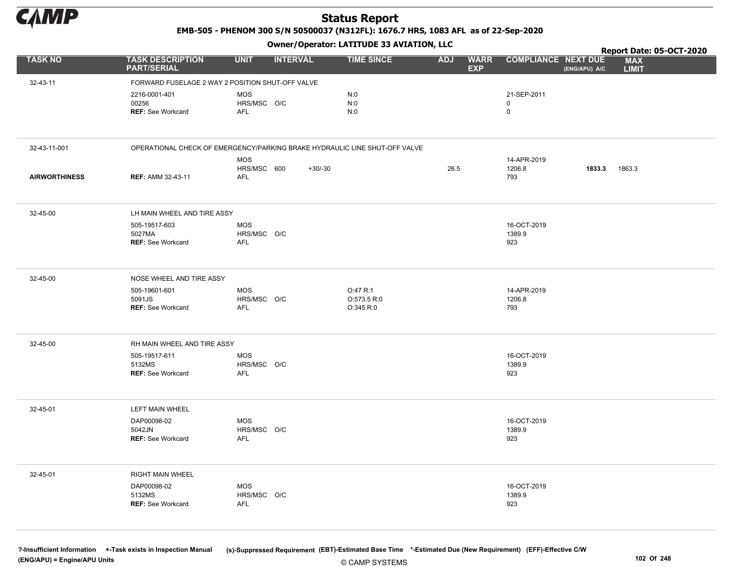

EMB-505 - PHENOM 300 S/N 50500037 (N312FL): 1676.7 HRS, 1083 AFL as of 22-Sep-2020

Owner/Operator: LATITUDE 33 AVIATION, LLC

|                      |                                                                            |                           | .               |                          |            |                           |                            |               | Report Date: 05-OCT-2020   |  |
|----------------------|----------------------------------------------------------------------------|---------------------------|-----------------|--------------------------|------------|---------------------------|----------------------------|---------------|----------------------------|--|
| <b>TASK NO</b>       | <b>TASK DESCRIPTION</b><br><b>PART/SERIAL</b>                              | <b>UNIT</b>               | <b>INTERVAL</b> | <b>TIME SINCE</b>        | <b>ADJ</b> | <b>WARR</b><br><b>EXP</b> | <b>COMPLIANCE NEXT DUE</b> | (ENG/APU) A/C | <b>MAX</b><br><b>LIMIT</b> |  |
| 32-43-11             | FORWARD FUSELAGE 2 WAY 2 POSITION SHUT-OFF VALVE                           |                           |                 |                          |            |                           |                            |               |                            |  |
|                      | 2216-0001-401                                                              | <b>MOS</b>                |                 | N:0                      |            |                           | 21-SEP-2011                |               |                            |  |
|                      | 00256                                                                      | HRS/MSC O/C               |                 | N:0                      |            |                           | 0                          |               |                            |  |
|                      | <b>REF: See Workcard</b>                                                   | AFL                       |                 | N:0                      |            |                           | $\mathbf 0$                |               |                            |  |
|                      |                                                                            |                           |                 |                          |            |                           |                            |               |                            |  |
| 32-43-11-001         | OPERATIONAL CHECK OF EMERGENCY/PARKING BRAKE HYDRAULIC LINE SHUT-OFF VALVE |                           |                 |                          |            |                           |                            |               |                            |  |
|                      |                                                                            | <b>MOS</b>                | $+30/-30$       |                          | 26.5       |                           | 14-APR-2019<br>1206.8      | 1833.3        | 1863.3                     |  |
| <b>AIRWORTHINESS</b> | <b>REF: AMM 32-43-11</b>                                                   | HRS/MSC 600<br>AFL        |                 |                          |            |                           | 793                        |               |                            |  |
|                      |                                                                            |                           |                 |                          |            |                           |                            |               |                            |  |
| 32-45-00             | LH MAIN WHEEL AND TIRE ASSY                                                |                           |                 |                          |            |                           |                            |               |                            |  |
|                      | 505-19517-603                                                              | <b>MOS</b>                |                 |                          |            |                           | 16-OCT-2019                |               |                            |  |
|                      | 5027MA<br><b>REF: See Workcard</b>                                         | HRS/MSC O/C<br><b>AFL</b> |                 |                          |            |                           | 1389.9<br>923              |               |                            |  |
|                      |                                                                            |                           |                 |                          |            |                           |                            |               |                            |  |
| 32-45-00             | NOSE WHEEL AND TIRE ASSY                                                   |                           |                 |                          |            |                           |                            |               |                            |  |
|                      | 505-19601-601                                                              | MOS                       |                 | O:47 R:1                 |            |                           | 14-APR-2019                |               |                            |  |
|                      | 5091JS<br><b>REF: See Workcard</b>                                         | HRS/MSC O/C<br><b>AFL</b> |                 | O:573.5 R:0<br>O:345 R:0 |            |                           | 1206.8<br>793              |               |                            |  |
|                      |                                                                            |                           |                 |                          |            |                           |                            |               |                            |  |
| 32-45-00             | RH MAIN WHEEL AND TIRE ASSY                                                |                           |                 |                          |            |                           |                            |               |                            |  |
|                      | 505-19517-611                                                              | <b>MOS</b>                |                 |                          |            |                           | 16-OCT-2019                |               |                            |  |
|                      | 5132MS<br><b>REF: See Workcard</b>                                         | HRS/MSC O/C<br>AFL        |                 |                          |            |                           | 1389.9<br>923              |               |                            |  |
|                      |                                                                            |                           |                 |                          |            |                           |                            |               |                            |  |
| 32-45-01             | LEFT MAIN WHEEL                                                            |                           |                 |                          |            |                           |                            |               |                            |  |
|                      | DAP00098-02                                                                | <b>MOS</b>                |                 |                          |            |                           | 16-OCT-2019                |               |                            |  |
|                      | 5042JN<br><b>REF: See Workcard</b>                                         | HRS/MSC O/C<br>AFL        |                 |                          |            |                           | 1389.9<br>923              |               |                            |  |
|                      |                                                                            |                           |                 |                          |            |                           |                            |               |                            |  |
| 32-45-01             | RIGHT MAIN WHEEL                                                           |                           |                 |                          |            |                           |                            |               |                            |  |
|                      | DAP00098-02                                                                | MOS                       |                 |                          |            |                           | 16-OCT-2019                |               |                            |  |
|                      | 5132MS<br><b>REF: See Workcard</b>                                         | HRS/MSC O/C<br><b>AFL</b> |                 |                          |            |                           | 1389.9<br>923              |               |                            |  |
|                      |                                                                            |                           |                 |                          |            |                           |                            |               |                            |  |
|                      |                                                                            |                           |                 |                          |            |                           |                            |               |                            |  |

© CAMP SYSTEMS ?-Insufficient Information +-Task exists in Inspection Manual (s)-Suppressed Requirement (EBT)-Estimated Base Time \*-Estimated Due (New Requirement) (EFF)-Effective C/W (ENG/APU) = Engine/APU Units 102 Of 248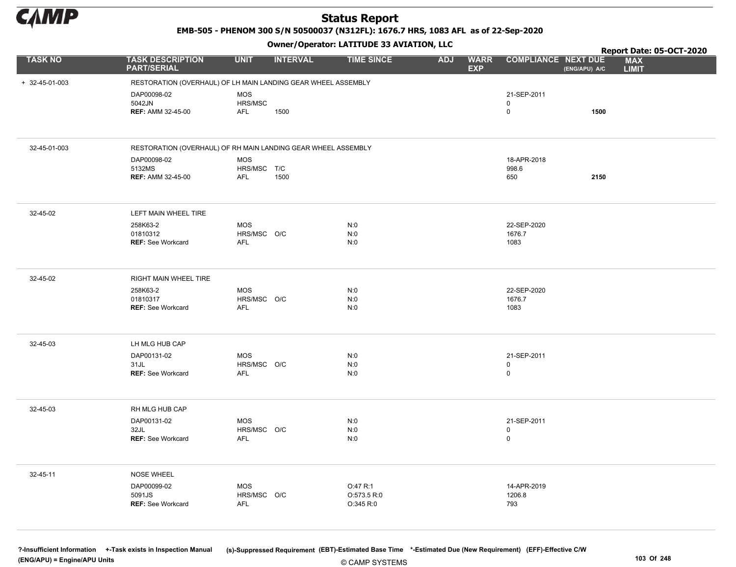

EMB-505 - PHENOM 300 S/N 50500037 (N312FL): 1676.7 HRS, 1083 AFL as of 22-Sep-2020

Owner/Operator: LATITUDE 33 AVIATION, LLC

|                |                                                               |                           | - - -           |                          |            |                           |                            |               | Report Date: 05-OCT-2020   |
|----------------|---------------------------------------------------------------|---------------------------|-----------------|--------------------------|------------|---------------------------|----------------------------|---------------|----------------------------|
| <b>TASK NO</b> | <b>TASK DESCRIPTION</b><br><b>PART/SERIAL</b>                 | <b>UNIT</b>               | <b>INTERVAL</b> | <b>TIME SINCE</b>        | <b>ADJ</b> | <b>WARR</b><br><b>EXP</b> | <b>COMPLIANCE NEXT DUE</b> | (ENG/APU) A/C | <b>MAX</b><br><b>LIMIT</b> |
| + 32-45-01-003 | RESTORATION (OVERHAUL) OF LH MAIN LANDING GEAR WHEEL ASSEMBLY |                           |                 |                          |            |                           |                            |               |                            |
|                | DAP00098-02                                                   | <b>MOS</b>                |                 |                          |            |                           | 21-SEP-2011                |               |                            |
|                | 5042JN                                                        | HRS/MSC                   |                 |                          |            |                           | $\mathbf 0$                |               |                            |
|                | <b>REF: AMM 32-45-00</b>                                      | AFL                       | 1500            |                          |            |                           | $\mathsf 0$                | 1500          |                            |
|                |                                                               |                           |                 |                          |            |                           |                            |               |                            |
| 32-45-01-003   | RESTORATION (OVERHAUL) OF RH MAIN LANDING GEAR WHEEL ASSEMBLY |                           |                 |                          |            |                           |                            |               |                            |
|                | DAP00098-02                                                   | <b>MOS</b>                |                 |                          |            |                           | 18-APR-2018                |               |                            |
|                | 5132MS<br><b>REF: AMM 32-45-00</b>                            | HRS/MSC T/C<br><b>AFL</b> | 1500            |                          |            |                           | 998.6<br>650               | 2150          |                            |
|                |                                                               |                           |                 |                          |            |                           |                            |               |                            |
| 32-45-02       | LEFT MAIN WHEEL TIRE                                          |                           |                 |                          |            |                           |                            |               |                            |
|                | 258K63-2                                                      | <b>MOS</b>                |                 | N:0                      |            |                           | 22-SEP-2020                |               |                            |
|                | 01810312<br><b>REF: See Workcard</b>                          | HRS/MSC O/C<br>AFL        |                 | N:0<br>N:0               |            |                           | 1676.7<br>1083             |               |                            |
|                |                                                               |                           |                 |                          |            |                           |                            |               |                            |
| 32-45-02       | RIGHT MAIN WHEEL TIRE                                         |                           |                 |                          |            |                           |                            |               |                            |
|                | 258K63-2                                                      | <b>MOS</b>                |                 | N:0                      |            |                           | 22-SEP-2020                |               |                            |
|                | 01810317<br><b>REF: See Workcard</b>                          | HRS/MSC O/C<br>AFL        |                 | N:0<br>N:0               |            |                           | 1676.7<br>1083             |               |                            |
|                |                                                               |                           |                 |                          |            |                           |                            |               |                            |
| 32-45-03       | LH MLG HUB CAP                                                |                           |                 |                          |            |                           |                            |               |                            |
|                | DAP00131-02                                                   | <b>MOS</b>                |                 | N:0                      |            |                           | 21-SEP-2011                |               |                            |
|                | 31JL<br><b>REF: See Workcard</b>                              | HRS/MSC O/C<br><b>AFL</b> |                 | N:0<br>N:0               |            |                           | $\mathsf 0$<br>$\mathsf 0$ |               |                            |
|                |                                                               |                           |                 |                          |            |                           |                            |               |                            |
|                |                                                               |                           |                 |                          |            |                           |                            |               |                            |
| 32-45-03       | RH MLG HUB CAP                                                |                           |                 |                          |            |                           |                            |               |                            |
|                | DAP00131-02<br>32JL                                           | <b>MOS</b><br>HRS/MSC O/C |                 | N:0<br>N:0               |            |                           | 21-SEP-2011<br>$\mathbf 0$ |               |                            |
|                | <b>REF: See Workcard</b>                                      | AFL                       |                 | N:0                      |            |                           | $\mathsf 0$                |               |                            |
|                |                                                               |                           |                 |                          |            |                           |                            |               |                            |
| 32-45-11       | <b>NOSE WHEEL</b>                                             |                           |                 |                          |            |                           |                            |               |                            |
|                | DAP00099-02                                                   | <b>MOS</b>                |                 | O:47 R:1                 |            |                           | 14-APR-2019                |               |                            |
|                | 5091JS<br><b>REF: See Workcard</b>                            | HRS/MSC O/C               |                 | O:573.5 R:0<br>O:345 R:0 |            |                           | 1206.8<br>793              |               |                            |
|                |                                                               | AFL                       |                 |                          |            |                           |                            |               |                            |
|                |                                                               |                           |                 |                          |            |                           |                            |               |                            |

© CAMP SYSTEMS ?-Insufficient Information +-Task exists in Inspection Manual (s)-Suppressed Requirement (EBT)-Estimated Base Time \*-Estimated Due (New Requirement) (EFF)-Effective C/W (ENG/APU) = Engine/APU Units 103 Of 248 and the control of the control of the control of the control of the control of the control of the control of the control of 248 and the control of 248 and the control of 248 and the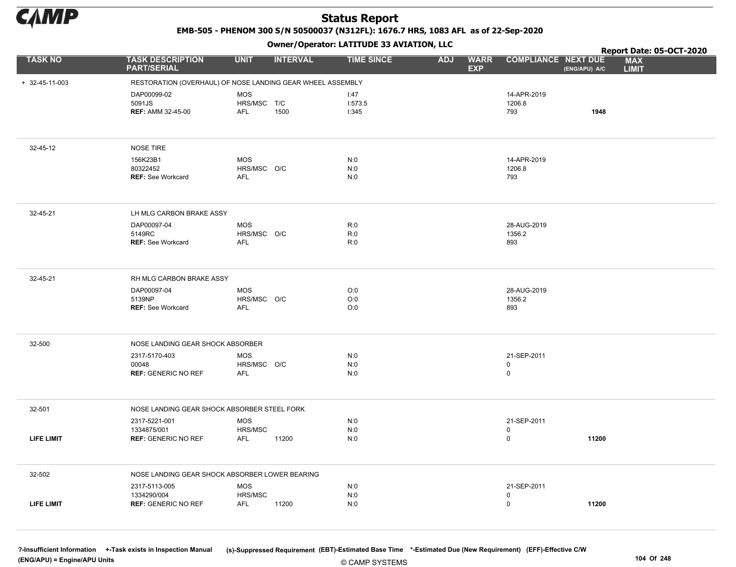

EMB-505 - PHENOM 300 S/N 50500037 (N312FL): 1676.7 HRS, 1083 AFL as of 22-Sep-2020

Owner/Operator: LATITUDE 33 AVIATION, LLC

|                        |                                                            |                           | $\mathbf{r}$    |                   |            |                           |                            |               | Report Date: 05-OCT-2020   |
|------------------------|------------------------------------------------------------|---------------------------|-----------------|-------------------|------------|---------------------------|----------------------------|---------------|----------------------------|
| <b>TASK NO</b>         | <b>TASK DESCRIPTION</b><br><b>PART/SERIAL</b>              | <b>UNIT</b>               | <b>INTERVAL</b> | <b>TIME SINCE</b> | <b>ADJ</b> | <b>WARR</b><br><b>EXP</b> | <b>COMPLIANCE NEXT DUE</b> | (ENG/APU) A/C | <b>MAX</b><br><b>LIMIT</b> |
| $+ 32 - 45 - 11 - 003$ | RESTORATION (OVERHAUL) OF NOSE LANDING GEAR WHEEL ASSEMBLY |                           |                 |                   |            |                           |                            |               |                            |
|                        | DAP00099-02                                                | <b>MOS</b>                |                 | 1:47              |            |                           | 14-APR-2019                |               |                            |
|                        | 5091JS                                                     | HRS/MSC T/C               |                 | 1:573.5           |            |                           | 1206.8                     |               |                            |
|                        | <b>REF: AMM 32-45-00</b>                                   | <b>AFL</b>                | 1500            | 1:345             |            |                           | 793                        | 1948          |                            |
|                        |                                                            |                           |                 |                   |            |                           |                            |               |                            |
| 32-45-12               | NOSE TIRE                                                  |                           |                 |                   |            |                           |                            |               |                            |
|                        | 156K23B1                                                   | <b>MOS</b>                |                 | N:0               |            |                           | 14-APR-2019                |               |                            |
|                        | 80322452<br><b>REF: See Workcard</b>                       | HRS/MSC O/C<br><b>AFL</b> |                 | N:0<br>N:0        |            |                           | 1206.8<br>793              |               |                            |
|                        |                                                            |                           |                 |                   |            |                           |                            |               |                            |
| 32-45-21               | LH MLG CARBON BRAKE ASSY                                   |                           |                 |                   |            |                           |                            |               |                            |
|                        | DAP00097-04                                                | MOS                       |                 | R:0               |            |                           | 28-AUG-2019                |               |                            |
|                        | 5149RC                                                     | HRS/MSC O/C               |                 | R:0               |            |                           | 1356.2                     |               |                            |
|                        | <b>REF: See Workcard</b>                                   | AFL                       |                 | R:0               |            |                           | 893                        |               |                            |
| 32-45-21               | RH MLG CARBON BRAKE ASSY                                   |                           |                 |                   |            |                           |                            |               |                            |
|                        | DAP00097-04                                                | MOS                       |                 | O:0               |            |                           | 28-AUG-2019                |               |                            |
|                        | 5139NP<br><b>REF: See Workcard</b>                         | HRS/MSC O/C<br>AFL        |                 | O:0<br>O:0        |            |                           | 1356.2<br>893              |               |                            |
|                        |                                                            |                           |                 |                   |            |                           |                            |               |                            |
| 32-500                 | NOSE LANDING GEAR SHOCK ABSORBER                           |                           |                 |                   |            |                           |                            |               |                            |
|                        | 2317-5170-403                                              | MOS                       |                 | N:0               |            |                           | 21-SEP-2011                |               |                            |
|                        | 00048                                                      | HRS/MSC O/C               |                 | N:0               |            |                           | $\mathbf 0$                |               |                            |
|                        | <b>REF: GENERIC NO REF</b>                                 | AFL                       |                 | N:0               |            |                           | $\mathbf 0$                |               |                            |
| 32-501                 | NOSE LANDING GEAR SHOCK ABSORBER STEEL FORK                |                           |                 |                   |            |                           |                            |               |                            |
|                        | 2317-5221-001                                              | <b>MOS</b>                |                 | N:0               |            |                           | 21-SEP-2011                |               |                            |
|                        | 1334875/001                                                | HRS/MSC                   |                 | N:0               |            |                           | $\mathbf 0$                | 11200         |                            |
| <b>LIFE LIMIT</b>      | <b>REF: GENERIC NO REF</b>                                 | AFL                       | 11200           | N:0               |            |                           | $\mathsf 0$                |               |                            |
| 32-502                 | NOSE LANDING GEAR SHOCK ABSORBER LOWER BEARING             |                           |                 |                   |            |                           |                            |               |                            |
|                        | 2317-5113-005                                              | <b>MOS</b>                |                 | N:0               |            |                           | 21-SEP-2011                |               |                            |
|                        | 1334290/004                                                | HRS/MSC                   |                 | N:0               |            |                           | $\mathbf 0$                |               |                            |
| <b>LIFE LIMIT</b>      | <b>REF: GENERIC NO REF</b>                                 | <b>AFL</b>                | 11200           | N:0               |            |                           | $\mathbf 0$                | 11200         |                            |
|                        |                                                            |                           |                 |                   |            |                           |                            |               |                            |

© CAMP SYSTEMS ?-Insufficient Information +-Task exists in Inspection Manual (s)-Suppressed Requirement (EBT)-Estimated Base Time \*-Estimated Due (New Requirement) (EFF)-Effective C/W (ENG/APU) = Engine/APU Units 104 Of 248 and the control of 248 and the control of 248 and the control of 248 and the control of 248 and the control of 248 and the control of 248 and the control of 248 and the control of 2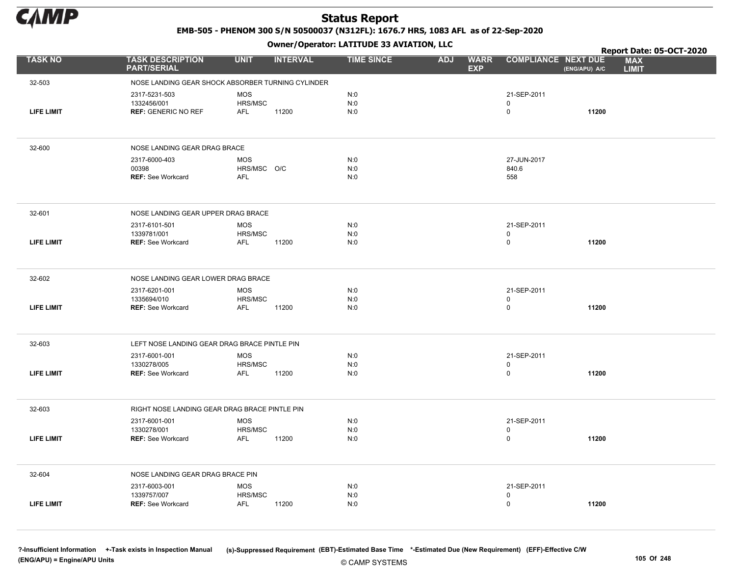

EMB-505 - PHENOM 300 S/N 50500037 (N312FL): 1676.7 HRS, 1083 AFL as of 22-Sep-2020

Owner/Operator: LATITUDE 33 AVIATION, LLC

|                   |                                                   |                           |                 | Owner / Operator. EATTTODE 33 AVIATION, LLC |                                         |                             |               | Report Date: 05-OCT-2020   |
|-------------------|---------------------------------------------------|---------------------------|-----------------|---------------------------------------------|-----------------------------------------|-----------------------------|---------------|----------------------------|
| <b>TASK NO</b>    | <b>TASK DESCRIPTION</b><br><b>PART/SERIAL</b>     | <b>UNIT</b>               | <b>INTERVAL</b> | <b>TIME SINCE</b>                           | <b>ADJ</b><br><b>WARR</b><br><b>EXP</b> | <b>COMPLIANCE NEXT DUE</b>  | (ENG/APU) A/C | <b>MAX</b><br><b>LIMIT</b> |
| 32-503            | NOSE LANDING GEAR SHOCK ABSORBER TURNING CYLINDER |                           |                 |                                             |                                         |                             |               |                            |
|                   | 2317-5231-503<br>1332456/001                      | <b>MOS</b>                |                 | N:0                                         |                                         | 21-SEP-2011<br>$\mathsf{O}$ |               |                            |
| <b>LIFE LIMIT</b> | <b>REF: GENERIC NO REF</b>                        | HRS/MSC<br>AFL            | 11200           | N:0<br>N:0                                  |                                         | 0                           | 11200         |                            |
|                   |                                                   |                           |                 |                                             |                                         |                             |               |                            |
| 32-600            | NOSE LANDING GEAR DRAG BRACE                      |                           |                 |                                             |                                         |                             |               |                            |
|                   | 2317-6000-403                                     | <b>MOS</b>                |                 | N:0                                         |                                         | 27-JUN-2017                 |               |                            |
|                   | 00398<br><b>REF: See Workcard</b>                 | HRS/MSC O/C<br><b>AFL</b> |                 | N:0<br>N:0                                  |                                         | 840.6<br>558                |               |                            |
|                   |                                                   |                           |                 |                                             |                                         |                             |               |                            |
| 32-601            | NOSE LANDING GEAR UPPER DRAG BRACE                |                           |                 |                                             |                                         |                             |               |                            |
|                   | 2317-6101-501                                     | <b>MOS</b>                |                 | N:0                                         |                                         | 21-SEP-2011                 |               |                            |
| <b>LIFE LIMIT</b> | 1339781/001<br><b>REF: See Workcard</b>           | HRS/MSC<br>AFL            | 11200           | N:0<br>N:0                                  |                                         | $\mathsf{O}$<br>$\mathsf 0$ | 11200         |                            |
|                   |                                                   |                           |                 |                                             |                                         |                             |               |                            |
| 32-602            | NOSE LANDING GEAR LOWER DRAG BRACE                |                           |                 |                                             |                                         |                             |               |                            |
|                   | 2317-6201-001                                     | <b>MOS</b>                |                 | N:0                                         |                                         | 21-SEP-2011                 |               |                            |
| <b>LIFE LIMIT</b> | 1335694/010<br><b>REF: See Workcard</b>           | HRS/MSC<br><b>AFL</b>     | 11200           | N:0<br>N:0                                  |                                         | 0<br>$\mathbf 0$            | 11200         |                            |
|                   |                                                   |                           |                 |                                             |                                         |                             |               |                            |
| 32-603            | LEFT NOSE LANDING GEAR DRAG BRACE PINTLE PIN      |                           |                 |                                             |                                         |                             |               |                            |
|                   | 2317-6001-001                                     | <b>MOS</b>                |                 | N:0                                         |                                         | 21-SEP-2011                 |               |                            |
| <b>LIFE LIMIT</b> | 1330278/005<br><b>REF: See Workcard</b>           | HRS/MSC<br><b>AFL</b>     | 11200           | N:0<br>N:0                                  |                                         | 0<br>0                      | 11200         |                            |
|                   |                                                   |                           |                 |                                             |                                         |                             |               |                            |
| 32-603            | RIGHT NOSE LANDING GEAR DRAG BRACE PINTLE PIN     |                           |                 |                                             |                                         |                             |               |                            |
|                   | 2317-6001-001                                     | <b>MOS</b>                |                 | N:0                                         |                                         | 21-SEP-2011                 |               |                            |
| <b>LIFE LIMIT</b> | 1330278/001<br><b>REF: See Workcard</b>           | HRS/MSC<br><b>AFL</b>     | 11200           | N:0<br>N:0                                  |                                         | 0<br>$\mathsf{O}\xspace$    | 11200         |                            |
|                   |                                                   |                           |                 |                                             |                                         |                             |               |                            |
| 32-604            | NOSE LANDING GEAR DRAG BRACE PIN                  |                           |                 |                                             |                                         |                             |               |                            |
|                   | 2317-6003-001                                     | <b>MOS</b>                |                 | N:0                                         |                                         | 21-SEP-2011                 |               |                            |
| <b>LIFE LIMIT</b> | 1339757/007<br>REF: See Workcard                  | HRS/MSC<br><b>AFL</b>     | 11200           | N:0<br>N:0                                  |                                         | 0<br>0                      | 11200         |                            |
|                   |                                                   |                           |                 |                                             |                                         |                             |               |                            |

© CAMP SYSTEMS ?-Insufficient Information +-Task exists in Inspection Manual (s)-Suppressed Requirement (EBT)-Estimated Base Time \*-Estimated Due (New Requirement) (EFF)-Effective C/W (ENG/APU) = Engine/APU Units 105 Of 248 and the control of 248 and the control of 248 and the control of 248 and the control of 248 and the control of 248 and the control of 248 and the control of 248 and the control of 2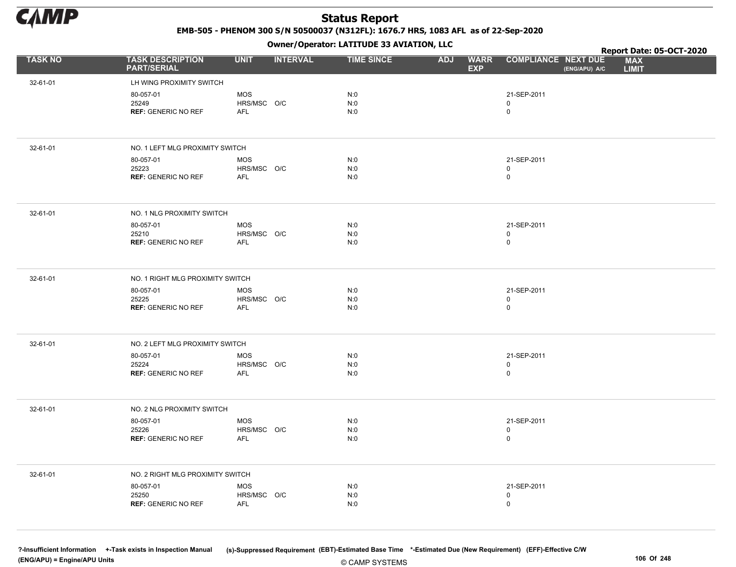

EMB-505 - PHENOM 300 S/N 50500037 (N312FL): 1676.7 HRS, 1083 AFL as of 22-Sep-2020

Owner/Operator: LATITUDE 33 AVIATION, LLC

|                |                                               |                           | .               |                   |                                         |                                             | Report Date: 05-OCT-2020   |
|----------------|-----------------------------------------------|---------------------------|-----------------|-------------------|-----------------------------------------|---------------------------------------------|----------------------------|
| <b>TASK NO</b> | <b>TASK DESCRIPTION</b><br><b>PART/SERIAL</b> | <b>UNIT</b>               | <b>INTERVAL</b> | <b>TIME SINCE</b> | <b>WARR</b><br><b>ADJ</b><br><b>EXP</b> | <b>COMPLIANCE NEXT DUE</b><br>(ENG/APU) A/C | <b>MAX</b><br><b>LIMIT</b> |
| 32-61-01       | LH WING PROXIMITY SWITCH                      |                           |                 |                   |                                         |                                             |                            |
|                | 80-057-01                                     | <b>MOS</b>                |                 | N:0               |                                         | 21-SEP-2011                                 |                            |
|                | 25249                                         | HRS/MSC O/C               |                 | N:0               |                                         | 0                                           |                            |
|                | <b>REF: GENERIC NO REF</b>                    | AFL                       |                 | N:0               |                                         | 0                                           |                            |
|                |                                               |                           |                 |                   |                                         |                                             |                            |
| 32-61-01       | NO. 1 LEFT MLG PROXIMITY SWITCH               |                           |                 |                   |                                         |                                             |                            |
|                | 80-057-01                                     | <b>MOS</b>                |                 | N:0               |                                         | 21-SEP-2011                                 |                            |
|                | 25223<br><b>REF: GENERIC NO REF</b>           | HRS/MSC O/C<br><b>AFL</b> |                 | N:0<br>N:0        |                                         | 0<br>0                                      |                            |
|                |                                               |                           |                 |                   |                                         |                                             |                            |
| 32-61-01       | NO. 1 NLG PROXIMITY SWITCH                    |                           |                 |                   |                                         |                                             |                            |
|                | 80-057-01                                     | <b>MOS</b>                |                 | N:0               |                                         | 21-SEP-2011                                 |                            |
|                | 25210<br><b>REF: GENERIC NO REF</b>           | HRS/MSC O/C<br><b>AFL</b> |                 | N:0<br>N:0        |                                         | 0<br>0                                      |                            |
|                |                                               |                           |                 |                   |                                         |                                             |                            |
| 32-61-01       | NO. 1 RIGHT MLG PROXIMITY SWITCH              |                           |                 |                   |                                         |                                             |                            |
|                | 80-057-01                                     | <b>MOS</b>                |                 | N:0               |                                         | 21-SEP-2011                                 |                            |
|                | 25225<br><b>REF: GENERIC NO REF</b>           | HRS/MSC O/C<br><b>AFL</b> |                 | N:0<br>N:0        |                                         | 0<br>0                                      |                            |
|                |                                               |                           |                 |                   |                                         |                                             |                            |
| 32-61-01       | NO. 2 LEFT MLG PROXIMITY SWITCH               |                           |                 |                   |                                         |                                             |                            |
|                | 80-057-01                                     | <b>MOS</b>                |                 | N:0               |                                         | 21-SEP-2011                                 |                            |
|                | 25224<br><b>REF: GENERIC NO REF</b>           | HRS/MSC O/C<br>AFL        |                 | N:0<br>N:0        |                                         | 0<br>0                                      |                            |
|                |                                               |                           |                 |                   |                                         |                                             |                            |
| 32-61-01       | NO. 2 NLG PROXIMITY SWITCH                    |                           |                 |                   |                                         |                                             |                            |
|                | 80-057-01                                     | <b>MOS</b>                |                 | N:0               |                                         | 21-SEP-2011                                 |                            |
|                | 25226<br><b>REF: GENERIC NO REF</b>           | HRS/MSC O/C<br><b>AFL</b> |                 | N:0<br>N:0        |                                         | 0<br>0                                      |                            |
|                |                                               |                           |                 |                   |                                         |                                             |                            |
| 32-61-01       | NO. 2 RIGHT MLG PROXIMITY SWITCH              |                           |                 |                   |                                         |                                             |                            |
|                | 80-057-01                                     | <b>MOS</b>                |                 | N:0               |                                         | 21-SEP-2011                                 |                            |
|                | 25250                                         | HRS/MSC O/C               |                 | N:0               |                                         | 0                                           |                            |
|                | <b>REF: GENERIC NO REF</b>                    | AFL                       |                 | N:0               |                                         | 0                                           |                            |
|                |                                               |                           |                 |                   |                                         |                                             |                            |

© CAMP SYSTEMS ?-Insufficient Information +-Task exists in Inspection Manual (s)-Suppressed Requirement (EBT)-Estimated Base Time \*-Estimated Due (New Requirement) (EFF)-Effective C/W (ENG/APU) = Engine/APU Units 106 Of 248 and the control of 248 and the control of 248 and the control of 248 and the control of 248 and the control of 248 and the control of 248 and the control of 248 and the control of 2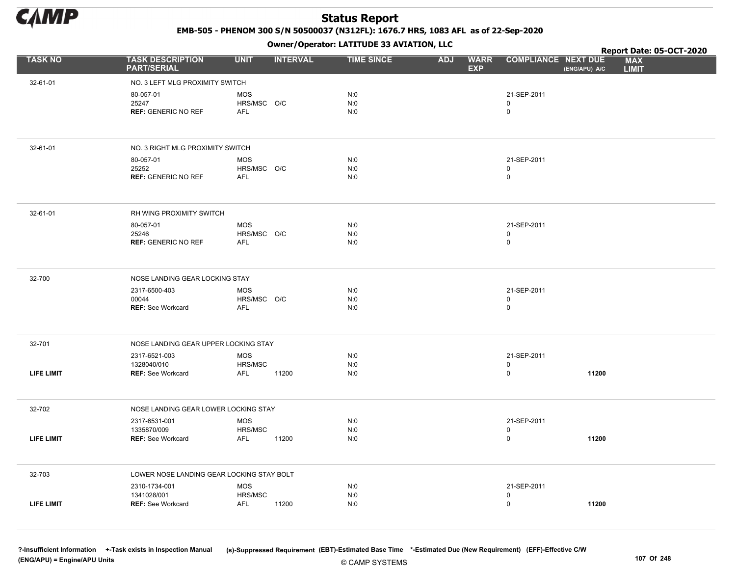

EMB-505 - PHENOM 300 S/N 50500037 (N312FL): 1676.7 HRS, 1083 AFL as of 22-Sep-2020

Owner/Operator: LATITUDE 33 AVIATION, LLC

|                   |                                               |                           |                 | Owner/Operator. EATITODE 33 AVIATION, LLC |                                         |                                    |               | Report Date: 05-OCT-2020   |
|-------------------|-----------------------------------------------|---------------------------|-----------------|-------------------------------------------|-----------------------------------------|------------------------------------|---------------|----------------------------|
| <b>TASK NO</b>    | <b>TASK DESCRIPTION</b><br><b>PART/SERIAL</b> | <b>UNIT</b>               | <b>INTERVAL</b> | <b>TIME SINCE</b>                         | <b>ADJ</b><br><b>WARR</b><br><b>EXP</b> | <b>COMPLIANCE NEXT DUE</b>         | (ENG/APU) A/C | <b>MAX</b><br><b>LIMIT</b> |
| 32-61-01          | NO. 3 LEFT MLG PROXIMITY SWITCH               |                           |                 |                                           |                                         |                                    |               |                            |
|                   | 80-057-01<br>25247                            | <b>MOS</b><br>HRS/MSC O/C |                 | N:0<br>N:0                                |                                         | 21-SEP-2011<br>$\mathbf 0$         |               |                            |
|                   | <b>REF: GENERIC NO REF</b>                    | <b>AFL</b>                |                 | N:0                                       |                                         | 0                                  |               |                            |
| 32-61-01          | NO. 3 RIGHT MLG PROXIMITY SWITCH              |                           |                 |                                           |                                         |                                    |               |                            |
|                   | 80-057-01                                     | <b>MOS</b>                |                 | N:0                                       |                                         | 21-SEP-2011                        |               |                            |
|                   | 25252<br><b>REF: GENERIC NO REF</b>           | HRS/MSC O/C<br>AFL        |                 | N:0<br>N:0                                |                                         | 0<br>$\mathbf 0$                   |               |                            |
|                   |                                               |                           |                 |                                           |                                         |                                    |               |                            |
| 32-61-01          | RH WING PROXIMITY SWITCH                      |                           |                 |                                           |                                         |                                    |               |                            |
|                   | 80-057-01                                     | MOS                       |                 | N:0                                       |                                         | 21-SEP-2011                        |               |                            |
|                   | 25246<br><b>REF: GENERIC NO REF</b>           | HRS/MSC O/C<br>AFL        |                 | N:0<br>N:0                                |                                         | 0<br>$\mathbf 0$                   |               |                            |
|                   |                                               |                           |                 |                                           |                                         |                                    |               |                            |
| 32-700            | NOSE LANDING GEAR LOCKING STAY                |                           |                 |                                           |                                         |                                    |               |                            |
|                   | 2317-6500-403                                 | <b>MOS</b>                |                 | N:0                                       |                                         | 21-SEP-2011                        |               |                            |
|                   | 00044<br><b>REF: See Workcard</b>             | HRS/MSC O/C<br><b>AFL</b> |                 | N:0<br>N:0                                |                                         | 0<br>0                             |               |                            |
|                   |                                               |                           |                 |                                           |                                         |                                    |               |                            |
| 32-701            | NOSE LANDING GEAR UPPER LOCKING STAY          |                           |                 |                                           |                                         |                                    |               |                            |
|                   | 2317-6521-003                                 | <b>MOS</b>                |                 | N:0                                       |                                         | 21-SEP-2011                        |               |                            |
| LIFE LIMIT        | 1328040/010<br><b>REF: See Workcard</b>       | HRS/MSC<br>AFL            | 11200           | N:0<br>N:0                                |                                         | $\mathbf 0$<br>$\mathsf{O}\xspace$ | 11200         |                            |
|                   |                                               |                           |                 |                                           |                                         |                                    |               |                            |
| 32-702            | NOSE LANDING GEAR LOWER LOCKING STAY          |                           |                 |                                           |                                         |                                    |               |                            |
|                   | 2317-6531-001                                 | <b>MOS</b>                |                 | N:0                                       |                                         | 21-SEP-2011                        |               |                            |
| <b>LIFE LIMIT</b> | 1335870/009<br><b>REF: See Workcard</b>       | HRS/MSC<br>AFL            | 11200           | N:0<br>N:0                                |                                         | 0<br>0                             | 11200         |                            |
|                   |                                               |                           |                 |                                           |                                         |                                    |               |                            |
| 32-703            | LOWER NOSE LANDING GEAR LOCKING STAY BOLT     |                           |                 |                                           |                                         |                                    |               |                            |
|                   | 2310-1734-001                                 | MOS                       |                 | N:0                                       |                                         | 21-SEP-2011                        |               |                            |
| <b>LIFE LIMIT</b> | 1341028/001<br><b>REF: See Workcard</b>       | HRS/MSC<br>AFL            | 11200           | N:0<br>N:0                                |                                         | 0<br>0                             | 11200         |                            |
|                   |                                               |                           |                 |                                           |                                         |                                    |               |                            |

?-Insufficient Information +-Task exists in Inspection Manual (s)-Suppressed Requirement (EBT)-Estimated Base Time \*-Estimated Due (New Requirement) (EFF)-Effective C/W (ENG/APU) = Engine/APU Units 107 Of 248 and the control of the control of the control of the control of the control of the control of the control of the control of the control of the control of the control of the control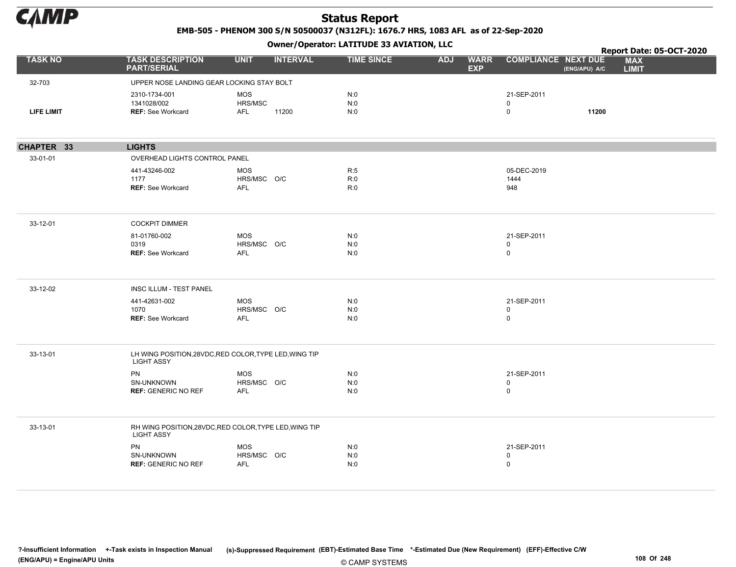

EMB-505 - PHENOM 300 S/N 50500037 (N312FL): 1676.7 HRS, 1083 AFL as of 22-Sep-2020

Owner/Operator: LATITUDE 33 AVIATION, LLC

|                   |                                                          | .                                                      |                   |            |                           |                                  |               | Report Date: 05-OCT-2020   |  |
|-------------------|----------------------------------------------------------|--------------------------------------------------------|-------------------|------------|---------------------------|----------------------------------|---------------|----------------------------|--|
| <b>TASK NO</b>    | <b>TASK DESCRIPTION</b><br><b>PART/SERIAL</b>            | <b>UNIT</b><br><b>INTERVAL</b>                         | <b>TIME SINCE</b> | <b>ADJ</b> | <b>WARR</b><br><b>EXP</b> | <b>COMPLIANCE NEXT DUE</b>       | (ENG/APU) A/C | <b>MAX</b><br><b>LIMIT</b> |  |
| 32-703            | UPPER NOSE LANDING GEAR LOCKING STAY BOLT                |                                                        |                   |            |                           |                                  |               |                            |  |
| <b>LIFE LIMIT</b> | 2310-1734-001<br>1341028/002<br><b>REF: See Workcard</b> | <b>MOS</b><br>HRS/MSC<br>AFL<br>11200                  | N:0<br>N:0<br>N:0 |            |                           | 21-SEP-2011<br>$\mathsf{O}$<br>0 | 11200         |                            |  |
| CHAPTER 33        | <b>LIGHTS</b>                                            |                                                        |                   |            |                           |                                  |               |                            |  |
| 33-01-01          | OVERHEAD LIGHTS CONTROL PANEL                            |                                                        |                   |            |                           |                                  |               |                            |  |
|                   | 441-43246-002<br>1177<br><b>REF: See Workcard</b>        | <b>MOS</b><br>HRS/MSC O/C<br><b>AFL</b>                | R:5<br>R:0<br>R:0 |            |                           | 05-DEC-2019<br>1444<br>948       |               |                            |  |
| 33-12-01          | <b>COCKPIT DIMMER</b>                                    |                                                        |                   |            |                           |                                  |               |                            |  |
|                   | 81-01760-002<br>0319<br><b>REF: See Workcard</b>         | <b>MOS</b><br>HRS/MSC O/C<br>AFL                       | N:0<br>N:0<br>N:0 |            |                           | 21-SEP-2011<br>0<br>0            |               |                            |  |
| 33-12-02          | INSC ILLUM - TEST PANEL                                  |                                                        |                   |            |                           |                                  |               |                            |  |
|                   | 441-42631-002<br>1070<br><b>REF: See Workcard</b>        | <b>MOS</b><br>HRS/MSC O/C<br>AFL                       | N:0<br>N:0<br>N:0 |            |                           | 21-SEP-2011<br>0<br>$\mathsf{O}$ |               |                            |  |
| 33-13-01          | <b>LIGHT ASSY</b>                                        | LH WING POSITION, 28VDC, RED COLOR, TYPE LED, WING TIP |                   |            |                           |                                  |               |                            |  |
|                   | PN<br>SN-UNKNOWN<br><b>REF: GENERIC NO REF</b>           | MOS<br>HRS/MSC O/C<br>AFL                              | N:0<br>N:0<br>N:0 |            |                           | 21-SEP-2011<br>0<br>$\mathsf{O}$ |               |                            |  |
| 33-13-01          | <b>LIGHT ASSY</b>                                        | RH WING POSITION, 28VDC, RED COLOR, TYPE LED, WING TIP |                   |            |                           |                                  |               |                            |  |
|                   | PN<br>SN-UNKNOWN<br><b>REF: GENERIC NO REF</b>           | <b>MOS</b><br>HRS/MSC O/C<br>AFL                       | N:0<br>N:0<br>N:0 |            |                           | 21-SEP-2011<br>0<br>0            |               |                            |  |
|                   |                                                          |                                                        |                   |            |                           |                                  |               |                            |  |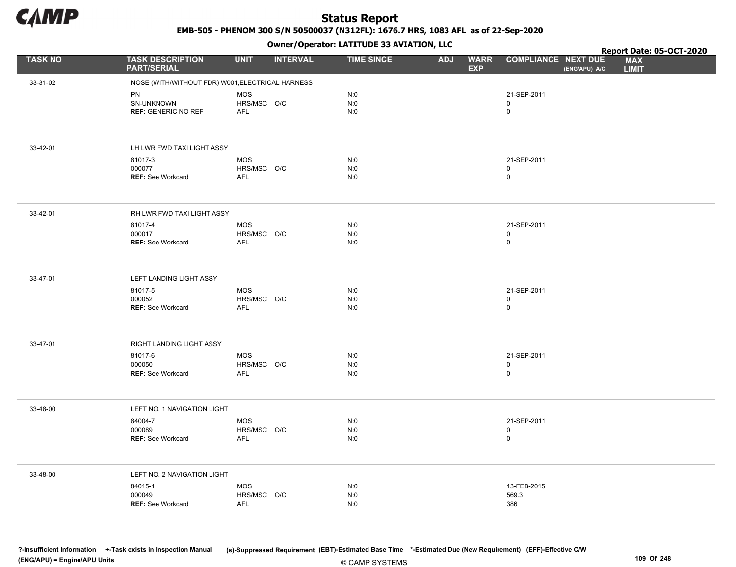

EMB-505 - PHENOM 300 S/N 50500037 (N312FL): 1676.7 HRS, 1083 AFL as of 22-Sep-2020

Owner/Operator: LATITUDE 33 AVIATION, LLC

|                |                                                  |                           | .               |                   |                                         |                                             | Report Date: 05-OCT-2020   |
|----------------|--------------------------------------------------|---------------------------|-----------------|-------------------|-----------------------------------------|---------------------------------------------|----------------------------|
| <b>TASK NO</b> | <b>TASK DESCRIPTION</b><br><b>PART/SERIAL</b>    | <b>UNIT</b>               | <b>INTERVAL</b> | <b>TIME SINCE</b> | <b>WARR</b><br><b>ADJ</b><br><b>EXP</b> | <b>COMPLIANCE NEXT DUE</b><br>(ENG/APU) A/C | <b>MAX</b><br><b>LIMIT</b> |
| 33-31-02       | NOSE (WITH/WITHOUT FDR) W001, ELECTRICAL HARNESS |                           |                 |                   |                                         |                                             |                            |
|                | PN                                               | <b>MOS</b>                |                 | N:0               |                                         | 21-SEP-2011                                 |                            |
|                | SN-UNKNOWN                                       | HRS/MSC O/C               |                 | N:0               |                                         | $\mathbf 0$                                 |                            |
|                | <b>REF: GENERIC NO REF</b>                       | AFL                       |                 | N:0               |                                         | $\mathsf{O}\xspace$                         |                            |
|                |                                                  |                           |                 |                   |                                         |                                             |                            |
| 33-42-01       | LH LWR FWD TAXI LIGHT ASSY                       |                           |                 |                   |                                         |                                             |                            |
|                | 81017-3                                          | <b>MOS</b>                |                 | N:0               |                                         | 21-SEP-2011                                 |                            |
|                | 000077                                           | HRS/MSC O/C               |                 | N:0               |                                         | $\mathbf 0$                                 |                            |
|                | <b>REF: See Workcard</b>                         | AFL                       |                 | N:0               |                                         | $\mathsf{O}\xspace$                         |                            |
|                |                                                  |                           |                 |                   |                                         |                                             |                            |
| 33-42-01       | RH LWR FWD TAXI LIGHT ASSY                       |                           |                 |                   |                                         |                                             |                            |
|                | 81017-4                                          | <b>MOS</b>                |                 | N:0               |                                         | 21-SEP-2011                                 |                            |
|                | 000017                                           | HRS/MSC O/C               |                 | N:0               |                                         | $\mathbf 0$                                 |                            |
|                | REF: See Workcard                                | AFL                       |                 | N:0               |                                         | $\mathsf 0$                                 |                            |
|                |                                                  |                           |                 |                   |                                         |                                             |                            |
| 33-47-01       | LEFT LANDING LIGHT ASSY                          |                           |                 |                   |                                         |                                             |                            |
|                | 81017-5                                          | <b>MOS</b>                |                 | N:0               |                                         | 21-SEP-2011                                 |                            |
|                | 000052<br><b>REF: See Workcard</b>               | HRS/MSC O/C<br>AFL        |                 | N:0<br>N:0        |                                         | 0<br>$\mathsf 0$                            |                            |
|                |                                                  |                           |                 |                   |                                         |                                             |                            |
|                |                                                  |                           |                 |                   |                                         |                                             |                            |
| 33-47-01       | RIGHT LANDING LIGHT ASSY                         |                           |                 |                   |                                         |                                             |                            |
|                | 81017-6                                          | <b>MOS</b>                |                 | N:0               |                                         | 21-SEP-2011                                 |                            |
|                | 000050<br><b>REF: See Workcard</b>               | HRS/MSC O/C<br><b>AFL</b> |                 | N:0<br>N:0        |                                         | $\mathsf{O}\xspace$<br>$\mathsf 0$          |                            |
|                |                                                  |                           |                 |                   |                                         |                                             |                            |
|                |                                                  |                           |                 |                   |                                         |                                             |                            |
| 33-48-00       | LEFT NO. 1 NAVIGATION LIGHT                      |                           |                 |                   |                                         |                                             |                            |
|                | 84004-7                                          | MOS                       |                 | N:0               |                                         | 21-SEP-2011                                 |                            |
|                | 000089                                           | HRS/MSC O/C               |                 | N:0               |                                         | $\mathsf{O}\xspace$                         |                            |
|                | <b>REF: See Workcard</b>                         | AFL                       |                 | N:0               |                                         | $\mathbf 0$                                 |                            |
|                |                                                  |                           |                 |                   |                                         |                                             |                            |
| 33-48-00       | LEFT NO. 2 NAVIGATION LIGHT                      |                           |                 |                   |                                         |                                             |                            |
|                | 84015-1                                          | <b>MOS</b>                |                 | N:0               |                                         | 13-FEB-2015                                 |                            |
|                | 000049                                           | HRS/MSC O/C               |                 | N:0               |                                         | 569.3                                       |                            |
|                | <b>REF: See Workcard</b>                         | <b>AFL</b>                |                 | N:0               |                                         | 386                                         |                            |
|                |                                                  |                           |                 |                   |                                         |                                             |                            |
|                |                                                  |                           |                 |                   |                                         |                                             |                            |

© CAMP SYSTEMS ?-Insufficient Information +-Task exists in Inspection Manual (s)-Suppressed Requirement (EBT)-Estimated Base Time \*-Estimated Due (New Requirement) (EFF)-Effective C/W (ENG/APU) = Engine/APU Units 109 Of 248 and the control of 248 and the control of 248 and the control of 248 and the control of 248 and the control of 248 and the control of 248 and the control of 248 and the control of 2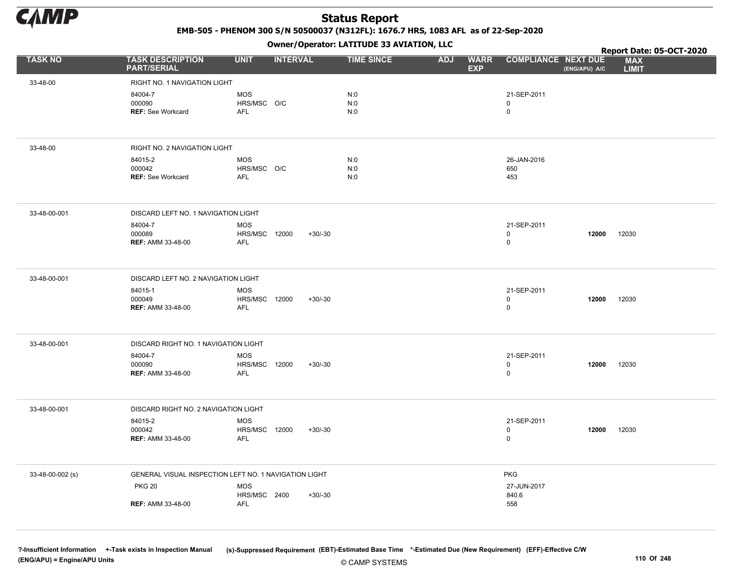

EMB-505 - PHENOM 300 S/N 50500037 (N312FL): 1676.7 HRS, 1083 AFL as of 22-Sep-2020

Owner/Operator: LATITUDE 33 AVIATION, LLC

|                  |                                                       |                                                  |                 |           | Owner/Operator. EATITODE 33 AVIATION, LLC |            |                           | Report Date: 05-OCT-2020        |               |                            |
|------------------|-------------------------------------------------------|--------------------------------------------------|-----------------|-----------|-------------------------------------------|------------|---------------------------|---------------------------------|---------------|----------------------------|
| <b>TASK NO</b>   | <b>TASK DESCRIPTION</b><br><b>PART/SERIAL</b>         | <b>UNIT</b>                                      | <b>INTERVAL</b> |           | <b>TIME SINCE</b>                         | <b>ADJ</b> | <b>WARR</b><br><b>EXP</b> | <b>COMPLIANCE NEXT DUE</b>      | (ENG/APU) A/C | <b>MAX</b><br><b>LIMIT</b> |
| 33-48-00         | RIGHT NO. 1 NAVIGATION LIGHT                          |                                                  |                 |           |                                           |            |                           |                                 |               |                            |
|                  | 84004-7<br>000090<br><b>REF: See Workcard</b>         | <b>MOS</b><br>HRS/MSC O/C<br><b>AFL</b>          |                 |           | N:0<br>N:0<br>N:0                         |            |                           | 21-SEP-2011<br>0<br>$\mathbf 0$ |               |                            |
| 33-48-00         | RIGHT NO. 2 NAVIGATION LIGHT                          |                                                  |                 |           |                                           |            |                           |                                 |               |                            |
|                  | 84015-2<br>000042<br><b>REF: See Workcard</b>         | <b>MOS</b><br>HRS/MSC O/C<br>AFL                 |                 |           | N:0<br>N:0<br>N:0                         |            |                           | 26-JAN-2016<br>650<br>453       |               |                            |
| 33-48-00-001     | DISCARD LEFT NO. 1 NAVIGATION LIGHT                   |                                                  |                 |           |                                           |            |                           |                                 |               |                            |
|                  | 84004-7<br>000089<br><b>REF: AMM 33-48-00</b>         | <b>MOS</b><br><b>HRS/MSC 12000</b><br>AFL        |                 | $+30/-30$ |                                           |            |                           | 21-SEP-2011<br>0<br>0           | 12000         | 12030                      |
| 33-48-00-001     | DISCARD LEFT NO. 2 NAVIGATION LIGHT                   |                                                  |                 |           |                                           |            |                           |                                 |               |                            |
|                  | 84015-1<br>000049<br><b>REF: AMM 33-48-00</b>         | <b>MOS</b><br><b>HRS/MSC 12000</b><br><b>AFL</b> |                 | $+30/-30$ |                                           |            |                           | 21-SEP-2011<br>0<br>0           | 12000         | 12030                      |
| 33-48-00-001     | DISCARD RIGHT NO. 1 NAVIGATION LIGHT                  |                                                  |                 |           |                                           |            |                           |                                 |               |                            |
|                  | 84004-7<br>000090<br><b>REF: AMM 33-48-00</b>         | <b>MOS</b><br><b>HRS/MSC 12000</b><br><b>AFL</b> |                 | $+30/-30$ |                                           |            |                           | 21-SEP-2011<br>0<br>0           | 12000         | 12030                      |
| 33-48-00-001     | DISCARD RIGHT NO. 2 NAVIGATION LIGHT                  |                                                  |                 |           |                                           |            |                           |                                 |               |                            |
|                  | 84015-2<br>000042<br><b>REF: AMM 33-48-00</b>         | <b>MOS</b><br><b>HRS/MSC 12000</b><br><b>AFL</b> |                 | $+30/-30$ |                                           |            |                           | 21-SEP-2011<br>0<br>0           | 12000         | 12030                      |
| 33-48-00-002 (s) | GENERAL VISUAL INSPECTION LEFT NO. 1 NAVIGATION LIGHT |                                                  |                 |           |                                           |            |                           | <b>PKG</b>                      |               |                            |
|                  | <b>PKG 20</b><br><b>REF: AMM 33-48-00</b>             | <b>MOS</b><br>HRS/MSC 2400<br>AFL                |                 | $+30/30$  |                                           |            |                           | 27-JUN-2017<br>840.6<br>558     |               |                            |
|                  |                                                       |                                                  |                 |           |                                           |            |                           |                                 |               |                            |

© CAMP SYSTEMS ?-Insufficient Information +-Task exists in Inspection Manual (s)-Suppressed Requirement (EBT)-Estimated Base Time \*-Estimated Due (New Requirement) (EFF)-Effective C/W (ENG/APU) = Engine/APU Units 110 Of 248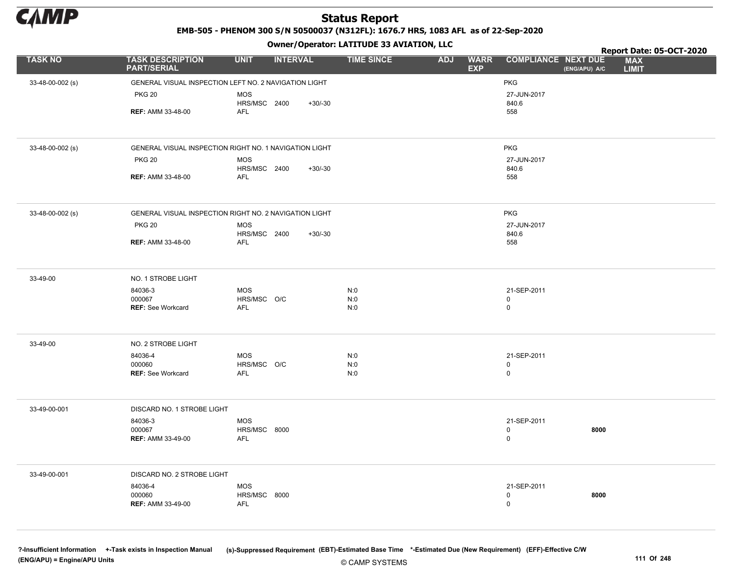

EMB-505 - PHENOM 300 S/N 50500037 (N312FL): 1676.7 HRS, 1083 AFL as of 22-Sep-2020

Owner/Operator: LATITUDE 33 AVIATION, LLC

|                  |                                                        |                            | - - - -         |           |                   |            |                           |                            |               | Report Date: 05-OCT-2020   |  |
|------------------|--------------------------------------------------------|----------------------------|-----------------|-----------|-------------------|------------|---------------------------|----------------------------|---------------|----------------------------|--|
| <b>TASK NO</b>   | <b>TASK DESCRIPTION</b><br><b>PART/SERIAL</b>          | <b>UNIT</b>                | <b>INTERVAL</b> |           | <b>TIME SINCE</b> | <b>ADJ</b> | <b>WARR</b><br><b>EXP</b> | <b>COMPLIANCE NEXT DUE</b> | (ENG/APU) A/C | <b>MAX</b><br><b>LIMIT</b> |  |
| 33-48-00-002 (s) | GENERAL VISUAL INSPECTION LEFT NO. 2 NAVIGATION LIGHT  |                            |                 |           |                   |            |                           | PKG                        |               |                            |  |
|                  | <b>PKG 20</b>                                          | <b>MOS</b>                 |                 |           |                   |            |                           | 27-JUN-2017                |               |                            |  |
|                  |                                                        | HRS/MSC 2400               |                 | $+30/-30$ |                   |            |                           | 840.6                      |               |                            |  |
|                  | <b>REF: AMM 33-48-00</b>                               | AFL                        |                 |           |                   |            |                           | 558                        |               |                            |  |
|                  |                                                        |                            |                 |           |                   |            |                           |                            |               |                            |  |
| 33-48-00-002 (s) | GENERAL VISUAL INSPECTION RIGHT NO. 1 NAVIGATION LIGHT |                            |                 |           |                   |            |                           | <b>PKG</b>                 |               |                            |  |
|                  | <b>PKG 20</b>                                          | <b>MOS</b>                 |                 |           |                   |            |                           | 27-JUN-2017                |               |                            |  |
|                  | <b>REF: AMM 33-48-00</b>                               | HRS/MSC 2400<br>AFL        |                 | $+30/-30$ |                   |            |                           | 840.6<br>558               |               |                            |  |
|                  |                                                        |                            |                 |           |                   |            |                           |                            |               |                            |  |
| 33-48-00-002 (s) | GENERAL VISUAL INSPECTION RIGHT NO. 2 NAVIGATION LIGHT |                            |                 |           |                   |            |                           | <b>PKG</b>                 |               |                            |  |
|                  | <b>PKG 20</b>                                          | <b>MOS</b>                 |                 |           |                   |            |                           | 27-JUN-2017                |               |                            |  |
|                  | <b>REF: AMM 33-48-00</b>                               | HRS/MSC 2400<br>AFL        |                 | $+30/-30$ |                   |            |                           | 840.6<br>558               |               |                            |  |
|                  |                                                        |                            |                 |           |                   |            |                           |                            |               |                            |  |
| 33-49-00         | NO. 1 STROBE LIGHT                                     |                            |                 |           |                   |            |                           |                            |               |                            |  |
|                  | 84036-3                                                | <b>MOS</b>                 |                 |           | N:0               |            |                           | 21-SEP-2011                |               |                            |  |
|                  | 000067<br><b>REF: See Workcard</b>                     | HRS/MSC O/C<br>AFL         |                 |           | N:0<br>N:0        |            |                           | 0<br>$\mathsf 0$           |               |                            |  |
|                  |                                                        |                            |                 |           |                   |            |                           |                            |               |                            |  |
|                  |                                                        |                            |                 |           |                   |            |                           |                            |               |                            |  |
| 33-49-00         | NO. 2 STROBE LIGHT                                     |                            |                 |           |                   |            |                           |                            |               |                            |  |
|                  | 84036-4<br>000060                                      | <b>MOS</b><br>HRS/MSC O/C  |                 |           | N:0<br>N:0        |            |                           | 21-SEP-2011<br>$\mathsf 0$ |               |                            |  |
|                  | <b>REF: See Workcard</b>                               | AFL                        |                 |           | N:0               |            |                           | $\mathsf 0$                |               |                            |  |
|                  |                                                        |                            |                 |           |                   |            |                           |                            |               |                            |  |
| 33-49-00-001     | DISCARD NO. 1 STROBE LIGHT                             |                            |                 |           |                   |            |                           |                            |               |                            |  |
|                  | 84036-3                                                | <b>MOS</b>                 |                 |           |                   |            |                           | 21-SEP-2011                |               |                            |  |
|                  | 000067<br><b>REF: AMM 33-49-00</b>                     | HRS/MSC 8000<br>AFL        |                 |           |                   |            |                           | $\mathsf 0$<br>$\mathsf 0$ | 8000          |                            |  |
|                  |                                                        |                            |                 |           |                   |            |                           |                            |               |                            |  |
| 33-49-00-001     | DISCARD NO. 2 STROBE LIGHT                             |                            |                 |           |                   |            |                           |                            |               |                            |  |
|                  | 84036-4                                                | <b>MOS</b>                 |                 |           |                   |            |                           | 21-SEP-2011                |               |                            |  |
|                  | 000060<br><b>REF: AMM 33-49-00</b>                     | HRS/MSC 8000<br><b>AFL</b> |                 |           |                   |            |                           | 0<br>$\mathsf 0$           | 8000          |                            |  |
|                  |                                                        |                            |                 |           |                   |            |                           |                            |               |                            |  |
|                  |                                                        |                            |                 |           |                   |            |                           |                            |               |                            |  |

?-Insufficient Information +-Task exists in Inspection Manual (s)-Suppressed Requirement (EBT)-Estimated Base Time \*-Estimated Due (New Requirement) (EFF)-Effective C/W (ENG/APU) = Engine/APU Units 111 Of 248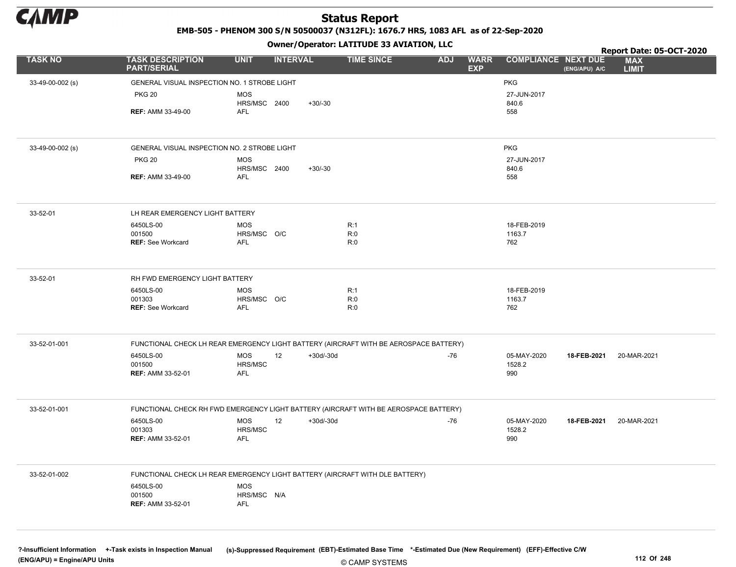

EMB-505 - PHENOM 300 S/N 50500037 (N312FL): 1676.7 HRS, 1083 AFL as of 22-Sep-2020

Owner/Operator: LATITUDE 33 AVIATION, LLC

|                  |                                                                                       |                           | .               |             |                   |            |                           |                            |               | Report Date: 05-OCT-2020   |  |
|------------------|---------------------------------------------------------------------------------------|---------------------------|-----------------|-------------|-------------------|------------|---------------------------|----------------------------|---------------|----------------------------|--|
| <b>TASK NO</b>   | <b>TASK DESCRIPTION</b><br><b>PART/SERIAL</b>                                         | <b>UNIT</b>               | <b>INTERVAL</b> |             | <b>TIME SINCE</b> | <b>ADJ</b> | <b>WARR</b><br><b>EXP</b> | <b>COMPLIANCE NEXT DUE</b> | (ENG/APU) A/C | <b>MAX</b><br><b>LIMIT</b> |  |
| 33-49-00-002 (s) | GENERAL VISUAL INSPECTION NO. 1 STROBE LIGHT                                          |                           |                 |             |                   |            |                           | <b>PKG</b>                 |               |                            |  |
|                  | <b>PKG 20</b>                                                                         | <b>MOS</b>                |                 |             |                   |            |                           | 27-JUN-2017                |               |                            |  |
|                  |                                                                                       | HRS/MSC 2400              |                 | $+30/-30$   |                   |            |                           | 840.6                      |               |                            |  |
|                  | <b>REF: AMM 33-49-00</b>                                                              | AFL                       |                 |             |                   |            |                           | 558                        |               |                            |  |
|                  |                                                                                       |                           |                 |             |                   |            |                           |                            |               |                            |  |
| 33-49-00-002 (s) | GENERAL VISUAL INSPECTION NO. 2 STROBE LIGHT                                          |                           |                 |             |                   |            |                           | <b>PKG</b>                 |               |                            |  |
|                  | <b>PKG 20</b>                                                                         | <b>MOS</b>                |                 |             |                   |            |                           | 27-JUN-2017                |               |                            |  |
|                  | <b>REF: AMM 33-49-00</b>                                                              | HRS/MSC 2400<br>AFL       |                 | $+30/-30$   |                   |            |                           | 840.6<br>558               |               |                            |  |
|                  |                                                                                       |                           |                 |             |                   |            |                           |                            |               |                            |  |
| 33-52-01         | LH REAR EMERGENCY LIGHT BATTERY                                                       |                           |                 |             |                   |            |                           |                            |               |                            |  |
|                  | 6450LS-00                                                                             | <b>MOS</b>                |                 |             | R:1               |            |                           | 18-FEB-2019                |               |                            |  |
|                  | 001500<br><b>REF: See Workcard</b>                                                    | HRS/MSC O/C<br><b>AFL</b> |                 |             | R:0<br>R:0        |            |                           | 1163.7<br>762              |               |                            |  |
|                  |                                                                                       |                           |                 |             |                   |            |                           |                            |               |                            |  |
| 33-52-01         | RH FWD EMERGENCY LIGHT BATTERY                                                        |                           |                 |             |                   |            |                           |                            |               |                            |  |
|                  | 6450LS-00                                                                             | <b>MOS</b>                |                 |             | R:1               |            |                           | 18-FEB-2019                |               |                            |  |
|                  | 001303                                                                                | HRS/MSC O/C               |                 |             | R:0               |            |                           | 1163.7                     |               |                            |  |
|                  | <b>REF: See Workcard</b>                                                              | AFL                       |                 |             | R:0               |            |                           | 762                        |               |                            |  |
| 33-52-01-001     | FUNCTIONAL CHECK LH REAR EMERGENCY LIGHT BATTERY (AIRCRAFT WITH BE AEROSPACE BATTERY) |                           |                 |             |                   |            |                           |                            |               |                            |  |
|                  | 6450LS-00                                                                             | MOS                       | 12              | $+30d/-30d$ |                   | $-76$      |                           | 05-MAY-2020                | 18-FEB-2021   | 20-MAR-2021                |  |
|                  | 001500                                                                                | HRS/MSC                   |                 |             |                   |            |                           | 1528.2                     |               |                            |  |
|                  | <b>REF: AMM 33-52-01</b>                                                              | AFL                       |                 |             |                   |            |                           | 990                        |               |                            |  |
| 33-52-01-001     | FUNCTIONAL CHECK RH FWD EMERGENCY LIGHT BATTERY (AIRCRAFT WITH BE AEROSPACE BATTERY)  |                           |                 |             |                   |            |                           |                            |               |                            |  |
|                  | 6450LS-00                                                                             | MOS                       | 12              | +30d/-30d   |                   | $-76$      |                           | 05-MAY-2020                | 18-FEB-2021   | 20-MAR-2021                |  |
|                  | 001303                                                                                | HRS/MSC                   |                 |             |                   |            |                           | 1528.2                     |               |                            |  |
|                  | <b>REF: AMM 33-52-01</b>                                                              | AFL                       |                 |             |                   |            |                           | 990                        |               |                            |  |
| 33-52-01-002     | FUNCTIONAL CHECK LH REAR EMERGENCY LIGHT BATTERY (AIRCRAFT WITH DLE BATTERY)          |                           |                 |             |                   |            |                           |                            |               |                            |  |
|                  | 6450LS-00                                                                             | MOS                       |                 |             |                   |            |                           |                            |               |                            |  |
|                  | 001500                                                                                | HRS/MSC N/A               |                 |             |                   |            |                           |                            |               |                            |  |
|                  | <b>REF: AMM 33-52-01</b>                                                              | AFL                       |                 |             |                   |            |                           |                            |               |                            |  |
|                  |                                                                                       |                           |                 |             |                   |            |                           |                            |               |                            |  |
|                  |                                                                                       |                           |                 |             |                   |            |                           |                            |               |                            |  |

© CAMP SYSTEMS ?-Insufficient Information +-Task exists in Inspection Manual (s)-Suppressed Requirement (EBT)-Estimated Base Time \*-Estimated Due (New Requirement) (EFF)-Effective C/W (ENG/APU) = Engine/APU Units 112 Of 248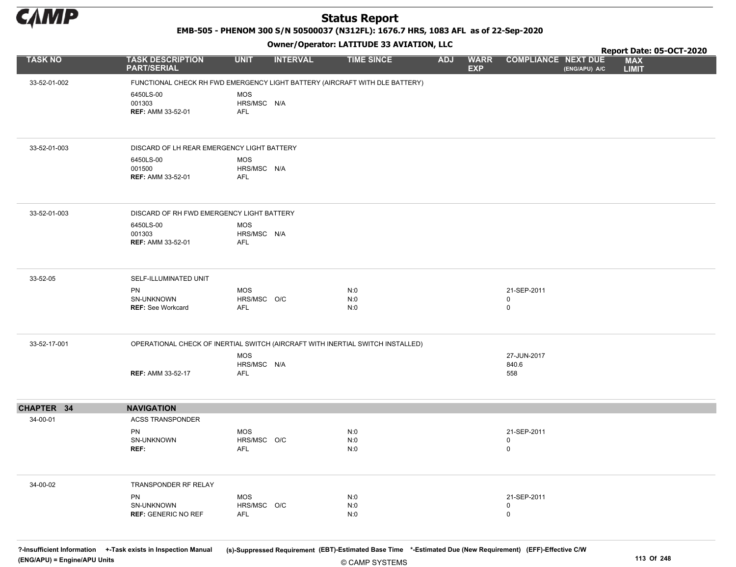

EMB-505 - PHENOM 300 S/N 50500037 (N312FL): 1676.7 HRS, 1083 AFL as of 22-Sep-2020

Owner/Operator: LATITUDE 33 AVIATION, LLC

|                |                                                                                |                                         |                 | Owner, operator: Existence 33 AVIATION, LEC |            |                           |                             |               | Report Date: 05-OCT-2020   |  |
|----------------|--------------------------------------------------------------------------------|-----------------------------------------|-----------------|---------------------------------------------|------------|---------------------------|-----------------------------|---------------|----------------------------|--|
| <b>TASK NO</b> | <b>TASK DESCRIPTION</b><br><b>PART/SERIAL</b>                                  | <b>UNIT</b>                             | <b>INTERVAL</b> | <b>TIME SINCE</b>                           | <b>ADJ</b> | <b>WARR</b><br><b>EXP</b> | <b>COMPLIANCE NEXT DUE</b>  | (ENG/APU) A/C | <b>MAX</b><br><b>LIMIT</b> |  |
| 33-52-01-002   | FUNCTIONAL CHECK RH FWD EMERGENCY LIGHT BATTERY (AIRCRAFT WITH DLE BATTERY)    |                                         |                 |                                             |            |                           |                             |               |                            |  |
|                | 6450LS-00<br>001303<br><b>REF: AMM 33-52-01</b>                                | <b>MOS</b><br>HRS/MSC N/A<br><b>AFL</b> |                 |                                             |            |                           |                             |               |                            |  |
| 33-52-01-003   | DISCARD OF LH REAR EMERGENCY LIGHT BATTERY                                     |                                         |                 |                                             |            |                           |                             |               |                            |  |
|                | 6450LS-00<br>001500<br><b>REF: AMM 33-52-01</b>                                | <b>MOS</b><br>HRS/MSC N/A<br><b>AFL</b> |                 |                                             |            |                           |                             |               |                            |  |
| 33-52-01-003   | DISCARD OF RH FWD EMERGENCY LIGHT BATTERY                                      |                                         |                 |                                             |            |                           |                             |               |                            |  |
|                | 6450LS-00<br>001303<br><b>REF: AMM 33-52-01</b>                                | MOS<br>HRS/MSC N/A<br><b>AFL</b>        |                 |                                             |            |                           |                             |               |                            |  |
| 33-52-05       | SELF-ILLUMINATED UNIT                                                          |                                         |                 |                                             |            |                           |                             |               |                            |  |
|                | <b>PN</b><br>SN-UNKNOWN<br><b>REF: See Workcard</b>                            | <b>MOS</b><br>HRS/MSC O/C<br>AFL        |                 | N:0<br>N:0<br>N:0                           |            |                           | 21-SEP-2011<br>0<br>0       |               |                            |  |
| 33-52-17-001   | OPERATIONAL CHECK OF INERTIAL SWITCH (AIRCRAFT WITH INERTIAL SWITCH INSTALLED) |                                         |                 |                                             |            |                           |                             |               |                            |  |
|                | <b>REF: AMM 33-52-17</b>                                                       | <b>MOS</b><br>HRS/MSC N/A<br><b>AFL</b> |                 |                                             |            |                           | 27-JUN-2017<br>840.6<br>558 |               |                            |  |
| CHAPTER 34     | <b>NAVIGATION</b>                                                              |                                         |                 |                                             |            |                           |                             |               |                            |  |
| 34-00-01       | <b>ACSS TRANSPONDER</b>                                                        |                                         |                 |                                             |            |                           |                             |               |                            |  |
|                | PN<br>SN-UNKNOWN<br>REF:                                                       | <b>MOS</b><br>HRS/MSC O/C<br><b>AFL</b> |                 | N:0<br>N:0<br>N:0                           |            |                           | 21-SEP-2011<br>0<br>0       |               |                            |  |
| 34-00-02       | TRANSPONDER RF RELAY                                                           |                                         |                 |                                             |            |                           |                             |               |                            |  |
|                | PN<br>SN-UNKNOWN<br><b>REF: GENERIC NO REF</b>                                 | <b>MOS</b><br>HRS/MSC O/C<br>AFL        |                 | N:0<br>N:0<br>N:0                           |            |                           | 21-SEP-2011<br>0<br>0       |               |                            |  |

© CAMP SYSTEMS ?-Insufficient Information +-Task exists in Inspection Manual (s)-Suppressed Requirement (EBT)-Estimated Base Time \*-Estimated Due (New Requirement) (EFF)-Effective C/W (ENG/APU) = Engine/APU Units 113 Of 248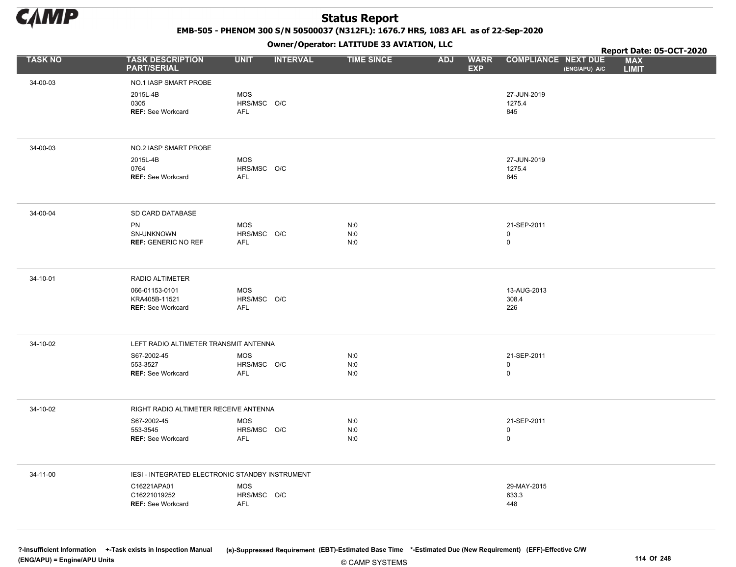

EMB-505 - PHENOM 300 S/N 50500037 (N312FL): 1676.7 HRS, 1083 AFL as of 22-Sep-2020

Owner/Operator: LATITUDE 33 AVIATION, LLC

|                |                                                             |                                  |                 | Owner / Operator: EATITODE 33 AVIATION, LLC |                                         |                              |               | Report Date: 05-OCT-2020   |
|----------------|-------------------------------------------------------------|----------------------------------|-----------------|---------------------------------------------|-----------------------------------------|------------------------------|---------------|----------------------------|
| <b>TASK NO</b> | <b>TASK DESCRIPTION</b><br><b>PART/SERIAL</b>               | <b>UNIT</b>                      | <b>INTERVAL</b> | <b>TIME SINCE</b>                           | <b>ADJ</b><br><b>WARR</b><br><b>EXP</b> | <b>COMPLIANCE NEXT DUE</b>   | (ENG/APU) A/C | <b>MAX</b><br><b>LIMIT</b> |
| 34-00-03       | NO.1 IASP SMART PROBE                                       |                                  |                 |                                             |                                         |                              |               |                            |
|                | 2015L-4B<br>0305<br><b>REF: See Workcard</b>                | <b>MOS</b><br>HRS/MSC O/C<br>AFL |                 |                                             |                                         | 27-JUN-2019<br>1275.4<br>845 |               |                            |
| 34-00-03       | NO.2 IASP SMART PROBE                                       |                                  |                 |                                             |                                         |                              |               |                            |
|                | 2015L-4B<br>0764<br><b>REF: See Workcard</b>                | <b>MOS</b><br>HRS/MSC O/C<br>AFL |                 |                                             |                                         | 27-JUN-2019<br>1275.4<br>845 |               |                            |
| 34-00-04       | SD CARD DATABASE                                            |                                  |                 |                                             |                                         |                              |               |                            |
|                | PN<br>SN-UNKNOWN<br><b>REF: GENERIC NO REF</b>              | MOS<br>HRS/MSC O/C<br>AFL        |                 | N:0<br>N:0<br>N:0                           |                                         | 21-SEP-2011<br>0<br>0        |               |                            |
| 34-10-01       | RADIO ALTIMETER                                             |                                  |                 |                                             |                                         |                              |               |                            |
|                | 066-01153-0101<br>KRA405B-11521<br><b>REF: See Workcard</b> | MOS<br>HRS/MSC O/C<br>AFL        |                 |                                             |                                         | 13-AUG-2013<br>308.4<br>226  |               |                            |
| 34-10-02       | LEFT RADIO ALTIMETER TRANSMIT ANTENNA                       |                                  |                 |                                             |                                         |                              |               |                            |
|                | S67-2002-45<br>553-3527<br><b>REF: See Workcard</b>         | MOS<br>HRS/MSC O/C<br>AFL        |                 | N:0<br>N:0<br>N:0                           |                                         | 21-SEP-2011<br>0<br>0        |               |                            |
| 34-10-02       | RIGHT RADIO ALTIMETER RECEIVE ANTENNA                       |                                  |                 |                                             |                                         |                              |               |                            |
|                | S67-2002-45<br>553-3545<br><b>REF: See Workcard</b>         | MOS<br>HRS/MSC O/C<br>AFL        |                 | N:0<br>N:0<br>N:0                           |                                         | 21-SEP-2011<br>0<br>0        |               |                            |
| 34-11-00       | IESI - INTEGRATED ELECTRONIC STANDBY INSTRUMENT             |                                  |                 |                                             |                                         |                              |               |                            |
|                | C16221APA01<br>C16221019252<br><b>REF: See Workcard</b>     | MOS<br>HRS/MSC O/C<br>AFL        |                 |                                             |                                         | 29-MAY-2015<br>633.3<br>448  |               |                            |
|                |                                                             |                                  |                 |                                             |                                         |                              |               |                            |

© CAMP SYSTEMS ?-Insufficient Information +-Task exists in Inspection Manual (s)-Suppressed Requirement (EBT)-Estimated Base Time \*-Estimated Due (New Requirement) (EFF)-Effective C/W (ENG/APU) = Engine/APU Units 114 Of 248 and the control of the control of the control of the control of the control of the control of the control of the control of 248 and the control of 248 and the control of 248 and the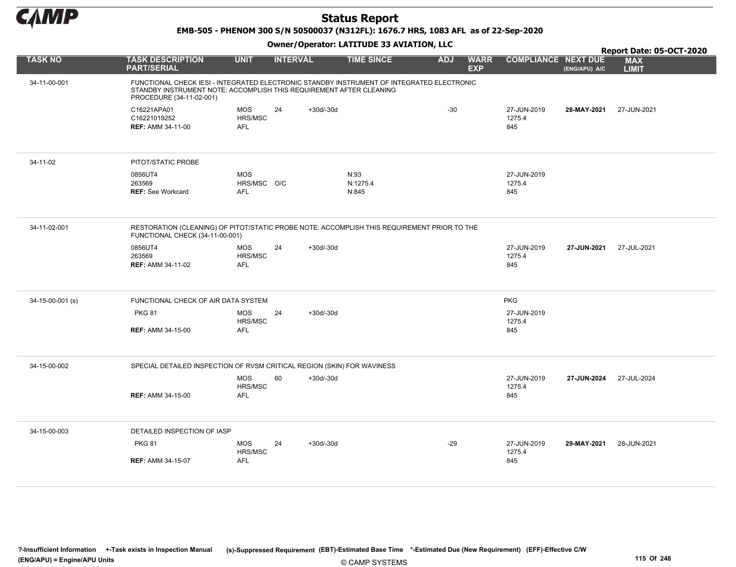

EMB-505 - PHENOM 300 S/N 50500037 (N312FL): 1676.7 HRS, 1083 AFL as of 22-Sep-2020

|                  |                                                                                                                                                                                              |                                         |                 |             |                           |            |                           |                              |               | Report Date: 05-OCT-2020   |
|------------------|----------------------------------------------------------------------------------------------------------------------------------------------------------------------------------------------|-----------------------------------------|-----------------|-------------|---------------------------|------------|---------------------------|------------------------------|---------------|----------------------------|
| <b>TASK NO</b>   | <b>TASK DESCRIPTION</b><br><b>PART/SERIAL</b>                                                                                                                                                | <b>UNIT</b>                             | <b>INTERVAL</b> |             | <b>TIME SINCE</b>         | <b>ADJ</b> | <b>WARR</b><br><b>EXP</b> | <b>COMPLIANCE NEXT DUE</b>   | (ENG/APU) A/C | <b>MAX</b><br><b>LIMIT</b> |
| 34-11-00-001     | FUNCTIONAL CHECK IESI - INTEGRATED ELECTRONIC STANDBY INSTRUMENT OF INTEGRATED ELECTRONIC<br>STANDBY INSTRUMENT NOTE: ACCOMPLISH THIS REQUIREMENT AFTER CLEANING<br>PROCEDURE (34-11-02-001) |                                         |                 |             |                           |            |                           |                              |               |                            |
|                  | C16221APA01<br>C16221019252<br><b>REF: AMM 34-11-00</b>                                                                                                                                      | <b>MOS</b><br>HRS/MSC<br><b>AFL</b>     | 24              | $+30d/-30d$ |                           | $-30$      |                           | 27-JUN-2019<br>1275.4<br>845 | 28-MAY-2021   | 27-JUN-2021                |
| 34-11-02         | PITOT/STATIC PROBE                                                                                                                                                                           |                                         |                 |             |                           |            |                           |                              |               |                            |
|                  | 0856UT4<br>263569<br><b>REF: See Workcard</b>                                                                                                                                                | <b>MOS</b><br>HRS/MSC O/C<br><b>AFL</b> |                 |             | N:93<br>N:1275.4<br>N:845 |            |                           | 27-JUN-2019<br>1275.4<br>845 |               |                            |
| 34-11-02-001     | RESTORATION (CLEANING) OF PITOT/STATIC PROBE NOTE: ACCOMPLISH THIS REQUIREMENT PRIOR TO THE<br>FUNCTIONAL CHECK (34-11-00-001)                                                               |                                         |                 |             |                           |            |                           |                              |               |                            |
|                  | 0856UT4<br>263569<br><b>REF: AMM 34-11-02</b>                                                                                                                                                | <b>MOS</b><br>HRS/MSC<br><b>AFL</b>     | 24              | $+30d/-30d$ |                           |            |                           | 27-JUN-2019<br>1275.4<br>845 | 27-JUN-2021   | 27-JUL-2021                |
|                  |                                                                                                                                                                                              |                                         |                 |             |                           |            |                           |                              |               |                            |
| 34-15-00-001 (s) | FUNCTIONAL CHECK OF AIR DATA SYSTEM                                                                                                                                                          |                                         |                 |             |                           |            |                           | <b>PKG</b>                   |               |                            |
|                  | <b>PKG 81</b>                                                                                                                                                                                | <b>MOS</b><br>HRS/MSC                   | 24              | $+30d/-30d$ |                           |            |                           | 27-JUN-2019<br>1275.4        |               |                            |
|                  | <b>REF: AMM 34-15-00</b>                                                                                                                                                                     | <b>AFL</b>                              |                 |             |                           |            |                           | 845                          |               |                            |
| 34-15-00-002     | SPECIAL DETAILED INSPECTION OF RVSM CRITICAL REGION (SKIN) FOR WAVINESS                                                                                                                      |                                         |                 |             |                           |            |                           |                              |               |                            |
|                  |                                                                                                                                                                                              | <b>MOS</b><br>HRS/MSC                   | 60              | $+30d/-30d$ |                           |            |                           | 27-JUN-2019<br>1275.4        | 27-JUN-2024   | 27-JUL-2024                |
|                  | <b>REF: AMM 34-15-00</b>                                                                                                                                                                     | <b>AFL</b>                              |                 |             |                           |            |                           | 845                          |               |                            |
| 34-15-00-003     | DETAILED INSPECTION OF IASP                                                                                                                                                                  |                                         |                 |             |                           |            |                           |                              |               |                            |
|                  | <b>PKG 81</b>                                                                                                                                                                                | <b>MOS</b><br>HRS/MSC                   | 24              | $+30d/-30d$ |                           | $-29$      |                           | 27-JUN-2019<br>1275.4        | 29-MAY-2021   | 28-JUN-2021                |
|                  | <b>REF: AMM 34-15-07</b>                                                                                                                                                                     | <b>AFL</b>                              |                 |             |                           |            |                           | 845                          |               |                            |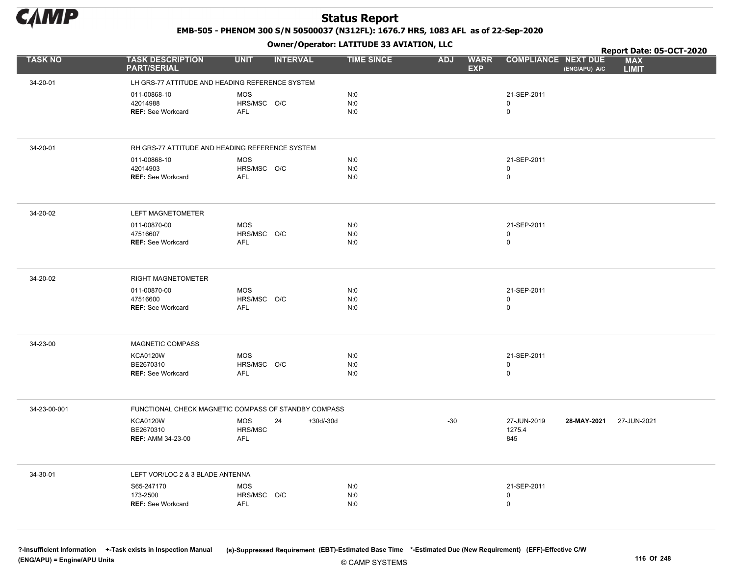

EMB-505 - PHENOM 300 S/N 50500037 (N312FL): 1676.7 HRS, 1083 AFL as of 22-Sep-2020

Owner/Operator: LATITUDE 33 AVIATION, LLC

|                |                                                      |                           | .                 |                   |                                         |                                             | Report Date: 05-OCT-2020   |
|----------------|------------------------------------------------------|---------------------------|-------------------|-------------------|-----------------------------------------|---------------------------------------------|----------------------------|
| <b>TASK NO</b> | <b>TASK DESCRIPTION</b><br><b>PART/SERIAL</b>        | <b>UNIT</b>               | <b>INTERVAL</b>   | <b>TIME SINCE</b> | <b>WARR</b><br><b>ADJ</b><br><b>EXP</b> | <b>COMPLIANCE NEXT DUE</b><br>(ENG/APU) A/C | <b>MAX</b><br><b>LIMIT</b> |
| 34-20-01       | LH GRS-77 ATTITUDE AND HEADING REFERENCE SYSTEM      |                           |                   |                   |                                         |                                             |                            |
|                | 011-00868-10                                         | <b>MOS</b>                |                   | N:0               |                                         | 21-SEP-2011                                 |                            |
|                | 42014988                                             | HRS/MSC O/C               |                   | N:0               |                                         | $\mathbf 0$                                 |                            |
|                | <b>REF: See Workcard</b>                             | AFL                       |                   | N:0               |                                         | $\mathbf 0$                                 |                            |
|                |                                                      |                           |                   |                   |                                         |                                             |                            |
| 34-20-01       | RH GRS-77 ATTITUDE AND HEADING REFERENCE SYSTEM      |                           |                   |                   |                                         |                                             |                            |
|                | 011-00868-10                                         | <b>MOS</b>                |                   | N:0               |                                         | 21-SEP-2011                                 |                            |
|                | 42014903<br><b>REF: See Workcard</b>                 | HRS/MSC O/C<br><b>AFL</b> |                   | N:0<br>N:0        |                                         | 0<br>0                                      |                            |
|                |                                                      |                           |                   |                   |                                         |                                             |                            |
| 34-20-02       | LEFT MAGNETOMETER                                    |                           |                   |                   |                                         |                                             |                            |
|                | 011-00870-00                                         | <b>MOS</b>                |                   | N:0               |                                         | 21-SEP-2011                                 |                            |
|                | 47516607<br><b>REF: See Workcard</b>                 | HRS/MSC O/C<br><b>AFL</b> |                   | N:0<br>N:0        |                                         | 0<br>$\mathsf{O}\xspace$                    |                            |
|                |                                                      |                           |                   |                   |                                         |                                             |                            |
|                |                                                      |                           |                   |                   |                                         |                                             |                            |
| 34-20-02       | <b>RIGHT MAGNETOMETER</b>                            |                           |                   |                   |                                         |                                             |                            |
|                | 011-00870-00                                         | MOS                       |                   | N:0               |                                         | 21-SEP-2011                                 |                            |
|                | 47516600<br><b>REF: See Workcard</b>                 | HRS/MSC O/C<br><b>AFL</b> |                   | N:0<br>N:0        |                                         | 0<br>0                                      |                            |
|                |                                                      |                           |                   |                   |                                         |                                             |                            |
|                |                                                      |                           |                   |                   |                                         |                                             |                            |
| 34-23-00       | <b>MAGNETIC COMPASS</b>                              |                           |                   |                   |                                         |                                             |                            |
|                | <b>KCA0120W</b>                                      | MOS                       |                   | N:0               |                                         | 21-SEP-2011                                 |                            |
|                | BE2670310<br><b>REF: See Workcard</b>                | HRS/MSC O/C<br>AFL        |                   | N:0<br>N:0        |                                         | 0<br>$\mathbf 0$                            |                            |
|                |                                                      |                           |                   |                   |                                         |                                             |                            |
|                |                                                      |                           |                   |                   |                                         |                                             |                            |
| 34-23-00-001   | FUNCTIONAL CHECK MAGNETIC COMPASS OF STANDBY COMPASS |                           |                   |                   |                                         |                                             |                            |
|                | <b>KCA0120W</b><br>BE2670310                         | <b>MOS</b><br>HRS/MSC     | 24<br>$+30d/-30d$ |                   | $-30$                                   | 27-JUN-2019<br>28-MAY-2021<br>1275.4        | 27-JUN-2021                |
|                | <b>REF: AMM 34-23-00</b>                             | <b>AFL</b>                |                   |                   |                                         | 845                                         |                            |
|                |                                                      |                           |                   |                   |                                         |                                             |                            |
| 34-30-01       | LEFT VOR/LOC 2 & 3 BLADE ANTENNA                     |                           |                   |                   |                                         |                                             |                            |
|                | S65-247170                                           | MOS                       |                   | N:0               |                                         | 21-SEP-2011                                 |                            |
|                | 173-2500                                             | HRS/MSC O/C               |                   | N:0               |                                         | 0                                           |                            |
|                | <b>REF: See Workcard</b>                             | <b>AFL</b>                |                   | N:0               |                                         | 0                                           |                            |
|                |                                                      |                           |                   |                   |                                         |                                             |                            |
|                |                                                      |                           |                   |                   |                                         |                                             |                            |

?-Insufficient Information +-Task exists in Inspection Manual (s)-Suppressed Requirement (EBT)-Estimated Base Time \*-Estimated Due (New Requirement) (EFF)-Effective C/W (ENG/APU) = Engine/APU Units 116 Of 248 and the control of 248 and the control of 248 and the control of 248 and the control of 248 and the control of 248 and the control of 248 and the control of 248 and the control of 2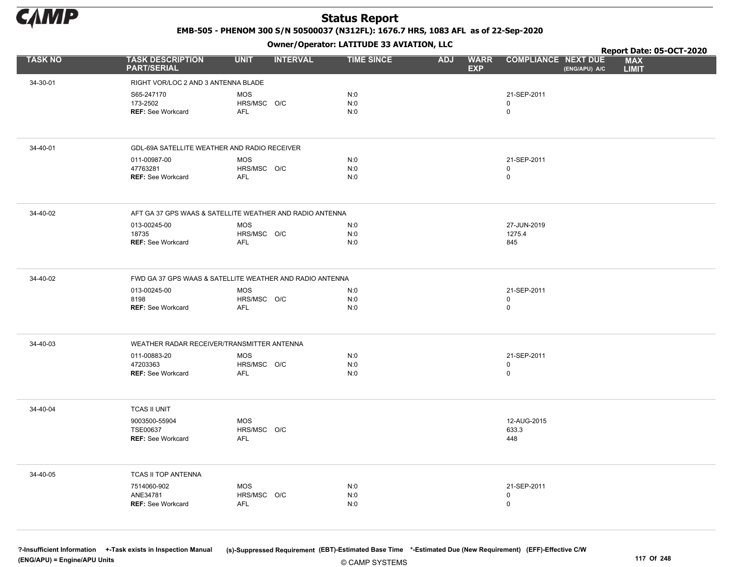

EMB-505 - PHENOM 300 S/N 50500037 (N312FL): 1676.7 HRS, 1083 AFL as of 22-Sep-2020

Owner/Operator: LATITUDE 33 AVIATION, LLC

|                |                                                          |                                         |                 | Owner/Operator. EATITODE 33 AVIATION, LLC |                                         |                                         |                                             | Report Date: 05-OCT-2020   |
|----------------|----------------------------------------------------------|-----------------------------------------|-----------------|-------------------------------------------|-----------------------------------------|-----------------------------------------|---------------------------------------------|----------------------------|
| <b>TASK NO</b> | <b>TASK DESCRIPTION</b><br><b>PART/SERIAL</b>            | <b>UNIT</b>                             | <b>INTERVAL</b> | <b>TIME SINCE</b>                         | <b>WARR</b><br><b>ADJ</b><br><b>EXP</b> |                                         | <b>COMPLIANCE NEXT DUE</b><br>(ENG/APU) A/C | <b>MAX</b><br><b>LIMIT</b> |
| 34-30-01       | RIGHT VOR/LOC 2 AND 3 ANTENNA BLADE                      |                                         |                 |                                           |                                         |                                         |                                             |                            |
|                | S65-247170<br>173-2502<br><b>REF: See Workcard</b>       | <b>MOS</b><br>HRS/MSC O/C<br>AFL        |                 | N:0<br>N:0<br>N:0                         |                                         | 21-SEP-2011<br>0<br>$\mathsf{O}\xspace$ |                                             |                            |
| 34-40-01       | GDL-69A SATELLITE WEATHER AND RADIO RECEIVER             |                                         |                 |                                           |                                         |                                         |                                             |                            |
|                | 011-00987-00<br>47763281<br><b>REF: See Workcard</b>     | <b>MOS</b><br>HRS/MSC O/C<br><b>AFL</b> |                 | N:0<br>N:0<br>N:0                         |                                         | 21-SEP-2011<br>0<br>$\mathbf 0$         |                                             |                            |
| 34-40-02       | AFT GA 37 GPS WAAS & SATELLITE WEATHER AND RADIO ANTENNA |                                         |                 |                                           |                                         |                                         |                                             |                            |
|                | 013-00245-00<br>18735<br><b>REF: See Workcard</b>        | <b>MOS</b><br>HRS/MSC O/C<br>AFL        |                 | N:0<br>N:0<br>N:0                         |                                         | 27-JUN-2019<br>1275.4<br>845            |                                             |                            |
| 34-40-02       | FWD GA 37 GPS WAAS & SATELLITE WEATHER AND RADIO ANTENNA |                                         |                 |                                           |                                         |                                         |                                             |                            |
|                | 013-00245-00<br>8198<br><b>REF: See Workcard</b>         | <b>MOS</b><br>HRS/MSC O/C<br>AFL        |                 | N:0<br>N:0<br>N:0                         |                                         | 21-SEP-2011<br>0<br>0                   |                                             |                            |
| 34-40-03       | WEATHER RADAR RECEIVER/TRANSMITTER ANTENNA               |                                         |                 |                                           |                                         |                                         |                                             |                            |
|                | 011-00883-20<br>47203363<br><b>REF: See Workcard</b>     | MOS<br>HRS/MSC O/C<br><b>AFL</b>        |                 | N:0<br>N:0<br>N:0                         |                                         | 21-SEP-2011<br>0<br>$\mathbf 0$         |                                             |                            |
| 34-40-04       | <b>TCAS II UNIT</b>                                      |                                         |                 |                                           |                                         |                                         |                                             |                            |
|                | 9003500-55904<br>TSE00637<br>REF: See Workcard           | MOS<br>HRS/MSC O/C<br>AFL               |                 |                                           |                                         | 12-AUG-2015<br>633.3<br>448             |                                             |                            |
| 34-40-05       | TCAS II TOP ANTENNA                                      |                                         |                 |                                           |                                         |                                         |                                             |                            |
|                | 7514060-902<br>ANE34781<br><b>REF: See Workcard</b>      | <b>MOS</b><br>HRS/MSC O/C<br>AFL        |                 | N:0<br>N:0<br>N:0                         |                                         | 21-SEP-2011<br>0<br>0                   |                                             |                            |
|                |                                                          |                                         |                 |                                           |                                         |                                         |                                             |                            |

© CAMP SYSTEMS ?-Insufficient Information +-Task exists in Inspection Manual (s)-Suppressed Requirement (EBT)-Estimated Base Time \*-Estimated Due (New Requirement) (EFF)-Effective C/W (ENG/APU) = Engine/APU Units 117 Of 248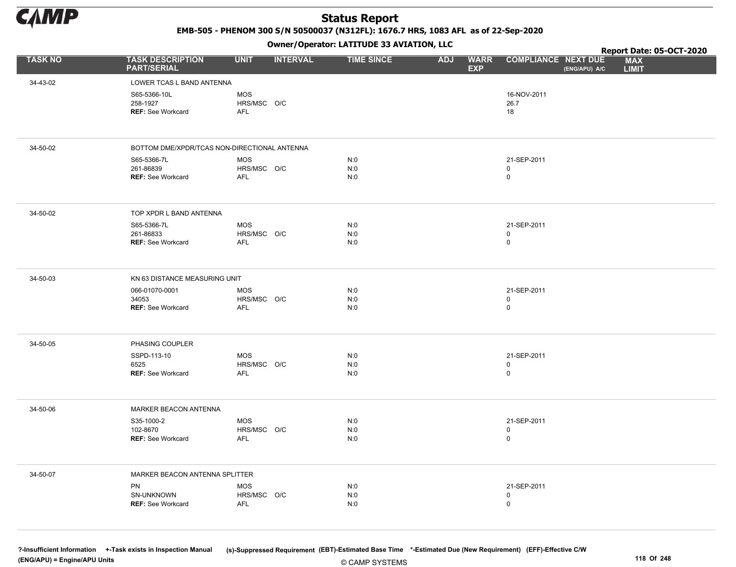

EMB-505 - PHENOM 300 S/N 50500037 (N312FL): 1676.7 HRS, 1083 AFL as of 22-Sep-2020

Owner/Operator: LATITUDE 33 AVIATION, LLC

|                |                                                      |                                         |                 | Owner / Operator. EATTTODE 33 AVIATION, LLC |                                         |                                 |               | Report Date: 05-OCT-2020   |  |
|----------------|------------------------------------------------------|-----------------------------------------|-----------------|---------------------------------------------|-----------------------------------------|---------------------------------|---------------|----------------------------|--|
| <b>TASK NO</b> | <b>TASK DESCRIPTION</b><br><b>PART/SERIAL</b>        | <b>UNIT</b>                             | <b>INTERVAL</b> | <b>TIME SINCE</b>                           | <b>WARR</b><br><b>ADJ</b><br><b>EXP</b> | <b>COMPLIANCE NEXT DUE</b>      | (ENG/APU) A/C | <b>MAX</b><br><b>LIMIT</b> |  |
| 34-43-02       | LOWER TCAS L BAND ANTENNA                            |                                         |                 |                                             |                                         |                                 |               |                            |  |
|                | S65-5366-10L<br>258-1927<br><b>REF: See Workcard</b> | <b>MOS</b><br>HRS/MSC O/C<br>AFL        |                 |                                             |                                         | 16-NOV-2011<br>26.7<br>18       |               |                            |  |
| 34-50-02       | BOTTOM DME/XPDR/TCAS NON-DIRECTIONAL ANTENNA         |                                         |                 |                                             |                                         |                                 |               |                            |  |
|                | S65-5366-7L<br>261-86839<br><b>REF: See Workcard</b> | <b>MOS</b><br>HRS/MSC O/C<br><b>AFL</b> |                 | N:0<br>N:0<br>N:0                           |                                         | 21-SEP-2011<br>0<br>$\mathbf 0$ |               |                            |  |
| 34-50-02       | TOP XPDR L BAND ANTENNA                              |                                         |                 |                                             |                                         |                                 |               |                            |  |
|                | S65-5366-7L<br>261-86833<br><b>REF: See Workcard</b> | <b>MOS</b><br>HRS/MSC O/C<br><b>AFL</b> |                 | N:0<br>N:0<br>N:0                           |                                         | 21-SEP-2011<br>0<br>$\mathsf 0$ |               |                            |  |
| 34-50-03       | KN 63 DISTANCE MEASURING UNIT                        |                                         |                 |                                             |                                         |                                 |               |                            |  |
|                | 066-01070-0001<br>34053<br><b>REF: See Workcard</b>  | <b>MOS</b><br>HRS/MSC O/C<br><b>AFL</b> |                 | N:0<br>N:0<br>N:0                           |                                         | 21-SEP-2011<br>$\mathbf 0$<br>0 |               |                            |  |
| 34-50-05       | PHASING COUPLER                                      |                                         |                 |                                             |                                         |                                 |               |                            |  |
|                | SSPD-113-10<br>6525<br><b>REF: See Workcard</b>      | <b>MOS</b><br>HRS/MSC O/C<br><b>AFL</b> |                 | N:0<br>N:0<br>N:0                           |                                         | 21-SEP-2011<br>0<br>$\mathbf 0$ |               |                            |  |
| 34-50-06       | MARKER BEACON ANTENNA                                |                                         |                 |                                             |                                         |                                 |               |                            |  |
|                | S35-1000-2<br>102-8670<br><b>REF: See Workcard</b>   | <b>MOS</b><br>HRS/MSC O/C<br><b>AFL</b> |                 | N:0<br>N:0<br>N:0                           |                                         | 21-SEP-2011<br>0<br>0           |               |                            |  |
| 34-50-07       | MARKER BEACON ANTENNA SPLITTER                       |                                         |                 |                                             |                                         |                                 |               |                            |  |
|                | PN<br>SN-UNKNOWN<br><b>REF: See Workcard</b>         | <b>MOS</b><br>HRS/MSC O/C<br>AFL        |                 | N:0<br>N:0<br>N:0                           |                                         | 21-SEP-2011<br>0<br>$\mathbf 0$ |               |                            |  |
|                |                                                      |                                         |                 |                                             |                                         |                                 |               |                            |  |

© CAMP SYSTEMS ?-Insufficient Information +-Task exists in Inspection Manual (s)-Suppressed Requirement (EBT)-Estimated Base Time \*-Estimated Due (New Requirement) (EFF)-Effective C/W (ENG/APU) = Engine/APU Units 118 Of 248 and the control of 248 and the control of 248 and the control of 248 and the control of 248 and the control of 248 and the control of 248 and the control of 248 and the control of 2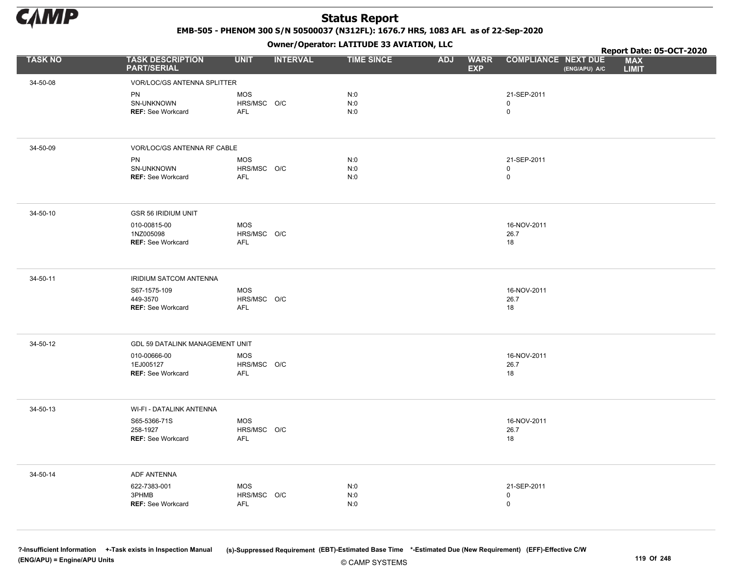

EMB-505 - PHENOM 300 S/N 50500037 (N312FL): 1676.7 HRS, 1083 AFL as of 22-Sep-2020

Owner/Operator: LATITUDE 33 AVIATION, LLC

|                |                                                       |                                         |                 | Owner / Operator: EATITODE 33 AVIATION, LLC |                                         |                                             | Report Date: 05-OCT-2020   |
|----------------|-------------------------------------------------------|-----------------------------------------|-----------------|---------------------------------------------|-----------------------------------------|---------------------------------------------|----------------------------|
| <b>TASK NO</b> | <b>TASK DESCRIPTION</b><br><b>PART/SERIAL</b>         | <b>UNIT</b>                             | <b>INTERVAL</b> | <b>TIME SINCE</b>                           | <b>ADJ</b><br><b>WARR</b><br><b>EXP</b> | <b>COMPLIANCE NEXT DUE</b><br>(ENG/APU) A/C | <b>MAX</b><br><b>LIMIT</b> |
| 34-50-08       | <b>VOR/LOC/GS ANTENNA SPLITTER</b>                    |                                         |                 |                                             |                                         |                                             |                            |
|                | <b>PN</b><br>SN-UNKNOWN<br><b>REF: See Workcard</b>   | <b>MOS</b><br>HRS/MSC O/C<br><b>AFL</b> |                 | N:0<br>N:0<br>N:0                           |                                         | 21-SEP-2011<br>0<br>$\mathbf 0$             |                            |
| 34-50-09       | VOR/LOC/GS ANTENNA RF CABLE                           |                                         |                 |                                             |                                         |                                             |                            |
|                | PN<br>SN-UNKNOWN<br><b>REF: See Workcard</b>          | <b>MOS</b><br>HRS/MSC O/C<br><b>AFL</b> |                 | N:0<br>N:0<br>N:0                           |                                         | 21-SEP-2011<br>0<br>$\mathsf 0$             |                            |
| 34-50-10       | <b>GSR 56 IRIDIUM UNIT</b>                            |                                         |                 |                                             |                                         |                                             |                            |
|                | 010-00815-00<br>1NZ005098<br><b>REF: See Workcard</b> | <b>MOS</b><br>HRS/MSC O/C<br><b>AFL</b> |                 |                                             |                                         | 16-NOV-2011<br>26.7<br>18                   |                            |
| 34-50-11       | IRIDIUM SATCOM ANTENNA                                |                                         |                 |                                             |                                         |                                             |                            |
|                | S67-1575-109<br>449-3570<br><b>REF: See Workcard</b>  | MOS<br>HRS/MSC O/C<br><b>AFL</b>        |                 |                                             |                                         | 16-NOV-2011<br>26.7<br>18                   |                            |
| 34-50-12       | GDL 59 DATALINK MANAGEMENT UNIT                       |                                         |                 |                                             |                                         |                                             |                            |
|                | 010-00666-00<br>1EJ005127<br><b>REF: See Workcard</b> | MOS<br>HRS/MSC O/C<br><b>AFL</b>        |                 |                                             |                                         | 16-NOV-2011<br>26.7<br>18                   |                            |
| 34-50-13       | WI-FI - DATALINK ANTENNA                              |                                         |                 |                                             |                                         |                                             |                            |
|                | S65-5366-71S<br>258-1927<br><b>REF: See Workcard</b>  | MOS<br>HRS/MSC O/C<br>AFL               |                 |                                             |                                         | 16-NOV-2011<br>26.7<br>18                   |                            |
| 34-50-14       | ADF ANTENNA                                           |                                         |                 |                                             |                                         |                                             |                            |
|                | 622-7383-001<br>3PHMB<br>REF: See Workcard            | <b>MOS</b><br>HRS/MSC O/C<br><b>AFL</b> |                 | N:0<br>N:0<br>N:0                           |                                         | 21-SEP-2011<br>0<br>$\mathbf 0$             |                            |

© CAMP SYSTEMS ?-Insufficient Information +-Task exists in Inspection Manual (s)-Suppressed Requirement (EBT)-Estimated Base Time \*-Estimated Due (New Requirement) (EFF)-Effective C/W (ENG/APU) = Engine/APU Units 119 Of 248 and the control of 248 and the control of 248 and the control of 248 and the control of 248 and the control of 248 and the control of 248 and the control of 248 and the control of 2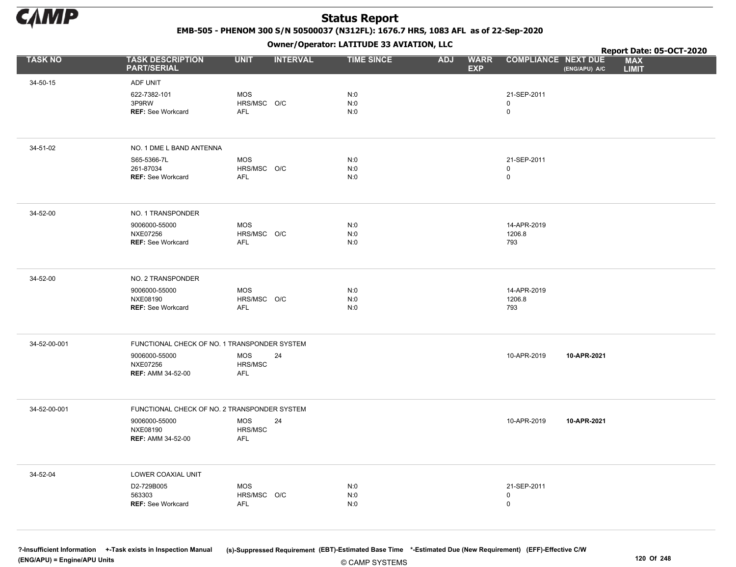

EMB-505 - PHENOM 300 S/N 50500037 (N312FL): 1676.7 HRS, 1083 AFL as of 22-Sep-2020

Owner/Operator: LATITUDE 33 AVIATION, LLC

|                |                                               |                    |                 | Owner/Operator. EATITODE 33 AVIATION, LLC |                                         |                            |               | Report Date: 05-OCT-2020   |
|----------------|-----------------------------------------------|--------------------|-----------------|-------------------------------------------|-----------------------------------------|----------------------------|---------------|----------------------------|
| <b>TASK NO</b> | <b>TASK DESCRIPTION</b><br><b>PART/SERIAL</b> | <b>UNIT</b>        | <b>INTERVAL</b> | <b>TIME SINCE</b>                         | <b>ADJ</b><br><b>WARR</b><br><b>EXP</b> | <b>COMPLIANCE NEXT DUE</b> | (ENG/APU) A/C | <b>MAX</b><br><b>LIMIT</b> |
| 34-50-15       | ADF UNIT                                      |                    |                 |                                           |                                         |                            |               |                            |
|                | 622-7382-101                                  | <b>MOS</b>         |                 | N:0                                       |                                         | 21-SEP-2011                |               |                            |
|                | 3P9RW<br><b>REF: See Workcard</b>             | HRS/MSC O/C<br>AFL |                 | N:0<br>N:0                                |                                         | 0<br>0                     |               |                            |
|                |                                               |                    |                 |                                           |                                         |                            |               |                            |
| 34-51-02       | NO. 1 DME L BAND ANTENNA                      |                    |                 |                                           |                                         |                            |               |                            |
|                | S65-5366-7L                                   | <b>MOS</b>         |                 | N:0                                       |                                         | 21-SEP-2011                |               |                            |
|                | 261-87034<br><b>REF: See Workcard</b>         | HRS/MSC O/C<br>AFL |                 | N:0<br>N:0                                |                                         | 0<br>0                     |               |                            |
|                |                                               |                    |                 |                                           |                                         |                            |               |                            |
| 34-52-00       | NO. 1 TRANSPONDER                             |                    |                 |                                           |                                         |                            |               |                            |
|                | 9006000-55000                                 | MOS                |                 | N:0                                       |                                         | 14-APR-2019                |               |                            |
|                | <b>NXE07256</b><br><b>REF: See Workcard</b>   | HRS/MSC O/C<br>AFL |                 | N:0<br>N:0                                |                                         | 1206.8<br>793              |               |                            |
|                |                                               |                    |                 |                                           |                                         |                            |               |                            |
| 34-52-00       | NO. 2 TRANSPONDER                             |                    |                 |                                           |                                         |                            |               |                            |
|                | 9006000-55000                                 | MOS                |                 | N:0                                       |                                         | 14-APR-2019                |               |                            |
|                | NXE08190<br><b>REF: See Workcard</b>          | HRS/MSC O/C<br>AFL |                 | N:0<br>N:0                                |                                         | 1206.8<br>793              |               |                            |
|                |                                               |                    |                 |                                           |                                         |                            |               |                            |
| 34-52-00-001   | FUNCTIONAL CHECK OF NO. 1 TRANSPONDER SYSTEM  |                    |                 |                                           |                                         |                            |               |                            |
|                | 9006000-55000                                 | MOS<br>HRS/MSC     | 24              |                                           |                                         | 10-APR-2019                | 10-APR-2021   |                            |
|                | <b>NXE07256</b><br><b>REF: AMM 34-52-00</b>   | AFL                |                 |                                           |                                         |                            |               |                            |
|                |                                               |                    |                 |                                           |                                         |                            |               |                            |
| 34-52-00-001   | FUNCTIONAL CHECK OF NO. 2 TRANSPONDER SYSTEM  |                    |                 |                                           |                                         |                            |               |                            |
|                | 9006000-55000                                 | MOS                | 24              |                                           |                                         | 10-APR-2019                | 10-APR-2021   |                            |
|                | NXE08190<br><b>REF: AMM 34-52-00</b>          | HRS/MSC<br>AFL     |                 |                                           |                                         |                            |               |                            |
|                |                                               |                    |                 |                                           |                                         |                            |               |                            |
| 34-52-04       | LOWER COAXIAL UNIT                            |                    |                 |                                           |                                         |                            |               |                            |
|                | D2-729B005                                    | <b>MOS</b>         |                 | N:0                                       |                                         | 21-SEP-2011                |               |                            |
|                | 563303<br>REF: See Workcard                   | HRS/MSC O/C<br>AFL |                 | N:0<br>N:0                                |                                         | 0<br>0                     |               |                            |
|                |                                               |                    |                 |                                           |                                         |                            |               |                            |
|                |                                               |                    |                 |                                           |                                         |                            |               |                            |

© CAMP SYSTEMS ?-Insufficient Information +-Task exists in Inspection Manual (s)-Suppressed Requirement (EBT)-Estimated Base Time \*-Estimated Due (New Requirement) (EFF)-Effective C/W (ENG/APU) = Engine/APU Units 120 Of 248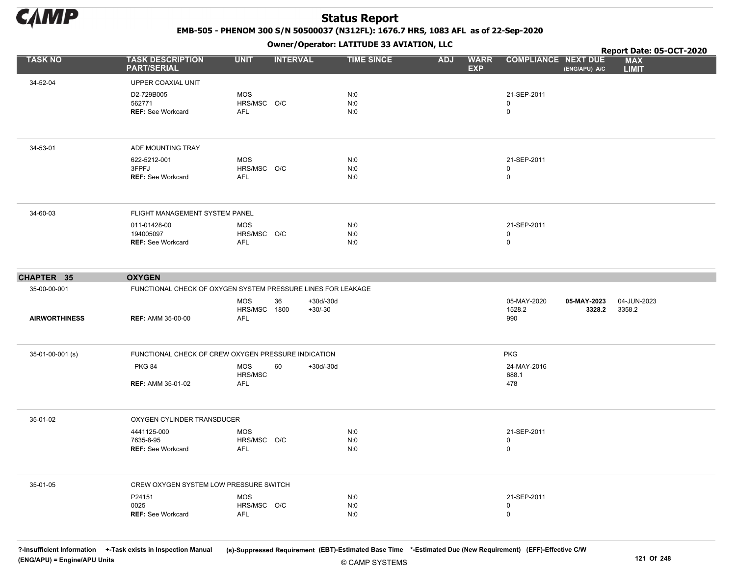

EMB-505 - PHENOM 300 S/N 50500037 (N312FL): 1676.7 HRS, 1083 AFL as of 22-Sep-2020

Owner/Operator: LATITUDE 33 AVIATION, LLC

|                            |                                                                               |                                          |                                | Owner / Operator. EATTTODE 33 AVIATION, LLC |            |                           |                                 |                       | Report Date: 05-OCT-2020   |
|----------------------------|-------------------------------------------------------------------------------|------------------------------------------|--------------------------------|---------------------------------------------|------------|---------------------------|---------------------------------|-----------------------|----------------------------|
| <b>TASK NO</b>             | <b>TASK DESCRIPTION</b><br><b>PART/SERIAL</b>                                 | <b>UNIT</b>                              | <b>INTERVAL</b>                | <b>TIME SINCE</b>                           | <b>ADJ</b> | <b>WARR</b><br><b>EXP</b> | <b>COMPLIANCE NEXT DUE</b>      | (ENG/APU) A/C         | <b>MAX</b><br><b>LIMIT</b> |
| 34-52-04                   | UPPER COAXIAL UNIT                                                            |                                          |                                |                                             |            |                           |                                 |                       |                            |
|                            | D2-729B005<br>562771<br><b>REF: See Workcard</b>                              | <b>MOS</b><br>HRS/MSC O/C<br><b>AFL</b>  |                                | N:0<br>N:0<br>N:0                           |            |                           | 21-SEP-2011<br>0<br>$\mathbf 0$ |                       |                            |
| 34-53-01                   | ADF MOUNTING TRAY                                                             |                                          |                                |                                             |            |                           |                                 |                       |                            |
|                            | 622-5212-001<br>3FPFJ<br><b>REF: See Workcard</b>                             | <b>MOS</b><br>HRS/MSC O/C<br><b>AFL</b>  |                                | N:0<br>N:0<br>N:0                           |            |                           | 21-SEP-2011<br>0<br>0           |                       |                            |
| 34-60-03                   | FLIGHT MANAGEMENT SYSTEM PANEL                                                |                                          |                                |                                             |            |                           |                                 |                       |                            |
|                            | 011-01428-00<br>194005097<br><b>REF: See Workcard</b>                         | MOS<br>HRS/MSC O/C<br>AFL                |                                | N:0<br>N:0<br>N:0                           |            |                           | 21-SEP-2011<br>0<br>0           |                       |                            |
|                            |                                                                               |                                          |                                |                                             |            |                           |                                 |                       |                            |
| CHAPTER 35<br>35-00-00-001 | <b>OXYGEN</b><br>FUNCTIONAL CHECK OF OXYGEN SYSTEM PRESSURE LINES FOR LEAKAGE |                                          |                                |                                             |            |                           |                                 |                       |                            |
| <b>AIRWORTHINESS</b>       | <b>REF: AMM 35-00-00</b>                                                      | <b>MOS</b><br>HRS/MSC 1800<br><b>AFL</b> | 36<br>$+30d/-30d$<br>$+30/-30$ |                                             |            |                           | 05-MAY-2020<br>1528.2<br>990    | 05-MAY-2023<br>3328.2 | 04-JUN-2023<br>3358.2      |
| 35-01-00-001 (s)           | FUNCTIONAL CHECK OF CREW OXYGEN PRESSURE INDICATION                           |                                          |                                |                                             |            |                           | <b>PKG</b>                      |                       |                            |
|                            | <b>PKG 84</b><br><b>REF: AMM 35-01-02</b>                                     | <b>MOS</b><br>HRS/MSC<br>AFL             | 60<br>$+30d/-30d$              |                                             |            |                           | 24-MAY-2016<br>688.1<br>478     |                       |                            |
|                            |                                                                               |                                          |                                |                                             |            |                           |                                 |                       |                            |
| 35-01-02                   | OXYGEN CYLINDER TRANSDUCER                                                    |                                          |                                |                                             |            |                           |                                 |                       |                            |
|                            | 4441125-000<br>7635-8-95<br><b>REF: See Workcard</b>                          | <b>MOS</b><br>HRS/MSC O/C<br><b>AFL</b>  |                                | N:0<br>N:0<br>N:0                           |            |                           | 21-SEP-2011<br>0<br>0           |                       |                            |
| 35-01-05                   | CREW OXYGEN SYSTEM LOW PRESSURE SWITCH                                        |                                          |                                |                                             |            |                           |                                 |                       |                            |
|                            | P24151<br>0025<br><b>REF: See Workcard</b>                                    | <b>MOS</b><br>HRS/MSC O/C<br>AFL         |                                | N:0<br>N:0<br>N:0                           |            |                           | 21-SEP-2011<br>0<br>0           |                       |                            |

© CAMP SYSTEMS ?-Insufficient Information +-Task exists in Inspection Manual (s)-Suppressed Requirement (EBT)-Estimated Base Time \*-Estimated Due (New Requirement) (EFF)-Effective C/W (ENG/APU) = Engine/APU Units 121 Of 248 and the control of 248 and the control of 248 and the control of 248 and the control of 248 and the control of 248 and the control of 248 and the control of 248 and the control of 2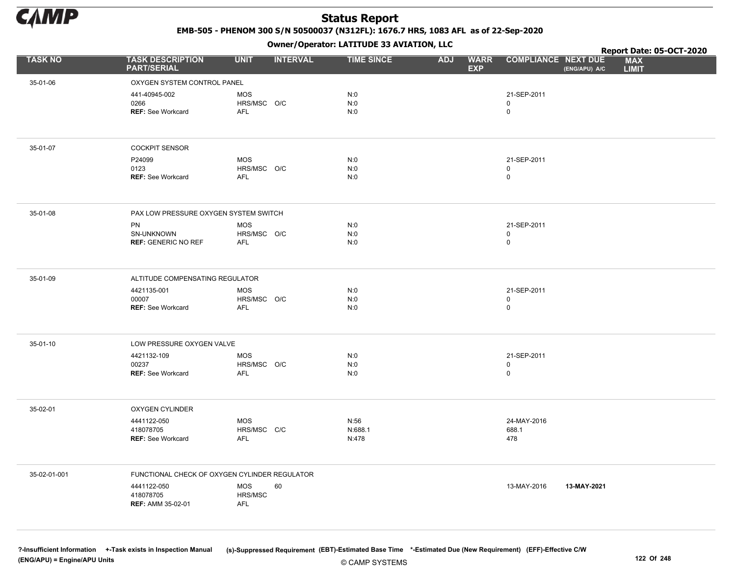

EMB-505 - PHENOM 300 S/N 50500037 (N312FL): 1676.7 HRS, 1083 AFL as of 22-Sep-2020

Owner/Operator: LATITUDE 33 AVIATION, LLC

|                |                                                      |                                         | Owner / Operator: EATITODE 33 AVIATION, LLC<br><b>INTERVAL</b><br><b>TIME SINCE</b><br><b>WARR</b><br><b>ADJ</b><br><b>EXP</b><br>N:0<br>N:0<br>N:0<br>N:0<br>N:0<br>N:0<br>N:0<br>N:0<br>N:0<br>N:0<br>N:0<br>N:0<br>N:0<br>N:0<br>N:0<br>N:56<br>N:688.1<br>N:478<br>60 |  | Report Date: 05-OCT-2020                    |                            |
|----------------|------------------------------------------------------|-----------------------------------------|---------------------------------------------------------------------------------------------------------------------------------------------------------------------------------------------------------------------------------------------------------------------------|--|---------------------------------------------|----------------------------|
| <b>TASK NO</b> | <b>TASK DESCRIPTION</b><br><b>PART/SERIAL</b>        | <b>UNIT</b>                             |                                                                                                                                                                                                                                                                           |  | <b>COMPLIANCE NEXT DUE</b><br>(ENG/APU) A/C | <b>MAX</b><br><b>LIMIT</b> |
| 35-01-06       | OXYGEN SYSTEM CONTROL PANEL                          |                                         |                                                                                                                                                                                                                                                                           |  |                                             |                            |
|                | 441-40945-002<br>0266<br><b>REF: See Workcard</b>    | <b>MOS</b><br>HRS/MSC O/C<br>AFL        |                                                                                                                                                                                                                                                                           |  | 21-SEP-2011<br>0<br>$\mathsf{O}$            |                            |
| 35-01-07       | <b>COCKPIT SENSOR</b>                                |                                         |                                                                                                                                                                                                                                                                           |  |                                             |                            |
|                | P24099<br>0123<br><b>REF: See Workcard</b>           | <b>MOS</b><br>HRS/MSC O/C<br>AFL        |                                                                                                                                                                                                                                                                           |  | 21-SEP-2011<br>0<br>0                       |                            |
| 35-01-08       | PAX LOW PRESSURE OXYGEN SYSTEM SWITCH                |                                         |                                                                                                                                                                                                                                                                           |  |                                             |                            |
|                | PN<br>SN-UNKNOWN<br><b>REF: GENERIC NO REF</b>       | <b>MOS</b><br>HRS/MSC O/C<br><b>AFL</b> |                                                                                                                                                                                                                                                                           |  | 21-SEP-2011<br>0<br>$\mathsf{O}$            |                            |
| 35-01-09       | ALTITUDE COMPENSATING REGULATOR                      |                                         |                                                                                                                                                                                                                                                                           |  |                                             |                            |
|                | 4421135-001<br>00007<br><b>REF: See Workcard</b>     | MOS<br>HRS/MSC O/C<br><b>AFL</b>        |                                                                                                                                                                                                                                                                           |  | 21-SEP-2011<br>0<br>$\mathsf 0$             |                            |
| 35-01-10       | LOW PRESSURE OXYGEN VALVE                            |                                         |                                                                                                                                                                                                                                                                           |  |                                             |                            |
|                | 4421132-109<br>00237<br>REF: See Workcard            | <b>MOS</b><br>HRS/MSC O/C<br>AFL        |                                                                                                                                                                                                                                                                           |  | 21-SEP-2011<br>0<br>$\mathsf{O}$            |                            |
| 35-02-01       | <b>OXYGEN CYLINDER</b>                               |                                         |                                                                                                                                                                                                                                                                           |  |                                             |                            |
|                | 4441122-050<br>418078705<br><b>REF: See Workcard</b> | <b>MOS</b><br>HRS/MSC C/C<br><b>AFL</b> |                                                                                                                                                                                                                                                                           |  | 24-MAY-2016<br>688.1<br>478                 |                            |
| 35-02-01-001   | FUNCTIONAL CHECK OF OXYGEN CYLINDER REGULATOR        |                                         |                                                                                                                                                                                                                                                                           |  |                                             |                            |
|                | 4441122-050<br>418078705<br><b>REF: AMM 35-02-01</b> | <b>MOS</b><br>HRS/MSC<br>AFL            |                                                                                                                                                                                                                                                                           |  | 13-MAY-2016<br>13-MAY-2021                  |                            |

© CAMP SYSTEMS ?-Insufficient Information +-Task exists in Inspection Manual (s)-Suppressed Requirement (EBT)-Estimated Base Time \*-Estimated Due (New Requirement) (EFF)-Effective C/W (ENG/APU) = Engine/APU Units 122 Of 248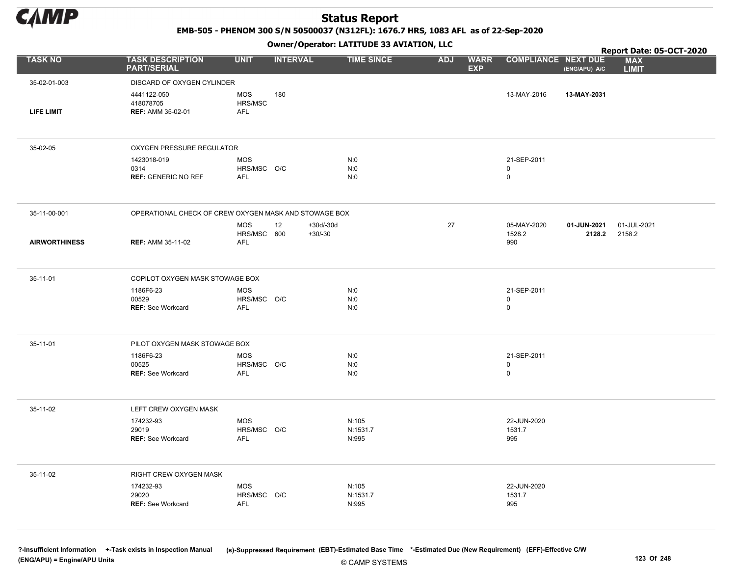

EMB-505 - PHENOM 300 S/N 50500037 (N312FL): 1676.7 HRS, 1083 AFL as of 22-Sep-2020

Owner/Operator: LATITUDE 33 AVIATION, LLC

|                      |                                                       |                                  |                 |                        | Owner / Operator. EATTTODE 33 AVIATION, LLC |            |                           |                              |                       | Report Date: 05-OCT-2020   |
|----------------------|-------------------------------------------------------|----------------------------------|-----------------|------------------------|---------------------------------------------|------------|---------------------------|------------------------------|-----------------------|----------------------------|
| <b>TASK NO</b>       | <b>TASK DESCRIPTION</b><br><b>PART/SERIAL</b>         | <b>UNIT</b>                      | <b>INTERVAL</b> |                        | <b>TIME SINCE</b>                           | <b>ADJ</b> | <b>WARR</b><br><b>EXP</b> | <b>COMPLIANCE NEXT DUE</b>   | (ENG/APU) A/C         | <b>MAX</b><br><b>LIMIT</b> |
| 35-02-01-003         | DISCARD OF OXYGEN CYLINDER                            |                                  |                 |                        |                                             |            |                           |                              |                       |                            |
| <b>LIFE LIMIT</b>    | 4441122-050<br>418078705<br><b>REF: AMM 35-02-01</b>  | <b>MOS</b><br>HRS/MSC<br>AFL     | 180             |                        |                                             |            |                           | 13-MAY-2016                  | 13-MAY-2031           |                            |
|                      |                                                       |                                  |                 |                        |                                             |            |                           |                              |                       |                            |
| 35-02-05             | OXYGEN PRESSURE REGULATOR                             |                                  |                 |                        |                                             |            |                           |                              |                       |                            |
|                      | 1423018-019<br>0314<br><b>REF: GENERIC NO REF</b>     | MOS<br>HRS/MSC O/C<br>AFL        |                 |                        | N:0<br>N:0<br>N:0                           |            |                           | 21-SEP-2011<br>0<br>0        |                       |                            |
| 35-11-00-001         | OPERATIONAL CHECK OF CREW OXYGEN MASK AND STOWAGE BOX |                                  |                 |                        |                                             |            |                           |                              |                       |                            |
| <b>AIRWORTHINESS</b> | <b>REF: AMM 35-11-02</b>                              | MOS<br>HRS/MSC 600<br>AFL        | 12              | +30d/-30d<br>$+30/-30$ |                                             | 27         |                           | 05-MAY-2020<br>1528.2<br>990 | 01-JUN-2021<br>2128.2 | 01-JUL-2021<br>2158.2      |
| 35-11-01             | COPILOT OXYGEN MASK STOWAGE BOX                       |                                  |                 |                        |                                             |            |                           |                              |                       |                            |
|                      | 1186F6-23<br>00529<br><b>REF: See Workcard</b>        | MOS<br>HRS/MSC O/C<br>AFL        |                 |                        | N:0<br>N:0<br>N:0                           |            |                           | 21-SEP-2011<br>0<br>0        |                       |                            |
| 35-11-01             | PILOT OXYGEN MASK STOWAGE BOX                         |                                  |                 |                        |                                             |            |                           |                              |                       |                            |
|                      | 1186F6-23<br>00525<br><b>REF: See Workcard</b>        | MOS<br>HRS/MSC O/C<br>AFL        |                 |                        | N:0<br>N:0<br>N:0                           |            |                           | 21-SEP-2011<br>0<br>0        |                       |                            |
| 35-11-02             | LEFT CREW OXYGEN MASK                                 |                                  |                 |                        |                                             |            |                           |                              |                       |                            |
|                      | 174232-93<br>29019<br><b>REF: See Workcard</b>        | MOS<br>HRS/MSC O/C<br>AFL        |                 |                        | N:105<br>N:1531.7<br>N:995                  |            |                           | 22-JUN-2020<br>1531.7<br>995 |                       |                            |
| 35-11-02             | RIGHT CREW OXYGEN MASK                                |                                  |                 |                        |                                             |            |                           |                              |                       |                            |
|                      | 174232-93<br>29020<br><b>REF: See Workcard</b>        | <b>MOS</b><br>HRS/MSC O/C<br>AFL |                 |                        | N:105<br>N:1531.7<br>N:995                  |            |                           | 22-JUN-2020<br>1531.7<br>995 |                       |                            |
|                      |                                                       |                                  |                 |                        |                                             |            |                           |                              |                       |                            |

© CAMP SYSTEMS ?-Insufficient Information +-Task exists in Inspection Manual (s)-Suppressed Requirement (EBT)-Estimated Base Time \*-Estimated Due (New Requirement) (EFF)-Effective C/W (ENG/APU) = Engine/APU Units 123 Of 248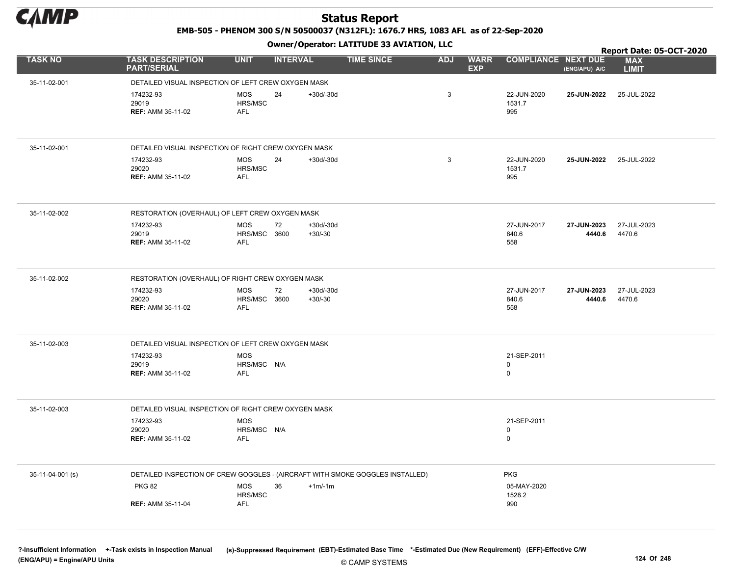

EMB-505 - PHENOM 300 S/N 50500037 (N312FL): 1676.7 HRS, 1083 AFL as of 22-Sep-2020

Owner/Operator: LATITUDE 33 AVIATION, LLC

|                  |                                                                               |                                          | .               |                          |                   |            |                           |                                           |                       | Report Date: 05-OCT-2020   |
|------------------|-------------------------------------------------------------------------------|------------------------------------------|-----------------|--------------------------|-------------------|------------|---------------------------|-------------------------------------------|-----------------------|----------------------------|
| <b>TASK NO</b>   | <b>TASK DESCRIPTION</b><br><b>PART/SERIAL</b>                                 | <b>UNIT</b>                              | <b>INTERVAL</b> |                          | <b>TIME SINCE</b> | <b>ADJ</b> | <b>WARR</b><br><b>EXP</b> | <b>COMPLIANCE NEXT DUE</b>                | (ENG/APU) A/C         | <b>MAX</b><br><b>LIMIT</b> |
| 35-11-02-001     | DETAILED VISUAL INSPECTION OF LEFT CREW OXYGEN MASK                           |                                          |                 |                          |                   |            |                           |                                           |                       |                            |
|                  | 174232-93<br>29019<br><b>REF: AMM 35-11-02</b>                                | <b>MOS</b><br>HRS/MSC<br><b>AFL</b>      | 24              | $+30d/-30d$              |                   | 3          |                           | 22-JUN-2020<br>1531.7<br>995              | 25-JUN-2022           | 25-JUL-2022                |
| 35-11-02-001     | DETAILED VISUAL INSPECTION OF RIGHT CREW OXYGEN MASK                          |                                          |                 |                          |                   |            |                           |                                           |                       |                            |
|                  | 174232-93<br>29020<br><b>REF: AMM 35-11-02</b>                                | <b>MOS</b><br>HRS/MSC<br><b>AFL</b>      | 24              | $+30d/-30d$              |                   | 3          |                           | 22-JUN-2020<br>1531.7<br>995              | <b>25-JUN-2022</b>    | 25-JUL-2022                |
| 35-11-02-002     | RESTORATION (OVERHAUL) OF LEFT CREW OXYGEN MASK                               |                                          |                 |                          |                   |            |                           |                                           |                       |                            |
|                  | 174232-93<br>29019<br><b>REF: AMM 35-11-02</b>                                | <b>MOS</b><br>HRS/MSC 3600<br><b>AFL</b> | 72              | $+30d/-30d$<br>$+30/-30$ |                   |            |                           | 27-JUN-2017<br>840.6<br>558               | 27-JUN-2023<br>4440.6 | 27-JUL-2023<br>4470.6      |
| 35-11-02-002     | RESTORATION (OVERHAUL) OF RIGHT CREW OXYGEN MASK                              |                                          |                 |                          |                   |            |                           |                                           |                       |                            |
|                  | 174232-93<br>29020<br><b>REF: AMM 35-11-02</b>                                | <b>MOS</b><br>HRS/MSC 3600<br><b>AFL</b> | 72              | $+30d/-30d$<br>$+30/-30$ |                   |            |                           | 27-JUN-2017<br>840.6<br>558               | 27-JUN-2023<br>4440.6 | 27-JUL-2023<br>4470.6      |
| 35-11-02-003     | DETAILED VISUAL INSPECTION OF LEFT CREW OXYGEN MASK                           |                                          |                 |                          |                   |            |                           |                                           |                       |                            |
|                  | 174232-93<br>29019<br><b>REF: AMM 35-11-02</b>                                | <b>MOS</b><br>HRS/MSC N/A<br><b>AFL</b>  |                 |                          |                   |            |                           | 21-SEP-2011<br>0<br>$\mathsf 0$           |                       |                            |
| 35-11-02-003     | DETAILED VISUAL INSPECTION OF RIGHT CREW OXYGEN MASK                          |                                          |                 |                          |                   |            |                           |                                           |                       |                            |
|                  | 174232-93<br>29020<br><b>REF: AMM 35-11-02</b>                                | MOS<br>HRS/MSC N/A<br><b>AFL</b>         |                 |                          |                   |            |                           | 21-SEP-2011<br>$\mathbf 0$<br>$\mathbf 0$ |                       |                            |
| 35-11-04-001 (s) | DETAILED INSPECTION OF CREW GOGGLES - (AIRCRAFT WITH SMOKE GOGGLES INSTALLED) |                                          |                 |                          |                   |            |                           | <b>PKG</b>                                |                       |                            |
|                  | <b>PKG 82</b>                                                                 | <b>MOS</b><br>HRS/MSC                    | 36              | $+1m/1m$                 |                   |            |                           | 05-MAY-2020<br>1528.2                     |                       |                            |
|                  | <b>REF: AMM 35-11-04</b>                                                      | <b>AFL</b>                               |                 |                          |                   |            |                           | 990                                       |                       |                            |

© CAMP SYSTEMS ?-Insufficient Information +-Task exists in Inspection Manual (s)-Suppressed Requirement (EBT)-Estimated Base Time \*-Estimated Due (New Requirement) (EFF)-Effective C/W (ENG/APU) = Engine/APU Units 124 Of 248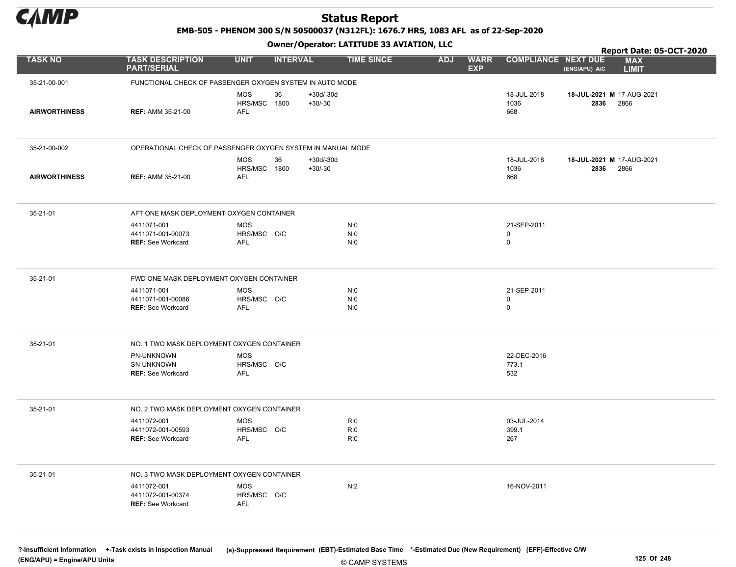

EMB-505 - PHENOM 300 S/N 50500037 (N312FL): 1676.7 HRS, 1083 AFL as of 22-Sep-2020

Owner/Operator: LATITUDE 33 AVIATION, LLC

|                      |                                                              |                                                |                        | Owner/Operator. EATITODE 33 AVIATION, LLC |            |                           | Report Date: 05-OCT-2020                  |                                   |                            |  |
|----------------------|--------------------------------------------------------------|------------------------------------------------|------------------------|-------------------------------------------|------------|---------------------------|-------------------------------------------|-----------------------------------|----------------------------|--|
| <b>TASK NO</b>       | <b>TASK DESCRIPTION</b><br><b>PART/SERIAL</b>                | <b>UNIT</b><br><b>INTERVAL</b>                 |                        | <b>TIME SINCE</b>                         | <b>ADJ</b> | <b>WARR</b><br><b>EXP</b> | <b>COMPLIANCE NEXT DUE</b>                | (ENG/APU) A/C                     | <b>MAX</b><br><b>LIMIT</b> |  |
| 35-21-00-001         | FUNCTIONAL CHECK OF PASSENGER OXYGEN SYSTEM IN AUTO MODE     |                                                |                        |                                           |            |                           |                                           |                                   |                            |  |
| <b>AIRWORTHINESS</b> | <b>REF: AMM 35-21-00</b>                                     | 36<br><b>MOS</b><br>HRS/MSC 1800<br><b>AFL</b> | +30d/-30d<br>$+30/-30$ |                                           |            |                           | 18-JUL-2018<br>1036<br>668                | 18-JUL-2021 M 17-AUG-2021<br>2836 | 2866                       |  |
| 35-21-00-002         | OPERATIONAL CHECK OF PASSENGER OXYGEN SYSTEM IN MANUAL MODE  |                                                |                        |                                           |            |                           |                                           |                                   |                            |  |
| <b>AIRWORTHINESS</b> | <b>REF: AMM 35-21-00</b>                                     | MOS<br>36<br>HRS/MSC 1800<br><b>AFL</b>        | +30d/-30d<br>$+30/-30$ |                                           |            |                           | 18-JUL-2018<br>1036<br>668                | 18-JUL-2021 M 17-AUG-2021<br>2836 | 2866                       |  |
| 35-21-01             | AFT ONE MASK DEPLOYMENT OXYGEN CONTAINER                     |                                                |                        |                                           |            |                           |                                           |                                   |                            |  |
|                      | 4411071-001<br>4411071-001-00073<br><b>REF: See Workcard</b> | <b>MOS</b><br>HRS/MSC O/C<br><b>AFL</b>        |                        | N:0<br>N:0<br>N:0                         |            |                           | 21-SEP-2011<br>$\mathbf 0$<br>$\mathbf 0$ |                                   |                            |  |
| 35-21-01             | FWD ONE MASK DEPLOYMENT OXYGEN CONTAINER                     |                                                |                        |                                           |            |                           |                                           |                                   |                            |  |
|                      | 4411071-001<br>4411071-001-00086<br><b>REF: See Workcard</b> | <b>MOS</b><br>HRS/MSC O/C<br><b>AFL</b>        |                        | N:0<br>N:0<br>N:0                         |            |                           | 21-SEP-2011<br>$\mathbf 0$<br>$\mathbf 0$ |                                   |                            |  |
| 35-21-01             | NO. 1 TWO MASK DEPLOYMENT OXYGEN CONTAINER                   |                                                |                        |                                           |            |                           |                                           |                                   |                            |  |
|                      | PN-UNKNOWN<br>SN-UNKNOWN<br><b>REF: See Workcard</b>         | <b>MOS</b><br>HRS/MSC O/C<br><b>AFL</b>        |                        |                                           |            |                           | 22-DEC-2016<br>773.1<br>532               |                                   |                            |  |
| 35-21-01             | NO. 2 TWO MASK DEPLOYMENT OXYGEN CONTAINER                   |                                                |                        |                                           |            |                           |                                           |                                   |                            |  |
|                      | 4411072-001<br>4411072-001-00593<br><b>REF: See Workcard</b> | <b>MOS</b><br>HRS/MSC O/C<br><b>AFL</b>        |                        | R:0<br>R:0<br>R:0                         |            |                           | 03-JUL-2014<br>399.1<br>267               |                                   |                            |  |
| 35-21-01             | NO. 3 TWO MASK DEPLOYMENT OXYGEN CONTAINER                   |                                                |                        |                                           |            |                           |                                           |                                   |                            |  |
|                      | 4411072-001<br>4411072-001-00374<br><b>REF: See Workcard</b> | <b>MOS</b><br>HRS/MSC O/C<br><b>AFL</b>        |                        | N:2                                       |            |                           | 16-NOV-2011                               |                                   |                            |  |

© CAMP SYSTEMS ?-Insufficient Information +-Task exists in Inspection Manual (s)-Suppressed Requirement (EBT)-Estimated Base Time \*-Estimated Due (New Requirement) (EFF)-Effective C/W (ENG/APU) = Engine/APU Units 125 Of 248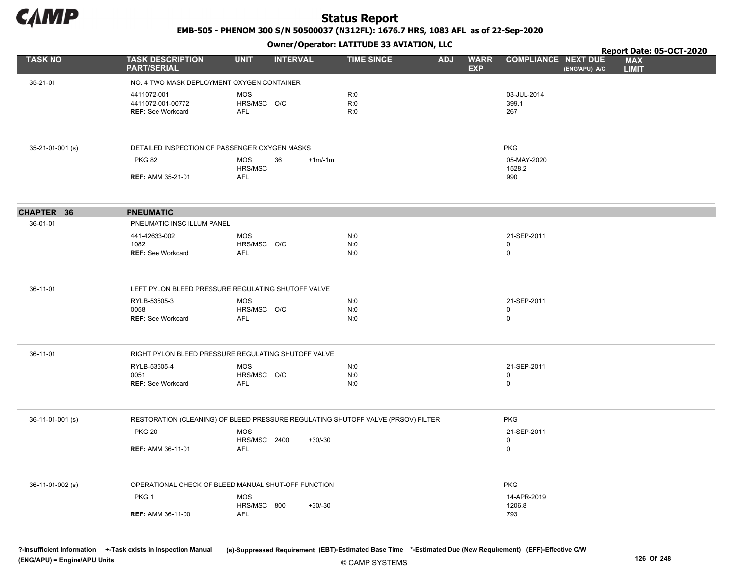

EMB-505 - PHENOM 300 S/N 50500037 (N312FL): 1676.7 HRS, 1083 AFL as of 22-Sep-2020

Owner/Operator: LATITUDE 33 AVIATION, LLC

|                  |                                               | - - -                                                                            |                   |                                         |                                             | Report Date: 05-OCT-2020   |
|------------------|-----------------------------------------------|----------------------------------------------------------------------------------|-------------------|-----------------------------------------|---------------------------------------------|----------------------------|
| <b>TASK NO</b>   | <b>TASK DESCRIPTION</b><br><b>PART/SERIAL</b> | <b>UNIT</b><br><b>INTERVAL</b>                                                   | <b>TIME SINCE</b> | <b>WARR</b><br><b>ADJ</b><br><b>EXP</b> | <b>COMPLIANCE NEXT DUE</b><br>(ENG/APU) A/C | <b>MAX</b><br><b>LIMIT</b> |
| 35-21-01         | NO. 4 TWO MASK DEPLOYMENT OXYGEN CONTAINER    |                                                                                  |                   |                                         |                                             |                            |
|                  | 4411072-001                                   | <b>MOS</b>                                                                       | R:0               |                                         | 03-JUL-2014                                 |                            |
|                  | 4411072-001-00772                             | HRS/MSC O/C                                                                      | R:0               |                                         | 399.1                                       |                            |
|                  | REF: See Workcard                             | <b>AFL</b>                                                                       | R:0               |                                         | 267                                         |                            |
| 35-21-01-001 (s) |                                               | DETAILED INSPECTION OF PASSENGER OXYGEN MASKS                                    |                   |                                         | <b>PKG</b>                                  |                            |
|                  | <b>PKG 82</b>                                 | <b>MOS</b><br>36<br>$+1m/1m$                                                     |                   |                                         | 05-MAY-2020                                 |                            |
|                  | <b>REF: AMM 35-21-01</b>                      | HRS/MSC<br><b>AFL</b>                                                            |                   |                                         | 1528.2<br>990                               |                            |
|                  |                                               |                                                                                  |                   |                                         |                                             |                            |
| CHAPTER 36       | <b>PNEUMATIC</b>                              |                                                                                  |                   |                                         |                                             |                            |
| 36-01-01         | PNEUMATIC INSC ILLUM PANEL                    |                                                                                  |                   |                                         |                                             |                            |
|                  | 441-42633-002                                 | <b>MOS</b>                                                                       | N:0               |                                         | 21-SEP-2011                                 |                            |
|                  | 1082<br><b>REF: See Workcard</b>              | HRS/MSC O/C<br><b>AFL</b>                                                        | N:0<br>N:0        |                                         | 0<br>$\mathsf{O}$                           |                            |
|                  |                                               |                                                                                  |                   |                                         |                                             |                            |
| 36-11-01         |                                               | LEFT PYLON BLEED PRESSURE REGULATING SHUTOFF VALVE                               |                   |                                         |                                             |                            |
|                  | RYLB-53505-3                                  | <b>MOS</b>                                                                       | N:0               |                                         | 21-SEP-2011                                 |                            |
|                  | 0058<br><b>REF: See Workcard</b>              | HRS/MSC O/C<br><b>AFL</b>                                                        | N:0<br>N:0        |                                         | $\pmb{0}$<br>0                              |                            |
|                  |                                               |                                                                                  |                   |                                         |                                             |                            |
| 36-11-01         |                                               | RIGHT PYLON BLEED PRESSURE REGULATING SHUTOFF VALVE                              |                   |                                         |                                             |                            |
|                  | RYLB-53505-4                                  | <b>MOS</b>                                                                       | N:0               |                                         | 21-SEP-2011                                 |                            |
|                  | 0051<br><b>REF: See Workcard</b>              | HRS/MSC O/C<br>AFL                                                               | N:0<br>N:0        |                                         | 0<br>0                                      |                            |
|                  |                                               |                                                                                  |                   |                                         |                                             |                            |
| 36-11-01-001 (s) |                                               | RESTORATION (CLEANING) OF BLEED PRESSURE REGULATING SHUTOFF VALVE (PRSOV) FILTER |                   |                                         | <b>PKG</b>                                  |                            |
|                  | <b>PKG 20</b>                                 | <b>MOS</b>                                                                       |                   |                                         | 21-SEP-2011                                 |                            |
|                  | <b>REF: AMM 36-11-01</b>                      | HRS/MSC 2400<br>$+30/-30$<br>AFL                                                 |                   |                                         | 0<br>$\mathsf{O}$                           |                            |
|                  |                                               |                                                                                  |                   |                                         |                                             |                            |
| 36-11-01-002 (s) |                                               | OPERATIONAL CHECK OF BLEED MANUAL SHUT-OFF FUNCTION                              |                   |                                         | <b>PKG</b>                                  |                            |
|                  | PKG <sub>1</sub>                              | <b>MOS</b>                                                                       |                   |                                         | 14-APR-2019                                 |                            |
|                  |                                               | HRS/MSC 800<br>$+30/-30$                                                         |                   |                                         | 1206.8                                      |                            |
|                  | <b>REF: AMM 36-11-00</b>                      | AFL                                                                              |                   |                                         | 793                                         |                            |

© CAMP SYSTEMS ?-Insufficient Information +-Task exists in Inspection Manual (s)-Suppressed Requirement (EBT)-Estimated Base Time \*-Estimated Due (New Requirement) (EFF)-Effective C/W (ENG/APU) = Engine/APU Units 126 Of 248 Production of the contract of the contract of the contract of the contract of the contract of the contract of the contract of the contract of the contract of the contract of the con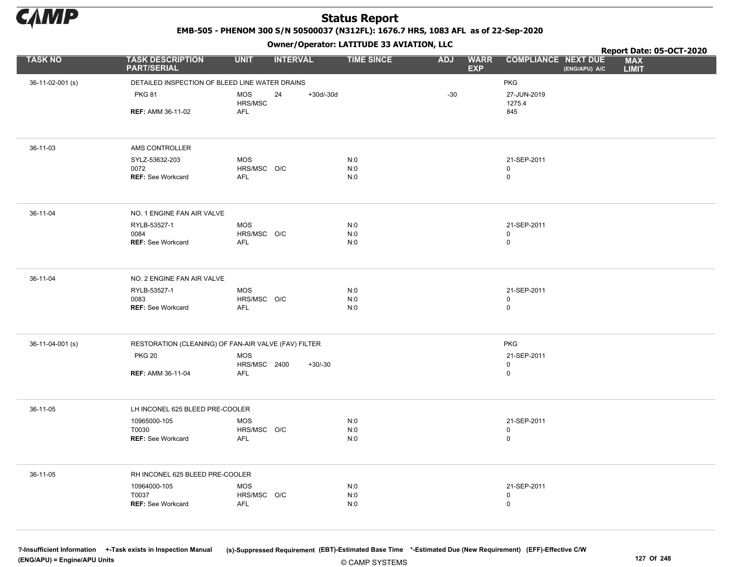

EMB-505 - PHENOM 300 S/N 50500037 (N312FL): 1676.7 HRS, 1083 AFL as of 22-Sep-2020

Owner/Operator: LATITUDE 33 AVIATION, LLC

|                  |                                                      |                            | .                 |                   |                                         | Report Date: 05-OCT-2020                                                  |
|------------------|------------------------------------------------------|----------------------------|-------------------|-------------------|-----------------------------------------|---------------------------------------------------------------------------|
| <b>TASK NO</b>   | <b>TASK DESCRIPTION</b><br><b>PART/SERIAL</b>        | <b>UNIT</b>                | <b>INTERVAL</b>   | <b>TIME SINCE</b> | <b>ADJ</b><br><b>WARR</b><br><b>EXP</b> | <b>COMPLIANCE NEXT DUE</b><br><b>MAX</b><br>(ENG/APU) A/C<br><b>LIMIT</b> |
| 36-11-02-001 (s) | DETAILED INSPECTION OF BLEED LINE WATER DRAINS       |                            |                   |                   |                                         | <b>PKG</b>                                                                |
|                  | <b>PKG 81</b>                                        | <b>MOS</b><br>HRS/MSC      | $+30d/-30d$<br>24 |                   | $-30$                                   | 27-JUN-2019<br>1275.4                                                     |
|                  | <b>REF: AMM 36-11-02</b>                             | <b>AFL</b>                 |                   |                   |                                         | 845                                                                       |
|                  |                                                      |                            |                   |                   |                                         |                                                                           |
| 36-11-03         | AMS CONTROLLER                                       |                            |                   |                   |                                         |                                                                           |
|                  | SYLZ-53632-203<br>0072                               | <b>MOS</b><br>HRS/MSC O/C  |                   | N:0<br>N:0        |                                         | 21-SEP-2011<br>0                                                          |
|                  | <b>REF: See Workcard</b>                             | <b>AFL</b>                 |                   | N:0               |                                         | $\mathsf{O}$                                                              |
|                  |                                                      |                            |                   |                   |                                         |                                                                           |
| 36-11-04         | NO. 1 ENGINE FAN AIR VALVE                           |                            |                   |                   |                                         |                                                                           |
|                  | RYLB-53527-1                                         | <b>MOS</b>                 |                   | N:0               |                                         | 21-SEP-2011                                                               |
|                  | 0084<br><b>REF: See Workcard</b>                     | HRS/MSC O/C<br><b>AFL</b>  |                   | N:0<br>N:0        |                                         | 0<br>$\mathsf{O}$                                                         |
|                  |                                                      |                            |                   |                   |                                         |                                                                           |
| 36-11-04         | NO. 2 ENGINE FAN AIR VALVE                           |                            |                   |                   |                                         |                                                                           |
|                  | RYLB-53527-1<br>0083                                 | <b>MOS</b><br>HRS/MSC O/C  |                   | N:0<br>N:0        |                                         | 21-SEP-2011<br>0                                                          |
|                  | <b>REF: See Workcard</b>                             | <b>AFL</b>                 |                   | N:0               |                                         | 0                                                                         |
|                  |                                                      |                            |                   |                   |                                         |                                                                           |
| 36-11-04-001 (s) | RESTORATION (CLEANING) OF FAN-AIR VALVE (FAV) FILTER |                            |                   |                   |                                         | <b>PKG</b>                                                                |
|                  | <b>PKG 20</b>                                        | <b>MOS</b><br>HRS/MSC 2400 | $+30/-30$         |                   |                                         | 21-SEP-2011<br>0                                                          |
|                  | <b>REF: AMM 36-11-04</b>                             | AFL                        |                   |                   |                                         | 0                                                                         |
|                  |                                                      |                            |                   |                   |                                         |                                                                           |
| 36-11-05         | LH INCONEL 625 BLEED PRE-COOLER                      |                            |                   |                   |                                         |                                                                           |
|                  | 10965000-105                                         | <b>MOS</b>                 |                   | N:0               |                                         | 21-SEP-2011                                                               |
|                  | T0030<br><b>REF: See Workcard</b>                    | HRS/MSC O/C<br>AFL         |                   | N:0<br>N:0        |                                         | 0<br>0                                                                    |
|                  |                                                      |                            |                   |                   |                                         |                                                                           |
| 36-11-05         | RH INCONEL 625 BLEED PRE-COOLER                      |                            |                   |                   |                                         |                                                                           |
|                  | 10964000-105                                         | <b>MOS</b>                 |                   | N:0               |                                         | 21-SEP-2011                                                               |
|                  | T0037<br><b>REF: See Workcard</b>                    | HRS/MSC O/C<br>AFL         |                   | N:0<br>N:0        |                                         | 0<br>0                                                                    |
|                  |                                                      |                            |                   |                   |                                         |                                                                           |
|                  |                                                      |                            |                   |                   |                                         |                                                                           |

© CAMP SYSTEMS ?-Insufficient Information +-Task exists in Inspection Manual (s)-Suppressed Requirement (EBT)-Estimated Base Time \*-Estimated Due (New Requirement) (EFF)-Effective C/W (ENG/APU) = Engine/APU Units 127 Of 248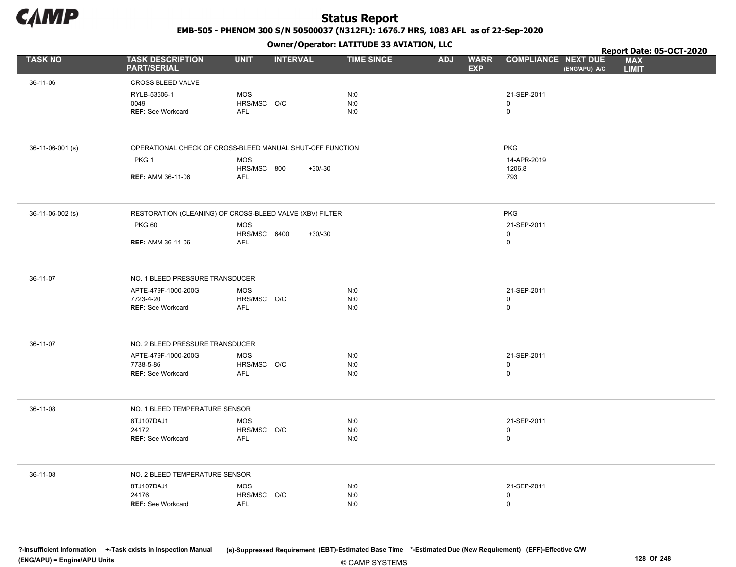

EMB-505 - PHENOM 300 S/N 50500037 (N312FL): 1676.7 HRS, 1083 AFL as of 22-Sep-2020

Owner/Operator: LATITUDE 33 AVIATION, LLC

|                  |                                                           |                                | Owner/Operator. EATITODE 33 AVIATION, LLC |                                         |                                    |                                             | Report Date: 05-OCT-2020 |
|------------------|-----------------------------------------------------------|--------------------------------|-------------------------------------------|-----------------------------------------|------------------------------------|---------------------------------------------|--------------------------|
| <b>TASK NO</b>   | <b>TASK DESCRIPTION</b><br><b>PART/SERIAL</b>             | <b>UNIT</b><br><b>INTERVAL</b> | <b>TIME SINCE</b>                         | <b>ADJ</b><br><b>WARR</b><br><b>EXP</b> | <b>COMPLIANCE NEXT DUE</b>         | <b>MAX</b><br><b>LIMIT</b><br>(ENG/APU) A/C |                          |
| 36-11-06         | CROSS BLEED VALVE                                         |                                |                                           |                                         |                                    |                                             |                          |
|                  | RYLB-53506-1                                              | <b>MOS</b>                     | N:0                                       |                                         | 21-SEP-2011                        |                                             |                          |
|                  | 0049<br><b>REF: See Workcard</b>                          | HRS/MSC O/C<br><b>AFL</b>      | N:0<br>N:0                                |                                         | $\mathbf 0$<br>$\mathsf 0$         |                                             |                          |
|                  |                                                           |                                |                                           |                                         |                                    |                                             |                          |
| 36-11-06-001 (s) | OPERATIONAL CHECK OF CROSS-BLEED MANUAL SHUT-OFF FUNCTION |                                |                                           |                                         | <b>PKG</b>                         |                                             |                          |
|                  | PKG <sub>1</sub>                                          | <b>MOS</b><br>HRS/MSC 800      | $+30/-30$                                 |                                         | 14-APR-2019<br>1206.8              |                                             |                          |
|                  | <b>REF: AMM 36-11-06</b>                                  | <b>AFL</b>                     |                                           |                                         | 793                                |                                             |                          |
|                  |                                                           |                                |                                           |                                         |                                    |                                             |                          |
| 36-11-06-002 (s) | RESTORATION (CLEANING) OF CROSS-BLEED VALVE (XBV) FILTER  |                                |                                           |                                         | <b>PKG</b>                         |                                             |                          |
|                  | <b>PKG 60</b>                                             | <b>MOS</b>                     |                                           |                                         | 21-SEP-2011<br>$\mathsf 0$         |                                             |                          |
|                  | <b>REF: AMM 36-11-06</b>                                  | HRS/MSC 6400<br><b>AFL</b>     | $+30/-30$                                 |                                         | $\mathbf 0$                        |                                             |                          |
|                  |                                                           |                                |                                           |                                         |                                    |                                             |                          |
| 36-11-07         | NO. 1 BLEED PRESSURE TRANSDUCER                           |                                |                                           |                                         |                                    |                                             |                          |
|                  | APTE-479F-1000-200G<br>7723-4-20                          | <b>MOS</b><br>HRS/MSC O/C      | N:0<br>N:0                                |                                         | 21-SEP-2011<br>$\mathbf 0$         |                                             |                          |
|                  | REF: See Workcard                                         | AFL                            | N:0                                       |                                         | $\mathsf 0$                        |                                             |                          |
|                  |                                                           |                                |                                           |                                         |                                    |                                             |                          |
| 36-11-07         | NO. 2 BLEED PRESSURE TRANSDUCER                           |                                |                                           |                                         |                                    |                                             |                          |
|                  | APTE-479F-1000-200G                                       | <b>MOS</b>                     | N:0                                       |                                         | 21-SEP-2011                        |                                             |                          |
|                  | 7738-5-86<br><b>REF: See Workcard</b>                     | HRS/MSC O/C<br><b>AFL</b>      | N:0<br>N:0                                |                                         | $\mathbf 0$<br>$\mathbf 0$         |                                             |                          |
|                  |                                                           |                                |                                           |                                         |                                    |                                             |                          |
| 36-11-08         | NO. 1 BLEED TEMPERATURE SENSOR                            |                                |                                           |                                         |                                    |                                             |                          |
|                  | 8TJ107DAJ1                                                | <b>MOS</b>                     | N:0                                       |                                         | 21-SEP-2011                        |                                             |                          |
|                  | 24172<br><b>REF: See Workcard</b>                         | HRS/MSC O/C<br>AFL             | N:0<br>N:0                                |                                         | $\mathsf 0$<br>$\mathbf 0$         |                                             |                          |
|                  |                                                           |                                |                                           |                                         |                                    |                                             |                          |
| 36-11-08         | NO. 2 BLEED TEMPERATURE SENSOR                            |                                |                                           |                                         |                                    |                                             |                          |
|                  | 8TJ107DAJ1                                                | <b>MOS</b>                     | N:0                                       |                                         | 21-SEP-2011                        |                                             |                          |
|                  | 24176<br>REF: See Workcard                                | HRS/MSC O/C<br><b>AFL</b>      | N:0<br>N:0                                |                                         | $\mathbf 0$<br>$\mathsf{O}\xspace$ |                                             |                          |
|                  |                                                           |                                |                                           |                                         |                                    |                                             |                          |
|                  |                                                           |                                |                                           |                                         |                                    |                                             |                          |

© CAMP SYSTEMS ?-Insufficient Information +-Task exists in Inspection Manual (s)-Suppressed Requirement (EBT)-Estimated Base Time \*-Estimated Due (New Requirement) (EFF)-Effective C/W (ENG/APU) = Engine/APU Units 128 Of 248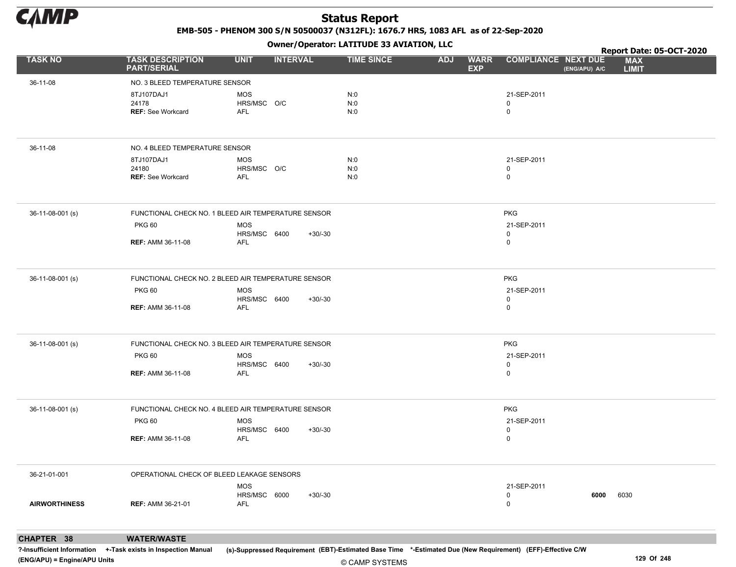

EMB-505 - PHENOM 300 S/N 50500037 (N312FL): 1676.7 HRS, 1083 AFL as of 22-Sep-2020

Owner/Operator: LATITUDE 33 AVIATION, LLC

|                      |                                               | . <i>.</i>                                          |                   |                                         |                                             | Report Date: 05-OCT-2020   |
|----------------------|-----------------------------------------------|-----------------------------------------------------|-------------------|-----------------------------------------|---------------------------------------------|----------------------------|
| <b>TASK NO</b>       | <b>TASK DESCRIPTION</b><br><b>PART/SERIAL</b> | <b>UNIT</b><br><b>INTERVAL</b>                      | <b>TIME SINCE</b> | <b>ADJ</b><br><b>WARR</b><br><b>EXP</b> | <b>COMPLIANCE NEXT DUE</b><br>(ENG/APU) A/C | <b>MAX</b><br><b>LIMIT</b> |
| 36-11-08             | NO. 3 BLEED TEMPERATURE SENSOR                |                                                     |                   |                                         |                                             |                            |
|                      | 8TJ107DAJ1                                    | MOS                                                 | N:0               |                                         | 21-SEP-2011                                 |                            |
|                      | 24178                                         | HRS/MSC O/C                                         | N:0               |                                         | 0                                           |                            |
|                      | <b>REF: See Workcard</b>                      | <b>AFL</b>                                          | N:0               |                                         | $\mathbf 0$                                 |                            |
|                      |                                               |                                                     |                   |                                         |                                             |                            |
| 36-11-08             | NO. 4 BLEED TEMPERATURE SENSOR                |                                                     |                   |                                         |                                             |                            |
|                      | 8TJ107DAJ1                                    | <b>MOS</b>                                          | N:0               |                                         | 21-SEP-2011                                 |                            |
|                      | 24180                                         | HRS/MSC O/C                                         | N:0               |                                         | 0                                           |                            |
|                      | <b>REF: See Workcard</b>                      | <b>AFL</b>                                          | N:0               |                                         | $\mathbf 0$                                 |                            |
| 36-11-08-001 (s)     |                                               | FUNCTIONAL CHECK NO. 1 BLEED AIR TEMPERATURE SENSOR |                   |                                         | <b>PKG</b>                                  |                            |
|                      | <b>PKG 60</b>                                 | MOS                                                 |                   |                                         | 21-SEP-2011                                 |                            |
|                      |                                               | HRS/MSC 6400<br>$+30/-30$                           |                   |                                         | $\mathbf 0$                                 |                            |
|                      | <b>REF: AMM 36-11-08</b>                      | <b>AFL</b>                                          |                   |                                         | $\mathbf 0$                                 |                            |
| 36-11-08-001 (s)     |                                               | FUNCTIONAL CHECK NO. 2 BLEED AIR TEMPERATURE SENSOR |                   |                                         | <b>PKG</b>                                  |                            |
|                      | <b>PKG 60</b>                                 | MOS                                                 |                   |                                         | 21-SEP-2011                                 |                            |
|                      |                                               | HRS/MSC 6400<br>$+30/-30$                           |                   |                                         | 0                                           |                            |
|                      | <b>REF: AMM 36-11-08</b>                      | AFL                                                 |                   |                                         | $\mathbf 0$                                 |                            |
| 36-11-08-001 (s)     |                                               | FUNCTIONAL CHECK NO. 3 BLEED AIR TEMPERATURE SENSOR |                   |                                         | <b>PKG</b>                                  |                            |
|                      | <b>PKG 60</b>                                 | <b>MOS</b>                                          |                   |                                         | 21-SEP-2011                                 |                            |
|                      |                                               | HRS/MSC 6400<br>$+30/-30$                           |                   |                                         | 0                                           |                            |
|                      | <b>REF: AMM 36-11-08</b>                      | AFL                                                 |                   |                                         | $\mathbf 0$                                 |                            |
|                      |                                               |                                                     |                   |                                         |                                             |                            |
| 36-11-08-001 (s)     |                                               | FUNCTIONAL CHECK NO. 4 BLEED AIR TEMPERATURE SENSOR |                   |                                         | <b>PKG</b>                                  |                            |
|                      | <b>PKG 60</b>                                 | <b>MOS</b>                                          |                   |                                         | 21-SEP-2011                                 |                            |
|                      |                                               | HRS/MSC 6400<br>$+30/-30$                           |                   |                                         | 0                                           |                            |
|                      | <b>REF: AMM 36-11-08</b>                      | AFL                                                 |                   |                                         | $\mathbf 0$                                 |                            |
| 36-21-01-001         | OPERATIONAL CHECK OF BLEED LEAKAGE SENSORS    |                                                     |                   |                                         |                                             |                            |
|                      |                                               | MOS                                                 |                   |                                         | 21-SEP-2011                                 |                            |
|                      |                                               | HRS/MSC 6000<br>$+30/-30$                           |                   |                                         | 0<br>6000                                   | 6030                       |
| <b>AIRWORTHINESS</b> | <b>REF: AMM 36-21-01</b>                      | <b>AFL</b>                                          |                   |                                         | 0                                           |                            |
|                      |                                               |                                                     |                   |                                         |                                             |                            |

CHAPTER 38 WATER/WASTE

?-Insufficient Information +-Task exists in Inspection Manual (s)-Suppressed Requirement (EBT)-Estimated Base Time \*-Estimated Due (New Requirement) (EFF)-Effective C/W (ENG/APU) = Engine/APU Units 129 Of 248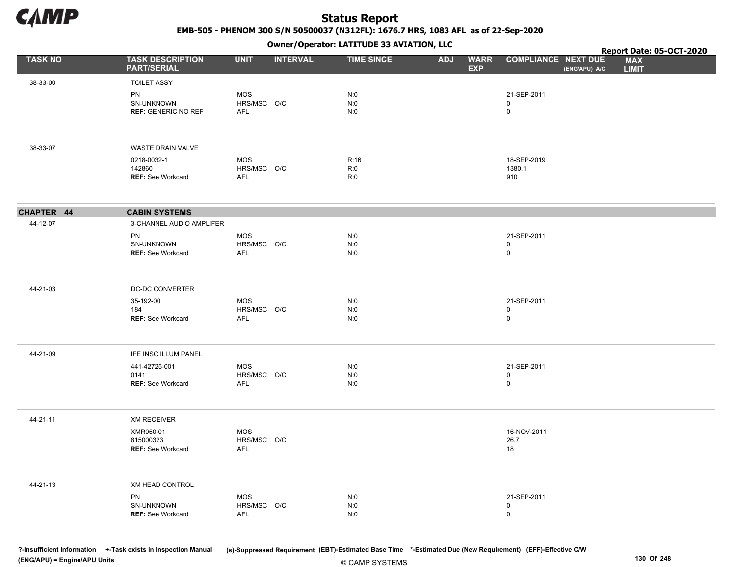

EMB-505 - PHENOM 300 S/N 50500037 (N312FL): 1676.7 HRS, 1083 AFL as of 22-Sep-2020

Owner/Operator: LATITUDE 33 AVIATION, LLC

|                |                                                |                                  | Owner / Operator. LATTTODE 33 AVIATION, LLC |                                         |                                             | Report Date: 05-OCT-2020   |  |
|----------------|------------------------------------------------|----------------------------------|---------------------------------------------|-----------------------------------------|---------------------------------------------|----------------------------|--|
| <b>TASK NO</b> | <b>TASK DESCRIPTION</b><br><b>PART/SERIAL</b>  | <b>UNIT</b>                      | <b>INTERVAL</b><br><b>TIME SINCE</b>        | <b>ADJ</b><br><b>WARR</b><br><b>EXP</b> | <b>COMPLIANCE NEXT DUE</b><br>(ENG/APU) A/C | <b>MAX</b><br><b>LIMIT</b> |  |
| 38-33-00       | <b>TOILET ASSY</b>                             |                                  |                                             |                                         |                                             |                            |  |
|                | PN<br>SN-UNKNOWN<br><b>REF: GENERIC NO REF</b> | <b>MOS</b><br>HRS/MSC O/C<br>AFL | N:0<br>N:0<br>N:0                           |                                         | 21-SEP-2011<br>$\mathbf 0$<br>$\mathsf 0$   |                            |  |
|                |                                                |                                  |                                             |                                         |                                             |                            |  |
| 38-33-07       | WASTE DRAIN VALVE                              |                                  |                                             |                                         |                                             |                            |  |
|                | 0218-0032-1                                    | <b>MOS</b>                       | R:16                                        |                                         | 18-SEP-2019                                 |                            |  |
|                | 142860<br><b>REF: See Workcard</b>             | HRS/MSC O/C<br>AFL               | R:0<br>R:0                                  |                                         | 1380.1<br>910                               |                            |  |
| CHAPTER 44     | <b>CABIN SYSTEMS</b>                           |                                  |                                             |                                         |                                             |                            |  |
| 44-12-07       | 3-CHANNEL AUDIO AMPLIFER                       |                                  |                                             |                                         |                                             |                            |  |
|                | PN                                             | <b>MOS</b>                       | N:0                                         |                                         | 21-SEP-2011                                 |                            |  |
|                | SN-UNKNOWN                                     | HRS/MSC O/C                      | N:0                                         |                                         | $\pmb{0}$<br>$\pmb{0}$                      |                            |  |
|                | <b>REF: See Workcard</b>                       | <b>AFL</b>                       | N:0                                         |                                         |                                             |                            |  |
| 44-21-03       | DC-DC CONVERTER                                |                                  |                                             |                                         |                                             |                            |  |
|                | 35-192-00                                      | <b>MOS</b>                       | N:0                                         |                                         | 21-SEP-2011                                 |                            |  |
|                | 184<br><b>REF: See Workcard</b>                | HRS/MSC O/C<br><b>AFL</b>        | N:0<br>N:0                                  |                                         | 0<br>$\mathsf 0$                            |                            |  |
|                |                                                |                                  |                                             |                                         |                                             |                            |  |
| 44-21-09       | IFE INSC ILLUM PANEL                           |                                  |                                             |                                         |                                             |                            |  |
|                | 441-42725-001<br>0141                          | <b>MOS</b><br>HRS/MSC O/C        | N:0<br>N:0                                  |                                         | 21-SEP-2011<br>$\mathbf 0$                  |                            |  |
|                | <b>REF: See Workcard</b>                       | AFL                              | N:0                                         |                                         | $\pmb{0}$                                   |                            |  |
|                |                                                |                                  |                                             |                                         |                                             |                            |  |
| 44-21-11       | <b>XM RECEIVER</b>                             |                                  |                                             |                                         |                                             |                            |  |
|                | XMR050-01<br>815000323                         | <b>MOS</b><br>HRS/MSC O/C        |                                             |                                         | 16-NOV-2011<br>26.7                         |                            |  |
|                | <b>REF: See Workcard</b>                       | AFL                              |                                             |                                         | 18                                          |                            |  |
|                |                                                |                                  |                                             |                                         |                                             |                            |  |
| 44-21-13       | XM HEAD CONTROL                                |                                  |                                             |                                         |                                             |                            |  |
|                | PN<br>SN-UNKNOWN                               | <b>MOS</b><br>HRS/MSC O/C        | N:0<br>N:0                                  |                                         | 21-SEP-2011<br>$\mathbf 0$                  |                            |  |
|                | <b>REF: See Workcard</b>                       | <b>AFL</b>                       | N:0                                         |                                         | $\mathsf 0$                                 |                            |  |
|                |                                                |                                  |                                             |                                         |                                             |                            |  |

© CAMP SYSTEMS ?-Insufficient Information +-Task exists in Inspection Manual (s)-Suppressed Requirement (EBT)-Estimated Base Time \*-Estimated Due (New Requirement) (EFF)-Effective C/W (ENG/APU) = Engine/APU Units 130 Of 248 and the set of the set of the set of the set of the set of the set of the set of the set of the set of the set of the set of the set of the set of the set of the set of the set of t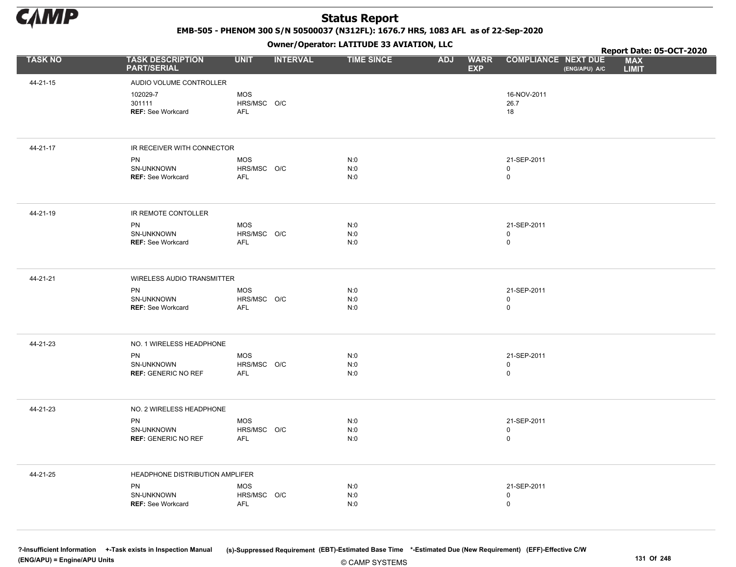

EMB-505 - PHENOM 300 S/N 50500037 (N312FL): 1676.7 HRS, 1083 AFL as of 22-Sep-2020

Owner/Operator: LATITUDE 33 AVIATION, LLC

|                |                                                |                                         |                 | Owner/Operator. EATITODE 33 AVIATION, LLC |                          |             |                                           |               | Report Date: 05-OCT-2020   |
|----------------|------------------------------------------------|-----------------------------------------|-----------------|-------------------------------------------|--------------------------|-------------|-------------------------------------------|---------------|----------------------------|
| <b>TASK NO</b> | <b>TASK DESCRIPTION</b><br><b>PART/SERIAL</b>  | <b>UNIT</b>                             | <b>INTERVAL</b> | <b>TIME SINCE</b>                         | <b>ADJ</b><br><b>EXP</b> | <b>WARR</b> | <b>COMPLIANCE NEXT DUE</b>                | (ENG/APU) A/C | <b>MAX</b><br><b>LIMIT</b> |
| 44-21-15       | AUDIO VOLUME CONTROLLER                        |                                         |                 |                                           |                          |             |                                           |               |                            |
|                | 102029-7<br>301111<br><b>REF: See Workcard</b> | <b>MOS</b><br>HRS/MSC O/C<br><b>AFL</b> |                 |                                           |                          |             | 16-NOV-2011<br>26.7<br>18                 |               |                            |
| 44-21-17       | IR RECEIVER WITH CONNECTOR                     |                                         |                 |                                           |                          |             |                                           |               |                            |
|                | PN<br>SN-UNKNOWN<br><b>REF: See Workcard</b>   | <b>MOS</b><br>HRS/MSC O/C<br>AFL        |                 | N:0<br>N:0<br>N:0                         |                          |             | 21-SEP-2011<br>$\mathbf 0$<br>$\pmb{0}$   |               |                            |
| 44-21-19       | IR REMOTE CONTOLLER                            |                                         |                 |                                           |                          |             |                                           |               |                            |
|                | PN<br>SN-UNKNOWN<br><b>REF: See Workcard</b>   | MOS<br>HRS/MSC O/C<br><b>AFL</b>        |                 | N:0<br>N:0<br>N:0                         |                          |             | 21-SEP-2011<br>$\mathsf 0$<br>$\pmb{0}$   |               |                            |
| 44-21-21       | WIRELESS AUDIO TRANSMITTER                     |                                         |                 |                                           |                          |             |                                           |               |                            |
|                | PN<br>SN-UNKNOWN<br><b>REF: See Workcard</b>   | <b>MOS</b><br>HRS/MSC O/C<br>AFL        |                 | N:0<br>N:0<br>N:0                         |                          |             | 21-SEP-2011<br>$\pmb{0}$<br>$\mathsf 0$   |               |                            |
| 44-21-23       | NO. 1 WIRELESS HEADPHONE                       |                                         |                 |                                           |                          |             |                                           |               |                            |
|                | PN<br>SN-UNKNOWN<br><b>REF: GENERIC NO REF</b> | <b>MOS</b><br>HRS/MSC O/C<br><b>AFL</b> |                 | N:0<br>N:0<br>N:0                         |                          |             | 21-SEP-2011<br>0<br>$\mathbf 0$           |               |                            |
| 44-21-23       | NO. 2 WIRELESS HEADPHONE                       |                                         |                 |                                           |                          |             |                                           |               |                            |
|                | PN<br>SN-UNKNOWN<br><b>REF: GENERIC NO REF</b> | <b>MOS</b><br>HRS/MSC O/C<br>AFL        |                 | N:0<br>N:0<br>N:0                         |                          |             | 21-SEP-2011<br>$\mathbf 0$<br>$\mathsf 0$ |               |                            |
| 44-21-25       | HEADPHONE DISTRIBUTION AMPLIFER                |                                         |                 |                                           |                          |             |                                           |               |                            |
|                | PN<br>SN-UNKNOWN<br><b>REF: See Workcard</b>   | <b>MOS</b><br>HRS/MSC O/C<br>AFL        |                 | N:0<br>N:0<br>N:0                         |                          |             | 21-SEP-2011<br>$\mathbf 0$<br>$\mathbf 0$ |               |                            |

© CAMP SYSTEMS ?-Insufficient Information +-Task exists in Inspection Manual (s)-Suppressed Requirement (EBT)-Estimated Base Time \*-Estimated Due (New Requirement) (EFF)-Effective C/W (ENG/APU) = Engine/APU Units 131 Of 248 and the control of 248 and the control of 248 and the control of 248 and the control of 248 and the control of 248 and the control of 248 and the control of 248 and the control of 2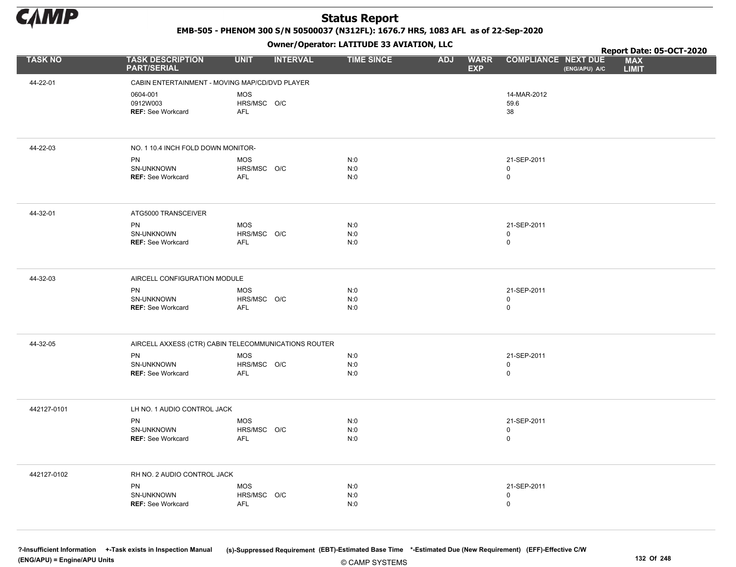

EMB-505 - PHENOM 300 S/N 50500037 (N312FL): 1676.7 HRS, 1083 AFL as of 22-Sep-2020

Owner/Operator: LATITUDE 33 AVIATION, LLC

|                |                                                      |                           | .               |                   |                                         | Report Date: 05-OCT-2020                                                  |  |
|----------------|------------------------------------------------------|---------------------------|-----------------|-------------------|-----------------------------------------|---------------------------------------------------------------------------|--|
| <b>TASK NO</b> | <b>TASK DESCRIPTION</b><br><b>PART/SERIAL</b>        | <b>UNIT</b>               | <b>INTERVAL</b> | <b>TIME SINCE</b> | <b>WARR</b><br><b>ADJ</b><br><b>EXP</b> | <b>COMPLIANCE NEXT DUE</b><br><b>MAX</b><br>(ENG/APU) A/C<br><b>LIMIT</b> |  |
| 44-22-01       | CABIN ENTERTAINMENT - MOVING MAP/CD/DVD PLAYER       |                           |                 |                   |                                         |                                                                           |  |
|                | 0604-001                                             | <b>MOS</b>                |                 |                   |                                         | 14-MAR-2012                                                               |  |
|                | 0912W003                                             | HRS/MSC O/C               |                 |                   |                                         | 59.6                                                                      |  |
|                | REF: See Workcard                                    | AFL                       |                 |                   |                                         | 38                                                                        |  |
|                |                                                      |                           |                 |                   |                                         |                                                                           |  |
| 44-22-03       | NO. 1 10.4 INCH FOLD DOWN MONITOR-                   |                           |                 |                   |                                         |                                                                           |  |
|                | PN                                                   | <b>MOS</b>                |                 | N:0               |                                         | 21-SEP-2011                                                               |  |
|                | SN-UNKNOWN                                           | HRS/MSC O/C               |                 | N:0               |                                         | 0                                                                         |  |
|                | <b>REF: See Workcard</b>                             | <b>AFL</b>                |                 | N:0               |                                         | 0                                                                         |  |
|                |                                                      |                           |                 |                   |                                         |                                                                           |  |
| 44-32-01       | ATG5000 TRANSCEIVER                                  |                           |                 |                   |                                         |                                                                           |  |
|                | PN                                                   | <b>MOS</b>                |                 | N:0               |                                         | 21-SEP-2011                                                               |  |
|                | SN-UNKNOWN                                           | HRS/MSC O/C               |                 | N:0               |                                         | 0                                                                         |  |
|                | <b>REF: See Workcard</b>                             | <b>AFL</b>                |                 | N:0               |                                         | $\mathbf 0$                                                               |  |
|                |                                                      |                           |                 |                   |                                         |                                                                           |  |
| 44-32-03       | AIRCELL CONFIGURATION MODULE                         |                           |                 |                   |                                         |                                                                           |  |
|                | PN                                                   | <b>MOS</b>                |                 | N:0               |                                         | 21-SEP-2011                                                               |  |
|                | SN-UNKNOWN                                           | HRS/MSC O/C               |                 | N:0               |                                         | 0                                                                         |  |
|                | <b>REF: See Workcard</b>                             | AFL                       |                 | N:0               |                                         | $\mathsf{O}$                                                              |  |
|                |                                                      |                           |                 |                   |                                         |                                                                           |  |
| 44-32-05       | AIRCELL AXXESS (CTR) CABIN TELECOMMUNICATIONS ROUTER |                           |                 |                   |                                         |                                                                           |  |
|                | PN                                                   | <b>MOS</b>                |                 | N:0               |                                         | 21-SEP-2011                                                               |  |
|                | SN-UNKNOWN<br>REF: See Workcard                      | HRS/MSC O/C<br><b>AFL</b> |                 | N:0<br>N:0        |                                         | 0<br>0                                                                    |  |
|                |                                                      |                           |                 |                   |                                         |                                                                           |  |
|                |                                                      |                           |                 |                   |                                         |                                                                           |  |
| 442127-0101    | LH NO. 1 AUDIO CONTROL JACK                          |                           |                 |                   |                                         |                                                                           |  |
|                | PN                                                   | <b>MOS</b>                |                 | N:0               |                                         | 21-SEP-2011                                                               |  |
|                | SN-UNKNOWN<br><b>REF: See Workcard</b>               | HRS/MSC O/C<br><b>AFL</b> |                 | N:0<br>N:0        |                                         | 0<br>0                                                                    |  |
|                |                                                      |                           |                 |                   |                                         |                                                                           |  |
| 442127-0102    | RH NO. 2 AUDIO CONTROL JACK                          |                           |                 |                   |                                         |                                                                           |  |
|                |                                                      |                           |                 |                   |                                         | 21-SEP-2011                                                               |  |
|                | PN<br>SN-UNKNOWN                                     | MOS<br>HRS/MSC O/C        |                 | N:0<br>N:0        |                                         | 0                                                                         |  |
|                | <b>REF: See Workcard</b>                             | AFL                       |                 | N:0               |                                         | $\mathsf{O}$                                                              |  |
|                |                                                      |                           |                 |                   |                                         |                                                                           |  |
|                |                                                      |                           |                 |                   |                                         |                                                                           |  |

© CAMP SYSTEMS ?-Insufficient Information +-Task exists in Inspection Manual (s)-Suppressed Requirement (EBT)-Estimated Base Time \*-Estimated Due (New Requirement) (EFF)-Effective C/W (ENG/APU) = Engine/APU Units 132 Of 248 and the set of the set of the set of the set of the set of the set of the set of the set of the set of the set of the set of 248 and the set of 248 and the set of the set of the set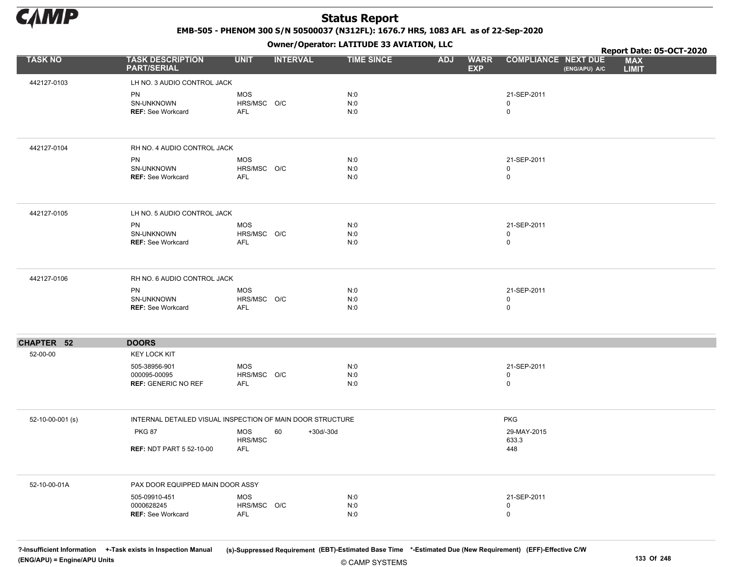

EMB-505 - PHENOM 300 S/N 50500037 (N312FL): 1676.7 HRS, 1083 AFL as of 22-Sep-2020

Owner/Operator: LATITUDE 33 AVIATION, LLC

|                  |                                                             |                                         |                   | Owner/Operator. LATTTODE 33 AVIATION, LLC |            |                           |                             | Report Date: 05-OCT-2020 |                            |  |
|------------------|-------------------------------------------------------------|-----------------------------------------|-------------------|-------------------------------------------|------------|---------------------------|-----------------------------|--------------------------|----------------------------|--|
| <b>TASK NO</b>   | <b>TASK DESCRIPTION</b><br><b>PART/SERIAL</b>               | <b>UNIT</b>                             | <b>INTERVAL</b>   | <b>TIME SINCE</b>                         | <b>ADJ</b> | <b>WARR</b><br><b>EXP</b> | <b>COMPLIANCE NEXT DUE</b>  | (ENG/APU) A/C            | <b>MAX</b><br><b>LIMIT</b> |  |
| 442127-0103      | LH NO. 3 AUDIO CONTROL JACK                                 |                                         |                   |                                           |            |                           |                             |                          |                            |  |
|                  | PN<br>SN-UNKNOWN<br><b>REF: See Workcard</b>                | <b>MOS</b><br>HRS/MSC O/C<br><b>AFL</b> |                   | N:0<br>N:0<br>N:0                         |            |                           | 21-SEP-2011<br>0<br>0       |                          |                            |  |
| 442127-0104      | RH NO. 4 AUDIO CONTROL JACK                                 |                                         |                   |                                           |            |                           |                             |                          |                            |  |
|                  | PN<br>SN-UNKNOWN<br>REF: See Workcard                       | MOS<br>HRS/MSC O/C<br>AFL               |                   | N:0<br>N:0<br>N:0                         |            |                           | 21-SEP-2011<br>0<br>0       |                          |                            |  |
| 442127-0105      | LH NO. 5 AUDIO CONTROL JACK                                 |                                         |                   |                                           |            |                           |                             |                          |                            |  |
|                  | PN<br>SN-UNKNOWN<br><b>REF: See Workcard</b>                | MOS<br>HRS/MSC O/C<br>AFL               |                   | N:0<br>N:0<br>N:0                         |            |                           | 21-SEP-2011<br>0<br>0       |                          |                            |  |
| 442127-0106      | RH NO. 6 AUDIO CONTROL JACK                                 |                                         |                   |                                           |            |                           |                             |                          |                            |  |
|                  | PN<br>SN-UNKNOWN<br><b>REF: See Workcard</b>                | MOS<br>HRS/MSC O/C<br><b>AFL</b>        |                   | N:0<br>N:0<br>N:0                         |            |                           | 21-SEP-2011<br>0<br>0       |                          |                            |  |
| CHAPTER 52       | <b>DOORS</b>                                                |                                         |                   |                                           |            |                           |                             |                          |                            |  |
| 52-00-00         | <b>KEY LOCK KIT</b>                                         |                                         |                   |                                           |            |                           |                             |                          |                            |  |
|                  | 505-38956-901<br>000095-00095<br><b>REF: GENERIC NO REF</b> | <b>MOS</b><br>HRS/MSC O/C<br>AFL        |                   | N:0<br>N:0<br>N:0                         |            |                           | 21-SEP-2011<br>0<br>0       |                          |                            |  |
| 52-10-00-001 (s) | INTERNAL DETAILED VISUAL INSPECTION OF MAIN DOOR STRUCTURE  |                                         |                   |                                           |            |                           | <b>PKG</b>                  |                          |                            |  |
|                  | <b>PKG 87</b><br><b>REF: NDT PART 5 52-10-00</b>            | <b>MOS</b><br>HRS/MSC<br>AFL            | 60<br>$+30d/-30d$ |                                           |            |                           | 29-MAY-2015<br>633.3<br>448 |                          |                            |  |
| 52-10-00-01A     | PAX DOOR EQUIPPED MAIN DOOR ASSY                            |                                         |                   |                                           |            |                           |                             |                          |                            |  |
|                  | 505-09910-451<br>0000628245<br>REF: See Workcard            | <b>MOS</b><br>HRS/MSC O/C<br>AFL        |                   | N:0<br>N:0<br>N:0                         |            |                           | 21-SEP-2011<br>0<br>0       |                          |                            |  |

© CAMP SYSTEMS ?-Insufficient Information +-Task exists in Inspection Manual (s)-Suppressed Requirement (EBT)-Estimated Base Time \*-Estimated Due (New Requirement) (EFF)-Effective C/W (ENG/APU) = Engine/APU Units 133 Of 248 and the control of the control of the control of the control of the control of the control of the control of the control of the control of the control of the control of the control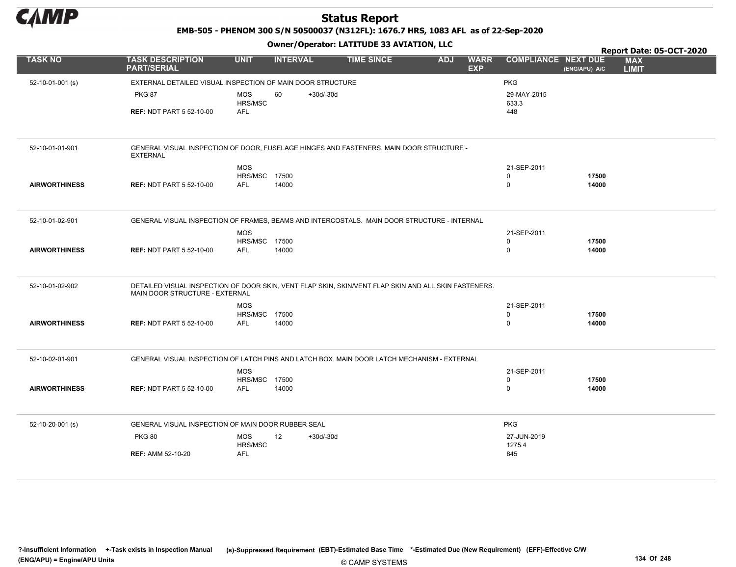

EMB-505 - PHENOM 300 S/N 50500037 (N312FL): 1676.7 HRS, 1083 AFL as of 22-Sep-2020

|                      |                                                                                                                                        |                       |                 |           |                   |            |                           |                            |               |                            | Report Date: 05-OCT-2020 |
|----------------------|----------------------------------------------------------------------------------------------------------------------------------------|-----------------------|-----------------|-----------|-------------------|------------|---------------------------|----------------------------|---------------|----------------------------|--------------------------|
| <b>TASK NO</b>       | <b>TASK DESCRIPTION</b><br><b>PART/SERIAL</b>                                                                                          | <b>UNIT</b>           | <b>INTERVAL</b> |           | <b>TIME SINCE</b> | <b>ADJ</b> | <b>WARR</b><br><b>EXP</b> | <b>COMPLIANCE NEXT DUE</b> | (ENG/APU) A/C | <b>MAX</b><br><b>LIMIT</b> |                          |
| 52-10-01-001 (s)     | EXTERNAL DETAILED VISUAL INSPECTION OF MAIN DOOR STRUCTURE                                                                             |                       |                 |           |                   |            |                           | <b>PKG</b>                 |               |                            |                          |
|                      | <b>PKG 87</b>                                                                                                                          | <b>MOS</b><br>HRS/MSC | 60              | +30d/-30d |                   |            |                           | 29-MAY-2015<br>633.3       |               |                            |                          |
|                      | <b>REF: NDT PART 5 52-10-00</b>                                                                                                        | <b>AFL</b>            |                 |           |                   |            |                           | 448                        |               |                            |                          |
|                      |                                                                                                                                        |                       |                 |           |                   |            |                           |                            |               |                            |                          |
| 52-10-01-01-901      | GENERAL VISUAL INSPECTION OF DOOR, FUSELAGE HINGES AND FASTENERS. MAIN DOOR STRUCTURE -<br><b>EXTERNAL</b>                             |                       |                 |           |                   |            |                           |                            |               |                            |                          |
|                      |                                                                                                                                        | <b>MOS</b>            |                 |           |                   |            |                           | 21-SEP-2011                |               |                            |                          |
|                      |                                                                                                                                        | HRS/MSC               | 17500           |           |                   |            |                           | $\mathsf 0$                | 17500         |                            |                          |
| <b>AIRWORTHINESS</b> | <b>REF: NDT PART 5 52-10-00</b>                                                                                                        | <b>AFL</b>            | 14000           |           |                   |            |                           | $\mathbf 0$                | 14000         |                            |                          |
|                      |                                                                                                                                        |                       |                 |           |                   |            |                           |                            |               |                            |                          |
| 52-10-01-02-901      | GENERAL VISUAL INSPECTION OF FRAMES, BEAMS AND INTERCOSTALS. MAIN DOOR STRUCTURE - INTERNAL                                            |                       |                 |           |                   |            |                           |                            |               |                            |                          |
|                      |                                                                                                                                        | <b>MOS</b>            |                 |           |                   |            |                           | 21-SEP-2011                |               |                            |                          |
|                      |                                                                                                                                        | HRS/MSC 17500         |                 |           |                   |            |                           | 0                          | 17500         |                            |                          |
| <b>AIRWORTHINESS</b> | <b>REF: NDT PART 5 52-10-00</b>                                                                                                        | <b>AFL</b>            | 14000           |           |                   |            |                           | $\mathsf 0$                | 14000         |                            |                          |
|                      |                                                                                                                                        |                       |                 |           |                   |            |                           |                            |               |                            |                          |
| 52-10-01-02-902      | DETAILED VISUAL INSPECTION OF DOOR SKIN, VENT FLAP SKIN, SKIN/VENT FLAP SKIN AND ALL SKIN FASTENERS.<br>MAIN DOOR STRUCTURE - EXTERNAL |                       |                 |           |                   |            |                           |                            |               |                            |                          |
|                      |                                                                                                                                        | <b>MOS</b>            |                 |           |                   |            |                           | 21-SEP-2011                |               |                            |                          |
|                      |                                                                                                                                        | <b>HRS/MSC 17500</b>  |                 |           |                   |            |                           | 0                          | 17500         |                            |                          |
| <b>AIRWORTHINESS</b> | <b>REF: NDT PART 5 52-10-00</b>                                                                                                        | <b>AFL</b>            | 14000           |           |                   |            |                           | $\mathsf 0$                | 14000         |                            |                          |
|                      |                                                                                                                                        |                       |                 |           |                   |            |                           |                            |               |                            |                          |
| 52-10-02-01-901      | GENERAL VISUAL INSPECTION OF LATCH PINS AND LATCH BOX. MAIN DOOR LATCH MECHANISM - EXTERNAL                                            |                       |                 |           |                   |            |                           |                            |               |                            |                          |
|                      |                                                                                                                                        | <b>MOS</b>            |                 |           |                   |            |                           | 21-SEP-2011                |               |                            |                          |
|                      |                                                                                                                                        | HRS/MSC 17500         |                 |           |                   |            |                           | $\mathbf 0$                | 17500         |                            |                          |
| <b>AIRWORTHINESS</b> | <b>REF: NDT PART 5 52-10-00</b>                                                                                                        | <b>AFL</b>            | 14000           |           |                   |            |                           | $\mathbf 0$                | 14000         |                            |                          |
|                      |                                                                                                                                        |                       |                 |           |                   |            |                           |                            |               |                            |                          |
| 52-10-20-001 (s)     | GENERAL VISUAL INSPECTION OF MAIN DOOR RUBBER SEAL                                                                                     |                       |                 |           |                   |            |                           | <b>PKG</b>                 |               |                            |                          |
|                      | <b>PKG 80</b>                                                                                                                          | <b>MOS</b>            | 12              | +30d/-30d |                   |            |                           | 27-JUN-2019                |               |                            |                          |
|                      | <b>REF: AMM 52-10-20</b>                                                                                                               | HRS/MSC<br>AFL        |                 |           |                   |            |                           | 1275.4<br>845              |               |                            |                          |
|                      |                                                                                                                                        |                       |                 |           |                   |            |                           |                            |               |                            |                          |
|                      |                                                                                                                                        |                       |                 |           |                   |            |                           |                            |               |                            |                          |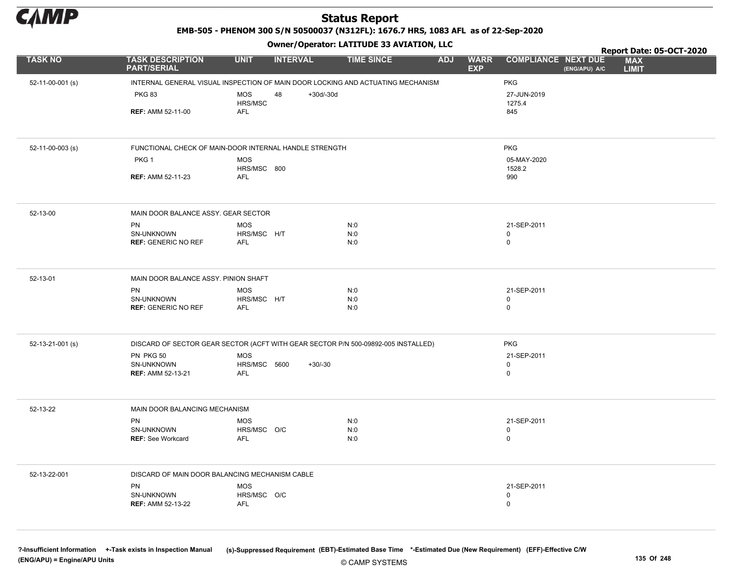

EMB-505 - PHENOM 300 S/N 50500037 (N312FL): 1676.7 HRS, 1083 AFL as of 22-Sep-2020

Owner/Operator: LATITUDE 33 AVIATION, LLC

|                  |                                                | Owner/Operator. EATITODE 33 AVIATION, LLC                                         |                                 |                           |                            | Report Date: 05-OCT-2020 |                            |
|------------------|------------------------------------------------|-----------------------------------------------------------------------------------|---------------------------------|---------------------------|----------------------------|--------------------------|----------------------------|
| <b>TASK NO</b>   | <b>TASK DESCRIPTION</b><br><b>PART/SERIAL</b>  | <b>UNIT</b><br><b>INTERVAL</b>                                                    | <b>TIME SINCE</b><br><b>ADJ</b> | <b>WARR</b><br><b>EXP</b> | <b>COMPLIANCE NEXT DUE</b> | (ENG/APU) A/C            | <b>MAX</b><br><b>LIMIT</b> |
| 52-11-00-001 (s) |                                                | INTERNAL GENERAL VISUAL INSPECTION OF MAIN DOOR LOCKING AND ACTUATING MECHANISM   |                                 |                           | <b>PKG</b>                 |                          |                            |
|                  | <b>PKG 83</b>                                  | <b>MOS</b><br>48<br>$+30d/-30d$<br>HRS/MSC                                        |                                 |                           | 27-JUN-2019<br>1275.4      |                          |                            |
|                  | <b>REF: AMM 52-11-00</b>                       | <b>AFL</b>                                                                        |                                 |                           | 845                        |                          |                            |
| 52-11-00-003 (s) |                                                | FUNCTIONAL CHECK OF MAIN-DOOR INTERNAL HANDLE STRENGTH                            |                                 |                           | <b>PKG</b>                 |                          |                            |
|                  | PKG <sub>1</sub>                               | <b>MOS</b>                                                                        |                                 |                           | 05-MAY-2020                |                          |                            |
|                  | <b>REF: AMM 52-11-23</b>                       | HRS/MSC 800<br><b>AFL</b>                                                         |                                 |                           | 1528.2<br>990              |                          |                            |
|                  |                                                |                                                                                   |                                 |                           |                            |                          |                            |
| 52-13-00         | MAIN DOOR BALANCE ASSY. GEAR SECTOR            |                                                                                   |                                 |                           |                            |                          |                            |
|                  | PN                                             | <b>MOS</b>                                                                        | N:0                             |                           | 21-SEP-2011                |                          |                            |
|                  | SN-UNKNOWN<br><b>REF: GENERIC NO REF</b>       | HRS/MSC H/T<br><b>AFL</b>                                                         | N:0<br>N:0                      |                           | $\mathbf 0$<br>$\mathsf 0$ |                          |                            |
|                  |                                                |                                                                                   |                                 |                           |                            |                          |                            |
| 52-13-01         | MAIN DOOR BALANCE ASSY. PINION SHAFT           |                                                                                   |                                 |                           |                            |                          |                            |
|                  | PN<br>SN-UNKNOWN                               | <b>MOS</b><br>HRS/MSC H/T                                                         | N:0<br>N:0                      |                           | 21-SEP-2011<br>$\mathsf 0$ |                          |                            |
|                  | <b>REF: GENERIC NO REF</b>                     | <b>AFL</b>                                                                        | N:0                             |                           | $\mathbf 0$                |                          |                            |
|                  |                                                |                                                                                   |                                 |                           |                            |                          |                            |
| 52-13-21-001 (s) |                                                | DISCARD OF SECTOR GEAR SECTOR (ACFT WITH GEAR SECTOR P/N 500-09892-005 INSTALLED) |                                 |                           | <b>PKG</b>                 |                          |                            |
|                  | PN PKG 50<br>SN-UNKNOWN                        | <b>MOS</b><br>HRS/MSC 5600<br>$+30/-30$                                           |                                 |                           | 21-SEP-2011                |                          |                            |
|                  | REF: AMM 52-13-21                              | <b>AFL</b>                                                                        |                                 |                           | $\mathbf 0$<br>$\mathbf 0$ |                          |                            |
|                  |                                                |                                                                                   |                                 |                           |                            |                          |                            |
| 52-13-22         | MAIN DOOR BALANCING MECHANISM                  |                                                                                   |                                 |                           |                            |                          |                            |
|                  | PN<br>SN-UNKNOWN                               | <b>MOS</b><br>HRS/MSC O/C                                                         | N:0<br>N:0                      |                           | 21-SEP-2011<br>$\mathbf 0$ |                          |                            |
|                  | REF: See Workcard                              | <b>AFL</b>                                                                        | N:0                             |                           | $\mathsf 0$                |                          |                            |
|                  |                                                |                                                                                   |                                 |                           |                            |                          |                            |
| 52-13-22-001     | DISCARD OF MAIN DOOR BALANCING MECHANISM CABLE |                                                                                   |                                 |                           |                            |                          |                            |
|                  | PN                                             | <b>MOS</b>                                                                        |                                 |                           | 21-SEP-2011                |                          |                            |
|                  | SN-UNKNOWN<br><b>REF: AMM 52-13-22</b>         | HRS/MSC O/C<br><b>AFL</b>                                                         |                                 |                           | 0<br>$\mathbf 0$           |                          |                            |
|                  |                                                |                                                                                   |                                 |                           |                            |                          |                            |
|                  |                                                |                                                                                   |                                 |                           |                            |                          |                            |

© CAMP SYSTEMS ?-Insufficient Information +-Task exists in Inspection Manual (s)-Suppressed Requirement (EBT)-Estimated Base Time \*-Estimated Due (New Requirement) (EFF)-Effective C/W (ENG/APU) = Engine/APU Units 135 Of 248 and the control of the control of the control of the control of the control of the control of the control of the control of the control of the control of the control of the control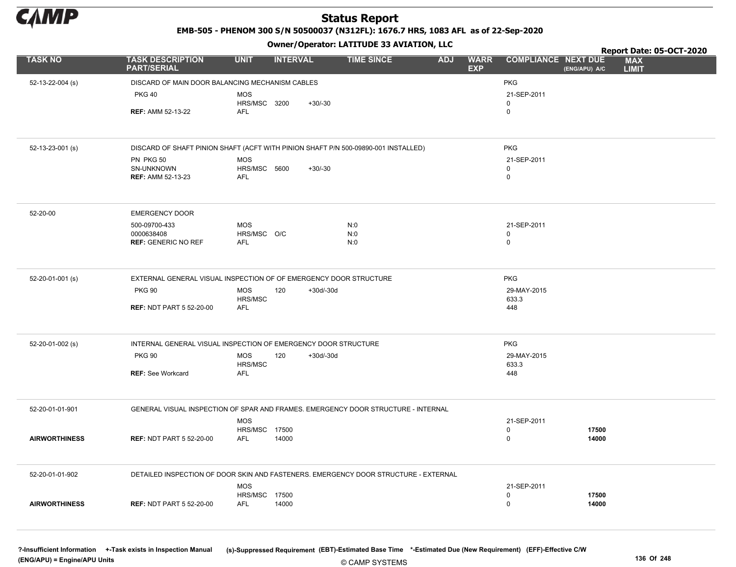

EMB-505 - PHENOM 300 S/N 50500037 (N312FL): 1676.7 HRS, 1083 AFL as of 22-Sep-2020

#### Owner/Operator: LATITUDE 33 AVIATION, LLC

|                      |                                                                                     |                      | - - - -            |                   |                                         |                            |               | Report Date: 05-OCT-2020   |  |
|----------------------|-------------------------------------------------------------------------------------|----------------------|--------------------|-------------------|-----------------------------------------|----------------------------|---------------|----------------------------|--|
| <b>TASK NO</b>       | <b>TASK DESCRIPTION</b><br><b>PART/SERIAL</b>                                       | <b>UNIT</b>          | <b>INTERVAL</b>    | <b>TIME SINCE</b> | <b>ADJ</b><br><b>WARR</b><br><b>EXP</b> | <b>COMPLIANCE NEXT DUE</b> | (ENG/APU) A/C | <b>MAX</b><br><b>LIMIT</b> |  |
| 52-13-22-004 (s)     | DISCARD OF MAIN DOOR BALANCING MECHANISM CABLES                                     |                      |                    |                   |                                         | <b>PKG</b>                 |               |                            |  |
|                      | <b>PKG 40</b>                                                                       | MOS                  |                    |                   |                                         | 21-SEP-2011                |               |                            |  |
|                      |                                                                                     | <b>HRS/MSC 3200</b>  | $+30/-30$          |                   |                                         | 0                          |               |                            |  |
|                      | <b>REF: AMM 52-13-22</b>                                                            | AFL                  |                    |                   |                                         | $\mathbf 0$                |               |                            |  |
|                      |                                                                                     |                      |                    |                   |                                         |                            |               |                            |  |
| 52-13-23-001 (s)     | DISCARD OF SHAFT PINION SHAFT (ACFT WITH PINION SHAFT P/N 500-09890-001 INSTALLED)  |                      |                    |                   |                                         | <b>PKG</b>                 |               |                            |  |
|                      | PN PKG 50                                                                           | <b>MOS</b>           |                    |                   |                                         | 21-SEP-2011                |               |                            |  |
|                      | SN-UNKNOWN                                                                          | HRS/MSC 5600         | $+30/-30$          |                   |                                         | 0                          |               |                            |  |
|                      | <b>REF: AMM 52-13-23</b>                                                            | AFL                  |                    |                   |                                         | $\mathbf 0$                |               |                            |  |
| 52-20-00             | <b>EMERGENCY DOOR</b>                                                               |                      |                    |                   |                                         |                            |               |                            |  |
|                      |                                                                                     |                      |                    |                   |                                         |                            |               |                            |  |
|                      | 500-09700-433<br>0000638408                                                         | MOS<br>HRS/MSC O/C   |                    | N:0<br>N:0        |                                         | 21-SEP-2011<br>0           |               |                            |  |
|                      | <b>REF: GENERIC NO REF</b>                                                          | AFL                  |                    | N:0               |                                         | $\mathbf 0$                |               |                            |  |
|                      |                                                                                     |                      |                    |                   |                                         |                            |               |                            |  |
| 52-20-01-001 (s)     | EXTERNAL GENERAL VISUAL INSPECTION OF OF EMERGENCY DOOR STRUCTURE                   |                      |                    |                   |                                         | <b>PKG</b>                 |               |                            |  |
|                      | <b>PKG 90</b>                                                                       | <b>MOS</b>           | 120<br>$+30d/-30d$ |                   |                                         | 29-MAY-2015                |               |                            |  |
|                      |                                                                                     | HRS/MSC              |                    |                   |                                         | 633.3                      |               |                            |  |
|                      | <b>REF: NDT PART 5 52-20-00</b>                                                     | AFL                  |                    |                   |                                         | 448                        |               |                            |  |
|                      |                                                                                     |                      |                    |                   |                                         |                            |               |                            |  |
| 52-20-01-002 (s)     | INTERNAL GENERAL VISUAL INSPECTION OF EMERGENCY DOOR STRUCTURE                      |                      |                    |                   |                                         | <b>PKG</b>                 |               |                            |  |
|                      | <b>PKG 90</b>                                                                       | <b>MOS</b>           | $+30d/-30d$<br>120 |                   |                                         | 29-MAY-2015                |               |                            |  |
|                      | <b>REF: See Workcard</b>                                                            | HRS/MSC<br>AFL       |                    |                   |                                         | 633.3<br>448               |               |                            |  |
|                      |                                                                                     |                      |                    |                   |                                         |                            |               |                            |  |
| 52-20-01-01-901      | GENERAL VISUAL INSPECTION OF SPAR AND FRAMES. EMERGENCY DOOR STRUCTURE - INTERNAL   |                      |                    |                   |                                         |                            |               |                            |  |
|                      |                                                                                     | <b>MOS</b>           |                    |                   |                                         | 21-SEP-2011                |               |                            |  |
|                      |                                                                                     | <b>HRS/MSC 17500</b> |                    |                   |                                         | 0                          | 17500         |                            |  |
| <b>AIRWORTHINESS</b> | <b>REF: NDT PART 5 52-20-00</b>                                                     | AFL                  | 14000              |                   |                                         | $\mathbf 0$                | 14000         |                            |  |
| 52-20-01-01-902      | DETAILED INSPECTION OF DOOR SKIN AND FASTENERS. EMERGENCY DOOR STRUCTURE - EXTERNAL |                      |                    |                   |                                         |                            |               |                            |  |
|                      |                                                                                     | MOS                  |                    |                   |                                         | 21-SEP-2011                |               |                            |  |
|                      |                                                                                     | HRS/MSC 17500        |                    |                   |                                         | 0                          | 17500         |                            |  |
| <b>AIRWORTHINESS</b> | <b>REF: NDT PART 5 52-20-00</b>                                                     | AFL                  | 14000              |                   |                                         | $\mathbf 0$                | 14000         |                            |  |
|                      |                                                                                     |                      |                    |                   |                                         |                            |               |                            |  |
|                      |                                                                                     |                      |                    |                   |                                         |                            |               |                            |  |

© CAMP SYSTEMS ?-Insufficient Information +-Task exists in Inspection Manual (s)-Suppressed Requirement (EBT)-Estimated Base Time \*-Estimated Due (New Requirement) (EFF)-Effective C/W (ENG/APU) = Engine/APU Units 136 Of 248 and the control of 248 and the control of 248 and the control of 248 and the control of 248 and the control of 248 and the control of 248 and the control of 248 and the control of 2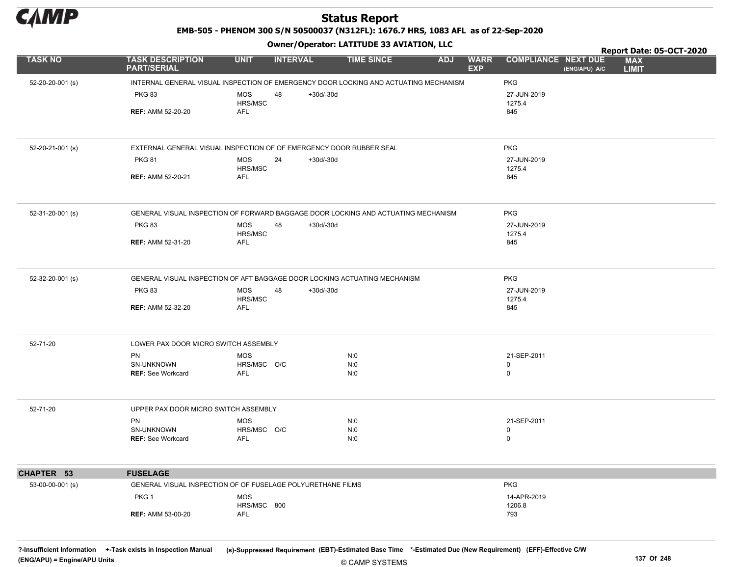

EMB-505 - PHENOM 300 S/N 50500037 (N312FL): 1676.7 HRS, 1083 AFL as of 22-Sep-2020

Owner/Operator: LATITUDE 33 AVIATION, LLC

|                  |                                                                                      |                           | .               |             |                   |            |                           |                            |               | Report Date: 05-OCT-2020   |  |
|------------------|--------------------------------------------------------------------------------------|---------------------------|-----------------|-------------|-------------------|------------|---------------------------|----------------------------|---------------|----------------------------|--|
| <b>TASK NO</b>   | <b>TASK DESCRIPTION</b><br><b>PART/SERIAL</b>                                        | <b>UNIT</b>               | <b>INTERVAL</b> |             | <b>TIME SINCE</b> | <b>ADJ</b> | <b>WARR</b><br><b>EXP</b> | <b>COMPLIANCE NEXT DUE</b> | (ENG/APU) A/C | <b>MAX</b><br><b>LIMIT</b> |  |
| 52-20-20-001 (s) | INTERNAL GENERAL VISUAL INSPECTION OF EMERGENCY DOOR LOCKING AND ACTUATING MECHANISM |                           |                 |             |                   |            |                           | <b>PKG</b>                 |               |                            |  |
|                  | <b>PKG 83</b>                                                                        | <b>MOS</b><br>HRS/MSC     | 48              | $+30d/-30d$ |                   |            |                           | 27-JUN-2019<br>1275.4      |               |                            |  |
|                  | <b>REF: AMM 52-20-20</b>                                                             | AFL                       |                 |             |                   |            |                           | 845                        |               |                            |  |
| 52-20-21-001 (s) | EXTERNAL GENERAL VISUAL INSPECTION OF OF EMERGENCY DOOR RUBBER SEAL                  |                           |                 |             |                   |            |                           | <b>PKG</b>                 |               |                            |  |
|                  | <b>PKG 81</b>                                                                        | <b>MOS</b><br>HRS/MSC     | 24              | $+30d/-30d$ |                   |            |                           | 27-JUN-2019<br>1275.4      |               |                            |  |
|                  | REF: AMM 52-20-21                                                                    | AFL                       |                 |             |                   |            |                           | 845                        |               |                            |  |
| 52-31-20-001 (s) | GENERAL VISUAL INSPECTION OF FORWARD BAGGAGE DOOR LOCKING AND ACTUATING MECHANISM    |                           |                 |             |                   |            |                           | <b>PKG</b>                 |               |                            |  |
|                  | <b>PKG 83</b>                                                                        | <b>MOS</b><br>HRS/MSC     | 48              | $+30d/-30d$ |                   |            |                           | 27-JUN-2019<br>1275.4      |               |                            |  |
|                  | <b>REF: AMM 52-31-20</b>                                                             | AFL                       |                 |             |                   |            |                           | 845                        |               |                            |  |
| 52-32-20-001 (s) | GENERAL VISUAL INSPECTION OF AFT BAGGAGE DOOR LOCKING ACTUATING MECHANISM            |                           |                 |             |                   |            |                           | <b>PKG</b>                 |               |                            |  |
|                  | <b>PKG 83</b>                                                                        | <b>MOS</b><br>HRS/MSC     | 48              | $+30d/-30d$ |                   |            |                           | 27-JUN-2019<br>1275.4      |               |                            |  |
|                  | <b>REF: AMM 52-32-20</b>                                                             | AFL                       |                 |             |                   |            |                           | 845                        |               |                            |  |
| 52-71-20         | LOWER PAX DOOR MICRO SWITCH ASSEMBLY                                                 |                           |                 |             |                   |            |                           |                            |               |                            |  |
|                  | PN                                                                                   | <b>MOS</b>                |                 |             | N:0               |            |                           | 21-SEP-2011                |               |                            |  |
|                  | SN-UNKNOWN<br><b>REF: See Workcard</b>                                               | HRS/MSC O/C<br><b>AFL</b> |                 |             | N:0<br>N:0        |            |                           | $\mathbf 0$<br>$\mathbf 0$ |               |                            |  |
| 52-71-20         | UPPER PAX DOOR MICRO SWITCH ASSEMBLY                                                 |                           |                 |             |                   |            |                           |                            |               |                            |  |
|                  | PN                                                                                   | <b>MOS</b>                |                 |             | N:0               |            |                           | 21-SEP-2011                |               |                            |  |
|                  | SN-UNKNOWN<br><b>REF: See Workcard</b>                                               | HRS/MSC O/C<br>AFL        |                 |             | N:0<br>N:0        |            |                           | 0<br>$\mathbf 0$           |               |                            |  |
|                  | <b>FUSELAGE</b>                                                                      |                           |                 |             |                   |            |                           |                            |               |                            |  |
| CHAPTER 53       |                                                                                      |                           |                 |             |                   |            |                           |                            |               |                            |  |
| 53-00-00-001 (s) | GENERAL VISUAL INSPECTION OF OF FUSELAGE POLYURETHANE FILMS                          |                           |                 |             |                   |            |                           | <b>PKG</b>                 |               |                            |  |
|                  | PKG <sub>1</sub>                                                                     | <b>MOS</b><br>HRS/MSC 800 |                 |             |                   |            |                           | 14-APR-2019<br>1206.8      |               |                            |  |
|                  | <b>REF: AMM 53-00-20</b>                                                             | <b>AFL</b>                |                 |             |                   |            |                           | 793                        |               |                            |  |

© CAMP SYSTEMS

?-Insufficient Information +-Task exists in Inspection Manual (s)-Suppressed Requirement (EBT)-Estimated Base Time \*-Estimated Due (New Requirement) (EFF)-Effective C/W (ENG/APU) = Engine/APU Units 137 Of 248 and the set of the set of the set of the set of the set of the set of the set of the set of the set of the set of the set of the set of the set of the set of the set of the set of t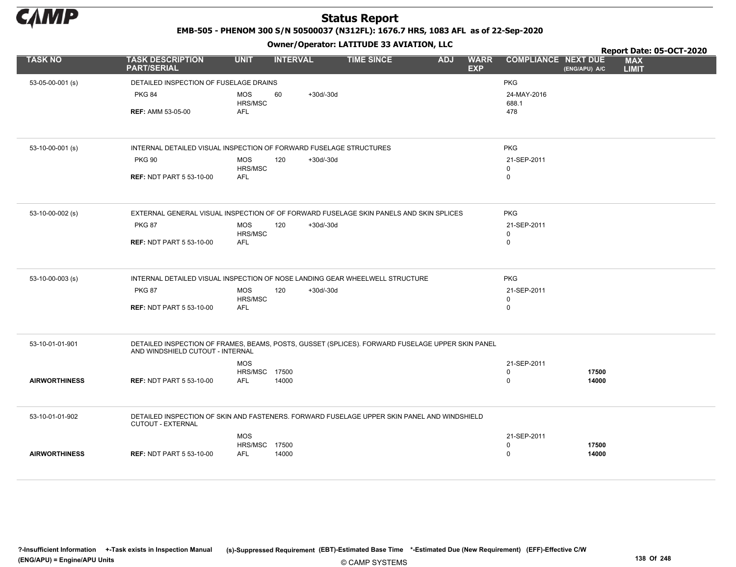

EMB-505 - PHENOM 300 S/N 50500037 (N312FL): 1676.7 HRS, 1083 AFL as of 22-Sep-2020

|                      |                                                                                                                                      |                       |                 |             | Owner / Operator. EATITODE 33 AVIATION, LLC |            |                           |                            | Report Date: 05-OCT-2020 |                            |
|----------------------|--------------------------------------------------------------------------------------------------------------------------------------|-----------------------|-----------------|-------------|---------------------------------------------|------------|---------------------------|----------------------------|--------------------------|----------------------------|
| <b>TASK NO</b>       | <b>TASK DESCRIPTION</b><br><b>PART/SERIAL</b>                                                                                        | <b>UNIT</b>           | <b>INTERVAL</b> |             | <b>TIME SINCE</b>                           | <b>ADJ</b> | <b>WARR</b><br><b>EXP</b> | <b>COMPLIANCE NEXT DUE</b> | (ENG/APU) A/C            | <b>MAX</b><br><b>LIMIT</b> |
| 53-05-00-001 (s)     | DETAILED INSPECTION OF FUSELAGE DRAINS                                                                                               |                       |                 |             |                                             |            |                           | <b>PKG</b>                 |                          |                            |
|                      | <b>PKG 84</b>                                                                                                                        | <b>MOS</b><br>HRS/MSC | 60              | $+30d/-30d$ |                                             |            |                           | 24-MAY-2016<br>688.1       |                          |                            |
|                      | <b>REF: AMM 53-05-00</b>                                                                                                             | <b>AFL</b>            |                 |             |                                             |            |                           | 478                        |                          |                            |
|                      |                                                                                                                                      |                       |                 |             |                                             |            |                           |                            |                          |                            |
| 53-10-00-001 (s)     | INTERNAL DETAILED VISUAL INSPECTION OF FORWARD FUSELAGE STRUCTURES                                                                   |                       |                 |             |                                             |            |                           | PKG                        |                          |                            |
|                      | <b>PKG 90</b>                                                                                                                        | <b>MOS</b><br>HRS/MSC | 120             | $+30d/-30d$ |                                             |            |                           | 21-SEP-2011<br>$\mathbf 0$ |                          |                            |
|                      | <b>REF: NDT PART 5 53-10-00</b>                                                                                                      | <b>AFL</b>            |                 |             |                                             |            |                           | $\mathbf 0$                |                          |                            |
| 53-10-00-002 (s)     | EXTERNAL GENERAL VISUAL INSPECTION OF OF FORWARD FUSELAGE SKIN PANELS AND SKIN SPLICES                                               |                       |                 |             |                                             |            |                           | <b>PKG</b>                 |                          |                            |
|                      | <b>PKG 87</b>                                                                                                                        | <b>MOS</b>            | 120             | $+30d/-30d$ |                                             |            |                           | 21-SEP-2011                |                          |                            |
|                      | <b>REF: NDT PART 5 53-10-00</b>                                                                                                      | HRS/MSC<br><b>AFL</b> |                 |             |                                             |            |                           | $\mathbf 0$<br>$\mathbf 0$ |                          |                            |
|                      |                                                                                                                                      |                       |                 |             |                                             |            |                           |                            |                          |                            |
| 53-10-00-003 (s)     | INTERNAL DETAILED VISUAL INSPECTION OF NOSE LANDING GEAR WHEELWELL STRUCTURE                                                         |                       |                 |             |                                             |            |                           | <b>PKG</b>                 |                          |                            |
|                      | <b>PKG 87</b>                                                                                                                        | <b>MOS</b><br>HRS/MSC | 120             | $+30d/-30d$ |                                             |            |                           | 21-SEP-2011<br>$\mathbf 0$ |                          |                            |
|                      | <b>REF: NDT PART 5 53-10-00</b>                                                                                                      | <b>AFL</b>            |                 |             |                                             |            |                           | $\mathbf 0$                |                          |                            |
|                      |                                                                                                                                      |                       |                 |             |                                             |            |                           |                            |                          |                            |
| 53-10-01-01-901      | DETAILED INSPECTION OF FRAMES, BEAMS, POSTS, GUSSET (SPLICES). FORWARD FUSELAGE UPPER SKIN PANEL<br>AND WINDSHIELD CUTOUT - INTERNAL |                       |                 |             |                                             |            |                           |                            |                          |                            |
|                      |                                                                                                                                      | <b>MOS</b>            |                 |             |                                             |            |                           | 21-SEP-2011                |                          |                            |
| <b>AIRWORTHINESS</b> | <b>REF: NDT PART 5 53-10-00</b>                                                                                                      | HRS/MSC<br><b>AFL</b> | 17500<br>14000  |             |                                             |            |                           | $\mathbf 0$<br>$\mathbf 0$ | 17500<br>14000           |                            |
|                      |                                                                                                                                      |                       |                 |             |                                             |            |                           |                            |                          |                            |
| 53-10-01-01-902      | DETAILED INSPECTION OF SKIN AND FASTENERS. FORWARD FUSELAGE UPPER SKIN PANEL AND WINDSHIELD<br>CUTOUT - EXTERNAL                     |                       |                 |             |                                             |            |                           |                            |                          |                            |
|                      |                                                                                                                                      | <b>MOS</b>            |                 |             |                                             |            |                           | 21-SEP-2011                |                          |                            |
| <b>AIRWORTHINESS</b> | <b>REF: NDT PART 5 53-10-00</b>                                                                                                      | HRS/MSC<br><b>AFL</b> | 17500<br>14000  |             |                                             |            |                           | $\mathbf 0$<br>$\mathbf 0$ | 17500<br>14000           |                            |
|                      |                                                                                                                                      |                       |                 |             |                                             |            |                           |                            |                          |                            |
|                      |                                                                                                                                      |                       |                 |             |                                             |            |                           |                            |                          |                            |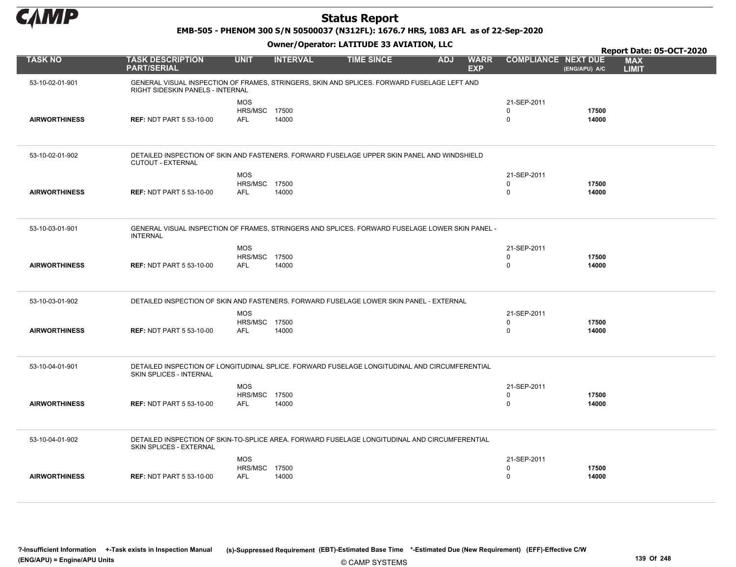

EMB-505 - PHENOM 300 S/N 50500037 (N312FL): 1676.7 HRS, 1083 AFL as of 22-Sep-2020

|                      |                                                                                                                                 |                                                  |                 |                   |            |                           |                                           |                | Report Date: 05-OCT-2020   |  |
|----------------------|---------------------------------------------------------------------------------------------------------------------------------|--------------------------------------------------|-----------------|-------------------|------------|---------------------------|-------------------------------------------|----------------|----------------------------|--|
| <b>TASK NO</b>       | <b>TASK DESCRIPTION</b><br><b>PART/SERIAL</b>                                                                                   | <b>UNIT</b>                                      | <b>INTERVAL</b> | <b>TIME SINCE</b> | <b>ADJ</b> | <b>WARR</b><br><b>EXP</b> | <b>COMPLIANCE NEXT DUE</b>                | (ENG/APU) A/C  | <b>MAX</b><br><b>LIMIT</b> |  |
| 53-10-02-01-901      | GENERAL VISUAL INSPECTION OF FRAMES, STRINGERS, SKIN AND SPLICES. FORWARD FUSELAGE LEFT AND<br>RIGHT SIDESKIN PANELS - INTERNAL |                                                  |                 |                   |            |                           |                                           |                |                            |  |
| <b>AIRWORTHINESS</b> | <b>REF: NDT PART 5 53-10-00</b>                                                                                                 | <b>MOS</b><br><b>HRS/MSC 17500</b><br><b>AFL</b> | 14000           |                   |            |                           | 21-SEP-2011<br>0<br>$\mathbf 0$           | 17500<br>14000 |                            |  |
| 53-10-02-01-902      | DETAILED INSPECTION OF SKIN AND FASTENERS. FORWARD FUSELAGE UPPER SKIN PANEL AND WINDSHIELD<br><b>CUTOUT - EXTERNAL</b>         |                                                  |                 |                   |            |                           |                                           |                |                            |  |
| <b>AIRWORTHINESS</b> | <b>REF: NDT PART 5 53-10-00</b>                                                                                                 | <b>MOS</b><br>HRS/MSC 17500<br><b>AFL</b>        | 14000           |                   |            |                           | 21-SEP-2011<br>$\Omega$<br>$\mathbf 0$    | 17500<br>14000 |                            |  |
| 53-10-03-01-901      | GENERAL VISUAL INSPECTION OF FRAMES, STRINGERS AND SPLICES. FORWARD FUSELAGE LOWER SKIN PANEL -<br><b>INTERNAL</b>              |                                                  |                 |                   |            |                           |                                           |                |                            |  |
| <b>AIRWORTHINESS</b> | <b>REF: NDT PART 5 53-10-00</b>                                                                                                 | <b>MOS</b><br><b>HRS/MSC 17500</b><br><b>AFL</b> | 14000           |                   |            |                           | 21-SEP-2011<br>$\mathbf 0$<br>$\mathbf 0$ | 17500<br>14000 |                            |  |
| 53-10-03-01-902      | DETAILED INSPECTION OF SKIN AND FASTENERS. FORWARD FUSELAGE LOWER SKIN PANEL - EXTERNAL                                         |                                                  |                 |                   |            |                           |                                           |                |                            |  |
| <b>AIRWORTHINESS</b> | <b>REF: NDT PART 5 53-10-00</b>                                                                                                 | <b>MOS</b><br><b>HRS/MSC 17500</b><br><b>AFL</b> | 14000           |                   |            |                           | 21-SEP-2011<br>$\mathbf 0$<br>$\mathbf 0$ | 17500<br>14000 |                            |  |
| 53-10-04-01-901      | DETAILED INSPECTION OF LONGITUDINAL SPLICE. FORWARD FUSELAGE LONGITUDINAL AND CIRCUMFERENTIAL<br><b>SKIN SPLICES - INTERNAL</b> |                                                  |                 |                   |            |                           |                                           |                |                            |  |
| <b>AIRWORTHINESS</b> | <b>REF: NDT PART 5 53-10-00</b>                                                                                                 | <b>MOS</b><br><b>HRS/MSC 17500</b><br><b>AFL</b> | 14000           |                   |            |                           | 21-SEP-2011<br>$\mathbf 0$<br>$\mathbf 0$ | 17500<br>14000 |                            |  |
| 53-10-04-01-902      | DETAILED INSPECTION OF SKIN-TO-SPLICE AREA. FORWARD FUSELAGE LONGITUDINAL AND CIRCUMFERENTIAL<br>SKIN SPLICES - EXTERNAL        |                                                  |                 |                   |            |                           |                                           |                |                            |  |
| <b>AIRWORTHINESS</b> | <b>REF: NDT PART 5 53-10-00</b>                                                                                                 | <b>MOS</b><br>HRS/MSC 17500<br><b>AFL</b>        | 14000           |                   |            |                           | 21-SEP-2011<br>0<br>$\Omega$              | 17500<br>14000 |                            |  |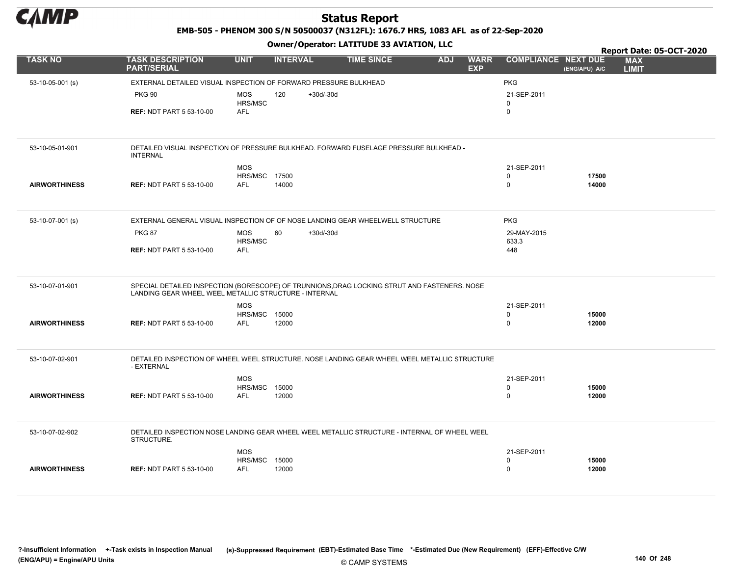

EMB-505 - PHENOM 300 S/N 50500037 (N312FL): 1676.7 HRS, 1083 AFL as of 22-Sep-2020

|                      |                                                                                                                                                       |                       |                    |                   |            |                           |                            |               | Report Date: 05-OCT-2020   |  |
|----------------------|-------------------------------------------------------------------------------------------------------------------------------------------------------|-----------------------|--------------------|-------------------|------------|---------------------------|----------------------------|---------------|----------------------------|--|
| <b>TASK NO</b>       | <b>TASK DESCRIPTION</b><br><b>PART/SERIAL</b>                                                                                                         | <b>UNIT</b>           | <b>INTERVAL</b>    | <b>TIME SINCE</b> | <b>ADJ</b> | <b>WARR</b><br><b>EXP</b> | <b>COMPLIANCE NEXT DUE</b> | (ENG/APU) A/C | <b>MAX</b><br><b>LIMIT</b> |  |
| 53-10-05-001 (s)     | EXTERNAL DETAILED VISUAL INSPECTION OF FORWARD PRESSURE BULKHEAD                                                                                      |                       |                    |                   |            |                           | <b>PKG</b>                 |               |                            |  |
|                      | <b>PKG 90</b>                                                                                                                                         | <b>MOS</b>            | 120<br>$+30d/-30d$ |                   |            |                           | 21-SEP-2011                |               |                            |  |
|                      |                                                                                                                                                       | HRS/MSC               |                    |                   |            |                           | $\mathbf 0$                |               |                            |  |
|                      | <b>REF: NDT PART 5 53-10-00</b>                                                                                                                       | <b>AFL</b>            |                    |                   |            |                           | $\mathbf 0$                |               |                            |  |
|                      |                                                                                                                                                       |                       |                    |                   |            |                           |                            |               |                            |  |
| 53-10-05-01-901      | DETAILED VISUAL INSPECTION OF PRESSURE BULKHEAD. FORWARD FUSELAGE PRESSURE BULKHEAD -<br><b>INTERNAL</b>                                              |                       |                    |                   |            |                           |                            |               |                            |  |
|                      |                                                                                                                                                       | <b>MOS</b>            |                    |                   |            |                           | 21-SEP-2011                |               |                            |  |
|                      |                                                                                                                                                       | <b>HRS/MSC 17500</b>  |                    |                   |            |                           | $\mathbf 0$                | 17500         |                            |  |
| <b>AIRWORTHINESS</b> | <b>REF: NDT PART 5 53-10-00</b>                                                                                                                       | <b>AFL</b>            | 14000              |                   |            |                           | $\mathsf 0$                | 14000         |                            |  |
|                      |                                                                                                                                                       |                       |                    |                   |            |                           |                            |               |                            |  |
| 53-10-07-001 (s)     | EXTERNAL GENERAL VISUAL INSPECTION OF OF NOSE LANDING GEAR WHEELWELL STRUCTURE                                                                        |                       |                    |                   |            |                           | <b>PKG</b>                 |               |                            |  |
|                      | <b>PKG 87</b>                                                                                                                                         | <b>MOS</b>            | $+30d/-30d$<br>60  |                   |            |                           | 29-MAY-2015                |               |                            |  |
|                      |                                                                                                                                                       | HRS/MSC<br><b>AFL</b> |                    |                   |            |                           | 633.3<br>448               |               |                            |  |
|                      | <b>REF: NDT PART 5 53-10-00</b>                                                                                                                       |                       |                    |                   |            |                           |                            |               |                            |  |
|                      |                                                                                                                                                       |                       |                    |                   |            |                           |                            |               |                            |  |
| 53-10-07-01-901      | SPECIAL DETAILED INSPECTION (BORESCOPE) OF TRUNNIONS, DRAG LOCKING STRUT AND FASTENERS. NOSE<br>LANDING GEAR WHEEL WEEL METALLIC STRUCTURE - INTERNAL |                       |                    |                   |            |                           |                            |               |                            |  |
|                      |                                                                                                                                                       | <b>MOS</b>            |                    |                   |            |                           | 21-SEP-2011                |               |                            |  |
|                      |                                                                                                                                                       | <b>HRS/MSC 15000</b>  |                    |                   |            |                           | $\mathbf 0$                | 15000         |                            |  |
| <b>AIRWORTHINESS</b> | <b>REF: NDT PART 5 53-10-00</b>                                                                                                                       | <b>AFL</b>            | 12000              |                   |            |                           | $\mathbf 0$                | 12000         |                            |  |
|                      |                                                                                                                                                       |                       |                    |                   |            |                           |                            |               |                            |  |
| 53-10-07-02-901      | DETAILED INSPECTION OF WHEEL WEEL STRUCTURE. NOSE LANDING GEAR WHEEL WEEL METALLIC STRUCTURE<br>- EXTERNAL                                            |                       |                    |                   |            |                           |                            |               |                            |  |
|                      |                                                                                                                                                       | <b>MOS</b>            |                    |                   |            |                           | 21-SEP-2011                |               |                            |  |
|                      |                                                                                                                                                       | HRS/MSC               | 15000              |                   |            |                           | $\mathsf 0$                | 15000         |                            |  |
| <b>AIRWORTHINESS</b> | <b>REF: NDT PART 5 53-10-00</b>                                                                                                                       | AFL                   | 12000              |                   |            |                           | $\Omega$                   | 12000         |                            |  |
|                      |                                                                                                                                                       |                       |                    |                   |            |                           |                            |               |                            |  |
| 53-10-07-02-902      | DETAILED INSPECTION NOSE LANDING GEAR WHEEL WEEL METALLIC STRUCTURE - INTERNAL OF WHEEL WEEL<br>STRUCTURE.                                            |                       |                    |                   |            |                           |                            |               |                            |  |
|                      |                                                                                                                                                       | <b>MOS</b>            |                    |                   |            |                           | 21-SEP-2011                |               |                            |  |
|                      |                                                                                                                                                       | HRS/MSC               | 15000              |                   |            |                           | $\mathbf 0$                | 15000         |                            |  |
| <b>AIRWORTHINESS</b> | <b>REF: NDT PART 5 53-10-00</b>                                                                                                                       | <b>AFL</b>            | 12000              |                   |            |                           | $\mathbf 0$                | 12000         |                            |  |
|                      |                                                                                                                                                       |                       |                    |                   |            |                           |                            |               |                            |  |
|                      |                                                                                                                                                       |                       |                    |                   |            |                           |                            |               |                            |  |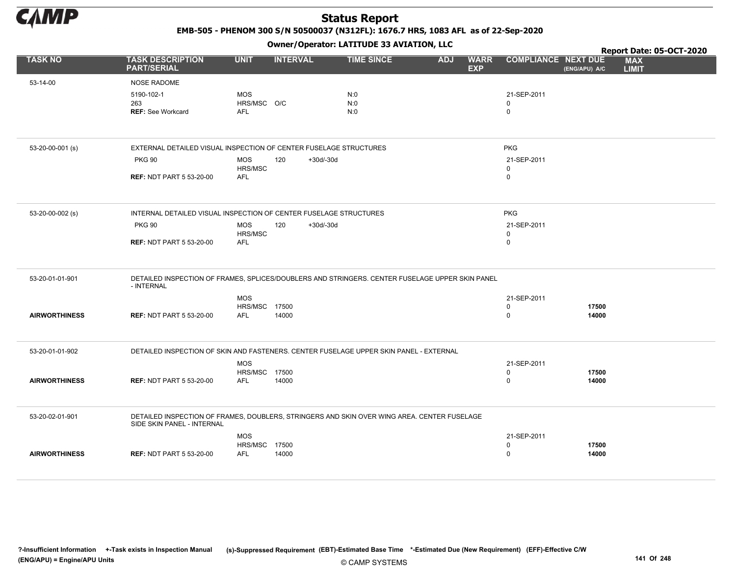

EMB-505 - PHENOM 300 S/N 50500037 (N312FL): 1676.7 HRS, 1083 AFL as of 22-Sep-2020

|                      |                                                                                                               |                             |                    | Owner/Operator. EATITODE 33 AVIATION, LLC | Report Date: 05-OCT-2020                |                            |                |                            |  |
|----------------------|---------------------------------------------------------------------------------------------------------------|-----------------------------|--------------------|-------------------------------------------|-----------------------------------------|----------------------------|----------------|----------------------------|--|
| <b>TASK NO</b>       | <b>TASK DESCRIPTION</b><br><b>PART/SERIAL</b>                                                                 | <b>UNIT</b>                 | <b>INTERVAL</b>    | <b>TIME SINCE</b>                         | <b>WARR</b><br><b>ADJ</b><br><b>EXP</b> | <b>COMPLIANCE NEXT DUE</b> | (ENG/APU) A/C  | <b>MAX</b><br><b>LIMIT</b> |  |
| 53-14-00             | <b>NOSE RADOME</b>                                                                                            |                             |                    |                                           |                                         |                            |                |                            |  |
|                      | 5190-102-1                                                                                                    | <b>MOS</b>                  |                    | N:0                                       |                                         | 21-SEP-2011                |                |                            |  |
|                      | 263                                                                                                           | HRS/MSC O/C                 |                    | N:0                                       |                                         | $\Omega$                   |                |                            |  |
|                      | <b>REF: See Workcard</b>                                                                                      | <b>AFL</b>                  |                    | N:0                                       |                                         | $\mathbf 0$                |                |                            |  |
|                      |                                                                                                               |                             |                    |                                           |                                         |                            |                |                            |  |
| 53-20-00-001 (s)     | EXTERNAL DETAILED VISUAL INSPECTION OF CENTER FUSELAGE STRUCTURES                                             |                             |                    |                                           |                                         | <b>PKG</b>                 |                |                            |  |
|                      | <b>PKG 90</b>                                                                                                 | <b>MOS</b><br>HRS/MSC       | 120<br>$+30d/-30d$ |                                           |                                         | 21-SEP-2011<br>$\mathbf 0$ |                |                            |  |
|                      | <b>REF: NDT PART 5 53-20-00</b>                                                                               | <b>AFL</b>                  |                    |                                           |                                         | $\mathbf 0$                |                |                            |  |
| 53-20-00-002 (s)     | INTERNAL DETAILED VISUAL INSPECTION OF CENTER FUSELAGE STRUCTURES                                             |                             |                    |                                           |                                         | <b>PKG</b>                 |                |                            |  |
|                      | <b>PKG 90</b>                                                                                                 | <b>MOS</b>                  | $+30d/-30d$<br>120 |                                           |                                         | 21-SEP-2011                |                |                            |  |
|                      |                                                                                                               | HRS/MSC                     |                    |                                           |                                         | $\mathsf 0$                |                |                            |  |
|                      | <b>REF: NDT PART 5 53-20-00</b>                                                                               | AFL                         |                    |                                           |                                         | $\mathbf 0$                |                |                            |  |
| 53-20-01-01-901      | DETAILED INSPECTION OF FRAMES, SPLICES/DOUBLERS AND STRINGERS. CENTER FUSELAGE UPPER SKIN PANEL<br>- INTERNAL |                             |                    |                                           |                                         |                            |                |                            |  |
|                      |                                                                                                               | <b>MOS</b>                  |                    |                                           |                                         | 21-SEP-2011                |                |                            |  |
|                      |                                                                                                               | <b>HRS/MSC 17500</b>        |                    |                                           |                                         | $\mathbf 0$                | 17500          |                            |  |
| <b>AIRWORTHINESS</b> | <b>REF: NDT PART 5 53-20-00</b>                                                                               | <b>AFL</b>                  | 14000              |                                           |                                         | $\mathbf 0$                | 14000          |                            |  |
| 53-20-01-01-902      | DETAILED INSPECTION OF SKIN AND FASTENERS. CENTER FUSELAGE UPPER SKIN PANEL - EXTERNAL                        |                             |                    |                                           |                                         |                            |                |                            |  |
|                      |                                                                                                               | <b>MOS</b>                  |                    |                                           |                                         | 21-SEP-2011                |                |                            |  |
| <b>AIRWORTHINESS</b> | <b>REF: NDT PART 5 53-20-00</b>                                                                               | HRS/MSC 17500<br><b>AFL</b> | 14000              |                                           |                                         | $\mathbf 0$<br>$\mathbf 0$ | 17500<br>14000 |                            |  |
|                      |                                                                                                               |                             |                    |                                           |                                         |                            |                |                            |  |
| 53-20-02-01-901      | DETAILED INSPECTION OF FRAMES, DOUBLERS, STRINGERS AND SKIN OVER WING AREA. CENTER FUSELAGE                   |                             |                    |                                           |                                         |                            |                |                            |  |
|                      | SIDE SKIN PANEL - INTERNAL                                                                                    |                             |                    |                                           |                                         |                            |                |                            |  |
|                      |                                                                                                               | <b>MOS</b><br>HRS/MSC 17500 |                    |                                           |                                         | 21-SEP-2011<br>$\mathbf 0$ | 17500          |                            |  |
| <b>AIRWORTHINESS</b> | <b>REF: NDT PART 5 53-20-00</b>                                                                               | <b>AFL</b>                  | 14000              |                                           |                                         | $\mathbf 0$                | 14000          |                            |  |
|                      |                                                                                                               |                             |                    |                                           |                                         |                            |                |                            |  |
|                      |                                                                                                               |                             |                    |                                           |                                         |                            |                |                            |  |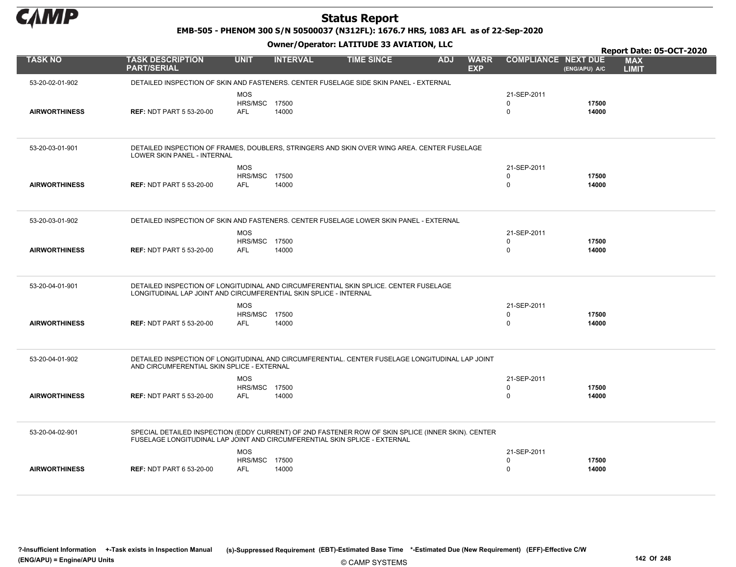

EMB-505 - PHENOM 300 S/N 50500037 (N312FL): 1676.7 HRS, 1083 AFL as of 22-Sep-2020

|                      |                                                                                                                                               |                             |                 |                   |            |                           |                            |                | Report Date: 05-OCT-2020   |  |
|----------------------|-----------------------------------------------------------------------------------------------------------------------------------------------|-----------------------------|-----------------|-------------------|------------|---------------------------|----------------------------|----------------|----------------------------|--|
| <b>TASK NO</b>       | <b>TASK DESCRIPTION</b><br><b>PART/SERIAL</b>                                                                                                 | <b>UNIT</b>                 | <b>INTERVAL</b> | <b>TIME SINCE</b> | <b>ADJ</b> | <b>WARR</b><br><b>EXP</b> | <b>COMPLIANCE NEXT DUE</b> | (ENG/APU) A/C  | <b>MAX</b><br><b>LIMIT</b> |  |
| 53-20-02-01-902      | DETAILED INSPECTION OF SKIN AND FASTENERS. CENTER FUSELAGE SIDE SKIN PANEL - EXTERNAL                                                         |                             |                 |                   |            |                           |                            |                |                            |  |
|                      |                                                                                                                                               | <b>MOS</b>                  |                 |                   |            |                           | 21-SEP-2011                |                |                            |  |
|                      |                                                                                                                                               | HRS/MSC 17500               |                 |                   |            |                           | $\Omega$                   | 17500          |                            |  |
| <b>AIRWORTHINESS</b> | <b>REF: NDT PART 5 53-20-00</b>                                                                                                               | <b>AFL</b>                  | 14000           |                   |            |                           | $\mathbf 0$                | 14000          |                            |  |
|                      |                                                                                                                                               |                             |                 |                   |            |                           |                            |                |                            |  |
|                      |                                                                                                                                               |                             |                 |                   |            |                           |                            |                |                            |  |
| 53-20-03-01-901      | DETAILED INSPECTION OF FRAMES, DOUBLERS, STRINGERS AND SKIN OVER WING AREA. CENTER FUSELAGE<br>LOWER SKIN PANEL - INTERNAL                    |                             |                 |                   |            |                           |                            |                |                            |  |
|                      |                                                                                                                                               | <b>MOS</b>                  |                 |                   |            |                           | 21-SEP-2011                |                |                            |  |
|                      |                                                                                                                                               | <b>HRS/MSC 17500</b>        |                 |                   |            |                           | $\mathbf 0$                | 17500          |                            |  |
| <b>AIRWORTHINESS</b> | <b>REF: NDT PART 5 53-20-00</b>                                                                                                               | <b>AFL</b>                  | 14000           |                   |            |                           | $\mathbf 0$                | 14000          |                            |  |
|                      |                                                                                                                                               |                             |                 |                   |            |                           |                            |                |                            |  |
| 53-20-03-01-902      | DETAILED INSPECTION OF SKIN AND FASTENERS. CENTER FUSELAGE LOWER SKIN PANEL - EXTERNAL                                                        |                             |                 |                   |            |                           |                            |                |                            |  |
|                      |                                                                                                                                               |                             |                 |                   |            |                           |                            |                |                            |  |
|                      |                                                                                                                                               | <b>MOS</b>                  |                 |                   |            |                           | 21-SEP-2011                |                |                            |  |
| <b>AIRWORTHINESS</b> | <b>REF: NDT PART 5 53-20-00</b>                                                                                                               | HRS/MSC 17500<br><b>AFL</b> | 14000           |                   |            |                           | $\Omega$<br>$\mathbf 0$    | 17500<br>14000 |                            |  |
|                      |                                                                                                                                               |                             |                 |                   |            |                           |                            |                |                            |  |
|                      |                                                                                                                                               |                             |                 |                   |            |                           |                            |                |                            |  |
| 53-20-04-01-901      | DETAILED INSPECTION OF LONGITUDINAL AND CIRCUMFERENTIAL SKIN SPLICE. CENTER FUSELAGE                                                          |                             |                 |                   |            |                           |                            |                |                            |  |
|                      | LONGITUDINAL LAP JOINT AND CIRCUMFERENTIAL SKIN SPLICE - INTERNAL                                                                             |                             |                 |                   |            |                           |                            |                |                            |  |
|                      |                                                                                                                                               | <b>MOS</b>                  |                 |                   |            |                           | 21-SEP-2011                |                |                            |  |
|                      |                                                                                                                                               | <b>HRS/MSC 17500</b>        |                 |                   |            |                           | $\mathbf 0$                | 17500          |                            |  |
| <b>AIRWORTHINESS</b> | <b>REF: NDT PART 5 53-20-00</b>                                                                                                               | <b>AFL</b>                  | 14000           |                   |            |                           | $\Omega$                   | 14000          |                            |  |
|                      |                                                                                                                                               |                             |                 |                   |            |                           |                            |                |                            |  |
|                      |                                                                                                                                               |                             |                 |                   |            |                           |                            |                |                            |  |
| 53-20-04-01-902      | DETAILED INSPECTION OF LONGITUDINAL AND CIRCUMFERENTIAL. CENTER FUSELAGE LONGITUDINAL LAP JOINT<br>AND CIRCUMFERENTIAL SKIN SPLICE - EXTERNAL |                             |                 |                   |            |                           |                            |                |                            |  |
|                      |                                                                                                                                               | <b>MOS</b>                  |                 |                   |            |                           | 21-SEP-2011                |                |                            |  |
|                      |                                                                                                                                               | <b>HRS/MSC 17500</b>        |                 |                   |            |                           | 0                          | 17500          |                            |  |
| <b>AIRWORTHINESS</b> | <b>REF: NDT PART 5 53-20-00</b>                                                                                                               | <b>AFL</b>                  | 14000           |                   |            |                           | $\Omega$                   | 14000          |                            |  |
|                      |                                                                                                                                               |                             |                 |                   |            |                           |                            |                |                            |  |
|                      |                                                                                                                                               |                             |                 |                   |            |                           |                            |                |                            |  |
| 53-20-04-02-901      | SPECIAL DETAILED INSPECTION (EDDY CURRENT) OF 2ND FASTENER ROW OF SKIN SPLICE (INNER SKIN). CENTER                                            |                             |                 |                   |            |                           |                            |                |                            |  |
|                      | FUSELAGE LONGITUDINAL LAP JOINT AND CIRCUMFERENTIAL SKIN SPLICE - EXTERNAL                                                                    |                             |                 |                   |            |                           |                            |                |                            |  |
|                      |                                                                                                                                               | <b>MOS</b>                  |                 |                   |            |                           | 21-SEP-2011                |                |                            |  |
|                      |                                                                                                                                               | <b>HRS/MSC 17500</b>        |                 |                   |            |                           | 0                          | 17500          |                            |  |
| <b>AIRWORTHINESS</b> | <b>REF: NDT PART 6 53-20-00</b>                                                                                                               | <b>AFL</b>                  | 14000           |                   |            |                           | 0                          | 14000          |                            |  |
|                      |                                                                                                                                               |                             |                 |                   |            |                           |                            |                |                            |  |
|                      |                                                                                                                                               |                             |                 |                   |            |                           |                            |                |                            |  |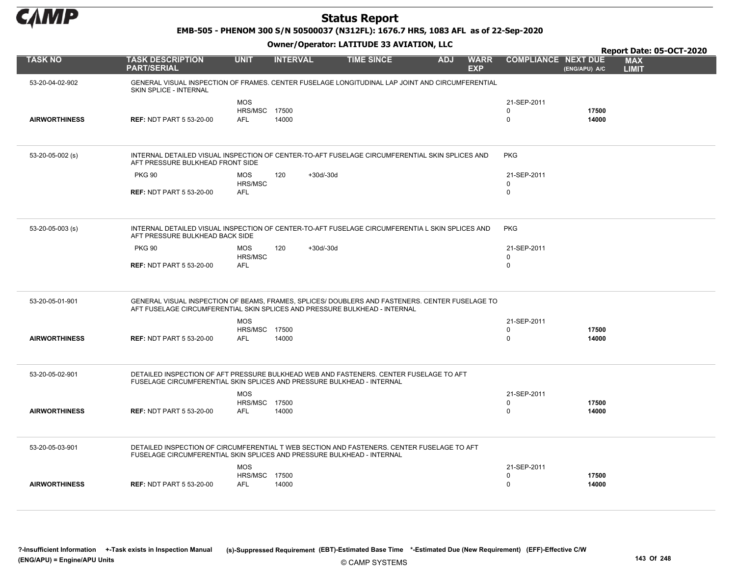

EMB-505 - PHENOM 300 S/N 50500037 (N312FL): 1676.7 HRS, 1083 AFL as of 22-Sep-2020

|                      |                                                                                                                                                                               |                                           |                 |                   |            |                           |                                        |                | Report Date: 05-OCT-2020   |
|----------------------|-------------------------------------------------------------------------------------------------------------------------------------------------------------------------------|-------------------------------------------|-----------------|-------------------|------------|---------------------------|----------------------------------------|----------------|----------------------------|
| <b>TASK NO</b>       | <b>TASK DESCRIPTION</b><br><b>PART/SERIAL</b>                                                                                                                                 | <b>UNIT</b>                               | <b>INTERVAL</b> | <b>TIME SINCE</b> | <b>ADJ</b> | <b>WARR</b><br><b>EXP</b> | <b>COMPLIANCE NEXT DUE</b>             | (ENG/APU) A/C  | <b>MAX</b><br><b>LIMIT</b> |
| 53-20-04-02-902      | GENERAL VISUAL INSPECTION OF FRAMES. CENTER FUSELAGE LONGITUDINAL LAP JOINT AND CIRCUMFERENTIAL<br>SKIN SPLICE - INTERNAL                                                     |                                           |                 |                   |            |                           |                                        |                |                            |
| <b>AIRWORTHINESS</b> | <b>REF: NDT PART 5 53-20-00</b>                                                                                                                                               | <b>MOS</b><br>HRS/MSC 17500<br><b>AFL</b> | 14000           |                   |            |                           | 21-SEP-2011<br>$\mathbf 0$<br>$\Omega$ | 17500<br>14000 |                            |
| 53-20-05-002 (s)     | INTERNAL DETAILED VISUAL INSPECTION OF CENTER-TO-AFT FUSELAGE CIRCUMFERENTIAL SKIN SPLICES AND<br>AFT PRESSURE BULKHEAD FRONT SIDE                                            |                                           |                 |                   |            |                           | <b>PKG</b>                             |                |                            |
|                      | <b>PKG 90</b>                                                                                                                                                                 | <b>MOS</b><br>HRS/MSC                     | 120             | $+30d/-30d$       |            |                           | 21-SEP-2011<br>$\mathbf 0$             |                |                            |
|                      | <b>REF: NDT PART 5 53-20-00</b>                                                                                                                                               | <b>AFL</b>                                |                 |                   |            |                           | $\mathbf 0$                            |                |                            |
| 53-20-05-003 (s)     | INTERNAL DETAILED VISUAL INSPECTION OF CENTER-TO-AFT FUSELAGE CIRCUMFERENTIA L SKIN SPLICES AND<br>AFT PRESSURE BULKHEAD BACK SIDE                                            |                                           |                 |                   |            |                           | <b>PKG</b>                             |                |                            |
|                      | <b>PKG 90</b>                                                                                                                                                                 | <b>MOS</b>                                | 120             | $+30d/-30d$       |            |                           | 21-SEP-2011                            |                |                            |
|                      |                                                                                                                                                                               | HRS/MSC                                   |                 |                   |            |                           | $\mathbf 0$                            |                |                            |
|                      | <b>REF: NDT PART 5 53-20-00</b>                                                                                                                                               | <b>AFL</b>                                |                 |                   |            |                           | $\mathbf 0$                            |                |                            |
| 53-20-05-01-901      | GENERAL VISUAL INSPECTION OF BEAMS, FRAMES, SPLICES/ DOUBLERS AND FASTENERS. CENTER FUSELAGE TO<br>AFT FUSELAGE CIRCUMFERENTIAL SKIN SPLICES AND PRESSURE BULKHEAD - INTERNAL |                                           |                 |                   |            |                           |                                        |                |                            |
|                      |                                                                                                                                                                               | <b>MOS</b>                                |                 |                   |            |                           | 21-SEP-2011                            |                |                            |
| <b>AIRWORTHINESS</b> | <b>REF: NDT PART 5 53-20-00</b>                                                                                                                                               | <b>HRS/MSC 17500</b><br><b>AFL</b>        | 14000           |                   |            |                           | $\Omega$<br>$\Omega$                   | 17500<br>14000 |                            |
| 53-20-05-02-901      | DETAILED INSPECTION OF AFT PRESSURE BULKHEAD WEB AND FASTENERS. CENTER FUSELAGE TO AFT<br>FUSELAGE CIRCUMFERENTIAL SKIN SPLICES AND PRESSURE BULKHEAD - INTERNAL              |                                           |                 |                   |            |                           |                                        |                |                            |
|                      |                                                                                                                                                                               | <b>MOS</b>                                |                 |                   |            |                           | 21-SEP-2011                            |                |                            |
| <b>AIRWORTHINESS</b> | <b>REF: NDT PART 5 53-20-00</b>                                                                                                                                               | <b>HRS/MSC 17500</b><br><b>AFL</b>        | 14000           |                   |            |                           | $\mathbf 0$<br>$\mathbf 0$             | 17500<br>14000 |                            |
|                      |                                                                                                                                                                               |                                           |                 |                   |            |                           |                                        |                |                            |
| 53-20-05-03-901      | DETAILED INSPECTION OF CIRCUMFERENTIAL T WEB SECTION AND FASTENERS. CENTER FUSELAGE TO AFT<br>FUSELAGE CIRCUMFERENTIAL SKIN SPLICES AND PRESSURE BULKHEAD - INTERNAL          |                                           |                 |                   |            |                           |                                        |                |                            |
|                      |                                                                                                                                                                               | <b>MOS</b>                                |                 |                   |            |                           | 21-SEP-2011                            |                |                            |
| <b>AIRWORTHINESS</b> | <b>REF: NDT PART 5 53-20-00</b>                                                                                                                                               | HRS/MSC 17500<br><b>AFL</b>               | 14000           |                   |            |                           | $\mathbf 0$<br>$\Omega$                | 17500<br>14000 |                            |
|                      |                                                                                                                                                                               |                                           |                 |                   |            |                           |                                        |                |                            |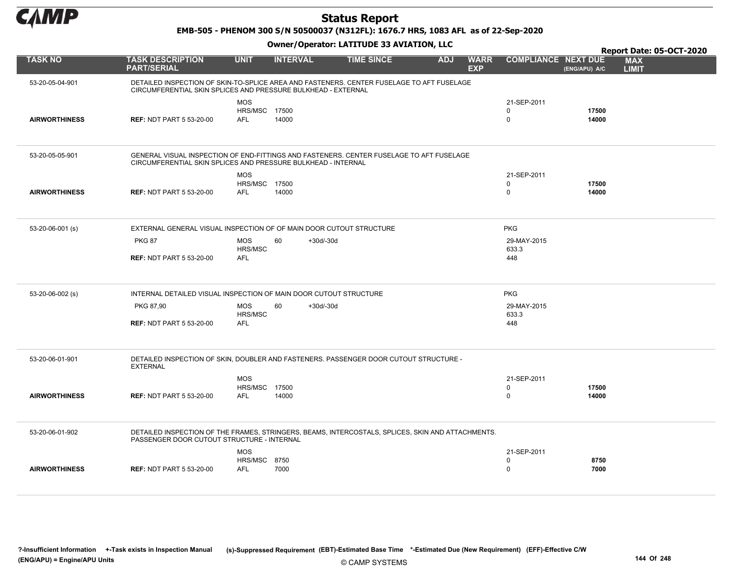

EMB-505 - PHENOM 300 S/N 50500037 (N312FL): 1676.7 HRS, 1083 AFL as of 22-Sep-2020

|                      |                                                                                                                                                            |                                                  |                   |                   |            |                           |                                        |                | Report Date: 05-OCT-2020   |  |
|----------------------|------------------------------------------------------------------------------------------------------------------------------------------------------------|--------------------------------------------------|-------------------|-------------------|------------|---------------------------|----------------------------------------|----------------|----------------------------|--|
| <b>TASK NO</b>       | <b>TASK DESCRIPTION</b><br><b>PART/SERIAL</b>                                                                                                              | <b>UNIT</b>                                      | <b>INTERVAL</b>   | <b>TIME SINCE</b> | <b>ADJ</b> | <b>WARR</b><br><b>EXP</b> | <b>COMPLIANCE NEXT DUE</b>             | (ENG/APU) A/C  | <b>MAX</b><br><b>LIMIT</b> |  |
| 53-20-05-04-901      | DETAILED INSPECTION OF SKIN-TO-SPLICE AREA AND FASTENERS. CENTER FUSELAGE TO AFT FUSELAGE<br>CIRCUMFERENTIAL SKIN SPLICES AND PRESSURE BULKHEAD - EXTERNAL |                                                  |                   |                   |            |                           |                                        |                |                            |  |
| <b>AIRWORTHINESS</b> | <b>REF: NDT PART 5 53-20-00</b>                                                                                                                            | <b>MOS</b><br><b>HRS/MSC 17500</b><br><b>AFL</b> | 14000             |                   |            |                           | 21-SEP-2011<br>$\Omega$<br>$\Omega$    | 17500<br>14000 |                            |  |
| 53-20-05-05-901      | GENERAL VISUAL INSPECTION OF END-FITTINGS AND FASTENERS. CENTER FUSELAGE TO AFT FUSELAGE<br>CIRCUMFERENTIAL SKIN SPLICES AND PRESSURE BULKHEAD - INTERNAL  |                                                  |                   |                   |            |                           |                                        |                |                            |  |
| <b>AIRWORTHINESS</b> | <b>REF: NDT PART 5 53-20-00</b>                                                                                                                            | <b>MOS</b><br>HRS/MSC 17500<br><b>AFL</b>        | 14000             |                   |            |                           | 21-SEP-2011<br>0<br>$\mathbf 0$        | 17500<br>14000 |                            |  |
| 53-20-06-001 (s)     | EXTERNAL GENERAL VISUAL INSPECTION OF OF MAIN DOOR CUTOUT STRUCTURE                                                                                        |                                                  |                   |                   |            |                           | <b>PKG</b>                             |                |                            |  |
|                      | <b>PKG 87</b><br><b>REF: NDT PART 5 53-20-00</b>                                                                                                           | <b>MOS</b><br>HRS/MSC<br><b>AFL</b>              | 60<br>$+30d/-30d$ |                   |            |                           | 29-MAY-2015<br>633.3<br>448            |                |                            |  |
| 53-20-06-002 (s)     | INTERNAL DETAILED VISUAL INSPECTION OF MAIN DOOR CUTOUT STRUCTURE                                                                                          |                                                  |                   |                   |            |                           | <b>PKG</b>                             |                |                            |  |
|                      | PKG 87,90<br><b>REF: NDT PART 5 53-20-00</b>                                                                                                               | <b>MOS</b><br>HRS/MSC<br>AFL                     | 60<br>$+30d/-30d$ |                   |            |                           | 29-MAY-2015<br>633.3<br>448            |                |                            |  |
| 53-20-06-01-901      | DETAILED INSPECTION OF SKIN, DOUBLER AND FASTENERS. PASSENGER DOOR CUTOUT STRUCTURE -<br><b>EXTERNAL</b>                                                   |                                                  |                   |                   |            |                           |                                        |                |                            |  |
| <b>AIRWORTHINESS</b> | <b>REF: NDT PART 5 53-20-00</b>                                                                                                                            | <b>MOS</b><br><b>HRS/MSC 17500</b><br><b>AFL</b> | 14000             |                   |            |                           | 21-SEP-2011<br>$\mathbf 0$<br>$\Omega$ | 17500<br>14000 |                            |  |
| 53-20-06-01-902      | DETAILED INSPECTION OF THE FRAMES, STRINGERS, BEAMS, INTERCOSTALS, SPLICES, SKIN AND ATTACHMENTS.<br>PASSENGER DOOR CUTOUT STRUCTURE - INTERNAL            |                                                  |                   |                   |            |                           |                                        |                |                            |  |
| <b>AIRWORTHINESS</b> | <b>REF: NDT PART 5 53-20-00</b>                                                                                                                            | <b>MOS</b><br><b>HRS/MSC 8750</b><br><b>AFL</b>  | 7000              |                   |            |                           | 21-SEP-2011<br>$\Omega$<br>$\mathbf 0$ | 8750<br>7000   |                            |  |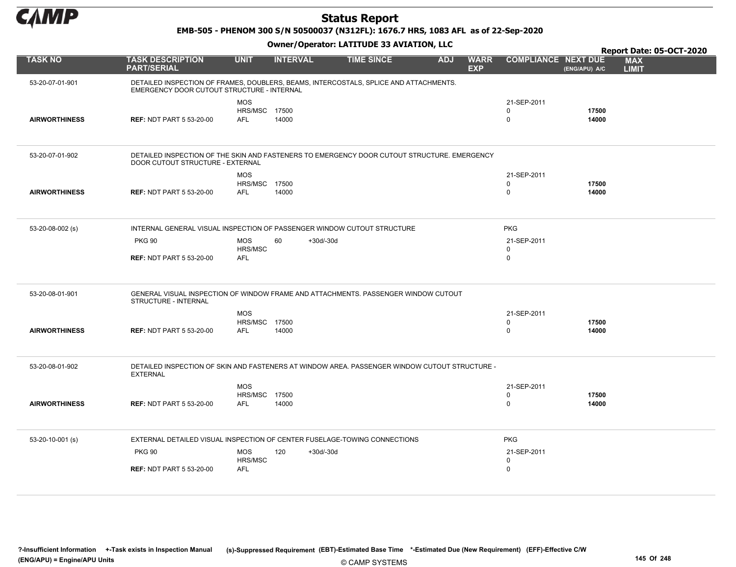

EMB-505 - PHENOM 300 S/N 50500037 (N312FL): 1676.7 HRS, 1083 AFL as of 22-Sep-2020

|                      |                                               |                                    |                 | Owner/Operator. EATITODE 33 AVIATION, LLC                                                     |            |                           |                            |                | Report Date: 05-OCT-2020   |
|----------------------|-----------------------------------------------|------------------------------------|-----------------|-----------------------------------------------------------------------------------------------|------------|---------------------------|----------------------------|----------------|----------------------------|
| <b>TASK NO</b>       | <b>TASK DESCRIPTION</b><br><b>PART/SERIAL</b> | <b>UNIT</b>                        | <b>INTERVAL</b> | <b>TIME SINCE</b>                                                                             | <b>ADJ</b> | <b>WARR</b><br><b>EXP</b> | <b>COMPLIANCE NEXT DUE</b> | (ENG/APU) A/C  | <b>MAX</b><br><b>LIMIT</b> |
| 53-20-07-01-901      | EMERGENCY DOOR CUTOUT STRUCTURE - INTERNAL    |                                    |                 | DETAILED INSPECTION OF FRAMES, DOUBLERS, BEAMS, INTERCOSTALS, SPLICE AND ATTACHMENTS.         |            |                           |                            |                |                            |
|                      |                                               | <b>MOS</b><br>HRS/MSC 17500        |                 |                                                                                               |            |                           | 21-SEP-2011<br>$\mathbf 0$ | 17500          |                            |
| <b>AIRWORTHINESS</b> | <b>REF: NDT PART 5 53-20-00</b>               | <b>AFL</b>                         | 14000           |                                                                                               |            |                           | 0                          | 14000          |                            |
| 53-20-07-01-902      | DOOR CUTOUT STRUCTURE - EXTERNAL              |                                    |                 | DETAILED INSPECTION OF THE SKIN AND FASTENERS TO EMERGENCY DOOR CUTOUT STRUCTURE. EMERGENCY   |            |                           |                            |                |                            |
|                      |                                               | <b>MOS</b>                         |                 |                                                                                               |            |                           | 21-SEP-2011                |                |                            |
| <b>AIRWORTHINESS</b> | <b>REF: NDT PART 5 53-20-00</b>               | <b>HRS/MSC 17500</b><br><b>AFL</b> | 14000           |                                                                                               |            |                           | 0<br>0                     | 17500<br>14000 |                            |
|                      |                                               |                                    |                 |                                                                                               |            |                           |                            |                |                            |
| 53-20-08-002 (s)     |                                               |                                    |                 | INTERNAL GENERAL VISUAL INSPECTION OF PASSENGER WINDOW CUTOUT STRUCTURE                       |            |                           | <b>PKG</b>                 |                |                            |
|                      | <b>PKG 90</b>                                 | <b>MOS</b><br>HRS/MSC              | 60              | $+30d/-30d$                                                                                   |            |                           | 21-SEP-2011<br>0           |                |                            |
|                      | <b>REF: NDT PART 5 53-20-00</b>               | <b>AFL</b>                         |                 |                                                                                               |            |                           | 0                          |                |                            |
| 53-20-08-01-901      | STRUCTURE - INTERNAL                          |                                    |                 | GENERAL VISUAL INSPECTION OF WINDOW FRAME AND ATTACHMENTS. PASSENGER WINDOW CUTOUT            |            |                           |                            |                |                            |
|                      |                                               | <b>MOS</b>                         |                 |                                                                                               |            |                           | 21-SEP-2011                |                |                            |
| <b>AIRWORTHINESS</b> | <b>REF: NDT PART 5 53-20-00</b>               | <b>HRS/MSC 17500</b><br><b>AFL</b> | 14000           |                                                                                               |            |                           | 0<br>0                     | 17500<br>14000 |                            |
| 53-20-08-01-902      | <b>EXTERNAL</b>                               |                                    |                 | DETAILED INSPECTION OF SKIN AND FASTENERS AT WINDOW AREA. PASSENGER WINDOW CUTOUT STRUCTURE - |            |                           |                            |                |                            |
|                      |                                               | <b>MOS</b>                         |                 |                                                                                               |            |                           | 21-SEP-2011                |                |                            |
| <b>AIRWORTHINESS</b> | <b>REF: NDT PART 5 53-20-00</b>               | <b>HRS/MSC 17500</b><br>AFL        | 14000           |                                                                                               |            |                           | 0<br>0                     | 17500<br>14000 |                            |
|                      |                                               |                                    |                 |                                                                                               |            |                           |                            |                |                            |
| 53-20-10-001 (s)     |                                               |                                    |                 | EXTERNAL DETAILED VISUAL INSPECTION OF CENTER FUSELAGE-TOWING CONNECTIONS                     |            |                           | <b>PKG</b>                 |                |                            |
|                      | <b>PKG 90</b>                                 | <b>MOS</b>                         | 120             | $+30d/-30d$                                                                                   |            |                           | 21-SEP-2011                |                |                            |
|                      | <b>REF: NDT PART 5 53-20-00</b>               | HRS/MSC<br><b>AFL</b>              |                 |                                                                                               |            |                           | 0<br>0                     |                |                            |
|                      |                                               |                                    |                 |                                                                                               |            |                           |                            |                |                            |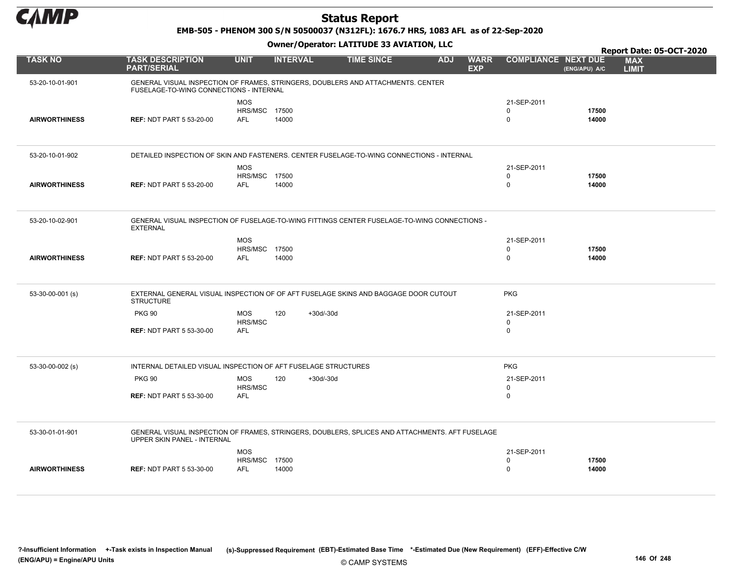

#### EMB-505 - PHENOM 300 S/N 50500037 (N312FL): 1676.7 HRS, 1083 AFL as of 22-Sep-2020

|                      |                                                                                                                                |                                                  |                 |                   |            |                           |                                 |                | Report Date: 05-OCT-2020   |
|----------------------|--------------------------------------------------------------------------------------------------------------------------------|--------------------------------------------------|-----------------|-------------------|------------|---------------------------|---------------------------------|----------------|----------------------------|
| <b>TASK NO</b>       | <b>TASK DESCRIPTION</b><br><b>PART/SERIAL</b>                                                                                  | <b>UNIT</b>                                      | <b>INTERVAL</b> | <b>TIME SINCE</b> | <b>ADJ</b> | <b>WARR</b><br><b>EXP</b> | <b>COMPLIANCE NEXT DUE</b>      | (ENG/APU) A/C  | <b>MAX</b><br><b>LIMIT</b> |
| 53-20-10-01-901      | GENERAL VISUAL INSPECTION OF FRAMES, STRINGERS, DOUBLERS AND ATTACHMENTS. CENTER<br>FUSELAGE-TO-WING CONNECTIONS - INTERNAL    |                                                  |                 |                   |            |                           |                                 |                |                            |
| <b>AIRWORTHINESS</b> | <b>REF: NDT PART 5 53-20-00</b>                                                                                                | <b>MOS</b><br><b>HRS/MSC 17500</b><br><b>AFL</b> | 14000           |                   |            |                           | 21-SEP-2011<br>0<br>$\mathbf 0$ | 17500<br>14000 |                            |
| 53-20-10-01-902      | DETAILED INSPECTION OF SKIN AND FASTENERS. CENTER FUSELAGE-TO-WING CONNECTIONS - INTERNAL                                      |                                                  |                 |                   |            |                           |                                 |                |                            |
| <b>AIRWORTHINESS</b> | <b>REF: NDT PART 5 53-20-00</b>                                                                                                | <b>MOS</b><br><b>HRS/MSC 17500</b><br>AFL        | 14000           |                   |            |                           | 21-SEP-2011<br>0<br>$\mathbf 0$ | 17500<br>14000 |                            |
| 53-20-10-02-901      | GENERAL VISUAL INSPECTION OF FUSELAGE-TO-WING FITTINGS CENTER FUSELAGE-TO-WING CONNECTIONS -<br><b>EXTERNAL</b>                |                                                  |                 |                   |            |                           |                                 |                |                            |
| <b>AIRWORTHINESS</b> | <b>REF: NDT PART 5 53-20-00</b>                                                                                                | <b>MOS</b><br><b>HRS/MSC 17500</b><br><b>AFL</b> | 14000           |                   |            |                           | 21-SEP-2011<br>0<br>$\mathbf 0$ | 17500<br>14000 |                            |
| 53-30-00-001 (s)     | EXTERNAL GENERAL VISUAL INSPECTION OF OF AFT FUSELAGE SKINS AND BAGGAGE DOOR CUTOUT<br><b>STRUCTURE</b>                        |                                                  |                 |                   |            |                           | <b>PKG</b>                      |                |                            |
|                      | <b>PKG 90</b>                                                                                                                  | MOS<br>HRS/MSC                                   | 120             | $+30d/-30d$       |            |                           | 21-SEP-2011<br>$\mathbf 0$      |                |                            |
|                      | <b>REF: NDT PART 5 53-30-00</b>                                                                                                | <b>AFL</b>                                       |                 |                   |            |                           | $\mathbf 0$                     |                |                            |
| 53-30-00-002 (s)     | INTERNAL DETAILED VISUAL INSPECTION OF AFT FUSELAGE STRUCTURES                                                                 |                                                  |                 |                   |            |                           | <b>PKG</b>                      |                |                            |
|                      | <b>PKG 90</b>                                                                                                                  | <b>MOS</b><br>HRS/MSC                            | 120             | $+30d/-30d$       |            |                           | 21-SEP-2011<br>$\mathbf 0$      |                |                            |
|                      | <b>REF: NDT PART 5 53-30-00</b>                                                                                                | <b>AFL</b>                                       |                 |                   |            |                           | $\mathbf 0$                     |                |                            |
| 53-30-01-01-901      | GENERAL VISUAL INSPECTION OF FRAMES, STRINGERS, DOUBLERS, SPLICES AND ATTACHMENTS. AFT FUSELAGE<br>UPPER SKIN PANEL - INTERNAL |                                                  |                 |                   |            |                           |                                 |                |                            |
|                      |                                                                                                                                | MOS<br>HRS/MSC 17500                             |                 |                   |            |                           | 21-SEP-2011<br>$\Omega$         | 17500          |                            |
| <b>AIRWORTHINESS</b> | <b>REF: NDT PART 5 53-30-00</b>                                                                                                | AFL                                              | 14000           |                   |            |                           | $\mathbf 0$                     | 14000          |                            |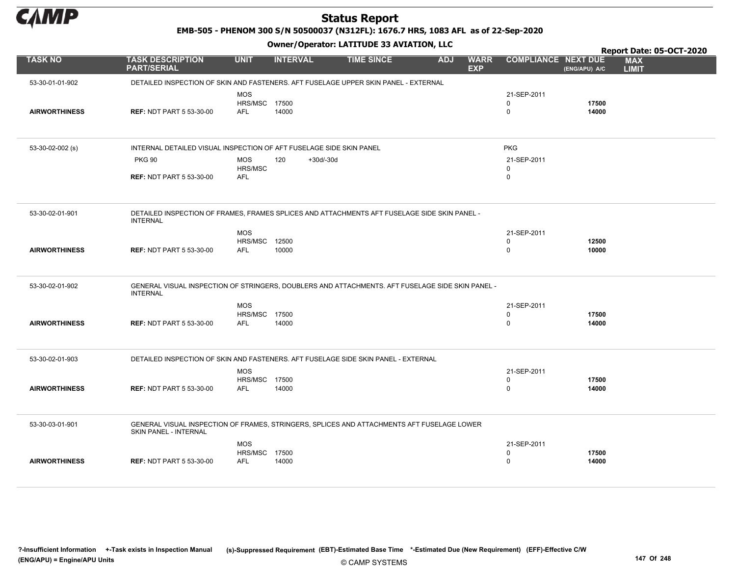

EMB-505 - PHENOM 300 S/N 50500037 (N312FL): 1676.7 HRS, 1083 AFL as of 22-Sep-2020

|                      |                                                                                                                     |                             |                    |                   |            |                           |                            |                | Report Date: 05-OCT-2020   |
|----------------------|---------------------------------------------------------------------------------------------------------------------|-----------------------------|--------------------|-------------------|------------|---------------------------|----------------------------|----------------|----------------------------|
| <b>TASK NO</b>       | <b>TASK DESCRIPTION</b><br><b>PART/SERIAL</b>                                                                       | <b>UNIT</b>                 | <b>INTERVAL</b>    | <b>TIME SINCE</b> | <b>ADJ</b> | <b>WARR</b><br><b>EXP</b> | <b>COMPLIANCE NEXT DUE</b> | (ENG/APU) A/C  | <b>MAX</b><br><b>LIMIT</b> |
| 53-30-01-01-902      | DETAILED INSPECTION OF SKIN AND FASTENERS. AFT FUSELAGE UPPER SKIN PANEL - EXTERNAL                                 |                             |                    |                   |            |                           |                            |                |                            |
|                      |                                                                                                                     | <b>MOS</b>                  |                    |                   |            |                           | 21-SEP-2011                |                |                            |
|                      |                                                                                                                     | <b>HRS/MSC 17500</b>        |                    |                   |            |                           | $\mathbf 0$                | 17500          |                            |
| <b>AIRWORTHINESS</b> | <b>REF: NDT PART 5 53-30-00</b>                                                                                     | <b>AFL</b>                  | 14000              |                   |            |                           | $\mathbf 0$                | 14000          |                            |
|                      |                                                                                                                     |                             |                    |                   |            |                           |                            |                |                            |
|                      |                                                                                                                     |                             |                    |                   |            |                           |                            |                |                            |
| 53-30-02-002 (s)     | INTERNAL DETAILED VISUAL INSPECTION OF AFT FUSELAGE SIDE SKIN PANEL                                                 |                             |                    |                   |            |                           | <b>PKG</b>                 |                |                            |
|                      | <b>PKG 90</b>                                                                                                       | MOS                         | $+30d/-30d$<br>120 |                   |            |                           | 21-SEP-2011                |                |                            |
|                      |                                                                                                                     | HRS/MSC                     |                    |                   |            |                           | $\mathbf{0}$               |                |                            |
|                      | <b>REF: NDT PART 5 53-30-00</b>                                                                                     | <b>AFL</b>                  |                    |                   |            |                           | $\mathbf 0$                |                |                            |
|                      |                                                                                                                     |                             |                    |                   |            |                           |                            |                |                            |
|                      |                                                                                                                     |                             |                    |                   |            |                           |                            |                |                            |
| 53-30-02-01-901      | DETAILED INSPECTION OF FRAMES, FRAMES SPLICES AND ATTACHMENTS AFT FUSELAGE SIDE SKIN PANEL -                        |                             |                    |                   |            |                           |                            |                |                            |
|                      | <b>INTERNAL</b>                                                                                                     |                             |                    |                   |            |                           |                            |                |                            |
|                      |                                                                                                                     | <b>MOS</b>                  |                    |                   |            |                           | 21-SEP-2011                |                |                            |
| <b>AIRWORTHINESS</b> | <b>REF: NDT PART 5 53-30-00</b>                                                                                     | HRS/MSC 12500<br><b>AFL</b> | 10000              |                   |            |                           | $\mathbf 0$<br>$\mathbf 0$ | 12500<br>10000 |                            |
|                      |                                                                                                                     |                             |                    |                   |            |                           |                            |                |                            |
|                      |                                                                                                                     |                             |                    |                   |            |                           |                            |                |                            |
|                      |                                                                                                                     |                             |                    |                   |            |                           |                            |                |                            |
| 53-30-02-01-902      | GENERAL VISUAL INSPECTION OF STRINGERS, DOUBLERS AND ATTACHMENTS. AFT FUSELAGE SIDE SKIN PANEL -<br><b>INTERNAL</b> |                             |                    |                   |            |                           |                            |                |                            |
|                      |                                                                                                                     | <b>MOS</b>                  |                    |                   |            |                           | 21-SEP-2011                |                |                            |
|                      |                                                                                                                     | <b>HRS/MSC 17500</b>        |                    |                   |            |                           | $\mathbf 0$                | 17500          |                            |
| <b>AIRWORTHINESS</b> | <b>REF: NDT PART 5 53-30-00</b>                                                                                     | <b>AFL</b>                  | 14000              |                   |            |                           | $\mathbf 0$                | 14000          |                            |
|                      |                                                                                                                     |                             |                    |                   |            |                           |                            |                |                            |
|                      |                                                                                                                     |                             |                    |                   |            |                           |                            |                |                            |
| 53-30-02-01-903      | DETAILED INSPECTION OF SKIN AND FASTENERS. AFT FUSELAGE SIDE SKIN PANEL - EXTERNAL                                  |                             |                    |                   |            |                           |                            |                |                            |
|                      |                                                                                                                     | <b>MOS</b>                  |                    |                   |            |                           | 21-SEP-2011                |                |                            |
|                      |                                                                                                                     | <b>HRS/MSC 17500</b>        |                    |                   |            |                           | $\mathbf 0$                | 17500          |                            |
| <b>AIRWORTHINESS</b> | <b>REF: NDT PART 5 53-30-00</b>                                                                                     | <b>AFL</b>                  | 14000              |                   |            |                           | $\Omega$                   | 14000          |                            |
|                      |                                                                                                                     |                             |                    |                   |            |                           |                            |                |                            |
|                      |                                                                                                                     |                             |                    |                   |            |                           |                            |                |                            |
| 53-30-03-01-901      | GENERAL VISUAL INSPECTION OF FRAMES, STRINGERS, SPLICES AND ATTACHMENTS AFT FUSELAGE LOWER                          |                             |                    |                   |            |                           |                            |                |                            |
|                      | <b>SKIN PANEL - INTERNAL</b>                                                                                        |                             |                    |                   |            |                           |                            |                |                            |
|                      |                                                                                                                     | <b>MOS</b>                  |                    |                   |            |                           | 21-SEP-2011                |                |                            |
|                      |                                                                                                                     | <b>HRS/MSC 17500</b>        |                    |                   |            |                           | 0                          | 17500          |                            |
| <b>AIRWORTHINESS</b> | <b>REF: NDT PART 5 53-30-00</b>                                                                                     | AFL                         | 14000              |                   |            |                           | $\mathbf 0$                | 14000          |                            |
|                      |                                                                                                                     |                             |                    |                   |            |                           |                            |                |                            |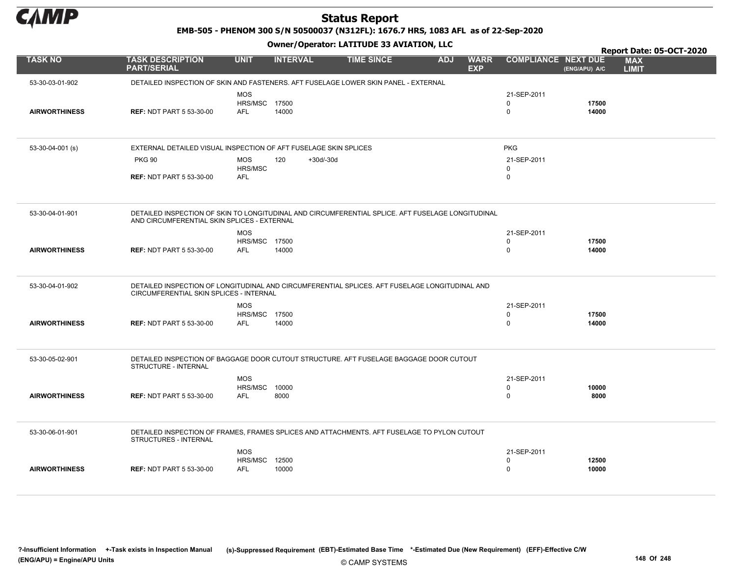

EMB-505 - PHENOM 300 S/N 50500037 (N312FL): 1676.7 HRS, 1083 AFL as of 22-Sep-2020

|                      |                                                                                                                                                  |                                                  |                    |                   |            |                           |                                        |                | Report Date: 05-OCT-2020   |
|----------------------|--------------------------------------------------------------------------------------------------------------------------------------------------|--------------------------------------------------|--------------------|-------------------|------------|---------------------------|----------------------------------------|----------------|----------------------------|
| <b>TASK NO</b>       | <b>TASK DESCRIPTION</b><br><b>PART/SERIAL</b>                                                                                                    | <b>UNIT</b>                                      | <b>INTERVAL</b>    | <b>TIME SINCE</b> | <b>ADJ</b> | <b>WARR</b><br><b>EXP</b> | <b>COMPLIANCE NEXT DUE</b>             | (ENG/APU) A/C  | <b>MAX</b><br><b>LIMIT</b> |
| 53-30-03-01-902      | DETAILED INSPECTION OF SKIN AND FASTENERS. AFT FUSELAGE LOWER SKIN PANEL - EXTERNAL                                                              |                                                  |                    |                   |            |                           |                                        |                |                            |
| <b>AIRWORTHINESS</b> | <b>REF: NDT PART 5 53-30-00</b>                                                                                                                  | <b>MOS</b><br><b>HRS/MSC 17500</b><br><b>AFL</b> | 14000              |                   |            |                           | 21-SEP-2011<br>$\Omega$<br>$\mathbf 0$ | 17500<br>14000 |                            |
| $53-30-04-001$ (s)   | EXTERNAL DETAILED VISUAL INSPECTION OF AFT FUSELAGE SKIN SPLICES                                                                                 |                                                  |                    |                   |            |                           | <b>PKG</b>                             |                |                            |
|                      | <b>PKG 90</b>                                                                                                                                    | <b>MOS</b>                                       | 120<br>$+30d/-30d$ |                   |            |                           | 21-SEP-2011                            |                |                            |
|                      |                                                                                                                                                  | HRS/MSC                                          |                    |                   |            |                           | $\Omega$                               |                |                            |
|                      | <b>REF: NDT PART 5 53-30-00</b>                                                                                                                  | <b>AFL</b>                                       |                    |                   |            |                           | $\mathbf 0$                            |                |                            |
| 53-30-04-01-901      | DETAILED INSPECTION OF SKIN TO LONGITUDINAL AND CIRCUMFERENTIAL SPLICE. AFT FUSELAGE LONGITUDINAL<br>AND CIRCUMFERENTIAL SKIN SPLICES - EXTERNAL |                                                  |                    |                   |            |                           |                                        |                |                            |
|                      |                                                                                                                                                  | <b>MOS</b>                                       |                    |                   |            |                           | 21-SEP-2011                            |                |                            |
|                      |                                                                                                                                                  | <b>HRS/MSC 17500</b>                             |                    |                   |            |                           | $\Omega$                               | 17500          |                            |
| <b>AIRWORTHINESS</b> | <b>REF: NDT PART 5 53-30-00</b>                                                                                                                  | <b>AFL</b>                                       | 14000              |                   |            |                           | $\mathbf 0$                            | 14000          |                            |
| 53-30-04-01-902      | DETAILED INSPECTION OF LONGITUDINAL AND CIRCUMFERENTIAL SPLICES. AFT FUSELAGE LONGITUDINAL AND<br>CIRCUMFERENTIAL SKIN SPLICES - INTERNAL        |                                                  |                    |                   |            |                           |                                        |                |                            |
|                      |                                                                                                                                                  | <b>MOS</b>                                       |                    |                   |            |                           | 21-SEP-2011                            |                |                            |
|                      |                                                                                                                                                  | <b>HRS/MSC 17500</b>                             |                    |                   |            |                           | 0                                      | 17500          |                            |
| <b>AIRWORTHINESS</b> | <b>REF: NDT PART 5 53-30-00</b>                                                                                                                  | <b>AFL</b>                                       | 14000              |                   |            |                           | $\Omega$                               | 14000          |                            |
| 53-30-05-02-901      | DETAILED INSPECTION OF BAGGAGE DOOR CUTOUT STRUCTURE. AFT FUSELAGE BAGGAGE DOOR CUTOUT<br>STRUCTURE - INTERNAL                                   |                                                  |                    |                   |            |                           |                                        |                |                            |
|                      |                                                                                                                                                  | <b>MOS</b>                                       |                    |                   |            |                           | 21-SEP-2011                            |                |                            |
|                      |                                                                                                                                                  | HRS/MSC                                          | 10000              |                   |            |                           | $\mathbf 0$                            | 10000          |                            |
| <b>AIRWORTHINESS</b> | <b>REF: NDT PART 5 53-30-00</b>                                                                                                                  | <b>AFL</b>                                       | 8000               |                   |            |                           | $\Omega$                               | 8000           |                            |
| 53-30-06-01-901      | DETAILED INSPECTION OF FRAMES, FRAMES SPLICES AND ATTACHMENTS. AFT FUSELAGE TO PYLON CUTOUT<br>STRUCTURES - INTERNAL                             |                                                  |                    |                   |            |                           |                                        |                |                            |
|                      |                                                                                                                                                  | <b>MOS</b>                                       |                    |                   |            |                           | 21-SEP-2011                            |                |                            |
|                      |                                                                                                                                                  | HRS/MSC 12500                                    |                    |                   |            |                           | $\Omega$                               | 12500          |                            |
| <b>AIRWORTHINESS</b> | <b>REF: NDT PART 5 53-30-00</b>                                                                                                                  | <b>AFL</b>                                       | 10000              |                   |            |                           | $\Omega$                               | 10000          |                            |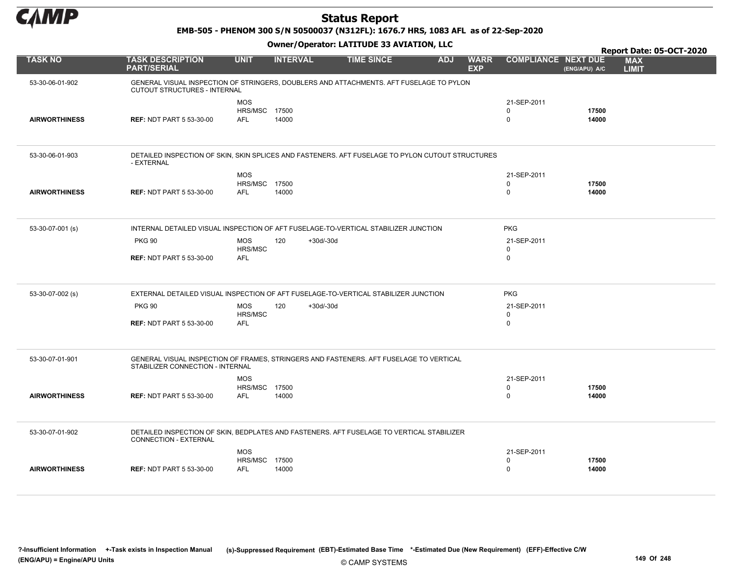

#### EMB-505 - PHENOM 300 S/N 50500037 (N312FL): 1676.7 HRS, 1083 AFL as of 22-Sep-2020

|                      |                                                                                                                            |                                                  |                  |                   |            |                           |                            |                | Report Date: 05-OCT-2020   |
|----------------------|----------------------------------------------------------------------------------------------------------------------------|--------------------------------------------------|------------------|-------------------|------------|---------------------------|----------------------------|----------------|----------------------------|
| <b>TASK NO</b>       | <b>TASK DESCRIPTION</b><br><b>PART/SERIAL</b>                                                                              | <b>UNIT</b>                                      | <b>INTERVAL</b>  | <b>TIME SINCE</b> | <b>ADJ</b> | <b>WARR</b><br><b>EXP</b> | <b>COMPLIANCE NEXT DUE</b> | (ENG/APU) A/C  | <b>MAX</b><br><b>LIMIT</b> |
| 53-30-06-01-902      | GENERAL VISUAL INSPECTION OF STRINGERS, DOUBLERS AND ATTACHMENTS. AFT FUSELAGE TO PYLON<br>CUTOUT STRUCTURES - INTERNAL    |                                                  |                  |                   |            |                           |                            |                |                            |
| <b>AIRWORTHINESS</b> | <b>REF: NDT PART 5 53-30-00</b>                                                                                            | <b>MOS</b><br><b>HRS/MSC 17500</b><br><b>AFL</b> | 14000            |                   |            |                           | 21-SEP-2011<br>0<br>0      | 17500<br>14000 |                            |
| 53-30-06-01-903      | DETAILED INSPECTION OF SKIN, SKIN SPLICES AND FASTENERS. AFT FUSELAGE TO PYLON CUTOUT STRUCTURES<br>- EXTERNAL             |                                                  |                  |                   |            |                           |                            |                |                            |
|                      |                                                                                                                            | <b>MOS</b>                                       |                  |                   |            |                           | 21-SEP-2011                |                |                            |
|                      |                                                                                                                            | <b>HRS/MSC 17500</b>                             |                  |                   |            |                           | 0                          | 17500          |                            |
| <b>AIRWORTHINESS</b> | <b>REF: NDT PART 5 53-30-00</b>                                                                                            | <b>AFL</b>                                       | 14000            |                   |            |                           | 0                          | 14000          |                            |
|                      |                                                                                                                            |                                                  |                  |                   |            |                           |                            |                |                            |
| 53-30-07-001 (s)     | INTERNAL DETAILED VISUAL INSPECTION OF AFT FUSELAGE-TO-VERTICAL STABILIZER JUNCTION                                        |                                                  |                  |                   |            |                           | <b>PKG</b>                 |                |                            |
|                      | <b>PKG 90</b>                                                                                                              | <b>MOS</b><br>HRS/MSC                            | 120<br>+30d/-30d |                   |            |                           | 21-SEP-2011<br>0           |                |                            |
|                      | <b>REF: NDT PART 5 53-30-00</b>                                                                                            | <b>AFL</b>                                       |                  |                   |            |                           | 0                          |                |                            |
| 53-30-07-002 (s)     | EXTERNAL DETAILED VISUAL INSPECTION OF AFT FUSELAGE-TO-VERTICAL STABILIZER JUNCTION                                        |                                                  |                  |                   |            |                           | <b>PKG</b>                 |                |                            |
|                      | <b>PKG 90</b>                                                                                                              | <b>MOS</b>                                       | 120<br>+30d/-30d |                   |            |                           | 21-SEP-2011                |                |                            |
|                      | <b>REF: NDT PART 5 53-30-00</b>                                                                                            | HRS/MSC<br><b>AFL</b>                            |                  |                   |            |                           | 0<br>0                     |                |                            |
|                      |                                                                                                                            |                                                  |                  |                   |            |                           |                            |                |                            |
| 53-30-07-01-901      | GENERAL VISUAL INSPECTION OF FRAMES, STRINGERS AND FASTENERS. AFT FUSELAGE TO VERTICAL<br>STABILIZER CONNECTION - INTERNAL |                                                  |                  |                   |            |                           |                            |                |                            |
|                      |                                                                                                                            | <b>MOS</b>                                       |                  |                   |            |                           | 21-SEP-2011                |                |                            |
|                      |                                                                                                                            | <b>HRS/MSC 17500</b>                             |                  |                   |            |                           | 0                          | 17500          |                            |
| <b>AIRWORTHINESS</b> | <b>REF: NDT PART 5 53-30-00</b>                                                                                            | <b>AFL</b>                                       | 14000            |                   |            |                           | 0                          | 14000          |                            |
|                      |                                                                                                                            |                                                  |                  |                   |            |                           |                            |                |                            |
| 53-30-07-01-902      | DETAILED INSPECTION OF SKIN, BEDPLATES AND FASTENERS. AFT FUSELAGE TO VERTICAL STABILIZER<br>CONNECTION - EXTERNAL         |                                                  |                  |                   |            |                           |                            |                |                            |
|                      |                                                                                                                            | <b>MOS</b>                                       |                  |                   |            |                           | 21-SEP-2011                |                |                            |
|                      |                                                                                                                            | <b>HRS/MSC 17500</b>                             |                  |                   |            |                           | $\mathbf 0$                | 17500          |                            |
| <b>AIRWORTHINESS</b> | <b>REF: NDT PART 5 53-30-00</b>                                                                                            | <b>AFL</b>                                       | 14000            |                   |            |                           | $\mathbf 0$                | 14000          |                            |
|                      |                                                                                                                            |                                                  |                  |                   |            |                           |                            |                |                            |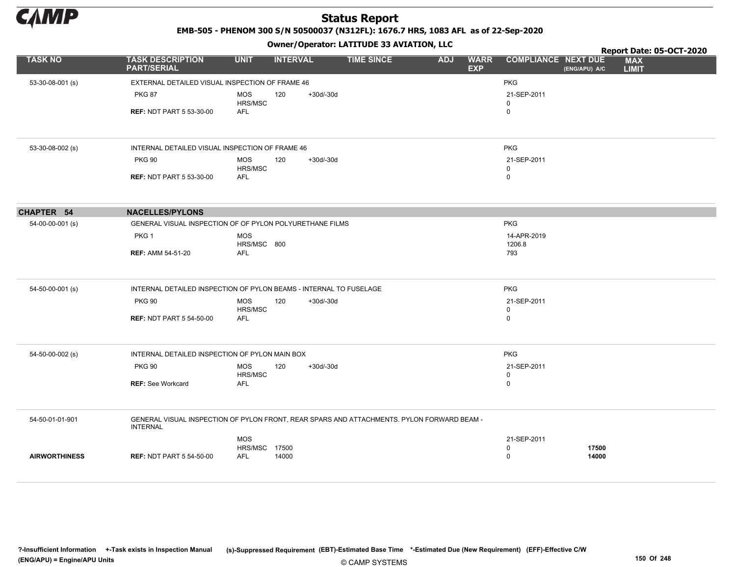

EMB-505 - PHENOM 300 S/N 50500037 (N312FL): 1676.7 HRS, 1083 AFL as of 22-Sep-2020

|                      |                                                                                                               |                           | - - - -         |             |                   |            |                           |                            |               | Report Date: 05-OCT-2020   |  |
|----------------------|---------------------------------------------------------------------------------------------------------------|---------------------------|-----------------|-------------|-------------------|------------|---------------------------|----------------------------|---------------|----------------------------|--|
| <b>TASK NO</b>       | <b>TASK DESCRIPTION</b><br><b>PART/SERIAL</b>                                                                 | <b>UNIT</b>               | <b>INTERVAL</b> |             | <b>TIME SINCE</b> | <b>ADJ</b> | <b>WARR</b><br><b>EXP</b> | <b>COMPLIANCE NEXT DUE</b> | (ENG/APU) A/C | <b>MAX</b><br><b>LIMIT</b> |  |
| 53-30-08-001 (s)     | EXTERNAL DETAILED VISUAL INSPECTION OF FRAME 46                                                               |                           |                 |             |                   |            |                           | <b>PKG</b>                 |               |                            |  |
|                      | <b>PKG 87</b>                                                                                                 | <b>MOS</b><br>HRS/MSC     | 120             | $+30d/-30d$ |                   |            |                           | 21-SEP-2011<br>$\mathbf 0$ |               |                            |  |
|                      | <b>REF: NDT PART 5 53-30-00</b>                                                                               | <b>AFL</b>                |                 |             |                   |            |                           | $\mathbf 0$                |               |                            |  |
| 53-30-08-002 (s)     | INTERNAL DETAILED VISUAL INSPECTION OF FRAME 46                                                               |                           |                 |             |                   |            |                           | <b>PKG</b>                 |               |                            |  |
|                      | <b>PKG 90</b>                                                                                                 | <b>MOS</b>                | 120             | $+30d/-30d$ |                   |            |                           | 21-SEP-2011                |               |                            |  |
|                      |                                                                                                               | HRS/MSC                   |                 |             |                   |            |                           | $\mathbf 0$                |               |                            |  |
|                      | <b>REF: NDT PART 5 53-30-00</b>                                                                               | <b>AFL</b>                |                 |             |                   |            |                           | $\mathbf 0$                |               |                            |  |
| <b>CHAPTER 54</b>    | <b>NACELLES/PYLONS</b>                                                                                        |                           |                 |             |                   |            |                           |                            |               |                            |  |
| 54-00-00-001 (s)     | GENERAL VISUAL INSPECTION OF OF PYLON POLYURETHANE FILMS                                                      |                           |                 |             |                   |            |                           | <b>PKG</b>                 |               |                            |  |
|                      | PKG <sub>1</sub>                                                                                              | <b>MOS</b><br>HRS/MSC 800 |                 |             |                   |            |                           | 14-APR-2019<br>1206.8      |               |                            |  |
|                      | <b>REF: AMM 54-51-20</b>                                                                                      | <b>AFL</b>                |                 |             |                   |            |                           | 793                        |               |                            |  |
| 54-50-00-001 (s)     | INTERNAL DETAILED INSPECTION OF PYLON BEAMS - INTERNAL TO FUSELAGE                                            |                           |                 |             |                   |            |                           | PKG                        |               |                            |  |
|                      | <b>PKG 90</b>                                                                                                 | <b>MOS</b>                | 120             | $+30d/-30d$ |                   |            |                           | 21-SEP-2011                |               |                            |  |
|                      |                                                                                                               | HRS/MSC                   |                 |             |                   |            |                           | $\mathbf 0$                |               |                            |  |
|                      | <b>REF: NDT PART 5 54-50-00</b>                                                                               | <b>AFL</b>                |                 |             |                   |            |                           | $\mathsf 0$                |               |                            |  |
| 54-50-00-002 (s)     | INTERNAL DETAILED INSPECTION OF PYLON MAIN BOX                                                                |                           |                 |             |                   |            |                           | <b>PKG</b>                 |               |                            |  |
|                      | <b>PKG 90</b>                                                                                                 | <b>MOS</b><br>HRS/MSC     | 120             | $+30d/-30d$ |                   |            |                           | 21-SEP-2011<br>$\mathbf 0$ |               |                            |  |
|                      | <b>REF: See Workcard</b>                                                                                      | <b>AFL</b>                |                 |             |                   |            |                           | $\mathbf 0$                |               |                            |  |
| 54-50-01-01-901      | GENERAL VISUAL INSPECTION OF PYLON FRONT, REAR SPARS AND ATTACHMENTS. PYLON FORWARD BEAM -<br><b>INTERNAL</b> |                           |                 |             |                   |            |                           |                            |               |                            |  |
|                      |                                                                                                               | <b>MOS</b>                |                 |             |                   |            |                           | 21-SEP-2011                |               |                            |  |
|                      |                                                                                                               | <b>HRS/MSC 17500</b>      |                 |             |                   |            |                           | $\mathbf 0$                | 17500         |                            |  |
| <b>AIRWORTHINESS</b> | <b>REF: NDT PART 5 54-50-00</b>                                                                               | <b>AFL</b>                | 14000           |             |                   |            |                           | $\Omega$                   | 14000         |                            |  |
|                      |                                                                                                               |                           |                 |             |                   |            |                           |                            |               |                            |  |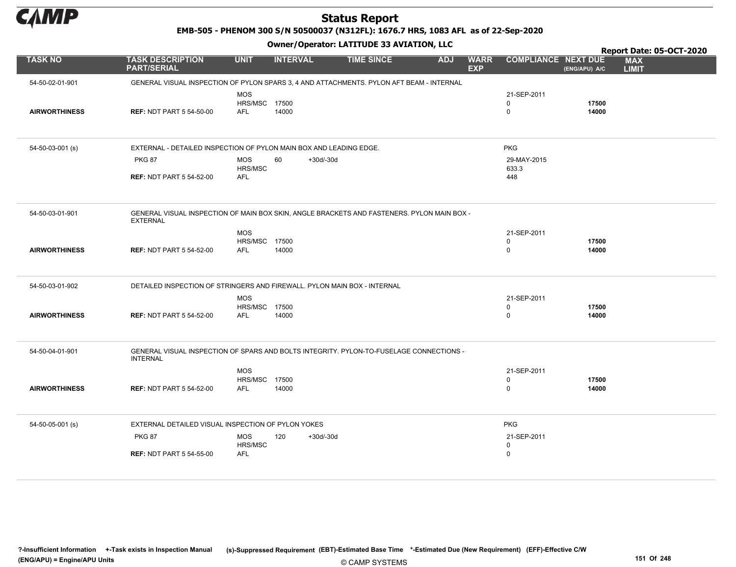

EMB-505 - PHENOM 300 S/N 50500037 (N312FL): 1676.7 HRS, 1083 AFL as of 22-Sep-2020

|                      |                                                                                                               |                             | .                  |                   |            |                           |                            |                |                            | Report Date: 05-OCT-2020 |
|----------------------|---------------------------------------------------------------------------------------------------------------|-----------------------------|--------------------|-------------------|------------|---------------------------|----------------------------|----------------|----------------------------|--------------------------|
| <b>TASK NO</b>       | <b>TASK DESCRIPTION</b><br><b>PART/SERIAL</b>                                                                 | <b>UNIT</b>                 | <b>INTERVAL</b>    | <b>TIME SINCE</b> | <b>ADJ</b> | <b>WARR</b><br><b>EXP</b> | <b>COMPLIANCE NEXT DUE</b> | (ENG/APU) A/C  | <b>MAX</b><br><b>LIMIT</b> |                          |
| 54-50-02-01-901      | GENERAL VISUAL INSPECTION OF PYLON SPARS 3, 4 AND ATTACHMENTS. PYLON AFT BEAM - INTERNAL                      |                             |                    |                   |            |                           |                            |                |                            |                          |
|                      |                                                                                                               | <b>MOS</b>                  |                    |                   |            |                           | 21-SEP-2011                |                |                            |                          |
|                      |                                                                                                               | HRS/MSC 17500               |                    |                   |            |                           | 0                          | 17500          |                            |                          |
| <b>AIRWORTHINESS</b> | <b>REF: NDT PART 5 54-50-00</b>                                                                               | <b>AFL</b>                  | 14000              |                   |            |                           | 0                          | 14000          |                            |                          |
|                      |                                                                                                               |                             |                    |                   |            |                           |                            |                |                            |                          |
|                      |                                                                                                               |                             |                    |                   |            |                           |                            |                |                            |                          |
| 54-50-03-001 (s)     | EXTERNAL - DETAILED INSPECTION OF PYLON MAIN BOX AND LEADING EDGE.                                            |                             |                    |                   |            |                           | <b>PKG</b>                 |                |                            |                          |
|                      | <b>PKG 87</b>                                                                                                 | MOS                         | 60<br>$+30d/-30d$  |                   |            |                           | 29-MAY-2015                |                |                            |                          |
|                      |                                                                                                               | HRS/MSC                     |                    |                   |            |                           | 633.3                      |                |                            |                          |
|                      | <b>REF: NDT PART 5 54-52-00</b>                                                                               | <b>AFL</b>                  |                    |                   |            |                           | 448                        |                |                            |                          |
|                      |                                                                                                               |                             |                    |                   |            |                           |                            |                |                            |                          |
|                      |                                                                                                               |                             |                    |                   |            |                           |                            |                |                            |                          |
|                      |                                                                                                               |                             |                    |                   |            |                           |                            |                |                            |                          |
| 54-50-03-01-901      | GENERAL VISUAL INSPECTION OF MAIN BOX SKIN, ANGLE BRACKETS AND FASTENERS. PYLON MAIN BOX -<br><b>EXTERNAL</b> |                             |                    |                   |            |                           |                            |                |                            |                          |
|                      |                                                                                                               |                             |                    |                   |            |                           |                            |                |                            |                          |
|                      |                                                                                                               | MOS<br><b>HRS/MSC 17500</b> |                    |                   |            |                           | 21-SEP-2011<br>0           | 17500          |                            |                          |
| <b>AIRWORTHINESS</b> | <b>REF: NDT PART 5 54-52-00</b>                                                                               | AFL                         | 14000              |                   |            |                           | 0                          | 14000          |                            |                          |
|                      |                                                                                                               |                             |                    |                   |            |                           |                            |                |                            |                          |
|                      |                                                                                                               |                             |                    |                   |            |                           |                            |                |                            |                          |
| 54-50-03-01-902      | DETAILED INSPECTION OF STRINGERS AND FIREWALL. PYLON MAIN BOX - INTERNAL                                      |                             |                    |                   |            |                           |                            |                |                            |                          |
|                      |                                                                                                               |                             |                    |                   |            |                           |                            |                |                            |                          |
|                      |                                                                                                               | <b>MOS</b>                  |                    |                   |            |                           | 21-SEP-2011                |                |                            |                          |
| <b>AIRWORTHINESS</b> | <b>REF: NDT PART 5 54-52-00</b>                                                                               | HRS/MSC 17500<br><b>AFL</b> | 14000              |                   |            |                           | 0<br>0                     | 17500<br>14000 |                            |                          |
|                      |                                                                                                               |                             |                    |                   |            |                           |                            |                |                            |                          |
|                      |                                                                                                               |                             |                    |                   |            |                           |                            |                |                            |                          |
|                      |                                                                                                               |                             |                    |                   |            |                           |                            |                |                            |                          |
| 54-50-04-01-901      | GENERAL VISUAL INSPECTION OF SPARS AND BOLTS INTEGRITY. PYLON-TO-FUSELAGE CONNECTIONS -                       |                             |                    |                   |            |                           |                            |                |                            |                          |
|                      | <b>INTERNAL</b>                                                                                               |                             |                    |                   |            |                           |                            |                |                            |                          |
|                      |                                                                                                               | <b>MOS</b>                  |                    |                   |            |                           | 21-SEP-2011                |                |                            |                          |
|                      |                                                                                                               | <b>HRS/MSC 17500</b>        |                    |                   |            |                           | 0                          | 17500          |                            |                          |
| <b>AIRWORTHINESS</b> | <b>REF: NDT PART 5 54-52-00</b>                                                                               | AFL                         | 14000              |                   |            |                           | 0                          | 14000          |                            |                          |
|                      |                                                                                                               |                             |                    |                   |            |                           |                            |                |                            |                          |
|                      |                                                                                                               |                             |                    |                   |            |                           |                            |                |                            |                          |
| 54-50-05-001 (s)     | EXTERNAL DETAILED VISUAL INSPECTION OF PYLON YOKES                                                            |                             |                    |                   |            |                           | <b>PKG</b>                 |                |                            |                          |
|                      | <b>PKG 87</b>                                                                                                 | MOS                         | 120<br>$+30d/-30d$ |                   |            |                           | 21-SEP-2011                |                |                            |                          |
|                      |                                                                                                               | HRS/MSC                     |                    |                   |            |                           | 0                          |                |                            |                          |
|                      | <b>REF: NDT PART 5 54-55-00</b>                                                                               | <b>AFL</b>                  |                    |                   |            |                           | 0                          |                |                            |                          |
|                      |                                                                                                               |                             |                    |                   |            |                           |                            |                |                            |                          |
|                      |                                                                                                               |                             |                    |                   |            |                           |                            |                |                            |                          |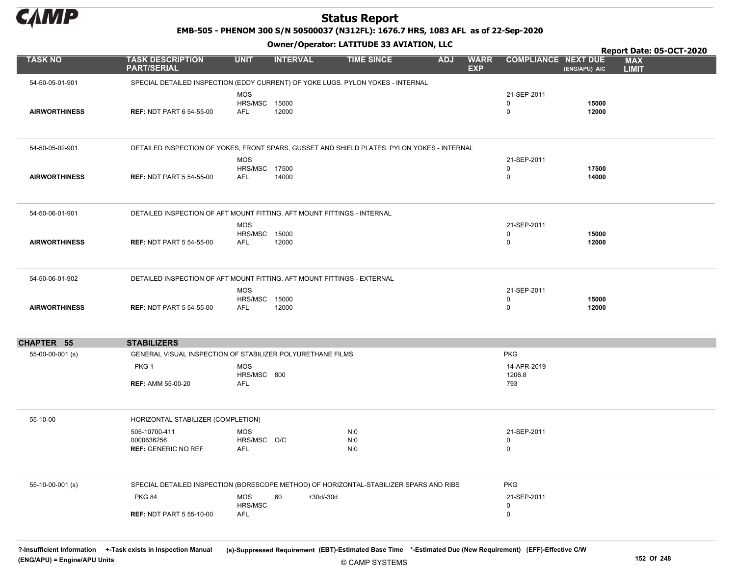

EMB-505 - PHENOM 300 S/N 50500037 (N312FL): 1676.7 HRS, 1083 AFL as of 22-Sep-2020

Owner/Operator: LATITUDE 33 AVIATION, LLC

|                      |                                                           | .                                                                                           |                   |                                         |                                           |                                             | Report Date: 05-OCT-2020 |
|----------------------|-----------------------------------------------------------|---------------------------------------------------------------------------------------------|-------------------|-----------------------------------------|-------------------------------------------|---------------------------------------------|--------------------------|
| <b>TASK NO</b>       | <b>TASK DESCRIPTION</b><br><b>PART/SERIAL</b>             | <b>UNIT</b><br><b>INTERVAL</b>                                                              | <b>TIME SINCE</b> | <b>ADJ</b><br><b>WARR</b><br><b>EXP</b> | <b>COMPLIANCE NEXT DUE</b>                | <b>MAX</b><br>(ENG/APU) A/C<br><b>LIMIT</b> |                          |
| 54-50-05-01-901      |                                                           | SPECIAL DETAILED INSPECTION (EDDY CURRENT) OF YOKE LUGS. PYLON YOKES - INTERNAL             |                   |                                         |                                           |                                             |                          |
| <b>AIRWORTHINESS</b> | <b>REF: NDT PART 6 54-55-00</b>                           | <b>MOS</b><br><b>HRS/MSC 15000</b><br><b>AFL</b><br>12000                                   |                   |                                         | 21-SEP-2011<br>0<br>$\mathbf 0$           | 15000<br>12000                              |                          |
| 54-50-05-02-901      |                                                           | DETAILED INSPECTION OF YOKES, FRONT SPARS, GUSSET AND SHIELD PLATES. PYLON YOKES - INTERNAL |                   |                                         |                                           |                                             |                          |
| <b>AIRWORTHINESS</b> | <b>REF: NDT PART 5 54-55-00</b>                           | <b>MOS</b><br>HRS/MSC 17500<br><b>AFL</b><br>14000                                          |                   |                                         | 21-SEP-2011<br>$\mathbf 0$<br>$\mathbf 0$ | 17500<br>14000                              |                          |
| 54-50-06-01-901      |                                                           | DETAILED INSPECTION OF AFT MOUNT FITTING. AFT MOUNT FITTINGS - INTERNAL                     |                   |                                         |                                           |                                             |                          |
| <b>AIRWORTHINESS</b> | <b>REF: NDT PART 5 54-55-00</b>                           | <b>MOS</b><br>HRS/MSC 15000<br>AFL<br>12000                                                 |                   |                                         | 21-SEP-2011<br>0<br>$\mathbf 0$           | 15000<br>12000                              |                          |
| 54-50-06-01-902      |                                                           | DETAILED INSPECTION OF AFT MOUNT FITTING. AFT MOUNT FITTINGS - EXTERNAL<br><b>MOS</b>       |                   |                                         | 21-SEP-2011                               |                                             |                          |
| <b>AIRWORTHINESS</b> | <b>REF: NDT PART 5 54-55-00</b>                           | <b>HRS/MSC 15000</b><br>12000<br>AFL                                                        |                   |                                         | 0<br>$\mathbf 0$                          | 15000<br>12000                              |                          |
| <b>CHAPTER 55</b>    | <b>STABILIZERS</b>                                        |                                                                                             |                   |                                         |                                           |                                             |                          |
| 55-00-00-001 (s)     |                                                           | GENERAL VISUAL INSPECTION OF STABILIZER POLYURETHANE FILMS                                  |                   |                                         | <b>PKG</b>                                |                                             |                          |
|                      | PKG <sub>1</sub><br><b>REF: AMM 55-00-20</b>              | <b>MOS</b><br>HRS/MSC 800<br>AFL                                                            |                   |                                         | 14-APR-2019<br>1206.8<br>793              |                                             |                          |
| 55-10-00             | HORIZONTAL STABILIZER (COMPLETION)                        |                                                                                             |                   |                                         |                                           |                                             |                          |
|                      | 505-10700-411<br>0000636256<br><b>REF: GENERIC NO REF</b> | <b>MOS</b><br>HRS/MSC O/C<br>AFL                                                            | N:0<br>N:0<br>N:0 |                                         | 21-SEP-2011<br>0<br>$\mathbf 0$           |                                             |                          |
| 55-10-00-001 (s)     |                                                           | SPECIAL DETAILED INSPECTION (BORESCOPE METHOD) OF HORIZONTAL-STABILIZER SPARS AND RIBS      |                   |                                         | <b>PKG</b>                                |                                             |                          |
|                      | <b>PKG 84</b><br><b>REF: NDT PART 5 55-10-00</b>          | <b>MOS</b><br>60<br>$+30d/-30d$<br>HRS/MSC<br><b>AFL</b>                                    |                   |                                         | 21-SEP-2011<br>0<br>$\mathbf 0$           |                                             |                          |
|                      |                                                           |                                                                                             |                   |                                         |                                           |                                             |                          |

© CAMP SYSTEMS ?-Insufficient Information +-Task exists in Inspection Manual (s)-Suppressed Requirement (EBT)-Estimated Base Time \*-Estimated Due (New Requirement) (EFF)-Effective C/W (ENG/APU) = Engine/APU Units 152 Of 248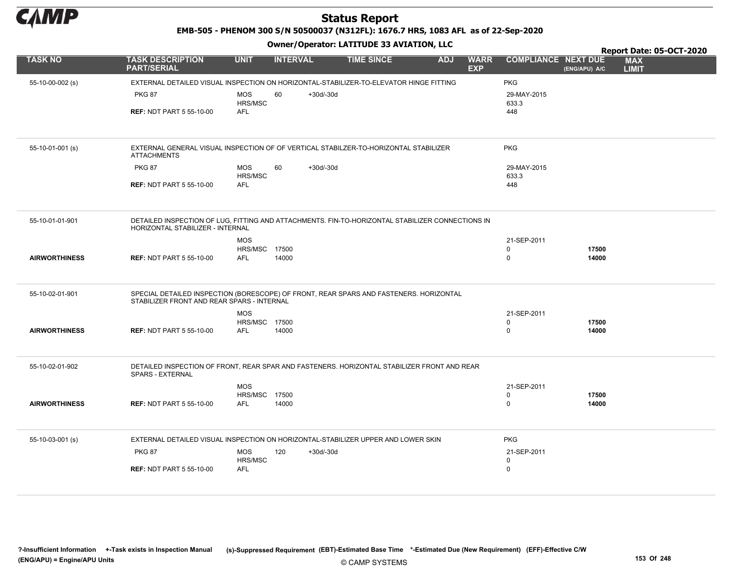

EMB-505 - PHENOM 300 S/N 50500037 (N312FL): 1676.7 HRS, 1083 AFL as of 22-Sep-2020

|                      | Owner/Operator. EATITODE 33 AVIATION, LLC                                                                                            |                              |                 |             |                   |            |                           |                            |                | Report Date: 05-OCT-2020   |
|----------------------|--------------------------------------------------------------------------------------------------------------------------------------|------------------------------|-----------------|-------------|-------------------|------------|---------------------------|----------------------------|----------------|----------------------------|
| <b>TASK NO</b>       | <b>TASK DESCRIPTION</b><br><b>PART/SERIAL</b>                                                                                        | <b>UNIT</b>                  | <b>INTERVAL</b> |             | <b>TIME SINCE</b> | <b>ADJ</b> | <b>WARR</b><br><b>EXP</b> | <b>COMPLIANCE NEXT DUE</b> | (ENG/APU) A/C  | <b>MAX</b><br><b>LIMIT</b> |
| 55-10-00-002 (s)     | EXTERNAL DETAILED VISUAL INSPECTION ON HORIZONTAL-STABILIZER-TO-ELEVATOR HINGE FITTING                                               |                              |                 |             |                   |            |                           | <b>PKG</b>                 |                |                            |
|                      | <b>PKG 87</b>                                                                                                                        | <b>MOS</b><br>HRS/MSC        | 60              | $+30d/-30d$ |                   |            |                           | 29-MAY-2015<br>633.3       |                |                            |
|                      | <b>REF: NDT PART 5 55-10-00</b>                                                                                                      | <b>AFL</b>                   |                 |             |                   |            |                           | 448                        |                |                            |
| 55-10-01-001 (s)     | EXTERNAL GENERAL VISUAL INSPECTION OF OF VERTICAL STABILZER-TO-HORIZONTAL STABILIZER<br><b>ATTACHMENTS</b>                           |                              |                 |             |                   |            |                           | <b>PKG</b>                 |                |                            |
|                      | <b>PKG 87</b>                                                                                                                        | MOS<br>HRS/MSC               | 60              | $+30d/-30d$ |                   |            |                           | 29-MAY-2015<br>633.3       |                |                            |
|                      | <b>REF: NDT PART 5 55-10-00</b>                                                                                                      | AFL                          |                 |             |                   |            |                           | 448                        |                |                            |
| 55-10-01-01-901      | DETAILED INSPECTION OF LUG. FITTING AND ATTACHMENTS. FIN-TO-HORIZONTAL STABILIZER CONNECTIONS IN<br>HORIZONTAL STABILIZER - INTERNAL |                              |                 |             |                   |            |                           |                            |                |                            |
|                      |                                                                                                                                      | <b>MOS</b>                   |                 |             |                   |            |                           | 21-SEP-2011                |                |                            |
| <b>AIRWORTHINESS</b> | <b>REF: NDT PART 5 55-10-00</b>                                                                                                      | HRS/MSC<br>AFL               | 17500<br>14000  |             |                   |            |                           | $\mathbf 0$<br>$\mathbf 0$ | 17500<br>14000 |                            |
|                      |                                                                                                                                      |                              |                 |             |                   |            |                           |                            |                |                            |
| 55-10-02-01-901      | SPECIAL DETAILED INSPECTION (BORESCOPE) OF FRONT, REAR SPARS AND FASTENERS. HORIZONTAL<br>STABILIZER FRONT AND REAR SPARS - INTERNAL |                              |                 |             |                   |            |                           |                            |                |                            |
|                      |                                                                                                                                      | <b>MOS</b>                   |                 |             |                   |            |                           | 21-SEP-2011                |                |                            |
| <b>AIRWORTHINESS</b> | <b>REF: NDT PART 5 55-10-00</b>                                                                                                      | <b>HRS/MSC 17500</b><br>AFL  | 14000           |             |                   |            |                           | 0<br>$\mathbf 0$           | 17500<br>14000 |                            |
|                      |                                                                                                                                      |                              |                 |             |                   |            |                           |                            |                |                            |
| 55-10-02-01-902      | DETAILED INSPECTION OF FRONT, REAR SPAR AND FASTENERS. HORIZONTAL STABILIZER FRONT AND REAR<br>SPARS - EXTERNAL                      |                              |                 |             |                   |            |                           |                            |                |                            |
|                      |                                                                                                                                      | <b>MOS</b>                   |                 |             |                   |            |                           | 21-SEP-2011                |                |                            |
| <b>AIRWORTHINESS</b> | <b>REF: NDT PART 5 55-10-00</b>                                                                                                      | HRS/MSC 17500<br>AFL         | 14000           |             |                   |            |                           | $\mathbf 0$<br>$\mathbf 0$ | 17500<br>14000 |                            |
|                      |                                                                                                                                      |                              |                 |             |                   |            |                           |                            |                |                            |
| 55-10-03-001 (s)     | EXTERNAL DETAILED VISUAL INSPECTION ON HORIZONTAL-STABILIZER UPPER AND LOWER SKIN                                                    |                              |                 |             |                   |            |                           | <b>PKG</b>                 |                |                            |
|                      | <b>PKG 87</b>                                                                                                                        | <b>MOS</b>                   | 120             | $+30d/-30d$ |                   |            |                           | 21-SEP-2011                |                |                            |
|                      | <b>REF: NDT PART 5 55-10-00</b>                                                                                                      | <b>HRS/MSC</b><br><b>AFL</b> |                 |             |                   |            |                           | $\mathbf 0$<br>$\mathbf 0$ |                |                            |
|                      |                                                                                                                                      |                              |                 |             |                   |            |                           |                            |                |                            |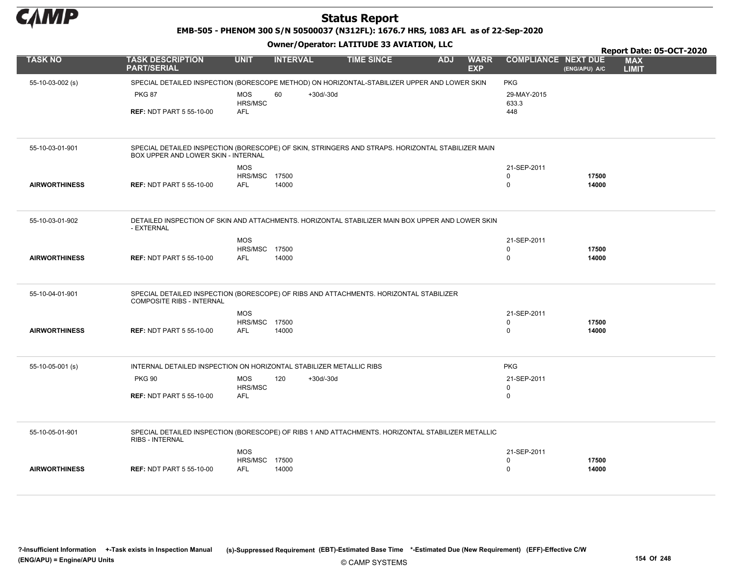

EMB-505 - PHENOM 300 S/N 50500037 (N312FL): 1676.7 HRS, 1083 AFL as of 22-Sep-2020

|                      |                                                                                                                                          |                       |                    |                   |            |                           |                            |               |                            | Report Date: 05-OCT-2020 |
|----------------------|------------------------------------------------------------------------------------------------------------------------------------------|-----------------------|--------------------|-------------------|------------|---------------------------|----------------------------|---------------|----------------------------|--------------------------|
| <b>TASK NO</b>       | <b>TASK DESCRIPTION</b><br><b>PART/SERIAL</b>                                                                                            | <b>UNIT</b>           | <b>INTERVAL</b>    | <b>TIME SINCE</b> | <b>ADJ</b> | <b>WARR</b><br><b>EXP</b> | <b>COMPLIANCE NEXT DUE</b> | (ENG/APU) A/C | <b>MAX</b><br><b>LIMIT</b> |                          |
| 55-10-03-002 (s)     | SPECIAL DETAILED INSPECTION (BORESCOPE METHOD) ON HORIZONTAL-STABILIZER UPPER AND LOWER SKIN                                             |                       |                    |                   |            |                           | <b>PKG</b>                 |               |                            |                          |
|                      | <b>PKG 87</b>                                                                                                                            | <b>MOS</b><br>HRS/MSC | 60<br>$+30d/-30d$  |                   |            |                           | 29-MAY-2015<br>633.3       |               |                            |                          |
|                      | <b>REF: NDT PART 5 55-10-00</b>                                                                                                          | <b>AFL</b>            |                    |                   |            |                           | 448                        |               |                            |                          |
| 55-10-03-01-901      | SPECIAL DETAILED INSPECTION (BORESCOPE) OF SKIN, STRINGERS AND STRAPS. HORIZONTAL STABILIZER MAIN<br>BOX UPPER AND LOWER SKIN - INTERNAL |                       |                    |                   |            |                           |                            |               |                            |                          |
|                      |                                                                                                                                          | <b>MOS</b>            |                    |                   |            |                           | 21-SEP-2011                |               |                            |                          |
|                      |                                                                                                                                          | HRS/MSC               | 17500              |                   |            |                           | $\mathbf 0$                | 17500         |                            |                          |
| <b>AIRWORTHINESS</b> | <b>REF: NDT PART 5 55-10-00</b>                                                                                                          | AFL                   | 14000              |                   |            |                           | 0                          | 14000         |                            |                          |
| 55-10-03-01-902      | DETAILED INSPECTION OF SKIN AND ATTACHMENTS. HORIZONTAL STABILIZER MAIN BOX UPPER AND LOWER SKIN<br>- EXTERNAL                           |                       |                    |                   |            |                           |                            |               |                            |                          |
|                      |                                                                                                                                          | <b>MOS</b>            |                    |                   |            |                           | 21-SEP-2011                |               |                            |                          |
|                      |                                                                                                                                          | HRS/MSC 17500         |                    |                   |            |                           | 0                          | 17500         |                            |                          |
| <b>AIRWORTHINESS</b> | <b>REF: NDT PART 5 55-10-00</b>                                                                                                          | <b>AFL</b>            | 14000              |                   |            |                           | 0                          | 14000         |                            |                          |
| 55-10-04-01-901      | SPECIAL DETAILED INSPECTION (BORESCOPE) OF RIBS AND ATTACHMENTS. HORIZONTAL STABILIZER<br><b>COMPOSITE RIBS - INTERNAL</b>               |                       |                    |                   |            |                           |                            |               |                            |                          |
|                      |                                                                                                                                          | <b>MOS</b>            |                    |                   |            |                           | 21-SEP-2011                |               |                            |                          |
|                      |                                                                                                                                          | HRS/MSC 17500         |                    |                   |            |                           | $\mathbf 0$                | 17500         |                            |                          |
| <b>AIRWORTHINESS</b> | <b>REF: NDT PART 5 55-10-00</b>                                                                                                          | <b>AFL</b>            | 14000              |                   |            |                           | 0                          | 14000         |                            |                          |
| 55-10-05-001 (s)     | INTERNAL DETAILED INSPECTION ON HORIZONTAL STABILIZER METALLIC RIBS                                                                      |                       |                    |                   |            |                           | <b>PKG</b>                 |               |                            |                          |
|                      | <b>PKG 90</b>                                                                                                                            | <b>MOS</b><br>HRS/MSC | 120<br>$+30d/-30d$ |                   |            |                           | 21-SEP-2011<br>0           |               |                            |                          |
|                      | <b>REF: NDT PART 5 55-10-00</b>                                                                                                          | <b>AFL</b>            |                    |                   |            |                           | 0                          |               |                            |                          |
|                      |                                                                                                                                          |                       |                    |                   |            |                           |                            |               |                            |                          |
| 55-10-05-01-901      | SPECIAL DETAILED INSPECTION (BORESCOPE) OF RIBS 1 AND ATTACHMENTS. HORIZONTAL STABILIZER METALLIC<br>RIBS - INTERNAL                     |                       |                    |                   |            |                           |                            |               |                            |                          |
|                      |                                                                                                                                          | <b>MOS</b>            |                    |                   |            |                           | 21-SEP-2011                |               |                            |                          |
|                      |                                                                                                                                          | HRS/MSC               | 17500              |                   |            |                           | 0                          | 17500         |                            |                          |
| <b>AIRWORTHINESS</b> | <b>REF: NDT PART 5 55-10-00</b>                                                                                                          | <b>AFL</b>            | 14000              |                   |            |                           | 0                          | 14000         |                            |                          |
|                      |                                                                                                                                          |                       |                    |                   |            |                           |                            |               |                            |                          |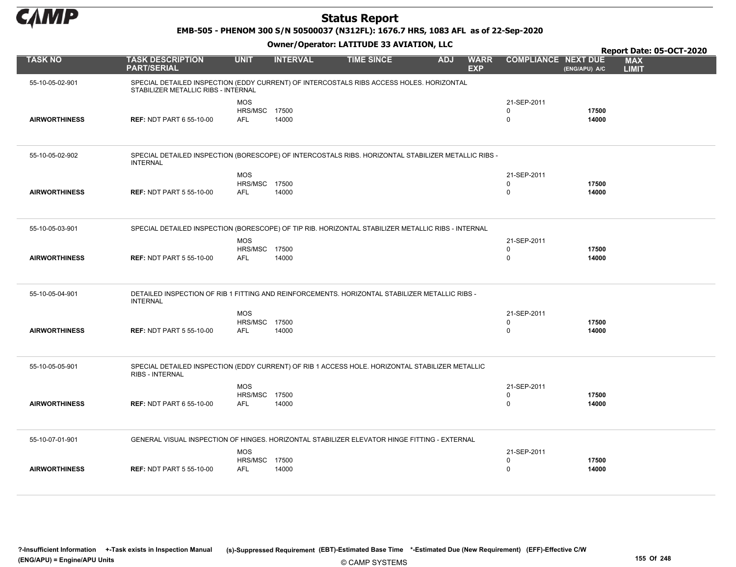

EMB-505 - PHENOM 300 S/N 50500037 (N312FL): 1676.7 HRS, 1083 AFL as of 22-Sep-2020

|                      |                                                                                                                                 |                                    |                 |                   |            |                           |                            |                | Report Date: 05-OCT-2020   |
|----------------------|---------------------------------------------------------------------------------------------------------------------------------|------------------------------------|-----------------|-------------------|------------|---------------------------|----------------------------|----------------|----------------------------|
| <b>TASK NO</b>       | <b>TASK DESCRIPTION</b><br><b>PART/SERIAL</b>                                                                                   | <b>UNIT</b>                        | <b>INTERVAL</b> | <b>TIME SINCE</b> | <b>ADJ</b> | <b>WARR</b><br><b>EXP</b> | <b>COMPLIANCE NEXT DUE</b> | (ENG/APU) A/C  | <b>MAX</b><br><b>LIMIT</b> |
| 55-10-05-02-901      | SPECIAL DETAILED INSPECTION (EDDY CURRENT) OF INTERCOSTALS RIBS ACCESS HOLES. HORIZONTAL<br>STABILIZER METALLIC RIBS - INTERNAL |                                    |                 |                   |            |                           |                            |                |                            |
|                      |                                                                                                                                 | <b>MOS</b>                         |                 |                   |            |                           | 21-SEP-2011                |                |                            |
| <b>AIRWORTHINESS</b> | <b>REF: NDT PART 6 55-10-00</b>                                                                                                 | HRS/MSC 17500<br>AFL               | 14000           |                   |            |                           | $\Omega$<br>$\Omega$       | 17500<br>14000 |                            |
|                      |                                                                                                                                 |                                    |                 |                   |            |                           |                            |                |                            |
|                      |                                                                                                                                 |                                    |                 |                   |            |                           |                            |                |                            |
| 55-10-05-02-902      | SPECIAL DETAILED INSPECTION (BORESCOPE) OF INTERCOSTALS RIBS. HORIZONTAL STABILIZER METALLIC RIBS -<br><b>INTERNAL</b>          |                                    |                 |                   |            |                           |                            |                |                            |
|                      |                                                                                                                                 | <b>MOS</b>                         |                 |                   |            |                           | 21-SEP-2011                |                |                            |
|                      |                                                                                                                                 | HRS/MSC 17500                      |                 |                   |            |                           | $\Omega$                   | 17500          |                            |
| <b>AIRWORTHINESS</b> | <b>REF: NDT PART 5 55-10-00</b>                                                                                                 | <b>AFL</b>                         | 14000           |                   |            |                           | $\Omega$                   | 14000          |                            |
|                      |                                                                                                                                 |                                    |                 |                   |            |                           |                            |                |                            |
| 55-10-05-03-901      | SPECIAL DETAILED INSPECTION (BORESCOPE) OF TIP RIB. HORIZONTAL STABILIZER METALLIC RIBS - INTERNAL                              |                                    |                 |                   |            |                           |                            |                |                            |
|                      |                                                                                                                                 | <b>MOS</b>                         |                 |                   |            |                           | 21-SEP-2011                |                |                            |
| <b>AIRWORTHINESS</b> |                                                                                                                                 | <b>HRS/MSC 17500</b><br><b>AFL</b> |                 |                   |            |                           | $\Omega$<br>$\Omega$       | 17500          |                            |
|                      | <b>REF: NDT PART 5 55-10-00</b>                                                                                                 |                                    | 14000           |                   |            |                           |                            | 14000          |                            |
| 55-10-05-04-901      | DETAILED INSPECTION OF RIB 1 FITTING AND REINFORCEMENTS. HORIZONTAL STABILIZER METALLIC RIBS -                                  |                                    |                 |                   |            |                           |                            |                |                            |
|                      | <b>INTERNAL</b>                                                                                                                 |                                    |                 |                   |            |                           |                            |                |                            |
|                      |                                                                                                                                 | <b>MOS</b>                         |                 |                   |            |                           | 21-SEP-2011                |                |                            |
|                      |                                                                                                                                 | <b>HRS/MSC 17500</b>               |                 |                   |            |                           | $\Omega$                   | 17500          |                            |
| <b>AIRWORTHINESS</b> | <b>REF: NDT PART 5 55-10-00</b>                                                                                                 | <b>AFL</b>                         | 14000           |                   |            |                           | $\Omega$                   | 14000          |                            |
|                      |                                                                                                                                 |                                    |                 |                   |            |                           |                            |                |                            |
| 55-10-05-05-901      | SPECIAL DETAILED INSPECTION (EDDY CURRENT) OF RIB 1 ACCESS HOLE. HORIZONTAL STABILIZER METALLIC<br><b>RIBS - INTERNAL</b>       |                                    |                 |                   |            |                           |                            |                |                            |
|                      |                                                                                                                                 | <b>MOS</b>                         |                 |                   |            |                           | 21-SEP-2011                |                |                            |
|                      |                                                                                                                                 | HRS/MSC                            | 17500           |                   |            |                           | 0                          | 17500          |                            |
| <b>AIRWORTHINESS</b> | <b>REF: NDT PART 6 55-10-00</b>                                                                                                 | <b>AFL</b>                         | 14000           |                   |            |                           | $\mathbf 0$                | 14000          |                            |
|                      |                                                                                                                                 |                                    |                 |                   |            |                           |                            |                |                            |
| 55-10-07-01-901      | GENERAL VISUAL INSPECTION OF HINGES. HORIZONTAL STABILIZER ELEVATOR HINGE FITTING - EXTERNAL                                    |                                    |                 |                   |            |                           |                            |                |                            |
|                      |                                                                                                                                 | <b>MOS</b>                         |                 |                   |            |                           | 21-SEP-2011                |                |                            |
|                      |                                                                                                                                 | HRS/MSC 17500                      |                 |                   |            |                           | 0                          | 17500          |                            |
| <b>AIRWORTHINESS</b> | <b>REF: NDT PART 5 55-10-00</b>                                                                                                 | <b>AFL</b>                         | 14000           |                   |            |                           | $\Omega$                   | 14000          |                            |
|                      |                                                                                                                                 |                                    |                 |                   |            |                           |                            |                |                            |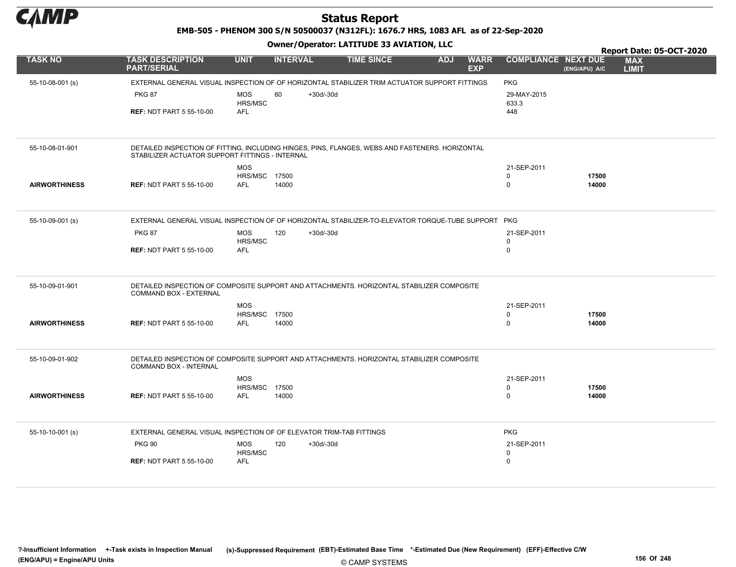

EMB-505 - PHENOM 300 S/N 50500037 (N312FL): 1676.7 HRS, 1083 AFL as of 22-Sep-2020

|                      |                                                                     | Owner/Operator. EATITODE 33 AVIATION, LLC   |                                                                                                    |                                         |                            |                |                                                        |  |  |
|----------------------|---------------------------------------------------------------------|---------------------------------------------|----------------------------------------------------------------------------------------------------|-----------------------------------------|----------------------------|----------------|--------------------------------------------------------|--|--|
| <b>TASK NO</b>       | <b>TASK DESCRIPTION</b><br><b>PART/SERIAL</b>                       | <b>UNIT</b><br><b>INTERVAL</b>              | <b>TIME SINCE</b>                                                                                  | <b>ADJ</b><br><b>WARR</b><br><b>EXP</b> | <b>COMPLIANCE NEXT DUE</b> | (ENG/APU) A/C  | Report Date: 05-OCT-2020<br><b>MAX</b><br><b>LIMIT</b> |  |  |
| 55-10-08-001 (s)     |                                                                     |                                             | EXTERNAL GENERAL VISUAL INSPECTION OF OF HORIZONTAL STABILIZER TRIM ACTUATOR SUPPORT FITTINGS      |                                         | <b>PKG</b>                 |                |                                                        |  |  |
|                      | <b>PKG 87</b>                                                       | <b>MOS</b><br>60<br>HRS/MSC                 | +30d/-30d                                                                                          |                                         | 29-MAY-2015<br>633.3       |                |                                                        |  |  |
|                      | <b>REF: NDT PART 5 55-10-00</b>                                     | <b>AFL</b>                                  |                                                                                                    |                                         | 448                        |                |                                                        |  |  |
|                      |                                                                     |                                             |                                                                                                    |                                         |                            |                |                                                        |  |  |
| 55-10-08-01-901      | STABILIZER ACTUATOR SUPPORT FITTINGS - INTERNAL                     |                                             | DETAILED INSPECTION OF FITTING, INCLUDING HINGES, PINS, FLANGES, WEBS AND FASTENERS. HORIZONTAL    |                                         |                            |                |                                                        |  |  |
|                      |                                                                     | <b>MOS</b>                                  |                                                                                                    |                                         | 21-SEP-2011                |                |                                                        |  |  |
| <b>AIRWORTHINESS</b> | <b>REF: NDT PART 5 55-10-00</b>                                     | <b>HRS/MSC 17500</b><br><b>AFL</b><br>14000 |                                                                                                    |                                         | 0<br>$\mathbf 0$           | 17500<br>14000 |                                                        |  |  |
|                      |                                                                     |                                             |                                                                                                    |                                         |                            |                |                                                        |  |  |
| 55-10-09-001 (s)     |                                                                     |                                             | EXTERNAL GENERAL VISUAL INSPECTION OF OF HORIZONTAL STABILIZER-TO-ELEVATOR TORQUE-TUBE SUPPORT PKG |                                         |                            |                |                                                        |  |  |
|                      | <b>PKG 87</b>                                                       | <b>MOS</b><br>120<br>HRS/MSC                | $+30d/-30d$                                                                                        |                                         | 21-SEP-2011<br>0           |                |                                                        |  |  |
|                      | <b>REF: NDT PART 5 55-10-00</b>                                     | <b>AFL</b>                                  |                                                                                                    |                                         | $\mathbf 0$                |                |                                                        |  |  |
| 55-10-09-01-901      | <b>COMMAND BOX - EXTERNAL</b>                                       |                                             | DETAILED INSPECTION OF COMPOSITE SUPPORT AND ATTACHMENTS. HORIZONTAL STABILIZER COMPOSITE          |                                         |                            |                |                                                        |  |  |
|                      |                                                                     | <b>MOS</b>                                  |                                                                                                    |                                         | 21-SEP-2011                |                |                                                        |  |  |
|                      |                                                                     | HRS/MSC 17500                               |                                                                                                    |                                         | 0                          | 17500          |                                                        |  |  |
| <b>AIRWORTHINESS</b> | <b>REF: NDT PART 5 55-10-00</b>                                     | <b>AFL</b><br>14000                         |                                                                                                    |                                         | $\mathbf 0$                | 14000          |                                                        |  |  |
| 55-10-09-01-902      |                                                                     |                                             | DETAILED INSPECTION OF COMPOSITE SUPPORT AND ATTACHMENTS. HORIZONTAL STABILIZER COMPOSITE          |                                         |                            |                |                                                        |  |  |
|                      | COMMAND BOX - INTERNAL                                              |                                             |                                                                                                    |                                         |                            |                |                                                        |  |  |
|                      |                                                                     | <b>MOS</b>                                  |                                                                                                    |                                         | 21-SEP-2011                |                |                                                        |  |  |
| <b>AIRWORTHINESS</b> | <b>REF: NDT PART 5 55-10-00</b>                                     | <b>HRS/MSC 17500</b><br><b>AFL</b><br>14000 |                                                                                                    |                                         | $\mathbf 0$<br>$\mathbf 0$ | 17500<br>14000 |                                                        |  |  |
|                      |                                                                     |                                             |                                                                                                    |                                         |                            |                |                                                        |  |  |
| 55-10-10-001 (s)     | EXTERNAL GENERAL VISUAL INSPECTION OF OF ELEVATOR TRIM-TAB FITTINGS |                                             |                                                                                                    |                                         | <b>PKG</b>                 |                |                                                        |  |  |
|                      | <b>PKG 90</b>                                                       | <b>MOS</b><br>120<br>HRS/MSC                | $+30d/-30d$                                                                                        |                                         | 21-SEP-2011<br>$\mathbf 0$ |                |                                                        |  |  |
|                      | <b>REF: NDT PART 5 55-10-00</b>                                     | <b>AFL</b>                                  |                                                                                                    |                                         | $\mathbf 0$                |                |                                                        |  |  |
|                      |                                                                     |                                             |                                                                                                    |                                         |                            |                |                                                        |  |  |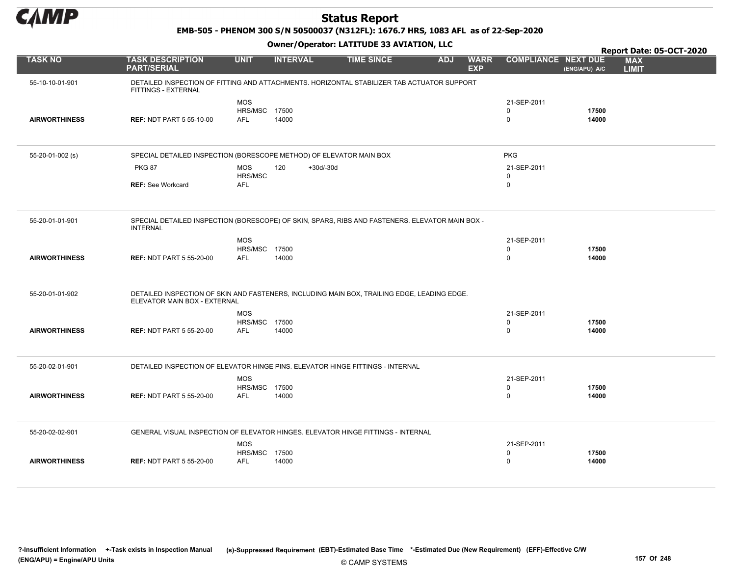

EMB-505 - PHENOM 300 S/N 50500037 (N312FL): 1676.7 HRS, 1083 AFL as of 22-Sep-2020

|                      |                                                                                                                             |                                           |                    |                   |            |                           |                                           |                | Report Date: 05-OCT-2020   |
|----------------------|-----------------------------------------------------------------------------------------------------------------------------|-------------------------------------------|--------------------|-------------------|------------|---------------------------|-------------------------------------------|----------------|----------------------------|
| <b>TASK NO</b>       | <b>TASK DESCRIPTION</b><br><b>PART/SERIAL</b>                                                                               | <b>UNIT</b>                               | <b>INTERVAL</b>    | <b>TIME SINCE</b> | <b>ADJ</b> | <b>WARR</b><br><b>EXP</b> | <b>COMPLIANCE NEXT DUE</b>                | (ENG/APU) A/C  | <b>MAX</b><br><b>LIMIT</b> |
| 55-10-10-01-901      | DETAILED INSPECTION OF FITTING AND ATTACHMENTS. HORIZONTAL STABILIZER TAB ACTUATOR SUPPORT<br>FITTINGS - EXTERNAL           |                                           |                    |                   |            |                           |                                           |                |                            |
| <b>AIRWORTHINESS</b> | <b>REF: NDT PART 5 55-10-00</b>                                                                                             | <b>MOS</b><br>HRS/MSC 17500<br><b>AFL</b> | 14000              |                   |            |                           | 21-SEP-2011<br>0<br>$\pmb{0}$             | 17500<br>14000 |                            |
| 55-20-01-002 (s)     | SPECIAL DETAILED INSPECTION (BORESCOPE METHOD) OF ELEVATOR MAIN BOX                                                         |                                           |                    |                   |            |                           | <b>PKG</b>                                |                |                            |
|                      | <b>PKG 87</b>                                                                                                               | <b>MOS</b><br>HRS/MSC                     | 120<br>$+30d/-30d$ |                   |            |                           | 21-SEP-2011<br>$\mathbf 0$                |                |                            |
|                      | <b>REF: See Workcard</b>                                                                                                    | <b>AFL</b>                                |                    |                   |            |                           | $\mathbf 0$                               |                |                            |
| 55-20-01-01-901      | SPECIAL DETAILED INSPECTION (BORESCOPE) OF SKIN, SPARS, RIBS AND FASTENERS. ELEVATOR MAIN BOX -<br><b>INTERNAL</b>          |                                           |                    |                   |            |                           |                                           |                |                            |
| <b>AIRWORTHINESS</b> | <b>REF: NDT PART 5 55-20-00</b>                                                                                             | <b>MOS</b><br>HRS/MSC 17500<br><b>AFL</b> | 14000              |                   |            |                           | 21-SEP-2011<br>$\mathbf 0$<br>$\mathbf 0$ | 17500<br>14000 |                            |
| 55-20-01-01-902      | DETAILED INSPECTION OF SKIN AND FASTENERS, INCLUDING MAIN BOX, TRAILING EDGE, LEADING EDGE.<br>ELEVATOR MAIN BOX - EXTERNAL |                                           |                    |                   |            |                           |                                           |                |                            |
| <b>AIRWORTHINESS</b> | <b>REF: NDT PART 5 55-20-00</b>                                                                                             | <b>MOS</b><br>HRS/MSC 17500<br><b>AFL</b> | 14000              |                   |            |                           | 21-SEP-2011<br>$\mathbf 0$<br>$\mathbf 0$ | 17500<br>14000 |                            |
| 55-20-02-01-901      | DETAILED INSPECTION OF ELEVATOR HINGE PINS. ELEVATOR HINGE FITTINGS - INTERNAL                                              |                                           |                    |                   |            |                           |                                           |                |                            |
| <b>AIRWORTHINESS</b> | <b>REF: NDT PART 5 55-20-00</b>                                                                                             | <b>MOS</b><br>HRS/MSC 17500<br><b>AFL</b> | 14000              |                   |            |                           | 21-SEP-2011<br>$\mathbf 0$<br>$\mathbf 0$ | 17500<br>14000 |                            |
| 55-20-02-02-901      | GENERAL VISUAL INSPECTION OF ELEVATOR HINGES. ELEVATOR HINGE FITTINGS - INTERNAL                                            |                                           |                    |                   |            |                           |                                           |                |                            |
| <b>AIRWORTHINESS</b> | <b>REF: NDT PART 5 55-20-00</b>                                                                                             | <b>MOS</b><br>HRS/MSC 17500<br><b>AFL</b> | 14000              |                   |            |                           | 21-SEP-2011<br>0<br>$\mathbf 0$           | 17500<br>14000 |                            |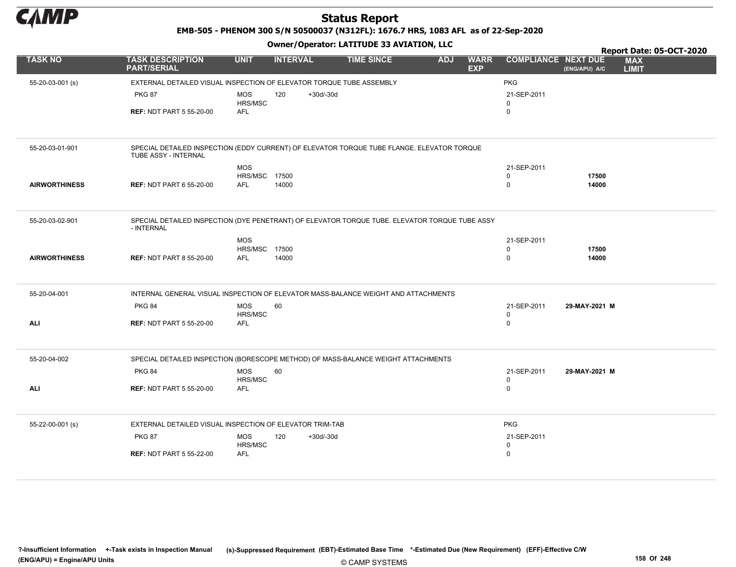

EMB-505 - PHENOM 300 S/N 50500037 (N312FL): 1676.7 HRS, 1083 AFL as of 22-Sep-2020

|                      |                                                                                                                    |                              |                    |                   |            |                           |                            |               |                            | Report Date: 05-OCT-2020 |
|----------------------|--------------------------------------------------------------------------------------------------------------------|------------------------------|--------------------|-------------------|------------|---------------------------|----------------------------|---------------|----------------------------|--------------------------|
| <b>TASK NO</b>       | <b>TASK DESCRIPTION</b><br><b>PART/SERIAL</b>                                                                      | <b>UNIT</b>                  | <b>INTERVAL</b>    | <b>TIME SINCE</b> | <b>ADJ</b> | <b>WARR</b><br><b>EXP</b> | <b>COMPLIANCE NEXT DUE</b> | (ENG/APU) A/C | <b>MAX</b><br><b>LIMIT</b> |                          |
| 55-20-03-001 (s)     | EXTERNAL DETAILED VISUAL INSPECTION OF ELEVATOR TORQUE TUBE ASSEMBLY                                               |                              |                    |                   |            |                           | <b>PKG</b>                 |               |                            |                          |
|                      | <b>PKG 87</b>                                                                                                      | <b>MOS</b><br><b>HRS/MSC</b> | 120<br>$+30d/-30d$ |                   |            |                           | 21-SEP-2011<br>0           |               |                            |                          |
|                      | <b>REF: NDT PART 5 55-20-00</b>                                                                                    | <b>AFL</b>                   |                    |                   |            |                           | $\mathbf 0$                |               |                            |                          |
| 55-20-03-01-901      | SPECIAL DETAILED INSPECTION (EDDY CURRENT) OF ELEVATOR TORQUE TUBE FLANGE. ELEVATOR TORQUE<br>TUBE ASSY - INTERNAL |                              |                    |                   |            |                           |                            |               |                            |                          |
|                      |                                                                                                                    | <b>MOS</b>                   |                    |                   |            |                           | 21-SEP-2011                |               |                            |                          |
|                      |                                                                                                                    | HRS/MSC                      | 17500              |                   |            |                           | $\Omega$                   | 17500         |                            |                          |
| <b>AIRWORTHINESS</b> | <b>REF: NDT PART 6 55-20-00</b>                                                                                    | <b>AFL</b>                   | 14000              |                   |            |                           | 0                          | 14000         |                            |                          |
|                      |                                                                                                                    |                              |                    |                   |            |                           |                            |               |                            |                          |
| 55-20-03-02-901      | SPECIAL DETAILED INSPECTION (DYE PENETRANT) OF ELEVATOR TORQUE TUBE. ELEVATOR TORQUE TUBE ASSY<br>- INTERNAL       |                              |                    |                   |            |                           |                            |               |                            |                          |
|                      |                                                                                                                    | <b>MOS</b>                   |                    |                   |            |                           | 21-SEP-2011                |               |                            |                          |
|                      |                                                                                                                    | HRS/MSC                      | 17500              |                   |            |                           | 0                          | 17500         |                            |                          |
| <b>AIRWORTHINESS</b> | <b>REF: NDT PART 8 55-20-00</b>                                                                                    | <b>AFL</b>                   | 14000              |                   |            |                           | $\Omega$                   | 14000         |                            |                          |
|                      |                                                                                                                    |                              |                    |                   |            |                           |                            |               |                            |                          |
| 55-20-04-001         | INTERNAL GENERAL VISUAL INSPECTION OF ELEVATOR MASS-BALANCE WEIGHT AND ATTACHMENTS                                 |                              |                    |                   |            |                           |                            |               |                            |                          |
|                      | <b>PKG 84</b>                                                                                                      | <b>MOS</b>                   | 60                 |                   |            |                           | 21-SEP-2011                | 29-MAY-2021 M |                            |                          |
|                      |                                                                                                                    | HRS/MSC                      |                    |                   |            |                           | 0                          |               |                            |                          |
| <b>ALI</b>           | <b>REF: NDT PART 5 55-20-00</b>                                                                                    | AFL                          |                    |                   |            |                           | 0                          |               |                            |                          |
|                      |                                                                                                                    |                              |                    |                   |            |                           |                            |               |                            |                          |
| 55-20-04-002         | SPECIAL DETAILED INSPECTION (BORESCOPE METHOD) OF MASS-BALANCE WEIGHT ATTACHMENTS                                  |                              |                    |                   |            |                           |                            |               |                            |                          |
|                      | <b>PKG 84</b>                                                                                                      | <b>MOS</b>                   | 60                 |                   |            |                           | 21-SEP-2011                | 29-MAY-2021 M |                            |                          |
| <b>ALI</b>           | <b>REF: NDT PART 5 55-20-00</b>                                                                                    | HRS/MSC<br><b>AFL</b>        |                    |                   |            |                           | 0<br>0                     |               |                            |                          |
|                      |                                                                                                                    |                              |                    |                   |            |                           |                            |               |                            |                          |
| 55-22-00-001 (s)     | EXTERNAL DETAILED VISUAL INSPECTION OF ELEVATOR TRIM-TAB                                                           |                              |                    |                   |            |                           | <b>PKG</b>                 |               |                            |                          |
|                      | <b>PKG 87</b>                                                                                                      | <b>MOS</b>                   | 120<br>$+30d/-30d$ |                   |            |                           | 21-SEP-2011                |               |                            |                          |
|                      |                                                                                                                    | HRS/MSC                      |                    |                   |            |                           | 0                          |               |                            |                          |
|                      | <b>REF: NDT PART 5 55-22-00</b>                                                                                    | <b>AFL</b>                   |                    |                   |            |                           | 0                          |               |                            |                          |
|                      |                                                                                                                    |                              |                    |                   |            |                           |                            |               |                            |                          |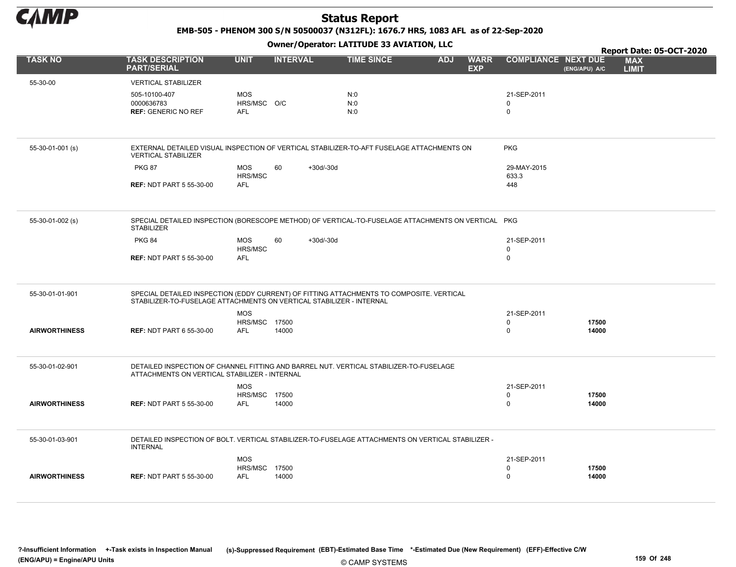

EMB-505 - PHENOM 300 S/N 50500037 (N312FL): 1676.7 HRS, 1083 AFL as of 22-Sep-2020

Owner/Operator: LATITUDE 33 AVIATION, LLC

|                      |                                                                                                                         |                                    |                   | Owner / Operator. EATITODE 33 AVIATION, LLC |            |                           |                            |               | Report Date: 05-OCT-2020   |
|----------------------|-------------------------------------------------------------------------------------------------------------------------|------------------------------------|-------------------|---------------------------------------------|------------|---------------------------|----------------------------|---------------|----------------------------|
| <b>TASK NO</b>       | <b>TASK DESCRIPTION</b><br><b>PART/SERIAL</b>                                                                           | <b>UNIT</b>                        | <b>INTERVAL</b>   | <b>TIME SINCE</b>                           | <b>ADJ</b> | <b>WARR</b><br><b>EXP</b> | <b>COMPLIANCE NEXT DUE</b> | (ENG/APU) A/C | <b>MAX</b><br><b>LIMIT</b> |
| 55-30-00             | <b>VERTICAL STABILIZER</b>                                                                                              |                                    |                   |                                             |            |                           |                            |               |                            |
|                      | 505-10100-407                                                                                                           | <b>MOS</b>                         |                   | N:0                                         |            |                           | 21-SEP-2011                |               |                            |
|                      | 0000636783                                                                                                              | HRS/MSC O/C                        |                   | N:0                                         |            |                           | $\Omega$                   |               |                            |
|                      | <b>REF: GENERIC NO REF</b>                                                                                              | <b>AFL</b>                         |                   | N:0                                         |            |                           | $\mathbf 0$                |               |                            |
|                      |                                                                                                                         |                                    |                   |                                             |            |                           |                            |               |                            |
| 55-30-01-001 (s)     | EXTERNAL DETAILED VISUAL INSPECTION OF VERTICAL STABILIZER-TO-AFT FUSELAGE ATTACHMENTS ON<br><b>VERTICAL STABILIZER</b> |                                    |                   |                                             |            |                           | <b>PKG</b>                 |               |                            |
|                      | <b>PKG 87</b>                                                                                                           | <b>MOS</b>                         | 60<br>$+30d/-30d$ |                                             |            |                           | 29-MAY-2015                |               |                            |
|                      | <b>REF: NDT PART 5 55-30-00</b>                                                                                         | HRS/MSC<br><b>AFL</b>              |                   |                                             |            |                           | 633.3<br>448               |               |                            |
|                      |                                                                                                                         |                                    |                   |                                             |            |                           |                            |               |                            |
|                      |                                                                                                                         |                                    |                   |                                             |            |                           |                            |               |                            |
| 55-30-01-002 (s)     | SPECIAL DETAILED INSPECTION (BORESCOPE METHOD) OF VERTICAL-TO-FUSELAGE ATTACHMENTS ON VERTICAL PKG<br><b>STABILIZER</b> |                                    |                   |                                             |            |                           |                            |               |                            |
|                      | <b>PKG 84</b>                                                                                                           | <b>MOS</b>                         | 60<br>$+30d/-30d$ |                                             |            |                           | 21-SEP-2011                |               |                            |
|                      |                                                                                                                         | HRS/MSC<br>AFL                     |                   |                                             |            |                           | $\mathsf 0$<br>$\mathbf 0$ |               |                            |
|                      | <b>REF: NDT PART 5 55-30-00</b>                                                                                         |                                    |                   |                                             |            |                           |                            |               |                            |
| 55-30-01-01-901      | SPECIAL DETAILED INSPECTION (EDDY CURRENT) OF FITTING ATTACHMENTS TO COMPOSITE. VERTICAL                                |                                    |                   |                                             |            |                           |                            |               |                            |
|                      | STABILIZER-TO-FUSELAGE ATTACHMENTS ON VERTICAL STABILIZER - INTERNAL                                                    |                                    |                   |                                             |            |                           |                            |               |                            |
|                      |                                                                                                                         | <b>MOS</b><br><b>HRS/MSC 17500</b> |                   |                                             |            |                           | 21-SEP-2011<br>$\Omega$    | 17500         |                            |
| <b>AIRWORTHINESS</b> | <b>REF: NDT PART 6 55-30-00</b>                                                                                         | <b>AFL</b>                         | 14000             |                                             |            |                           | $\mathbf 0$                | 14000         |                            |
|                      |                                                                                                                         |                                    |                   |                                             |            |                           |                            |               |                            |
| 55-30-01-02-901      | DETAILED INSPECTION OF CHANNEL FITTING AND BARREL NUT. VERTICAL STABILIZER-TO-FUSELAGE                                  |                                    |                   |                                             |            |                           |                            |               |                            |
|                      | ATTACHMENTS ON VERTICAL STABILIZER - INTERNAL                                                                           |                                    |                   |                                             |            |                           |                            |               |                            |
|                      |                                                                                                                         | <b>MOS</b>                         |                   |                                             |            |                           | 21-SEP-2011                |               |                            |
|                      |                                                                                                                         | <b>HRS/MSC 17500</b>               |                   |                                             |            |                           | 0                          | 17500         |                            |
| <b>AIRWORTHINESS</b> | <b>REF: NDT PART 5 55-30-00</b>                                                                                         | <b>AFL</b>                         | 14000             |                                             |            |                           | $\mathbf 0$                | 14000         |                            |
|                      |                                                                                                                         |                                    |                   |                                             |            |                           |                            |               |                            |
| 55-30-01-03-901      | DETAILED INSPECTION OF BOLT. VERTICAL STABILIZER-TO-FUSELAGE ATTACHMENTS ON VERTICAL STABILIZER -<br><b>INTERNAL</b>    |                                    |                   |                                             |            |                           |                            |               |                            |
|                      |                                                                                                                         | <b>MOS</b>                         |                   |                                             |            |                           | 21-SEP-2011                |               |                            |
|                      |                                                                                                                         | HRS/MSC 17500                      |                   |                                             |            |                           | $\mathbf 0$                | 17500         |                            |
| <b>AIRWORTHINESS</b> | <b>REF: NDT PART 5 55-30-00</b>                                                                                         | <b>AFL</b>                         | 14000             |                                             |            |                           | $\mathbf 0$                | 14000         |                            |
|                      |                                                                                                                         |                                    |                   |                                             |            |                           |                            |               |                            |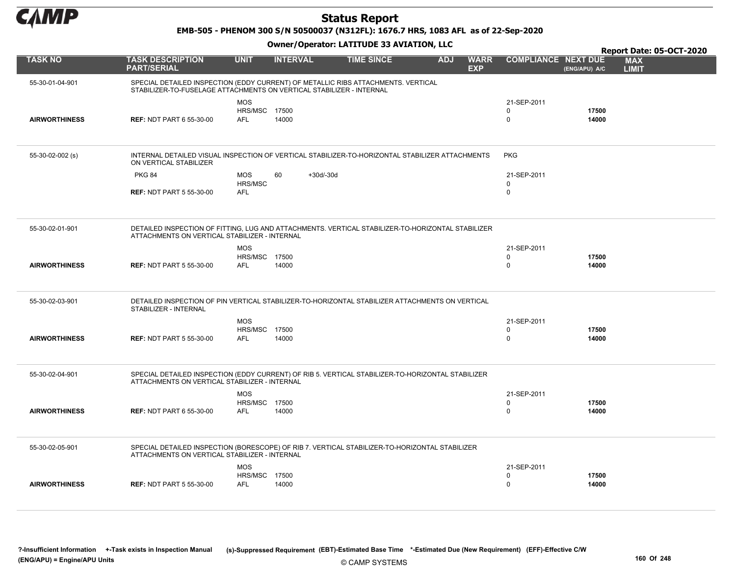

EMB-505 - PHENOM 300 S/N 50500037 (N312FL): 1676.7 HRS, 1083 AFL as of 22-Sep-2020

|                      |                                                                                                                                                           |                                                  |                   |                   |            |                           |                                        |                | Report Date: 05-OCT-2020   |
|----------------------|-----------------------------------------------------------------------------------------------------------------------------------------------------------|--------------------------------------------------|-------------------|-------------------|------------|---------------------------|----------------------------------------|----------------|----------------------------|
| <b>TASK NO</b>       | <b>TASK DESCRIPTION</b><br><b>PART/SERIAL</b>                                                                                                             | <b>UNIT</b>                                      | <b>INTERVAL</b>   | <b>TIME SINCE</b> | <b>ADJ</b> | <b>WARR</b><br><b>EXP</b> | <b>COMPLIANCE NEXT DUE</b>             | (ENG/APU) A/C  | <b>MAX</b><br><b>LIMIT</b> |
| 55-30-01-04-901      | SPECIAL DETAILED INSPECTION (EDDY CURRENT) OF METALLIC RIBS ATTACHMENTS. VERTICAL<br>STABILIZER-TO-FUSELAGE ATTACHMENTS ON VERTICAL STABILIZER - INTERNAL |                                                  |                   |                   |            |                           |                                        |                |                            |
| <b>AIRWORTHINESS</b> | <b>REF: NDT PART 6 55-30-00</b>                                                                                                                           | <b>MOS</b><br><b>HRS/MSC 17500</b><br><b>AFL</b> | 14000             |                   |            |                           | 21-SEP-2011<br>$\Omega$<br>$\mathbf 0$ | 17500<br>14000 |                            |
| 55-30-02-002 (s)     | INTERNAL DETAILED VISUAL INSPECTION OF VERTICAL STABILIZER-TO-HORIZONTAL STABILIZER ATTACHMENTS<br>ON VERTICAL STABILIZER                                 |                                                  |                   |                   |            |                           | <b>PKG</b>                             |                |                            |
|                      | <b>PKG 84</b>                                                                                                                                             | <b>MOS</b><br>HRS/MSC                            | 60<br>$+30d/-30d$ |                   |            |                           | 21-SEP-2011<br>$\mathbf 0$             |                |                            |
|                      | <b>REF: NDT PART 5 55-30-00</b>                                                                                                                           | <b>AFL</b>                                       |                   |                   |            |                           | $\mathbf 0$                            |                |                            |
| 55-30-02-01-901      | DETAILED INSPECTION OF FITTING, LUG AND ATTACHMENTS. VERTICAL STABILIZER-TO-HORIZONTAL STABILIZER<br>ATTACHMENTS ON VERTICAL STABILIZER - INTERNAL        |                                                  |                   |                   |            |                           |                                        |                |                            |
|                      |                                                                                                                                                           | <b>MOS</b><br><b>HRS/MSC 17500</b>               |                   |                   |            |                           | 21-SEP-2011<br>$\mathbf 0$             | 17500          |                            |
| <b>AIRWORTHINESS</b> | <b>REF: NDT PART 5 55-30-00</b>                                                                                                                           | <b>AFL</b>                                       | 14000             |                   |            |                           | $\mathbf 0$                            | 14000          |                            |
| 55-30-02-03-901      | DETAILED INSPECTION OF PIN VERTICAL STABILIZER-TO-HORIZONTAL STABILIZER ATTACHMENTS ON VERTICAL<br>STABILIZER - INTERNAL                                  |                                                  |                   |                   |            |                           |                                        |                |                            |
|                      |                                                                                                                                                           | <b>MOS</b><br><b>HRS/MSC 17500</b>               |                   |                   |            |                           | 21-SEP-2011<br>$\mathbf 0$             | 17500          |                            |
| <b>AIRWORTHINESS</b> | <b>REF: NDT PART 5 55-30-00</b>                                                                                                                           | <b>AFL</b>                                       | 14000             |                   |            |                           | $\mathbf 0$                            | 14000          |                            |
| 55-30-02-04-901      | SPECIAL DETAILED INSPECTION (EDDY CURRENT) OF RIB 5. VERTICAL STABILIZER-TO-HORIZONTAL STABILIZER<br>ATTACHMENTS ON VERTICAL STABILIZER - INTERNAL        |                                                  |                   |                   |            |                           |                                        |                |                            |
|                      |                                                                                                                                                           | <b>MOS</b><br><b>HRS/MSC 17500</b>               |                   |                   |            |                           | 21-SEP-2011<br>$\mathbf 0$             | 17500          |                            |
| <b>AIRWORTHINESS</b> | <b>REF: NDT PART 6 55-30-00</b>                                                                                                                           | <b>AFL</b>                                       | 14000             |                   |            |                           | $\mathbf 0$                            | 14000          |                            |
| 55-30-02-05-901      | SPECIAL DETAILED INSPECTION (BORESCOPE) OF RIB 7. VERTICAL STABILIZER-TO-HORIZONTAL STABILIZER<br>ATTACHMENTS ON VERTICAL STABILIZER - INTERNAL           |                                                  |                   |                   |            |                           |                                        |                |                            |
|                      |                                                                                                                                                           | <b>MOS</b><br><b>HRS/MSC 17500</b>               |                   |                   |            |                           | 21-SEP-2011<br>$\mathbf 0$             | 17500          |                            |
| <b>AIRWORTHINESS</b> | <b>REF: NDT PART 5 55-30-00</b>                                                                                                                           | <b>AFL</b>                                       | 14000             |                   |            |                           | $\Omega$                               | 14000          |                            |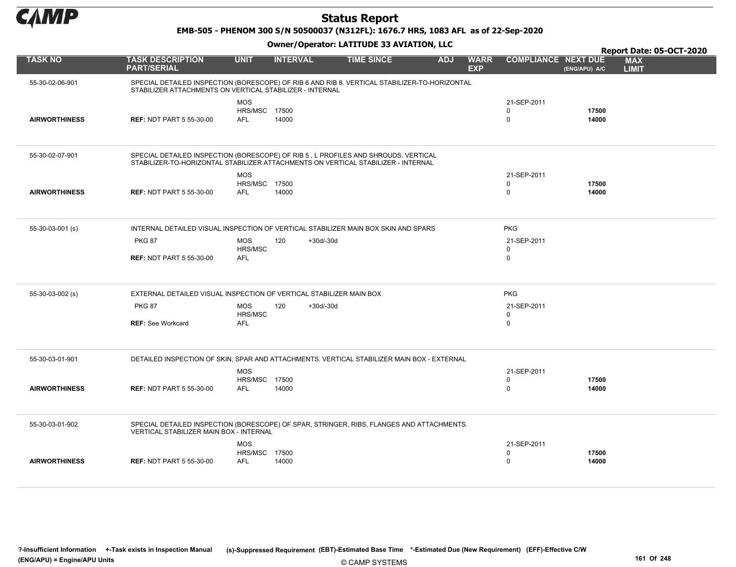

#### EMB-505 - PHENOM 300 S/N 50500037 (N312FL): 1676.7 HRS, 1083 AFL as of 22-Sep-2020

|                      |                                                                                                                                                                         |                                    |                    |                   |            |                           |                            |                | Report Date: 05-OCT-2020   |
|----------------------|-------------------------------------------------------------------------------------------------------------------------------------------------------------------------|------------------------------------|--------------------|-------------------|------------|---------------------------|----------------------------|----------------|----------------------------|
| <b>TASK NO</b>       | <b>TASK DESCRIPTION</b><br><b>PART/SERIAL</b>                                                                                                                           | <b>UNIT</b>                        | <b>INTERVAL</b>    | <b>TIME SINCE</b> | <b>ADJ</b> | <b>WARR</b><br><b>EXP</b> | <b>COMPLIANCE NEXT DUE</b> | (ENG/APU) A/C  | <b>MAX</b><br><b>LIMIT</b> |
| 55-30-02-06-901      | SPECIAL DETAILED INSPECTION (BORESCOPE) OF RIB 6 AND RIB 8. VERTICAL STABILIZER-TO-HORIZONTAL<br>STABILIZER ATTACHMENTS ON VERTICAL STABILIZER - INTERNAL               |                                    |                    |                   |            |                           |                            |                |                            |
|                      |                                                                                                                                                                         | <b>MOS</b>                         |                    |                   |            |                           | 21-SEP-2011                |                |                            |
| <b>AIRWORTHINESS</b> | <b>REF: NDT PART 5 55-30-00</b>                                                                                                                                         | <b>HRS/MSC 17500</b><br><b>AFL</b> | 14000              |                   |            |                           | $\Omega$<br>$\pmb{0}$      | 17500<br>14000 |                            |
|                      |                                                                                                                                                                         |                                    |                    |                   |            |                           |                            |                |                            |
| 55-30-02-07-901      | SPECIAL DETAILED INSPECTION (BORESCOPE) OF RIB 5, L PROFILES AND SHROUDS. VERTICAL<br>STABILIZER-TO-HORIZONTAL STABILIZER ATTACHMENTS ON VERTICAL STABILIZER - INTERNAL |                                    |                    |                   |            |                           |                            |                |                            |
|                      |                                                                                                                                                                         | <b>MOS</b>                         |                    |                   |            |                           | 21-SEP-2011                |                |                            |
|                      |                                                                                                                                                                         | HRS/MSC 17500                      |                    |                   |            |                           | $\mathbf 0$                | 17500          |                            |
| <b>AIRWORTHINESS</b> | <b>REF: NDT PART 5 55-30-00</b>                                                                                                                                         | <b>AFL</b>                         | 14000              |                   |            |                           | $\pmb{0}$                  | 14000          |                            |
| 55-30-03-001 (s)     | INTERNAL DETAILED VISUAL INSPECTION OF VERTICAL STABILIZER MAIN BOX SKIN AND SPARS                                                                                      |                                    |                    |                   |            |                           | <b>PKG</b>                 |                |                            |
|                      | <b>PKG 87</b>                                                                                                                                                           | <b>MOS</b><br>HRS/MSC              | 120<br>$+30d/-30d$ |                   |            |                           | 21-SEP-2011<br>0           |                |                            |
|                      | <b>REF: NDT PART 5 55-30-00</b>                                                                                                                                         | <b>AFL</b>                         |                    |                   |            |                           | 0                          |                |                            |
| 55-30-03-002 (s)     | EXTERNAL DETAILED VISUAL INSPECTION OF VERTICAL STABILIZER MAIN BOX                                                                                                     |                                    |                    |                   |            |                           | <b>PKG</b>                 |                |                            |
|                      | <b>PKG 87</b>                                                                                                                                                           | <b>MOS</b>                         | $+30d/-30d$<br>120 |                   |            |                           | 21-SEP-2011<br>$\mathbf 0$ |                |                            |
|                      | <b>REF: See Workcard</b>                                                                                                                                                | HRS/MSC<br><b>AFL</b>              |                    |                   |            |                           | $\mathbf 0$                |                |                            |
| 55-30-03-01-901      | DETAILED INSPECTION OF SKIN, SPAR AND ATTACHMENTS. VERTICAL STABILIZER MAIN BOX - EXTERNAL                                                                              |                                    |                    |                   |            |                           |                            |                |                            |
|                      |                                                                                                                                                                         | <b>MOS</b>                         |                    |                   |            |                           | 21-SEP-2011                |                |                            |
|                      |                                                                                                                                                                         | <b>HRS/MSC 17500</b>               |                    |                   |            |                           | $\mathbf 0$                | 17500          |                            |
| <b>AIRWORTHINESS</b> | <b>REF: NDT PART 5 55-30-00</b>                                                                                                                                         | <b>AFL</b>                         | 14000              |                   |            |                           | $\mathbf 0$                | 14000          |                            |
| 55-30-03-01-902      | SPECIAL DETAILED INSPECTION (BORESCOPE) OF SPAR, STRINGER, RIBS, FLANGES AND ATTACHMENTS.<br><b>VERTICAL STABILIZER MAIN BOX - INTERNAL</b>                             |                                    |                    |                   |            |                           |                            |                |                            |
|                      |                                                                                                                                                                         | <b>MOS</b>                         |                    |                   |            |                           | 21-SEP-2011                |                |                            |
|                      |                                                                                                                                                                         | <b>HRS/MSC 17500</b>               |                    |                   |            |                           | $\mathbf 0$                | 17500          |                            |
| <b>AIRWORTHINESS</b> | <b>REF: NDT PART 5 55-30-00</b>                                                                                                                                         | AFL                                | 14000              |                   |            |                           | $\Omega$                   | 14000          |                            |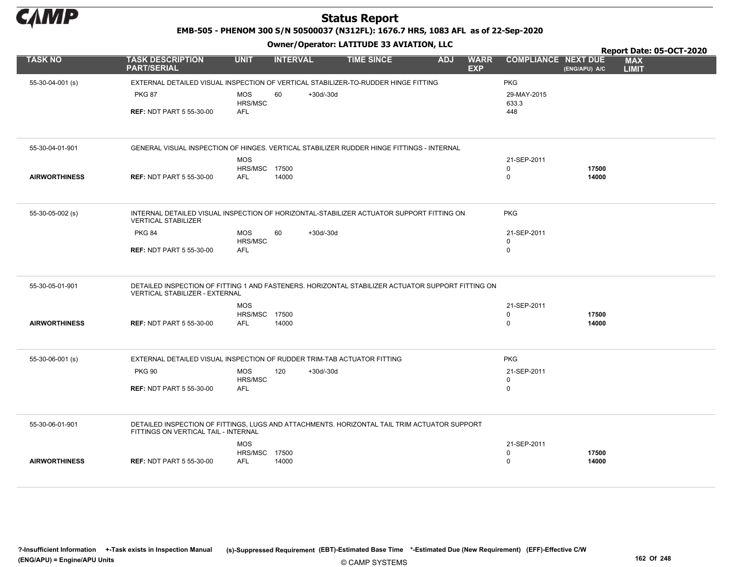

EMB-505 - PHENOM 300 S/N 50500037 (N312FL): 1676.7 HRS, 1083 AFL as of 22-Sep-2020

|                      |                                                                                                                                      |                                             |             | Owner / Operator. EATITODE 33 AVIATION, LLC |            |                           |                            | Report Date: 05-OCT-2020 |                            |  |  |
|----------------------|--------------------------------------------------------------------------------------------------------------------------------------|---------------------------------------------|-------------|---------------------------------------------|------------|---------------------------|----------------------------|--------------------------|----------------------------|--|--|
| <b>TASK NO</b>       | <b>TASK DESCRIPTION</b><br><b>PART/SERIAL</b>                                                                                        | <b>UNIT</b><br><b>INTERVAL</b>              |             | <b>TIME SINCE</b>                           | <b>ADJ</b> | <b>WARR</b><br><b>EXP</b> | <b>COMPLIANCE NEXT DUE</b> | (ENG/APU) A/C            | <b>MAX</b><br><b>LIMIT</b> |  |  |
| 55-30-04-001 (s)     | EXTERNAL DETAILED VISUAL INSPECTION OF VERTICAL STABILIZER-TO-RUDDER HINGE FITTING                                                   |                                             |             |                                             |            |                           | <b>PKG</b>                 |                          |                            |  |  |
|                      | <b>PKG 87</b>                                                                                                                        | <b>MOS</b><br>60<br>HRS/MSC                 | $+30d/-30d$ |                                             |            |                           | 29-MAY-2015<br>633.3       |                          |                            |  |  |
|                      | <b>REF: NDT PART 5 55-30-00</b>                                                                                                      | <b>AFL</b>                                  |             |                                             |            |                           | 448                        |                          |                            |  |  |
|                      |                                                                                                                                      |                                             |             |                                             |            |                           |                            |                          |                            |  |  |
| 55-30-04-01-901      | GENERAL VISUAL INSPECTION OF HINGES. VERTICAL STABILIZER RUDDER HINGE FITTINGS - INTERNAL                                            |                                             |             |                                             |            |                           |                            |                          |                            |  |  |
|                      |                                                                                                                                      | <b>MOS</b>                                  |             |                                             |            |                           | 21-SEP-2011                |                          |                            |  |  |
| <b>AIRWORTHINESS</b> |                                                                                                                                      | <b>HRS/MSC 17500</b><br>14000<br><b>AFL</b> |             |                                             |            |                           | $\mathbf 0$<br>$\mathbf 0$ | 17500<br>14000           |                            |  |  |
|                      | <b>REF: NDT PART 5 55-30-00</b>                                                                                                      |                                             |             |                                             |            |                           |                            |                          |                            |  |  |
| 55-30-05-002 (s)     | INTERNAL DETAILED VISUAL INSPECTION OF HORIZONTAL-STABILIZER ACTUATOR SUPPORT FITTING ON                                             |                                             |             |                                             |            |                           | <b>PKG</b>                 |                          |                            |  |  |
|                      | <b>VERTICAL STABILIZER</b>                                                                                                           |                                             |             |                                             |            |                           |                            |                          |                            |  |  |
|                      | <b>PKG 84</b>                                                                                                                        | <b>MOS</b><br>60                            | $+30d/-30d$ |                                             |            |                           | 21-SEP-2011                |                          |                            |  |  |
|                      |                                                                                                                                      | HRS/MSC                                     |             |                                             |            |                           | $\mathbf 0$                |                          |                            |  |  |
|                      | <b>REF: NDT PART 5 55-30-00</b>                                                                                                      | <b>AFL</b>                                  |             |                                             |            |                           | $\mathbf 0$                |                          |                            |  |  |
| 55-30-05-01-901      | DETAILED INSPECTION OF FITTING 1 AND FASTENERS. HORIZONTAL STABILIZER ACTUATOR SUPPORT FITTING ON<br>VERTICAL STABILIZER - EXTERNAL  |                                             |             |                                             |            |                           |                            |                          |                            |  |  |
|                      |                                                                                                                                      | <b>MOS</b>                                  |             |                                             |            |                           | 21-SEP-2011                |                          |                            |  |  |
|                      |                                                                                                                                      | HRS/MSC 17500                               |             |                                             |            |                           | $\mathsf 0$                | 17500                    |                            |  |  |
| <b>AIRWORTHINESS</b> | <b>REF: NDT PART 5 55-30-00</b>                                                                                                      | <b>AFL</b><br>14000                         |             |                                             |            |                           | $\mathbf 0$                | 14000                    |                            |  |  |
|                      |                                                                                                                                      |                                             |             |                                             |            |                           |                            |                          |                            |  |  |
| $55-30-06-001$ (s)   | EXTERNAL DETAILED VISUAL INSPECTION OF RUDDER TRIM-TAB ACTUATOR FITTING                                                              |                                             |             |                                             |            |                           | <b>PKG</b>                 |                          |                            |  |  |
|                      | <b>PKG 90</b>                                                                                                                        | MOS<br>120                                  | $+30d/-30d$ |                                             |            |                           | 21-SEP-2011                |                          |                            |  |  |
|                      |                                                                                                                                      | HRS/MSC                                     |             |                                             |            |                           | $\mathbf 0$<br>$\mathbf 0$ |                          |                            |  |  |
|                      | <b>REF: NDT PART 5 55-30-00</b>                                                                                                      | <b>AFL</b>                                  |             |                                             |            |                           |                            |                          |                            |  |  |
|                      |                                                                                                                                      |                                             |             |                                             |            |                           |                            |                          |                            |  |  |
| 55-30-06-01-901      | DETAILED INSPECTION OF FITTINGS, LUGS AND ATTACHMENTS. HORIZONTAL TAIL TRIM ACTUATOR SUPPORT<br>FITTINGS ON VERTICAL TAIL - INTERNAL |                                             |             |                                             |            |                           |                            |                          |                            |  |  |
|                      |                                                                                                                                      | <b>MOS</b>                                  |             |                                             |            |                           | 21-SEP-2011                |                          |                            |  |  |
|                      |                                                                                                                                      | HRS/MSC 17500                               |             |                                             |            |                           | 0                          | 17500                    |                            |  |  |
| <b>AIRWORTHINESS</b> | <b>REF: NDT PART 5 55-30-00</b>                                                                                                      | <b>AFL</b><br>14000                         |             |                                             |            |                           | $\mathbf 0$                | 14000                    |                            |  |  |
|                      |                                                                                                                                      |                                             |             |                                             |            |                           |                            |                          |                            |  |  |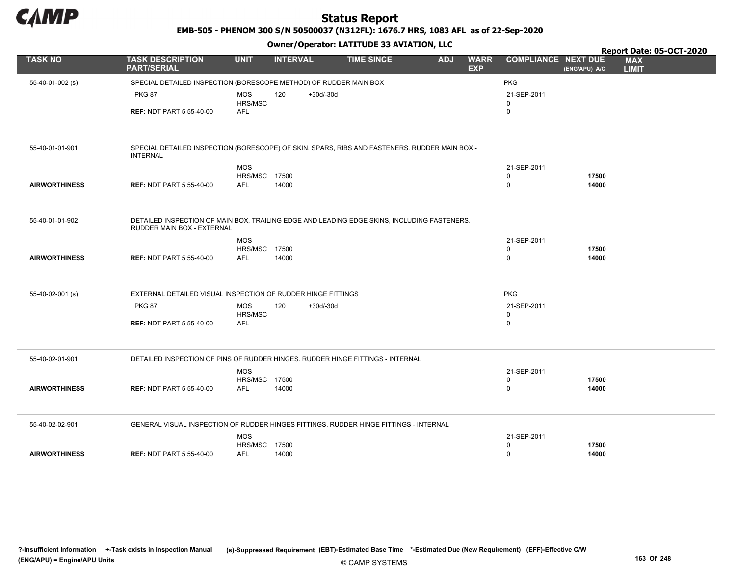

EMB-505 - PHENOM 300 S/N 50500037 (N312FL): 1676.7 HRS, 1083 AFL as of 22-Sep-2020

|                      |                                                                                                                           |                                    |                 |             | Owner / Operator. EATITODE 33 AVIATION, LLC |            |                           |                            |                | Report Date: 05-OCT-2020   |
|----------------------|---------------------------------------------------------------------------------------------------------------------------|------------------------------------|-----------------|-------------|---------------------------------------------|------------|---------------------------|----------------------------|----------------|----------------------------|
| <b>TASK NO</b>       | <b>TASK DESCRIPTION</b><br><b>PART/SERIAL</b>                                                                             | <b>UNIT</b>                        | <b>INTERVAL</b> |             | <b>TIME SINCE</b>                           | <b>ADJ</b> | <b>WARR</b><br><b>EXP</b> | <b>COMPLIANCE NEXT DUE</b> | (ENG/APU) A/C  | <b>MAX</b><br><b>LIMIT</b> |
| 55-40-01-002 (s)     | SPECIAL DETAILED INSPECTION (BORESCOPE METHOD) OF RUDDER MAIN BOX                                                         |                                    |                 |             |                                             |            |                           | <b>PKG</b>                 |                |                            |
|                      | <b>PKG 87</b>                                                                                                             | <b>MOS</b>                         | 120             | $+30d/-30d$ |                                             |            |                           | 21-SEP-2011                |                |                            |
|                      | <b>REF: NDT PART 5 55-40-00</b>                                                                                           | HRS/MSC<br><b>AFL</b>              |                 |             |                                             |            |                           | $\Omega$<br>$\mathsf 0$    |                |                            |
|                      |                                                                                                                           |                                    |                 |             |                                             |            |                           |                            |                |                            |
| 55-40-01-01-901      | SPECIAL DETAILED INSPECTION (BORESCOPE) OF SKIN, SPARS, RIBS AND FASTENERS. RUDDER MAIN BOX -<br><b>INTERNAL</b>          |                                    |                 |             |                                             |            |                           |                            |                |                            |
|                      |                                                                                                                           | <b>MOS</b>                         |                 |             |                                             |            |                           | 21-SEP-2011                |                |                            |
|                      |                                                                                                                           | <b>HRS/MSC 17500</b>               |                 |             |                                             |            |                           | 0                          | 17500          |                            |
| <b>AIRWORTHINESS</b> | <b>REF: NDT PART 5 55-40-00</b>                                                                                           | AFL                                | 14000           |             |                                             |            |                           | $\mathbf 0$                | 14000          |                            |
| 55-40-01-01-902      | DETAILED INSPECTION OF MAIN BOX, TRAILING EDGE AND LEADING EDGE SKINS, INCLUDING FASTENERS.<br>RUDDER MAIN BOX - EXTERNAL |                                    |                 |             |                                             |            |                           |                            |                |                            |
|                      |                                                                                                                           | <b>MOS</b>                         |                 |             |                                             |            |                           | 21-SEP-2011                |                |                            |
|                      |                                                                                                                           | <b>HRS/MSC 17500</b>               |                 |             |                                             |            |                           | $\mathbf 0$                | 17500          |                            |
| <b>AIRWORTHINESS</b> | <b>REF: NDT PART 5 55-40-00</b>                                                                                           | <b>AFL</b>                         | 14000           |             |                                             |            |                           | $\mathbf 0$                | 14000          |                            |
| 55-40-02-001 (s)     | EXTERNAL DETAILED VISUAL INSPECTION OF RUDDER HINGE FITTINGS                                                              |                                    |                 |             |                                             |            |                           | <b>PKG</b>                 |                |                            |
|                      | <b>PKG 87</b>                                                                                                             | <b>MOS</b>                         | 120             | $+30d/-30d$ |                                             |            |                           | 21-SEP-2011                |                |                            |
|                      | <b>REF: NDT PART 5 55-40-00</b>                                                                                           | HRS/MSC<br>AFL                     |                 |             |                                             |            |                           | 0<br>$\mathsf 0$           |                |                            |
|                      |                                                                                                                           |                                    |                 |             |                                             |            |                           |                            |                |                            |
| 55-40-02-01-901      | DETAILED INSPECTION OF PINS OF RUDDER HINGES. RUDDER HINGE FITTINGS - INTERNAL                                            |                                    |                 |             |                                             |            |                           |                            |                |                            |
|                      |                                                                                                                           | <b>MOS</b>                         |                 |             |                                             |            |                           | 21-SEP-2011                |                |                            |
| <b>AIRWORTHINESS</b> | <b>REF: NDT PART 5 55-40-00</b>                                                                                           | <b>HRS/MSC 17500</b><br><b>AFL</b> | 14000           |             |                                             |            |                           | $\mathsf 0$<br>$\mathbf 0$ | 17500<br>14000 |                            |
|                      |                                                                                                                           |                                    |                 |             |                                             |            |                           |                            |                |                            |
| 55-40-02-02-901      | GENERAL VISUAL INSPECTION OF RUDDER HINGES FITTINGS. RUDDER HINGE FITTINGS - INTERNAL                                     |                                    |                 |             |                                             |            |                           |                            |                |                            |
|                      |                                                                                                                           | <b>MOS</b>                         |                 |             |                                             |            |                           | 21-SEP-2011                |                |                            |
|                      |                                                                                                                           | <b>HRS/MSC 17500</b>               |                 |             |                                             |            |                           | $\mathbf 0$                | 17500          |                            |
| <b>AIRWORTHINESS</b> | <b>REF: NDT PART 5 55-40-00</b>                                                                                           | <b>AFL</b>                         | 14000           |             |                                             |            |                           | $\mathsf 0$                | 14000          |                            |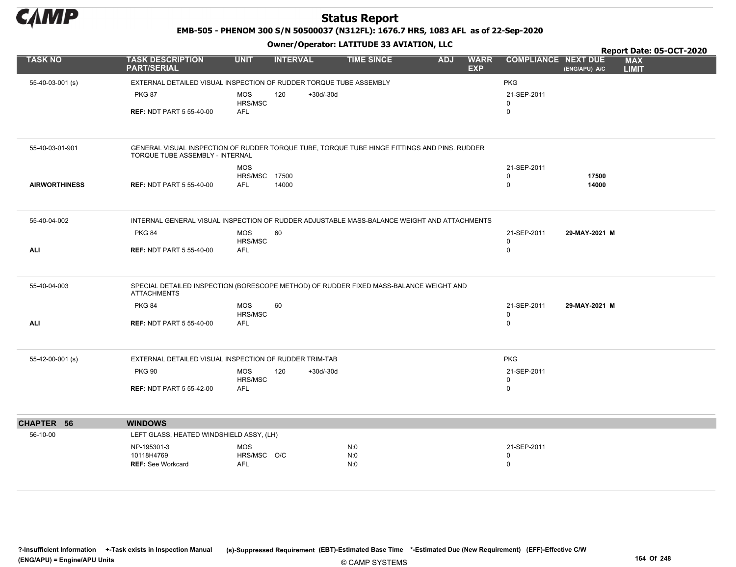

EMB-505 - PHENOM 300 S/N 50500037 (N312FL): 1676.7 HRS, 1083 AFL as of 22-Sep-2020

|                      |                                                                                                                                 |                             |                    |                   |            |                           |                            |                | <b>Report Date: 05-OCT-2020</b> |
|----------------------|---------------------------------------------------------------------------------------------------------------------------------|-----------------------------|--------------------|-------------------|------------|---------------------------|----------------------------|----------------|---------------------------------|
| <b>TASK NO</b>       | <b>TASK DESCRIPTION</b><br><b>PART/SERIAL</b>                                                                                   | <b>UNIT</b>                 | <b>INTERVAL</b>    | <b>TIME SINCE</b> | <b>ADJ</b> | <b>WARR</b><br><b>EXP</b> | <b>COMPLIANCE NEXT DUE</b> | (ENG/APU) A/C  | <b>MAX</b><br><b>LIMIT</b>      |
| 55-40-03-001 (s)     | EXTERNAL DETAILED VISUAL INSPECTION OF RUDDER TORQUE TUBE ASSEMBLY                                                              |                             |                    |                   |            |                           | <b>PKG</b>                 |                |                                 |
|                      | <b>PKG 87</b>                                                                                                                   | <b>MOS</b>                  | 120<br>$+30d/-30d$ |                   |            |                           | 21-SEP-2011                |                |                                 |
|                      | <b>REF: NDT PART 5 55-40-00</b>                                                                                                 | HRS/MSC<br><b>AFL</b>       |                    |                   |            |                           | $\mathbf 0$<br>$\mathbf 0$ |                |                                 |
|                      |                                                                                                                                 |                             |                    |                   |            |                           |                            |                |                                 |
| 55-40-03-01-901      | GENERAL VISUAL INSPECTION OF RUDDER TORQUE TUBE, TORQUE TUBE HINGE FITTINGS AND PINS. RUDDER<br>TORQUE TUBE ASSEMBLY - INTERNAL |                             |                    |                   |            |                           |                            |                |                                 |
|                      |                                                                                                                                 | <b>MOS</b>                  |                    |                   |            |                           | 21-SEP-2011                |                |                                 |
| <b>AIRWORTHINESS</b> | <b>REF: NDT PART 5 55-40-00</b>                                                                                                 | HRS/MSC 17500<br><b>AFL</b> | 14000              |                   |            |                           | 0<br>$\mathsf 0$           | 17500<br>14000 |                                 |
|                      |                                                                                                                                 |                             |                    |                   |            |                           |                            |                |                                 |
| 55-40-04-002         | INTERNAL GENERAL VISUAL INSPECTION OF RUDDER ADJUSTABLE MASS-BALANCE WEIGHT AND ATTACHMENTS                                     |                             |                    |                   |            |                           |                            |                |                                 |
|                      | <b>PKG 84</b>                                                                                                                   | MOS                         | 60                 |                   |            |                           | 21-SEP-2011                | 29-MAY-2021 M  |                                 |
| ALI                  | <b>REF: NDT PART 5 55-40-00</b>                                                                                                 | HRS/MSC<br>AFL              |                    |                   |            |                           | 0<br>0                     |                |                                 |
|                      |                                                                                                                                 |                             |                    |                   |            |                           |                            |                |                                 |
| 55-40-04-003         | SPECIAL DETAILED INSPECTION (BORESCOPE METHOD) OF RUDDER FIXED MASS-BALANCE WEIGHT AND<br><b>ATTACHMENTS</b>                    |                             |                    |                   |            |                           |                            |                |                                 |
|                      | <b>PKG 84</b>                                                                                                                   | <b>MOS</b>                  | 60                 |                   |            |                           | 21-SEP-2011                | 29-MAY-2021 M  |                                 |
| <b>ALI</b>           | <b>REF: NDT PART 5 55-40-00</b>                                                                                                 | HRS/MSC<br><b>AFL</b>       |                    |                   |            |                           | 0<br>0                     |                |                                 |
|                      |                                                                                                                                 |                             |                    |                   |            |                           |                            |                |                                 |
| 55-42-00-001 (s)     | EXTERNAL DETAILED VISUAL INSPECTION OF RUDDER TRIM-TAB                                                                          |                             |                    |                   |            |                           | <b>PKG</b>                 |                |                                 |
|                      | <b>PKG 90</b>                                                                                                                   | <b>MOS</b><br>HRS/MSC       | 120<br>$+30d/-30d$ |                   |            |                           | 21-SEP-2011<br>0           |                |                                 |
|                      | <b>REF: NDT PART 5 55-42-00</b>                                                                                                 | <b>AFL</b>                  |                    |                   |            |                           | 0                          |                |                                 |
|                      |                                                                                                                                 |                             |                    |                   |            |                           |                            |                |                                 |
| CHAPTER 56           | <b>WINDOWS</b>                                                                                                                  |                             |                    |                   |            |                           |                            |                |                                 |
| 56-10-00             | LEFT GLASS, HEATED WINDSHIELD ASSY, (LH)                                                                                        |                             |                    |                   |            |                           |                            |                |                                 |
|                      | NP-195301-3                                                                                                                     | <b>MOS</b>                  |                    | N:0               |            |                           | 21-SEP-2011                |                |                                 |
|                      | 10118H4769<br>REF: See Workcard                                                                                                 | HRS/MSC O/C<br><b>AFL</b>   |                    | N:0<br>N:0        |            |                           | 0<br>0                     |                |                                 |
|                      |                                                                                                                                 |                             |                    |                   |            |                           |                            |                |                                 |
|                      |                                                                                                                                 |                             |                    |                   |            |                           |                            |                |                                 |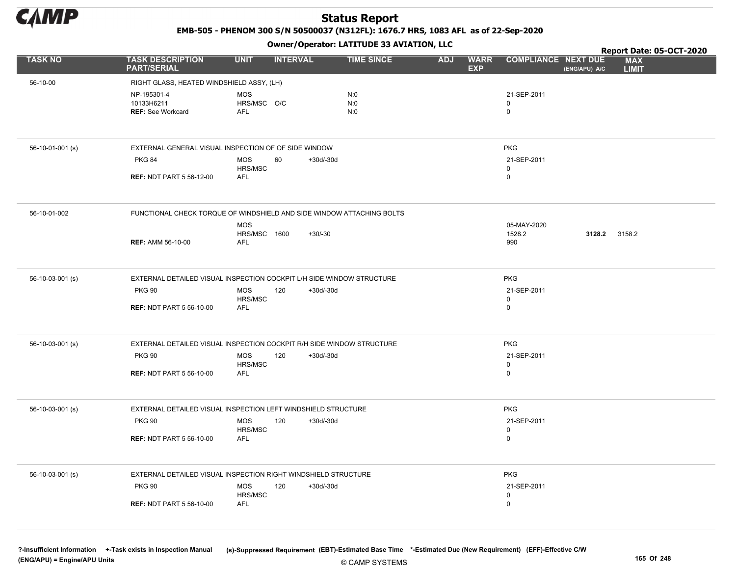

EMB-505 - PHENOM 300 S/N 50500037 (N312FL): 1676.7 HRS, 1083 AFL as of 22-Sep-2020

Owner/Operator: LATITUDE 33 AVIATION, LLC

|                  |                                                                       |                                          |                 | Owner / Operator. LATTTODE 33 AVIATION, LLC |            |                           |                                 | Report Date: 05-OCT-2020 |                            |  |
|------------------|-----------------------------------------------------------------------|------------------------------------------|-----------------|---------------------------------------------|------------|---------------------------|---------------------------------|--------------------------|----------------------------|--|
| <b>TASK NO</b>   | <b>TASK DESCRIPTION</b><br><b>PART/SERIAL</b>                         | <b>UNIT</b>                              | <b>INTERVAL</b> | <b>TIME SINCE</b>                           | <b>ADJ</b> | <b>WARR</b><br><b>EXP</b> | <b>COMPLIANCE NEXT DUE</b>      | (ENG/APU) A/C            | <b>MAX</b><br><b>LIMIT</b> |  |
| 56-10-00         | RIGHT GLASS, HEATED WINDSHIELD ASSY, (LH)                             |                                          |                 |                                             |            |                           |                                 |                          |                            |  |
|                  | NP-195301-4<br>10133H6211<br><b>REF: See Workcard</b>                 | <b>MOS</b><br>HRS/MSC O/C<br><b>AFL</b>  |                 | N:0<br>N:0<br>N:0                           |            |                           | 21-SEP-2011<br>0<br>$\mathbf 0$ |                          |                            |  |
| 56-10-01-001 (s) | EXTERNAL GENERAL VISUAL INSPECTION OF OF SIDE WINDOW                  |                                          |                 |                                             |            |                           | <b>PKG</b>                      |                          |                            |  |
|                  | <b>PKG 84</b>                                                         | <b>MOS</b>                               | 60              | $+30d/-30d$                                 |            |                           | 21-SEP-2011                     |                          |                            |  |
|                  | <b>REF: NDT PART 5 56-12-00</b>                                       | HRS/MSC<br><b>AFL</b>                    |                 |                                             |            |                           | 0<br>0                          |                          |                            |  |
| 56-10-01-002     | FUNCTIONAL CHECK TORQUE OF WINDSHIELD AND SIDE WINDOW ATTACHING BOLTS |                                          |                 |                                             |            |                           |                                 |                          |                            |  |
|                  | <b>REF: AMM 56-10-00</b>                                              | <b>MOS</b><br>HRS/MSC 1600<br><b>AFL</b> |                 | $+30/-30$                                   |            |                           | 05-MAY-2020<br>1528.2<br>990    | 3128.2                   | 3158.2                     |  |
| 56-10-03-001 (s) | EXTERNAL DETAILED VISUAL INSPECTION COCKPIT L/H SIDE WINDOW STRUCTURE |                                          |                 |                                             |            |                           | <b>PKG</b>                      |                          |                            |  |
|                  | <b>PKG 90</b>                                                         | <b>MOS</b>                               | 120             | $+30d/-30d$                                 |            |                           | 21-SEP-2011                     |                          |                            |  |
|                  | <b>REF: NDT PART 5 56-10-00</b>                                       | HRS/MSC<br>AFL                           |                 |                                             |            |                           | 0<br>0                          |                          |                            |  |
| 56-10-03-001 (s) | EXTERNAL DETAILED VISUAL INSPECTION COCKPIT R/H SIDE WINDOW STRUCTURE |                                          |                 |                                             |            |                           | <b>PKG</b>                      |                          |                            |  |
|                  | <b>PKG 90</b>                                                         | <b>MOS</b><br>HRS/MSC                    | 120             | +30d/-30d                                   |            |                           | 21-SEP-2011<br>0                |                          |                            |  |
|                  | <b>REF: NDT PART 5 56-10-00</b>                                       | AFL                                      |                 |                                             |            |                           | $\mathbf 0$                     |                          |                            |  |
| 56-10-03-001 (s) | EXTERNAL DETAILED VISUAL INSPECTION LEFT WINDSHIELD STRUCTURE         |                                          |                 |                                             |            |                           | <b>PKG</b>                      |                          |                            |  |
|                  | <b>PKG 90</b>                                                         | <b>MOS</b><br>HRS/MSC                    | 120             | $+30d/-30d$                                 |            |                           | 21-SEP-2011<br>0                |                          |                            |  |
|                  | <b>REF: NDT PART 5 56-10-00</b>                                       | AFL                                      |                 |                                             |            |                           | $\pmb{0}$                       |                          |                            |  |
| 56-10-03-001 (s) | EXTERNAL DETAILED VISUAL INSPECTION RIGHT WINDSHIELD STRUCTURE        |                                          |                 |                                             |            |                           | <b>PKG</b>                      |                          |                            |  |
|                  | <b>PKG 90</b>                                                         | <b>MOS</b>                               | 120             | $+30d/-30d$                                 |            |                           | 21-SEP-2011                     |                          |                            |  |
|                  | <b>REF: NDT PART 5 56-10-00</b>                                       | HRS/MSC<br><b>AFL</b>                    |                 |                                             |            |                           | 0<br>$\pmb{0}$                  |                          |                            |  |
|                  |                                                                       |                                          |                 |                                             |            |                           |                                 |                          |                            |  |

© CAMP SYSTEMS ?-Insufficient Information +-Task exists in Inspection Manual (s)-Suppressed Requirement (EBT)-Estimated Base Time \*-Estimated Due (New Requirement) (EFF)-Effective C/W (ENG/APU) = Engine/APU Units 165 Of 248 and the control of 248 and the control of 248 and the control of 248 and the control of 248 and the control of 248 and the control of 248 and the control of 248 and the control of 2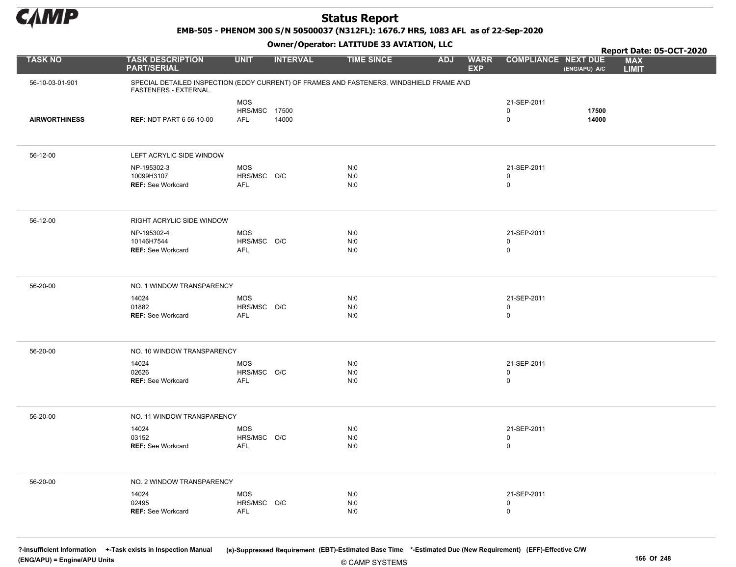

EMB-505 - PHENOM 300 S/N 50500037 (N312FL): 1676.7 HRS, 1083 AFL as of 22-Sep-2020

Owner/Operator: LATITUDE 33 AVIATION, LLC

|                      |                                                                                                                         |                                         | .               |                   |                                         |                                           |                | Report Date: 05-OCT-2020   |
|----------------------|-------------------------------------------------------------------------------------------------------------------------|-----------------------------------------|-----------------|-------------------|-----------------------------------------|-------------------------------------------|----------------|----------------------------|
| <b>TASK NO</b>       | <b>TASK DESCRIPTION</b><br><b>PART/SERIAL</b>                                                                           | <b>UNIT</b>                             | <b>INTERVAL</b> | <b>TIME SINCE</b> | <b>WARR</b><br><b>ADJ</b><br><b>EXP</b> | <b>COMPLIANCE NEXT DUE</b>                | (ENG/APU) A/C  | <b>MAX</b><br><b>LIMIT</b> |
| 56-10-03-01-901      | SPECIAL DETAILED INSPECTION (EDDY CURRENT) OF FRAMES AND FASTENERS. WINDSHIELD FRAME AND<br><b>FASTENERS - EXTERNAL</b> |                                         |                 |                   |                                         |                                           |                |                            |
| <b>AIRWORTHINESS</b> | <b>REF: NDT PART 6 56-10-00</b>                                                                                         | <b>MOS</b><br>HRS/MSC 17500<br>AFL      | 14000           |                   |                                         | 21-SEP-2011<br>$\mathbf 0$<br>$\mathbf 0$ | 17500<br>14000 |                            |
| 56-12-00             | LEFT ACRYLIC SIDE WINDOW                                                                                                |                                         |                 |                   |                                         |                                           |                |                            |
|                      | NP-195302-3<br>10099H3107<br><b>REF: See Workcard</b>                                                                   | <b>MOS</b><br>HRS/MSC O/C<br><b>AFL</b> |                 | N:0<br>N:0<br>N:0 |                                         | 21-SEP-2011<br>$\mathbf 0$<br>$\mathbf 0$ |                |                            |
| 56-12-00             | RIGHT ACRYLIC SIDE WINDOW                                                                                               |                                         |                 |                   |                                         |                                           |                |                            |
|                      | NP-195302-4<br>10146H7544<br><b>REF: See Workcard</b>                                                                   | <b>MOS</b><br>HRS/MSC O/C<br><b>AFL</b> |                 | N:0<br>N:0<br>N:0 |                                         | 21-SEP-2011<br>$\mathbf 0$<br>$\mathsf 0$ |                |                            |
| 56-20-00             | NO. 1 WINDOW TRANSPARENCY                                                                                               |                                         |                 |                   |                                         |                                           |                |                            |
|                      | 14024<br>01882<br><b>REF: See Workcard</b>                                                                              | <b>MOS</b><br>HRS/MSC O/C<br><b>AFL</b> |                 | N:0<br>N:0<br>N:0 |                                         | 21-SEP-2011<br>$\mathbf 0$<br>$\mathbf 0$ |                |                            |
| 56-20-00             | NO. 10 WINDOW TRANSPARENCY                                                                                              |                                         |                 |                   |                                         |                                           |                |                            |
|                      | 14024<br>02626<br><b>REF: See Workcard</b>                                                                              | <b>MOS</b><br>HRS/MSC O/C<br><b>AFL</b> |                 | N:0<br>N:0<br>N:0 |                                         | 21-SEP-2011<br>$\mathbf 0$<br>$\mathsf 0$ |                |                            |
| 56-20-00             | NO. 11 WINDOW TRANSPARENCY                                                                                              |                                         |                 |                   |                                         |                                           |                |                            |
|                      | 14024<br>03152<br><b>REF:</b> See Workcard                                                                              | MOS<br>HRS/MSC O/C<br><b>AFL</b>        |                 | N:0<br>N:0<br>N:0 |                                         | 21-SEP-2011<br>$\mathbf 0$<br>$\mathbf 0$ |                |                            |
| 56-20-00             | NO. 2 WINDOW TRANSPARENCY                                                                                               |                                         |                 |                   |                                         |                                           |                |                            |
|                      | 14024<br>02495<br><b>REF: See Workcard</b>                                                                              | <b>MOS</b><br>HRS/MSC O/C<br>AFL        |                 | N:0<br>N:0<br>N:0 |                                         | 21-SEP-2011<br>$\mathbf 0$<br>$\mathbf 0$ |                |                            |

© CAMP SYSTEMS

?-Insufficient Information +-Task exists in Inspection Manual (s)-Suppressed Requirement (EBT)-Estimated Base Time \*-Estimated Due (New Requirement) (EFF)-Effective C/W (ENG/APU) = Engine/APU Units 166 Of 248 and the control of 248 and the control of 248 and the control of 248 and the control of 248 and the control of 248 and the control of 248 and the control of 248 and the control of 2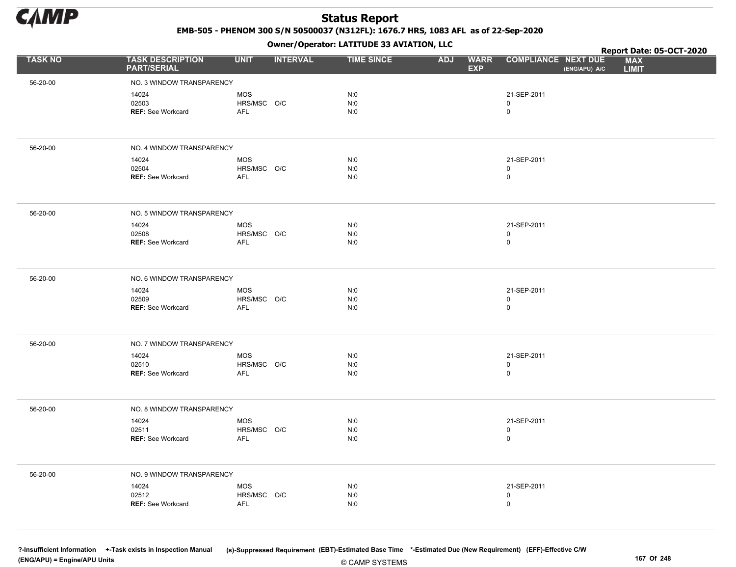

EMB-505 - PHENOM 300 S/N 50500037 (N312FL): 1676.7 HRS, 1083 AFL as of 22-Sep-2020

Owner/Operator: LATITUDE 33 AVIATION, LLC

|                |                                               |                           | - - -           |                   |                                         |                                             | Report Date: 05-OCT-2020   |
|----------------|-----------------------------------------------|---------------------------|-----------------|-------------------|-----------------------------------------|---------------------------------------------|----------------------------|
| <b>TASK NO</b> | <b>TASK DESCRIPTION</b><br><b>PART/SERIAL</b> | <b>UNIT</b>               | <b>INTERVAL</b> | <b>TIME SINCE</b> | <b>WARR</b><br><b>ADJ</b><br><b>EXP</b> | <b>COMPLIANCE NEXT DUE</b><br>(ENG/APU) A/C | <b>MAX</b><br><b>LIMIT</b> |
| 56-20-00       | NO. 3 WINDOW TRANSPARENCY                     |                           |                 |                   |                                         |                                             |                            |
|                | 14024                                         | <b>MOS</b>                |                 | N:0               |                                         | 21-SEP-2011                                 |                            |
|                | 02503                                         | HRS/MSC O/C               |                 | N:0               |                                         | 0                                           |                            |
|                | REF: See Workcard                             | AFL                       |                 | N:0               |                                         | 0                                           |                            |
|                |                                               |                           |                 |                   |                                         |                                             |                            |
| 56-20-00       | NO. 4 WINDOW TRANSPARENCY                     |                           |                 |                   |                                         |                                             |                            |
|                | 14024                                         | <b>MOS</b>                |                 | N:0               |                                         | 21-SEP-2011                                 |                            |
|                | 02504                                         | HRS/MSC O/C               |                 | N:0               |                                         | 0                                           |                            |
|                | REF: See Workcard                             | <b>AFL</b>                |                 | N:0               |                                         | 0                                           |                            |
|                |                                               |                           |                 |                   |                                         |                                             |                            |
| 56-20-00       | NO. 5 WINDOW TRANSPARENCY                     |                           |                 |                   |                                         |                                             |                            |
|                | 14024                                         | MOS                       |                 | N:0               |                                         | 21-SEP-2011                                 |                            |
|                | 02508<br><b>REF: See Workcard</b>             | HRS/MSC O/C<br><b>AFL</b> |                 | N:0<br>N:0        |                                         | 0<br>$\mathsf{O}$                           |                            |
|                |                                               |                           |                 |                   |                                         |                                             |                            |
|                |                                               |                           |                 |                   |                                         |                                             |                            |
| 56-20-00       | NO. 6 WINDOW TRANSPARENCY                     |                           |                 |                   |                                         |                                             |                            |
|                | 14024                                         | <b>MOS</b>                |                 | N:0               |                                         | 21-SEP-2011                                 |                            |
|                | 02509<br><b>REF: See Workcard</b>             | HRS/MSC O/C<br>AFL        |                 | N:0<br>N:0        |                                         | 0<br>$\mathsf{O}$                           |                            |
|                |                                               |                           |                 |                   |                                         |                                             |                            |
| 56-20-00       | NO. 7 WINDOW TRANSPARENCY                     |                           |                 |                   |                                         |                                             |                            |
|                |                                               |                           |                 |                   |                                         |                                             |                            |
|                | 14024<br>02510                                | <b>MOS</b><br>HRS/MSC O/C |                 | N:0<br>N:0        |                                         | 21-SEP-2011<br>0                            |                            |
|                | REF: See Workcard                             | <b>AFL</b>                |                 | N:0               |                                         | 0                                           |                            |
|                |                                               |                           |                 |                   |                                         |                                             |                            |
| 56-20-00       | NO. 8 WINDOW TRANSPARENCY                     |                           |                 |                   |                                         |                                             |                            |
|                | 14024                                         | <b>MOS</b>                |                 | N:0               |                                         | 21-SEP-2011                                 |                            |
|                | 02511                                         | HRS/MSC O/C               |                 | N:0               |                                         | 0                                           |                            |
|                | REF: See Workcard                             | <b>AFL</b>                |                 | N:0               |                                         | $\pmb{0}$                                   |                            |
|                |                                               |                           |                 |                   |                                         |                                             |                            |
| 56-20-00       | NO. 9 WINDOW TRANSPARENCY                     |                           |                 |                   |                                         |                                             |                            |
|                | 14024                                         | MOS                       |                 | N:0               |                                         | 21-SEP-2011                                 |                            |
|                | 02512                                         | HRS/MSC O/C               |                 | N:0               |                                         | 0                                           |                            |
|                | <b>REF: See Workcard</b>                      | <b>AFL</b>                |                 | N:0               |                                         | $\mathsf{O}$                                |                            |
|                |                                               |                           |                 |                   |                                         |                                             |                            |
|                |                                               |                           |                 |                   |                                         |                                             |                            |

© CAMP SYSTEMS ?-Insufficient Information +-Task exists in Inspection Manual (s)-Suppressed Requirement (EBT)-Estimated Base Time \*-Estimated Due (New Requirement) (EFF)-Effective C/W (ENG/APU) = Engine/APU Units 167 Of 248 and the control of the control of the control of the control of the control of the control of the control of the control of the control of the control of the control of the control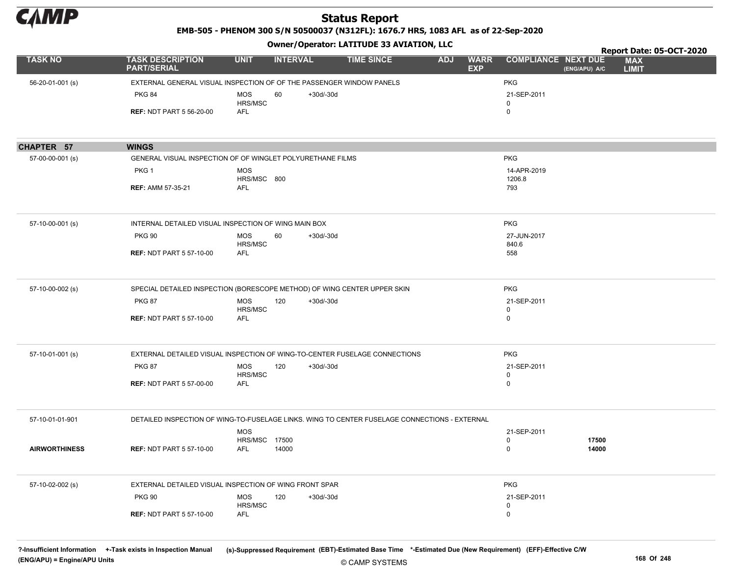

EMB-505 - PHENOM 300 S/N 50500037 (N312FL): 1676.7 HRS, 1083 AFL as of 22-Sep-2020

#### Owner/Operator: LATITUDE 33 AVIATION, LLC

|                      |                                                                                               |                              | .               |             |                   |            |                           |                            |               | Report Date: 05-OCT-2020   |  |
|----------------------|-----------------------------------------------------------------------------------------------|------------------------------|-----------------|-------------|-------------------|------------|---------------------------|----------------------------|---------------|----------------------------|--|
| <b>TASK NO</b>       | <b>TASK DESCRIPTION</b><br><b>PART/SERIAL</b>                                                 | <b>UNIT</b>                  | <b>INTERVAL</b> |             | <b>TIME SINCE</b> | <b>ADJ</b> | <b>WARR</b><br><b>EXP</b> | <b>COMPLIANCE NEXT DUE</b> | (ENG/APU) A/C | <b>MAX</b><br><b>LIMIT</b> |  |
| 56-20-01-001 (s)     | EXTERNAL GENERAL VISUAL INSPECTION OF OF THE PASSENGER WINDOW PANELS                          |                              |                 |             |                   |            |                           | <b>PKG</b>                 |               |                            |  |
|                      | <b>PKG 84</b>                                                                                 | <b>MOS</b>                   | 60              | $+30d/-30d$ |                   |            |                           | 21-SEP-2011                |               |                            |  |
|                      |                                                                                               | HRS/MSC                      |                 |             |                   |            |                           | $\mathbf 0$                |               |                            |  |
|                      | <b>REF: NDT PART 5 56-20-00</b>                                                               | <b>AFL</b>                   |                 |             |                   |            |                           | $\mathbf 0$                |               |                            |  |
|                      |                                                                                               |                              |                 |             |                   |            |                           |                            |               |                            |  |
| CHAPTER 57           | <b>WINGS</b>                                                                                  |                              |                 |             |                   |            |                           |                            |               |                            |  |
| 57-00-00-001 (s)     | GENERAL VISUAL INSPECTION OF OF WINGLET POLYURETHANE FILMS                                    |                              |                 |             |                   |            |                           | <b>PKG</b>                 |               |                            |  |
|                      | PKG <sub>1</sub>                                                                              | <b>MOS</b>                   |                 |             |                   |            |                           | 14-APR-2019                |               |                            |  |
|                      |                                                                                               | HRS/MSC 800                  |                 |             |                   |            |                           | 1206.8                     |               |                            |  |
|                      | <b>REF: AMM 57-35-21</b>                                                                      | <b>AFL</b>                   |                 |             |                   |            |                           | 793                        |               |                            |  |
|                      |                                                                                               |                              |                 |             |                   |            |                           |                            |               |                            |  |
| 57-10-00-001 (s)     | INTERNAL DETAILED VISUAL INSPECTION OF WING MAIN BOX                                          |                              |                 |             |                   |            |                           | <b>PKG</b>                 |               |                            |  |
|                      | <b>PKG 90</b>                                                                                 | <b>MOS</b>                   | 60              | $+30d/-30d$ |                   |            |                           | 27-JUN-2017                |               |                            |  |
|                      | <b>REF: NDT PART 5 57-10-00</b>                                                               | HRS/MSC<br><b>AFL</b>        |                 |             |                   |            |                           | 840.6<br>558               |               |                            |  |
|                      |                                                                                               |                              |                 |             |                   |            |                           |                            |               |                            |  |
| 57-10-00-002 (s)     | SPECIAL DETAILED INSPECTION (BORESCOPE METHOD) OF WING CENTER UPPER SKIN                      |                              |                 |             |                   |            |                           | <b>PKG</b>                 |               |                            |  |
|                      | <b>PKG 87</b>                                                                                 | <b>MOS</b>                   | 120             | $+30d/-30d$ |                   |            |                           | 21-SEP-2011                |               |                            |  |
|                      | <b>REF: NDT PART 5 57-10-00</b>                                                               | HRS/MSC<br><b>AFL</b>        |                 |             |                   |            |                           | $\mathsf 0$<br>$\mathsf 0$ |               |                            |  |
|                      |                                                                                               |                              |                 |             |                   |            |                           |                            |               |                            |  |
| 57-10-01-001 (s)     | EXTERNAL DETAILED VISUAL INSPECTION OF WING-TO-CENTER FUSELAGE CONNECTIONS                    |                              |                 |             |                   |            |                           | <b>PKG</b>                 |               |                            |  |
|                      | <b>PKG 87</b>                                                                                 | <b>MOS</b><br><b>HRS/MSC</b> | 120             | $+30d/-30d$ |                   |            |                           | 21-SEP-2011<br>$\mathbf 0$ |               |                            |  |
|                      | <b>REF: NDT PART 5 57-00-00</b>                                                               | AFL                          |                 |             |                   |            |                           | $\mathbf 0$                |               |                            |  |
|                      |                                                                                               |                              |                 |             |                   |            |                           |                            |               |                            |  |
| 57-10-01-01-901      | DETAILED INSPECTION OF WING-TO-FUSELAGE LINKS. WING TO CENTER FUSELAGE CONNECTIONS - EXTERNAL |                              |                 |             |                   |            |                           |                            |               |                            |  |
|                      |                                                                                               | <b>MOS</b>                   |                 |             |                   |            |                           | 21-SEP-2011<br>$\mathbf 0$ | 17500         |                            |  |
| <b>AIRWORTHINESS</b> | <b>REF: NDT PART 5 57-10-00</b>                                                               | <b>HRS/MSC 17500</b><br>AFL  | 14000           |             |                   |            |                           | 0                          | 14000         |                            |  |
|                      |                                                                                               |                              |                 |             |                   |            |                           |                            |               |                            |  |
| 57-10-02-002 (s)     | EXTERNAL DETAILED VISUAL INSPECTION OF WING FRONT SPAR                                        |                              |                 |             |                   |            |                           | <b>PKG</b>                 |               |                            |  |
|                      | <b>PKG 90</b>                                                                                 | <b>MOS</b>                   | 120             | $+30d/-30d$ |                   |            |                           | 21-SEP-2011                |               |                            |  |
|                      |                                                                                               | <b>HRS/MSC</b>               |                 |             |                   |            |                           | $\mathbf 0$                |               |                            |  |
|                      | <b>REF: NDT PART 5 57-10-00</b>                                                               | AFL                          |                 |             |                   |            |                           | $\mathbf 0$                |               |                            |  |
|                      |                                                                                               |                              |                 |             |                   |            |                           |                            |               |                            |  |

© CAMP SYSTEMS ?-Insufficient Information +-Task exists in Inspection Manual (s)-Suppressed Requirement (EBT)-Estimated Base Time \*-Estimated Due (New Requirement) (EFF)-Effective C/W (ENG/APU) = Engine/APU Units 168 Of 248 of 248 of 248 of 248 of 248 of 248 of 248 of 248 of 248 of 248 of 248 of 248 of 248 of 248 of 248 of 248 of 248 of 248 of 248 of 248 of 248 of 248 of 248 of 248 of 248 of 248 of 248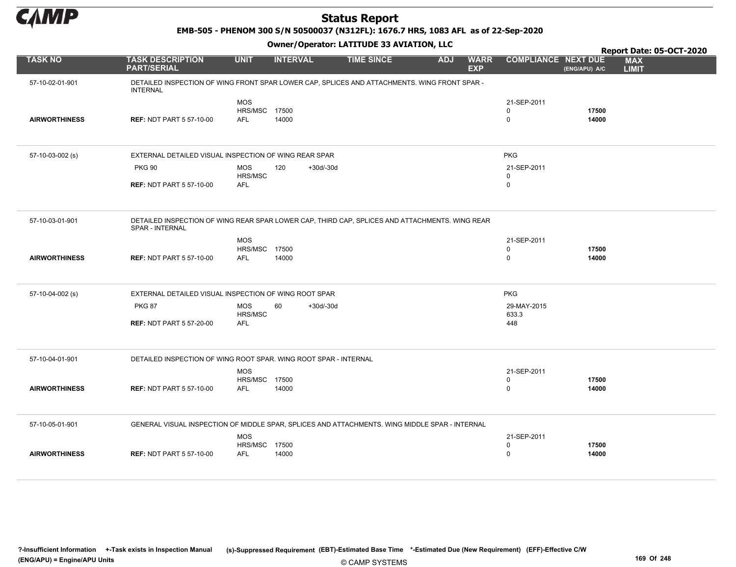

EMB-505 - PHENOM 300 S/N 50500037 (N312FL): 1676.7 HRS, 1083 AFL as of 22-Sep-2020

|                      |                                                                                                                   |                             |                    |                   |            |                           |                            |                | Report Date: 05-OCT-2020   |
|----------------------|-------------------------------------------------------------------------------------------------------------------|-----------------------------|--------------------|-------------------|------------|---------------------------|----------------------------|----------------|----------------------------|
| <b>TASK NO</b>       | <b>TASK DESCRIPTION</b><br><b>PART/SERIAL</b>                                                                     | <b>UNIT</b>                 | <b>INTERVAL</b>    | <b>TIME SINCE</b> | <b>ADJ</b> | <b>WARR</b><br><b>EXP</b> | <b>COMPLIANCE NEXT DUE</b> | (ENG/APU) A/C  | <b>MAX</b><br><b>LIMIT</b> |
| 57-10-02-01-901      | DETAILED INSPECTION OF WING FRONT SPAR LOWER CAP, SPLICES AND ATTACHMENTS. WING FRONT SPAR -<br><b>INTERNAL</b>   |                             |                    |                   |            |                           |                            |                |                            |
|                      |                                                                                                                   | <b>MOS</b>                  |                    |                   |            |                           | 21-SEP-2011                |                |                            |
|                      |                                                                                                                   | HRS/MSC 17500               |                    |                   |            |                           | 0                          | 17500          |                            |
| <b>AIRWORTHINESS</b> | <b>REF: NDT PART 5 57-10-00</b>                                                                                   | <b>AFL</b>                  | 14000              |                   |            |                           | $\mathbf 0$                | 14000          |                            |
|                      |                                                                                                                   |                             |                    |                   |            |                           |                            |                |                            |
| 57-10-03-002 (s)     | EXTERNAL DETAILED VISUAL INSPECTION OF WING REAR SPAR                                                             |                             |                    |                   |            |                           | <b>PKG</b>                 |                |                            |
|                      | <b>PKG 90</b>                                                                                                     | <b>MOS</b><br>HRS/MSC       | 120<br>$+30d/-30d$ |                   |            |                           | 21-SEP-2011<br>$\mathbf 0$ |                |                            |
|                      | <b>REF: NDT PART 5 57-10-00</b>                                                                                   | <b>AFL</b>                  |                    |                   |            |                           | $\mathbf 0$                |                |                            |
|                      |                                                                                                                   |                             |                    |                   |            |                           |                            |                |                            |
| 57-10-03-01-901      | DETAILED INSPECTION OF WING REAR SPAR LOWER CAP, THIRD CAP, SPLICES AND ATTACHMENTS. WING REAR<br>SPAR - INTERNAL |                             |                    |                   |            |                           |                            |                |                            |
|                      |                                                                                                                   | <b>MOS</b>                  |                    |                   |            |                           | 21-SEP-2011                |                |                            |
|                      |                                                                                                                   | <b>HRS/MSC 17500</b>        |                    |                   |            |                           | $\mathbf 0$                | 17500          |                            |
| <b>AIRWORTHINESS</b> | <b>REF: NDT PART 5 57-10-00</b>                                                                                   | <b>AFL</b>                  | 14000              |                   |            |                           | $\mathbf 0$                | 14000          |                            |
|                      |                                                                                                                   |                             |                    |                   |            |                           |                            |                |                            |
| 57-10-04-002 (s)     | EXTERNAL DETAILED VISUAL INSPECTION OF WING ROOT SPAR                                                             |                             |                    |                   |            |                           | <b>PKG</b>                 |                |                            |
|                      | <b>PKG 87</b>                                                                                                     | <b>MOS</b>                  | 60<br>$+30d/-30d$  |                   |            |                           | 29-MAY-2015                |                |                            |
|                      |                                                                                                                   | HRS/MSC                     |                    |                   |            |                           | 633.3                      |                |                            |
|                      | <b>REF: NDT PART 5 57-20-00</b>                                                                                   | <b>AFL</b>                  |                    |                   |            |                           | 448                        |                |                            |
|                      |                                                                                                                   |                             |                    |                   |            |                           |                            |                |                            |
| 57-10-04-01-901      | DETAILED INSPECTION OF WING ROOT SPAR. WING ROOT SPAR - INTERNAL                                                  |                             |                    |                   |            |                           |                            |                |                            |
|                      |                                                                                                                   | <b>MOS</b>                  |                    |                   |            |                           | 21-SEP-2011                |                |                            |
| <b>AIRWORTHINESS</b> | <b>REF: NDT PART 5 57-10-00</b>                                                                                   | HRS/MSC 17500<br><b>AFL</b> | 14000              |                   |            |                           | $\pmb{0}$<br>$\mathbf 0$   | 17500<br>14000 |                            |
|                      |                                                                                                                   |                             |                    |                   |            |                           |                            |                |                            |
| 57-10-05-01-901      | GENERAL VISUAL INSPECTION OF MIDDLE SPAR, SPLICES AND ATTACHMENTS. WING MIDDLE SPAR - INTERNAL                    |                             |                    |                   |            |                           |                            |                |                            |
|                      |                                                                                                                   | <b>MOS</b>                  |                    |                   |            |                           | 21-SEP-2011                |                |                            |
|                      |                                                                                                                   | <b>HRS/MSC 17500</b>        |                    |                   |            |                           | 0                          | 17500          |                            |
| <b>AIRWORTHINESS</b> | <b>REF: NDT PART 5 57-10-00</b>                                                                                   | <b>AFL</b>                  | 14000              |                   |            |                           | $\mathbf 0$                | 14000          |                            |
|                      |                                                                                                                   |                             |                    |                   |            |                           |                            |                |                            |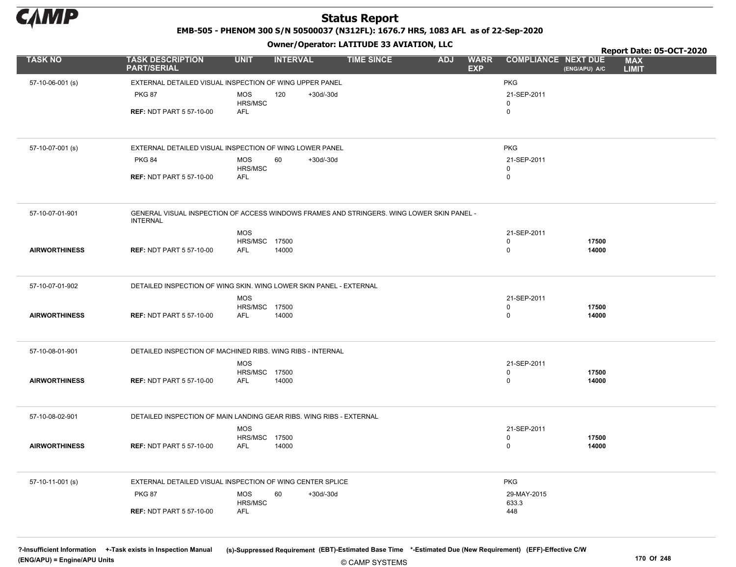

EMB-505 - PHENOM 300 S/N 50500037 (N312FL): 1676.7 HRS, 1083 AFL as of 22-Sep-2020

#### Owner/Operator: LATITUDE 33 AVIATION, LLC

| <b>TASK NO</b>       | <b>TASK DESCRIPTION</b><br><b>PART/SERIAL</b>                                                                | <b>UNIT</b>                        | <b>INTERVAL</b>    | <b>TIME SINCE</b> | <b>WARR</b><br><b>ADJ</b> | <b>COMPLIANCE NEXT DUE</b> | <b>MAX</b>                    |
|----------------------|--------------------------------------------------------------------------------------------------------------|------------------------------------|--------------------|-------------------|---------------------------|----------------------------|-------------------------------|
|                      |                                                                                                              |                                    |                    |                   | <b>EXP</b>                |                            | (ENG/APU) A/C<br><b>LIMIT</b> |
| 57-10-06-001 (s)     | EXTERNAL DETAILED VISUAL INSPECTION OF WING UPPER PANEL                                                      |                                    |                    |                   |                           | <b>PKG</b>                 |                               |
|                      | <b>PKG 87</b>                                                                                                | <b>MOS</b>                         | $+30d/-30d$<br>120 |                   |                           | 21-SEP-2011                |                               |
|                      | <b>REF: NDT PART 5 57-10-00</b>                                                                              | HRS/MSC<br><b>AFL</b>              |                    |                   |                           | 0<br>0                     |                               |
|                      |                                                                                                              |                                    |                    |                   |                           |                            |                               |
| 57-10-07-001 (s)     | EXTERNAL DETAILED VISUAL INSPECTION OF WING LOWER PANEL                                                      |                                    |                    |                   |                           | <b>PKG</b>                 |                               |
|                      | <b>PKG 84</b>                                                                                                | <b>MOS</b><br>HRS/MSC              | $+30d/-30d$<br>60  |                   |                           | 21-SEP-2011<br>$\mathbf 0$ |                               |
|                      | <b>REF: NDT PART 5 57-10-00</b>                                                                              | <b>AFL</b>                         |                    |                   |                           | 0                          |                               |
|                      |                                                                                                              |                                    |                    |                   |                           |                            |                               |
| 57-10-07-01-901      | GENERAL VISUAL INSPECTION OF ACCESS WINDOWS FRAMES AND STRINGERS. WING LOWER SKIN PANEL -<br><b>INTERNAL</b> |                                    |                    |                   |                           |                            |                               |
|                      |                                                                                                              | <b>MOS</b>                         |                    |                   |                           | 21-SEP-2011                |                               |
| <b>AIRWORTHINESS</b> | <b>REF: NDT PART 5 57-10-00</b>                                                                              | HRS/MSC 17500<br><b>AFL</b>        | 14000              |                   |                           | $\mathbf 0$<br>$\pmb{0}$   | 17500<br>14000                |
|                      |                                                                                                              |                                    |                    |                   |                           |                            |                               |
| 57-10-07-01-902      | DETAILED INSPECTION OF WING SKIN. WING LOWER SKIN PANEL - EXTERNAL                                           |                                    |                    |                   |                           |                            |                               |
|                      |                                                                                                              | <b>MOS</b>                         |                    |                   |                           | 21-SEP-2011                |                               |
| <b>AIRWORTHINESS</b> | <b>REF: NDT PART 5 57-10-00</b>                                                                              | HRS/MSC 17500<br><b>AFL</b>        | 14000              |                   |                           | 0<br>$\mathbf 0$           | 17500<br>14000                |
|                      |                                                                                                              |                                    |                    |                   |                           |                            |                               |
| 57-10-08-01-901      | DETAILED INSPECTION OF MACHINED RIBS. WING RIBS - INTERNAL                                                   |                                    |                    |                   |                           |                            |                               |
|                      |                                                                                                              | <b>MOS</b>                         |                    |                   |                           | 21-SEP-2011<br>$\mathbf 0$ |                               |
| <b>AIRWORTHINESS</b> | <b>REF: NDT PART 5 57-10-00</b>                                                                              | <b>HRS/MSC 17500</b><br><b>AFL</b> | 14000              |                   |                           | 0                          | 17500<br>14000                |
|                      |                                                                                                              |                                    |                    |                   |                           |                            |                               |
| 57-10-08-02-901      | DETAILED INSPECTION OF MAIN LANDING GEAR RIBS. WING RIBS - EXTERNAL                                          |                                    |                    |                   |                           |                            |                               |
|                      |                                                                                                              | <b>MOS</b><br>HRS/MSC 17500        |                    |                   |                           | 21-SEP-2011<br>0           | 17500                         |
| <b>AIRWORTHINESS</b> | <b>REF: NDT PART 5 57-10-00</b>                                                                              | <b>AFL</b>                         | 14000              |                   |                           | $\mathbf 0$                | 14000                         |
|                      |                                                                                                              |                                    |                    |                   |                           |                            |                               |
| 57-10-11-001 (s)     | EXTERNAL DETAILED VISUAL INSPECTION OF WING CENTER SPLICE                                                    |                                    |                    |                   |                           | <b>PKG</b>                 |                               |
|                      | <b>PKG 87</b>                                                                                                | <b>MOS</b><br>HRS/MSC              | 60<br>$+30d/-30d$  |                   |                           | 29-MAY-2015<br>633.3       |                               |
|                      | <b>REF: NDT PART 5 57-10-00</b>                                                                              | AFL                                |                    |                   |                           | 448                        |                               |

?-Insufficient Information +-Task exists in Inspection Manual (s)-Suppressed Requirement (EBT)-Estimated Base Time \*-Estimated Due (New Requirement) (EFF)-Effective C/W (ENG/APU) = Engine/APU Units 170 Of 248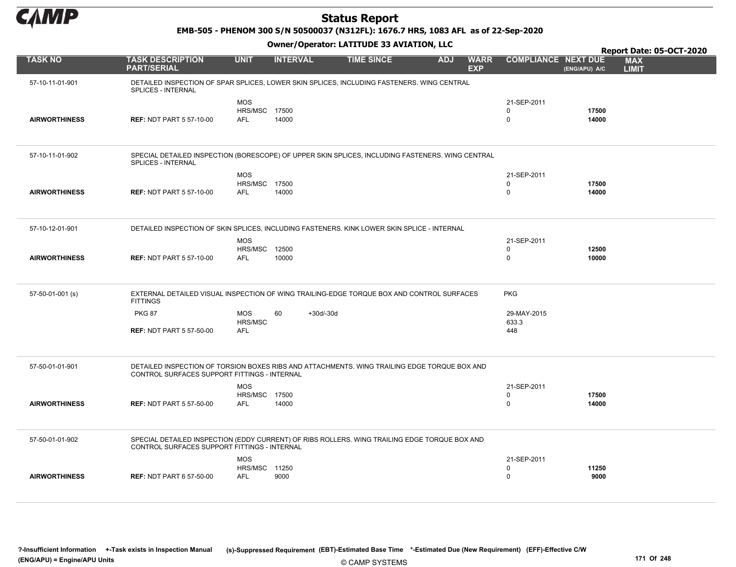

EMB-505 - PHENOM 300 S/N 50500037 (N312FL): 1676.7 HRS, 1083 AFL as of 22-Sep-2020

|                      |                                                                                                                                               |                                                  |                   |                   |            |                           |                                        |                | <b>Report Date: 05-OCT-2020</b> |
|----------------------|-----------------------------------------------------------------------------------------------------------------------------------------------|--------------------------------------------------|-------------------|-------------------|------------|---------------------------|----------------------------------------|----------------|---------------------------------|
| <b>TASK NO</b>       | <b>TASK DESCRIPTION</b><br><b>PART/SERIAL</b>                                                                                                 | <b>UNIT</b>                                      | <b>INTERVAL</b>   | <b>TIME SINCE</b> | <b>ADJ</b> | <b>WARR</b><br><b>EXP</b> | <b>COMPLIANCE NEXT DUE</b>             | (ENG/APU) A/C  | <b>MAX</b><br><b>LIMIT</b>      |
| 57-10-11-01-901      | DETAILED INSPECTION OF SPAR SPLICES, LOWER SKIN SPLICES, INCLUDING FASTENERS, WING CENTRAL<br>SPLICES - INTERNAL                              |                                                  |                   |                   |            |                           |                                        |                |                                 |
| <b>AIRWORTHINESS</b> | <b>REF: NDT PART 5 57-10-00</b>                                                                                                               | <b>MOS</b><br><b>HRS/MSC 17500</b><br><b>AFL</b> | 14000             |                   |            |                           | 21-SEP-2011<br>$\Omega$<br>$\mathbf 0$ | 17500<br>14000 |                                 |
| 57-10-11-01-902      | SPECIAL DETAILED INSPECTION (BORESCOPE) OF UPPER SKIN SPLICES, INCLUDING FASTENERS. WING CENTRAL<br>SPLICES - INTERNAL                        |                                                  |                   |                   |            |                           |                                        |                |                                 |
| <b>AIRWORTHINESS</b> | <b>REF: NDT PART 5 57-10-00</b>                                                                                                               | <b>MOS</b><br><b>HRS/MSC 17500</b><br><b>AFL</b> | 14000             |                   |            |                           | 21-SEP-2011<br>$\Omega$<br>$\mathbf 0$ | 17500<br>14000 |                                 |
| 57-10-12-01-901      | DETAILED INSPECTION OF SKIN SPLICES, INCLUDING FASTENERS. KINK LOWER SKIN SPLICE - INTERNAL                                                   |                                                  |                   |                   |            |                           |                                        |                |                                 |
| <b>AIRWORTHINESS</b> | <b>REF: NDT PART 5 57-10-00</b>                                                                                                               | <b>MOS</b><br>HRS/MSC 12500<br><b>AFL</b>        | 10000             |                   |            |                           | 21-SEP-2011<br>$\Omega$<br>$\mathbf 0$ | 12500<br>10000 |                                 |
| 57-50-01-001 (s)     | EXTERNAL DETAILED VISUAL INSPECTION OF WING TRAILING-EDGE TORQUE BOX AND CONTROL SURFACES<br><b>FITTINGS</b>                                  |                                                  |                   |                   |            |                           | <b>PKG</b>                             |                |                                 |
|                      | <b>PKG 87</b>                                                                                                                                 | <b>MOS</b><br>HRS/MSC                            | 60<br>$+30d/-30d$ |                   |            |                           | 29-MAY-2015<br>633.3                   |                |                                 |
|                      | <b>REF: NDT PART 5 57-50-00</b>                                                                                                               | <b>AFL</b>                                       |                   |                   |            |                           | 448                                    |                |                                 |
| 57-50-01-01-901      | DETAILED INSPECTION OF TORSION BOXES RIBS AND ATTACHMENTS. WING TRAILING EDGE TORQUE BOX AND<br>CONTROL SURFACES SUPPORT FITTINGS - INTERNAL  |                                                  |                   |                   |            |                           |                                        |                |                                 |
| <b>AIRWORTHINESS</b> | <b>REF: NDT PART 5 57-50-00</b>                                                                                                               | <b>MOS</b><br><b>HRS/MSC 17500</b><br><b>AFL</b> | 14000             |                   |            |                           | 21-SEP-2011<br>0<br>$\mathbf 0$        | 17500<br>14000 |                                 |
| 57-50-01-01-902      | SPECIAL DETAILED INSPECTION (EDDY CURRENT) OF RIBS ROLLERS. WING TRAILING EDGE TORQUE BOX AND<br>CONTROL SURFACES SUPPORT FITTINGS - INTERNAL |                                                  |                   |                   |            |                           |                                        |                |                                 |
| <b>AIRWORTHINESS</b> | <b>REF: NDT PART 6 57-50-00</b>                                                                                                               | <b>MOS</b><br><b>HRS/MSC 11250</b><br><b>AFL</b> | 9000              |                   |            |                           | 21-SEP-2011<br>0<br>$\mathbf 0$        | 11250<br>9000  |                                 |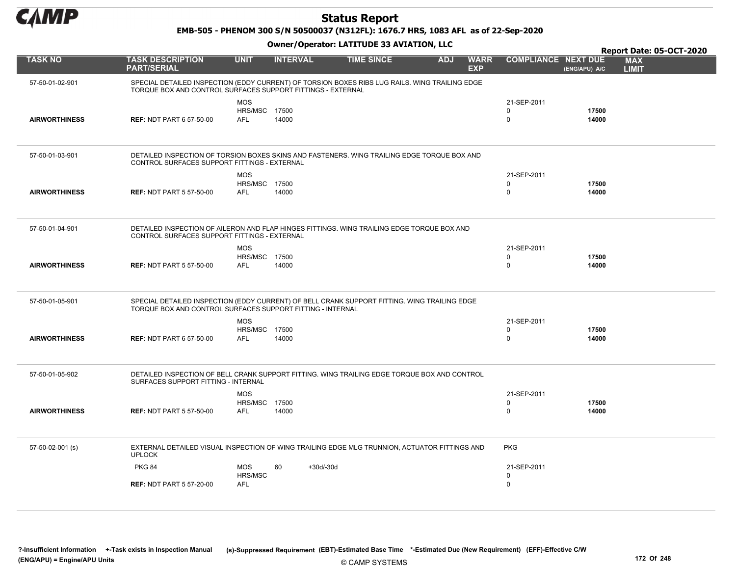

EMB-505 - PHENOM 300 S/N 50500037 (N312FL): 1676.7 HRS, 1083 AFL as of 22-Sep-2020

|                      |                                                                                                                                                               |                                                  |                   |                   |            |                           |                                           |                | <b>Report Date: 05-OCT-2020</b> |
|----------------------|---------------------------------------------------------------------------------------------------------------------------------------------------------------|--------------------------------------------------|-------------------|-------------------|------------|---------------------------|-------------------------------------------|----------------|---------------------------------|
| <b>TASK NO</b>       | <b>TASK DESCRIPTION</b><br><b>PART/SERIAL</b>                                                                                                                 | <b>UNIT</b>                                      | <b>INTERVAL</b>   | <b>TIME SINCE</b> | <b>ADJ</b> | <b>WARR</b><br><b>EXP</b> | <b>COMPLIANCE NEXT DUE</b>                | (ENG/APU) A/C  | <b>MAX</b><br><b>LIMIT</b>      |
| 57-50-01-02-901      | SPECIAL DETAILED INSPECTION (EDDY CURRENT) OF TORSION BOXES RIBS LUG RAILS. WING TRAILING EDGE<br>TORQUE BOX AND CONTROL SURFACES SUPPORT FITTINGS - EXTERNAL |                                                  |                   |                   |            |                           |                                           |                |                                 |
| <b>AIRWORTHINESS</b> | <b>REF: NDT PART 6 57-50-00</b>                                                                                                                               | <b>MOS</b><br><b>HRS/MSC 17500</b><br><b>AFL</b> | 14000             |                   |            |                           | 21-SEP-2011<br>$\Omega$<br>$\Omega$       | 17500<br>14000 |                                 |
| 57-50-01-03-901      | DETAILED INSPECTION OF TORSION BOXES SKINS AND FASTENERS. WING TRAILING EDGE TORQUE BOX AND<br>CONTROL SURFACES SUPPORT FITTINGS - EXTERNAL                   |                                                  |                   |                   |            |                           |                                           |                |                                 |
| <b>AIRWORTHINESS</b> | <b>REF: NDT PART 5 57-50-00</b>                                                                                                                               | <b>MOS</b><br><b>HRS/MSC 17500</b><br><b>AFL</b> | 14000             |                   |            |                           | 21-SEP-2011<br>$\mathbf 0$<br>$\Omega$    | 17500<br>14000 |                                 |
| 57-50-01-04-901      | DETAILED INSPECTION OF AILERON AND FLAP HINGES FITTINGS. WING TRAILING EDGE TORQUE BOX AND<br>CONTROL SURFACES SUPPORT FITTINGS - EXTERNAL                    |                                                  |                   |                   |            |                           |                                           |                |                                 |
| <b>AIRWORTHINESS</b> | <b>REF: NDT PART 5 57-50-00</b>                                                                                                                               | <b>MOS</b><br><b>HRS/MSC 17500</b><br><b>AFL</b> | 14000             |                   |            |                           | 21-SEP-2011<br>$\mathbf 0$<br>$\mathbf 0$ | 17500<br>14000 |                                 |
| 57-50-01-05-901      | SPECIAL DETAILED INSPECTION (EDDY CURRENT) OF BELL CRANK SUPPORT FITTING. WING TRAILING EDGE<br>TORQUE BOX AND CONTROL SURFACES SUPPORT FITTING - INTERNAL    |                                                  |                   |                   |            |                           |                                           |                |                                 |
| <b>AIRWORTHINESS</b> | <b>REF: NDT PART 6 57-50-00</b>                                                                                                                               | <b>MOS</b><br><b>HRS/MSC 17500</b><br><b>AFL</b> | 14000             |                   |            |                           | 21-SEP-2011<br>$\Omega$<br>$\mathbf 0$    | 17500<br>14000 |                                 |
| 57-50-01-05-902      | DETAILED INSPECTION OF BELL CRANK SUPPORT FITTING. WING TRAILING EDGE TORQUE BOX AND CONTROL<br>SURFACES SUPPORT FITTING - INTERNAL                           |                                                  |                   |                   |            |                           |                                           |                |                                 |
| <b>AIRWORTHINESS</b> | <b>REF: NDT PART 5 57-50-00</b>                                                                                                                               | <b>MOS</b><br><b>HRS/MSC 17500</b><br><b>AFL</b> | 14000             |                   |            |                           | 21-SEP-2011<br>$\mathbf 0$<br>0           | 17500<br>14000 |                                 |
| 57-50-02-001 (s)     | EXTERNAL DETAILED VISUAL INSPECTION OF WING TRAILING EDGE MLG TRUNNION, ACTUATOR FITTINGS AND<br><b>UPLOCK</b>                                                |                                                  |                   |                   |            |                           | <b>PKG</b>                                |                |                                 |
|                      | <b>PKG 84</b><br><b>REF: NDT PART 5 57-20-00</b>                                                                                                              | <b>MOS</b><br>HRS/MSC<br>AFL                     | $+30d/-30d$<br>60 |                   |            |                           | 21-SEP-2011<br>$\mathsf 0$<br>$\mathsf 0$ |                |                                 |
|                      |                                                                                                                                                               |                                                  |                   |                   |            |                           |                                           |                |                                 |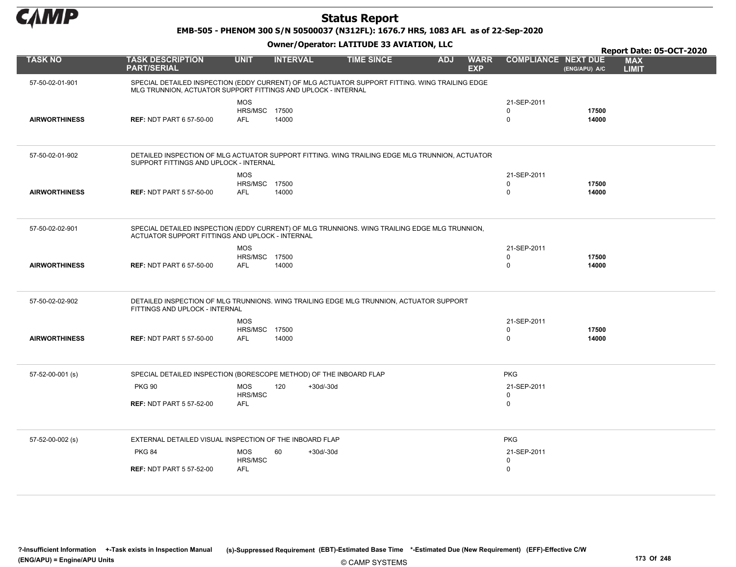

EMB-505 - PHENOM 300 S/N 50500037 (N312FL): 1676.7 HRS, 1083 AFL as of 22-Sep-2020

|                      |                                                                                                                                                                 |                                                  |                    |                   |            |                           |                                           |                | Report Date: 05-OCT-2020   |  |
|----------------------|-----------------------------------------------------------------------------------------------------------------------------------------------------------------|--------------------------------------------------|--------------------|-------------------|------------|---------------------------|-------------------------------------------|----------------|----------------------------|--|
| <b>TASK NO</b>       | <b>TASK DESCRIPTION</b><br><b>PART/SERIAL</b>                                                                                                                   | <b>UNIT</b>                                      | <b>INTERVAL</b>    | <b>TIME SINCE</b> | <b>ADJ</b> | <b>WARR</b><br><b>EXP</b> | <b>COMPLIANCE NEXT DUE</b>                | (ENG/APU) A/C  | <b>MAX</b><br><b>LIMIT</b> |  |
| 57-50-02-01-901      | SPECIAL DETAILED INSPECTION (EDDY CURRENT) OF MLG ACTUATOR SUPPORT FITTING. WING TRAILING EDGE<br>MLG TRUNNION, ACTUATOR SUPPORT FITTINGS AND UPLOCK - INTERNAL |                                                  |                    |                   |            |                           |                                           |                |                            |  |
| <b>AIRWORTHINESS</b> | <b>REF: NDT PART 6 57-50-00</b>                                                                                                                                 | <b>MOS</b><br><b>HRS/MSC 17500</b><br><b>AFL</b> | 14000              |                   |            |                           | 21-SEP-2011<br>$\Omega$<br>$\Omega$       | 17500<br>14000 |                            |  |
| 57-50-02-01-902      | DETAILED INSPECTION OF MLG ACTUATOR SUPPORT FITTING. WING TRAILING EDGE MLG TRUNNION, ACTUATOR<br>SUPPORT FITTINGS AND UPLOCK - INTERNAL                        |                                                  |                    |                   |            |                           |                                           |                |                            |  |
| <b>AIRWORTHINESS</b> | <b>REF: NDT PART 5 57-50-00</b>                                                                                                                                 | <b>MOS</b><br>HRS/MSC 17500<br><b>AFL</b>        | 14000              |                   |            |                           | 21-SEP-2011<br>0<br>$\mathbf 0$           | 17500<br>14000 |                            |  |
| 57-50-02-02-901      | SPECIAL DETAILED INSPECTION (EDDY CURRENT) OF MLG TRUNNIONS. WING TRAILING EDGE MLG TRUNNION,<br>ACTUATOR SUPPORT FITTINGS AND UPLOCK - INTERNAL                |                                                  |                    |                   |            |                           |                                           |                |                            |  |
| <b>AIRWORTHINESS</b> | <b>REF: NDT PART 6 57-50-00</b>                                                                                                                                 | <b>MOS</b><br><b>HRS/MSC 17500</b><br><b>AFL</b> | 14000              |                   |            |                           | 21-SEP-2011<br>$\mathbf 0$<br>$\mathbf 0$ | 17500<br>14000 |                            |  |
| 57-50-02-02-902      | DETAILED INSPECTION OF MLG TRUNNIONS, WING TRAILING EDGE MLG TRUNNION, ACTUATOR SUPPORT<br>FITTINGS AND UPLOCK - INTERNAL                                       |                                                  |                    |                   |            |                           |                                           |                |                            |  |
| <b>AIRWORTHINESS</b> | <b>REF: NDT PART 5 57-50-00</b>                                                                                                                                 | <b>MOS</b><br>HRS/MSC 17500<br><b>AFL</b>        | 14000              |                   |            |                           | 21-SEP-2011<br>$\Omega$<br>$\mathbf 0$    | 17500<br>14000 |                            |  |
| 57-52-00-001 (s)     | SPECIAL DETAILED INSPECTION (BORESCOPE METHOD) OF THE INBOARD FLAP                                                                                              |                                                  |                    |                   |            |                           | <b>PKG</b>                                |                |                            |  |
|                      | <b>PKG 90</b><br><b>REF: NDT PART 5 57-52-00</b>                                                                                                                | <b>MOS</b><br>HRS/MSC<br><b>AFL</b>              | 120<br>$+30d/-30d$ |                   |            |                           | 21-SEP-2011<br>$\mathbf 0$<br>$\mathbf 0$ |                |                            |  |
|                      |                                                                                                                                                                 |                                                  |                    |                   |            |                           |                                           |                |                            |  |
| 57-52-00-002 (s)     | EXTERNAL DETAILED VISUAL INSPECTION OF THE INBOARD FLAP                                                                                                         |                                                  |                    |                   |            |                           | <b>PKG</b>                                |                |                            |  |
|                      | <b>PKG 84</b>                                                                                                                                                   | <b>MOS</b><br>HRS/MSC                            | 60<br>$+30d/-30d$  |                   |            |                           | 21-SEP-2011<br>$\Omega$                   |                |                            |  |
|                      | <b>REF: NDT PART 5 57-52-00</b>                                                                                                                                 | AFL                                              |                    |                   |            |                           | $\mathbf 0$                               |                |                            |  |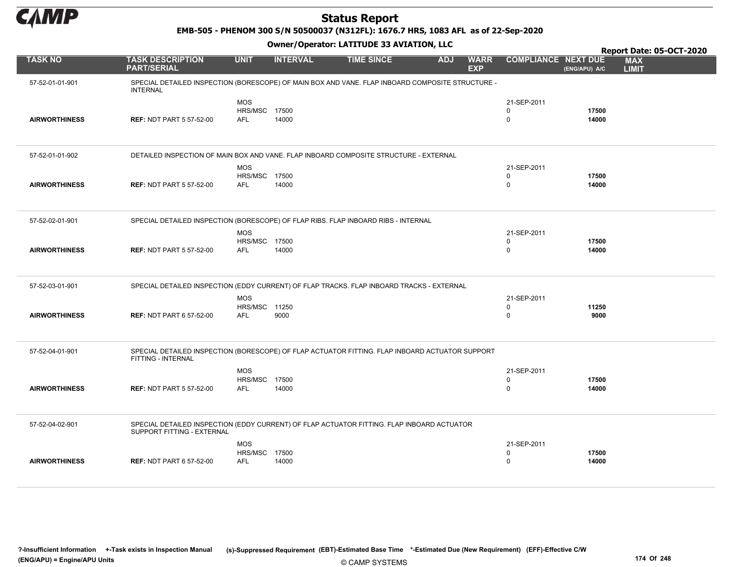

EMB-505 - PHENOM 300 S/N 50500037 (N312FL): 1676.7 HRS, 1083 AFL as of 22-Sep-2020

|                      |                                                                                                                          |                                                  |                 |                   |            |                           |                                           |                | Report Date: 05-OCT-2020   |
|----------------------|--------------------------------------------------------------------------------------------------------------------------|--------------------------------------------------|-----------------|-------------------|------------|---------------------------|-------------------------------------------|----------------|----------------------------|
| <b>TASK NO</b>       | <b>TASK DESCRIPTION</b><br><b>PART/SERIAL</b>                                                                            | <b>UNIT</b>                                      | <b>INTERVAL</b> | <b>TIME SINCE</b> | <b>ADJ</b> | <b>WARR</b><br><b>EXP</b> | <b>COMPLIANCE NEXT DUE</b>                | (ENG/APU) A/C  | <b>MAX</b><br><b>LIMIT</b> |
| 57-52-01-01-901      | SPECIAL DETAILED INSPECTION (BORESCOPE) OF MAIN BOX AND VANE. FLAP INBOARD COMPOSITE STRUCTURE -<br><b>INTERNAL</b>      |                                                  |                 |                   |            |                           |                                           |                |                            |
| <b>AIRWORTHINESS</b> | <b>REF: NDT PART 5 57-52-00</b>                                                                                          | <b>MOS</b><br>HRS/MSC 17500<br><b>AFL</b>        | 14000           |                   |            |                           | 21-SEP-2011<br>$\mathbf 0$<br>$\mathbf 0$ | 17500<br>14000 |                            |
| 57-52-01-01-902      | DETAILED INSPECTION OF MAIN BOX AND VANE. FLAP INBOARD COMPOSITE STRUCTURE - EXTERNAL                                    |                                                  |                 |                   |            |                           |                                           |                |                            |
| <b>AIRWORTHINESS</b> | <b>REF: NDT PART 5 57-52-00</b>                                                                                          | <b>MOS</b><br>HRS/MSC 17500<br>AFL               | 14000           |                   |            |                           | 21-SEP-2011<br>0<br>$\mathsf 0$           | 17500<br>14000 |                            |
| 57-52-02-01-901      | SPECIAL DETAILED INSPECTION (BORESCOPE) OF FLAP RIBS. FLAP INBOARD RIBS - INTERNAL                                       |                                                  |                 |                   |            |                           |                                           |                |                            |
| <b>AIRWORTHINESS</b> | <b>REF: NDT PART 5 57-52-00</b>                                                                                          | <b>MOS</b><br><b>HRS/MSC 17500</b><br><b>AFL</b> | 14000           |                   |            |                           | 21-SEP-2011<br>0<br>$\mathsf 0$           | 17500<br>14000 |                            |
| 57-52-03-01-901      | SPECIAL DETAILED INSPECTION (EDDY CURRENT) OF FLAP TRACKS. FLAP INBOARD TRACKS - EXTERNAL                                |                                                  |                 |                   |            |                           |                                           |                |                            |
| <b>AIRWORTHINESS</b> | <b>REF: NDT PART 6 57-52-00</b>                                                                                          | <b>MOS</b><br>HRS/MSC 11250<br><b>AFL</b>        | 9000            |                   |            |                           | 21-SEP-2011<br>$\mathbf 0$<br>$\mathbf 0$ | 11250<br>9000  |                            |
| 57-52-04-01-901      | SPECIAL DETAILED INSPECTION (BORESCOPE) OF FLAP ACTUATOR FITTING. FLAP INBOARD ACTUATOR SUPPORT<br>FITTING - INTERNAL    |                                                  |                 |                   |            |                           |                                           |                |                            |
| <b>AIRWORTHINESS</b> | <b>REF: NDT PART 5 57-52-00</b>                                                                                          | <b>MOS</b><br><b>HRS/MSC 17500</b><br>AFL        | 14000           |                   |            |                           | 21-SEP-2011<br>0<br>$\mathbf 0$           | 17500<br>14000 |                            |
| 57-52-04-02-901      | SPECIAL DETAILED INSPECTION (EDDY CURRENT) OF FLAP ACTUATOR FITTING. FLAP INBOARD ACTUATOR<br>SUPPORT FITTING - EXTERNAL |                                                  |                 |                   |            |                           |                                           |                |                            |
| <b>AIRWORTHINESS</b> | <b>REF: NDT PART 6 57-52-00</b>                                                                                          | <b>MOS</b><br>HRS/MSC 17500<br><b>AFL</b>        | 14000           |                   |            |                           | 21-SEP-2011<br>0<br>$\mathsf 0$           | 17500<br>14000 |                            |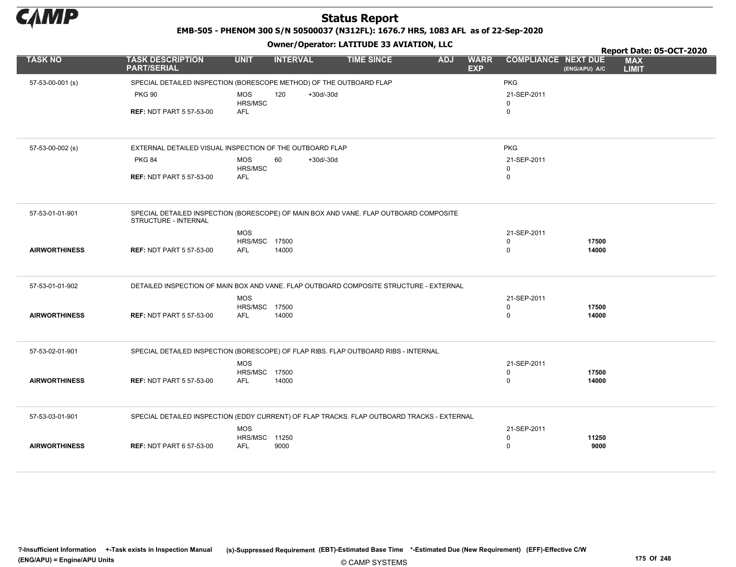

EMB-505 - PHENOM 300 S/N 50500037 (N312FL): 1676.7 HRS, 1083 AFL as of 22-Sep-2020

|                      |                                                                                                               |                                    |                    | Owner / Operator. EATITODE 33 AVIATION, LLC |                                         |                            |               | Report Date: 05-OCT-2020   |
|----------------------|---------------------------------------------------------------------------------------------------------------|------------------------------------|--------------------|---------------------------------------------|-----------------------------------------|----------------------------|---------------|----------------------------|
| <b>TASK NO</b>       | <b>TASK DESCRIPTION</b><br><b>PART/SERIAL</b>                                                                 | <b>UNIT</b>                        | <b>INTERVAL</b>    | <b>TIME SINCE</b>                           | <b>ADJ</b><br><b>WARR</b><br><b>EXP</b> | <b>COMPLIANCE NEXT DUE</b> | (ENG/APU) A/C | <b>MAX</b><br><b>LIMIT</b> |
| 57-53-00-001 (s)     | SPECIAL DETAILED INSPECTION (BORESCOPE METHOD) OF THE OUTBOARD FLAP                                           |                                    |                    |                                             |                                         | <b>PKG</b>                 |               |                            |
|                      | <b>PKG 90</b>                                                                                                 | <b>MOS</b><br><b>HRS/MSC</b>       | 120<br>$+30d/-30d$ |                                             |                                         | 21-SEP-2011<br>$\mathbf 0$ |               |                            |
|                      | <b>REF: NDT PART 5 57-53-00</b>                                                                               | <b>AFL</b>                         |                    |                                             |                                         | $\mathsf 0$                |               |                            |
|                      |                                                                                                               |                                    |                    |                                             |                                         |                            |               |                            |
| 57-53-00-002 (s)     | EXTERNAL DETAILED VISUAL INSPECTION OF THE OUTBOARD FLAP                                                      |                                    |                    |                                             |                                         | <b>PKG</b>                 |               |                            |
|                      | <b>PKG 84</b>                                                                                                 | <b>MOS</b><br>HRS/MSC              | 60<br>$+30d/-30d$  |                                             |                                         | 21-SEP-2011<br>$\mathbf 0$ |               |                            |
|                      | <b>REF: NDT PART 5 57-53-00</b>                                                                               | <b>AFL</b>                         |                    |                                             |                                         | $\mathbf 0$                |               |                            |
|                      |                                                                                                               |                                    |                    |                                             |                                         |                            |               |                            |
| 57-53-01-01-901      | SPECIAL DETAILED INSPECTION (BORESCOPE) OF MAIN BOX AND VANE. FLAP OUTBOARD COMPOSITE<br>STRUCTURE - INTERNAL |                                    |                    |                                             |                                         |                            |               |                            |
|                      |                                                                                                               | <b>MOS</b><br><b>HRS/MSC 17500</b> |                    |                                             |                                         | 21-SEP-2011<br>0           | 17500         |                            |
| <b>AIRWORTHINESS</b> | <b>REF: NDT PART 5 57-53-00</b>                                                                               | <b>AFL</b>                         | 14000              |                                             |                                         | $\mathbf 0$                | 14000         |                            |
|                      |                                                                                                               |                                    |                    |                                             |                                         |                            |               |                            |
| 57-53-01-01-902      | DETAILED INSPECTION OF MAIN BOX AND VANE. FLAP OUTBOARD COMPOSITE STRUCTURE - EXTERNAL                        |                                    |                    |                                             |                                         |                            |               |                            |
|                      |                                                                                                               | <b>MOS</b><br>HRS/MSC 17500        |                    |                                             |                                         | 21-SEP-2011<br>$\mathbf 0$ | 17500         |                            |
| <b>AIRWORTHINESS</b> | <b>REF: NDT PART 5 57-53-00</b>                                                                               | AFL                                | 14000              |                                             |                                         | $\mathbf 0$                | 14000         |                            |
|                      |                                                                                                               |                                    |                    |                                             |                                         |                            |               |                            |
| 57-53-02-01-901      | SPECIAL DETAILED INSPECTION (BORESCOPE) OF FLAP RIBS. FLAP OUTBOARD RIBS - INTERNAL                           |                                    |                    |                                             |                                         |                            |               |                            |
|                      |                                                                                                               | <b>MOS</b><br><b>HRS/MSC 17500</b> |                    |                                             |                                         | 21-SEP-2011<br>$\mathbf 0$ | 17500         |                            |
| <b>AIRWORTHINESS</b> | <b>REF: NDT PART 5 57-53-00</b>                                                                               | <b>AFL</b>                         | 14000              |                                             |                                         | $\pmb{0}$                  | 14000         |                            |
|                      |                                                                                                               |                                    |                    |                                             |                                         |                            |               |                            |
| 57-53-03-01-901      | SPECIAL DETAILED INSPECTION (EDDY CURRENT) OF FLAP TRACKS. FLAP OUTBOARD TRACKS - EXTERNAL                    |                                    |                    |                                             |                                         |                            |               |                            |
|                      |                                                                                                               | <b>MOS</b><br>HRS/MSC 11250        |                    |                                             |                                         | 21-SEP-2011<br>$\mathbf 0$ | 11250         |                            |
| <b>AIRWORTHINESS</b> | <b>REF: NDT PART 6 57-53-00</b>                                                                               | <b>AFL</b>                         | 9000               |                                             |                                         | $\mathbf 0$                | 9000          |                            |
|                      |                                                                                                               |                                    |                    |                                             |                                         |                            |               |                            |
|                      |                                                                                                               |                                    |                    |                                             |                                         |                            |               |                            |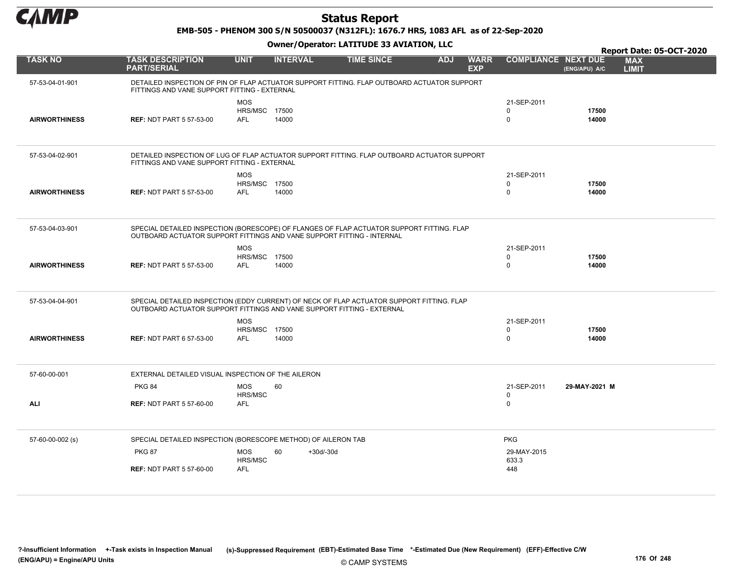

EMB-505 - PHENOM 300 S/N 50500037 (N312FL): 1676.7 HRS, 1083 AFL as of 22-Sep-2020

|                      |                                                                                                                                                                     |                                                  |                 |                   |            |                           |                              |                | Report Date: 05-OCT-2020   |  |
|----------------------|---------------------------------------------------------------------------------------------------------------------------------------------------------------------|--------------------------------------------------|-----------------|-------------------|------------|---------------------------|------------------------------|----------------|----------------------------|--|
| <b>TASK NO</b>       | <b>TASK DESCRIPTION</b><br><b>PART/SERIAL</b>                                                                                                                       | <b>UNIT</b>                                      | <b>INTERVAL</b> | <b>TIME SINCE</b> | <b>ADJ</b> | <b>WARR</b><br><b>EXP</b> | <b>COMPLIANCE NEXT DUE</b>   | (ENG/APU) A/C  | <b>MAX</b><br><b>LIMIT</b> |  |
| 57-53-04-01-901      | DETAILED INSPECTION OF PIN OF FLAP ACTUATOR SUPPORT FITTING. FLAP OUTBOARD ACTUATOR SUPPORT<br>FITTINGS AND VANE SUPPORT FITTING - EXTERNAL                         |                                                  |                 |                   |            |                           |                              |                |                            |  |
| <b>AIRWORTHINESS</b> | <b>REF: NDT PART 5 57-53-00</b>                                                                                                                                     | <b>MOS</b><br><b>HRS/MSC 17500</b><br><b>AFL</b> | 14000           |                   |            |                           | 21-SEP-2011<br>$\Omega$<br>0 | 17500<br>14000 |                            |  |
| 57-53-04-02-901      | DETAILED INSPECTION OF LUG OF FLAP ACTUATOR SUPPORT FITTING. FLAP OUTBOARD ACTUATOR SUPPORT<br>FITTINGS AND VANE SUPPORT FITTING - EXTERNAL                         |                                                  |                 |                   |            |                           |                              |                |                            |  |
| <b>AIRWORTHINESS</b> | <b>REF: NDT PART 5 57-53-00</b>                                                                                                                                     | <b>MOS</b><br><b>HRS/MSC 17500</b><br><b>AFL</b> | 14000           |                   |            |                           | 21-SEP-2011<br>0<br>0        | 17500<br>14000 |                            |  |
| 57-53-04-03-901      | SPECIAL DETAILED INSPECTION (BORESCOPE) OF FLANGES OF FLAP ACTUATOR SUPPORT FITTING. FLAP<br>OUTBOARD ACTUATOR SUPPORT FITTINGS AND VANE SUPPORT FITTING - INTERNAL |                                                  |                 |                   |            |                           |                              |                |                            |  |
| <b>AIRWORTHINESS</b> | <b>REF: NDT PART 5 57-53-00</b>                                                                                                                                     | <b>MOS</b><br><b>HRS/MSC 17500</b><br><b>AFL</b> | 14000           |                   |            |                           | 21-SEP-2011<br>$\Omega$<br>0 | 17500<br>14000 |                            |  |
| 57-53-04-04-901      | SPECIAL DETAILED INSPECTION (EDDY CURRENT) OF NECK OF FLAP ACTUATOR SUPPORT FITTING. FLAP<br>OUTBOARD ACTUATOR SUPPORT FITTINGS AND VANE SUPPORT FITTING - EXTERNAL |                                                  |                 |                   |            |                           |                              |                |                            |  |
| <b>AIRWORTHINESS</b> | <b>REF: NDT PART 6 57-53-00</b>                                                                                                                                     | <b>MOS</b><br><b>HRS/MSC 17500</b><br>AFL        | 14000           |                   |            |                           | 21-SEP-2011<br>0<br>0        | 17500<br>14000 |                            |  |
| 57-60-00-001         | EXTERNAL DETAILED VISUAL INSPECTION OF THE AILERON                                                                                                                  |                                                  |                 |                   |            |                           |                              |                |                            |  |
| ALI                  | <b>PKG 84</b><br><b>REF: NDT PART 5 57-60-00</b>                                                                                                                    | <b>MOS</b><br>HRS/MSC<br><b>AFL</b>              | 60              |                   |            |                           | 21-SEP-2011<br>0<br>0        | 29-MAY-2021 M  |                            |  |
| 57-60-00-002 (s)     | SPECIAL DETAILED INSPECTION (BORESCOPE METHOD) OF AILERON TAB                                                                                                       |                                                  |                 |                   |            |                           | <b>PKG</b>                   |                |                            |  |
|                      | <b>PKG 87</b><br><b>REF: NDT PART 5 57-60-00</b>                                                                                                                    | <b>MOS</b><br>HRS/MSC<br><b>AFL</b>              | 60<br>+30d/-30d |                   |            |                           | 29-MAY-2015<br>633.3<br>448  |                |                            |  |
|                      |                                                                                                                                                                     |                                                  |                 |                   |            |                           |                              |                |                            |  |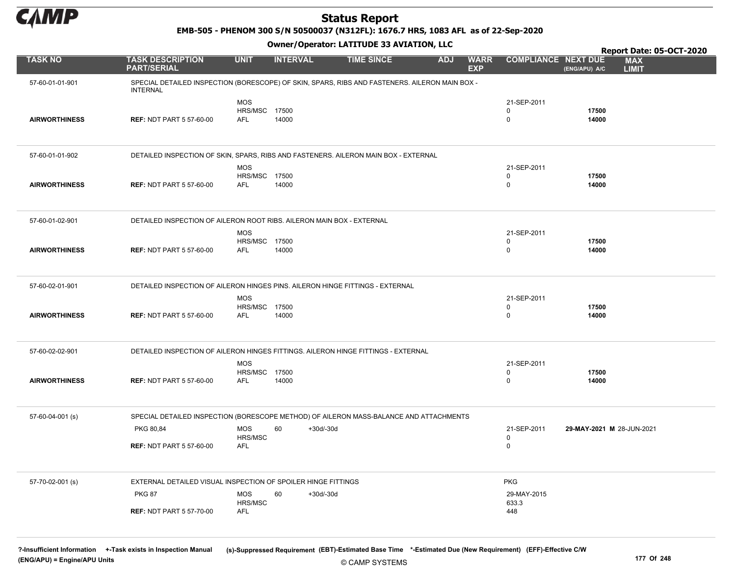

EMB-505 - PHENOM 300 S/N 50500037 (N312FL): 1676.7 HRS, 1083 AFL as of 22-Sep-2020

#### Owner/Operator: LATITUDE 33 AVIATION, LLC

|                      |                                                                                                                   |                             | .                 |                   |                          |                                           | Report Date: 05-OCT-2020                    |
|----------------------|-------------------------------------------------------------------------------------------------------------------|-----------------------------|-------------------|-------------------|--------------------------|-------------------------------------------|---------------------------------------------|
| <b>TASK NO</b>       | <b>TASK DESCRIPTION</b><br><b>PART/SERIAL</b>                                                                     | <b>UNIT</b>                 | <b>INTERVAL</b>   | <b>TIME SINCE</b> | <b>ADJ</b><br><b>EXP</b> | <b>WARR</b><br><b>COMPLIANCE NEXT DUE</b> | <b>MAX</b><br>(ENG/APU) A/C<br><b>LIMIT</b> |
| 57-60-01-01-901      | SPECIAL DETAILED INSPECTION (BORESCOPE) OF SKIN, SPARS, RIBS AND FASTENERS. AILERON MAIN BOX -<br><b>INTERNAL</b> |                             |                   |                   |                          |                                           |                                             |
|                      |                                                                                                                   | <b>MOS</b>                  |                   |                   |                          | 21-SEP-2011                               |                                             |
|                      |                                                                                                                   | <b>HRS/MSC 17500</b>        |                   |                   |                          | $\mathbf 0$                               | 17500                                       |
| <b>AIRWORTHINESS</b> | <b>REF: NDT PART 5 57-60-00</b>                                                                                   | AFL                         | 14000             |                   |                          | $\mathbf 0$                               | 14000                                       |
|                      |                                                                                                                   |                             |                   |                   |                          |                                           |                                             |
| 57-60-01-01-902      | DETAILED INSPECTION OF SKIN, SPARS, RIBS AND FASTENERS. AILERON MAIN BOX - EXTERNAL                               |                             |                   |                   |                          |                                           |                                             |
|                      |                                                                                                                   | <b>MOS</b>                  |                   |                   |                          | 21-SEP-2011                               |                                             |
|                      |                                                                                                                   | <b>HRS/MSC 17500</b>        |                   |                   |                          | $\mathbf 0$                               | 17500                                       |
| <b>AIRWORTHINESS</b> | <b>REF: NDT PART 5 57-60-00</b>                                                                                   | AFL                         | 14000             |                   |                          | $\mathbf 0$                               | 14000                                       |
|                      |                                                                                                                   |                             |                   |                   |                          |                                           |                                             |
| 57-60-01-02-901      | DETAILED INSPECTION OF AILERON ROOT RIBS. AILERON MAIN BOX - EXTERNAL                                             |                             |                   |                   |                          |                                           |                                             |
|                      |                                                                                                                   | <b>MOS</b>                  |                   |                   |                          | 21-SEP-2011                               |                                             |
|                      |                                                                                                                   | <b>HRS/MSC 17500</b>        |                   |                   |                          | $\mathbf 0$                               | 17500                                       |
| <b>AIRWORTHINESS</b> | <b>REF: NDT PART 5 57-60-00</b>                                                                                   | AFL                         | 14000             |                   |                          | $\mathbf 0$                               | 14000                                       |
|                      |                                                                                                                   |                             |                   |                   |                          |                                           |                                             |
| 57-60-02-01-901      | DETAILED INSPECTION OF AILERON HINGES PINS. AILERON HINGE FITTINGS - EXTERNAL                                     |                             |                   |                   |                          |                                           |                                             |
|                      |                                                                                                                   | <b>MOS</b>                  |                   |                   |                          | 21-SEP-2011                               |                                             |
|                      |                                                                                                                   | <b>HRS/MSC 17500</b>        |                   |                   |                          | $\mathbf 0$                               | 17500                                       |
| <b>AIRWORTHINESS</b> | <b>REF: NDT PART 5 57-60-00</b>                                                                                   | <b>AFL</b>                  | 14000             |                   |                          | $\mathbf 0$                               | 14000                                       |
|                      |                                                                                                                   |                             |                   |                   |                          |                                           |                                             |
| 57-60-02-02-901      | DETAILED INSPECTION OF AILERON HINGES FITTINGS. AILERON HINGE FITTINGS - EXTERNAL                                 |                             |                   |                   |                          |                                           |                                             |
|                      |                                                                                                                   | <b>MOS</b>                  |                   |                   |                          | 21-SEP-2011                               |                                             |
|                      |                                                                                                                   | <b>HRS/MSC 17500</b><br>AFL |                   |                   |                          | $\mathbf 0$<br>$\mathbf 0$                | 17500                                       |
| <b>AIRWORTHINESS</b> | <b>REF: NDT PART 5 57-60-00</b>                                                                                   |                             | 14000             |                   |                          |                                           | 14000                                       |
|                      |                                                                                                                   |                             |                   |                   |                          |                                           |                                             |
| 57-60-04-001 (s)     | SPECIAL DETAILED INSPECTION (BORESCOPE METHOD) OF AILERON MASS-BALANCE AND ATTACHMENTS                            |                             |                   |                   |                          |                                           |                                             |
|                      | PKG 80,84                                                                                                         | <b>MOS</b><br>HRS/MSC       | $+30d/-30d$<br>60 |                   |                          | 21-SEP-2011<br>$\pmb{0}$                  | 29-MAY-2021 M 28-JUN-2021                   |
|                      | <b>REF: NDT PART 5 57-60-00</b>                                                                                   | <b>AFL</b>                  |                   |                   |                          | $\mathbf 0$                               |                                             |
|                      |                                                                                                                   |                             |                   |                   |                          |                                           |                                             |
|                      |                                                                                                                   |                             |                   |                   |                          |                                           |                                             |
| 57-70-02-001 (s)     | EXTERNAL DETAILED VISUAL INSPECTION OF SPOILER HINGE FITTINGS                                                     |                             |                   |                   |                          | <b>PKG</b>                                |                                             |
|                      | <b>PKG 87</b>                                                                                                     | <b>MOS</b>                  | $+30d/-30d$<br>60 |                   |                          | 29-MAY-2015                               |                                             |
|                      | <b>REF: NDT PART 5 57-70-00</b>                                                                                   | HRS/MSC<br>AFL              |                   |                   |                          | 633.3<br>448                              |                                             |
|                      |                                                                                                                   |                             |                   |                   |                          |                                           |                                             |
|                      |                                                                                                                   |                             |                   |                   |                          |                                           |                                             |

© CAMP SYSTEMS ?-Insufficient Information +-Task exists in Inspection Manual (s)-Suppressed Requirement (EBT)-Estimated Base Time \*-Estimated Due (New Requirement) (EFF)-Effective C/W (ENG/APU) = Engine/APU Units 177 Of 248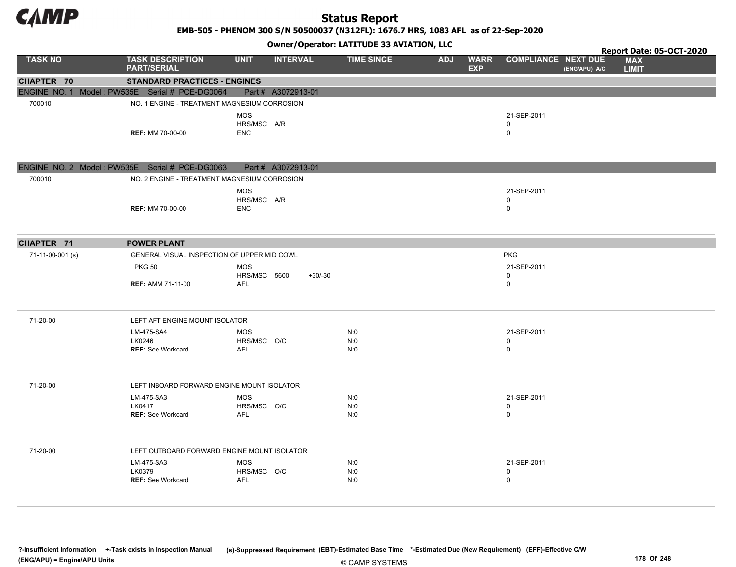

EMB-505 - PHENOM 300 S/N 50500037 (N312FL): 1676.7 HRS, 1083 AFL as of 22-Sep-2020

Owner/Operator: LATITUDE 33 AVIATION, LLC

|                  |                                                |                            | .                  |                   |            |                           |                            |               | Report Date: 05-OCT-2020   |  |
|------------------|------------------------------------------------|----------------------------|--------------------|-------------------|------------|---------------------------|----------------------------|---------------|----------------------------|--|
| <b>TASK NO</b>   | <b>TASK DESCRIPTION</b><br><b>PART/SERIAL</b>  | <b>UNIT</b>                | <b>INTERVAL</b>    | <b>TIME SINCE</b> | <b>ADJ</b> | <b>WARR</b><br><b>EXP</b> | <b>COMPLIANCE NEXT DUE</b> | (ENG/APU) A/C | <b>MAX</b><br><b>LIMIT</b> |  |
| CHAPTER 70       | <b>STANDARD PRACTICES - ENGINES</b>            |                            |                    |                   |            |                           |                            |               |                            |  |
|                  | ENGINE NO. 1 Model: PW535E Serial # PCE-DG0064 |                            | Part # A3072913-01 |                   |            |                           |                            |               |                            |  |
| 700010           | NO. 1 ENGINE - TREATMENT MAGNESIUM CORROSION   |                            |                    |                   |            |                           |                            |               |                            |  |
|                  |                                                | <b>MOS</b><br>HRS/MSC A/R  |                    |                   |            |                           | 21-SEP-2011<br>$\mathbf 0$ |               |                            |  |
|                  | <b>REF: MM 70-00-00</b>                        | <b>ENC</b>                 |                    |                   |            |                           | $\mathbf 0$                |               |                            |  |
|                  | ENGINE NO. 2 Model: PW535E Serial # PCE-DG0063 |                            | Part # A3072913-01 |                   |            |                           |                            |               |                            |  |
| 700010           | NO. 2 ENGINE - TREATMENT MAGNESIUM CORROSION   |                            |                    |                   |            |                           |                            |               |                            |  |
|                  |                                                | <b>MOS</b><br>HRS/MSC A/R  |                    |                   |            |                           | 21-SEP-2011<br>$\mathbf 0$ |               |                            |  |
|                  | <b>REF: MM 70-00-00</b>                        | <b>ENC</b>                 |                    |                   |            |                           | $\mathbf 0$                |               |                            |  |
| CHAPTER 71       | <b>POWER PLANT</b>                             |                            |                    |                   |            |                           |                            |               |                            |  |
| 71-11-00-001 (s) | GENERAL VISUAL INSPECTION OF UPPER MID COWL    |                            |                    |                   |            |                           | <b>PKG</b>                 |               |                            |  |
|                  | <b>PKG 50</b>                                  | <b>MOS</b><br>HRS/MSC 5600 | $+30/-30$          |                   |            |                           | 21-SEP-2011<br>0           |               |                            |  |
|                  | <b>REF: AMM 71-11-00</b>                       | AFL                        |                    |                   |            |                           | $\mathbf 0$                |               |                            |  |
| 71-20-00         | LEFT AFT ENGINE MOUNT ISOLATOR                 |                            |                    |                   |            |                           |                            |               |                            |  |
|                  | LM-475-SA4                                     | <b>MOS</b>                 |                    | N:0               |            |                           | 21-SEP-2011                |               |                            |  |
|                  | LK0246                                         | HRS/MSC O/C                |                    | N:0               |            |                           | $\mathbf 0$                |               |                            |  |
|                  | <b>REF: See Workcard</b>                       | AFL                        |                    | N:0               |            |                           | $\mathbf 0$                |               |                            |  |
| 71-20-00         | LEFT INBOARD FORWARD ENGINE MOUNT ISOLATOR     |                            |                    |                   |            |                           |                            |               |                            |  |
|                  | LM-475-SA3                                     | <b>MOS</b>                 |                    | N:0               |            |                           | 21-SEP-2011                |               |                            |  |
|                  | LK0417                                         | HRS/MSC O/C                |                    | N:0               |            |                           | 0                          |               |                            |  |
|                  | <b>REF: See Workcard</b>                       | AFL                        |                    | N:0               |            |                           | $\mathbf 0$                |               |                            |  |
| 71-20-00         | LEFT OUTBOARD FORWARD ENGINE MOUNT ISOLATOR    |                            |                    |                   |            |                           |                            |               |                            |  |
|                  | LM-475-SA3                                     | <b>MOS</b>                 |                    | N:0               |            |                           | 21-SEP-2011                |               |                            |  |
|                  | LK0379                                         | HRS/MSC O/C                |                    | N:0               |            |                           | $\mathbf 0$                |               |                            |  |
|                  | REF: See Workcard                              | <b>AFL</b>                 |                    | N:0               |            |                           | $\mathbf 0$                |               |                            |  |

?-Insufficient Information +-Task exists in Inspection Manual (s)-Suppressed Requirement (EBT)-Estimated Base Time \*-Estimated Due (New Requirement) (EFF)-Effective C/W (ENG/APU) = Engine/APU Units 178 Of 248 and the control of 248 and the control of 248 and the control of 248 and the control of 248 and the control of 248 and the control of 248 and the control of 248 and the control of 2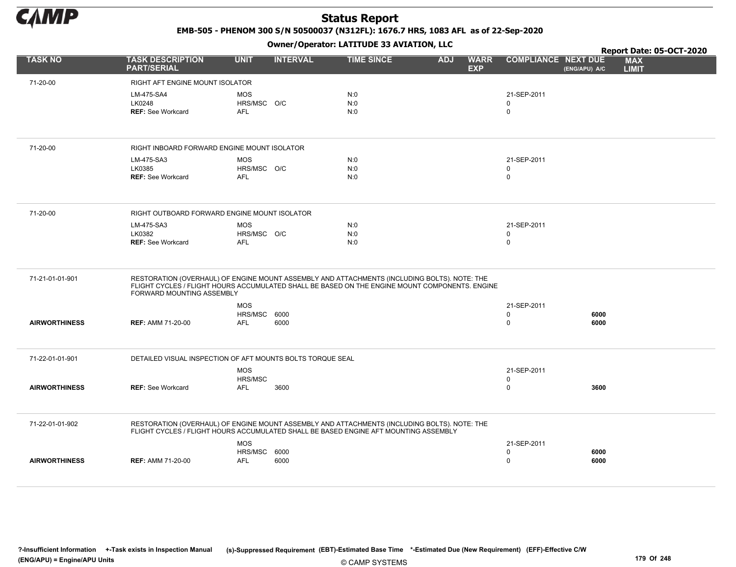

EMB-505 - PHENOM 300 S/N 50500037 (N312FL): 1676.7 HRS, 1083 AFL as of 22-Sep-2020

|                      |                                                                                                                                                                                                                             |                           |                 | Report Date: 05-OCT-2020 |                                         |                            |               |                            |
|----------------------|-----------------------------------------------------------------------------------------------------------------------------------------------------------------------------------------------------------------------------|---------------------------|-----------------|--------------------------|-----------------------------------------|----------------------------|---------------|----------------------------|
| <b>TASK NO</b>       | <b>TASK DESCRIPTION</b><br><b>PART/SERIAL</b>                                                                                                                                                                               | <b>UNIT</b>               | <b>INTERVAL</b> | <b>TIME SINCE</b>        | <b>ADJ</b><br><b>WARR</b><br><b>EXP</b> | <b>COMPLIANCE NEXT DUE</b> | (ENG/APU) A/C | <b>MAX</b><br><b>LIMIT</b> |
| 71-20-00             | RIGHT AFT ENGINE MOUNT ISOLATOR                                                                                                                                                                                             |                           |                 |                          |                                         |                            |               |                            |
|                      | LM-475-SA4                                                                                                                                                                                                                  | <b>MOS</b>                |                 | N:0                      |                                         | 21-SEP-2011                |               |                            |
|                      | LK0248                                                                                                                                                                                                                      | HRS/MSC O/C               |                 | N:0                      |                                         | 0                          |               |                            |
|                      | <b>REF: See Workcard</b>                                                                                                                                                                                                    | <b>AFL</b>                |                 | N:0                      |                                         | $\mathbf 0$                |               |                            |
|                      |                                                                                                                                                                                                                             |                           |                 |                          |                                         |                            |               |                            |
| 71-20-00             | RIGHT INBOARD FORWARD ENGINE MOUNT ISOLATOR                                                                                                                                                                                 |                           |                 |                          |                                         |                            |               |                            |
|                      | LM-475-SA3                                                                                                                                                                                                                  | <b>MOS</b>                |                 | N:0                      |                                         | 21-SEP-2011                |               |                            |
|                      | LK0385<br><b>REF: See Workcard</b>                                                                                                                                                                                          | HRS/MSC O/C<br><b>AFL</b> |                 | N:0<br>N:0               |                                         | 0<br>0                     |               |                            |
|                      |                                                                                                                                                                                                                             |                           |                 |                          |                                         |                            |               |                            |
| 71-20-00             | RIGHT OUTBOARD FORWARD ENGINE MOUNT ISOLATOR                                                                                                                                                                                |                           |                 |                          |                                         |                            |               |                            |
|                      | LM-475-SA3                                                                                                                                                                                                                  | <b>MOS</b>                |                 | N:0                      |                                         | 21-SEP-2011                |               |                            |
|                      | LK0382                                                                                                                                                                                                                      | HRS/MSC O/C               |                 | N:0                      |                                         | 0                          |               |                            |
|                      | <b>REF: See Workcard</b>                                                                                                                                                                                                    | <b>AFL</b>                |                 | N:0                      |                                         | $\mathbf 0$                |               |                            |
| 71-21-01-01-901      | RESTORATION (OVERHAUL) OF ENGINE MOUNT ASSEMBLY AND ATTACHMENTS (INCLUDING BOLTS). NOTE: THE<br>FLIGHT CYCLES / FLIGHT HOURS ACCUMULATED SHALL BE BASED ON THE ENGINE MOUNT COMPONENTS. ENGINE<br>FORWARD MOUNTING ASSEMBLY |                           |                 |                          |                                         |                            |               |                            |
|                      |                                                                                                                                                                                                                             | <b>MOS</b>                |                 |                          |                                         | 21-SEP-2011                |               |                            |
|                      |                                                                                                                                                                                                                             | HRS/MSC 6000              |                 |                          |                                         | 0                          | 6000          |                            |
| <b>AIRWORTHINESS</b> | <b>REF: AMM 71-20-00</b>                                                                                                                                                                                                    | <b>AFL</b>                | 6000            |                          |                                         | 0                          | 6000          |                            |
| 71-22-01-01-901      | DETAILED VISUAL INSPECTION OF AFT MOUNTS BOLTS TORQUE SEAL                                                                                                                                                                  |                           |                 |                          |                                         |                            |               |                            |
|                      |                                                                                                                                                                                                                             | <b>MOS</b>                |                 |                          |                                         | 21-SEP-2011                |               |                            |
|                      |                                                                                                                                                                                                                             | HRS/MSC                   |                 |                          |                                         | 0                          |               |                            |
| <b>AIRWORTHINESS</b> | <b>REF: See Workcard</b>                                                                                                                                                                                                    | <b>AFL</b>                | 3600            |                          |                                         | 0                          | 3600          |                            |
| 71-22-01-01-902      | RESTORATION (OVERHAUL) OF ENGINE MOUNT ASSEMBLY AND ATTACHMENTS (INCLUDING BOLTS). NOTE: THE<br>FLIGHT CYCLES / FLIGHT HOURS ACCUMULATED SHALL BE BASED ENGINE AFT MOUNTING ASSEMBLY                                        |                           |                 |                          |                                         |                            |               |                            |
|                      |                                                                                                                                                                                                                             | <b>MOS</b>                |                 |                          |                                         | 21-SEP-2011                |               |                            |
|                      |                                                                                                                                                                                                                             | HRS/MSC 6000              |                 |                          |                                         | 0                          | 6000          |                            |
| <b>AIRWORTHINESS</b> | <b>REF: AMM 71-20-00</b>                                                                                                                                                                                                    | <b>AFL</b>                | 6000            |                          |                                         | 0                          | 6000          |                            |
|                      |                                                                                                                                                                                                                             |                           |                 |                          |                                         |                            |               |                            |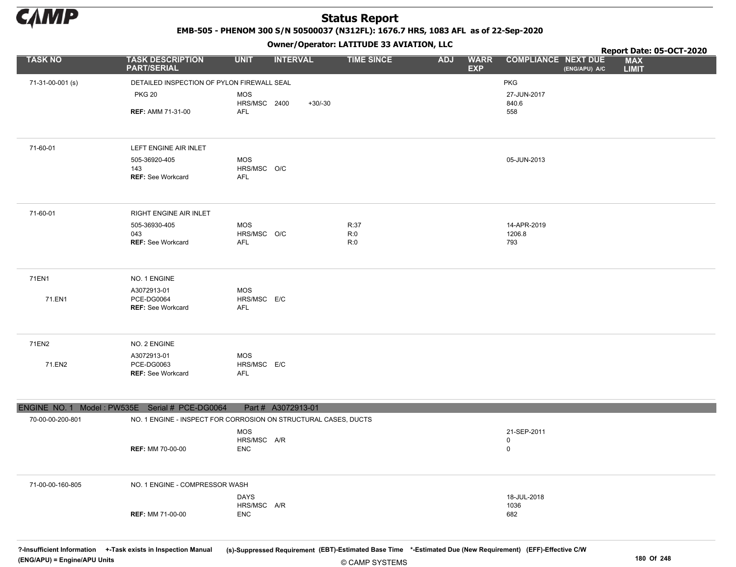

EMB-505 - PHENOM 300 S/N 50500037 (N312FL): 1676.7 HRS, 1083 AFL as of 22-Sep-2020

Owner/Operator: LATITUDE 33 AVIATION, LLC

|                                                |                                                                 |                           |                    |                   |                                         |                                             | Report Date: 05-OCT-2020   |
|------------------------------------------------|-----------------------------------------------------------------|---------------------------|--------------------|-------------------|-----------------------------------------|---------------------------------------------|----------------------------|
| <b>TASK NO</b>                                 | <b>TASK DESCRIPTION</b><br><b>PART/SERIAL</b>                   | <b>UNIT</b>               | <b>INTERVAL</b>    | <b>TIME SINCE</b> | <b>ADJ</b><br><b>WARR</b><br><b>EXP</b> | <b>COMPLIANCE NEXT DUE</b><br>(ENG/APU) A/C | <b>MAX</b><br><b>LIMIT</b> |
| 71-31-00-001 (s)                               | DETAILED INSPECTION OF PYLON FIREWALL SEAL                      |                           |                    |                   |                                         | <b>PKG</b>                                  |                            |
|                                                | <b>PKG 20</b>                                                   | <b>MOS</b>                |                    |                   |                                         | 27-JUN-2017                                 |                            |
|                                                |                                                                 | HRS/MSC 2400              | $+30/-30$          |                   |                                         | 840.6                                       |                            |
|                                                | <b>REF: AMM 71-31-00</b>                                        | <b>AFL</b>                |                    |                   |                                         | 558                                         |                            |
|                                                |                                                                 |                           |                    |                   |                                         |                                             |                            |
| 71-60-01                                       | LEFT ENGINE AIR INLET                                           |                           |                    |                   |                                         |                                             |                            |
|                                                | 505-36920-405                                                   | <b>MOS</b>                |                    |                   |                                         | 05-JUN-2013                                 |                            |
|                                                | 143                                                             | HRS/MSC O/C               |                    |                   |                                         |                                             |                            |
|                                                | REF: See Workcard                                               | <b>AFL</b>                |                    |                   |                                         |                                             |                            |
| 71-60-01                                       | RIGHT ENGINE AIR INLET                                          |                           |                    |                   |                                         |                                             |                            |
|                                                | 505-36930-405<br>043                                            | <b>MOS</b><br>HRS/MSC O/C |                    | R:37<br>R:0       |                                         | 14-APR-2019<br>1206.8                       |                            |
|                                                | <b>REF: See Workcard</b>                                        | AFL                       |                    | R:0               |                                         | 793                                         |                            |
|                                                |                                                                 |                           |                    |                   |                                         |                                             |                            |
| 71EN1                                          | NO. 1 ENGINE                                                    |                           |                    |                   |                                         |                                             |                            |
|                                                | A3072913-01                                                     | <b>MOS</b>                |                    |                   |                                         |                                             |                            |
| 71.EN1                                         | <b>PCE-DG0064</b><br><b>REF: See Workcard</b>                   | HRS/MSC E/C               |                    |                   |                                         |                                             |                            |
|                                                |                                                                 | <b>AFL</b>                |                    |                   |                                         |                                             |                            |
| 71EN2                                          | NO. 2 ENGINE                                                    |                           |                    |                   |                                         |                                             |                            |
|                                                | A3072913-01                                                     | <b>MOS</b>                |                    |                   |                                         |                                             |                            |
| 71.EN2                                         | PCE-DG0063<br>REF: See Workcard                                 | HRS/MSC E/C<br><b>AFL</b> |                    |                   |                                         |                                             |                            |
|                                                |                                                                 |                           |                    |                   |                                         |                                             |                            |
| ENGINE NO. 1 Model: PW535E Serial # PCE-DG0064 |                                                                 |                           | Part # A3072913-01 |                   |                                         |                                             |                            |
| 70-00-00-200-801                               | NO. 1 ENGINE - INSPECT FOR CORROSION ON STRUCTURAL CASES, DUCTS |                           |                    |                   |                                         |                                             |                            |
|                                                |                                                                 | <b>MOS</b>                |                    |                   |                                         | 21-SEP-2011                                 |                            |
|                                                |                                                                 | HRS/MSC A/R               |                    |                   |                                         | 0                                           |                            |
|                                                | <b>REF: MM 70-00-00</b>                                         | <b>ENC</b>                |                    |                   |                                         | 0                                           |                            |
|                                                |                                                                 |                           |                    |                   |                                         |                                             |                            |
| 71-00-00-160-805                               | NO. 1 ENGINE - COMPRESSOR WASH                                  |                           |                    |                   |                                         |                                             |                            |
|                                                |                                                                 | <b>DAYS</b>               |                    |                   |                                         | 18-JUL-2018                                 |                            |
|                                                |                                                                 | HRS/MSC A/R               |                    |                   |                                         | 1036                                        |                            |
|                                                | <b>REF: MM 71-00-00</b>                                         | <b>ENC</b>                |                    |                   |                                         | 682                                         |                            |
|                                                |                                                                 |                           |                    |                   |                                         |                                             |                            |
|                                                |                                                                 |                           |                    |                   |                                         |                                             |                            |

?-Insufficient Information +-Task exists in Inspection Manual (s)-Suppressed Requirement (EBT)-Estimated Base Time \*-Estimated Due (New Requirement) (EFF)-Effective C/W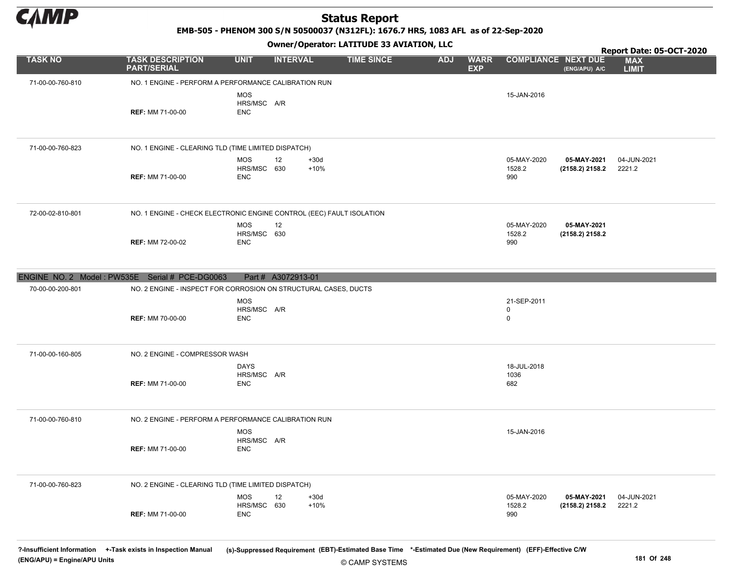

EMB-505 - PHENOM 300 S/N 50500037 (N312FL): 1676.7 HRS, 1083 AFL as of 22-Sep-2020

Owner/Operator: LATITUDE 33 AVIATION, LLC

|                                                |                                                                      |                                          | .                      |                   |                                         |                                           |                                | Report Date: 05-OCT-2020   |
|------------------------------------------------|----------------------------------------------------------------------|------------------------------------------|------------------------|-------------------|-----------------------------------------|-------------------------------------------|--------------------------------|----------------------------|
| <b>TASK NO</b>                                 | <b>TASK DESCRIPTION</b><br><b>PART/SERIAL</b>                        | <b>UNIT</b>                              | <b>INTERVAL</b>        | <b>TIME SINCE</b> | <b>WARR</b><br><b>ADJ</b><br><b>EXP</b> | <b>COMPLIANCE NEXT DUE</b>                | (ENG/APU) A/C                  | <b>MAX</b><br><b>LIMIT</b> |
| 71-00-00-760-810                               | NO. 1 ENGINE - PERFORM A PERFORMANCE CALIBRATION RUN                 |                                          |                        |                   |                                         |                                           |                                |                            |
|                                                | <b>REF: MM 71-00-00</b>                                              | <b>MOS</b><br>HRS/MSC A/R<br><b>ENC</b>  |                        |                   |                                         | 15-JAN-2016                               |                                |                            |
| 71-00-00-760-823                               | NO. 1 ENGINE - CLEARING TLD (TIME LIMITED DISPATCH)                  |                                          |                        |                   |                                         |                                           |                                |                            |
|                                                | <b>REF: MM 71-00-00</b>                                              | <b>MOS</b><br>HRS/MSC 630<br><b>ENC</b>  | 12<br>$+30d$<br>$+10%$ |                   |                                         | 05-MAY-2020<br>1528.2<br>990              | 05-MAY-2021<br>(2158.2) 2158.2 | 04-JUN-2021<br>2221.2      |
| 72-00-02-810-801                               | NO. 1 ENGINE - CHECK ELECTRONIC ENGINE CONTROL (EEC) FAULT ISOLATION |                                          |                        |                   |                                         |                                           |                                |                            |
|                                                | <b>REF: MM 72-00-02</b>                                              | <b>MOS</b><br>HRS/MSC 630<br><b>ENC</b>  | 12                     |                   |                                         | 05-MAY-2020<br>1528.2<br>990              | 05-MAY-2021<br>(2158.2) 2158.2 |                            |
| ENGINE NO. 2 Model: PW535E Serial # PCE-DG0063 |                                                                      |                                          | Part # A3072913-01     |                   |                                         |                                           |                                |                            |
| 70-00-00-200-801                               | NO. 2 ENGINE - INSPECT FOR CORROSION ON STRUCTURAL CASES, DUCTS      |                                          |                        |                   |                                         |                                           |                                |                            |
|                                                | <b>REF: MM 70-00-00</b>                                              | <b>MOS</b><br>HRS/MSC A/R<br><b>ENC</b>  |                        |                   |                                         | 21-SEP-2011<br>$\mathbf 0$<br>$\mathbf 0$ |                                |                            |
| 71-00-00-160-805                               | NO. 2 ENGINE - COMPRESSOR WASH                                       |                                          |                        |                   |                                         |                                           |                                |                            |
|                                                | <b>REF: MM 71-00-00</b>                                              | <b>DAYS</b><br>HRS/MSC A/R<br><b>ENC</b> |                        |                   |                                         | 18-JUL-2018<br>1036<br>682                |                                |                            |
| 71-00-00-760-810                               | NO. 2 ENGINE - PERFORM A PERFORMANCE CALIBRATION RUN                 |                                          |                        |                   |                                         |                                           |                                |                            |
|                                                | <b>REF: MM 71-00-00</b>                                              | <b>MOS</b><br>HRS/MSC A/R<br><b>ENC</b>  |                        |                   |                                         | 15-JAN-2016                               |                                |                            |
| 71-00-00-760-823                               | NO. 2 ENGINE - CLEARING TLD (TIME LIMITED DISPATCH)                  |                                          |                        |                   |                                         |                                           |                                |                            |
|                                                | <b>REF: MM 71-00-00</b>                                              | <b>MOS</b><br>HRS/MSC 630<br><b>ENC</b>  | 12<br>$+30d$<br>$+10%$ |                   |                                         | 05-MAY-2020<br>1528.2<br>990              | 05-MAY-2021<br>(2158.2) 2158.2 | 04-JUN-2021<br>2221.2      |

?-Insufficient Information +-Task exists in Inspection Manual (s)-Suppressed Requirement (EBT)-Estimated Base Time \*-Estimated Due (New Requirement) (EFF)-Effective C/W (ENG/APU) = Engine/APU Units 181 Of 248 and the control of 248 and the control of 248 and the control of 248 and the control of 248 and the control of 248 and the control of 248 and the control of 248 and the control of 2

© CAMP SYSTEMS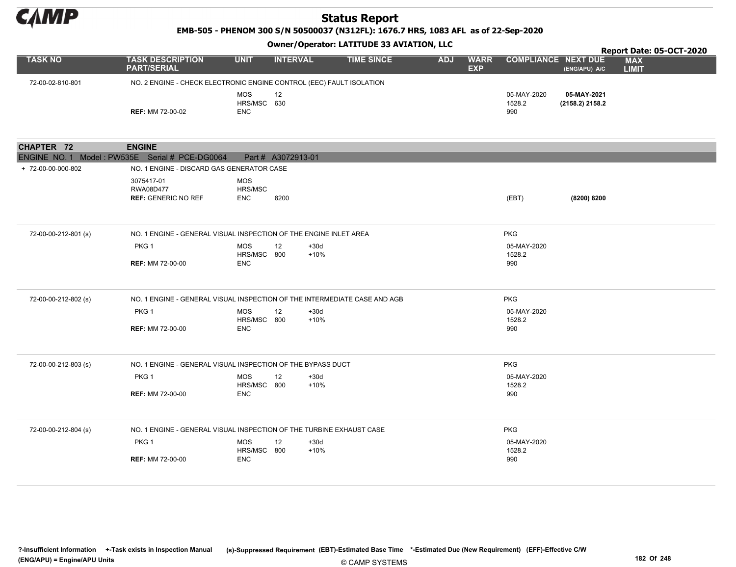

EMB-505 - PHENOM 300 S/N 50500037 (N312FL): 1676.7 HRS, 1083 AFL as of 22-Sep-2020

#### Owner/Operator: LATITUDE 33 AVIATION, LLC

|                                                |                                                                                                    |                                         |                    |                   |            |                           |                              |                                |                            | Report Date: 05-OCT-2020 |
|------------------------------------------------|----------------------------------------------------------------------------------------------------|-----------------------------------------|--------------------|-------------------|------------|---------------------------|------------------------------|--------------------------------|----------------------------|--------------------------|
| <b>TASK NO</b>                                 | <b>TASK DESCRIPTION</b><br><b>PART/SERIAL</b>                                                      | <b>UNIT</b>                             | <b>INTERVAL</b>    | <b>TIME SINCE</b> | <b>ADJ</b> | <b>WARR</b><br><b>EXP</b> | <b>COMPLIANCE NEXT DUE</b>   | (ENG/APU) A/C                  | <b>MAX</b><br><b>LIMIT</b> |                          |
| 72-00-02-810-801                               | NO. 2 ENGINE - CHECK ELECTRONIC ENGINE CONTROL (EEC) FAULT ISOLATION                               |                                         |                    |                   |            |                           |                              |                                |                            |                          |
|                                                | <b>REF: MM 72-00-02</b>                                                                            | <b>MOS</b><br>HRS/MSC 630<br><b>ENC</b> | 12                 |                   |            |                           | 05-MAY-2020<br>1528.2<br>990 | 05-MAY-2021<br>(2158.2) 2158.2 |                            |                          |
|                                                |                                                                                                    |                                         |                    |                   |            |                           |                              |                                |                            |                          |
| <b>CHAPTER 72</b>                              | <b>ENGINE</b>                                                                                      |                                         |                    |                   |            |                           |                              |                                |                            |                          |
| ENGINE NO. 1 Model: PW535E Serial # PCE-DG0064 |                                                                                                    |                                         | Part # A3072913-01 |                   |            |                           |                              |                                |                            |                          |
| + 72-00-00-000-802                             | NO. 1 ENGINE - DISCARD GAS GENERATOR CASE<br>3075417-01<br>RWA08D477<br><b>REF: GENERIC NO REF</b> | <b>MOS</b><br>HRS/MSC<br><b>ENC</b>     | 8200               |                   |            |                           | (EBT)                        | (8200) 8200                    |                            |                          |
| 72-00-00-212-801 (s)                           | NO. 1 ENGINE - GENERAL VISUAL INSPECTION OF THE ENGINE INLET AREA                                  |                                         |                    |                   |            |                           | <b>PKG</b>                   |                                |                            |                          |
|                                                | PKG 1                                                                                              | <b>MOS</b>                              | 12<br>$+30d$       |                   |            |                           | 05-MAY-2020                  |                                |                            |                          |
|                                                | <b>REF: MM 72-00-00</b>                                                                            | HRS/MSC 800<br><b>ENC</b>               | $+10%$             |                   |            |                           | 1528.2<br>990                |                                |                            |                          |
| 72-00-00-212-802 (s)                           | NO. 1 ENGINE - GENERAL VISUAL INSPECTION OF THE INTERMEDIATE CASE AND AGB                          |                                         |                    |                   |            |                           | <b>PKG</b>                   |                                |                            |                          |
|                                                | PKG <sub>1</sub>                                                                                   | <b>MOS</b>                              | 12<br>$+30d$       |                   |            |                           | 05-MAY-2020                  |                                |                            |                          |
|                                                |                                                                                                    | HRS/MSC 800                             | $+10%$             |                   |            |                           | 1528.2                       |                                |                            |                          |
|                                                | <b>REF: MM 72-00-00</b>                                                                            | <b>ENC</b>                              |                    |                   |            |                           | 990                          |                                |                            |                          |
| 72-00-00-212-803 (s)                           | NO. 1 ENGINE - GENERAL VISUAL INSPECTION OF THE BYPASS DUCT                                        |                                         |                    |                   |            |                           | <b>PKG</b>                   |                                |                            |                          |
|                                                | PKG <sub>1</sub>                                                                                   | <b>MOS</b>                              | $+30d$<br>12       |                   |            |                           | 05-MAY-2020                  |                                |                            |                          |
|                                                |                                                                                                    | HRS/MSC 800                             | $+10%$             |                   |            |                           | 1528.2                       |                                |                            |                          |
|                                                | <b>REF: MM 72-00-00</b>                                                                            | <b>ENC</b>                              |                    |                   |            |                           | 990                          |                                |                            |                          |
| 72-00-00-212-804 (s)                           | NO. 1 ENGINE - GENERAL VISUAL INSPECTION OF THE TURBINE EXHAUST CASE                               |                                         |                    |                   |            |                           | <b>PKG</b>                   |                                |                            |                          |
|                                                | PKG <sub>1</sub>                                                                                   | <b>MOS</b>                              | 12<br>$+30d$       |                   |            |                           | 05-MAY-2020                  |                                |                            |                          |
|                                                |                                                                                                    | HRS/MSC 800                             | $+10%$             |                   |            |                           | 1528.2                       |                                |                            |                          |
|                                                | <b>REF: MM 72-00-00</b>                                                                            | <b>ENC</b>                              |                    |                   |            |                           | 990                          |                                |                            |                          |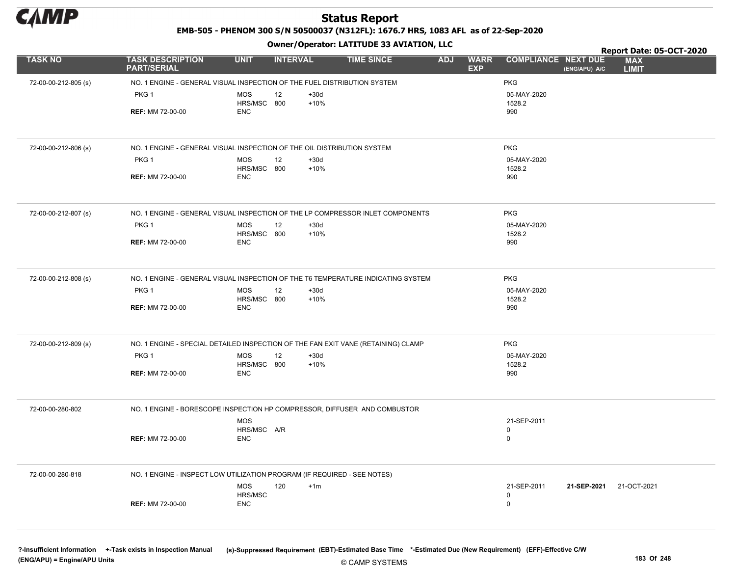

EMB-505 - PHENOM 300 S/N 50500037 (N312FL): 1676.7 HRS, 1083 AFL as of 22-Sep-2020

Owner/Operator: LATITUDE 33 AVIATION, LLC

|                      |                                                                                   |                           |                        |                   |                                         |                            |                         | Report Date: 05-OCT-2020   |  |
|----------------------|-----------------------------------------------------------------------------------|---------------------------|------------------------|-------------------|-----------------------------------------|----------------------------|-------------------------|----------------------------|--|
| <b>TASK NO</b>       | <b>TASK DESCRIPTION</b><br><b>PART/SERIAL</b>                                     | <b>UNIT</b>               | <b>INTERVAL</b>        | <b>TIME SINCE</b> | <b>ADJ</b><br><b>WARR</b><br><b>EXP</b> | <b>COMPLIANCE NEXT DUE</b> | (ENG/APU) A/C           | <b>MAX</b><br><b>LIMIT</b> |  |
| 72-00-00-212-805 (s) | NO. 1 ENGINE - GENERAL VISUAL INSPECTION OF THE FUEL DISTRIBUTION SYSTEM          |                           |                        |                   |                                         | <b>PKG</b>                 |                         |                            |  |
|                      | PKG <sub>1</sub>                                                                  | <b>MOS</b><br>HRS/MSC 800 | 12<br>$+30d$<br>$+10%$ |                   |                                         | 05-MAY-2020<br>1528.2      |                         |                            |  |
|                      | <b>REF: MM 72-00-00</b>                                                           | <b>ENC</b>                |                        |                   |                                         | 990                        |                         |                            |  |
|                      |                                                                                   |                           |                        |                   |                                         |                            |                         |                            |  |
| 72-00-00-212-806 (s) | NO. 1 ENGINE - GENERAL VISUAL INSPECTION OF THE OIL DISTRIBUTION SYSTEM           |                           |                        |                   |                                         | <b>PKG</b>                 |                         |                            |  |
|                      | PKG 1                                                                             | <b>MOS</b><br>HRS/MSC 800 | $+30d$<br>12<br>$+10%$ |                   |                                         | 05-MAY-2020<br>1528.2      |                         |                            |  |
|                      | <b>REF: MM 72-00-00</b>                                                           | <b>ENC</b>                |                        |                   |                                         | 990                        |                         |                            |  |
| 72-00-00-212-807 (s) | NO. 1 ENGINE - GENERAL VISUAL INSPECTION OF THE LP COMPRESSOR INLET COMPONENTS    |                           |                        |                   |                                         | <b>PKG</b>                 |                         |                            |  |
|                      | PKG <sub>1</sub>                                                                  | <b>MOS</b><br>HRS/MSC 800 | $+30d$<br>12<br>$+10%$ |                   |                                         | 05-MAY-2020<br>1528.2      |                         |                            |  |
|                      | <b>REF: MM 72-00-00</b>                                                           | <b>ENC</b>                |                        |                   |                                         | 990                        |                         |                            |  |
| 72-00-00-212-808 (s) | NO. 1 ENGINE - GENERAL VISUAL INSPECTION OF THE T6 TEMPERATURE INDICATING SYSTEM  |                           |                        |                   |                                         | <b>PKG</b>                 |                         |                            |  |
|                      | PKG 1                                                                             | <b>MOS</b><br>HRS/MSC 800 | $+30d$<br>12<br>$+10%$ |                   |                                         | 05-MAY-2020<br>1528.2      |                         |                            |  |
|                      | <b>REF: MM 72-00-00</b>                                                           | <b>ENC</b>                |                        |                   |                                         | 990                        |                         |                            |  |
| 72-00-00-212-809 (s) | NO. 1 ENGINE - SPECIAL DETAILED INSPECTION OF THE FAN EXIT VANE (RETAINING) CLAMP |                           |                        |                   |                                         | <b>PKG</b>                 |                         |                            |  |
|                      | PKG <sub>1</sub>                                                                  | <b>MOS</b><br>HRS/MSC 800 | 12<br>$+30d$<br>$+10%$ |                   |                                         | 05-MAY-2020<br>1528.2      |                         |                            |  |
|                      | <b>REF: MM 72-00-00</b>                                                           | <b>ENC</b>                |                        |                   |                                         | 990                        |                         |                            |  |
| 72-00-00-280-802     | NO. 1 ENGINE - BORESCOPE INSPECTION HP COMPRESSOR, DIFFUSER AND COMBUSTOR         |                           |                        |                   |                                         |                            |                         |                            |  |
|                      |                                                                                   | <b>MOS</b><br>HRS/MSC A/R |                        |                   |                                         | 21-SEP-2011<br>0           |                         |                            |  |
|                      | <b>REF: MM 72-00-00</b>                                                           | <b>ENC</b>                |                        |                   |                                         | $\mathbf 0$                |                         |                            |  |
| 72-00-00-280-818     | NO. 1 ENGINE - INSPECT LOW UTILIZATION PROGRAM (IF REQUIRED - SEE NOTES)          |                           |                        |                   |                                         |                            |                         |                            |  |
|                      |                                                                                   | <b>MOS</b><br>HRS/MSC     | 120<br>$+1m$           |                   |                                         | 21-SEP-2011<br>0           | 21-SEP-2021 21-OCT-2021 |                            |  |
|                      | <b>REF: MM 72-00-00</b>                                                           | <b>ENC</b>                |                        |                   |                                         | $\mathbf 0$                |                         |                            |  |
|                      |                                                                                   |                           |                        |                   |                                         |                            |                         |                            |  |

?-Insufficient Information +-Task exists in Inspection Manual (s)-Suppressed Requirement (EBT)-Estimated Base Time \*-Estimated Due (New Requirement) (EFF)-Effective C/W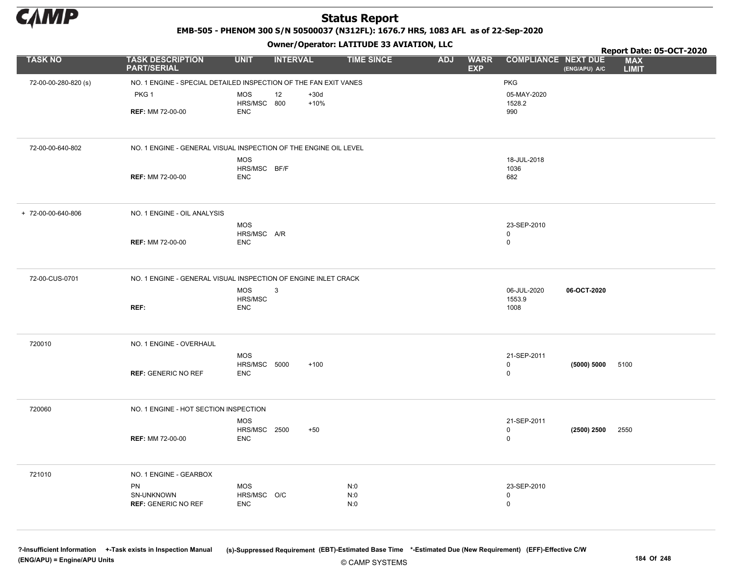

EMB-505 - PHENOM 300 S/N 50500037 (N312FL): 1676.7 HRS, 1083 AFL as of 22-Sep-2020

Owner/Operator: LATITUDE 33 AVIATION, LLC

|                      |                                                                  |                                   | - - -           |        |                   |            |                           |                            |               | Report Date: 05-OCT-2020   |
|----------------------|------------------------------------------------------------------|-----------------------------------|-----------------|--------|-------------------|------------|---------------------------|----------------------------|---------------|----------------------------|
| <b>TASK NO</b>       | <b>TASK DESCRIPTION</b><br><b>PART/SERIAL</b>                    | <b>UNIT</b>                       | <b>INTERVAL</b> |        | <b>TIME SINCE</b> | <b>ADJ</b> | <b>WARR</b><br><b>EXP</b> | <b>COMPLIANCE NEXT DUE</b> | (ENG/APU) A/C | <b>MAX</b><br><b>LIMIT</b> |
| 72-00-00-280-820 (s) | NO. 1 ENGINE - SPECIAL DETAILED INSPECTION OF THE FAN EXIT VANES |                                   |                 |        |                   |            |                           | <b>PKG</b>                 |               |                            |
|                      | PKG <sub>1</sub>                                                 | <b>MOS</b>                        | 12              | $+30d$ |                   |            |                           | 05-MAY-2020                |               |                            |
|                      |                                                                  | HRS/MSC 800                       |                 | $+10%$ |                   |            |                           | 1528.2                     |               |                            |
|                      | <b>REF: MM 72-00-00</b>                                          | <b>ENC</b>                        |                 |        |                   |            |                           | 990                        |               |                            |
|                      |                                                                  |                                   |                 |        |                   |            |                           |                            |               |                            |
| 72-00-00-640-802     | NO. 1 ENGINE - GENERAL VISUAL INSPECTION OF THE ENGINE OIL LEVEL |                                   |                 |        |                   |            |                           |                            |               |                            |
|                      |                                                                  | <b>MOS</b>                        |                 |        |                   |            |                           | 18-JUL-2018                |               |                            |
|                      |                                                                  | HRS/MSC BF/F                      |                 |        |                   |            |                           | 1036                       |               |                            |
|                      | <b>REF: MM 72-00-00</b>                                          | <b>ENC</b>                        |                 |        |                   |            |                           | 682                        |               |                            |
|                      |                                                                  |                                   |                 |        |                   |            |                           |                            |               |                            |
| + 72-00-00-640-806   | NO. 1 ENGINE - OIL ANALYSIS                                      |                                   |                 |        |                   |            |                           |                            |               |                            |
|                      |                                                                  | <b>MOS</b>                        |                 |        |                   |            |                           | 23-SEP-2010                |               |                            |
|                      |                                                                  | HRS/MSC A/R                       |                 |        |                   |            |                           | $\mathbf 0$                |               |                            |
|                      | <b>REF: MM 72-00-00</b>                                          | <b>ENC</b>                        |                 |        |                   |            |                           | $\pmb{0}$                  |               |                            |
|                      |                                                                  |                                   |                 |        |                   |            |                           |                            |               |                            |
| 72-00-CUS-0701       | NO. 1 ENGINE - GENERAL VISUAL INSPECTION OF ENGINE INLET CRACK   |                                   |                 |        |                   |            |                           |                            |               |                            |
|                      |                                                                  | <b>MOS</b>                        | 3               |        |                   |            |                           | 06-JUL-2020                | 06-OCT-2020   |                            |
|                      |                                                                  | HRS/MSC                           |                 |        |                   |            |                           | 1553.9                     |               |                            |
|                      | REF:                                                             | <b>ENC</b>                        |                 |        |                   |            |                           | 1008                       |               |                            |
|                      |                                                                  |                                   |                 |        |                   |            |                           |                            |               |                            |
|                      |                                                                  |                                   |                 |        |                   |            |                           |                            |               |                            |
| 720010               | NO. 1 ENGINE - OVERHAUL                                          |                                   |                 |        |                   |            |                           |                            |               |                            |
|                      |                                                                  | <b>MOS</b>                        |                 |        |                   |            |                           | 21-SEP-2011                |               |                            |
|                      |                                                                  | HRS/MSC 5000                      |                 | $+100$ |                   |            |                           | $\mathsf 0$                | (5000) 5000   | 5100                       |
|                      | <b>REF: GENERIC NO REF</b>                                       | <b>ENC</b>                        |                 |        |                   |            |                           | $\mathbf 0$                |               |                            |
|                      |                                                                  |                                   |                 |        |                   |            |                           |                            |               |                            |
| 720060               | NO. 1 ENGINE - HOT SECTION INSPECTION                            |                                   |                 |        |                   |            |                           |                            |               |                            |
|                      |                                                                  |                                   |                 |        |                   |            |                           |                            |               |                            |
|                      |                                                                  | <b>MOS</b>                        |                 |        |                   |            |                           | 21-SEP-2011                |               |                            |
|                      | <b>REF: MM 72-00-00</b>                                          | <b>HRS/MSC 2500</b><br><b>ENC</b> |                 | $+50$  |                   |            |                           | 0<br>$\mathbf 0$           | (2500) 2500   | 2550                       |
|                      |                                                                  |                                   |                 |        |                   |            |                           |                            |               |                            |
|                      |                                                                  |                                   |                 |        |                   |            |                           |                            |               |                            |
| 721010               | NO. 1 ENGINE - GEARBOX                                           |                                   |                 |        |                   |            |                           |                            |               |                            |
|                      | PN                                                               | <b>MOS</b>                        |                 |        | N:0               |            |                           | 23-SEP-2010                |               |                            |
|                      | SN-UNKNOWN                                                       | HRS/MSC O/C                       |                 |        | N:0               |            |                           | 0                          |               |                            |
|                      | <b>REF: GENERIC NO REF</b>                                       | <b>ENC</b>                        |                 |        | N:0               |            |                           | $\mathbf 0$                |               |                            |
|                      |                                                                  |                                   |                 |        |                   |            |                           |                            |               |                            |
|                      |                                                                  |                                   |                 |        |                   |            |                           |                            |               |                            |

?-Insufficient Information +-Task exists in Inspection Manual (s)-Suppressed Requirement (EBT)-Estimated Base Time \*-Estimated Due (New Requirement) (EFF)-Effective C/W (ENG/APU) = Engine/APU Units 184 Of 248 of 248 of 248 of 248 of 248 of 248 of 248 of 248 of 248 of 248 of 248 of 248 of 248 of 248 of 248 of 248 of 248 of 248 of 248 of 248 of 248 of 248 of 248 of 248 of 248 of 248 of 248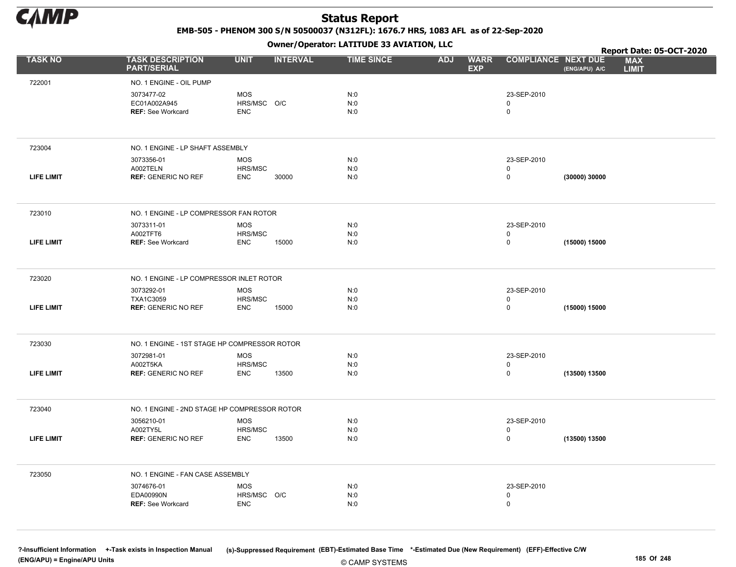

EMB-505 - PHENOM 300 S/N 50500037 (N312FL): 1676.7 HRS, 1083 AFL as of 22-Sep-2020

Owner/Operator: LATITUDE 33 AVIATION, LLC

|                   |                                               |                       | .               |                   |                                         |                            |               | Report Date: 05-OCT-2020   |  |
|-------------------|-----------------------------------------------|-----------------------|-----------------|-------------------|-----------------------------------------|----------------------------|---------------|----------------------------|--|
| <b>TASK NO</b>    | <b>TASK DESCRIPTION</b><br><b>PART/SERIAL</b> | <b>UNIT</b>           | <b>INTERVAL</b> | <b>TIME SINCE</b> | <b>ADJ</b><br><b>WARR</b><br><b>EXP</b> | <b>COMPLIANCE NEXT DUE</b> | (ENG/APU) A/C | <b>MAX</b><br><b>LIMIT</b> |  |
| 722001            | NO. 1 ENGINE - OIL PUMP                       |                       |                 |                   |                                         |                            |               |                            |  |
|                   | 3073477-02                                    | <b>MOS</b>            |                 | N:0               |                                         | 23-SEP-2010                |               |                            |  |
|                   | EC01A002A945                                  | HRS/MSC O/C           |                 | N:0               |                                         | 0                          |               |                            |  |
|                   | <b>REF: See Workcard</b>                      | <b>ENC</b>            |                 | N:0               |                                         | 0                          |               |                            |  |
|                   |                                               |                       |                 |                   |                                         |                            |               |                            |  |
| 723004            | NO. 1 ENGINE - LP SHAFT ASSEMBLY              |                       |                 |                   |                                         |                            |               |                            |  |
|                   | 3073356-01                                    | <b>MOS</b>            |                 | N:0               |                                         | 23-SEP-2010                |               |                            |  |
| <b>LIFE LIMIT</b> | A002TELN<br><b>REF: GENERIC NO REF</b>        | HRS/MSC<br><b>ENC</b> | 30000           | N:0<br>N:0        |                                         | 0<br>0                     | (30000) 30000 |                            |  |
|                   |                                               |                       |                 |                   |                                         |                            |               |                            |  |
| 723010            | NO. 1 ENGINE - LP COMPRESSOR FAN ROTOR        |                       |                 |                   |                                         |                            |               |                            |  |
|                   | 3073311-01                                    | <b>MOS</b>            |                 | N:0               |                                         | 23-SEP-2010                |               |                            |  |
|                   | A002TFT6                                      | HRS/MSC               |                 | N:0               |                                         | 0                          |               |                            |  |
| <b>LIFE LIMIT</b> | <b>REF: See Workcard</b>                      | <b>ENC</b>            | 15000           | N:0               |                                         | $\mathbf 0$                | (15000) 15000 |                            |  |
| 723020            | NO. 1 ENGINE - LP COMPRESSOR INLET ROTOR      |                       |                 |                   |                                         |                            |               |                            |  |
|                   | 3073292-01                                    | <b>MOS</b>            |                 | N:0               |                                         | 23-SEP-2010                |               |                            |  |
| <b>LIFE LIMIT</b> | TXA1C3059<br><b>REF: GENERIC NO REF</b>       | HRS/MSC<br><b>ENC</b> | 15000           | N:0<br>N:0        |                                         | 0<br>0                     | (15000) 15000 |                            |  |
|                   |                                               |                       |                 |                   |                                         |                            |               |                            |  |
| 723030            | NO. 1 ENGINE - 1ST STAGE HP COMPRESSOR ROTOR  |                       |                 |                   |                                         |                            |               |                            |  |
|                   | 3072981-01                                    | <b>MOS</b>            |                 | N:0               |                                         | 23-SEP-2010                |               |                            |  |
|                   | A002T5KA                                      | HRS/MSC               |                 | N:0               |                                         | $\mathbf 0$<br>0           |               |                            |  |
| <b>LIFE LIMIT</b> | <b>REF: GENERIC NO REF</b>                    | <b>ENC</b>            | 13500           | N:0               |                                         |                            | (13500) 13500 |                            |  |
| 723040            | NO. 1 ENGINE - 2ND STAGE HP COMPRESSOR ROTOR  |                       |                 |                   |                                         |                            |               |                            |  |
|                   | 3056210-01                                    | <b>MOS</b>            |                 | N:0               |                                         | 23-SEP-2010                |               |                            |  |
|                   | A002TY5L                                      | HRS/MSC               |                 | N:0               |                                         | $\Omega$                   |               |                            |  |
| <b>LIFE LIMIT</b> | <b>REF: GENERIC NO REF</b>                    | <b>ENC</b>            | 13500           | N:0               |                                         | 0                          | (13500) 13500 |                            |  |
| 723050            | NO. 1 ENGINE - FAN CASE ASSEMBLY              |                       |                 |                   |                                         |                            |               |                            |  |
|                   | 3074676-01                                    | <b>MOS</b>            |                 | N:0               |                                         | 23-SEP-2010                |               |                            |  |
|                   | EDA00990N                                     | HRS/MSC O/C           |                 | N:0               |                                         | $\mathbf 0$                |               |                            |  |
|                   | <b>REF: See Workcard</b>                      | <b>ENC</b>            |                 | N:0               |                                         | $\mathsf 0$                |               |                            |  |
|                   |                                               |                       |                 |                   |                                         |                            |               |                            |  |

© CAMP SYSTEMS ?-Insufficient Information +-Task exists in Inspection Manual (s)-Suppressed Requirement (EBT)-Estimated Base Time \*-Estimated Due (New Requirement) (EFF)-Effective C/W (ENG/APU) = Engine/APU Units 185 Of 248 of 248 of 248 of 248 of 248 of 248 of 248 of 248 of 248 of 248 of 248 of 248 of 248 of 248 of 248 of 248 of 248 of 248 of 248 of 248 of 248 of 248 of 248 of 248 of 248 of 248 of 248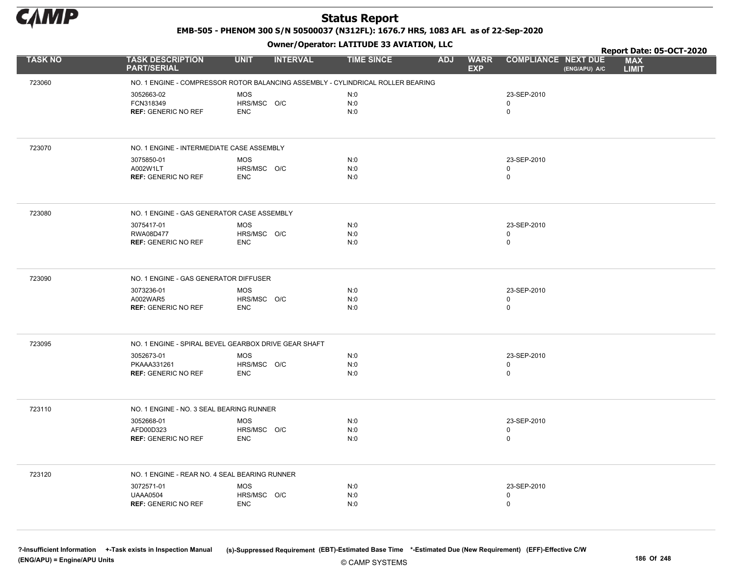

EMB-505 - PHENOM 300 S/N 50500037 (N312FL): 1676.7 HRS, 1083 AFL as of 22-Sep-2020

Owner/Operator: LATITUDE 33 AVIATION, LLC

|                |                                                                                 | .                                       |                   |                                         |                                             | Report Date: 05-OCT-2020   |
|----------------|---------------------------------------------------------------------------------|-----------------------------------------|-------------------|-----------------------------------------|---------------------------------------------|----------------------------|
| <b>TASK NO</b> | <b>TASK DESCRIPTION</b><br><b>PART/SERIAL</b>                                   | <b>UNIT</b><br><b>INTERVAL</b>          | <b>TIME SINCE</b> | <b>WARR</b><br><b>ADJ</b><br><b>EXP</b> | <b>COMPLIANCE NEXT DUE</b><br>(ENG/APU) A/C | <b>MAX</b><br><b>LIMIT</b> |
| 723060         | NO. 1 ENGINE - COMPRESSOR ROTOR BALANCING ASSEMBLY - CYLINDRICAL ROLLER BEARING |                                         |                   |                                         |                                             |                            |
|                | 3052663-02<br>FCN318349<br><b>REF: GENERIC NO REF</b>                           | <b>MOS</b><br>HRS/MSC O/C<br><b>ENC</b> | N:0<br>N:0<br>N:0 |                                         | 23-SEP-2010<br>$\mathbf 0$<br>$\mathsf 0$   |                            |
| 723070         | NO. 1 ENGINE - INTERMEDIATE CASE ASSEMBLY                                       |                                         |                   |                                         |                                             |                            |
|                | 3075850-01<br>A002W1LT<br><b>REF: GENERIC NO REF</b>                            | <b>MOS</b><br>HRS/MSC O/C<br><b>ENC</b> | N:0<br>N:0<br>N:0 |                                         | 23-SEP-2010<br>$\mathbf 0$<br>$\mathbf 0$   |                            |
| 723080         | NO. 1 ENGINE - GAS GENERATOR CASE ASSEMBLY                                      |                                         |                   |                                         |                                             |                            |
|                | 3075417-01<br>RWA08D477<br><b>REF: GENERIC NO REF</b>                           | <b>MOS</b><br>HRS/MSC O/C<br><b>ENC</b> | N:0<br>N:0<br>N:0 |                                         | 23-SEP-2010<br>$\mathbf 0$<br>$\mathbf 0$   |                            |
| 723090         | NO. 1 ENGINE - GAS GENERATOR DIFFUSER                                           |                                         |                   |                                         |                                             |                            |
|                | 3073236-01<br>A002WAR5<br><b>REF: GENERIC NO REF</b>                            | <b>MOS</b><br>HRS/MSC O/C<br><b>ENC</b> | N:0<br>N:0<br>N:0 |                                         | 23-SEP-2010<br>$\mathbf 0$<br>$\mathbf 0$   |                            |
| 723095         | NO. 1 ENGINE - SPIRAL BEVEL GEARBOX DRIVE GEAR SHAFT                            |                                         |                   |                                         |                                             |                            |
|                | 3052673-01<br>PKAAA331261<br><b>REF: GENERIC NO REF</b>                         | <b>MOS</b><br>HRS/MSC O/C<br><b>ENC</b> | N:0<br>N:0<br>N:0 |                                         | 23-SEP-2010<br>$\mathbf 0$<br>$\mathbf 0$   |                            |
| 723110         | NO. 1 ENGINE - NO. 3 SEAL BEARING RUNNER                                        |                                         |                   |                                         |                                             |                            |
|                | 3052668-01<br>AFD00D323<br><b>REF: GENERIC NO REF</b>                           | <b>MOS</b><br>HRS/MSC O/C<br><b>ENC</b> | N:0<br>N:0<br>N:0 |                                         | 23-SEP-2010<br>$\mathbf 0$<br>$\mathsf 0$   |                            |
| 723120         | NO. 1 ENGINE - REAR NO. 4 SEAL BEARING RUNNER                                   |                                         |                   |                                         |                                             |                            |
|                | 3072571-01<br><b>UAAA0504</b><br><b>REF: GENERIC NO REF</b>                     | <b>MOS</b><br>HRS/MSC O/C<br><b>ENC</b> | N:0<br>N:0<br>N:0 |                                         | 23-SEP-2010<br>$\mathbf 0$<br>$\mathbf 0$   |                            |

© CAMP SYSTEMS ?-Insufficient Information +-Task exists in Inspection Manual (s)-Suppressed Requirement (EBT)-Estimated Base Time \*-Estimated Due (New Requirement) (EFF)-Effective C/W (ENG/APU) = Engine/APU Units 186 Of 248 of 248 of 248 of 248 of 248 of 248 of 248 of 248 of 248 of 248 of 248 of 248 of 248 of 248 of 248 of 248 of 248 of 248 of 248 of 248 of 248 of 248 of 248 of 248 of 248 of 248 of 248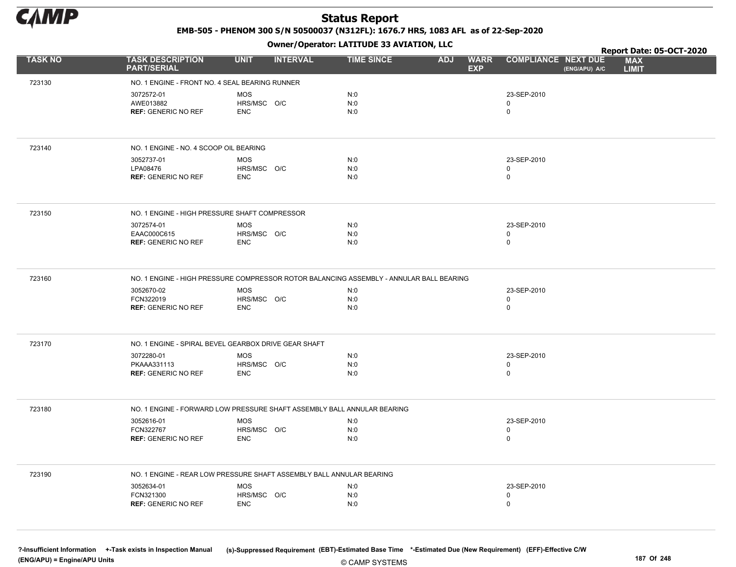

EMB-505 - PHENOM 300 S/N 50500037 (N312FL): 1676.7 HRS, 1083 AFL as of 22-Sep-2020

Owner/Operator: LATITUDE 33 AVIATION, LLC

|                |                                                      | $\mathbf{r}$                                                            |                                                                                         | Report Date: 05-OCT-2020                                                  |
|----------------|------------------------------------------------------|-------------------------------------------------------------------------|-----------------------------------------------------------------------------------------|---------------------------------------------------------------------------|
| <b>TASK NO</b> | <b>TASK DESCRIPTION</b><br><b>PART/SERIAL</b>        | <b>UNIT</b><br><b>INTERVAL</b>                                          | <b>TIME SINCE</b><br><b>WARR</b><br><b>ADJ</b><br><b>EXP</b>                            | <b>COMPLIANCE NEXT DUE</b><br><b>MAX</b><br>(ENG/APU) A/C<br><b>LIMIT</b> |
| 723130         | NO. 1 ENGINE - FRONT NO. 4 SEAL BEARING RUNNER       |                                                                         |                                                                                         |                                                                           |
|                | 3072572-01                                           | <b>MOS</b>                                                              | N:0                                                                                     | 23-SEP-2010                                                               |
|                | AWE013882                                            | HRS/MSC O/C                                                             | N:0                                                                                     | 0                                                                         |
|                | <b>REF: GENERIC NO REF</b>                           | <b>ENC</b>                                                              | N:0                                                                                     | $\mathbf 0$                                                               |
|                |                                                      |                                                                         |                                                                                         |                                                                           |
| 723140         | NO. 1 ENGINE - NO. 4 SCOOP OIL BEARING               |                                                                         |                                                                                         |                                                                           |
|                | 3052737-01                                           | <b>MOS</b>                                                              | N:0                                                                                     | 23-SEP-2010                                                               |
|                | LPA08476<br><b>REF: GENERIC NO REF</b>               | HRS/MSC O/C<br><b>ENC</b>                                               | N:0<br>N:0                                                                              | 0<br>0                                                                    |
|                |                                                      |                                                                         |                                                                                         |                                                                           |
| 723150         | NO. 1 ENGINE - HIGH PRESSURE SHAFT COMPRESSOR        |                                                                         |                                                                                         |                                                                           |
|                | 3072574-01                                           | <b>MOS</b>                                                              | N:0                                                                                     | 23-SEP-2010                                                               |
|                | EAAC000C615<br><b>REF: GENERIC NO REF</b>            | HRS/MSC O/C<br><b>ENC</b>                                               | N:0<br>N:0                                                                              | $\mathbf 0$<br>0                                                          |
|                |                                                      |                                                                         |                                                                                         |                                                                           |
| 723160         |                                                      |                                                                         | NO. 1 ENGINE - HIGH PRESSURE COMPRESSOR ROTOR BALANCING ASSEMBLY - ANNULAR BALL BEARING |                                                                           |
|                | 3052670-02                                           | <b>MOS</b>                                                              | N:0                                                                                     | 23-SEP-2010                                                               |
|                | FCN322019                                            | HRS/MSC O/C                                                             | N:0                                                                                     | 0                                                                         |
|                | <b>REF: GENERIC NO REF</b>                           | <b>ENC</b>                                                              | N:0                                                                                     | $\mathbf 0$                                                               |
| 723170         | NO. 1 ENGINE - SPIRAL BEVEL GEARBOX DRIVE GEAR SHAFT |                                                                         |                                                                                         |                                                                           |
|                | 3072280-01                                           | <b>MOS</b>                                                              | N:0                                                                                     | 23-SEP-2010                                                               |
|                | PKAAA331113<br><b>REF: GENERIC NO REF</b>            | HRS/MSC O/C<br><b>ENC</b>                                               | N:0<br>N:0                                                                              | 0<br>$\mathbf 0$                                                          |
|                |                                                      |                                                                         |                                                                                         |                                                                           |
| 723180         |                                                      | NO. 1 ENGINE - FORWARD LOW PRESSURE SHAFT ASSEMBLY BALL ANNULAR BEARING |                                                                                         |                                                                           |
|                | 3052616-01                                           | <b>MOS</b>                                                              | N:0                                                                                     | 23-SEP-2010                                                               |
|                | FCN322767<br><b>REF: GENERIC NO REF</b>              | HRS/MSC O/C<br><b>ENC</b>                                               | N:0<br>N:0                                                                              | 0<br>$\mathbf 0$                                                          |
|                |                                                      |                                                                         |                                                                                         |                                                                           |
| 723190         |                                                      | NO. 1 ENGINE - REAR LOW PRESSURE SHAFT ASSEMBLY BALL ANNULAR BEARING    |                                                                                         |                                                                           |
|                | 3052634-01                                           | <b>MOS</b>                                                              | N:0                                                                                     | 23-SEP-2010                                                               |
|                | FCN321300                                            | HRS/MSC O/C                                                             | N:0                                                                                     | 0                                                                         |
|                | <b>REF: GENERIC NO REF</b>                           | <b>ENC</b>                                                              | N:0                                                                                     | 0                                                                         |
|                |                                                      |                                                                         |                                                                                         |                                                                           |

© CAMP SYSTEMS ?-Insufficient Information +-Task exists in Inspection Manual (s)-Suppressed Requirement (EBT)-Estimated Base Time \*-Estimated Due (New Requirement) (EFF)-Effective C/W (ENG/APU) = Engine/APU Units 187 Of 248 and the control of the control of the control of the control of the control of the control of the control of the control of the control of the control of the control of the control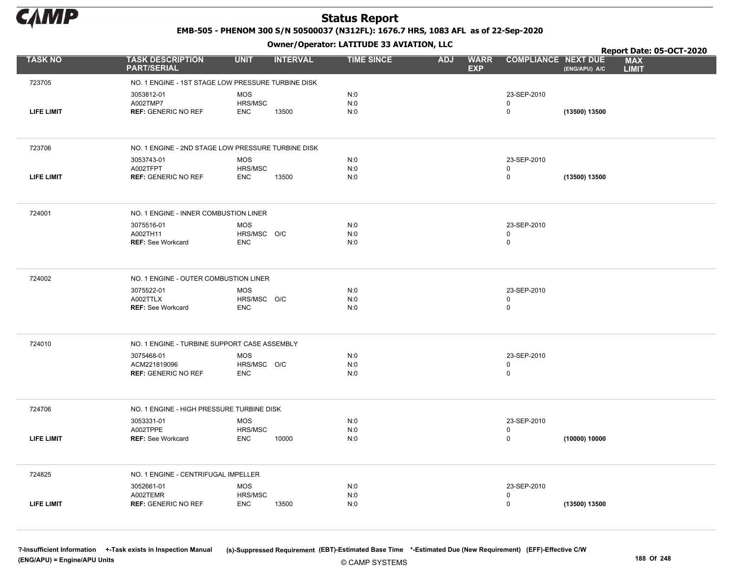

EMB-505 - PHENOM 300 S/N 50500037 (N312FL): 1676.7 HRS, 1083 AFL as of 22-Sep-2020

Owner/Operator: LATITUDE 33 AVIATION, LLC

|                   |                                                    |                           | .               |                   |            |                           |                            |               | Report Date: 05-OCT-2020   |
|-------------------|----------------------------------------------------|---------------------------|-----------------|-------------------|------------|---------------------------|----------------------------|---------------|----------------------------|
| <b>TASK NO</b>    | <b>TASK DESCRIPTION</b><br><b>PART/SERIAL</b>      | <b>UNIT</b>               | <b>INTERVAL</b> | <b>TIME SINCE</b> | <b>ADJ</b> | <b>WARR</b><br><b>EXP</b> | <b>COMPLIANCE NEXT DUE</b> | (ENG/APU) A/C | <b>MAX</b><br><b>LIMIT</b> |
| 723705            | NO. 1 ENGINE - 1ST STAGE LOW PRESSURE TURBINE DISK |                           |                 |                   |            |                           |                            |               |                            |
|                   | 3053812-01                                         | <b>MOS</b>                |                 | N:0               |            |                           | 23-SEP-2010                |               |                            |
|                   | A002TMP7                                           | HRS/MSC                   |                 | N:0               |            |                           | 0                          |               |                            |
| <b>LIFE LIMIT</b> | <b>REF: GENERIC NO REF</b>                         | <b>ENC</b>                | 13500           | N:0               |            |                           | 0                          | (13500) 13500 |                            |
|                   |                                                    |                           |                 |                   |            |                           |                            |               |                            |
| 723706            | NO. 1 ENGINE - 2ND STAGE LOW PRESSURE TURBINE DISK |                           |                 |                   |            |                           |                            |               |                            |
|                   | 3053743-01                                         | <b>MOS</b>                |                 | N:0               |            |                           | 23-SEP-2010                |               |                            |
| <b>LIFE LIMIT</b> | A002TFPT<br><b>REF: GENERIC NO REF</b>             | HRS/MSC<br><b>ENC</b>     | 13500           | N:0<br>N:0        |            |                           | 0<br>$\mathbf 0$           |               |                            |
|                   |                                                    |                           |                 |                   |            |                           |                            | (13500) 13500 |                            |
| 724001            | NO. 1 ENGINE - INNER COMBUSTION LINER              |                           |                 |                   |            |                           |                            |               |                            |
|                   | 3075516-01                                         | MOS                       |                 | N:0               |            |                           | 23-SEP-2010                |               |                            |
|                   | A002TH11                                           | HRS/MSC O/C               |                 | N:0               |            |                           | 0                          |               |                            |
|                   | <b>REF: See Workcard</b>                           | <b>ENC</b>                |                 | N:0               |            |                           | 0                          |               |                            |
| 724002            | NO. 1 ENGINE - OUTER COMBUSTION LINER              |                           |                 |                   |            |                           |                            |               |                            |
|                   | 3075522-01                                         | <b>MOS</b>                |                 | N:0               |            |                           | 23-SEP-2010                |               |                            |
|                   | A002TTLX<br><b>REF: See Workcard</b>               | HRS/MSC O/C<br><b>ENC</b> |                 | N:0<br>N:0        |            |                           | 0<br>0                     |               |                            |
|                   |                                                    |                           |                 |                   |            |                           |                            |               |                            |
| 724010            | NO. 1 ENGINE - TURBINE SUPPORT CASE ASSEMBLY       |                           |                 |                   |            |                           |                            |               |                            |
|                   | 3075468-01                                         | <b>MOS</b>                |                 | N:0               |            |                           | 23-SEP-2010                |               |                            |
|                   | ACM221819096                                       | HRS/MSC O/C               |                 | N:0               |            |                           | 0                          |               |                            |
|                   | <b>REF: GENERIC NO REF</b>                         | <b>ENC</b>                |                 | N:0               |            |                           | 0                          |               |                            |
| 724706            | NO. 1 ENGINE - HIGH PRESSURE TURBINE DISK          |                           |                 |                   |            |                           |                            |               |                            |
|                   | 3053331-01                                         | <b>MOS</b>                |                 | N:0               |            |                           | 23-SEP-2010                |               |                            |
| <b>LIFE LIMIT</b> | A002TPPE<br><b>REF: See Workcard</b>               | HRS/MSC<br><b>ENC</b>     | 10000           | N:0<br>N:0        |            |                           | 0<br>0                     | (10000) 10000 |                            |
|                   |                                                    |                           |                 |                   |            |                           |                            |               |                            |
| 724825            | NO. 1 ENGINE - CENTRIFUGAL IMPELLER                |                           |                 |                   |            |                           |                            |               |                            |
|                   | 3052661-01                                         | <b>MOS</b>                |                 | N:0               |            |                           | 23-SEP-2010                |               |                            |
| <b>LIFE LIMIT</b> | A002TEMR<br><b>REF: GENERIC NO REF</b>             | HRS/MSC<br><b>ENC</b>     | 13500           | N:0<br>N:0        |            |                           | 0<br>0                     | (13500) 13500 |                            |
|                   |                                                    |                           |                 |                   |            |                           |                            |               |                            |

© CAMP SYSTEMS ?-Insufficient Information +-Task exists in Inspection Manual (s)-Suppressed Requirement (EBT)-Estimated Base Time \*-Estimated Due (New Requirement) (EFF)-Effective C/W (ENG/APU) = Engine/APU Units 188 Of 248 COMP SOUTHING THE COMP SOUTHING THE COMP SOUTHING THE COMP SOUTHING THE COMP SOUTHING THE COMP SOUTHING THE COMP SOUTHING THE COMP SOUTHING THE COMP SOUTHING THE COMP SOUTHING THE C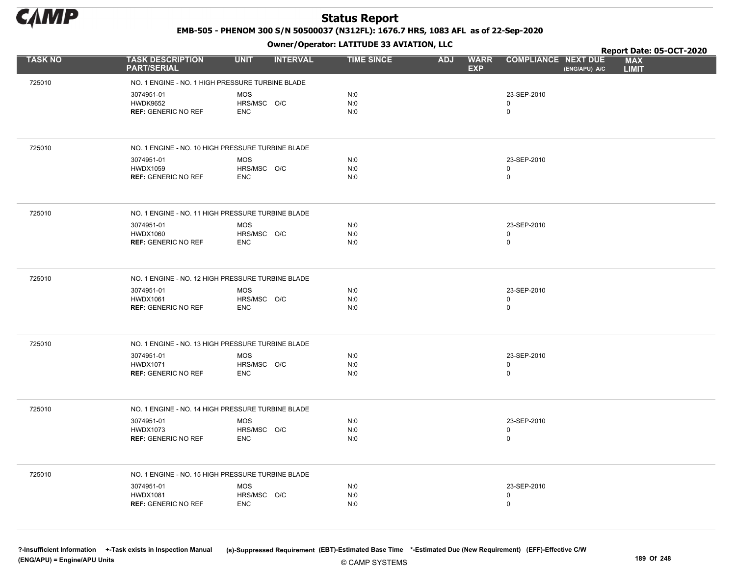

EMB-505 - PHENOM 300 S/N 50500037 (N312FL): 1676.7 HRS, 1083 AFL as of 22-Sep-2020

Owner/Operator: LATITUDE 33 AVIATION, LLC

|                |                                                   | .                              |                   |                                         |                                             | Report Date: 05-OCT-2020   |
|----------------|---------------------------------------------------|--------------------------------|-------------------|-----------------------------------------|---------------------------------------------|----------------------------|
| <b>TASK NO</b> | <b>TASK DESCRIPTION</b><br><b>PART/SERIAL</b>     | <b>UNIT</b><br><b>INTERVAL</b> | <b>TIME SINCE</b> | <b>ADJ</b><br><b>WARR</b><br><b>EXP</b> | <b>COMPLIANCE NEXT DUE</b><br>(ENG/APU) A/C | <b>MAX</b><br><b>LIMIT</b> |
| 725010         | NO. 1 ENGINE - NO. 1 HIGH PRESSURE TURBINE BLADE  |                                |                   |                                         |                                             |                            |
|                | 3074951-01                                        | <b>MOS</b>                     | N:0               |                                         | 23-SEP-2010                                 |                            |
|                | <b>HWDK9652</b>                                   | HRS/MSC O/C                    | N:0               |                                         | 0                                           |                            |
|                | <b>REF: GENERIC NO REF</b>                        | <b>ENC</b>                     | N:0               |                                         | 0                                           |                            |
|                |                                                   |                                |                   |                                         |                                             |                            |
| 725010         | NO. 1 ENGINE - NO. 10 HIGH PRESSURE TURBINE BLADE |                                |                   |                                         |                                             |                            |
|                | 3074951-01                                        | <b>MOS</b>                     | N:0               |                                         | 23-SEP-2010                                 |                            |
|                | <b>HWDX1059</b><br><b>REF: GENERIC NO REF</b>     | HRS/MSC O/C<br><b>ENC</b>      | N:0<br>N:0        |                                         | 0<br>0                                      |                            |
|                |                                                   |                                |                   |                                         |                                             |                            |
| 725010         | NO. 1 ENGINE - NO. 11 HIGH PRESSURE TURBINE BLADE |                                |                   |                                         |                                             |                            |
|                | 3074951-01                                        | <b>MOS</b>                     | N:0               |                                         | 23-SEP-2010                                 |                            |
|                | <b>HWDX1060</b><br><b>REF: GENERIC NO REF</b>     | HRS/MSC O/C<br><b>ENC</b>      | N:0<br>N:0        |                                         | 0<br>$\mathbf 0$                            |                            |
|                |                                                   |                                |                   |                                         |                                             |                            |
|                |                                                   |                                |                   |                                         |                                             |                            |
| 725010         | NO. 1 ENGINE - NO. 12 HIGH PRESSURE TURBINE BLADE |                                |                   |                                         |                                             |                            |
|                | 3074951-01                                        | MOS                            | N:0               |                                         | 23-SEP-2010                                 |                            |
|                | <b>HWDX1061</b><br><b>REF: GENERIC NO REF</b>     | HRS/MSC O/C<br><b>ENC</b>      | N:0<br>N:0        |                                         | 0<br>0                                      |                            |
|                |                                                   |                                |                   |                                         |                                             |                            |
|                |                                                   |                                |                   |                                         |                                             |                            |
| 725010         | NO. 1 ENGINE - NO. 13 HIGH PRESSURE TURBINE BLADE |                                |                   |                                         |                                             |                            |
|                | 3074951-01<br><b>HWDX1071</b>                     | <b>MOS</b><br>HRS/MSC O/C      | N:0<br>N:0        |                                         | 23-SEP-2010<br>0                            |                            |
|                | <b>REF: GENERIC NO REF</b>                        | <b>ENC</b>                     | N:0               |                                         | 0                                           |                            |
|                |                                                   |                                |                   |                                         |                                             |                            |
| 725010         | NO. 1 ENGINE - NO. 14 HIGH PRESSURE TURBINE BLADE |                                |                   |                                         |                                             |                            |
|                | 3074951-01                                        | <b>MOS</b>                     | N:0               |                                         | 23-SEP-2010                                 |                            |
|                | <b>HWDX1073</b>                                   | HRS/MSC O/C                    | N:0               |                                         | 0                                           |                            |
|                | <b>REF: GENERIC NO REF</b>                        | <b>ENC</b>                     | N:0               |                                         | $\mathbf 0$                                 |                            |
|                |                                                   |                                |                   |                                         |                                             |                            |
| 725010         | NO. 1 ENGINE - NO. 15 HIGH PRESSURE TURBINE BLADE |                                |                   |                                         |                                             |                            |
|                | 3074951-01                                        | <b>MOS</b>                     | N:0               |                                         | 23-SEP-2010                                 |                            |
|                | <b>HWDX1081</b><br><b>REF: GENERIC NO REF</b>     | HRS/MSC O/C<br><b>ENC</b>      | N:0<br>N:0        |                                         | 0<br>0                                      |                            |
|                |                                                   |                                |                   |                                         |                                             |                            |
|                |                                                   |                                |                   |                                         |                                             |                            |

© CAMP SYSTEMS ?-Insufficient Information +-Task exists in Inspection Manual (s)-Suppressed Requirement (EBT)-Estimated Base Time \*-Estimated Due (New Requirement) (EFF)-Effective C/W (ENG/APU) = Engine/APU Units 189 Of 248 COMP SOUTHING THE COMP SOUTHING THE COMP SOUTHING THE COMP SOUTHING THE COMP SOUTHING THE COMP SOUTHING THE COMP SOUTHING THE COMP SOUTHING THE COMP SOUTHING THE COMP SOUTHING THE C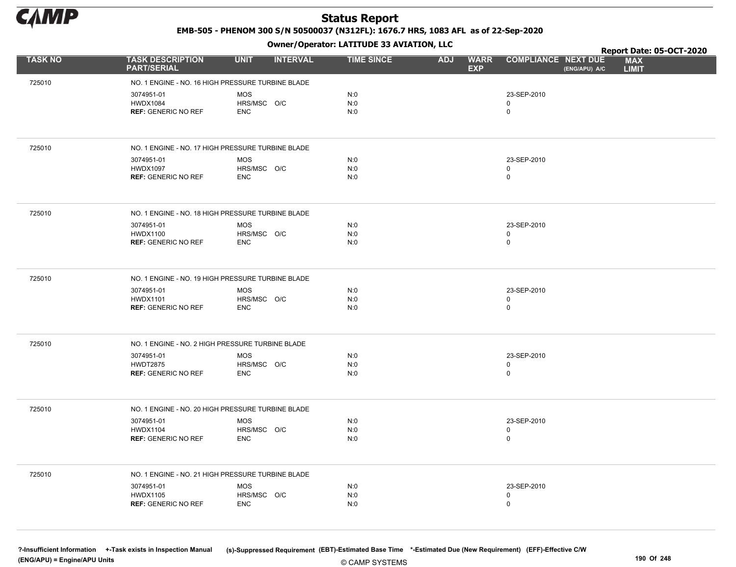

EMB-505 - PHENOM 300 S/N 50500037 (N312FL): 1676.7 HRS, 1083 AFL as of 22-Sep-2020

Owner/Operator: LATITUDE 33 AVIATION, LLC

|                |                                                   | .                              |                   |                                         |                                             | Report Date: 05-OCT-2020   |
|----------------|---------------------------------------------------|--------------------------------|-------------------|-----------------------------------------|---------------------------------------------|----------------------------|
| <b>TASK NO</b> | <b>TASK DESCRIPTION</b><br><b>PART/SERIAL</b>     | <b>UNIT</b><br><b>INTERVAL</b> | <b>TIME SINCE</b> | <b>ADJ</b><br><b>WARR</b><br><b>EXP</b> | <b>COMPLIANCE NEXT DUE</b><br>(ENG/APU) A/C | <b>MAX</b><br><b>LIMIT</b> |
| 725010         | NO. 1 ENGINE - NO. 16 HIGH PRESSURE TURBINE BLADE |                                |                   |                                         |                                             |                            |
|                | 3074951-01                                        | <b>MOS</b>                     | N:0               |                                         | 23-SEP-2010                                 |                            |
|                | <b>HWDX1084</b>                                   | HRS/MSC O/C                    | N:0               |                                         | 0                                           |                            |
|                | <b>REF: GENERIC NO REF</b>                        | <b>ENC</b>                     | N:0               |                                         | 0                                           |                            |
|                |                                                   |                                |                   |                                         |                                             |                            |
| 725010         | NO. 1 ENGINE - NO. 17 HIGH PRESSURE TURBINE BLADE |                                |                   |                                         |                                             |                            |
|                | 3074951-01                                        | <b>MOS</b>                     | N:0               |                                         | 23-SEP-2010                                 |                            |
|                | <b>HWDX1097</b><br><b>REF: GENERIC NO REF</b>     | HRS/MSC O/C<br><b>ENC</b>      | N:0<br>N:0        |                                         | 0<br>0                                      |                            |
|                |                                                   |                                |                   |                                         |                                             |                            |
| 725010         | NO. 1 ENGINE - NO. 18 HIGH PRESSURE TURBINE BLADE |                                |                   |                                         |                                             |                            |
|                | 3074951-01                                        | <b>MOS</b>                     | N:0               |                                         | 23-SEP-2010                                 |                            |
|                | <b>HWDX1100</b><br><b>REF: GENERIC NO REF</b>     | HRS/MSC O/C<br><b>ENC</b>      | N:0<br>N:0        |                                         | 0<br>$\mathbf 0$                            |                            |
|                |                                                   |                                |                   |                                         |                                             |                            |
|                |                                                   |                                |                   |                                         |                                             |                            |
| 725010         | NO. 1 ENGINE - NO. 19 HIGH PRESSURE TURBINE BLADE |                                |                   |                                         |                                             |                            |
|                | 3074951-01                                        | MOS                            | N:0               |                                         | 23-SEP-2010                                 |                            |
|                | <b>HWDX1101</b><br><b>REF: GENERIC NO REF</b>     | HRS/MSC O/C<br><b>ENC</b>      | N:0<br>N:0        |                                         | 0<br>0                                      |                            |
|                |                                                   |                                |                   |                                         |                                             |                            |
|                |                                                   |                                |                   |                                         |                                             |                            |
| 725010         | NO. 1 ENGINE - NO. 2 HIGH PRESSURE TURBINE BLADE  |                                |                   |                                         |                                             |                            |
|                | 3074951-01<br><b>HWDT2875</b>                     | <b>MOS</b><br>HRS/MSC O/C      | N:0<br>N:0        |                                         | 23-SEP-2010<br>0                            |                            |
|                | <b>REF: GENERIC NO REF</b>                        | <b>ENC</b>                     | N:0               |                                         | 0                                           |                            |
|                |                                                   |                                |                   |                                         |                                             |                            |
| 725010         | NO. 1 ENGINE - NO. 20 HIGH PRESSURE TURBINE BLADE |                                |                   |                                         |                                             |                            |
|                | 3074951-01                                        | <b>MOS</b>                     | N:0               |                                         | 23-SEP-2010                                 |                            |
|                | <b>HWDX1104</b>                                   | HRS/MSC O/C                    | N:0               |                                         | 0                                           |                            |
|                | <b>REF: GENERIC NO REF</b>                        | <b>ENC</b>                     | N:0               |                                         | $\mathbf 0$                                 |                            |
|                |                                                   |                                |                   |                                         |                                             |                            |
| 725010         | NO. 1 ENGINE - NO. 21 HIGH PRESSURE TURBINE BLADE |                                |                   |                                         |                                             |                            |
|                | 3074951-01                                        | <b>MOS</b>                     | N:0               |                                         | 23-SEP-2010                                 |                            |
|                | <b>HWDX1105</b><br><b>REF: GENERIC NO REF</b>     | HRS/MSC O/C<br><b>ENC</b>      | N:0<br>N:0        |                                         | 0<br>0                                      |                            |
|                |                                                   |                                |                   |                                         |                                             |                            |
|                |                                                   |                                |                   |                                         |                                             |                            |

© CAMP SYSTEMS ?-Insufficient Information +-Task exists in Inspection Manual (s)-Suppressed Requirement (EBT)-Estimated Base Time \*-Estimated Due (New Requirement) (EFF)-Effective C/W (ENG/APU) = Engine/APU Units 190 Of 248 and the control of 248 and the control of 248 and the control of 248 and the control of 248 and the control of 248 and the control of 248 and the control of 248 and the control of 2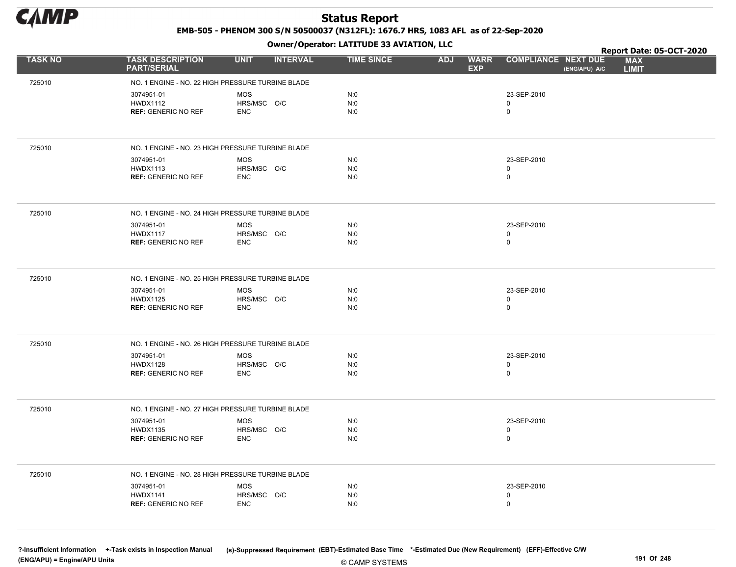

EMB-505 - PHENOM 300 S/N 50500037 (N312FL): 1676.7 HRS, 1083 AFL as of 22-Sep-2020

Owner/Operator: LATITUDE 33 AVIATION, LLC

|                |                                                   | .                              |                   |                                         |                                             | Report Date: 05-OCT-2020   |
|----------------|---------------------------------------------------|--------------------------------|-------------------|-----------------------------------------|---------------------------------------------|----------------------------|
| <b>TASK NO</b> | <b>TASK DESCRIPTION</b><br><b>PART/SERIAL</b>     | <b>UNIT</b><br><b>INTERVAL</b> | <b>TIME SINCE</b> | <b>WARR</b><br><b>ADJ</b><br><b>EXP</b> | <b>COMPLIANCE NEXT DUE</b><br>(ENG/APU) A/C | <b>MAX</b><br><b>LIMIT</b> |
| 725010         | NO. 1 ENGINE - NO. 22 HIGH PRESSURE TURBINE BLADE |                                |                   |                                         |                                             |                            |
|                | 3074951-01                                        | <b>MOS</b>                     | N:0               |                                         | 23-SEP-2010                                 |                            |
|                | <b>HWDX1112</b>                                   | HRS/MSC O/C                    | N:0               |                                         | $\mathbf 0$                                 |                            |
|                | <b>REF: GENERIC NO REF</b>                        | <b>ENC</b>                     | N:0               |                                         | $\mathbf 0$                                 |                            |
|                |                                                   |                                |                   |                                         |                                             |                            |
| 725010         | NO. 1 ENGINE - NO. 23 HIGH PRESSURE TURBINE BLADE |                                |                   |                                         |                                             |                            |
|                | 3074951-01                                        | <b>MOS</b>                     | N:0               |                                         | 23-SEP-2010                                 |                            |
|                | <b>HWDX1113</b><br><b>REF: GENERIC NO REF</b>     | HRS/MSC O/C<br><b>ENC</b>      | N:0<br>N:0        |                                         | $\mathbf 0$<br>$\mathbf 0$                  |                            |
|                |                                                   |                                |                   |                                         |                                             |                            |
| 725010         | NO. 1 ENGINE - NO. 24 HIGH PRESSURE TURBINE BLADE |                                |                   |                                         |                                             |                            |
|                | 3074951-01                                        | <b>MOS</b>                     | N:0               |                                         | 23-SEP-2010                                 |                            |
|                | <b>HWDX1117</b>                                   | HRS/MSC O/C                    | N:0               |                                         | $\mathbf 0$<br>$\mathbf 0$                  |                            |
|                | <b>REF: GENERIC NO REF</b>                        | <b>ENC</b>                     | N:0               |                                         |                                             |                            |
|                |                                                   |                                |                   |                                         |                                             |                            |
| 725010         | NO. 1 ENGINE - NO. 25 HIGH PRESSURE TURBINE BLADE |                                |                   |                                         |                                             |                            |
|                | 3074951-01<br><b>HWDX1125</b>                     | <b>MOS</b><br>HRS/MSC O/C      | N:0<br>N:0        |                                         | 23-SEP-2010<br>$\mathbf 0$                  |                            |
|                | <b>REF: GENERIC NO REF</b>                        | <b>ENC</b>                     | N:0               |                                         | $\mathbf 0$                                 |                            |
|                |                                                   |                                |                   |                                         |                                             |                            |
| 725010         | NO. 1 ENGINE - NO. 26 HIGH PRESSURE TURBINE BLADE |                                |                   |                                         |                                             |                            |
|                |                                                   |                                |                   |                                         |                                             |                            |
|                | 3074951-01<br><b>HWDX1128</b>                     | <b>MOS</b><br>HRS/MSC O/C      | N:0<br>N:0        |                                         | 23-SEP-2010<br>$\mathbf 0$                  |                            |
|                | <b>REF: GENERIC NO REF</b>                        | <b>ENC</b>                     | N:0               |                                         | $\mathsf 0$                                 |                            |
|                |                                                   |                                |                   |                                         |                                             |                            |
| 725010         | NO. 1 ENGINE - NO. 27 HIGH PRESSURE TURBINE BLADE |                                |                   |                                         |                                             |                            |
|                | 3074951-01                                        | <b>MOS</b>                     | N:0               |                                         | 23-SEP-2010                                 |                            |
|                | <b>HWDX1135</b>                                   | HRS/MSC O/C                    | N:0               |                                         | $\mathbf 0$                                 |                            |
|                | <b>REF: GENERIC NO REF</b>                        | <b>ENC</b>                     | N:0               |                                         | $\mathbf 0$                                 |                            |
|                |                                                   |                                |                   |                                         |                                             |                            |
| 725010         | NO. 1 ENGINE - NO. 28 HIGH PRESSURE TURBINE BLADE |                                |                   |                                         |                                             |                            |
|                | 3074951-01                                        | <b>MOS</b>                     | N:0               |                                         | 23-SEP-2010                                 |                            |
|                | <b>HWDX1141</b>                                   | HRS/MSC O/C                    | N:0               |                                         | $\mathbf 0$                                 |                            |
|                | <b>REF: GENERIC NO REF</b>                        | <b>ENC</b>                     | N:0               |                                         | $\mathbf 0$                                 |                            |
|                |                                                   |                                |                   |                                         |                                             |                            |

© CAMP SYSTEMS ?-Insufficient Information +-Task exists in Inspection Manual (s)-Suppressed Requirement (EBT)-Estimated Base Time \*-Estimated Due (New Requirement) (EFF)-Effective C/W (ENG/APU) = Engine/APU Units 191 Of 248 and the control of 248 and the control of 248 and the control of 248 and the control of 248 and the control of 248 and the control of 248 and the control of 248 and the control of 2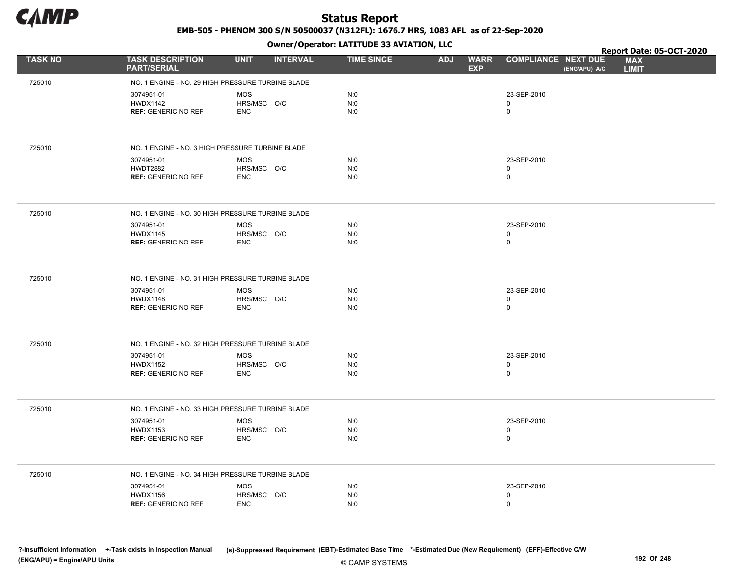

EMB-505 - PHENOM 300 S/N 50500037 (N312FL): 1676.7 HRS, 1083 AFL as of 22-Sep-2020

Owner/Operator: LATITUDE 33 AVIATION, LLC

|                |                                                   | .                              |                   |                                         |                                             | Report Date: 05-OCT-2020   |
|----------------|---------------------------------------------------|--------------------------------|-------------------|-----------------------------------------|---------------------------------------------|----------------------------|
| <b>TASK NO</b> | <b>TASK DESCRIPTION</b><br><b>PART/SERIAL</b>     | <b>INTERVAL</b><br><b>UNIT</b> | <b>TIME SINCE</b> | <b>WARR</b><br><b>ADJ</b><br><b>EXP</b> | <b>COMPLIANCE NEXT DUE</b><br>(ENG/APU) A/C | <b>MAX</b><br><b>LIMIT</b> |
| 725010         | NO. 1 ENGINE - NO. 29 HIGH PRESSURE TURBINE BLADE |                                |                   |                                         |                                             |                            |
|                | 3074951-01                                        | <b>MOS</b>                     | N:0               |                                         | 23-SEP-2010                                 |                            |
|                | <b>HWDX1142</b>                                   | HRS/MSC O/C                    | N:0               |                                         | $\mathbf 0$                                 |                            |
|                | <b>REF: GENERIC NO REF</b>                        | <b>ENC</b>                     | N:0               |                                         | $\mathbf 0$                                 |                            |
|                |                                                   |                                |                   |                                         |                                             |                            |
| 725010         | NO. 1 ENGINE - NO. 3 HIGH PRESSURE TURBINE BLADE  |                                |                   |                                         |                                             |                            |
|                | 3074951-01                                        | <b>MOS</b>                     | N:0               |                                         | 23-SEP-2010                                 |                            |
|                | <b>HWDT2882</b><br><b>REF: GENERIC NO REF</b>     | HRS/MSC O/C<br><b>ENC</b>      | N:0<br>N:0        |                                         | 0<br>$\mathsf 0$                            |                            |
|                |                                                   |                                |                   |                                         |                                             |                            |
| 725010         | NO. 1 ENGINE - NO. 30 HIGH PRESSURE TURBINE BLADE |                                |                   |                                         |                                             |                            |
|                | 3074951-01                                        | <b>MOS</b>                     | N:0               |                                         | 23-SEP-2010                                 |                            |
|                | <b>HWDX1145</b><br><b>REF: GENERIC NO REF</b>     | HRS/MSC O/C<br><b>ENC</b>      | N:0<br>N:0        |                                         | 0<br>$\mathbf 0$                            |                            |
|                |                                                   |                                |                   |                                         |                                             |                            |
| 725010         | NO. 1 ENGINE - NO. 31 HIGH PRESSURE TURBINE BLADE |                                |                   |                                         |                                             |                            |
|                | 3074951-01<br><b>HWDX1148</b>                     | <b>MOS</b>                     | N:0               |                                         | 23-SEP-2010<br>0                            |                            |
|                | <b>REF: GENERIC NO REF</b>                        | HRS/MSC O/C<br><b>ENC</b>      | N:0<br>N:0        |                                         | $\mathsf{O}$                                |                            |
|                |                                                   |                                |                   |                                         |                                             |                            |
| 725010         | NO. 1 ENGINE - NO. 32 HIGH PRESSURE TURBINE BLADE |                                |                   |                                         |                                             |                            |
|                | 3074951-01                                        | <b>MOS</b>                     | N:0               |                                         | 23-SEP-2010                                 |                            |
|                | <b>HWDX1152</b><br><b>REF: GENERIC NO REF</b>     | HRS/MSC O/C<br><b>ENC</b>      | N:0<br>N:0        |                                         | $\mathsf 0$<br>$\mathsf 0$                  |                            |
|                |                                                   |                                |                   |                                         |                                             |                            |
| 725010         | NO. 1 ENGINE - NO. 33 HIGH PRESSURE TURBINE BLADE |                                |                   |                                         |                                             |                            |
|                | 3074951-01<br><b>HWDX1153</b>                     | MOS<br>HRS/MSC O/C             | N:0<br>N:0        |                                         | 23-SEP-2010<br>0                            |                            |
|                | <b>REF: GENERIC NO REF</b>                        | <b>ENC</b>                     | N:0               |                                         | $\mathbf 0$                                 |                            |
|                |                                                   |                                |                   |                                         |                                             |                            |
| 725010         | NO. 1 ENGINE - NO. 34 HIGH PRESSURE TURBINE BLADE |                                |                   |                                         |                                             |                            |
|                | 3074951-01                                        | MOS                            | N:0               |                                         | 23-SEP-2010                                 |                            |
|                | <b>HWDX1156</b><br><b>REF: GENERIC NO REF</b>     | HRS/MSC O/C<br><b>ENC</b>      | N:0<br>N:0        |                                         | 0<br>$\mathbf 0$                            |                            |
|                |                                                   |                                |                   |                                         |                                             |                            |
|                |                                                   |                                |                   |                                         |                                             |                            |

© CAMP SYSTEMS ?-Insufficient Information +-Task exists in Inspection Manual (s)-Suppressed Requirement (EBT)-Estimated Base Time \*-Estimated Due (New Requirement) (EFF)-Effective C/W (ENG/APU) = Engine/APU Units 192 Of 248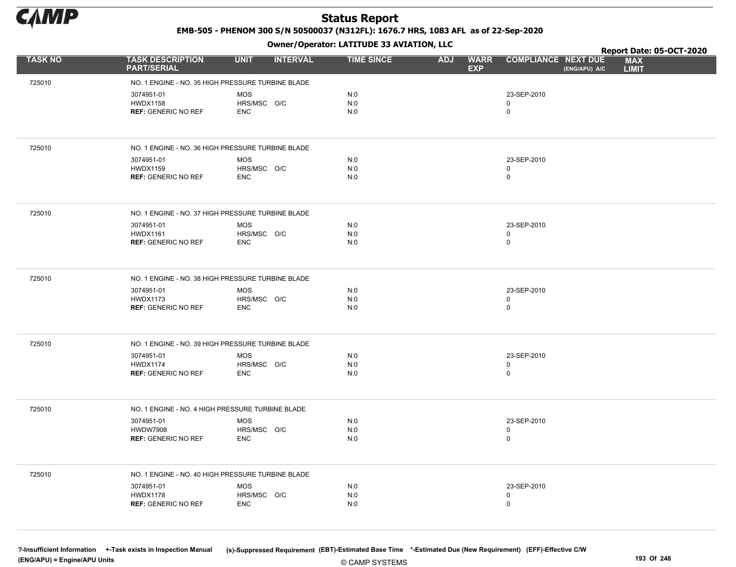

EMB-505 - PHENOM 300 S/N 50500037 (N312FL): 1676.7 HRS, 1083 AFL as of 22-Sep-2020

Owner/Operator: LATITUDE 33 AVIATION, LLC

|                |                                                   | .                              |                   |                                         |                                             | Report Date: 05-OCT-2020   |
|----------------|---------------------------------------------------|--------------------------------|-------------------|-----------------------------------------|---------------------------------------------|----------------------------|
| <b>TASK NO</b> | <b>TASK DESCRIPTION</b><br><b>PART/SERIAL</b>     | <b>INTERVAL</b><br><b>UNIT</b> | <b>TIME SINCE</b> | <b>WARR</b><br><b>ADJ</b><br><b>EXP</b> | <b>COMPLIANCE NEXT DUE</b><br>(ENG/APU) A/C | <b>MAX</b><br><b>LIMIT</b> |
| 725010         | NO. 1 ENGINE - NO. 35 HIGH PRESSURE TURBINE BLADE |                                |                   |                                         |                                             |                            |
|                | 3074951-01                                        | <b>MOS</b>                     | N:0               |                                         | 23-SEP-2010                                 |                            |
|                | <b>HWDX1158</b>                                   | HRS/MSC O/C                    | N:0               |                                         | $\mathbf 0$                                 |                            |
|                | <b>REF: GENERIC NO REF</b>                        | <b>ENC</b>                     | N:0               |                                         | $\mathbf 0$                                 |                            |
|                |                                                   |                                |                   |                                         |                                             |                            |
| 725010         | NO. 1 ENGINE - NO. 36 HIGH PRESSURE TURBINE BLADE |                                |                   |                                         |                                             |                            |
|                | 3074951-01                                        | <b>MOS</b>                     | N:0               |                                         | 23-SEP-2010                                 |                            |
|                | <b>HWDX1159</b><br><b>REF: GENERIC NO REF</b>     | HRS/MSC O/C<br><b>ENC</b>      | N:0<br>N:0        |                                         | 0<br>$\mathsf 0$                            |                            |
|                |                                                   |                                |                   |                                         |                                             |                            |
| 725010         | NO. 1 ENGINE - NO. 37 HIGH PRESSURE TURBINE BLADE |                                |                   |                                         |                                             |                            |
|                | 3074951-01                                        | <b>MOS</b>                     | N:0               |                                         | 23-SEP-2010                                 |                            |
|                | <b>HWDX1161</b><br><b>REF: GENERIC NO REF</b>     | HRS/MSC O/C<br><b>ENC</b>      | N:0<br>N:0        |                                         | 0<br>$\mathbf 0$                            |                            |
|                |                                                   |                                |                   |                                         |                                             |                            |
| 725010         | NO. 1 ENGINE - NO. 38 HIGH PRESSURE TURBINE BLADE |                                |                   |                                         |                                             |                            |
|                | 3074951-01                                        | <b>MOS</b>                     | N:0               |                                         | 23-SEP-2010                                 |                            |
|                | <b>HWDX1173</b><br><b>REF: GENERIC NO REF</b>     | HRS/MSC O/C<br><b>ENC</b>      | N:0<br>N:0        |                                         | 0<br>$\mathsf{O}$                           |                            |
|                |                                                   |                                |                   |                                         |                                             |                            |
| 725010         | NO. 1 ENGINE - NO. 39 HIGH PRESSURE TURBINE BLADE |                                |                   |                                         |                                             |                            |
|                | 3074951-01                                        | <b>MOS</b>                     | N:0               |                                         | 23-SEP-2010                                 |                            |
|                | <b>HWDX1174</b><br><b>REF: GENERIC NO REF</b>     | HRS/MSC O/C<br><b>ENC</b>      | N:0<br>N:0        |                                         | $\mathsf 0$<br>$\mathsf 0$                  |                            |
|                |                                                   |                                |                   |                                         |                                             |                            |
| 725010         | NO. 1 ENGINE - NO. 4 HIGH PRESSURE TURBINE BLADE  |                                |                   |                                         |                                             |                            |
|                | 3074951-01                                        | MOS                            | N:0               |                                         | 23-SEP-2010                                 |                            |
|                | <b>HWDW7908</b><br><b>REF: GENERIC NO REF</b>     | HRS/MSC O/C<br><b>ENC</b>      | N:0<br>N:0        |                                         | 0<br>$\mathbf 0$                            |                            |
|                |                                                   |                                |                   |                                         |                                             |                            |
| 725010         | NO. 1 ENGINE - NO. 40 HIGH PRESSURE TURBINE BLADE |                                |                   |                                         |                                             |                            |
|                | 3074951-01                                        | MOS                            | N:0               |                                         | 23-SEP-2010                                 |                            |
|                | <b>HWDX1178</b>                                   | HRS/MSC O/C                    | N:0               |                                         | 0                                           |                            |
|                | <b>REF: GENERIC NO REF</b>                        | <b>ENC</b>                     | N:0               |                                         | $\mathbf 0$                                 |                            |
|                |                                                   |                                |                   |                                         |                                             |                            |

© CAMP SYSTEMS ?-Insufficient Information +-Task exists in Inspection Manual (s)-Suppressed Requirement (EBT)-Estimated Base Time \*-Estimated Due (New Requirement) (EFF)-Effective C/W (ENG/APU) = Engine/APU Units 193 Of 248 and the control of the control of the control of the control of the control of the control of the control of the control of the control of the control of the control of the control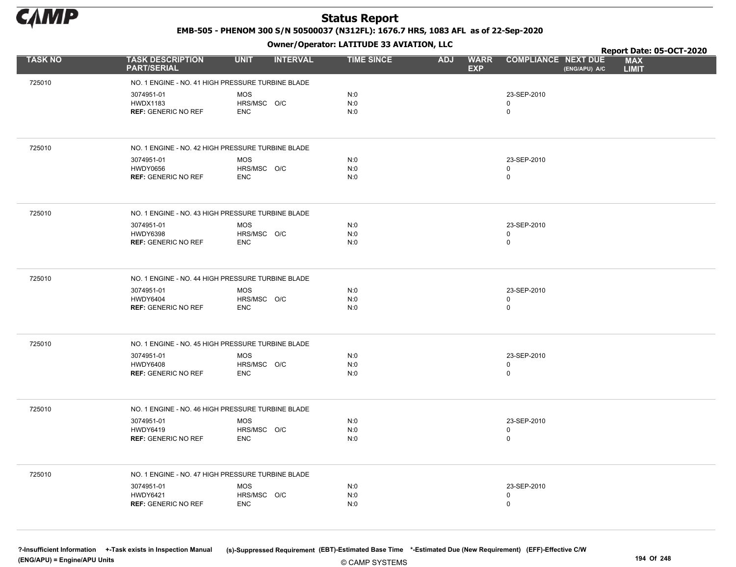

EMB-505 - PHENOM 300 S/N 50500037 (N312FL): 1676.7 HRS, 1083 AFL as of 22-Sep-2020

Owner/Operator: LATITUDE 33 AVIATION, LLC

|                |                                                             |                                         | Owner/Operator. EATITODE 33 AVIATION, LLC |                                         |                                           |               | Report Date: 05-OCT-2020   |
|----------------|-------------------------------------------------------------|-----------------------------------------|-------------------------------------------|-----------------------------------------|-------------------------------------------|---------------|----------------------------|
| <b>TASK NO</b> | <b>TASK DESCRIPTION</b><br><b>PART/SERIAL</b>               | <b>UNIT</b><br><b>INTERVAL</b>          | <b>TIME SINCE</b>                         | <b>ADJ</b><br><b>WARR</b><br><b>EXP</b> | <b>COMPLIANCE NEXT DUE</b>                | (ENG/APU) A/C | <b>MAX</b><br><b>LIMIT</b> |
| 725010         | NO. 1 ENGINE - NO. 41 HIGH PRESSURE TURBINE BLADE           |                                         |                                           |                                         |                                           |               |                            |
|                | 3074951-01<br><b>HWDX1183</b><br><b>REF: GENERIC NO REF</b> | <b>MOS</b><br>HRS/MSC O/C<br><b>ENC</b> | N:0<br>N:0<br>N:0                         |                                         | 23-SEP-2010<br>$\mathbf 0$<br>$\mathbf 0$ |               |                            |
| 725010         | NO. 1 ENGINE - NO. 42 HIGH PRESSURE TURBINE BLADE           |                                         |                                           |                                         |                                           |               |                            |
|                | 3074951-01<br><b>HWDY0656</b><br><b>REF: GENERIC NO REF</b> | <b>MOS</b><br>HRS/MSC O/C<br><b>ENC</b> | N:0<br>N:0<br>N:0                         |                                         | 23-SEP-2010<br>$\mathbf 0$<br>$\mathbf 0$ |               |                            |
| 725010         | NO. 1 ENGINE - NO. 43 HIGH PRESSURE TURBINE BLADE           |                                         |                                           |                                         |                                           |               |                            |
|                | 3074951-01<br>HWDY6398<br><b>REF: GENERIC NO REF</b>        | <b>MOS</b><br>HRS/MSC O/C<br><b>ENC</b> | N:0<br>N:0<br>N:0                         |                                         | 23-SEP-2010<br>$\mathbf 0$<br>$\mathbf 0$ |               |                            |
| 725010         | NO. 1 ENGINE - NO. 44 HIGH PRESSURE TURBINE BLADE           |                                         |                                           |                                         |                                           |               |                            |
|                | 3074951-01<br><b>HWDY6404</b><br><b>REF: GENERIC NO REF</b> | <b>MOS</b><br>HRS/MSC O/C<br><b>ENC</b> | N:0<br>N:0<br>N:0                         |                                         | 23-SEP-2010<br>$\mathbf 0$<br>$\mathbf 0$ |               |                            |
| 725010         | NO. 1 ENGINE - NO. 45 HIGH PRESSURE TURBINE BLADE           |                                         |                                           |                                         |                                           |               |                            |
|                | 3074951-01<br><b>HWDY6408</b><br><b>REF: GENERIC NO REF</b> | <b>MOS</b><br>HRS/MSC O/C<br><b>ENC</b> | N:0<br>N:0<br>N:0                         |                                         | 23-SEP-2010<br>$\mathbf 0$<br>$\mathbf 0$ |               |                            |
| 725010         | NO. 1 ENGINE - NO. 46 HIGH PRESSURE TURBINE BLADE           |                                         |                                           |                                         |                                           |               |                            |
|                | 3074951-01<br><b>HWDY6419</b><br><b>REF: GENERIC NO REF</b> | <b>MOS</b><br>HRS/MSC O/C<br><b>ENC</b> | N:0<br>N:0<br>N:0                         |                                         | 23-SEP-2010<br>0<br>$\mathbf 0$           |               |                            |
| 725010         | NO. 1 ENGINE - NO. 47 HIGH PRESSURE TURBINE BLADE           |                                         |                                           |                                         |                                           |               |                            |
|                | 3074951-01<br><b>HWDY6421</b><br><b>REF: GENERIC NO REF</b> | <b>MOS</b><br>HRS/MSC O/C<br><b>ENC</b> | N:0<br>N:0<br>N:0                         |                                         | 23-SEP-2010<br>$\mathbf 0$<br>$\mathbf 0$ |               |                            |

© CAMP SYSTEMS ?-Insufficient Information +-Task exists in Inspection Manual (s)-Suppressed Requirement (EBT)-Estimated Base Time \*-Estimated Due (New Requirement) (EFF)-Effective C/W (ENG/APU) = Engine/APU Units 194 Of 248 and the control of 248 and the control of 248 and the control of 248 of 248 and the control of 248 and the control of 248 and the control of 248 and the control of 248 and the contr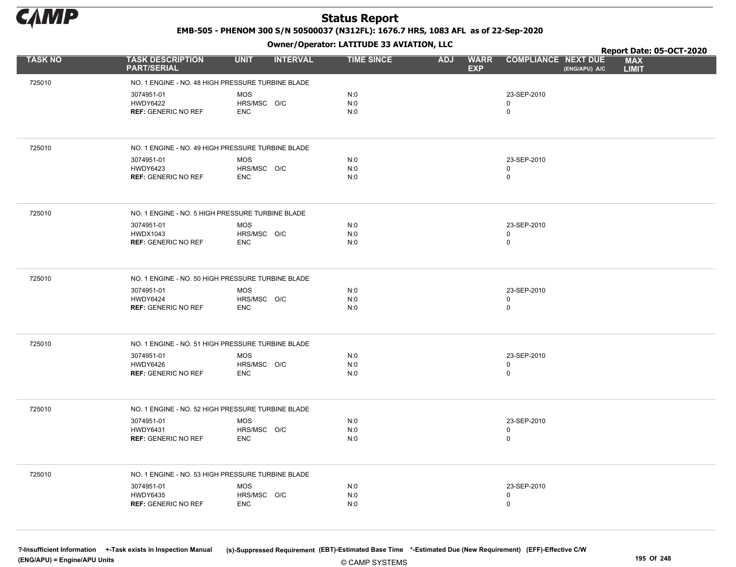

EMB-505 - PHENOM 300 S/N 50500037 (N312FL): 1676.7 HRS, 1083 AFL as of 22-Sep-2020

Owner/Operator: LATITUDE 33 AVIATION, LLC

|                |                                                             |                                         | Owner/Operator. EATITODE 33 AVIATION, LLC |                                         |                                           |               | Report Date: 05-OCT-2020   |
|----------------|-------------------------------------------------------------|-----------------------------------------|-------------------------------------------|-----------------------------------------|-------------------------------------------|---------------|----------------------------|
| <b>TASK NO</b> | <b>TASK DESCRIPTION</b><br><b>PART/SERIAL</b>               | <b>UNIT</b><br><b>INTERVAL</b>          | <b>TIME SINCE</b>                         | <b>ADJ</b><br><b>WARR</b><br><b>EXP</b> | <b>COMPLIANCE NEXT DUE</b>                | (ENG/APU) A/C | <b>MAX</b><br><b>LIMIT</b> |
| 725010         | NO. 1 ENGINE - NO. 48 HIGH PRESSURE TURBINE BLADE           |                                         |                                           |                                         |                                           |               |                            |
|                | 3074951-01<br><b>HWDY6422</b><br><b>REF: GENERIC NO REF</b> | <b>MOS</b><br>HRS/MSC O/C<br><b>ENC</b> | N:0<br>N:0<br>N:0                         |                                         | 23-SEP-2010<br>$\mathbf 0$<br>$\mathbf 0$ |               |                            |
| 725010         | NO. 1 ENGINE - NO. 49 HIGH PRESSURE TURBINE BLADE           |                                         |                                           |                                         |                                           |               |                            |
|                | 3074951-01<br><b>HWDY6423</b><br><b>REF: GENERIC NO REF</b> | <b>MOS</b><br>HRS/MSC O/C<br><b>ENC</b> | N:0<br>N:0<br>N:0                         |                                         | 23-SEP-2010<br>$\mathbf 0$<br>$\mathbf 0$ |               |                            |
| 725010         | NO. 1 ENGINE - NO. 5 HIGH PRESSURE TURBINE BLADE            |                                         |                                           |                                         |                                           |               |                            |
|                | 3074951-01<br><b>HWDX1043</b><br><b>REF: GENERIC NO REF</b> | <b>MOS</b><br>HRS/MSC O/C<br><b>ENC</b> | N:0<br>N:0<br>N:0                         |                                         | 23-SEP-2010<br>$\mathbf 0$<br>$\mathbf 0$ |               |                            |
| 725010         | NO. 1 ENGINE - NO. 50 HIGH PRESSURE TURBINE BLADE           |                                         |                                           |                                         |                                           |               |                            |
|                | 3074951-01<br><b>HWDY6424</b><br><b>REF: GENERIC NO REF</b> | <b>MOS</b><br>HRS/MSC O/C<br><b>ENC</b> | N:0<br>N:0<br>N:0                         |                                         | 23-SEP-2010<br>$\mathbf 0$<br>$\mathbf 0$ |               |                            |
| 725010         | NO. 1 ENGINE - NO. 51 HIGH PRESSURE TURBINE BLADE           |                                         |                                           |                                         |                                           |               |                            |
|                | 3074951-01<br><b>HWDY6426</b><br><b>REF: GENERIC NO REF</b> | <b>MOS</b><br>HRS/MSC O/C<br><b>ENC</b> | N:0<br>N:0<br>N:0                         |                                         | 23-SEP-2010<br>$\mathbf 0$<br>$\mathbf 0$ |               |                            |
| 725010         | NO. 1 ENGINE - NO. 52 HIGH PRESSURE TURBINE BLADE           |                                         |                                           |                                         |                                           |               |                            |
|                | 3074951-01<br><b>HWDY6431</b><br><b>REF: GENERIC NO REF</b> | <b>MOS</b><br>HRS/MSC O/C<br><b>ENC</b> | N:0<br>N:0<br>N:0                         |                                         | 23-SEP-2010<br>0<br>$\mathbf 0$           |               |                            |
| 725010         | NO. 1 ENGINE - NO. 53 HIGH PRESSURE TURBINE BLADE           |                                         |                                           |                                         |                                           |               |                            |
|                | 3074951-01<br>HWDY6435<br><b>REF: GENERIC NO REF</b>        | <b>MOS</b><br>HRS/MSC O/C<br><b>ENC</b> | N:0<br>N:0<br>N:0                         |                                         | 23-SEP-2010<br>$\mathbf 0$<br>$\mathbf 0$ |               |                            |

© CAMP SYSTEMS ?-Insufficient Information +-Task exists in Inspection Manual (s)-Suppressed Requirement (EBT)-Estimated Base Time \*-Estimated Due (New Requirement) (EFF)-Effective C/W (ENG/APU) = Engine/APU Units 195 Of 248 and the control of 248 and the control of 248 and the control of 248 and the control of 248 and the control of 248 and the control of 248 and the control of 248 and the control of 2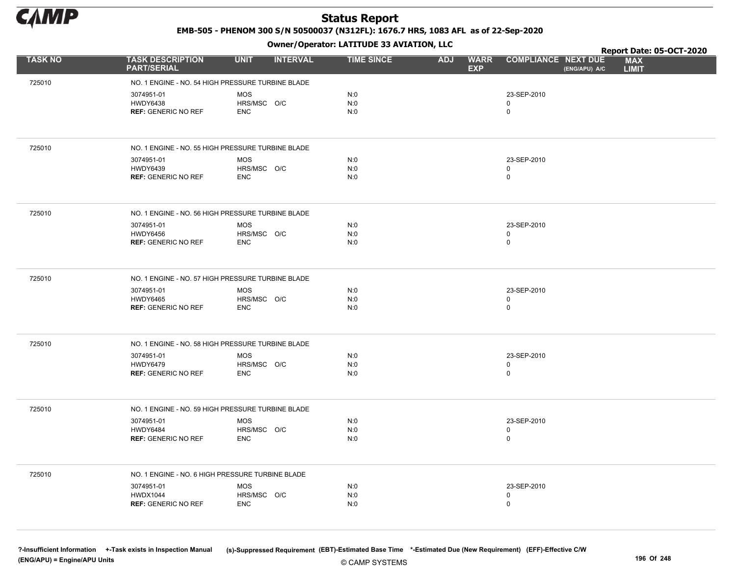

EMB-505 - PHENOM 300 S/N 50500037 (N312FL): 1676.7 HRS, 1083 AFL as of 22-Sep-2020

Owner/Operator: LATITUDE 33 AVIATION, LLC

|                |                                                   | .                              |                   |                                         |                                             | Report Date: 05-OCT-2020   |
|----------------|---------------------------------------------------|--------------------------------|-------------------|-----------------------------------------|---------------------------------------------|----------------------------|
| <b>TASK NO</b> | <b>TASK DESCRIPTION</b><br><b>PART/SERIAL</b>     | <b>UNIT</b><br><b>INTERVAL</b> | <b>TIME SINCE</b> | <b>ADJ</b><br><b>WARR</b><br><b>EXP</b> | <b>COMPLIANCE NEXT DUE</b><br>(ENG/APU) A/C | <b>MAX</b><br><b>LIMIT</b> |
| 725010         | NO. 1 ENGINE - NO. 54 HIGH PRESSURE TURBINE BLADE |                                |                   |                                         |                                             |                            |
|                | 3074951-01                                        | <b>MOS</b>                     | N:0               |                                         | 23-SEP-2010                                 |                            |
|                | <b>HWDY6438</b>                                   | HRS/MSC O/C                    | N:0               |                                         | 0                                           |                            |
|                | <b>REF: GENERIC NO REF</b>                        | <b>ENC</b>                     | N:0               |                                         | 0                                           |                            |
|                |                                                   |                                |                   |                                         |                                             |                            |
| 725010         | NO. 1 ENGINE - NO. 55 HIGH PRESSURE TURBINE BLADE |                                |                   |                                         |                                             |                            |
|                | 3074951-01                                        | <b>MOS</b>                     | N:0               |                                         | 23-SEP-2010                                 |                            |
|                | <b>HWDY6439</b><br><b>REF: GENERIC NO REF</b>     | HRS/MSC O/C<br><b>ENC</b>      | N:0<br>N:0        |                                         | 0<br>0                                      |                            |
|                |                                                   |                                |                   |                                         |                                             |                            |
| 725010         | NO. 1 ENGINE - NO. 56 HIGH PRESSURE TURBINE BLADE |                                |                   |                                         |                                             |                            |
|                | 3074951-01                                        | <b>MOS</b>                     | N:0               |                                         | 23-SEP-2010                                 |                            |
|                | <b>HWDY6456</b><br><b>REF: GENERIC NO REF</b>     | HRS/MSC O/C<br><b>ENC</b>      | N:0<br>N:0        |                                         | 0<br>$\mathbf 0$                            |                            |
|                |                                                   |                                |                   |                                         |                                             |                            |
|                |                                                   |                                |                   |                                         |                                             |                            |
| 725010         | NO. 1 ENGINE - NO. 57 HIGH PRESSURE TURBINE BLADE |                                |                   |                                         |                                             |                            |
|                | 3074951-01                                        | MOS                            | N:0               |                                         | 23-SEP-2010                                 |                            |
|                | <b>HWDY6465</b><br><b>REF: GENERIC NO REF</b>     | HRS/MSC O/C<br><b>ENC</b>      | N:0<br>N:0        |                                         | 0<br>0                                      |                            |
|                |                                                   |                                |                   |                                         |                                             |                            |
| 725010         | NO. 1 ENGINE - NO. 58 HIGH PRESSURE TURBINE BLADE |                                |                   |                                         |                                             |                            |
|                | 3074951-01                                        | <b>MOS</b>                     | N:0               |                                         | 23-SEP-2010                                 |                            |
|                | <b>HWDY6479</b>                                   | HRS/MSC O/C                    | N:0               |                                         | 0                                           |                            |
|                | <b>REF: GENERIC NO REF</b>                        | <b>ENC</b>                     | N:0               |                                         | 0                                           |                            |
|                |                                                   |                                |                   |                                         |                                             |                            |
| 725010         | NO. 1 ENGINE - NO. 59 HIGH PRESSURE TURBINE BLADE |                                |                   |                                         |                                             |                            |
|                | 3074951-01                                        | <b>MOS</b>                     | N:0               |                                         | 23-SEP-2010                                 |                            |
|                | HWDY6484                                          | HRS/MSC O/C                    | N:0               |                                         | 0<br>0                                      |                            |
|                | <b>REF: GENERIC NO REF</b>                        | <b>ENC</b>                     | N:0               |                                         |                                             |                            |
| 725010         | NO. 1 ENGINE - NO. 6 HIGH PRESSURE TURBINE BLADE  |                                |                   |                                         |                                             |                            |
|                | 3074951-01                                        | <b>MOS</b>                     | N:0               |                                         | 23-SEP-2010                                 |                            |
|                | <b>HWDX1044</b>                                   | HRS/MSC O/C                    | N:0               |                                         | 0                                           |                            |
|                | <b>REF: GENERIC NO REF</b>                        | <b>ENC</b>                     | N:0               |                                         | 0                                           |                            |
|                |                                                   |                                |                   |                                         |                                             |                            |
|                |                                                   |                                |                   |                                         |                                             |                            |

© CAMP SYSTEMS ?-Insufficient Information +-Task exists in Inspection Manual (s)-Suppressed Requirement (EBT)-Estimated Base Time \*-Estimated Due (New Requirement) (EFF)-Effective C/W (ENG/APU) = Engine/APU Units 196 Of 248 and the control of 248 and the control of 248 and the control of 248 and the control of 248 and the control of 248 and the control of 248 and the control of 248 and the control of 2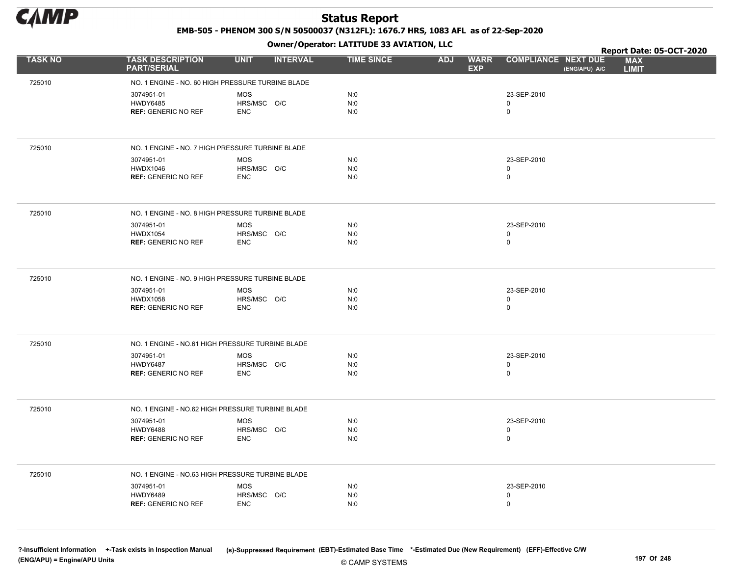

EMB-505 - PHENOM 300 S/N 50500037 (N312FL): 1676.7 HRS, 1083 AFL as of 22-Sep-2020

Owner/Operator: LATITUDE 33 AVIATION, LLC

|                |                                                   | .                              |                   |                                         |                                             | Report Date: 05-OCT-2020   |
|----------------|---------------------------------------------------|--------------------------------|-------------------|-----------------------------------------|---------------------------------------------|----------------------------|
| <b>TASK NO</b> | <b>TASK DESCRIPTION</b><br><b>PART/SERIAL</b>     | <b>UNIT</b><br><b>INTERVAL</b> | <b>TIME SINCE</b> | <b>ADJ</b><br><b>WARR</b><br><b>EXP</b> | <b>COMPLIANCE NEXT DUE</b><br>(ENG/APU) A/C | <b>MAX</b><br><b>LIMIT</b> |
| 725010         | NO. 1 ENGINE - NO. 60 HIGH PRESSURE TURBINE BLADE |                                |                   |                                         |                                             |                            |
|                | 3074951-01                                        | <b>MOS</b>                     | N:0               |                                         | 23-SEP-2010                                 |                            |
|                | <b>HWDY6485</b>                                   | HRS/MSC O/C                    | N:0               |                                         | 0                                           |                            |
|                | <b>REF: GENERIC NO REF</b>                        | <b>ENC</b>                     | N:0               |                                         | 0                                           |                            |
|                |                                                   |                                |                   |                                         |                                             |                            |
| 725010         | NO. 1 ENGINE - NO. 7 HIGH PRESSURE TURBINE BLADE  |                                |                   |                                         |                                             |                            |
|                | 3074951-01                                        | <b>MOS</b>                     | N:0               |                                         | 23-SEP-2010                                 |                            |
|                | <b>HWDX1046</b><br><b>REF: GENERIC NO REF</b>     | HRS/MSC O/C<br><b>ENC</b>      | N:0<br>N:0        |                                         | 0<br>0                                      |                            |
|                |                                                   |                                |                   |                                         |                                             |                            |
| 725010         | NO. 1 ENGINE - NO. 8 HIGH PRESSURE TURBINE BLADE  |                                |                   |                                         |                                             |                            |
|                | 3074951-01                                        | <b>MOS</b>                     | N:0               |                                         | 23-SEP-2010                                 |                            |
|                | <b>HWDX1054</b><br><b>REF: GENERIC NO REF</b>     | HRS/MSC O/C<br><b>ENC</b>      | N:0<br>N:0        |                                         | 0<br>$\mathbf 0$                            |                            |
|                |                                                   |                                |                   |                                         |                                             |                            |
|                |                                                   |                                |                   |                                         |                                             |                            |
| 725010         | NO. 1 ENGINE - NO. 9 HIGH PRESSURE TURBINE BLADE  |                                |                   |                                         |                                             |                            |
|                | 3074951-01<br><b>HWDX1058</b>                     | <b>MOS</b><br>HRS/MSC O/C      | N:0<br>N:0        |                                         | 23-SEP-2010<br>0                            |                            |
|                | <b>REF: GENERIC NO REF</b>                        | <b>ENC</b>                     | N:0               |                                         | 0                                           |                            |
|                |                                                   |                                |                   |                                         |                                             |                            |
| 725010         | NO. 1 ENGINE - NO.61 HIGH PRESSURE TURBINE BLADE  |                                |                   |                                         |                                             |                            |
|                | 3074951-01                                        | <b>MOS</b>                     | N:0               |                                         | 23-SEP-2010                                 |                            |
|                | <b>HWDY6487</b>                                   | HRS/MSC O/C                    | N:0               |                                         | 0                                           |                            |
|                | <b>REF: GENERIC NO REF</b>                        | <b>ENC</b>                     | N:0               |                                         | 0                                           |                            |
|                |                                                   |                                |                   |                                         |                                             |                            |
| 725010         | NO. 1 ENGINE - NO.62 HIGH PRESSURE TURBINE BLADE  |                                |                   |                                         |                                             |                            |
|                | 3074951-01<br><b>HWDY6488</b>                     | <b>MOS</b><br>HRS/MSC O/C      | N:0<br>N:0        |                                         | 23-SEP-2010<br>0                            |                            |
|                | <b>REF: GENERIC NO REF</b>                        | <b>ENC</b>                     | N:0               |                                         | 0                                           |                            |
|                |                                                   |                                |                   |                                         |                                             |                            |
| 725010         | NO. 1 ENGINE - NO.63 HIGH PRESSURE TURBINE BLADE  |                                |                   |                                         |                                             |                            |
|                | 3074951-01                                        | <b>MOS</b>                     | N:0               |                                         | 23-SEP-2010                                 |                            |
|                | HWDY6489                                          | HRS/MSC O/C                    | N:0               |                                         | 0                                           |                            |
|                | <b>REF: GENERIC NO REF</b>                        | <b>ENC</b>                     | N:0               |                                         | 0                                           |                            |
|                |                                                   |                                |                   |                                         |                                             |                            |
|                |                                                   |                                |                   |                                         |                                             |                            |

© CAMP SYSTEMS ?-Insufficient Information +-Task exists in Inspection Manual (s)-Suppressed Requirement (EBT)-Estimated Base Time \*-Estimated Due (New Requirement) (EFF)-Effective C/W (ENG/APU) = Engine/APU Units 197 Of 248 and the control of the control of the control of the control of the control of the control of the control of the control of the control of the control of the control of the control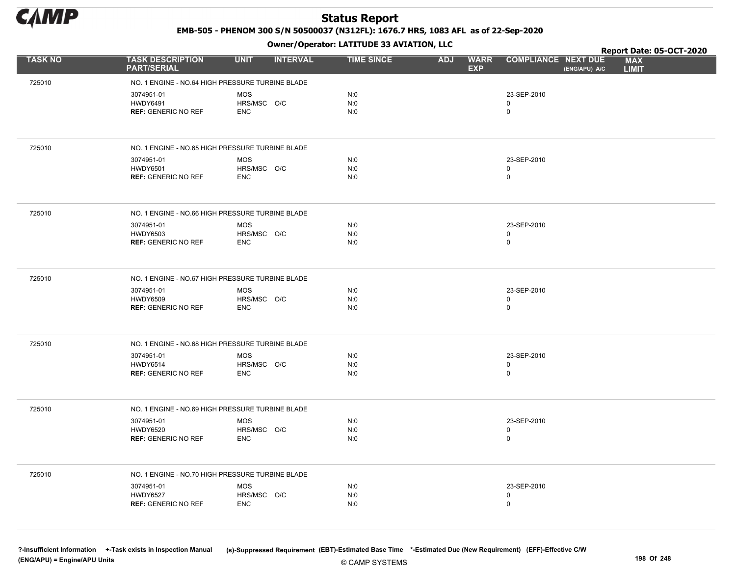

EMB-505 - PHENOM 300 S/N 50500037 (N312FL): 1676.7 HRS, 1083 AFL as of 22-Sep-2020

Owner/Operator: LATITUDE 33 AVIATION, LLC

|                |                                                  | .                              |                   |                                         |                                             | Report Date: 05-OCT-2020   |
|----------------|--------------------------------------------------|--------------------------------|-------------------|-----------------------------------------|---------------------------------------------|----------------------------|
| <b>TASK NO</b> | <b>TASK DESCRIPTION</b><br><b>PART/SERIAL</b>    | <b>UNIT</b><br><b>INTERVAL</b> | <b>TIME SINCE</b> | <b>ADJ</b><br><b>WARR</b><br><b>EXP</b> | <b>COMPLIANCE NEXT DUE</b><br>(ENG/APU) A/C | <b>MAX</b><br><b>LIMIT</b> |
| 725010         | NO. 1 ENGINE - NO.64 HIGH PRESSURE TURBINE BLADE |                                |                   |                                         |                                             |                            |
|                | 3074951-01                                       | <b>MOS</b>                     | N:0               |                                         | 23-SEP-2010                                 |                            |
|                | <b>HWDY6491</b>                                  | HRS/MSC O/C                    | N:0               |                                         | 0                                           |                            |
|                | <b>REF: GENERIC NO REF</b>                       | <b>ENC</b>                     | N:0               |                                         | 0                                           |                            |
|                |                                                  |                                |                   |                                         |                                             |                            |
| 725010         | NO. 1 ENGINE - NO.65 HIGH PRESSURE TURBINE BLADE |                                |                   |                                         |                                             |                            |
|                | 3074951-01<br><b>HWDY6501</b>                    | <b>MOS</b>                     | N:0               |                                         | 23-SEP-2010                                 |                            |
|                | <b>REF: GENERIC NO REF</b>                       | HRS/MSC O/C<br><b>ENC</b>      | N:0<br>N:0        |                                         | 0<br>0                                      |                            |
|                |                                                  |                                |                   |                                         |                                             |                            |
| 725010         | NO. 1 ENGINE - NO.66 HIGH PRESSURE TURBINE BLADE |                                |                   |                                         |                                             |                            |
|                | 3074951-01                                       | <b>MOS</b>                     | N:0               |                                         | 23-SEP-2010                                 |                            |
|                | <b>HWDY6503</b><br><b>REF: GENERIC NO REF</b>    | HRS/MSC O/C<br><b>ENC</b>      | N:0<br>N:0        |                                         | 0<br>0                                      |                            |
|                |                                                  |                                |                   |                                         |                                             |                            |
| 725010         | NO. 1 ENGINE - NO.67 HIGH PRESSURE TURBINE BLADE |                                |                   |                                         |                                             |                            |
|                |                                                  |                                |                   |                                         |                                             |                            |
|                | 3074951-01<br><b>HWDY6509</b>                    | MOS<br>HRS/MSC O/C             | N:0<br>N:0        |                                         | 23-SEP-2010<br>0                            |                            |
|                | <b>REF: GENERIC NO REF</b>                       | <b>ENC</b>                     | N:0               |                                         | 0                                           |                            |
|                |                                                  |                                |                   |                                         |                                             |                            |
| 725010         | NO. 1 ENGINE - NO.68 HIGH PRESSURE TURBINE BLADE |                                |                   |                                         |                                             |                            |
|                | 3074951-01                                       | <b>MOS</b>                     | N:0               |                                         | 23-SEP-2010                                 |                            |
|                | <b>HWDY6514</b>                                  | HRS/MSC O/C                    | N:0               |                                         | 0<br>0                                      |                            |
|                | <b>REF: GENERIC NO REF</b>                       | <b>ENC</b>                     | N:0               |                                         |                                             |                            |
|                |                                                  |                                |                   |                                         |                                             |                            |
| 725010         | NO. 1 ENGINE - NO.69 HIGH PRESSURE TURBINE BLADE |                                |                   |                                         |                                             |                            |
|                | 3074951-01<br><b>HWDY6520</b>                    | <b>MOS</b><br>HRS/MSC O/C      | N:0<br>N:0        |                                         | 23-SEP-2010<br>$\mathbf 0$                  |                            |
|                | <b>REF: GENERIC NO REF</b>                       | <b>ENC</b>                     | N:0               |                                         | 0                                           |                            |
|                |                                                  |                                |                   |                                         |                                             |                            |
| 725010         | NO. 1 ENGINE - NO.70 HIGH PRESSURE TURBINE BLADE |                                |                   |                                         |                                             |                            |
|                | 3074951-01                                       | <b>MOS</b>                     | N:0               |                                         | 23-SEP-2010                                 |                            |
|                | <b>HWDY6527</b>                                  | HRS/MSC O/C                    | N:0               |                                         | 0                                           |                            |
|                | <b>REF: GENERIC NO REF</b>                       | <b>ENC</b>                     | N:0               |                                         | $\mathbf 0$                                 |                            |
|                |                                                  |                                |                   |                                         |                                             |                            |

© CAMP SYSTEMS ?-Insufficient Information +-Task exists in Inspection Manual (s)-Suppressed Requirement (EBT)-Estimated Base Time \*-Estimated Due (New Requirement) (EFF)-Effective C/W (ENG/APU) = Engine/APU Units 198 Of 248 Production of the contract of the contract of the contract of the contract of the contract of the contract of the contract of the contract of the contract of the contract of the con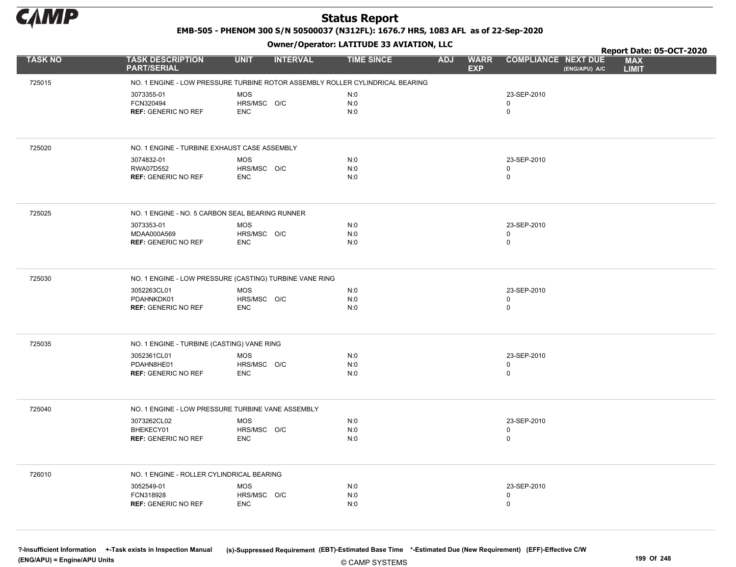

EMB-505 - PHENOM 300 S/N 50500037 (N312FL): 1676.7 HRS, 1083 AFL as of 22-Sep-2020

Owner/Operator: LATITUDE 33 AVIATION, LLC

|                |                                                         |                                                                               | Owner/Operator. EATITODE 33 AVIATION, LLC |                                         |                                           |               | Report Date: 05-OCT-2020   |
|----------------|---------------------------------------------------------|-------------------------------------------------------------------------------|-------------------------------------------|-----------------------------------------|-------------------------------------------|---------------|----------------------------|
| <b>TASK NO</b> | <b>TASK DESCRIPTION</b><br><b>PART/SERIAL</b>           | <b>UNIT</b><br><b>INTERVAL</b>                                                | <b>TIME SINCE</b>                         | <b>ADJ</b><br><b>WARR</b><br><b>EXP</b> | <b>COMPLIANCE NEXT DUE</b>                | (ENG/APU) A/C | <b>MAX</b><br><b>LIMIT</b> |
| 725015         |                                                         | NO. 1 ENGINE - LOW PRESSURE TURBINE ROTOR ASSEMBLY ROLLER CYLINDRICAL BEARING |                                           |                                         |                                           |               |                            |
|                | 3073355-01<br>FCN320494<br><b>REF: GENERIC NO REF</b>   | <b>MOS</b><br>HRS/MSC O/C<br><b>ENC</b>                                       | N:0<br>N:0<br>N:0                         |                                         | 23-SEP-2010<br>$\mathbf 0$<br>$\mathsf 0$ |               |                            |
| 725020         | NO. 1 ENGINE - TURBINE EXHAUST CASE ASSEMBLY            |                                                                               |                                           |                                         |                                           |               |                            |
|                | 3074832-01<br>RWA07D552<br><b>REF: GENERIC NO REF</b>   | MOS<br>HRS/MSC O/C<br><b>ENC</b>                                              | N:0<br>N:0<br>N:0                         |                                         | 23-SEP-2010<br>$\mathbf 0$<br>$\mathbf 0$ |               |                            |
| 725025         | NO. 1 ENGINE - NO. 5 CARBON SEAL BEARING RUNNER         |                                                                               |                                           |                                         |                                           |               |                            |
|                | 3073353-01<br>MDAA000A569<br><b>REF: GENERIC NO REF</b> | <b>MOS</b><br>HRS/MSC O/C<br><b>ENC</b>                                       | N:0<br>N:0<br>N:0                         |                                         | 23-SEP-2010<br>$\mathbf 0$<br>$\mathbf 0$ |               |                            |
| 725030         |                                                         | NO. 1 ENGINE - LOW PRESSURE (CASTING) TURBINE VANE RING                       |                                           |                                         |                                           |               |                            |
|                | 3052263CL01<br>PDAHNKDK01<br><b>REF: GENERIC NO REF</b> | <b>MOS</b><br>HRS/MSC O/C<br><b>ENC</b>                                       | N:0<br>N:0<br>N:0                         |                                         | 23-SEP-2010<br>$\mathbf 0$<br>$\mathbf 0$ |               |                            |
| 725035         | NO. 1 ENGINE - TURBINE (CASTING) VANE RING              |                                                                               |                                           |                                         |                                           |               |                            |
|                | 3052361CL01<br>PDAHN8HE01<br><b>REF: GENERIC NO REF</b> | MOS<br>HRS/MSC O/C<br><b>ENC</b>                                              | N:0<br>N:0<br>N:0                         |                                         | 23-SEP-2010<br>$\mathbf 0$<br>$\mathsf 0$ |               |                            |
| 725040         | NO. 1 ENGINE - LOW PRESSURE TURBINE VANE ASSEMBLY       |                                                                               |                                           |                                         |                                           |               |                            |
|                | 3073262CL02<br>BHEKECY01<br><b>REF: GENERIC NO REF</b>  | <b>MOS</b><br>HRS/MSC O/C<br><b>ENC</b>                                       | N:0<br>N:0<br>N:0                         |                                         | 23-SEP-2010<br>$\mathbf 0$<br>$\mathsf 0$ |               |                            |
| 726010         | NO. 1 ENGINE - ROLLER CYLINDRICAL BEARING               |                                                                               |                                           |                                         |                                           |               |                            |
|                | 3052549-01<br>FCN318928<br><b>REF: GENERIC NO REF</b>   | <b>MOS</b><br>HRS/MSC O/C<br><b>ENC</b>                                       | N:0<br>N:0<br>N:0                         |                                         | 23-SEP-2010<br>0<br>$\mathbf 0$           |               |                            |

© CAMP SYSTEMS ?-Insufficient Information +-Task exists in Inspection Manual (s)-Suppressed Requirement (EBT)-Estimated Base Time \*-Estimated Due (New Requirement) (EFF)-Effective C/W (ENG/APU) = Engine/APU Units 199 Of 248 and the control of 248 and the control of 248 and the control of 248 and the control of 248 and the control of 248 and the control of 248 and the control of 248 and the control of 2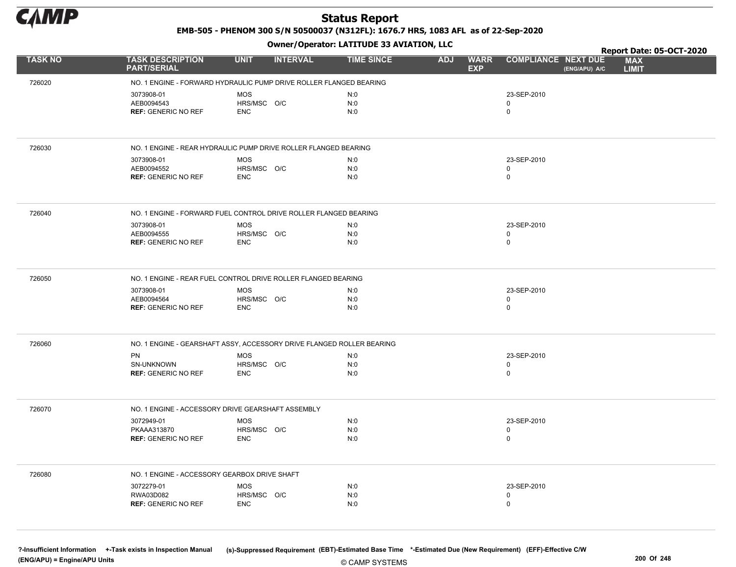

EMB-505 - PHENOM 300 S/N 50500037 (N312FL): 1676.7 HRS, 1083 AFL as of 22-Sep-2020

Owner/Operator: LATITUDE 33 AVIATION, LLC

|                |                                                                       |                           | .               |                   |            |                           |                                             | Report Date: 05-OCT-2020   |
|----------------|-----------------------------------------------------------------------|---------------------------|-----------------|-------------------|------------|---------------------------|---------------------------------------------|----------------------------|
| <b>TASK NO</b> | <b>TASK DESCRIPTION</b><br><b>PART/SERIAL</b>                         | <b>UNIT</b>               | <b>INTERVAL</b> | <b>TIME SINCE</b> | <b>ADJ</b> | <b>WARR</b><br><b>EXP</b> | <b>COMPLIANCE NEXT DUE</b><br>(ENG/APU) A/C | <b>MAX</b><br><b>LIMIT</b> |
| 726020         | NO. 1 ENGINE - FORWARD HYDRAULIC PUMP DRIVE ROLLER FLANGED BEARING    |                           |                 |                   |            |                           |                                             |                            |
|                | 3073908-01                                                            | <b>MOS</b>                |                 | N:0               |            |                           | 23-SEP-2010                                 |                            |
|                | AEB0094543                                                            | HRS/MSC O/C               |                 | N:0               |            |                           | 0                                           |                            |
|                | <b>REF: GENERIC NO REF</b>                                            | <b>ENC</b>                |                 | N:0               |            |                           | $\pmb{0}$                                   |                            |
|                |                                                                       |                           |                 |                   |            |                           |                                             |                            |
| 726030         | NO. 1 ENGINE - REAR HYDRAULIC PUMP DRIVE ROLLER FLANGED BEARING       |                           |                 |                   |            |                           |                                             |                            |
|                | 3073908-01                                                            | <b>MOS</b>                |                 | N:0               |            |                           | 23-SEP-2010                                 |                            |
|                | AEB0094552<br><b>REF: GENERIC NO REF</b>                              | HRS/MSC O/C<br><b>ENC</b> |                 | N:0<br>N:0        |            |                           | $\mathbf 0$<br>$\pmb{0}$                    |                            |
|                |                                                                       |                           |                 |                   |            |                           |                                             |                            |
| 726040         | NO. 1 ENGINE - FORWARD FUEL CONTROL DRIVE ROLLER FLANGED BEARING      |                           |                 |                   |            |                           |                                             |                            |
|                | 3073908-01                                                            | <b>MOS</b>                |                 | N:0               |            |                           | 23-SEP-2010                                 |                            |
|                | AEB0094555<br><b>REF: GENERIC NO REF</b>                              | HRS/MSC O/C<br><b>ENC</b> |                 | N:0<br>N:0        |            |                           | 0<br>$\mathbf 0$                            |                            |
|                |                                                                       |                           |                 |                   |            |                           |                                             |                            |
|                |                                                                       |                           |                 |                   |            |                           |                                             |                            |
| 726050         | NO. 1 ENGINE - REAR FUEL CONTROL DRIVE ROLLER FLANGED BEARING         |                           |                 |                   |            |                           |                                             |                            |
|                | 3073908-01<br>AEB0094564                                              | <b>MOS</b><br>HRS/MSC O/C |                 | N:0<br>N:0        |            |                           | 23-SEP-2010<br>$\pmb{0}$                    |                            |
|                | <b>REF: GENERIC NO REF</b>                                            | <b>ENC</b>                |                 | N:0               |            |                           | $\pmb{0}$                                   |                            |
|                |                                                                       |                           |                 |                   |            |                           |                                             |                            |
| 726060         | NO. 1 ENGINE - GEARSHAFT ASSY, ACCESSORY DRIVE FLANGED ROLLER BEARING |                           |                 |                   |            |                           |                                             |                            |
|                | <b>PN</b>                                                             | <b>MOS</b>                |                 | N:0               |            |                           | 23-SEP-2010                                 |                            |
|                | SN-UNKNOWN                                                            | HRS/MSC O/C               |                 | N:0               |            |                           | $\pmb{0}$                                   |                            |
|                | <b>REF: GENERIC NO REF</b>                                            | <b>ENC</b>                |                 | N:0               |            |                           | $\mathbf 0$                                 |                            |
|                |                                                                       |                           |                 |                   |            |                           |                                             |                            |
| 726070         | NO. 1 ENGINE - ACCESSORY DRIVE GEARSHAFT ASSEMBLY                     |                           |                 |                   |            |                           |                                             |                            |
|                | 3072949-01<br>PKAAA313870                                             | <b>MOS</b><br>HRS/MSC O/C |                 | N:0<br>N:0        |            |                           | 23-SEP-2010<br>0                            |                            |
|                | <b>REF: GENERIC NO REF</b>                                            | <b>ENC</b>                |                 | N:0               |            |                           | $\mathbf 0$                                 |                            |
|                |                                                                       |                           |                 |                   |            |                           |                                             |                            |
| 726080         | NO. 1 ENGINE - ACCESSORY GEARBOX DRIVE SHAFT                          |                           |                 |                   |            |                           |                                             |                            |
|                | 3072279-01                                                            | <b>MOS</b>                |                 | N:0               |            |                           | 23-SEP-2010                                 |                            |
|                | RWA03D082                                                             | HRS/MSC O/C               |                 | N:0               |            |                           | 0                                           |                            |
|                | <b>REF: GENERIC NO REF</b>                                            | <b>ENC</b>                |                 | N:0               |            |                           | 0                                           |                            |
|                |                                                                       |                           |                 |                   |            |                           |                                             |                            |

© CAMP SYSTEMS ?-Insufficient Information +-Task exists in Inspection Manual (s)-Suppressed Requirement (EBT)-Estimated Base Time \*-Estimated Due (New Requirement) (EFF)-Effective C/W (ENG/APU) = Engine/APU Units 200 Of 248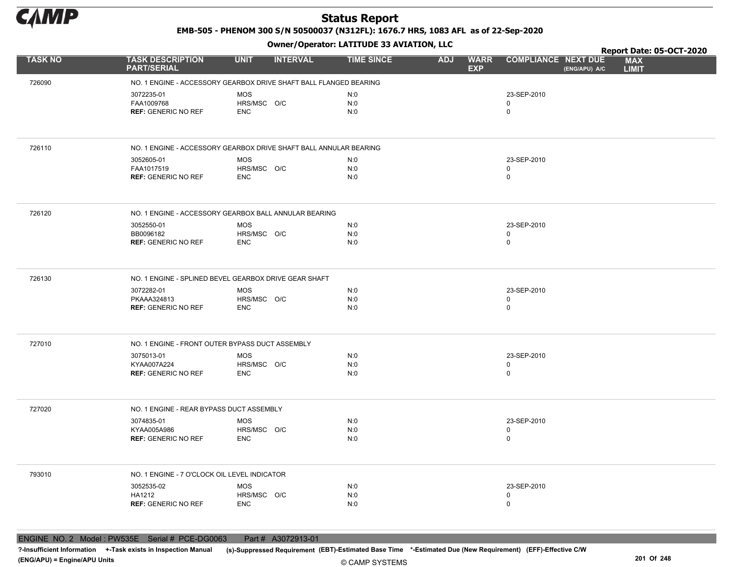

EMB-505 - PHENOM 300 S/N 50500037 (N312FL): 1676.7 HRS, 1083 AFL as of 22-Sep-2020

Owner/Operator: LATITUDE 33 AVIATION, LLC

|                |                                                                   |                                |                   |                                         |                                             | Report Date: 05-OCT-2020   |
|----------------|-------------------------------------------------------------------|--------------------------------|-------------------|-----------------------------------------|---------------------------------------------|----------------------------|
| <b>TASK NO</b> | <b>TASK DESCRIPTION</b><br><b>PART/SERIAL</b>                     | <b>UNIT</b><br><b>INTERVAL</b> | <b>TIME SINCE</b> | <b>WARR</b><br><b>ADJ</b><br><b>EXP</b> | <b>COMPLIANCE NEXT DUE</b><br>(ENG/APU) A/C | <b>MAX</b><br><b>LIMIT</b> |
| 726090         | NO. 1 ENGINE - ACCESSORY GEARBOX DRIVE SHAFT BALL FLANGED BEARING |                                |                   |                                         |                                             |                            |
|                | 3072235-01                                                        | <b>MOS</b>                     | N:0               |                                         | 23-SEP-2010                                 |                            |
|                | FAA1009768                                                        | HRS/MSC O/C                    | N:0               |                                         | 0                                           |                            |
|                | <b>REF: GENERIC NO REF</b>                                        | <b>ENC</b>                     | N:0               |                                         | $\pmb{0}$                                   |                            |
|                |                                                                   |                                |                   |                                         |                                             |                            |
| 726110         | NO. 1 ENGINE - ACCESSORY GEARBOX DRIVE SHAFT BALL ANNULAR BEARING |                                |                   |                                         |                                             |                            |
|                | 3052605-01                                                        | MOS                            | N:0               |                                         | 23-SEP-2010                                 |                            |
|                | FAA1017519<br><b>REF: GENERIC NO REF</b>                          | HRS/MSC O/C<br><b>ENC</b>      | N:0<br>N:0        |                                         | 0<br>$\pmb{0}$                              |                            |
|                |                                                                   |                                |                   |                                         |                                             |                            |
| 726120         | NO. 1 ENGINE - ACCESSORY GEARBOX BALL ANNULAR BEARING             |                                |                   |                                         |                                             |                            |
|                | 3052550-01                                                        | MOS                            | N:0               |                                         | 23-SEP-2010                                 |                            |
|                | BB0096182<br><b>REF: GENERIC NO REF</b>                           | HRS/MSC O/C<br><b>ENC</b>      | N:0<br>N:0        |                                         | $\mathbf 0$<br>$\mathbf 0$                  |                            |
|                |                                                                   |                                |                   |                                         |                                             |                            |
|                |                                                                   |                                |                   |                                         |                                             |                            |
| 726130         | NO. 1 ENGINE - SPLINED BEVEL GEARBOX DRIVE GEAR SHAFT             |                                |                   |                                         |                                             |                            |
|                | 3072282-01<br>PKAAA324813                                         | <b>MOS</b><br>HRS/MSC O/C      | N:0<br>N:0        |                                         | 23-SEP-2010<br>0                            |                            |
|                | <b>REF: GENERIC NO REF</b>                                        | <b>ENC</b>                     | N:0               |                                         | $\mathbf 0$                                 |                            |
|                |                                                                   |                                |                   |                                         |                                             |                            |
| 727010         | NO. 1 ENGINE - FRONT OUTER BYPASS DUCT ASSEMBLY                   |                                |                   |                                         |                                             |                            |
|                | 3075013-01                                                        | <b>MOS</b>                     | N:0               |                                         | 23-SEP-2010                                 |                            |
|                | KYAA007A224<br><b>REF: GENERIC NO REF</b>                         | HRS/MSC O/C<br><b>ENC</b>      | N:0<br>N:0        |                                         | 0<br>$\pmb{0}$                              |                            |
|                |                                                                   |                                |                   |                                         |                                             |                            |
| 727020         | NO. 1 ENGINE - REAR BYPASS DUCT ASSEMBLY                          |                                |                   |                                         |                                             |                            |
|                | 3074835-01                                                        | <b>MOS</b>                     | N:0               |                                         | 23-SEP-2010                                 |                            |
|                | KYAA005A986                                                       | HRS/MSC O/C                    | N:0               |                                         | 0<br>$\pmb{0}$                              |                            |
|                | <b>REF: GENERIC NO REF</b>                                        | <b>ENC</b>                     | N:0               |                                         |                                             |                            |
|                |                                                                   |                                |                   |                                         |                                             |                            |
| 793010         | NO. 1 ENGINE - 7 O'CLOCK OIL LEVEL INDICATOR                      |                                |                   |                                         |                                             |                            |
|                | 3052535-02<br>HA1212                                              | <b>MOS</b><br>HRS/MSC O/C      | N:0<br>N:0        |                                         | 23-SEP-2010<br>0                            |                            |
|                | <b>REF: GENERIC NO REF</b>                                        | <b>ENC</b>                     | N:0               |                                         | $\mathbf 0$                                 |                            |
|                |                                                                   |                                |                   |                                         |                                             |                            |

ENGINE NO. 2 Model : PW535E Serial # PCE-DG0063 Part # A3072913-01

?-Insufficient Information +-Task exists in Inspection Manual (s)-Suppressed Requirement (EBT)-Estimated Base Time \*-Estimated Due (New Requirement) (EFF)-Effective C/W (ENG/APU) = Engine/APU Units 201 Of 248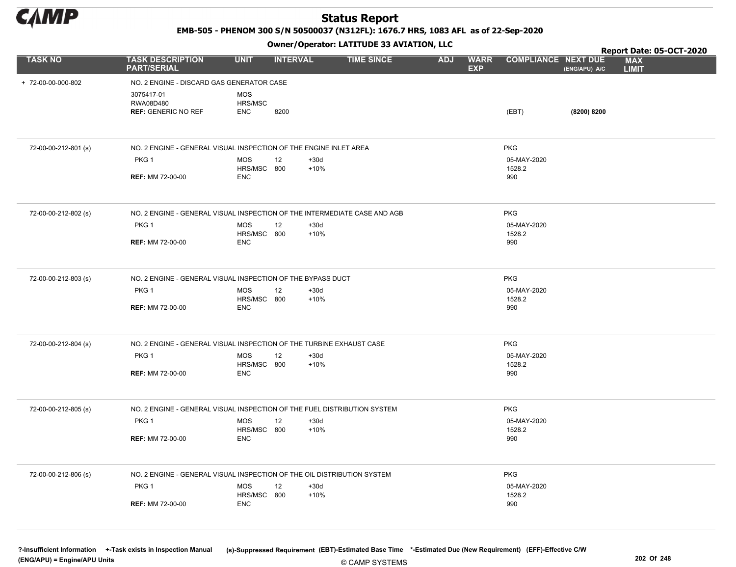

EMB-505 - PHENOM 300 S/N 50500037 (N312FL): 1676.7 HRS, 1083 AFL as of 22-Sep-2020

Owner/Operator: LATITUDE 33 AVIATION, LLC

|                      |                                                                           |                                     | .               |                  |                   |            |                           |                            |               | Report Date: 05-OCT-2020   |  |
|----------------------|---------------------------------------------------------------------------|-------------------------------------|-----------------|------------------|-------------------|------------|---------------------------|----------------------------|---------------|----------------------------|--|
| <b>TASK NO</b>       | <b>TASK DESCRIPTION</b><br><b>PART/SERIAL</b>                             | <b>UNIT</b>                         | <b>INTERVAL</b> |                  | <b>TIME SINCE</b> | <b>ADJ</b> | <b>WARR</b><br><b>EXP</b> | <b>COMPLIANCE NEXT DUE</b> | (ENG/APU) A/C | <b>MAX</b><br><b>LIMIT</b> |  |
| + 72-00-00-000-802   | NO. 2 ENGINE - DISCARD GAS GENERATOR CASE                                 |                                     |                 |                  |                   |            |                           |                            |               |                            |  |
|                      | 3075417-01<br>RWA08D480<br><b>REF: GENERIC NO REF</b>                     | <b>MOS</b><br>HRS/MSC<br><b>ENC</b> | 8200            |                  |                   |            |                           | (EBT)                      | (8200) 8200   |                            |  |
| 72-00-00-212-801 (s) | NO. 2 ENGINE - GENERAL VISUAL INSPECTION OF THE ENGINE INLET AREA         |                                     |                 |                  |                   |            |                           | <b>PKG</b>                 |               |                            |  |
|                      | PKG <sub>1</sub>                                                          | <b>MOS</b><br>HRS/MSC 800           | 12              | $+30d$<br>$+10%$ |                   |            |                           | 05-MAY-2020<br>1528.2      |               |                            |  |
|                      | <b>REF: MM 72-00-00</b>                                                   | <b>ENC</b>                          |                 |                  |                   |            |                           | 990                        |               |                            |  |
| 72-00-00-212-802 (s) | NO. 2 ENGINE - GENERAL VISUAL INSPECTION OF THE INTERMEDIATE CASE AND AGB |                                     |                 |                  |                   |            |                           | <b>PKG</b>                 |               |                            |  |
|                      | PKG <sub>1</sub>                                                          | <b>MOS</b><br>HRS/MSC 800           | 12              | $+30d$<br>$+10%$ |                   |            |                           | 05-MAY-2020<br>1528.2      |               |                            |  |
|                      | <b>REF: MM 72-00-00</b>                                                   | <b>ENC</b>                          |                 |                  |                   |            |                           | 990                        |               |                            |  |
| 72-00-00-212-803 (s) | NO. 2 ENGINE - GENERAL VISUAL INSPECTION OF THE BYPASS DUCT               |                                     |                 |                  |                   |            |                           | <b>PKG</b>                 |               |                            |  |
|                      | PKG <sub>1</sub>                                                          | <b>MOS</b><br>HRS/MSC 800           | 12              | $+30d$<br>$+10%$ |                   |            |                           | 05-MAY-2020<br>1528.2      |               |                            |  |
|                      | <b>REF: MM 72-00-00</b>                                                   | <b>ENC</b>                          |                 |                  |                   |            |                           | 990                        |               |                            |  |
| 72-00-00-212-804 (s) | NO. 2 ENGINE - GENERAL VISUAL INSPECTION OF THE TURBINE EXHAUST CASE      |                                     |                 |                  |                   |            |                           | <b>PKG</b>                 |               |                            |  |
|                      | PKG <sub>1</sub>                                                          | <b>MOS</b><br>HRS/MSC 800           | 12              | $+30d$<br>$+10%$ |                   |            |                           | 05-MAY-2020<br>1528.2      |               |                            |  |
|                      | <b>REF: MM 72-00-00</b>                                                   | <b>ENC</b>                          |                 |                  |                   |            |                           | 990                        |               |                            |  |
| 72-00-00-212-805 (s) | NO. 2 ENGINE - GENERAL VISUAL INSPECTION OF THE FUEL DISTRIBUTION SYSTEM  |                                     |                 |                  |                   |            |                           | <b>PKG</b>                 |               |                            |  |
|                      | PKG <sub>1</sub>                                                          | <b>MOS</b><br>HRS/MSC 800           | 12              | $+30d$<br>$+10%$ |                   |            |                           | 05-MAY-2020<br>1528.2      |               |                            |  |
|                      | <b>REF: MM 72-00-00</b>                                                   | <b>ENC</b>                          |                 |                  |                   |            |                           | 990                        |               |                            |  |
| 72-00-00-212-806 (s) | NO. 2 ENGINE - GENERAL VISUAL INSPECTION OF THE OIL DISTRIBUTION SYSTEM   |                                     |                 |                  |                   |            |                           | <b>PKG</b>                 |               |                            |  |
|                      | PKG <sub>1</sub>                                                          | <b>MOS</b><br>HRS/MSC 800           | 12              | $+30d$<br>$+10%$ |                   |            |                           | 05-MAY-2020<br>1528.2      |               |                            |  |
|                      | <b>REF: MM 72-00-00</b>                                                   | <b>ENC</b>                          |                 |                  |                   |            |                           | 990                        |               |                            |  |
|                      |                                                                           |                                     |                 |                  |                   |            |                           |                            |               |                            |  |

© CAMP SYSTEMS ?-Insufficient Information +-Task exists in Inspection Manual (s)-Suppressed Requirement (EBT)-Estimated Base Time \*-Estimated Due (New Requirement) (EFF)-Effective C/W (ENG/APU) = Engine/APU Units 202 Of 248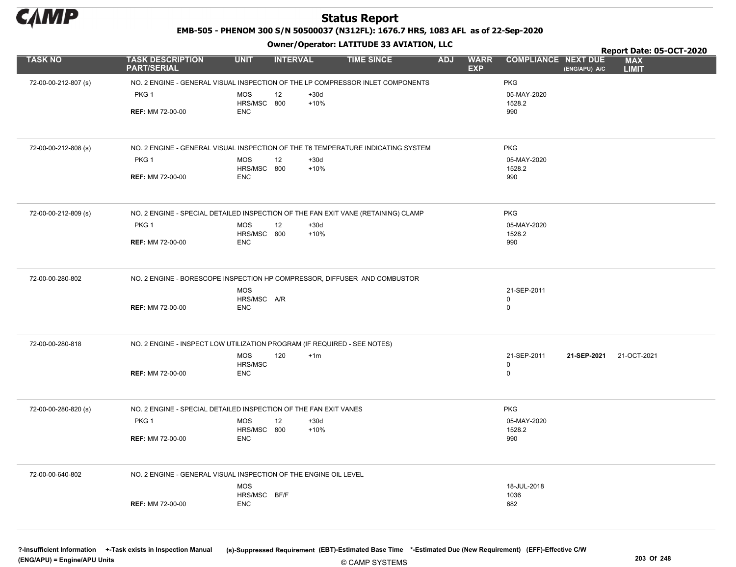

EMB-505 - PHENOM 300 S/N 50500037 (N312FL): 1676.7 HRS, 1083 AFL as of 22-Sep-2020

Owner/Operator: LATITUDE 33 AVIATION, LLC

|                      |                                               |                                                                                   |                                         | Report Date: 05-OCT-2020                                                  |
|----------------------|-----------------------------------------------|-----------------------------------------------------------------------------------|-----------------------------------------|---------------------------------------------------------------------------|
| <b>TASK NO</b>       | <b>TASK DESCRIPTION</b><br><b>PART/SERIAL</b> | <b>UNIT</b><br><b>INTERVAL</b><br><b>TIME SINCE</b>                               | <b>ADJ</b><br><b>WARR</b><br><b>EXP</b> | <b>COMPLIANCE NEXT DUE</b><br><b>MAX</b><br><b>LIMIT</b><br>(ENG/APU) A/C |
| 72-00-00-212-807 (s) |                                               | NO. 2 ENGINE - GENERAL VISUAL INSPECTION OF THE LP COMPRESSOR INLET COMPONENTS    | <b>PKG</b>                              |                                                                           |
|                      | PKG <sub>1</sub>                              | MOS<br>12<br>$+30d$                                                               | 05-MAY-2020                             |                                                                           |
|                      |                                               | $+10%$<br>HRS/MSC 800                                                             | 1528.2                                  |                                                                           |
|                      | <b>REF: MM 72-00-00</b>                       | <b>ENC</b>                                                                        | 990                                     |                                                                           |
|                      |                                               |                                                                                   |                                         |                                                                           |
| 72-00-00-212-808 (s) |                                               | NO. 2 ENGINE - GENERAL VISUAL INSPECTION OF THE T6 TEMPERATURE INDICATING SYSTEM  | <b>PKG</b>                              |                                                                           |
|                      | PKG 1                                         | MOS<br>$+30d$<br>12                                                               | 05-MAY-2020                             |                                                                           |
|                      |                                               | $+10%$<br>HRS/MSC 800                                                             | 1528.2                                  |                                                                           |
|                      | <b>REF: MM 72-00-00</b>                       | <b>ENC</b>                                                                        | 990                                     |                                                                           |
|                      |                                               |                                                                                   |                                         |                                                                           |
| 72-00-00-212-809 (s) |                                               | NO. 2 ENGINE - SPECIAL DETAILED INSPECTION OF THE FAN EXIT VANE (RETAINING) CLAMP | <b>PKG</b>                              |                                                                           |
|                      | PKG <sub>1</sub>                              | MOS<br>12<br>$+30d$                                                               | 05-MAY-2020                             |                                                                           |
|                      | <b>REF: MM 72-00-00</b>                       | HRS/MSC 800<br>$+10%$<br><b>ENC</b>                                               | 1528.2<br>990                           |                                                                           |
|                      |                                               |                                                                                   |                                         |                                                                           |
| 72-00-00-280-802     |                                               | NO. 2 ENGINE - BORESCOPE INSPECTION HP COMPRESSOR, DIFFUSER AND COMBUSTOR         |                                         |                                                                           |
|                      |                                               | MOS                                                                               | 21-SEP-2011                             |                                                                           |
|                      |                                               | HRS/MSC A/R                                                                       | 0                                       |                                                                           |
|                      | <b>REF: MM 72-00-00</b>                       | <b>ENC</b>                                                                        | $\mathbf 0$                             |                                                                           |
|                      |                                               |                                                                                   |                                         |                                                                           |
| 72-00-00-280-818     |                                               | NO. 2 ENGINE - INSPECT LOW UTILIZATION PROGRAM (IF REQUIRED - SEE NOTES)          |                                         |                                                                           |
|                      |                                               | MOS<br>120<br>$+1m$                                                               | 21-SEP-2011                             | 21-OCT-2021<br>21-SEP-2021                                                |
|                      |                                               | HRS/MSC                                                                           | $\mathbf 0$                             |                                                                           |
|                      | <b>REF: MM 72-00-00</b>                       | <b>ENC</b>                                                                        | $\mathbf 0$                             |                                                                           |
|                      |                                               |                                                                                   |                                         |                                                                           |
| 72-00-00-280-820 (s) |                                               | NO. 2 ENGINE - SPECIAL DETAILED INSPECTION OF THE FAN EXIT VANES                  | <b>PKG</b>                              |                                                                           |
|                      | PKG 1                                         | MOS<br>$+30d$<br>12                                                               | 05-MAY-2020                             |                                                                           |
|                      |                                               | HRS/MSC 800<br>$+10%$                                                             | 1528.2                                  |                                                                           |
|                      | <b>REF: MM 72-00-00</b>                       | <b>ENC</b>                                                                        | 990                                     |                                                                           |
|                      |                                               |                                                                                   |                                         |                                                                           |
| 72-00-00-640-802     |                                               | NO. 2 ENGINE - GENERAL VISUAL INSPECTION OF THE ENGINE OIL LEVEL                  |                                         |                                                                           |
|                      |                                               | MOS<br>HRS/MSC BF/F                                                               | 18-JUL-2018<br>1036                     |                                                                           |
|                      | <b>REF: MM 72-00-00</b>                       | <b>ENC</b>                                                                        | 682                                     |                                                                           |
|                      |                                               |                                                                                   |                                         |                                                                           |
|                      |                                               |                                                                                   |                                         |                                                                           |
|                      |                                               |                                                                                   |                                         |                                                                           |

?-Insufficient Information +-Task exists in Inspection Manual (s)-Suppressed Requirement (EBT)-Estimated Base Time \*-Estimated Due (New Requirement) (EFF)-Effective C/W (ENG/APU) = Engine/APU Units 203 Of 248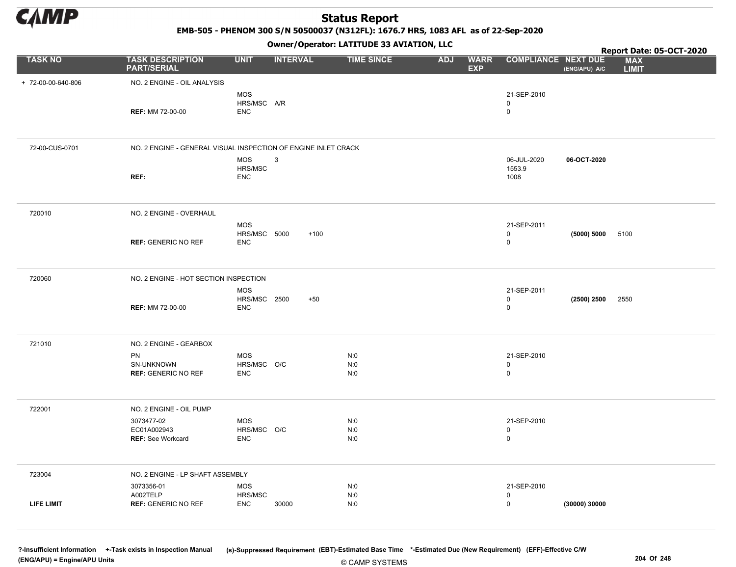

EMB-505 - PHENOM 300 S/N 50500037 (N312FL): 1676.7 HRS, 1083 AFL as of 22-Sep-2020

Owner/Operator: LATITUDE 33 AVIATION, LLC

|                    |                                                                |                                   |                 | Owner/Operator. EATITODE 33 AVIATION, LLC |                                         |                            |               | Report Date: 05-OCT-2020   |
|--------------------|----------------------------------------------------------------|-----------------------------------|-----------------|-------------------------------------------|-----------------------------------------|----------------------------|---------------|----------------------------|
| <b>TASK NO</b>     | <b>TASK DESCRIPTION</b><br><b>PART/SERIAL</b>                  | <b>UNIT</b>                       | <b>INTERVAL</b> | <b>TIME SINCE</b>                         | <b>ADJ</b><br><b>WARR</b><br><b>EXP</b> | <b>COMPLIANCE NEXT DUE</b> | (ENG/APU) A/C | <b>MAX</b><br><b>LIMIT</b> |
| + 72-00-00-640-806 | NO. 2 ENGINE - OIL ANALYSIS                                    |                                   |                 |                                           |                                         |                            |               |                            |
|                    |                                                                | <b>MOS</b>                        |                 |                                           |                                         | 21-SEP-2010                |               |                            |
|                    | <b>REF: MM 72-00-00</b>                                        | HRS/MSC A/R<br><b>ENC</b>         |                 |                                           |                                         | $\mathsf 0$<br>$\mathsf 0$ |               |                            |
|                    |                                                                |                                   |                 |                                           |                                         |                            |               |                            |
| 72-00-CUS-0701     | NO. 2 ENGINE - GENERAL VISUAL INSPECTION OF ENGINE INLET CRACK |                                   |                 |                                           |                                         |                            |               |                            |
|                    |                                                                | <b>MOS</b><br>HRS/MSC             | $\mathbf{3}$    |                                           |                                         | 06-JUL-2020<br>1553.9      | 06-OCT-2020   |                            |
|                    | REF:                                                           | <b>ENC</b>                        |                 |                                           |                                         | 1008                       |               |                            |
|                    |                                                                |                                   |                 |                                           |                                         |                            |               |                            |
| 720010             | NO. 2 ENGINE - OVERHAUL                                        |                                   |                 |                                           |                                         |                            |               |                            |
|                    |                                                                | <b>MOS</b><br>HRS/MSC 5000        | $+100$          |                                           |                                         | 21-SEP-2011<br>$\mathsf 0$ | (5000) 5000   | 5100                       |
|                    | <b>REF: GENERIC NO REF</b>                                     | <b>ENC</b>                        |                 |                                           |                                         | 0                          |               |                            |
|                    |                                                                |                                   |                 |                                           |                                         |                            |               |                            |
| 720060             | NO. 2 ENGINE - HOT SECTION INSPECTION                          |                                   |                 |                                           |                                         |                            |               |                            |
|                    |                                                                | <b>MOS</b><br><b>HRS/MSC 2500</b> | $+50$           |                                           |                                         | 21-SEP-2011<br>$\mathsf 0$ | (2500) 2500   | 2550                       |
|                    | <b>REF: MM 72-00-00</b>                                        | <b>ENC</b>                        |                 |                                           |                                         | $\mathbf 0$                |               |                            |
|                    |                                                                |                                   |                 |                                           |                                         |                            |               |                            |
| 721010             | NO. 2 ENGINE - GEARBOX                                         |                                   |                 |                                           |                                         |                            |               |                            |
|                    | PN<br>SN-UNKNOWN                                               | <b>MOS</b><br>HRS/MSC O/C         |                 | N:0<br>N:0                                |                                         | 21-SEP-2010<br>$\mathbf 0$ |               |                            |
|                    | <b>REF: GENERIC NO REF</b>                                     | <b>ENC</b>                        |                 | N:0                                       |                                         | $\mathsf 0$                |               |                            |
|                    |                                                                |                                   |                 |                                           |                                         |                            |               |                            |
| 722001             | NO. 2 ENGINE - OIL PUMP                                        |                                   |                 |                                           |                                         |                            |               |                            |
|                    | 3073477-02<br>EC01A002943                                      | <b>MOS</b><br>HRS/MSC O/C         |                 | N:0<br>N:0                                |                                         | 21-SEP-2010<br>$\mathbf 0$ |               |                            |
|                    | <b>REF: See Workcard</b>                                       | <b>ENC</b>                        |                 | N:0                                       |                                         | $\mathsf 0$                |               |                            |
|                    |                                                                |                                   |                 |                                           |                                         |                            |               |                            |
| 723004             | NO. 2 ENGINE - LP SHAFT ASSEMBLY                               |                                   |                 |                                           |                                         |                            |               |                            |
|                    | 3073356-01<br>A002TELP                                         | <b>MOS</b><br>HRS/MSC             |                 | N:0<br>N:0                                |                                         | 21-SEP-2010<br>$\mathbf 0$ |               |                            |
| LIFE LIMIT         | <b>REF: GENERIC NO REF</b>                                     | <b>ENC</b>                        | 30000           | N:0                                       |                                         | $\mathsf 0$                | (30000) 30000 |                            |
|                    |                                                                |                                   |                 |                                           |                                         |                            |               |                            |

© CAMP SYSTEMS ?-Insufficient Information +-Task exists in Inspection Manual (s)-Suppressed Requirement (EBT)-Estimated Base Time \*-Estimated Due (New Requirement) (EFF)-Effective C/W (ENG/APU) = Engine/APU Units 204 Of 248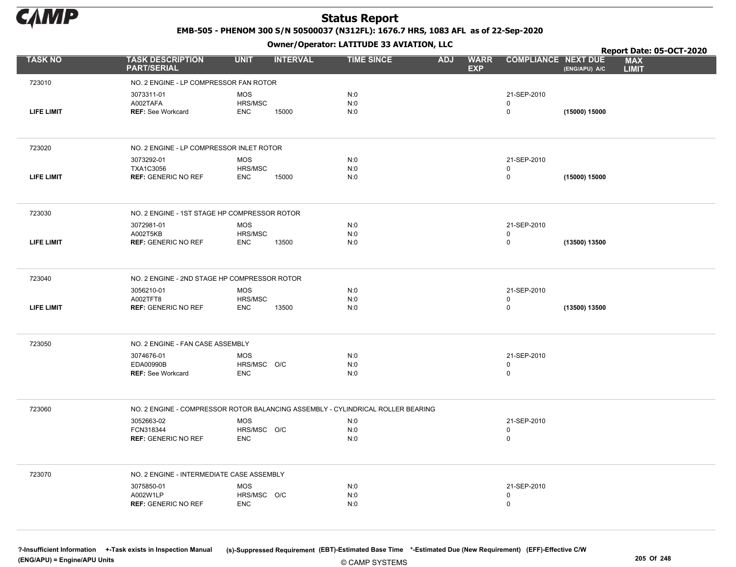

EMB-505 - PHENOM 300 S/N 50500037 (N312FL): 1676.7 HRS, 1083 AFL as of 22-Sep-2020

Owner/Operator: LATITUDE 33 AVIATION, LLC

|                   |                                                                                 |                           | .               |                   |                                         |                            |               | Report Date: 05-OCT-2020   |  |
|-------------------|---------------------------------------------------------------------------------|---------------------------|-----------------|-------------------|-----------------------------------------|----------------------------|---------------|----------------------------|--|
| <b>TASK NO</b>    | <b>TASK DESCRIPTION</b><br><b>PART/SERIAL</b>                                   | <b>UNIT</b>               | <b>INTERVAL</b> | <b>TIME SINCE</b> | <b>ADJ</b><br><b>WARR</b><br><b>EXP</b> | <b>COMPLIANCE NEXT DUE</b> | (ENG/APU) A/C | <b>MAX</b><br><b>LIMIT</b> |  |
| 723010            | NO. 2 ENGINE - LP COMPRESSOR FAN ROTOR                                          |                           |                 |                   |                                         |                            |               |                            |  |
|                   | 3073311-01                                                                      | <b>MOS</b>                |                 | N:0               |                                         | 21-SEP-2010                |               |                            |  |
|                   | A002TAFA                                                                        | HRS/MSC                   |                 | N:0               |                                         | 0                          |               |                            |  |
| LIFE LIMIT        | <b>REF: See Workcard</b>                                                        | <b>ENC</b>                | 15000           | N:0               |                                         | $\pmb{0}$                  | (15000) 15000 |                            |  |
|                   |                                                                                 |                           |                 |                   |                                         |                            |               |                            |  |
| 723020            | NO. 2 ENGINE - LP COMPRESSOR INLET ROTOR                                        |                           |                 |                   |                                         |                            |               |                            |  |
|                   | 3073292-01                                                                      | <b>MOS</b>                |                 | N:0               |                                         | 21-SEP-2010                |               |                            |  |
|                   | TXA1C3056                                                                       | HRS/MSC                   |                 | N:0               |                                         | 0                          |               |                            |  |
| <b>LIFE LIMIT</b> | <b>REF: GENERIC NO REF</b>                                                      | <b>ENC</b>                | 15000           | N:0               |                                         | $\pmb{0}$                  | (15000) 15000 |                            |  |
| 723030            | NO. 2 ENGINE - 1ST STAGE HP COMPRESSOR ROTOR                                    |                           |                 |                   |                                         |                            |               |                            |  |
|                   | 3072981-01                                                                      | <b>MOS</b>                |                 | N:0               |                                         | 21-SEP-2010                |               |                            |  |
|                   | A002T5KB                                                                        | HRS/MSC                   |                 | N:0               |                                         | 0                          |               |                            |  |
| <b>LIFE LIMIT</b> | <b>REF: GENERIC NO REF</b>                                                      | <b>ENC</b>                | 13500           | N:0               |                                         | 0                          | (13500) 13500 |                            |  |
|                   |                                                                                 |                           |                 |                   |                                         |                            |               |                            |  |
| 723040            | NO. 2 ENGINE - 2ND STAGE HP COMPRESSOR ROTOR                                    |                           |                 |                   |                                         |                            |               |                            |  |
|                   | 3056210-01                                                                      | <b>MOS</b>                |                 | N:0               |                                         | 21-SEP-2010                |               |                            |  |
| <b>LIFE LIMIT</b> | A002TFT8<br><b>REF: GENERIC NO REF</b>                                          | HRS/MSC<br><b>ENC</b>     | 13500           | N:0<br>N:0        |                                         | 0<br>$\pmb{0}$             | (13500) 13500 |                            |  |
|                   |                                                                                 |                           |                 |                   |                                         |                            |               |                            |  |
| 723050            | NO. 2 ENGINE - FAN CASE ASSEMBLY                                                |                           |                 |                   |                                         |                            |               |                            |  |
|                   | 3074676-01                                                                      | <b>MOS</b>                |                 | N:0               |                                         | 21-SEP-2010                |               |                            |  |
|                   | EDA00990B                                                                       | HRS/MSC O/C               |                 | N:0               |                                         | $\mathbf 0$                |               |                            |  |
|                   | <b>REF: See Workcard</b>                                                        | <b>ENC</b>                |                 | N:0               |                                         | 0                          |               |                            |  |
|                   |                                                                                 |                           |                 |                   |                                         |                            |               |                            |  |
| 723060            | NO. 2 ENGINE - COMPRESSOR ROTOR BALANCING ASSEMBLY - CYLINDRICAL ROLLER BEARING |                           |                 |                   |                                         |                            |               |                            |  |
|                   | 3052663-02                                                                      | MOS                       |                 | N:0               |                                         | 21-SEP-2010                |               |                            |  |
|                   | FCN318344<br><b>REF: GENERIC NO REF</b>                                         | HRS/MSC O/C<br><b>ENC</b> |                 | N:0<br>N:0        |                                         | 0<br>0                     |               |                            |  |
|                   |                                                                                 |                           |                 |                   |                                         |                            |               |                            |  |
| 723070            | NO. 2 ENGINE - INTERMEDIATE CASE ASSEMBLY                                       |                           |                 |                   |                                         |                            |               |                            |  |
|                   | 3075850-01                                                                      | <b>MOS</b>                |                 | N:0               |                                         | 21-SEP-2010                |               |                            |  |
|                   | A002W1LP                                                                        | HRS/MSC O/C               |                 | N:0               |                                         | 0                          |               |                            |  |
|                   | <b>REF: GENERIC NO REF</b>                                                      | <b>ENC</b>                |                 | N:0               |                                         | $\mathbf 0$                |               |                            |  |
|                   |                                                                                 |                           |                 |                   |                                         |                            |               |                            |  |
|                   |                                                                                 |                           |                 |                   |                                         |                            |               |                            |  |

© CAMP SYSTEMS ?-Insufficient Information +-Task exists in Inspection Manual (s)-Suppressed Requirement (EBT)-Estimated Base Time \*-Estimated Due (New Requirement) (EFF)-Effective C/W (ENG/APU) = Engine/APU Units 205 Of 248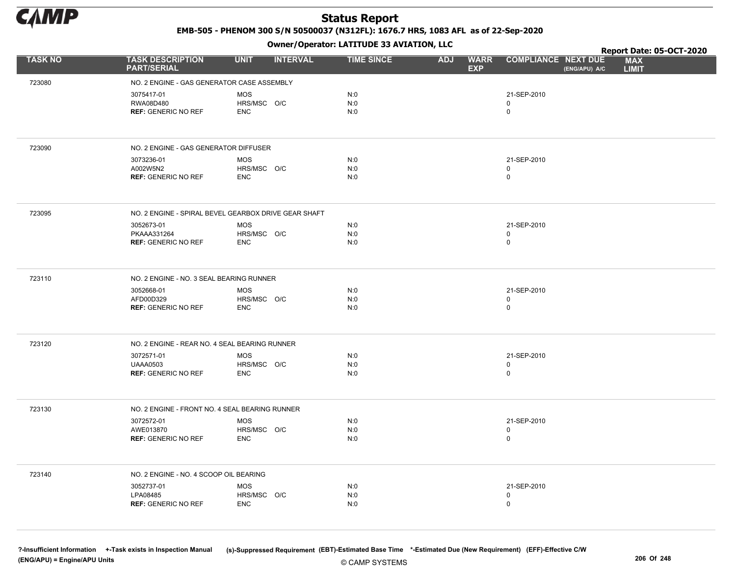

EMB-505 - PHENOM 300 S/N 50500037 (N312FL): 1676.7 HRS, 1083 AFL as of 22-Sep-2020

Owner/Operator: LATITUDE 33 AVIATION, LLC

|                |                                                      | .                              |                   |                                         |                                             | Report Date: 05-OCT-2020   |
|----------------|------------------------------------------------------|--------------------------------|-------------------|-----------------------------------------|---------------------------------------------|----------------------------|
| <b>TASK NO</b> | <b>TASK DESCRIPTION</b><br><b>PART/SERIAL</b>        | <b>UNIT</b><br><b>INTERVAL</b> | <b>TIME SINCE</b> | <b>ADJ</b><br><b>WARR</b><br><b>EXP</b> | <b>COMPLIANCE NEXT DUE</b><br>(ENG/APU) A/C | <b>MAX</b><br><b>LIMIT</b> |
| 723080         | NO. 2 ENGINE - GAS GENERATOR CASE ASSEMBLY           |                                |                   |                                         |                                             |                            |
|                | 3075417-01                                           | <b>MOS</b>                     | N:0               |                                         | 21-SEP-2010                                 |                            |
|                | RWA08D480                                            | HRS/MSC O/C                    | N:0               |                                         | $\mathbf 0$                                 |                            |
|                | <b>REF: GENERIC NO REF</b>                           | <b>ENC</b>                     | N:0               |                                         | 0                                           |                            |
|                |                                                      |                                |                   |                                         |                                             |                            |
| 723090         | NO. 2 ENGINE - GAS GENERATOR DIFFUSER                |                                |                   |                                         |                                             |                            |
|                | 3073236-01                                           | <b>MOS</b>                     | N:0               |                                         | 21-SEP-2010                                 |                            |
|                | A002W5N2<br><b>REF: GENERIC NO REF</b>               | HRS/MSC O/C<br><b>ENC</b>      | N:0<br>N:0        |                                         | 0<br>0                                      |                            |
|                |                                                      |                                |                   |                                         |                                             |                            |
| 723095         | NO. 2 ENGINE - SPIRAL BEVEL GEARBOX DRIVE GEAR SHAFT |                                |                   |                                         |                                             |                            |
|                | 3052673-01                                           | <b>MOS</b>                     | N:0               |                                         | 21-SEP-2010                                 |                            |
|                | PKAAA331264                                          | HRS/MSC O/C                    | N:0               |                                         | 0                                           |                            |
|                | <b>REF: GENERIC NO REF</b>                           | <b>ENC</b>                     | N:0               |                                         | 0                                           |                            |
| 723110         | NO. 2 ENGINE - NO. 3 SEAL BEARING RUNNER             |                                |                   |                                         |                                             |                            |
|                | 3052668-01                                           | <b>MOS</b>                     | N:0               |                                         | 21-SEP-2010                                 |                            |
|                | AFD00D329                                            | HRS/MSC O/C                    | N:0               |                                         | 0                                           |                            |
|                | <b>REF: GENERIC NO REF</b>                           | <b>ENC</b>                     | N:0               |                                         | 0                                           |                            |
|                |                                                      |                                |                   |                                         |                                             |                            |
| 723120         | NO. 2 ENGINE - REAR NO. 4 SEAL BEARING RUNNER        |                                |                   |                                         |                                             |                            |
|                | 3072571-01                                           | <b>MOS</b>                     | N:0               |                                         | 21-SEP-2010                                 |                            |
|                | <b>UAAA0503</b><br><b>REF: GENERIC NO REF</b>        | HRS/MSC O/C<br><b>ENC</b>      | N:0<br>N:0        |                                         | 0<br>0                                      |                            |
|                |                                                      |                                |                   |                                         |                                             |                            |
| 723130         | NO. 2 ENGINE - FRONT NO. 4 SEAL BEARING RUNNER       |                                |                   |                                         |                                             |                            |
|                | 3072572-01                                           | <b>MOS</b>                     | N:0               |                                         | 21-SEP-2010                                 |                            |
|                | AWE013870                                            | HRS/MSC O/C                    | N:0               |                                         | 0                                           |                            |
|                | <b>REF: GENERIC NO REF</b>                           | <b>ENC</b>                     | N:0               |                                         | 0                                           |                            |
| 723140         | NO. 2 ENGINE - NO. 4 SCOOP OIL BEARING               |                                |                   |                                         |                                             |                            |
|                | 3052737-01                                           | <b>MOS</b>                     | N:0               |                                         | 21-SEP-2010                                 |                            |
|                | LPA08485                                             | HRS/MSC O/C                    | N:0               |                                         | 0                                           |                            |
|                | <b>REF: GENERIC NO REF</b>                           | <b>ENC</b>                     | N:0               |                                         | 0                                           |                            |
|                |                                                      |                                |                   |                                         |                                             |                            |

© CAMP SYSTEMS ?-Insufficient Information +-Task exists in Inspection Manual (s)-Suppressed Requirement (EBT)-Estimated Base Time \*-Estimated Due (New Requirement) (EFF)-Effective C/W (ENG/APU) = Engine/APU Units 206 Of 248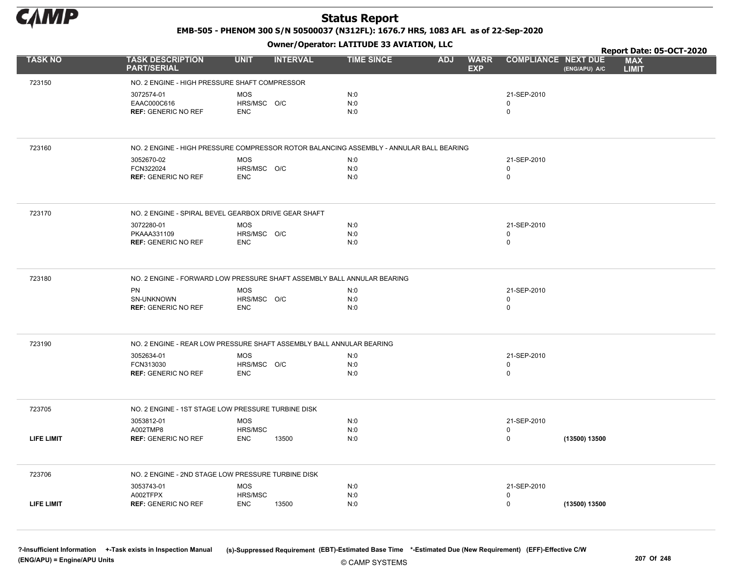

EMB-505 - PHENOM 300 S/N 50500037 (N312FL): 1676.7 HRS, 1083 AFL as of 22-Sep-2020

Owner/Operator: LATITUDE 33 AVIATION, LLC

|                   |                                                                                         |                           | .               |                   |            |                           |                            |               | Report Date: 05-OCT-2020   |  |
|-------------------|-----------------------------------------------------------------------------------------|---------------------------|-----------------|-------------------|------------|---------------------------|----------------------------|---------------|----------------------------|--|
| <b>TASK NO</b>    | <b>TASK DESCRIPTION</b><br><b>PART/SERIAL</b>                                           | <b>UNIT</b>               | <b>INTERVAL</b> | <b>TIME SINCE</b> | <b>ADJ</b> | <b>WARR</b><br><b>EXP</b> | <b>COMPLIANCE NEXT DUE</b> | (ENG/APU) A/C | <b>MAX</b><br><b>LIMIT</b> |  |
| 723150            | NO. 2 ENGINE - HIGH PRESSURE SHAFT COMPRESSOR                                           |                           |                 |                   |            |                           |                            |               |                            |  |
|                   | 3072574-01                                                                              | <b>MOS</b>                |                 | N:0               |            |                           | 21-SEP-2010                |               |                            |  |
|                   | EAAC000C616                                                                             | HRS/MSC O/C               |                 | N:0               |            |                           | 0                          |               |                            |  |
|                   | <b>REF: GENERIC NO REF</b>                                                              | <b>ENC</b>                |                 | N:0               |            |                           | $\pmb{0}$                  |               |                            |  |
|                   |                                                                                         |                           |                 |                   |            |                           |                            |               |                            |  |
| 723160            | NO. 2 ENGINE - HIGH PRESSURE COMPRESSOR ROTOR BALANCING ASSEMBLY - ANNULAR BALL BEARING |                           |                 |                   |            |                           |                            |               |                            |  |
|                   | 3052670-02                                                                              | <b>MOS</b>                |                 | N:0               |            |                           | 21-SEP-2010                |               |                            |  |
|                   | FCN322024                                                                               | HRS/MSC O/C               |                 | N:0               |            |                           | $\mathbf 0$                |               |                            |  |
|                   | <b>REF: GENERIC NO REF</b>                                                              | <b>ENC</b>                |                 | N:0               |            |                           | 0                          |               |                            |  |
| 723170            | NO. 2 ENGINE - SPIRAL BEVEL GEARBOX DRIVE GEAR SHAFT                                    |                           |                 |                   |            |                           |                            |               |                            |  |
|                   | 3072280-01                                                                              | <b>MOS</b>                |                 | N:0               |            |                           | 21-SEP-2010                |               |                            |  |
|                   | PKAAA331109                                                                             | HRS/MSC O/C               |                 | N:0               |            |                           | 0                          |               |                            |  |
|                   | <b>REF: GENERIC NO REF</b>                                                              | <b>ENC</b>                |                 | N:0               |            |                           | $\mathbf 0$                |               |                            |  |
|                   |                                                                                         |                           |                 |                   |            |                           |                            |               |                            |  |
| 723180            | NO. 2 ENGINE - FORWARD LOW PRESSURE SHAFT ASSEMBLY BALL ANNULAR BEARING                 |                           |                 |                   |            |                           |                            |               |                            |  |
|                   | PN                                                                                      | <b>MOS</b>                |                 | N:0               |            |                           | 21-SEP-2010                |               |                            |  |
|                   | SN-UNKNOWN<br><b>REF: GENERIC NO REF</b>                                                | HRS/MSC O/C<br><b>ENC</b> |                 | N:0<br>N:0        |            |                           | $\pmb{0}$<br>$\mathbf 0$   |               |                            |  |
|                   |                                                                                         |                           |                 |                   |            |                           |                            |               |                            |  |
| 723190            | NO. 2 ENGINE - REAR LOW PRESSURE SHAFT ASSEMBLY BALL ANNULAR BEARING                    |                           |                 |                   |            |                           |                            |               |                            |  |
|                   | 3052634-01                                                                              | <b>MOS</b>                |                 | N:0               |            |                           | 21-SEP-2010                |               |                            |  |
|                   | FCN313030                                                                               | HRS/MSC O/C               |                 | N:0               |            |                           | 0                          |               |                            |  |
|                   | <b>REF: GENERIC NO REF</b>                                                              | <b>ENC</b>                |                 | N:0               |            |                           | $\mathbf 0$                |               |                            |  |
|                   |                                                                                         |                           |                 |                   |            |                           |                            |               |                            |  |
| 723705            | NO. 2 ENGINE - 1ST STAGE LOW PRESSURE TURBINE DISK                                      |                           |                 |                   |            |                           |                            |               |                            |  |
|                   | 3053812-01                                                                              | <b>MOS</b>                |                 | N:0               |            |                           | 21-SEP-2010                |               |                            |  |
| <b>LIFE LIMIT</b> | A002TMP8                                                                                | HRS/MSC                   |                 | N:0               |            |                           | 0<br>$\mathbf 0$           |               |                            |  |
|                   | <b>REF: GENERIC NO REF</b>                                                              | <b>ENC</b>                | 13500           | N:0               |            |                           |                            | (13500) 13500 |                            |  |
| 723706            | NO. 2 ENGINE - 2ND STAGE LOW PRESSURE TURBINE DISK                                      |                           |                 |                   |            |                           |                            |               |                            |  |
|                   | 3053743-01                                                                              | <b>MOS</b>                |                 | N:0               |            |                           | 21-SEP-2010                |               |                            |  |
|                   | A002TFPX                                                                                | HRS/MSC                   |                 | N:0               |            |                           | 0                          |               |                            |  |
| <b>LIFE LIMIT</b> | <b>REF: GENERIC NO REF</b>                                                              | <b>ENC</b>                | 13500           | N:0               |            |                           | $\pmb{0}$                  | (13500) 13500 |                            |  |
|                   |                                                                                         |                           |                 |                   |            |                           |                            |               |                            |  |
|                   |                                                                                         |                           |                 |                   |            |                           |                            |               |                            |  |

© CAMP SYSTEMS ?-Insufficient Information +-Task exists in Inspection Manual (s)-Suppressed Requirement (EBT)-Estimated Base Time \*-Estimated Due (New Requirement) (EFF)-Effective C/W (ENG/APU) = Engine/APU Units 207 Of 248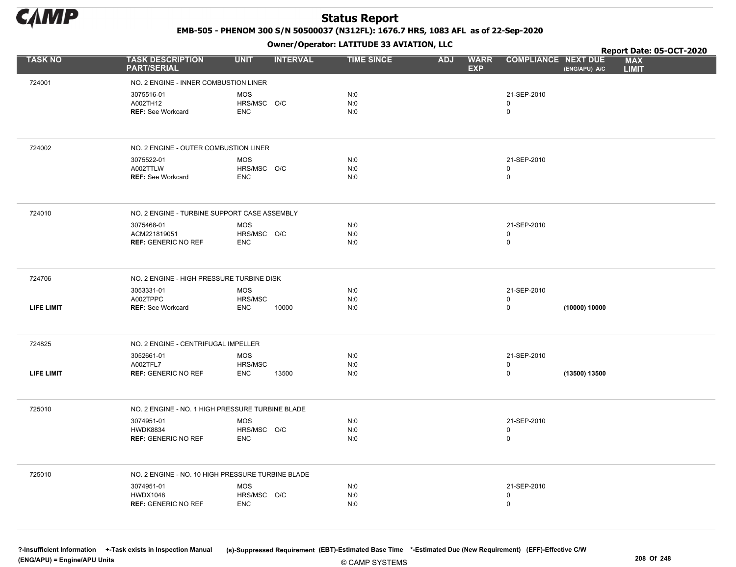

EMB-505 - PHENOM 300 S/N 50500037 (N312FL): 1676.7 HRS, 1083 AFL as of 22-Sep-2020

Owner/Operator: LATITUDE 33 AVIATION, LLC

|                   |                                                             |                                              | Owner / Operator: EATITODE 33 AVIATION, LLC |                                         |                                  |               | Report Date: 05-OCT-2020   |  |
|-------------------|-------------------------------------------------------------|----------------------------------------------|---------------------------------------------|-----------------------------------------|----------------------------------|---------------|----------------------------|--|
| <b>TASK NO</b>    | <b>TASK DESCRIPTION</b><br><b>PART/SERIAL</b>               | <b>UNIT</b><br><b>INTERVAL</b>               | <b>TIME SINCE</b>                           | <b>ADJ</b><br><b>WARR</b><br><b>EXP</b> | <b>COMPLIANCE NEXT DUE</b>       | (ENG/APU) A/C | <b>MAX</b><br><b>LIMIT</b> |  |
| 724001            | NO. 2 ENGINE - INNER COMBUSTION LINER                       |                                              |                                             |                                         |                                  |               |                            |  |
|                   | 3075516-01<br>A002TH12<br><b>REF: See Workcard</b>          | <b>MOS</b><br>HRS/MSC O/C<br><b>ENC</b>      | N:0<br>N:0<br>N:0                           |                                         | 21-SEP-2010<br>0<br>$\mathbf 0$  |               |                            |  |
| 724002            | NO. 2 ENGINE - OUTER COMBUSTION LINER                       |                                              |                                             |                                         |                                  |               |                            |  |
|                   | 3075522-01<br>A002TTLW<br><b>REF: See Workcard</b>          | <b>MOS</b><br>HRS/MSC O/C<br><b>ENC</b>      | N:0<br>N:0<br>N:0                           |                                         | 21-SEP-2010<br>0<br>$\mathsf{O}$ |               |                            |  |
| 724010            | NO. 2 ENGINE - TURBINE SUPPORT CASE ASSEMBLY                |                                              |                                             |                                         |                                  |               |                            |  |
|                   | 3075468-01<br>ACM221819051<br><b>REF: GENERIC NO REF</b>    | <b>MOS</b><br>HRS/MSC O/C<br><b>ENC</b>      | N:0<br>N:0<br>N:0                           |                                         | 21-SEP-2010<br>0<br>$\mathsf{O}$ |               |                            |  |
| 724706            | NO. 2 ENGINE - HIGH PRESSURE TURBINE DISK                   |                                              |                                             |                                         |                                  |               |                            |  |
| <b>LIFE LIMIT</b> | 3053331-01<br>A002TPPC<br><b>REF: See Workcard</b>          | <b>MOS</b><br>HRS/MSC<br><b>ENC</b><br>10000 | N:0<br>N:0<br>N:0                           |                                         | 21-SEP-2010<br>0<br>0            | (10000) 10000 |                            |  |
|                   |                                                             |                                              |                                             |                                         |                                  |               |                            |  |
| 724825            | NO. 2 ENGINE - CENTRIFUGAL IMPELLER                         |                                              |                                             |                                         |                                  |               |                            |  |
|                   | 3052661-01<br>A002TFL7                                      | <b>MOS</b><br>HRS/MSC                        | N:0<br>N:0                                  |                                         | 21-SEP-2010<br>0                 |               |                            |  |
| <b>LIFE LIMIT</b> | <b>REF: GENERIC NO REF</b>                                  | <b>ENC</b><br>13500                          | N:0                                         |                                         | 0                                | (13500) 13500 |                            |  |
| 725010            | NO. 2 ENGINE - NO. 1 HIGH PRESSURE TURBINE BLADE            |                                              |                                             |                                         |                                  |               |                            |  |
|                   | 3074951-01<br><b>HWDK8834</b><br><b>REF: GENERIC NO REF</b> | <b>MOS</b><br>HRS/MSC O/C<br><b>ENC</b>      | N:0<br>N:0<br>N:0                           |                                         | 21-SEP-2010<br>0<br>0            |               |                            |  |
| 725010            | NO. 2 ENGINE - NO. 10 HIGH PRESSURE TURBINE BLADE           |                                              |                                             |                                         |                                  |               |                            |  |
|                   | 3074951-01<br><b>HWDX1048</b><br><b>REF: GENERIC NO REF</b> | <b>MOS</b><br>HRS/MSC O/C<br><b>ENC</b>      | N:0<br>N:0<br>N:0                           |                                         | 21-SEP-2010<br>0<br>0            |               |                            |  |

?-Insufficient Information +-Task exists in Inspection Manual (s)-Suppressed Requirement (EBT)-Estimated Base Time \*-Estimated Due (New Requirement) (EFF)-Effective C/W (ENG/APU) = Engine/APU Units 208 Of 248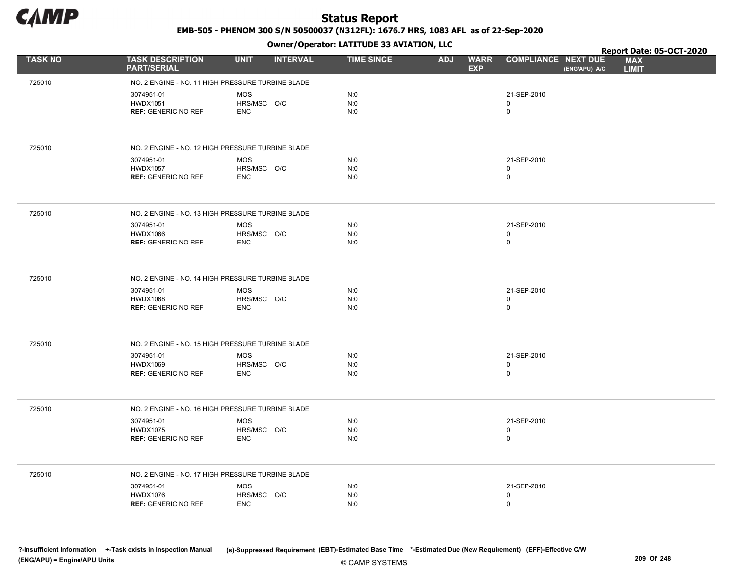

EMB-505 - PHENOM 300 S/N 50500037 (N312FL): 1676.7 HRS, 1083 AFL as of 22-Sep-2020

Owner/Operator: LATITUDE 33 AVIATION, LLC

|                |                                                   | .                              |                   |                                         |                                             | Report Date: 05-OCT-2020   |
|----------------|---------------------------------------------------|--------------------------------|-------------------|-----------------------------------------|---------------------------------------------|----------------------------|
| <b>TASK NO</b> | <b>TASK DESCRIPTION</b><br><b>PART/SERIAL</b>     | <b>UNIT</b><br><b>INTERVAL</b> | <b>TIME SINCE</b> | <b>WARR</b><br><b>ADJ</b><br><b>EXP</b> | <b>COMPLIANCE NEXT DUE</b><br>(ENG/APU) A/C | <b>MAX</b><br><b>LIMIT</b> |
| 725010         | NO. 2 ENGINE - NO. 11 HIGH PRESSURE TURBINE BLADE |                                |                   |                                         |                                             |                            |
|                | 3074951-01                                        | <b>MOS</b>                     | N:0               |                                         | 21-SEP-2010                                 |                            |
|                | <b>HWDX1051</b>                                   | HRS/MSC O/C                    | N:0               |                                         | $\mathbf 0$                                 |                            |
|                | <b>REF: GENERIC NO REF</b>                        | <b>ENC</b>                     | N:0               |                                         | $\mathbf 0$                                 |                            |
|                |                                                   |                                |                   |                                         |                                             |                            |
| 725010         | NO. 2 ENGINE - NO. 12 HIGH PRESSURE TURBINE BLADE |                                |                   |                                         |                                             |                            |
|                | 3074951-01                                        | <b>MOS</b>                     | N:0               |                                         | 21-SEP-2010                                 |                            |
|                | <b>HWDX1057</b><br><b>REF: GENERIC NO REF</b>     | HRS/MSC O/C<br><b>ENC</b>      | N:0<br>N:0        |                                         | 0<br>$\pmb{0}$                              |                            |
|                |                                                   |                                |                   |                                         |                                             |                            |
| 725010         | NO. 2 ENGINE - NO. 13 HIGH PRESSURE TURBINE BLADE |                                |                   |                                         |                                             |                            |
|                | 3074951-01                                        | <b>MOS</b>                     | N:0               |                                         | 21-SEP-2010                                 |                            |
|                | <b>HWDX1066</b><br><b>REF: GENERIC NO REF</b>     | HRS/MSC O/C<br><b>ENC</b>      | N:0<br>N:0        |                                         | 0<br>$\mathbf 0$                            |                            |
|                |                                                   |                                |                   |                                         |                                             |                            |
| 725010         | NO. 2 ENGINE - NO. 14 HIGH PRESSURE TURBINE BLADE |                                |                   |                                         |                                             |                            |
|                | 3074951-01                                        | <b>MOS</b>                     | N:0               |                                         | 21-SEP-2010                                 |                            |
|                | <b>HWDX1068</b>                                   | HRS/MSC O/C                    | N:0               |                                         | 0                                           |                            |
|                | <b>REF: GENERIC NO REF</b>                        | <b>ENC</b>                     | N:0               |                                         | $\mathsf{O}$                                |                            |
| 725010         | NO. 2 ENGINE - NO. 15 HIGH PRESSURE TURBINE BLADE |                                |                   |                                         |                                             |                            |
|                | 3074951-01                                        | <b>MOS</b>                     | N:0               |                                         | 21-SEP-2010                                 |                            |
|                | <b>HWDX1069</b><br><b>REF: GENERIC NO REF</b>     | HRS/MSC O/C<br><b>ENC</b>      | N:0<br>N:0        |                                         | $\pmb{0}$<br>0                              |                            |
|                |                                                   |                                |                   |                                         |                                             |                            |
| 725010         | NO. 2 ENGINE - NO. 16 HIGH PRESSURE TURBINE BLADE |                                |                   |                                         |                                             |                            |
|                | 3074951-01                                        | <b>MOS</b>                     | N:0               |                                         | 21-SEP-2010                                 |                            |
|                | <b>HWDX1075</b>                                   | HRS/MSC O/C                    | N:0               |                                         | 0                                           |                            |
|                | <b>REF: GENERIC NO REF</b>                        | <b>ENC</b>                     | N:0               |                                         | $\mathbf 0$                                 |                            |
| 725010         | NO. 2 ENGINE - NO. 17 HIGH PRESSURE TURBINE BLADE |                                |                   |                                         |                                             |                            |
|                | 3074951-01                                        | MOS                            | N:0               |                                         | 21-SEP-2010                                 |                            |
|                | <b>HWDX1076</b>                                   | HRS/MSC O/C                    | N:0               |                                         | 0                                           |                            |
|                | <b>REF: GENERIC NO REF</b>                        | <b>ENC</b>                     | N:0               |                                         | $\mathbf 0$                                 |                            |
|                |                                                   |                                |                   |                                         |                                             |                            |

© CAMP SYSTEMS ?-Insufficient Information +-Task exists in Inspection Manual (s)-Suppressed Requirement (EBT)-Estimated Base Time \*-Estimated Due (New Requirement) (EFF)-Effective C/W (ENG/APU) = Engine/APU Units 209 Of 248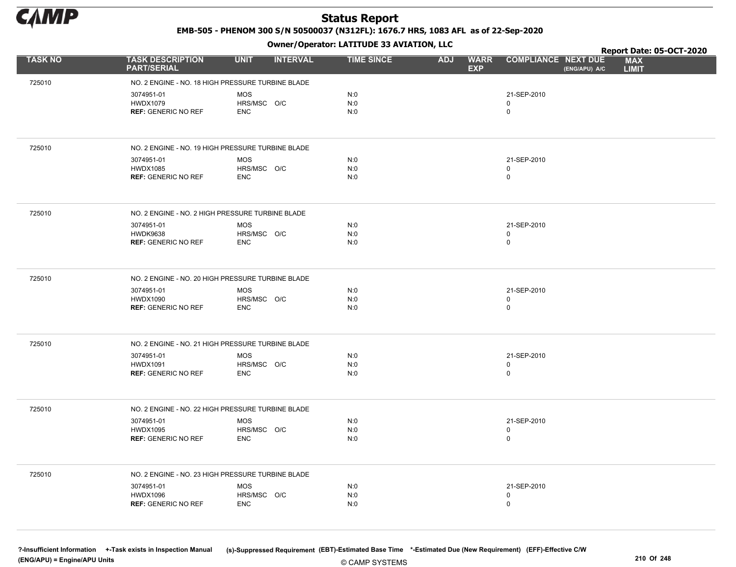

EMB-505 - PHENOM 300 S/N 50500037 (N312FL): 1676.7 HRS, 1083 AFL as of 22-Sep-2020

Owner/Operator: LATITUDE 33 AVIATION, LLC

|                |                                                   | .                              |                   |                                         |                                             | Report Date: 05-OCT-2020   |
|----------------|---------------------------------------------------|--------------------------------|-------------------|-----------------------------------------|---------------------------------------------|----------------------------|
| <b>TASK NO</b> | <b>TASK DESCRIPTION</b><br><b>PART/SERIAL</b>     | <b>UNIT</b><br><b>INTERVAL</b> | <b>TIME SINCE</b> | <b>ADJ</b><br><b>WARR</b><br><b>EXP</b> | <b>COMPLIANCE NEXT DUE</b><br>(ENG/APU) A/C | <b>MAX</b><br><b>LIMIT</b> |
| 725010         | NO. 2 ENGINE - NO. 18 HIGH PRESSURE TURBINE BLADE |                                |                   |                                         |                                             |                            |
|                | 3074951-01                                        | <b>MOS</b>                     | N:0               |                                         | 21-SEP-2010                                 |                            |
|                | <b>HWDX1079</b>                                   | HRS/MSC O/C                    | N:0               |                                         | 0                                           |                            |
|                | <b>REF: GENERIC NO REF</b>                        | <b>ENC</b>                     | N:0               |                                         | 0                                           |                            |
|                |                                                   |                                |                   |                                         |                                             |                            |
| 725010         | NO. 2 ENGINE - NO. 19 HIGH PRESSURE TURBINE BLADE |                                |                   |                                         |                                             |                            |
|                | 3074951-01                                        | <b>MOS</b>                     | N:0               |                                         | 21-SEP-2010                                 |                            |
|                | <b>HWDX1085</b><br><b>REF: GENERIC NO REF</b>     | HRS/MSC O/C<br><b>ENC</b>      | N:0<br>N:0        |                                         | 0<br>0                                      |                            |
|                |                                                   |                                |                   |                                         |                                             |                            |
| 725010         | NO. 2 ENGINE - NO. 2 HIGH PRESSURE TURBINE BLADE  |                                |                   |                                         |                                             |                            |
|                | 3074951-01                                        | <b>MOS</b>                     | N:0               |                                         | 21-SEP-2010                                 |                            |
|                | <b>HWDK9638</b><br><b>REF: GENERIC NO REF</b>     | HRS/MSC O/C<br><b>ENC</b>      | N:0<br>N:0        |                                         | 0<br>$\mathbf 0$                            |                            |
|                |                                                   |                                |                   |                                         |                                             |                            |
| 725010         | NO. 2 ENGINE - NO. 20 HIGH PRESSURE TURBINE BLADE |                                |                   |                                         |                                             |                            |
|                | 3074951-01                                        | <b>MOS</b>                     | N:0               |                                         | 21-SEP-2010                                 |                            |
|                | <b>HWDX1090</b>                                   | HRS/MSC O/C                    | N:0               |                                         | 0                                           |                            |
|                | <b>REF: GENERIC NO REF</b>                        | <b>ENC</b>                     | N:0               |                                         | 0                                           |                            |
|                |                                                   |                                |                   |                                         |                                             |                            |
| 725010         | NO. 2 ENGINE - NO. 21 HIGH PRESSURE TURBINE BLADE |                                |                   |                                         |                                             |                            |
|                | 3074951-01                                        | <b>MOS</b>                     | N:0               |                                         | 21-SEP-2010                                 |                            |
|                | <b>HWDX1091</b>                                   | HRS/MSC O/C<br><b>ENC</b>      | N:0<br>N:0        |                                         | 0<br>0                                      |                            |
|                | <b>REF: GENERIC NO REF</b>                        |                                |                   |                                         |                                             |                            |
| 725010         | NO. 2 ENGINE - NO. 22 HIGH PRESSURE TURBINE BLADE |                                |                   |                                         |                                             |                            |
|                |                                                   |                                |                   |                                         |                                             |                            |
|                | 3074951-01<br><b>HWDX1095</b>                     | <b>MOS</b><br>HRS/MSC O/C      | N:0<br>N:0        |                                         | 21-SEP-2010<br>0                            |                            |
|                | <b>REF: GENERIC NO REF</b>                        | <b>ENC</b>                     | N:0               |                                         | 0                                           |                            |
|                |                                                   |                                |                   |                                         |                                             |                            |
| 725010         | NO. 2 ENGINE - NO. 23 HIGH PRESSURE TURBINE BLADE |                                |                   |                                         |                                             |                            |
|                | 3074951-01                                        | MOS                            | N:0               |                                         | 21-SEP-2010                                 |                            |
|                | <b>HWDX1096</b>                                   | HRS/MSC O/C                    | N:0               |                                         | 0                                           |                            |
|                | <b>REF: GENERIC NO REF</b>                        | <b>ENC</b>                     | N:0               |                                         | 0                                           |                            |
|                |                                                   |                                |                   |                                         |                                             |                            |
|                |                                                   |                                |                   |                                         |                                             |                            |

© CAMP SYSTEMS ?-Insufficient Information +-Task exists in Inspection Manual (s)-Suppressed Requirement (EBT)-Estimated Base Time \*-Estimated Due (New Requirement) (EFF)-Effective C/W (ENG/APU) = Engine/APU Units 210 Of 248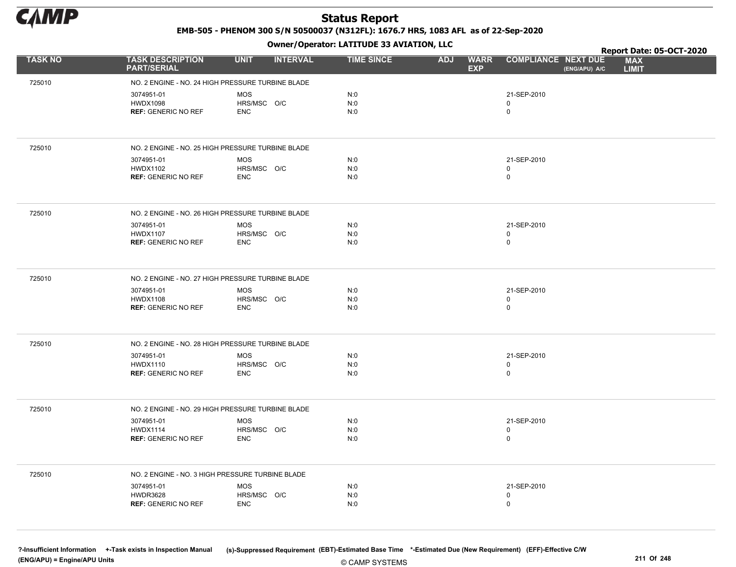

EMB-505 - PHENOM 300 S/N 50500037 (N312FL): 1676.7 HRS, 1083 AFL as of 22-Sep-2020

Owner/Operator: LATITUDE 33 AVIATION, LLC

|                |                                                   | .                              |                   |                                         |                                             | Report Date: 05-OCT-2020   |
|----------------|---------------------------------------------------|--------------------------------|-------------------|-----------------------------------------|---------------------------------------------|----------------------------|
| <b>TASK NO</b> | <b>TASK DESCRIPTION</b><br><b>PART/SERIAL</b>     | <b>INTERVAL</b><br><b>UNIT</b> | <b>TIME SINCE</b> | <b>WARR</b><br><b>ADJ</b><br><b>EXP</b> | <b>COMPLIANCE NEXT DUE</b><br>(ENG/APU) A/C | <b>MAX</b><br><b>LIMIT</b> |
| 725010         | NO. 2 ENGINE - NO. 24 HIGH PRESSURE TURBINE BLADE |                                |                   |                                         |                                             |                            |
|                | 3074951-01                                        | <b>MOS</b>                     | N:0               |                                         | 21-SEP-2010                                 |                            |
|                | <b>HWDX1098</b>                                   | HRS/MSC O/C                    | N:0               |                                         | $\mathbf 0$                                 |                            |
|                | <b>REF: GENERIC NO REF</b>                        | <b>ENC</b>                     | N:0               |                                         | $\mathbf 0$                                 |                            |
|                |                                                   |                                |                   |                                         |                                             |                            |
| 725010         | NO. 2 ENGINE - NO. 25 HIGH PRESSURE TURBINE BLADE |                                |                   |                                         |                                             |                            |
|                | 3074951-01                                        | <b>MOS</b>                     | N:0               |                                         | 21-SEP-2010                                 |                            |
|                | <b>HWDX1102</b><br><b>REF: GENERIC NO REF</b>     | HRS/MSC O/C<br><b>ENC</b>      | N:0<br>N:0        |                                         | 0<br>$\mathsf 0$                            |                            |
|                |                                                   |                                |                   |                                         |                                             |                            |
| 725010         | NO. 2 ENGINE - NO. 26 HIGH PRESSURE TURBINE BLADE |                                |                   |                                         |                                             |                            |
|                | 3074951-01                                        | <b>MOS</b>                     | N:0               |                                         | 21-SEP-2010                                 |                            |
|                | <b>HWDX1107</b><br><b>REF: GENERIC NO REF</b>     | HRS/MSC O/C<br><b>ENC</b>      | N:0<br>N:0        |                                         | 0<br>$\mathbf 0$                            |                            |
|                |                                                   |                                |                   |                                         |                                             |                            |
| 725010         | NO. 2 ENGINE - NO. 27 HIGH PRESSURE TURBINE BLADE |                                |                   |                                         |                                             |                            |
|                | 3074951-01                                        | <b>MOS</b>                     | N:0               |                                         | 21-SEP-2010                                 |                            |
|                | <b>HWDX1108</b><br><b>REF: GENERIC NO REF</b>     | HRS/MSC O/C<br><b>ENC</b>      | N:0<br>N:0        |                                         | 0<br>0                                      |                            |
|                |                                                   |                                |                   |                                         |                                             |                            |
| 725010         | NO. 2 ENGINE - NO. 28 HIGH PRESSURE TURBINE BLADE |                                |                   |                                         |                                             |                            |
|                | 3074951-01                                        | <b>MOS</b>                     | N:0               |                                         | 21-SEP-2010                                 |                            |
|                | <b>HWDX1110</b><br><b>REF: GENERIC NO REF</b>     | HRS/MSC O/C<br><b>ENC</b>      | N:0<br>N:0        |                                         | $\mathbf 0$<br>$\mathbf 0$                  |                            |
|                |                                                   |                                |                   |                                         |                                             |                            |
| 725010         | NO. 2 ENGINE - NO. 29 HIGH PRESSURE TURBINE BLADE |                                |                   |                                         |                                             |                            |
|                | 3074951-01<br><b>HWDX1114</b>                     | <b>MOS</b><br>HRS/MSC O/C      | N:0<br>N:0        |                                         | 21-SEP-2010<br>$\mathbf 0$                  |                            |
|                | <b>REF: GENERIC NO REF</b>                        | <b>ENC</b>                     | N:0               |                                         | $\mathsf 0$                                 |                            |
|                |                                                   |                                |                   |                                         |                                             |                            |
| 725010         | NO. 2 ENGINE - NO. 3 HIGH PRESSURE TURBINE BLADE  |                                |                   |                                         |                                             |                            |
|                | 3074951-01                                        | <b>MOS</b>                     | N:0               |                                         | 21-SEP-2010                                 |                            |
|                | <b>HWDR3628</b><br><b>REF: GENERIC NO REF</b>     | HRS/MSC O/C<br><b>ENC</b>      | N:0<br>N:0        |                                         | 0<br>$\mathbf 0$                            |                            |
|                |                                                   |                                |                   |                                         |                                             |                            |
|                |                                                   |                                |                   |                                         |                                             |                            |

© CAMP SYSTEMS ?-Insufficient Information +-Task exists in Inspection Manual (s)-Suppressed Requirement (EBT)-Estimated Base Time \*-Estimated Due (New Requirement) (EFF)-Effective C/W (ENG/APU) = Engine/APU Units 211 Of 248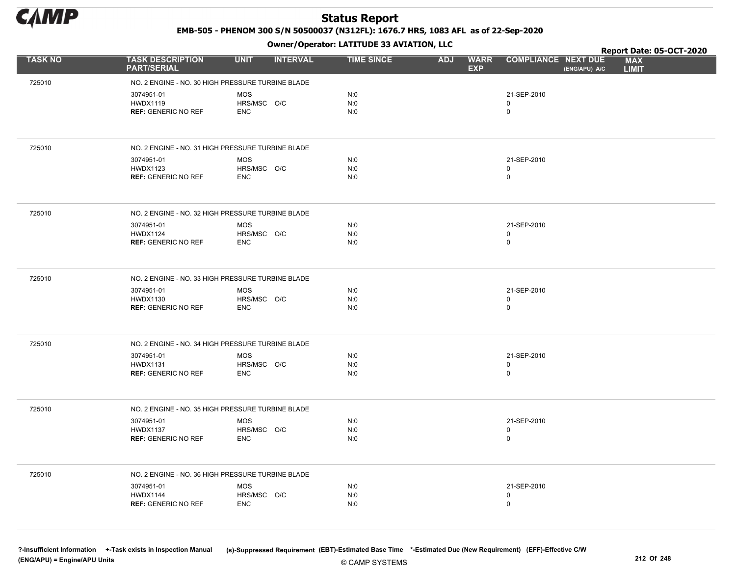

EMB-505 - PHENOM 300 S/N 50500037 (N312FL): 1676.7 HRS, 1083 AFL as of 22-Sep-2020

Owner/Operator: LATITUDE 33 AVIATION, LLC

|                |                                                   | $\mathbf{r}$                   |                   |                                         |                                             | Report Date: 05-OCT-2020   |
|----------------|---------------------------------------------------|--------------------------------|-------------------|-----------------------------------------|---------------------------------------------|----------------------------|
| <b>TASK NO</b> | <b>TASK DESCRIPTION</b><br><b>PART/SERIAL</b>     | <b>UNIT</b><br><b>INTERVAL</b> | <b>TIME SINCE</b> | <b>ADJ</b><br><b>WARR</b><br><b>EXP</b> | <b>COMPLIANCE NEXT DUE</b><br>(ENG/APU) A/C | <b>MAX</b><br><b>LIMIT</b> |
| 725010         | NO. 2 ENGINE - NO. 30 HIGH PRESSURE TURBINE BLADE |                                |                   |                                         |                                             |                            |
|                | 3074951-01                                        | <b>MOS</b>                     | N:0               |                                         | 21-SEP-2010                                 |                            |
|                | <b>HWDX1119</b>                                   | HRS/MSC O/C                    | N:0               |                                         | 0                                           |                            |
|                | <b>REF: GENERIC NO REF</b>                        | <b>ENC</b>                     | N:0               |                                         | 0                                           |                            |
|                |                                                   |                                |                   |                                         |                                             |                            |
| 725010         | NO. 2 ENGINE - NO. 31 HIGH PRESSURE TURBINE BLADE |                                |                   |                                         |                                             |                            |
|                | 3074951-01                                        | <b>MOS</b>                     | N:0               |                                         | 21-SEP-2010                                 |                            |
|                | <b>HWDX1123</b><br><b>REF: GENERIC NO REF</b>     | HRS/MSC O/C<br><b>ENC</b>      | N:0<br>N:0        |                                         | 0<br>0                                      |                            |
|                |                                                   |                                |                   |                                         |                                             |                            |
| 725010         | NO. 2 ENGINE - NO. 32 HIGH PRESSURE TURBINE BLADE |                                |                   |                                         |                                             |                            |
|                | 3074951-01                                        | <b>MOS</b>                     | N:0               |                                         | 21-SEP-2010                                 |                            |
|                | <b>HWDX1124</b><br><b>REF: GENERIC NO REF</b>     | HRS/MSC O/C<br><b>ENC</b>      | N:0<br>N:0        |                                         | 0<br>$\mathbf 0$                            |                            |
|                |                                                   |                                |                   |                                         |                                             |                            |
| 725010         | NO. 2 ENGINE - NO. 33 HIGH PRESSURE TURBINE BLADE |                                |                   |                                         |                                             |                            |
|                | 3074951-01                                        | <b>MOS</b>                     | N:0               |                                         | 21-SEP-2010                                 |                            |
|                | <b>HWDX1130</b>                                   | HRS/MSC O/C                    | N:0               |                                         | 0                                           |                            |
|                | <b>REF: GENERIC NO REF</b>                        | <b>ENC</b>                     | N:0               |                                         | 0                                           |                            |
|                |                                                   |                                |                   |                                         |                                             |                            |
| 725010         | NO. 2 ENGINE - NO. 34 HIGH PRESSURE TURBINE BLADE |                                |                   |                                         |                                             |                            |
|                | 3074951-01                                        | <b>MOS</b>                     | N:0               |                                         | 21-SEP-2010                                 |                            |
|                | <b>HWDX1131</b>                                   | HRS/MSC O/C<br><b>ENC</b>      | N:0<br>N:0        |                                         | 0<br>0                                      |                            |
|                | <b>REF: GENERIC NO REF</b>                        |                                |                   |                                         |                                             |                            |
| 725010         | NO. 2 ENGINE - NO. 35 HIGH PRESSURE TURBINE BLADE |                                |                   |                                         |                                             |                            |
|                |                                                   |                                |                   |                                         |                                             |                            |
|                | 3074951-01<br><b>HWDX1137</b>                     | <b>MOS</b><br>HRS/MSC O/C      | N:0<br>N:0        |                                         | 21-SEP-2010<br>0                            |                            |
|                | <b>REF: GENERIC NO REF</b>                        | <b>ENC</b>                     | N:0               |                                         | 0                                           |                            |
|                |                                                   |                                |                   |                                         |                                             |                            |
| 725010         | NO. 2 ENGINE - NO. 36 HIGH PRESSURE TURBINE BLADE |                                |                   |                                         |                                             |                            |
|                | 3074951-01                                        | MOS                            | N:0               |                                         | 21-SEP-2010                                 |                            |
|                | <b>HWDX1144</b>                                   | HRS/MSC O/C                    | N:0               |                                         | 0                                           |                            |
|                | <b>REF: GENERIC NO REF</b>                        | <b>ENC</b>                     | N:0               |                                         | 0                                           |                            |
|                |                                                   |                                |                   |                                         |                                             |                            |
|                |                                                   |                                |                   |                                         |                                             |                            |

© CAMP SYSTEMS ?-Insufficient Information +-Task exists in Inspection Manual (s)-Suppressed Requirement (EBT)-Estimated Base Time \*-Estimated Due (New Requirement) (EFF)-Effective C/W (ENG/APU) = Engine/APU Units 212 Of 248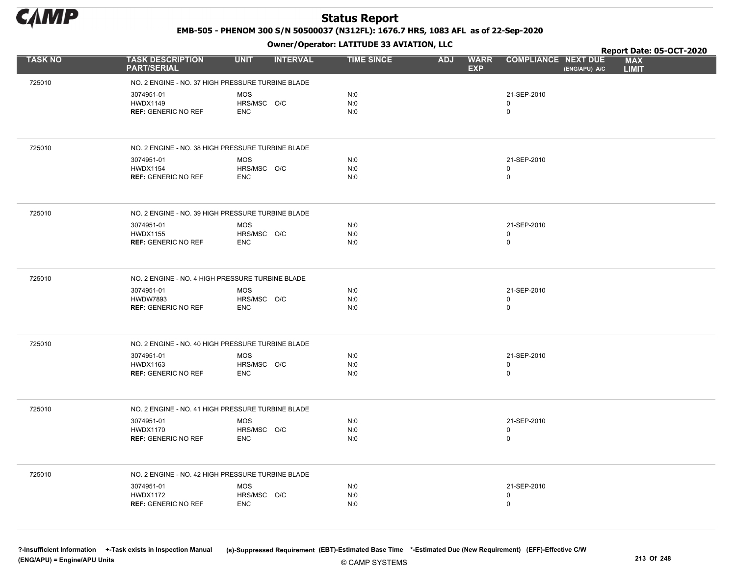

EMB-505 - PHENOM 300 S/N 50500037 (N312FL): 1676.7 HRS, 1083 AFL as of 22-Sep-2020

Owner/Operator: LATITUDE 33 AVIATION, LLC

|                |                                                   | .                              |                   |                                         |                                             | Report Date: 05-OCT-2020   |
|----------------|---------------------------------------------------|--------------------------------|-------------------|-----------------------------------------|---------------------------------------------|----------------------------|
| <b>TASK NO</b> | <b>TASK DESCRIPTION</b><br><b>PART/SERIAL</b>     | <b>UNIT</b><br><b>INTERVAL</b> | <b>TIME SINCE</b> | <b>WARR</b><br><b>ADJ</b><br><b>EXP</b> | <b>COMPLIANCE NEXT DUE</b><br>(ENG/APU) A/C | <b>MAX</b><br><b>LIMIT</b> |
| 725010         | NO. 2 ENGINE - NO. 37 HIGH PRESSURE TURBINE BLADE |                                |                   |                                         |                                             |                            |
|                | 3074951-01                                        | <b>MOS</b>                     | N:0               |                                         | 21-SEP-2010                                 |                            |
|                | <b>HWDX1149</b>                                   | HRS/MSC O/C                    | N:0               |                                         | $\mathbf 0$                                 |                            |
|                | <b>REF: GENERIC NO REF</b>                        | <b>ENC</b>                     | N:0               |                                         | $\mathbf 0$                                 |                            |
|                |                                                   |                                |                   |                                         |                                             |                            |
| 725010         | NO. 2 ENGINE - NO. 38 HIGH PRESSURE TURBINE BLADE |                                |                   |                                         |                                             |                            |
|                | 3074951-01                                        | <b>MOS</b>                     | N:0               |                                         | 21-SEP-2010                                 |                            |
|                | <b>HWDX1154</b><br><b>REF: GENERIC NO REF</b>     | HRS/MSC O/C<br><b>ENC</b>      | N:0<br>N:0        |                                         | 0<br>$\pmb{0}$                              |                            |
|                |                                                   |                                |                   |                                         |                                             |                            |
| 725010         | NO. 2 ENGINE - NO. 39 HIGH PRESSURE TURBINE BLADE |                                |                   |                                         |                                             |                            |
|                | 3074951-01                                        | <b>MOS</b>                     | N:0               |                                         | 21-SEP-2010                                 |                            |
|                | <b>HWDX1155</b><br><b>REF: GENERIC NO REF</b>     | HRS/MSC O/C<br><b>ENC</b>      | N:0<br>N:0        |                                         | 0<br>$\mathbf 0$                            |                            |
|                |                                                   |                                |                   |                                         |                                             |                            |
| 725010         | NO. 2 ENGINE - NO. 4 HIGH PRESSURE TURBINE BLADE  |                                |                   |                                         |                                             |                            |
|                | 3074951-01                                        | <b>MOS</b>                     | N:0               |                                         | 21-SEP-2010                                 |                            |
|                | <b>HWDW7893</b><br><b>REF: GENERIC NO REF</b>     | HRS/MSC O/C<br><b>ENC</b>      | N:0<br>N:0        |                                         | 0<br>$\mathsf{O}$                           |                            |
|                |                                                   |                                |                   |                                         |                                             |                            |
| 725010         | NO. 2 ENGINE - NO. 40 HIGH PRESSURE TURBINE BLADE |                                |                   |                                         |                                             |                            |
|                | 3074951-01                                        | <b>MOS</b>                     | N:0               |                                         | 21-SEP-2010                                 |                            |
|                | <b>HWDX1163</b><br><b>REF: GENERIC NO REF</b>     | HRS/MSC O/C<br><b>ENC</b>      | N:0<br>N:0        |                                         | $\pmb{0}$<br>0                              |                            |
|                |                                                   |                                |                   |                                         |                                             |                            |
| 725010         | NO. 2 ENGINE - NO. 41 HIGH PRESSURE TURBINE BLADE |                                |                   |                                         |                                             |                            |
|                | 3074951-01<br><b>HWDX1170</b>                     | <b>MOS</b><br>HRS/MSC O/C      | N:0<br>N:0        |                                         | 21-SEP-2010<br>0                            |                            |
|                | <b>REF: GENERIC NO REF</b>                        | <b>ENC</b>                     | N:0               |                                         | $\mathbf 0$                                 |                            |
|                |                                                   |                                |                   |                                         |                                             |                            |
| 725010         | NO. 2 ENGINE - NO. 42 HIGH PRESSURE TURBINE BLADE |                                |                   |                                         |                                             |                            |
|                | 3074951-01                                        | MOS                            | N:0               |                                         | 21-SEP-2010                                 |                            |
|                | <b>HWDX1172</b><br><b>REF: GENERIC NO REF</b>     | HRS/MSC O/C<br><b>ENC</b>      | N:0<br>N:0        |                                         | 0<br>$\mathbf 0$                            |                            |
|                |                                                   |                                |                   |                                         |                                             |                            |
|                |                                                   |                                |                   |                                         |                                             |                            |

?-Insufficient Information +-Task exists in Inspection Manual (s)-Suppressed Requirement (EBT)-Estimated Base Time \*-Estimated Due (New Requirement) (EFF)-Effective C/W (ENG/APU) = Engine/APU Units 213 Of 248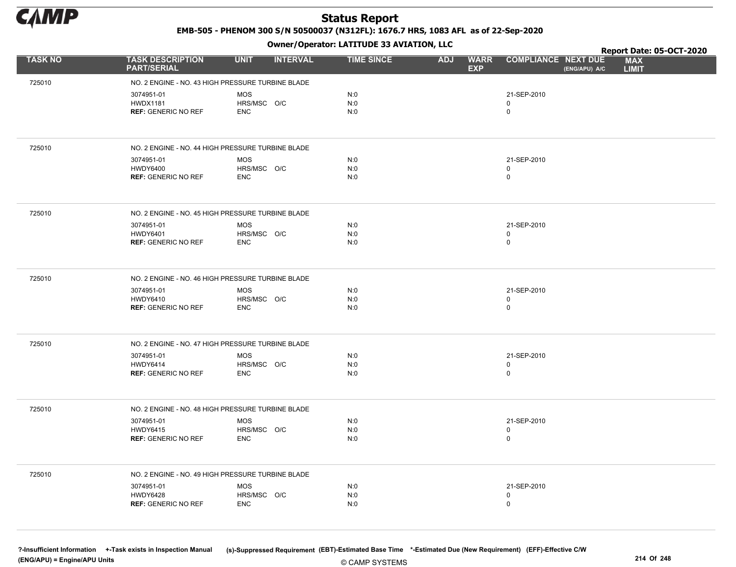

EMB-505 - PHENOM 300 S/N 50500037 (N312FL): 1676.7 HRS, 1083 AFL as of 22-Sep-2020

Owner/Operator: LATITUDE 33 AVIATION, LLC

|                |                                                   | .                              |                   |                                         |                                             | Report Date: 05-OCT-2020   |
|----------------|---------------------------------------------------|--------------------------------|-------------------|-----------------------------------------|---------------------------------------------|----------------------------|
| <b>TASK NO</b> | <b>TASK DESCRIPTION</b><br><b>PART/SERIAL</b>     | <b>UNIT</b><br><b>INTERVAL</b> | <b>TIME SINCE</b> | <b>ADJ</b><br><b>WARR</b><br><b>EXP</b> | <b>COMPLIANCE NEXT DUE</b><br>(ENG/APU) A/C | <b>MAX</b><br><b>LIMIT</b> |
| 725010         | NO. 2 ENGINE - NO. 43 HIGH PRESSURE TURBINE BLADE |                                |                   |                                         |                                             |                            |
|                | 3074951-01                                        | <b>MOS</b>                     | N:0               |                                         | 21-SEP-2010                                 |                            |
|                | <b>HWDX1181</b>                                   | HRS/MSC O/C                    | N:0               |                                         | 0                                           |                            |
|                | <b>REF: GENERIC NO REF</b>                        | <b>ENC</b>                     | N:0               |                                         | 0                                           |                            |
|                |                                                   |                                |                   |                                         |                                             |                            |
| 725010         | NO. 2 ENGINE - NO. 44 HIGH PRESSURE TURBINE BLADE |                                |                   |                                         |                                             |                            |
|                | 3074951-01                                        | <b>MOS</b>                     | N:0               |                                         | 21-SEP-2010                                 |                            |
|                | <b>HWDY6400</b><br><b>REF: GENERIC NO REF</b>     | HRS/MSC O/C<br><b>ENC</b>      | N:0<br>N:0        |                                         | 0<br>0                                      |                            |
|                |                                                   |                                |                   |                                         |                                             |                            |
| 725010         | NO. 2 ENGINE - NO. 45 HIGH PRESSURE TURBINE BLADE |                                |                   |                                         |                                             |                            |
|                | 3074951-01                                        | <b>MOS</b>                     | N:0               |                                         | 21-SEP-2010                                 |                            |
|                | <b>HWDY6401</b><br><b>REF: GENERIC NO REF</b>     | HRS/MSC O/C<br><b>ENC</b>      | N:0<br>N:0        |                                         | 0<br>$\mathbf 0$                            |                            |
|                |                                                   |                                |                   |                                         |                                             |                            |
|                |                                                   |                                |                   |                                         |                                             |                            |
| 725010         | NO. 2 ENGINE - NO. 46 HIGH PRESSURE TURBINE BLADE |                                |                   |                                         |                                             |                            |
|                | 3074951-01                                        | <b>MOS</b>                     | N:0               |                                         | 21-SEP-2010                                 |                            |
|                | <b>HWDY6410</b><br><b>REF: GENERIC NO REF</b>     | HRS/MSC O/C<br><b>ENC</b>      | N:0<br>N:0        |                                         | 0<br>0                                      |                            |
|                |                                                   |                                |                   |                                         |                                             |                            |
|                |                                                   |                                |                   |                                         |                                             |                            |
| 725010         | NO. 2 ENGINE - NO. 47 HIGH PRESSURE TURBINE BLADE |                                |                   |                                         |                                             |                            |
|                | 3074951-01<br><b>HWDY6414</b>                     | <b>MOS</b><br>HRS/MSC O/C      | N:0<br>N:0        |                                         | 21-SEP-2010<br>0                            |                            |
|                | <b>REF: GENERIC NO REF</b>                        | <b>ENC</b>                     | N:0               |                                         | 0                                           |                            |
|                |                                                   |                                |                   |                                         |                                             |                            |
| 725010         | NO. 2 ENGINE - NO. 48 HIGH PRESSURE TURBINE BLADE |                                |                   |                                         |                                             |                            |
|                | 3074951-01                                        | <b>MOS</b>                     | N:0               |                                         | 21-SEP-2010                                 |                            |
|                | <b>HWDY6415</b>                                   | HRS/MSC O/C                    | N:0               |                                         | 0                                           |                            |
|                | <b>REF: GENERIC NO REF</b>                        | <b>ENC</b>                     | N:0               |                                         | 0                                           |                            |
|                |                                                   |                                |                   |                                         |                                             |                            |
| 725010         | NO. 2 ENGINE - NO. 49 HIGH PRESSURE TURBINE BLADE |                                |                   |                                         |                                             |                            |
|                | 3074951-01                                        | MOS                            | N:0               |                                         | 21-SEP-2010                                 |                            |
|                | <b>HWDY6428</b>                                   | HRS/MSC O/C                    | N:0               |                                         | 0                                           |                            |
|                | <b>REF: GENERIC NO REF</b>                        | <b>ENC</b>                     | N:0               |                                         | 0                                           |                            |
|                |                                                   |                                |                   |                                         |                                             |                            |

© CAMP SYSTEMS ?-Insufficient Information +-Task exists in Inspection Manual (s)-Suppressed Requirement (EBT)-Estimated Base Time \*-Estimated Due (New Requirement) (EFF)-Effective C/W (ENG/APU) = Engine/APU Units 214 Of 248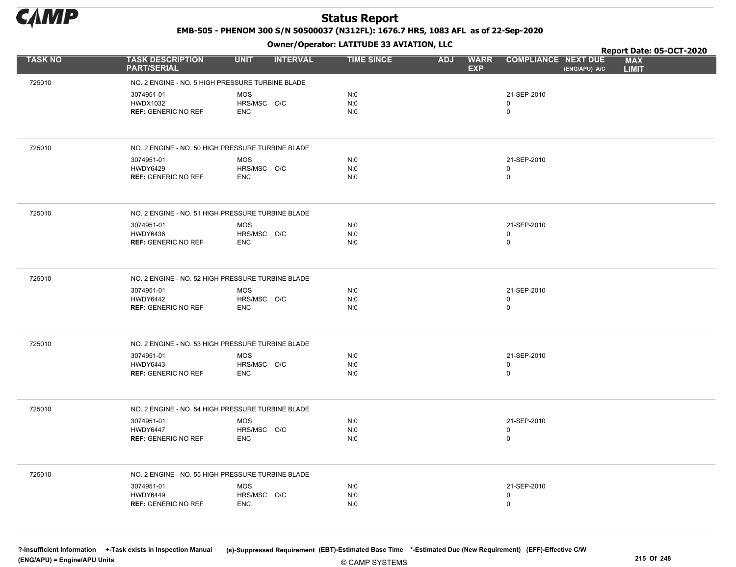

EMB-505 - PHENOM 300 S/N 50500037 (N312FL): 1676.7 HRS, 1083 AFL as of 22-Sep-2020

Owner/Operator: LATITUDE 33 AVIATION, LLC

|                |                                                   | .                              |                   |                                         |                                             | Report Date: 05-OCT-2020   |
|----------------|---------------------------------------------------|--------------------------------|-------------------|-----------------------------------------|---------------------------------------------|----------------------------|
| <b>TASK NO</b> | <b>TASK DESCRIPTION</b><br><b>PART/SERIAL</b>     | <b>UNIT</b><br><b>INTERVAL</b> | <b>TIME SINCE</b> | <b>ADJ</b><br><b>WARR</b><br><b>EXP</b> | <b>COMPLIANCE NEXT DUE</b><br>(ENG/APU) A/C | <b>MAX</b><br><b>LIMIT</b> |
| 725010         | NO. 2 ENGINE - NO. 5 HIGH PRESSURE TURBINE BLADE  |                                |                   |                                         |                                             |                            |
|                | 3074951-01                                        | <b>MOS</b>                     | N:0               |                                         | 21-SEP-2010                                 |                            |
|                | <b>HWDX1032</b>                                   | HRS/MSC O/C                    | N:0               |                                         | 0                                           |                            |
|                | <b>REF: GENERIC NO REF</b>                        | <b>ENC</b>                     | N:0               |                                         | 0                                           |                            |
|                |                                                   |                                |                   |                                         |                                             |                            |
| 725010         | NO. 2 ENGINE - NO. 50 HIGH PRESSURE TURBINE BLADE |                                |                   |                                         |                                             |                            |
|                | 3074951-01                                        | <b>MOS</b>                     | N:0               |                                         | 21-SEP-2010                                 |                            |
|                | <b>HWDY6429</b><br><b>REF: GENERIC NO REF</b>     | HRS/MSC O/C<br><b>ENC</b>      | N:0<br>N:0        |                                         | 0<br>0                                      |                            |
|                |                                                   |                                |                   |                                         |                                             |                            |
| 725010         | NO. 2 ENGINE - NO. 51 HIGH PRESSURE TURBINE BLADE |                                |                   |                                         |                                             |                            |
|                | 3074951-01                                        | <b>MOS</b>                     | N:0               |                                         | 21-SEP-2010                                 |                            |
|                | <b>HWDY6436</b><br><b>REF: GENERIC NO REF</b>     | HRS/MSC O/C<br><b>ENC</b>      | N:0<br>N:0        |                                         | 0<br>$\mathbf 0$                            |                            |
|                |                                                   |                                |                   |                                         |                                             |                            |
|                |                                                   |                                |                   |                                         |                                             |                            |
| 725010         | NO. 2 ENGINE - NO. 52 HIGH PRESSURE TURBINE BLADE |                                |                   |                                         |                                             |                            |
|                | 3074951-01<br>HWDY6442                            | <b>MOS</b><br>HRS/MSC O/C      | N:0<br>N:0        |                                         | 21-SEP-2010<br>0                            |                            |
|                | <b>REF: GENERIC NO REF</b>                        | <b>ENC</b>                     | N:0               |                                         | 0                                           |                            |
|                |                                                   |                                |                   |                                         |                                             |                            |
| 725010         | NO. 2 ENGINE - NO. 53 HIGH PRESSURE TURBINE BLADE |                                |                   |                                         |                                             |                            |
|                | 3074951-01                                        | <b>MOS</b>                     | N:0               |                                         | 21-SEP-2010                                 |                            |
|                | <b>HWDY6443</b>                                   | HRS/MSC O/C                    | N:0               |                                         | 0                                           |                            |
|                | <b>REF: GENERIC NO REF</b>                        | <b>ENC</b>                     | N:0               |                                         | 0                                           |                            |
|                |                                                   |                                |                   |                                         |                                             |                            |
| 725010         | NO. 2 ENGINE - NO. 54 HIGH PRESSURE TURBINE BLADE |                                |                   |                                         |                                             |                            |
|                | 3074951-01<br>HWDY6447                            | <b>MOS</b><br>HRS/MSC O/C      | N:0<br>N:0        |                                         | 21-SEP-2010<br>0                            |                            |
|                | <b>REF: GENERIC NO REF</b>                        | <b>ENC</b>                     | N:0               |                                         | 0                                           |                            |
|                |                                                   |                                |                   |                                         |                                             |                            |
| 725010         | NO. 2 ENGINE - NO. 55 HIGH PRESSURE TURBINE BLADE |                                |                   |                                         |                                             |                            |
|                | 3074951-01                                        | <b>MOS</b>                     | N:0               |                                         | 21-SEP-2010                                 |                            |
|                | HWDY6449                                          | HRS/MSC O/C                    | N:0               |                                         | 0                                           |                            |
|                | <b>REF: GENERIC NO REF</b>                        | <b>ENC</b>                     | N:0               |                                         | 0                                           |                            |
|                |                                                   |                                |                   |                                         |                                             |                            |

© CAMP SYSTEMS ?-Insufficient Information +-Task exists in Inspection Manual (s)-Suppressed Requirement (EBT)-Estimated Base Time \*-Estimated Due (New Requirement) (EFF)-Effective C/W (ENG/APU) = Engine/APU Units 215 Of 248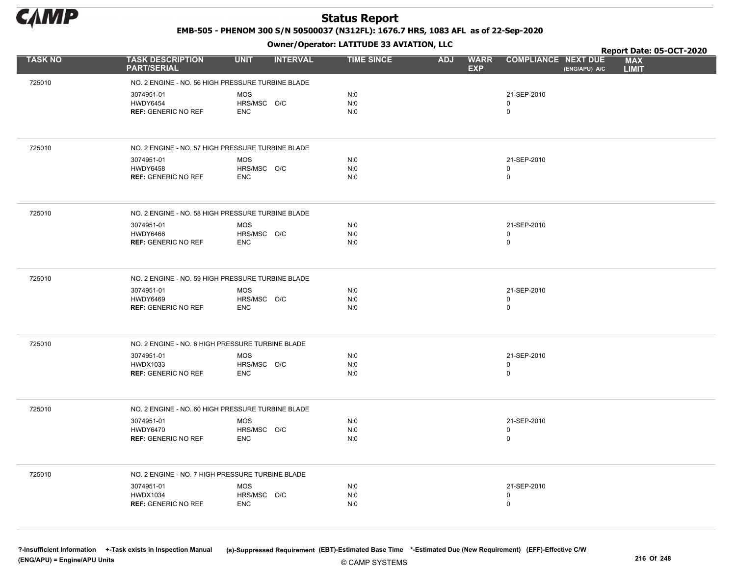

EMB-505 - PHENOM 300 S/N 50500037 (N312FL): 1676.7 HRS, 1083 AFL as of 22-Sep-2020

Owner/Operator: LATITUDE 33 AVIATION, LLC

|                |                                                   | .                              |                   |                                         |                                             | Report Date: 05-OCT-2020   |
|----------------|---------------------------------------------------|--------------------------------|-------------------|-----------------------------------------|---------------------------------------------|----------------------------|
| <b>TASK NO</b> | <b>TASK DESCRIPTION</b><br><b>PART/SERIAL</b>     | <b>UNIT</b><br><b>INTERVAL</b> | <b>TIME SINCE</b> | <b>WARR</b><br><b>ADJ</b><br><b>EXP</b> | <b>COMPLIANCE NEXT DUE</b><br>(ENG/APU) A/C | <b>MAX</b><br><b>LIMIT</b> |
| 725010         | NO. 2 ENGINE - NO. 56 HIGH PRESSURE TURBINE BLADE |                                |                   |                                         |                                             |                            |
|                | 3074951-01                                        | <b>MOS</b>                     | N:0               |                                         | 21-SEP-2010                                 |                            |
|                | <b>HWDY6454</b>                                   | HRS/MSC O/C                    | N:0               |                                         | $\mathbf 0$                                 |                            |
|                | <b>REF: GENERIC NO REF</b>                        | <b>ENC</b>                     | N:0               |                                         | $\mathbf 0$                                 |                            |
|                |                                                   |                                |                   |                                         |                                             |                            |
| 725010         | NO. 2 ENGINE - NO. 57 HIGH PRESSURE TURBINE BLADE |                                |                   |                                         |                                             |                            |
|                | 3074951-01                                        | <b>MOS</b>                     | N:0               |                                         | 21-SEP-2010                                 |                            |
|                | <b>HWDY6458</b><br><b>REF: GENERIC NO REF</b>     | HRS/MSC O/C<br><b>ENC</b>      | N:0<br>N:0        |                                         | 0<br>$\pmb{0}$                              |                            |
|                |                                                   |                                |                   |                                         |                                             |                            |
| 725010         | NO. 2 ENGINE - NO. 58 HIGH PRESSURE TURBINE BLADE |                                |                   |                                         |                                             |                            |
|                | 3074951-01                                        | <b>MOS</b>                     | N:0               |                                         | 21-SEP-2010                                 |                            |
|                | HWDY6466<br><b>REF: GENERIC NO REF</b>            | HRS/MSC O/C<br><b>ENC</b>      | N:0<br>N:0        |                                         | 0<br>$\mathbf 0$                            |                            |
|                |                                                   |                                |                   |                                         |                                             |                            |
| 725010         | NO. 2 ENGINE - NO. 59 HIGH PRESSURE TURBINE BLADE |                                |                   |                                         |                                             |                            |
|                | 3074951-01                                        | <b>MOS</b>                     | N:0               |                                         | 21-SEP-2010                                 |                            |
|                | HWDY6469<br><b>REF: GENERIC NO REF</b>            | HRS/MSC O/C<br><b>ENC</b>      | N:0<br>N:0        |                                         | 0<br>$\mathsf{O}$                           |                            |
|                |                                                   |                                |                   |                                         |                                             |                            |
| 725010         | NO. 2 ENGINE - NO. 6 HIGH PRESSURE TURBINE BLADE  |                                |                   |                                         |                                             |                            |
|                | 3074951-01                                        | <b>MOS</b>                     | N:0               |                                         | 21-SEP-2010                                 |                            |
|                | <b>HWDX1033</b><br><b>REF: GENERIC NO REF</b>     | HRS/MSC O/C<br><b>ENC</b>      | N:0<br>N:0        |                                         | $\pmb{0}$<br>0                              |                            |
|                |                                                   |                                |                   |                                         |                                             |                            |
| 725010         | NO. 2 ENGINE - NO. 60 HIGH PRESSURE TURBINE BLADE |                                |                   |                                         |                                             |                            |
|                | 3074951-01                                        | MOS                            | N:0               |                                         | 21-SEP-2010                                 |                            |
|                | <b>HWDY6470</b><br><b>REF: GENERIC NO REF</b>     | HRS/MSC O/C<br><b>ENC</b>      | N:0<br>N:0        |                                         | 0<br>$\mathbf 0$                            |                            |
|                |                                                   |                                |                   |                                         |                                             |                            |
| 725010         | NO. 2 ENGINE - NO. 7 HIGH PRESSURE TURBINE BLADE  |                                |                   |                                         |                                             |                            |
|                | 3074951-01                                        | MOS                            | N:0               |                                         | 21-SEP-2010                                 |                            |
|                | <b>HWDX1034</b>                                   | HRS/MSC O/C                    | N:0               |                                         | 0                                           |                            |
|                | <b>REF: GENERIC NO REF</b>                        | <b>ENC</b>                     | N:0               |                                         | $\mathbf 0$                                 |                            |
|                |                                                   |                                |                   |                                         |                                             |                            |

© CAMP SYSTEMS ?-Insufficient Information +-Task exists in Inspection Manual (s)-Suppressed Requirement (EBT)-Estimated Base Time \*-Estimated Due (New Requirement) (EFF)-Effective C/W (ENG/APU) = Engine/APU Units 216 Of 248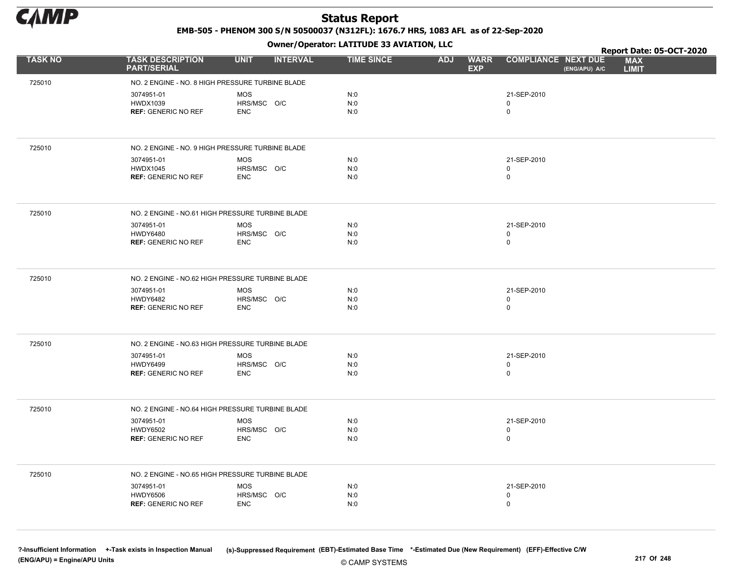

EMB-505 - PHENOM 300 S/N 50500037 (N312FL): 1676.7 HRS, 1083 AFL as of 22-Sep-2020

Owner/Operator: LATITUDE 33 AVIATION, LLC

|                |                                                  | .                              |                   |                                         |                                             | Report Date: 05-OCT-2020   |
|----------------|--------------------------------------------------|--------------------------------|-------------------|-----------------------------------------|---------------------------------------------|----------------------------|
| <b>TASK NO</b> | <b>TASK DESCRIPTION</b><br><b>PART/SERIAL</b>    | <b>UNIT</b><br><b>INTERVAL</b> | <b>TIME SINCE</b> | <b>ADJ</b><br><b>WARR</b><br><b>EXP</b> | <b>COMPLIANCE NEXT DUE</b><br>(ENG/APU) A/C | <b>MAX</b><br><b>LIMIT</b> |
| 725010         | NO. 2 ENGINE - NO. 8 HIGH PRESSURE TURBINE BLADE |                                |                   |                                         |                                             |                            |
|                | 3074951-01                                       | <b>MOS</b>                     | N:0               |                                         | 21-SEP-2010                                 |                            |
|                | <b>HWDX1039</b>                                  | HRS/MSC O/C                    | N:0               |                                         | 0                                           |                            |
|                | <b>REF: GENERIC NO REF</b>                       | <b>ENC</b>                     | N:0               |                                         | 0                                           |                            |
|                |                                                  |                                |                   |                                         |                                             |                            |
| 725010         | NO. 2 ENGINE - NO. 9 HIGH PRESSURE TURBINE BLADE |                                |                   |                                         |                                             |                            |
|                | 3074951-01                                       | <b>MOS</b>                     | N:0               |                                         | 21-SEP-2010                                 |                            |
|                | <b>HWDX1045</b><br><b>REF: GENERIC NO REF</b>    | HRS/MSC O/C<br><b>ENC</b>      | N:0<br>N:0        |                                         | 0<br>0                                      |                            |
|                |                                                  |                                |                   |                                         |                                             |                            |
| 725010         | NO. 2 ENGINE - NO.61 HIGH PRESSURE TURBINE BLADE |                                |                   |                                         |                                             |                            |
|                | 3074951-01                                       | <b>MOS</b>                     | N:0               |                                         | 21-SEP-2010                                 |                            |
|                | <b>HWDY6480</b><br><b>REF: GENERIC NO REF</b>    | HRS/MSC O/C<br><b>ENC</b>      | N:0<br>N:0        |                                         | 0<br>0                                      |                            |
|                |                                                  |                                |                   |                                         |                                             |                            |
|                |                                                  |                                |                   |                                         |                                             |                            |
| 725010         | NO. 2 ENGINE - NO.62 HIGH PRESSURE TURBINE BLADE |                                |                   |                                         |                                             |                            |
|                | 3074951-01                                       | MOS                            | N:0               |                                         | 21-SEP-2010                                 |                            |
|                | <b>HWDY6482</b><br><b>REF: GENERIC NO REF</b>    | HRS/MSC O/C<br><b>ENC</b>      | N:0<br>N:0        |                                         | 0<br>0                                      |                            |
|                |                                                  |                                |                   |                                         |                                             |                            |
| 725010         | NO. 2 ENGINE - NO.63 HIGH PRESSURE TURBINE BLADE |                                |                   |                                         |                                             |                            |
|                | 3074951-01                                       | <b>MOS</b>                     | N:0               |                                         | 21-SEP-2010                                 |                            |
|                | <b>HWDY6499</b>                                  | HRS/MSC O/C                    | N:0               |                                         | 0                                           |                            |
|                | <b>REF: GENERIC NO REF</b>                       | <b>ENC</b>                     | N:0               |                                         | 0                                           |                            |
|                |                                                  |                                |                   |                                         |                                             |                            |
| 725010         | NO. 2 ENGINE - NO.64 HIGH PRESSURE TURBINE BLADE |                                |                   |                                         |                                             |                            |
|                | 3074951-01                                       | <b>MOS</b>                     | N:0               |                                         | 21-SEP-2010                                 |                            |
|                | <b>HWDY6502</b><br><b>REF: GENERIC NO REF</b>    | HRS/MSC O/C<br><b>ENC</b>      | N:0<br>N:0        |                                         | $\mathbf 0$<br>0                            |                            |
|                |                                                  |                                |                   |                                         |                                             |                            |
| 725010         | NO. 2 ENGINE - NO.65 HIGH PRESSURE TURBINE BLADE |                                |                   |                                         |                                             |                            |
|                | 3074951-01                                       | <b>MOS</b>                     | N:0               |                                         | 21-SEP-2010                                 |                            |
|                | <b>HWDY6506</b>                                  | HRS/MSC O/C                    | N:0               |                                         | 0                                           |                            |
|                | <b>REF: GENERIC NO REF</b>                       | <b>ENC</b>                     | N:0               |                                         | $\mathbf 0$                                 |                            |
|                |                                                  |                                |                   |                                         |                                             |                            |
|                |                                                  |                                |                   |                                         |                                             |                            |

© CAMP SYSTEMS ?-Insufficient Information +-Task exists in Inspection Manual (s)-Suppressed Requirement (EBT)-Estimated Base Time \*-Estimated Due (New Requirement) (EFF)-Effective C/W (ENG/APU) = Engine/APU Units 217 Of 248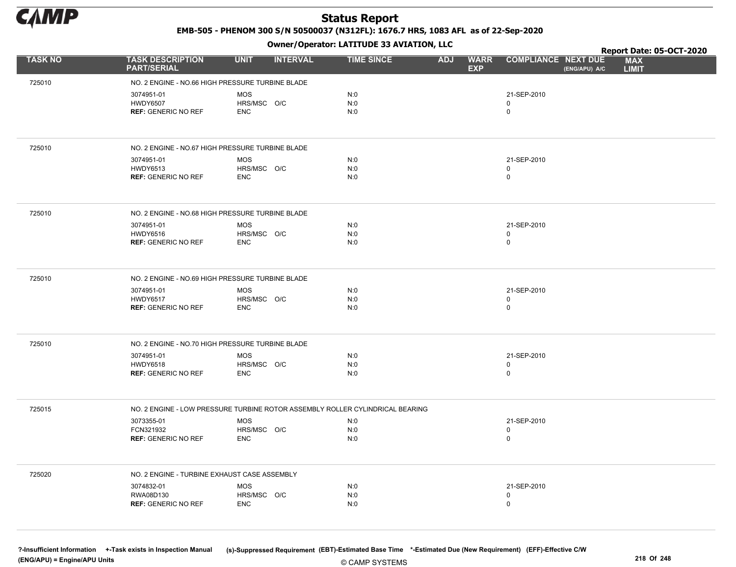

EMB-505 - PHENOM 300 S/N 50500037 (N312FL): 1676.7 HRS, 1083 AFL as of 22-Sep-2020

Owner/Operator: LATITUDE 33 AVIATION, LLC

|                |                                                  | .                                                                             |                   |                                         |                                             | Report Date: 05-OCT-2020   |
|----------------|--------------------------------------------------|-------------------------------------------------------------------------------|-------------------|-----------------------------------------|---------------------------------------------|----------------------------|
| <b>TASK NO</b> | <b>TASK DESCRIPTION</b><br><b>PART/SERIAL</b>    | <b>INTERVAL</b><br><b>UNIT</b>                                                | <b>TIME SINCE</b> | <b>ADJ</b><br><b>WARR</b><br><b>EXP</b> | <b>COMPLIANCE NEXT DUE</b><br>(ENG/APU) A/C | <b>MAX</b><br><b>LIMIT</b> |
| 725010         | NO. 2 ENGINE - NO.66 HIGH PRESSURE TURBINE BLADE |                                                                               |                   |                                         |                                             |                            |
|                | 3074951-01                                       | <b>MOS</b>                                                                    | N:0               |                                         | 21-SEP-2010                                 |                            |
|                | <b>HWDY6507</b>                                  | HRS/MSC O/C                                                                   | N:0               |                                         | 0                                           |                            |
|                | <b>REF: GENERIC NO REF</b>                       | <b>ENC</b>                                                                    | N:0               |                                         | 0                                           |                            |
|                |                                                  |                                                                               |                   |                                         |                                             |                            |
| 725010         | NO. 2 ENGINE - NO.67 HIGH PRESSURE TURBINE BLADE |                                                                               |                   |                                         |                                             |                            |
|                | 3074951-01                                       | <b>MOS</b>                                                                    | N:0               |                                         | 21-SEP-2010                                 |                            |
|                | <b>HWDY6513</b><br><b>REF: GENERIC NO REF</b>    | HRS/MSC O/C<br><b>ENC</b>                                                     | N:0<br>N:0        |                                         | 0<br>0                                      |                            |
|                |                                                  |                                                                               |                   |                                         |                                             |                            |
| 725010         | NO. 2 ENGINE - NO.68 HIGH PRESSURE TURBINE BLADE |                                                                               |                   |                                         |                                             |                            |
|                | 3074951-01                                       | <b>MOS</b>                                                                    | N:0               |                                         | 21-SEP-2010                                 |                            |
|                | <b>HWDY6516</b><br><b>REF: GENERIC NO REF</b>    | HRS/MSC O/C                                                                   | N:0<br>N:0        |                                         | 0<br>$\mathbf 0$                            |                            |
|                |                                                  | <b>ENC</b>                                                                    |                   |                                         |                                             |                            |
|                |                                                  |                                                                               |                   |                                         |                                             |                            |
| 725010         | NO. 2 ENGINE - NO.69 HIGH PRESSURE TURBINE BLADE |                                                                               |                   |                                         |                                             |                            |
|                | 3074951-01<br><b>HWDY6517</b>                    | <b>MOS</b><br>HRS/MSC O/C                                                     | N:0<br>N:0        |                                         | 21-SEP-2010<br>0                            |                            |
|                | <b>REF: GENERIC NO REF</b>                       | <b>ENC</b>                                                                    | N:0               |                                         | 0                                           |                            |
|                |                                                  |                                                                               |                   |                                         |                                             |                            |
| 725010         | NO. 2 ENGINE - NO.70 HIGH PRESSURE TURBINE BLADE |                                                                               |                   |                                         |                                             |                            |
|                | 3074951-01                                       | <b>MOS</b>                                                                    | N:0               |                                         | 21-SEP-2010                                 |                            |
|                | <b>HWDY6518</b>                                  | HRS/MSC O/C                                                                   | N:0               |                                         | 0                                           |                            |
|                | <b>REF: GENERIC NO REF</b>                       | <b>ENC</b>                                                                    | N:0               |                                         | 0                                           |                            |
|                |                                                  |                                                                               |                   |                                         |                                             |                            |
| 725015         |                                                  | NO. 2 ENGINE - LOW PRESSURE TURBINE ROTOR ASSEMBLY ROLLER CYLINDRICAL BEARING |                   |                                         |                                             |                            |
|                | 3073355-01<br>FCN321932                          | <b>MOS</b><br>HRS/MSC O/C                                                     | N:0<br>N:0        |                                         | 21-SEP-2010<br>0                            |                            |
|                | <b>REF: GENERIC NO REF</b>                       | <b>ENC</b>                                                                    | N:0               |                                         | 0                                           |                            |
|                |                                                  |                                                                               |                   |                                         |                                             |                            |
| 725020         | NO. 2 ENGINE - TURBINE EXHAUST CASE ASSEMBLY     |                                                                               |                   |                                         |                                             |                            |
|                | 3074832-01                                       | MOS                                                                           | N:0               |                                         | 21-SEP-2010                                 |                            |
|                | RWA08D130                                        | HRS/MSC O/C                                                                   | N:0               |                                         | 0                                           |                            |
|                | <b>REF: GENERIC NO REF</b>                       | <b>ENC</b>                                                                    | N:0               |                                         | 0                                           |                            |
|                |                                                  |                                                                               |                   |                                         |                                             |                            |
|                |                                                  |                                                                               |                   |                                         |                                             |                            |

© CAMP SYSTEMS ?-Insufficient Information +-Task exists in Inspection Manual (s)-Suppressed Requirement (EBT)-Estimated Base Time \*-Estimated Due (New Requirement) (EFF)-Effective C/W (ENG/APU) = Engine/APU Units 218 Of 248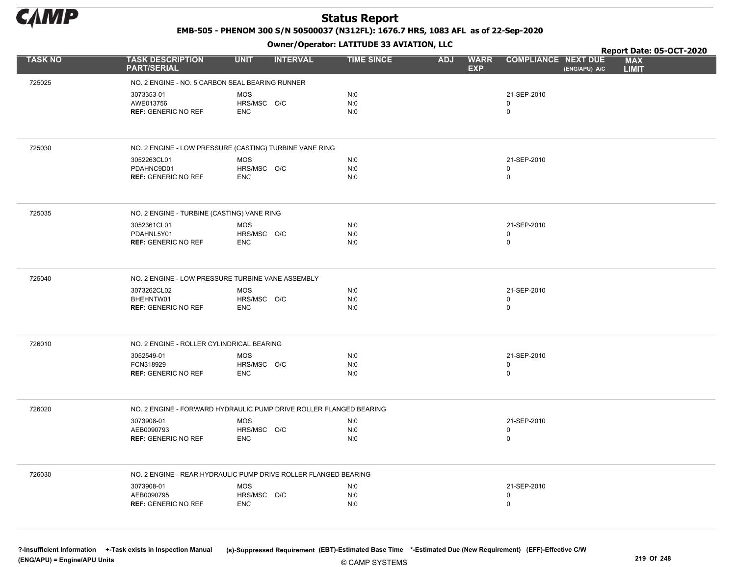

EMB-505 - PHENOM 300 S/N 50500037 (N312FL): 1676.7 HRS, 1083 AFL as of 22-Sep-2020

Owner/Operator: LATITUDE 33 AVIATION, LLC

|                |                                                   | .                                                                  |                   |                                         |                                             | Report Date: 05-OCT-2020   |
|----------------|---------------------------------------------------|--------------------------------------------------------------------|-------------------|-----------------------------------------|---------------------------------------------|----------------------------|
| <b>TASK NO</b> | <b>TASK DESCRIPTION</b><br><b>PART/SERIAL</b>     | <b>UNIT</b><br><b>INTERVAL</b>                                     | <b>TIME SINCE</b> | <b>WARR</b><br><b>ADJ</b><br><b>EXP</b> | <b>COMPLIANCE NEXT DUE</b><br>(ENG/APU) A/C | <b>MAX</b><br><b>LIMIT</b> |
| 725025         | NO. 2 ENGINE - NO. 5 CARBON SEAL BEARING RUNNER   |                                                                    |                   |                                         |                                             |                            |
|                | 3073353-01                                        | <b>MOS</b>                                                         | N:0               |                                         | 21-SEP-2010                                 |                            |
|                | AWE013756                                         | HRS/MSC O/C                                                        | N:0               |                                         | $\mathbf 0$                                 |                            |
|                | <b>REF: GENERIC NO REF</b>                        | <b>ENC</b>                                                         | N:0               |                                         | $\mathbf 0$                                 |                            |
|                |                                                   |                                                                    |                   |                                         |                                             |                            |
| 725030         |                                                   | NO. 2 ENGINE - LOW PRESSURE (CASTING) TURBINE VANE RING            |                   |                                         |                                             |                            |
|                | 3052263CL01                                       | <b>MOS</b>                                                         | N:0               |                                         | 21-SEP-2010                                 |                            |
|                | PDAHNC9D01<br><b>REF: GENERIC NO REF</b>          | HRS/MSC O/C<br><b>ENC</b>                                          | N:0<br>N:0        |                                         | 0<br>$\mathsf 0$                            |                            |
|                |                                                   |                                                                    |                   |                                         |                                             |                            |
| 725035         | NO. 2 ENGINE - TURBINE (CASTING) VANE RING        |                                                                    |                   |                                         |                                             |                            |
|                | 3052361CL01                                       | <b>MOS</b>                                                         | N:0               |                                         | 21-SEP-2010                                 |                            |
|                | PDAHNL5Y01<br><b>REF: GENERIC NO REF</b>          | HRS/MSC O/C<br><b>ENC</b>                                          | N:0<br>N:0        |                                         | 0<br>$\mathbf 0$                            |                            |
|                |                                                   |                                                                    |                   |                                         |                                             |                            |
| 725040         | NO. 2 ENGINE - LOW PRESSURE TURBINE VANE ASSEMBLY |                                                                    |                   |                                         |                                             |                            |
|                | 3073262CL02                                       | <b>MOS</b>                                                         | N:0               |                                         | 21-SEP-2010                                 |                            |
|                | BHEHNTW01<br><b>REF: GENERIC NO REF</b>           | HRS/MSC O/C<br><b>ENC</b>                                          | N:0<br>N:0        |                                         | 0<br>$\mathbf 0$                            |                            |
|                |                                                   |                                                                    |                   |                                         |                                             |                            |
| 726010         | NO. 2 ENGINE - ROLLER CYLINDRICAL BEARING         |                                                                    |                   |                                         |                                             |                            |
|                | 3052549-01                                        | <b>MOS</b>                                                         | N:0               |                                         | 21-SEP-2010                                 |                            |
|                | FCN318929<br><b>REF: GENERIC NO REF</b>           | HRS/MSC O/C<br><b>ENC</b>                                          | N:0<br>N:0        |                                         | $\mathsf 0$<br>$\mathbf 0$                  |                            |
|                |                                                   |                                                                    |                   |                                         |                                             |                            |
| 726020         |                                                   | NO. 2 ENGINE - FORWARD HYDRAULIC PUMP DRIVE ROLLER FLANGED BEARING |                   |                                         |                                             |                            |
|                | 3073908-01                                        | <b>MOS</b>                                                         | N:0               |                                         | 21-SEP-2010                                 |                            |
|                | AEB0090793                                        | HRS/MSC O/C                                                        | N:0               |                                         | 0<br>$\mathbf 0$                            |                            |
|                | <b>REF: GENERIC NO REF</b>                        | <b>ENC</b>                                                         | N:0               |                                         |                                             |                            |
| 726030         |                                                   | NO. 2 ENGINE - REAR HYDRAULIC PUMP DRIVE ROLLER FLANGED BEARING    |                   |                                         |                                             |                            |
|                | 3073908-01                                        | MOS                                                                | N:0               |                                         | 21-SEP-2010                                 |                            |
|                | AEB0090795                                        | HRS/MSC O/C                                                        | N:0               |                                         | 0                                           |                            |
|                | <b>REF: GENERIC NO REF</b>                        | <b>ENC</b>                                                         | N:0               |                                         | $\mathbf 0$                                 |                            |
|                |                                                   |                                                                    |                   |                                         |                                             |                            |

© CAMP SYSTEMS ?-Insufficient Information +-Task exists in Inspection Manual (s)-Suppressed Requirement (EBT)-Estimated Base Time \*-Estimated Due (New Requirement) (EFF)-Effective C/W (ENG/APU) = Engine/APU Units 219 Of 248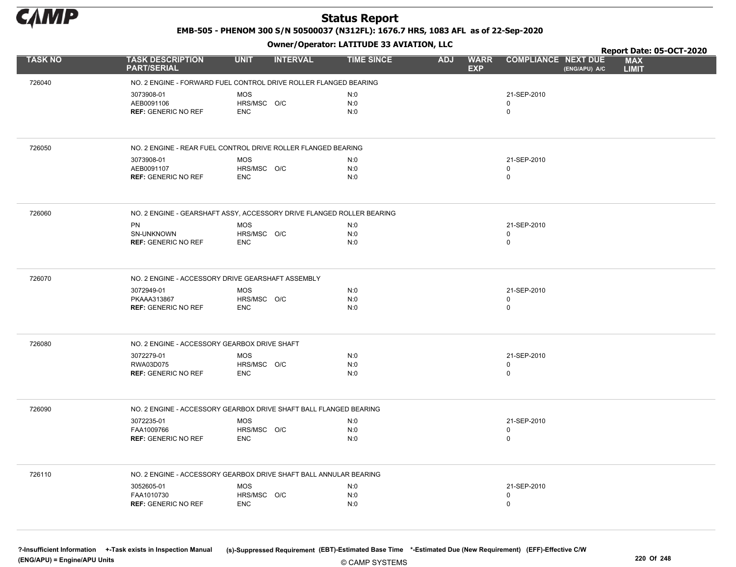

EMB-505 - PHENOM 300 S/N 50500037 (N312FL): 1676.7 HRS, 1083 AFL as of 22-Sep-2020

Owner/Operator: LATITUDE 33 AVIATION, LLC

|                |                                                                       |                                | . |                   |                                         |                                             | Report Date: 05-OCT-2020   |
|----------------|-----------------------------------------------------------------------|--------------------------------|---|-------------------|-----------------------------------------|---------------------------------------------|----------------------------|
| <b>TASK NO</b> | <b>TASK DESCRIPTION</b><br><b>PART/SERIAL</b>                         | <b>UNIT</b><br><b>INTERVAL</b> |   | <b>TIME SINCE</b> | <b>ADJ</b><br><b>WARR</b><br><b>EXP</b> | <b>COMPLIANCE NEXT DUE</b><br>(ENG/APU) A/C | <b>MAX</b><br><b>LIMIT</b> |
| 726040         | NO. 2 ENGINE - FORWARD FUEL CONTROL DRIVE ROLLER FLANGED BEARING      |                                |   |                   |                                         |                                             |                            |
|                | 3073908-01                                                            | <b>MOS</b>                     |   | N:0               |                                         | 21-SEP-2010                                 |                            |
|                | AEB0091106                                                            | HRS/MSC O/C                    |   | N:0               |                                         | $\mathbf 0$                                 |                            |
|                | <b>REF: GENERIC NO REF</b>                                            | <b>ENC</b>                     |   | N:0               |                                         | $\mathbf 0$                                 |                            |
|                |                                                                       |                                |   |                   |                                         |                                             |                            |
| 726050         | NO. 2 ENGINE - REAR FUEL CONTROL DRIVE ROLLER FLANGED BEARING         |                                |   |                   |                                         |                                             |                            |
|                | 3073908-01                                                            | <b>MOS</b>                     |   | N:0               |                                         | 21-SEP-2010                                 |                            |
|                | AEB0091107<br><b>REF: GENERIC NO REF</b>                              | HRS/MSC O/C<br><b>ENC</b>      |   | N:0<br>N:0        |                                         | 0<br>$\mathbf 0$                            |                            |
|                |                                                                       |                                |   |                   |                                         |                                             |                            |
| 726060         | NO. 2 ENGINE - GEARSHAFT ASSY, ACCESSORY DRIVE FLANGED ROLLER BEARING |                                |   |                   |                                         |                                             |                            |
|                | <b>PN</b>                                                             | <b>MOS</b>                     |   | N:0               |                                         | 21-SEP-2010                                 |                            |
|                | SN-UNKNOWN<br><b>REF: GENERIC NO REF</b>                              | HRS/MSC O/C<br><b>ENC</b>      |   | N:0<br>N:0        |                                         | $\mathbf 0$<br>$\mathsf{O}$                 |                            |
|                |                                                                       |                                |   |                   |                                         |                                             |                            |
|                |                                                                       |                                |   |                   |                                         |                                             |                            |
| 726070         | NO. 2 ENGINE - ACCESSORY DRIVE GEARSHAFT ASSEMBLY                     |                                |   |                   |                                         |                                             |                            |
|                | 3072949-01<br>PKAAA313867                                             | <b>MOS</b><br>HRS/MSC O/C      |   | N:0<br>N:0        |                                         | 21-SEP-2010<br>0                            |                            |
|                | <b>REF: GENERIC NO REF</b>                                            | <b>ENC</b>                     |   | N:0               |                                         | $\mathbf 0$                                 |                            |
|                |                                                                       |                                |   |                   |                                         |                                             |                            |
| 726080         | NO. 2 ENGINE - ACCESSORY GEARBOX DRIVE SHAFT                          |                                |   |                   |                                         |                                             |                            |
|                | 3072279-01                                                            | <b>MOS</b>                     |   | N:0               |                                         | 21-SEP-2010                                 |                            |
|                | RWA03D075                                                             | HRS/MSC O/C                    |   | N:0               |                                         | 0                                           |                            |
|                | <b>REF: GENERIC NO REF</b>                                            | <b>ENC</b>                     |   | N:0               |                                         | $\mathsf{O}$                                |                            |
|                |                                                                       |                                |   |                   |                                         |                                             |                            |
| 726090         | NO. 2 ENGINE - ACCESSORY GEARBOX DRIVE SHAFT BALL FLANGED BEARING     |                                |   |                   |                                         |                                             |                            |
|                | 3072235-01                                                            | <b>MOS</b>                     |   | N:0               |                                         | 21-SEP-2010                                 |                            |
|                | FAA1009766<br><b>REF: GENERIC NO REF</b>                              | HRS/MSC O/C<br><b>ENC</b>      |   | N:0<br>N:0        |                                         | 0<br>$\mathsf 0$                            |                            |
|                |                                                                       |                                |   |                   |                                         |                                             |                            |
| 726110         | NO. 2 ENGINE - ACCESSORY GEARBOX DRIVE SHAFT BALL ANNULAR BEARING     |                                |   |                   |                                         |                                             |                            |
|                | 3052605-01                                                            | <b>MOS</b>                     |   | N:0               |                                         | 21-SEP-2010                                 |                            |
|                | FAA1010730                                                            | HRS/MSC O/C                    |   | N:0               |                                         | 0                                           |                            |
|                | <b>REF: GENERIC NO REF</b>                                            | <b>ENC</b>                     |   | N:0               |                                         | $\Omega$                                    |                            |
|                |                                                                       |                                |   |                   |                                         |                                             |                            |
|                |                                                                       |                                |   |                   |                                         |                                             |                            |

© CAMP SYSTEMS ?-Insufficient Information +-Task exists in Inspection Manual (s)-Suppressed Requirement (EBT)-Estimated Base Time \*-Estimated Due (New Requirement) (EFF)-Effective C/W (ENG/APU) = Engine/APU Units 220 Of 248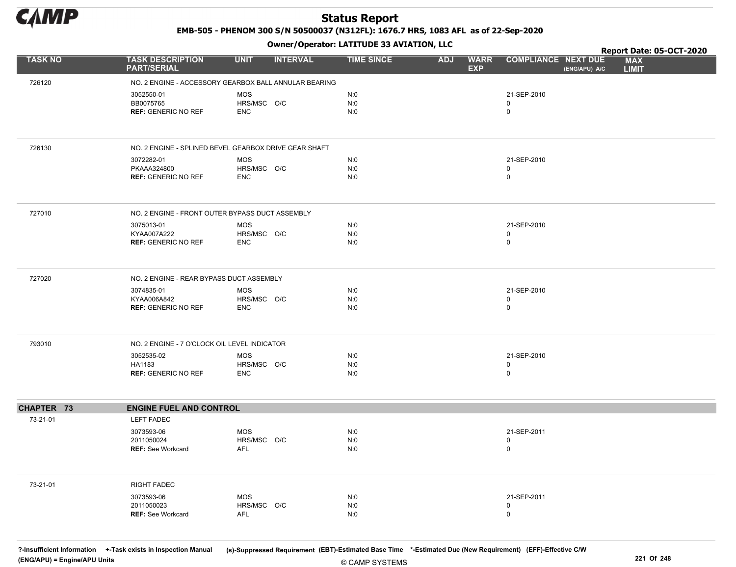

EMB-505 - PHENOM 300 S/N 50500037 (N312FL): 1676.7 HRS, 1083 AFL as of 22-Sep-2020

Owner/Operator: LATITUDE 33 AVIATION, LLC

|                |                                                 | .                                                     |                   |                                         | Report Date: 05-OCT-2020                                                  |
|----------------|-------------------------------------------------|-------------------------------------------------------|-------------------|-----------------------------------------|---------------------------------------------------------------------------|
| <b>TASK NO</b> | <b>TASK DESCRIPTION</b><br><b>PART/SERIAL</b>   | <b>UNIT</b><br><b>INTERVAL</b>                        | <b>TIME SINCE</b> | <b>WARR</b><br><b>ADJ</b><br><b>EXP</b> | <b>COMPLIANCE NEXT DUE</b><br><b>MAX</b><br>(ENG/APU) A/C<br><b>LIMIT</b> |
| 726120         |                                                 | NO. 2 ENGINE - ACCESSORY GEARBOX BALL ANNULAR BEARING |                   |                                         |                                                                           |
|                | 3052550-01                                      | <b>MOS</b>                                            | N:0               |                                         | 21-SEP-2010                                                               |
|                | BB0075765                                       | HRS/MSC O/C                                           | N:0               |                                         | 0                                                                         |
|                | <b>REF: GENERIC NO REF</b>                      | <b>ENC</b>                                            | N:0               |                                         | $\mathbf 0$                                                               |
|                |                                                 |                                                       |                   |                                         |                                                                           |
| 726130         |                                                 | NO. 2 ENGINE - SPLINED BEVEL GEARBOX DRIVE GEAR SHAFT |                   |                                         |                                                                           |
|                | 3072282-01                                      | <b>MOS</b>                                            | N:0               |                                         | 21-SEP-2010                                                               |
|                | PKAAA324800<br><b>REF: GENERIC NO REF</b>       | HRS/MSC O/C<br><b>ENC</b>                             | N:0<br>N:0        |                                         | 0<br>$\mathsf{O}$                                                         |
|                |                                                 |                                                       |                   |                                         |                                                                           |
| 727010         | NO. 2 ENGINE - FRONT OUTER BYPASS DUCT ASSEMBLY |                                                       |                   |                                         |                                                                           |
|                | 3075013-01                                      | MOS                                                   | N:0               |                                         | 21-SEP-2010                                                               |
|                | KYAA007A222                                     | HRS/MSC O/C                                           | N:0               |                                         | $\mathsf{O}$                                                              |
|                | <b>REF: GENERIC NO REF</b>                      | <b>ENC</b>                                            | N:0               |                                         | 0                                                                         |
| 727020         | NO. 2 ENGINE - REAR BYPASS DUCT ASSEMBLY        |                                                       |                   |                                         |                                                                           |
|                | 3074835-01                                      | <b>MOS</b>                                            | N:0               |                                         | 21-SEP-2010                                                               |
|                | KYAA006A842                                     | HRS/MSC O/C                                           | N:0               |                                         | 0                                                                         |
|                | <b>REF: GENERIC NO REF</b>                      | <b>ENC</b>                                            | N:0               |                                         | $\mathsf{O}$                                                              |
| 793010         | NO. 2 ENGINE - 7 O'CLOCK OIL LEVEL INDICATOR    |                                                       |                   |                                         |                                                                           |
|                | 3052535-02                                      | <b>MOS</b>                                            | N:0               |                                         | 21-SEP-2010                                                               |
|                | HA1183                                          | HRS/MSC O/C                                           | N:0               |                                         | 0                                                                         |
|                | <b>REF: GENERIC NO REF</b>                      | <b>ENC</b>                                            | N:0               |                                         | 0                                                                         |
| CHAPTER 73     | <b>ENGINE FUEL AND CONTROL</b>                  |                                                       |                   |                                         |                                                                           |
| 73-21-01       | <b>LEFT FADEC</b>                               |                                                       |                   |                                         |                                                                           |
|                | 3073593-06                                      | <b>MOS</b>                                            | N:0               |                                         | 21-SEP-2011                                                               |
|                | 2011050024                                      | HRS/MSC O/C                                           | N:0               |                                         | $\mathsf{O}$                                                              |
|                | <b>REF: See Workcard</b>                        | <b>AFL</b>                                            | N:0               |                                         | 0                                                                         |
|                |                                                 |                                                       |                   |                                         |                                                                           |
| 73-21-01       | <b>RIGHT FADEC</b>                              |                                                       |                   |                                         |                                                                           |
|                | 3073593-06                                      | <b>MOS</b>                                            | N:0               |                                         | 21-SEP-2011                                                               |
|                | 2011050023<br><b>REF: See Workcard</b>          | HRS/MSC O/C<br><b>AFL</b>                             | N:0<br>N:0        |                                         | 0<br>0                                                                    |
|                |                                                 |                                                       |                   |                                         |                                                                           |

© CAMP SYSTEMS ?-Insufficient Information +-Task exists in Inspection Manual (s)-Suppressed Requirement (EBT)-Estimated Base Time \*-Estimated Due (New Requirement) (EFF)-Effective C/W (ENG/APU) = Engine/APU Units 221 Of 248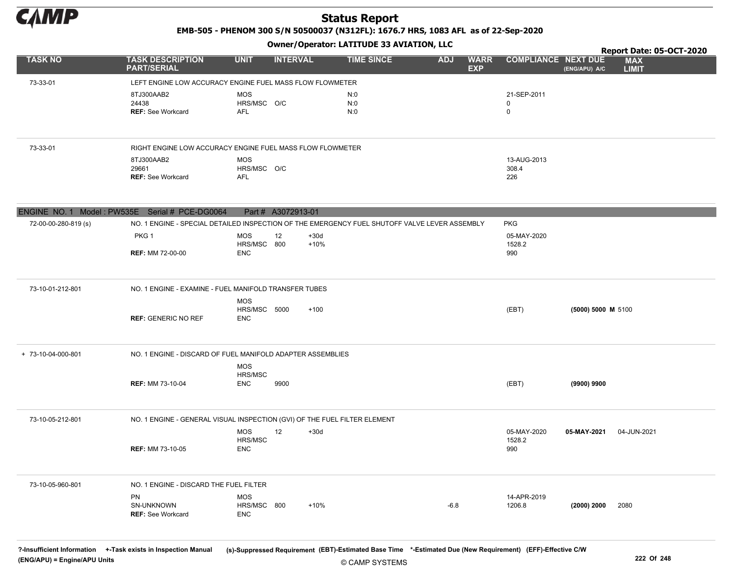

EMB-505 - PHENOM 300 S/N 50500037 (N312FL): 1676.7 HRS, 1083 AFL as of 22-Sep-2020

Owner/Operator: LATITUDE 33 AVIATION, LLC

|                                                |                                                                                               |                           |                    |        | Owner, Operator: EAT110DE 33 AVIAT10N, EEC |            |                           |                            |                    | Report Date: 05-OCT-2020   |
|------------------------------------------------|-----------------------------------------------------------------------------------------------|---------------------------|--------------------|--------|--------------------------------------------|------------|---------------------------|----------------------------|--------------------|----------------------------|
| <b>TASK NO</b>                                 | <b>TASK DESCRIPTION</b><br><b>PART/SERIAL</b>                                                 | <b>UNIT</b>               | <b>INTERVAL</b>    |        | <b>TIME SINCE</b>                          | <b>ADJ</b> | <b>WARR</b><br><b>EXP</b> | <b>COMPLIANCE NEXT DUE</b> | (ENG/APU) A/C      | <b>MAX</b><br><b>LIMIT</b> |
| 73-33-01                                       | LEFT ENGINE LOW ACCURACY ENGINE FUEL MASS FLOW FLOWMETER                                      |                           |                    |        |                                            |            |                           |                            |                    |                            |
|                                                | 8TJ300AAB2                                                                                    | <b>MOS</b>                |                    |        | N:0                                        |            |                           | 21-SEP-2011                |                    |                            |
|                                                | 24438                                                                                         | HRS/MSC O/C               |                    |        | N:0                                        |            |                           | $\mathbf 0$                |                    |                            |
|                                                | <b>REF: See Workcard</b>                                                                      | <b>AFL</b>                |                    |        | N:0                                        |            |                           | $\pmb{0}$                  |                    |                            |
|                                                |                                                                                               |                           |                    |        |                                            |            |                           |                            |                    |                            |
| 73-33-01                                       | RIGHT ENGINE LOW ACCURACY ENGINE FUEL MASS FLOW FLOWMETER                                     |                           |                    |        |                                            |            |                           |                            |                    |                            |
|                                                | 8TJ300AAB2                                                                                    | <b>MOS</b>                |                    |        |                                            |            |                           | 13-AUG-2013                |                    |                            |
|                                                | 29661                                                                                         | HRS/MSC O/C               |                    |        |                                            |            |                           | 308.4                      |                    |                            |
|                                                | <b>REF: See Workcard</b>                                                                      | <b>AFL</b>                |                    |        |                                            |            |                           | 226                        |                    |                            |
| ENGINE NO. 1 Model: PW535E Serial # PCE-DG0064 |                                                                                               |                           | Part # A3072913-01 |        |                                            |            |                           |                            |                    |                            |
| 72-00-00-280-819 (s)                           | NO. 1 ENGINE - SPECIAL DETAILED INSPECTION OF THE EMERGENCY FUEL SHUTOFF VALVE LEVER ASSEMBLY |                           |                    |        |                                            |            |                           | <b>PKG</b>                 |                    |                            |
|                                                | PKG <sub>1</sub>                                                                              | <b>MOS</b>                | 12                 | $+30d$ |                                            |            |                           | 05-MAY-2020                |                    |                            |
|                                                | <b>REF: MM 72-00-00</b>                                                                       | HRS/MSC 800<br><b>ENC</b> |                    | $+10%$ |                                            |            |                           | 1528.2<br>990              |                    |                            |
|                                                |                                                                                               |                           |                    |        |                                            |            |                           |                            |                    |                            |
| 73-10-01-212-801                               | NO. 1 ENGINE - EXAMINE - FUEL MANIFOLD TRANSFER TUBES                                         |                           |                    |        |                                            |            |                           |                            |                    |                            |
|                                                |                                                                                               | <b>MOS</b>                |                    |        |                                            |            |                           |                            |                    |                            |
|                                                |                                                                                               | HRS/MSC 5000              |                    | $+100$ |                                            |            |                           | (EBT)                      | (5000) 5000 M 5100 |                            |
|                                                | <b>REF: GENERIC NO REF</b>                                                                    | <b>ENC</b>                |                    |        |                                            |            |                           |                            |                    |                            |
|                                                |                                                                                               |                           |                    |        |                                            |            |                           |                            |                    |                            |
| + 73-10-04-000-801                             | NO. 1 ENGINE - DISCARD OF FUEL MANIFOLD ADAPTER ASSEMBLIES                                    |                           |                    |        |                                            |            |                           |                            |                    |                            |
|                                                |                                                                                               | <b>MOS</b>                |                    |        |                                            |            |                           |                            |                    |                            |
|                                                | <b>REF: MM 73-10-04</b>                                                                       | HRS/MSC<br><b>ENC</b>     | 9900               |        |                                            |            |                           | (EBT)                      | (9900) 9900        |                            |
|                                                |                                                                                               |                           |                    |        |                                            |            |                           |                            |                    |                            |
|                                                |                                                                                               |                           |                    |        |                                            |            |                           |                            |                    |                            |
| 73-10-05-212-801                               | NO. 1 ENGINE - GENERAL VISUAL INSPECTION (GVI) OF THE FUEL FILTER ELEMENT                     |                           |                    |        |                                            |            |                           |                            |                    |                            |
|                                                |                                                                                               | <b>MOS</b>                | 12                 | $+30d$ |                                            |            |                           | 05-MAY-2020                | 05-MAY-2021        | 04-JUN-2021                |
|                                                | <b>REF: MM 73-10-05</b>                                                                       | HRS/MSC<br><b>ENC</b>     |                    |        |                                            |            |                           | 1528.2<br>990              |                    |                            |
|                                                |                                                                                               |                           |                    |        |                                            |            |                           |                            |                    |                            |
|                                                |                                                                                               |                           |                    |        |                                            |            |                           |                            |                    |                            |
| 73-10-05-960-801                               | NO. 1 ENGINE - DISCARD THE FUEL FILTER                                                        |                           |                    |        |                                            |            |                           |                            |                    |                            |
|                                                | PN                                                                                            | <b>MOS</b>                |                    |        |                                            |            |                           | 14-APR-2019                |                    |                            |
|                                                | SN-UNKNOWN                                                                                    | HRS/MSC 800               |                    | $+10%$ |                                            | $-6.8$     |                           | 1206.8                     | (2000) 2000        | 2080                       |
|                                                | <b>REF: See Workcard</b>                                                                      | <b>ENC</b>                |                    |        |                                            |            |                           |                            |                    |                            |
|                                                |                                                                                               |                           |                    |        |                                            |            |                           |                            |                    |                            |

© CAMP SYSTEMS ?-Insufficient Information +-Task exists in Inspection Manual (s)-Suppressed Requirement (EBT)-Estimated Base Time \*-Estimated Due (New Requirement) (EFF)-Effective C/W (ENG/APU) = Engine/APU Units 222 Of 248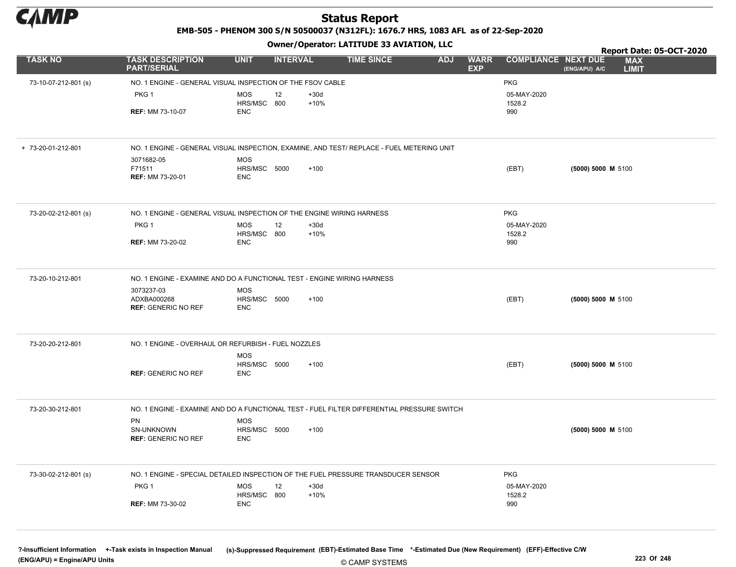

EMB-505 - PHENOM 300 S/N 50500037 (N312FL): 1676.7 HRS, 1083 AFL as of 22-Sep-2020

Owner/Operator: LATITUDE 33 AVIATION, LLC

|                      |                                                                                            |                            | - . - .         |                  |                   |            |                           |                            |                      | Report Date: 05-OCT-2020   |  |
|----------------------|--------------------------------------------------------------------------------------------|----------------------------|-----------------|------------------|-------------------|------------|---------------------------|----------------------------|----------------------|----------------------------|--|
| <b>TASK NO</b>       | <b>TASK DESCRIPTION</b><br><b>PART/SERIAL</b>                                              | <b>UNIT</b>                | <b>INTERVAL</b> |                  | <b>TIME SINCE</b> | <b>ADJ</b> | <b>WARR</b><br><b>EXP</b> | <b>COMPLIANCE NEXT DUE</b> | (ENG/APU) A/C        | <b>MAX</b><br><b>LIMIT</b> |  |
| 73-10-07-212-801 (s) | NO. 1 ENGINE - GENERAL VISUAL INSPECTION OF THE FSOV CABLE                                 |                            |                 |                  |                   |            |                           | <b>PKG</b>                 |                      |                            |  |
|                      | PKG <sub>1</sub>                                                                           | MOS                        | 12              | $+30d$           |                   |            |                           | 05-MAY-2020                |                      |                            |  |
|                      | <b>REF: MM 73-10-07</b>                                                                    | HRS/MSC 800<br><b>ENC</b>  |                 | $+10%$           |                   |            |                           | 1528.2<br>990              |                      |                            |  |
|                      |                                                                                            |                            |                 |                  |                   |            |                           |                            |                      |                            |  |
| + 73-20-01-212-801   | NO. 1 ENGINE - GENERAL VISUAL INSPECTION, EXAMINE, AND TEST/ REPLACE - FUEL METERING UNIT  |                            |                 |                  |                   |            |                           |                            |                      |                            |  |
|                      | 3071682-05<br>F71511                                                                       | MOS<br>HRS/MSC 5000        |                 | $+100$           |                   |            |                           | (EBT)                      | (5000) 5000 M 5100   |                            |  |
|                      | REF: MM 73-20-01                                                                           | <b>ENC</b>                 |                 |                  |                   |            |                           |                            |                      |                            |  |
|                      |                                                                                            |                            |                 |                  |                   |            |                           |                            |                      |                            |  |
| 73-20-02-212-801 (s) | NO. 1 ENGINE - GENERAL VISUAL INSPECTION OF THE ENGINE WIRING HARNESS                      |                            |                 |                  |                   |            |                           | <b>PKG</b>                 |                      |                            |  |
|                      | PKG <sub>1</sub>                                                                           | <b>MOS</b><br>HRS/MSC 800  | 12              | $+30d$<br>$+10%$ |                   |            |                           | 05-MAY-2020<br>1528.2      |                      |                            |  |
|                      | <b>REF: MM 73-20-02</b>                                                                    | <b>ENC</b>                 |                 |                  |                   |            |                           | 990                        |                      |                            |  |
|                      |                                                                                            |                            |                 |                  |                   |            |                           |                            |                      |                            |  |
| 73-20-10-212-801     | NO. 1 ENGINE - EXAMINE AND DO A FUNCTIONAL TEST - ENGINE WIRING HARNESS                    |                            |                 |                  |                   |            |                           |                            |                      |                            |  |
|                      | 3073237-03<br>ADXBA000268                                                                  | MOS<br>HRS/MSC 5000        |                 | $+100$           |                   |            |                           | (EBT)                      | $(5000) 5000$ M 5100 |                            |  |
|                      | <b>REF: GENERIC NO REF</b>                                                                 | <b>ENC</b>                 |                 |                  |                   |            |                           |                            |                      |                            |  |
|                      |                                                                                            |                            |                 |                  |                   |            |                           |                            |                      |                            |  |
| 73-20-20-212-801     | NO. 1 ENGINE - OVERHAUL OR REFURBISH - FUEL NOZZLES                                        |                            |                 |                  |                   |            |                           |                            |                      |                            |  |
|                      |                                                                                            | MOS<br>HRS/MSC 5000        |                 | $+100$           |                   |            |                           | (EBT)                      | $(5000) 5000$ M 5100 |                            |  |
|                      | <b>REF: GENERIC NO REF</b>                                                                 | <b>ENC</b>                 |                 |                  |                   |            |                           |                            |                      |                            |  |
|                      |                                                                                            |                            |                 |                  |                   |            |                           |                            |                      |                            |  |
| 73-20-30-212-801     | NO. 1 ENGINE - EXAMINE AND DO A FUNCTIONAL TEST - FUEL FILTER DIFFERENTIAL PRESSURE SWITCH |                            |                 |                  |                   |            |                           |                            |                      |                            |  |
|                      | PN<br>SN-UNKNOWN                                                                           | <b>MOS</b><br>HRS/MSC 5000 |                 | $+100$           |                   |            |                           |                            | (5000) 5000 M 5100   |                            |  |
|                      | <b>REF: GENERIC NO REF</b>                                                                 | <b>ENC</b>                 |                 |                  |                   |            |                           |                            |                      |                            |  |
|                      |                                                                                            |                            |                 |                  |                   |            |                           |                            |                      |                            |  |
| 73-30-02-212-801 (s) | NO. 1 ENGINE - SPECIAL DETAILED INSPECTION OF THE FUEL PRESSURE TRANSDUCER SENSOR          |                            |                 |                  |                   |            |                           | <b>PKG</b>                 |                      |                            |  |
|                      | PKG 1                                                                                      | <b>MOS</b><br>HRS/MSC 800  | 12              | $+30d$<br>$+10%$ |                   |            |                           | 05-MAY-2020<br>1528.2      |                      |                            |  |
|                      | <b>REF: MM 73-30-02</b>                                                                    | <b>ENC</b>                 |                 |                  |                   |            |                           | 990                        |                      |                            |  |
|                      |                                                                                            |                            |                 |                  |                   |            |                           |                            |                      |                            |  |
|                      |                                                                                            |                            |                 |                  |                   |            |                           |                            |                      |                            |  |

© CAMP SYSTEMS ?-Insufficient Information +-Task exists in Inspection Manual (s)-Suppressed Requirement (EBT)-Estimated Base Time \*-Estimated Due (New Requirement) (EFF)-Effective C/W (ENG/APU) = Engine/APU Units 223 Of 248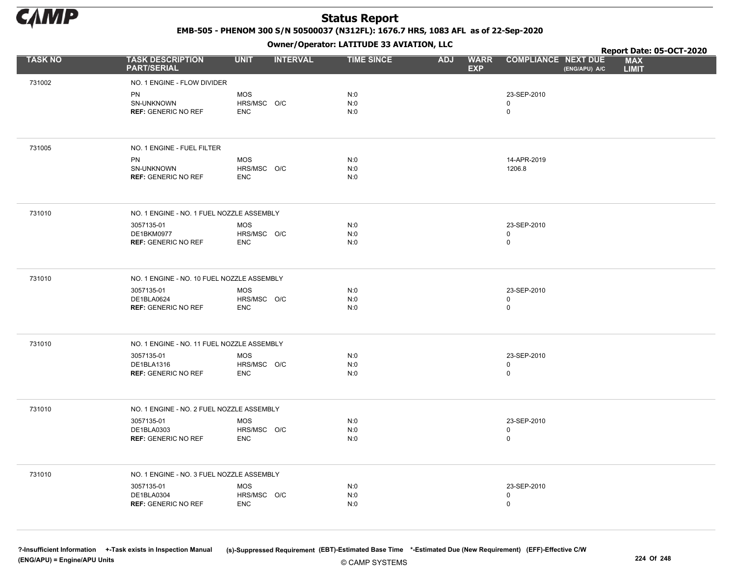

EMB-505 - PHENOM 300 S/N 50500037 (N312FL): 1676.7 HRS, 1083 AFL as of 22-Sep-2020

Owner/Operator: LATITUDE 33 AVIATION, LLC

|                |                                               |             | .               |                   |                                         |                                             | Report Date: 05-OCT-2020   |
|----------------|-----------------------------------------------|-------------|-----------------|-------------------|-----------------------------------------|---------------------------------------------|----------------------------|
| <b>TASK NO</b> | <b>TASK DESCRIPTION</b><br><b>PART/SERIAL</b> | <b>UNIT</b> | <b>INTERVAL</b> | <b>TIME SINCE</b> | <b>ADJ</b><br><b>WARR</b><br><b>EXP</b> | <b>COMPLIANCE NEXT DUE</b><br>(ENG/APU) A/C | <b>MAX</b><br><b>LIMIT</b> |
| 731002         | NO. 1 ENGINE - FLOW DIVIDER                   |             |                 |                   |                                         |                                             |                            |
|                | <b>PN</b>                                     | <b>MOS</b>  |                 | N:0               |                                         | 23-SEP-2010                                 |                            |
|                | SN-UNKNOWN                                    | HRS/MSC O/C |                 | N:0               |                                         | 0                                           |                            |
|                | <b>REF: GENERIC NO REF</b>                    | <b>ENC</b>  |                 | N:0               |                                         | $\mathbf 0$                                 |                            |
|                |                                               |             |                 |                   |                                         |                                             |                            |
| 731005         | NO. 1 ENGINE - FUEL FILTER                    |             |                 |                   |                                         |                                             |                            |
|                | <b>PN</b>                                     | <b>MOS</b>  |                 | N:0               |                                         | 14-APR-2019                                 |                            |
|                | SN-UNKNOWN                                    | HRS/MSC O/C |                 | N:0               |                                         | 1206.8                                      |                            |
|                | <b>REF: GENERIC NO REF</b>                    | <b>ENC</b>  |                 | N:0               |                                         |                                             |                            |
| 731010         | NO. 1 ENGINE - NO. 1 FUEL NOZZLE ASSEMBLY     |             |                 |                   |                                         |                                             |                            |
|                | 3057135-01                                    | <b>MOS</b>  |                 | N:0               |                                         | 23-SEP-2010                                 |                            |
|                | DE1BKM0977                                    | HRS/MSC O/C |                 | N:0               |                                         | 0                                           |                            |
|                | <b>REF: GENERIC NO REF</b>                    | <b>ENC</b>  |                 | N:0               |                                         | 0                                           |                            |
| 731010         | NO. 1 ENGINE - NO. 10 FUEL NOZZLE ASSEMBLY    |             |                 |                   |                                         |                                             |                            |
|                | 3057135-01                                    | MOS         |                 | N:0               |                                         | 23-SEP-2010                                 |                            |
|                | DE1BLA0624                                    | HRS/MSC O/C |                 | N:0               |                                         | 0<br>0                                      |                            |
|                | <b>REF: GENERIC NO REF</b>                    | <b>ENC</b>  |                 | N:0               |                                         |                                             |                            |
| 731010         | NO. 1 ENGINE - NO. 11 FUEL NOZZLE ASSEMBLY    |             |                 |                   |                                         |                                             |                            |
|                | 3057135-01                                    | <b>MOS</b>  |                 | N:0               |                                         | 23-SEP-2010                                 |                            |
|                | DE1BLA1316                                    | HRS/MSC O/C |                 | N:0               |                                         | 0                                           |                            |
|                | <b>REF: GENERIC NO REF</b>                    | <b>ENC</b>  |                 | N:0               |                                         | 0                                           |                            |
| 731010         | NO. 1 ENGINE - NO. 2 FUEL NOZZLE ASSEMBLY     |             |                 |                   |                                         |                                             |                            |
|                | 3057135-01                                    | <b>MOS</b>  |                 | N:0               |                                         | 23-SEP-2010                                 |                            |
|                | DE1BLA0303                                    | HRS/MSC O/C |                 | N:0               |                                         | 0                                           |                            |
|                | <b>REF: GENERIC NO REF</b>                    | <b>ENC</b>  |                 | N:0               |                                         | 0                                           |                            |
| 731010         | NO. 1 ENGINE - NO. 3 FUEL NOZZLE ASSEMBLY     |             |                 |                   |                                         |                                             |                            |
|                | 3057135-01                                    | MOS         |                 | N:0               |                                         | 23-SEP-2010                                 |                            |
|                | DE1BLA0304                                    | HRS/MSC O/C |                 | N:0               |                                         | 0                                           |                            |
|                | <b>REF: GENERIC NO REF</b>                    | <b>ENC</b>  |                 | N:0               |                                         | 0                                           |                            |
|                |                                               |             |                 |                   |                                         |                                             |                            |

© CAMP SYSTEMS ?-Insufficient Information +-Task exists in Inspection Manual (s)-Suppressed Requirement (EBT)-Estimated Base Time \*-Estimated Due (New Requirement) (EFF)-Effective C/W (ENG/APU) = Engine/APU Units 224 Of 248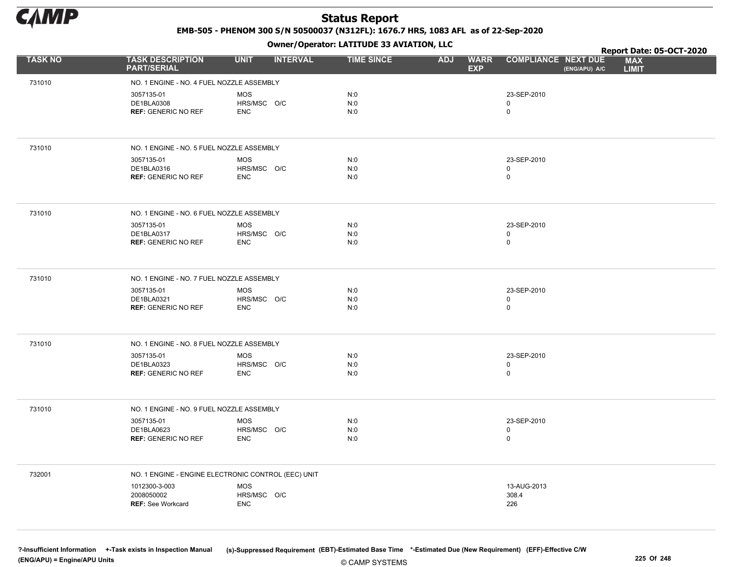

EMB-505 - PHENOM 300 S/N 50500037 (N312FL): 1676.7 HRS, 1083 AFL as of 22-Sep-2020

Owner/Operator: LATITUDE 33 AVIATION, LLC

|                |                                                     | .                              |                   |                                         |                                             | Report Date: 05-OCT-2020   |
|----------------|-----------------------------------------------------|--------------------------------|-------------------|-----------------------------------------|---------------------------------------------|----------------------------|
| <b>TASK NO</b> | <b>TASK DESCRIPTION</b><br><b>PART/SERIAL</b>       | <b>UNIT</b><br><b>INTERVAL</b> | <b>TIME SINCE</b> | <b>WARR</b><br><b>ADJ</b><br><b>EXP</b> | <b>COMPLIANCE NEXT DUE</b><br>(ENG/APU) A/C | <b>MAX</b><br><b>LIMIT</b> |
| 731010         | NO. 1 ENGINE - NO. 4 FUEL NOZZLE ASSEMBLY           |                                |                   |                                         |                                             |                            |
|                | 3057135-01                                          | <b>MOS</b>                     | N:0               |                                         | 23-SEP-2010                                 |                            |
|                | DE1BLA0308                                          | HRS/MSC O/C                    | N:0               |                                         | 0                                           |                            |
|                | <b>REF: GENERIC NO REF</b>                          | <b>ENC</b>                     | N:0               |                                         | 0                                           |                            |
|                |                                                     |                                |                   |                                         |                                             |                            |
| 731010         | NO. 1 ENGINE - NO. 5 FUEL NOZZLE ASSEMBLY           |                                |                   |                                         |                                             |                            |
|                | 3057135-01                                          | <b>MOS</b>                     | N:0               |                                         | 23-SEP-2010                                 |                            |
|                | DE1BLA0316                                          | HRS/MSC O/C                    | N:0<br>N:0        |                                         | $\mathbf 0$<br>0                            |                            |
|                | <b>REF: GENERIC NO REF</b>                          | <b>ENC</b>                     |                   |                                         |                                             |                            |
| 731010         | NO. 1 ENGINE - NO. 6 FUEL NOZZLE ASSEMBLY           |                                |                   |                                         |                                             |                            |
|                | 3057135-01                                          | <b>MOS</b>                     | N:0               |                                         | 23-SEP-2010                                 |                            |
|                | DE1BLA0317                                          | HRS/MSC O/C                    | N:0               |                                         | 0                                           |                            |
|                | <b>REF: GENERIC NO REF</b>                          | <b>ENC</b>                     | N:0               |                                         | 0                                           |                            |
| 731010         | NO. 1 ENGINE - NO. 7 FUEL NOZZLE ASSEMBLY           |                                |                   |                                         |                                             |                            |
|                | 3057135-01                                          | <b>MOS</b>                     | N:0               |                                         | 23-SEP-2010                                 |                            |
|                | DE1BLA0321                                          | HRS/MSC O/C                    | N:0               |                                         | 0                                           |                            |
|                | <b>REF: GENERIC NO REF</b>                          | <b>ENC</b>                     | N:0               |                                         | 0                                           |                            |
|                |                                                     |                                |                   |                                         |                                             |                            |
| 731010         | NO. 1 ENGINE - NO. 8 FUEL NOZZLE ASSEMBLY           |                                |                   |                                         |                                             |                            |
|                | 3057135-01                                          | <b>MOS</b>                     | N:0               |                                         | 23-SEP-2010                                 |                            |
|                | DE1BLA0323                                          | HRS/MSC O/C                    | N:0               |                                         | 0                                           |                            |
|                | <b>REF: GENERIC NO REF</b>                          | <b>ENC</b>                     | N:0               |                                         | 0                                           |                            |
|                |                                                     |                                |                   |                                         |                                             |                            |
| 731010         | NO. 1 ENGINE - NO. 9 FUEL NOZZLE ASSEMBLY           |                                |                   |                                         |                                             |                            |
|                | 3057135-01                                          | <b>MOS</b>                     | N:0               |                                         | 23-SEP-2010                                 |                            |
|                | DE1BLA0623                                          | HRS/MSC O/C<br><b>ENC</b>      | N:0               |                                         | 0<br>$\mathbf 0$                            |                            |
|                | <b>REF: GENERIC NO REF</b>                          |                                | N:0               |                                         |                                             |                            |
| 732001         | NO. 1 ENGINE - ENGINE ELECTRONIC CONTROL (EEC) UNIT |                                |                   |                                         |                                             |                            |
|                | 1012300-3-003                                       | <b>MOS</b>                     |                   |                                         | 13-AUG-2013                                 |                            |
|                | 2008050002                                          | HRS/MSC O/C                    |                   |                                         | 308.4                                       |                            |
|                | <b>REF: See Workcard</b>                            | <b>ENC</b>                     |                   |                                         | 226                                         |                            |
|                |                                                     |                                |                   |                                         |                                             |                            |
|                |                                                     |                                |                   |                                         |                                             |                            |

© CAMP SYSTEMS ?-Insufficient Information +-Task exists in Inspection Manual (s)-Suppressed Requirement (EBT)-Estimated Base Time \*-Estimated Due (New Requirement) (EFF)-Effective C/W (ENG/APU) = Engine/APU Units 225 Of 248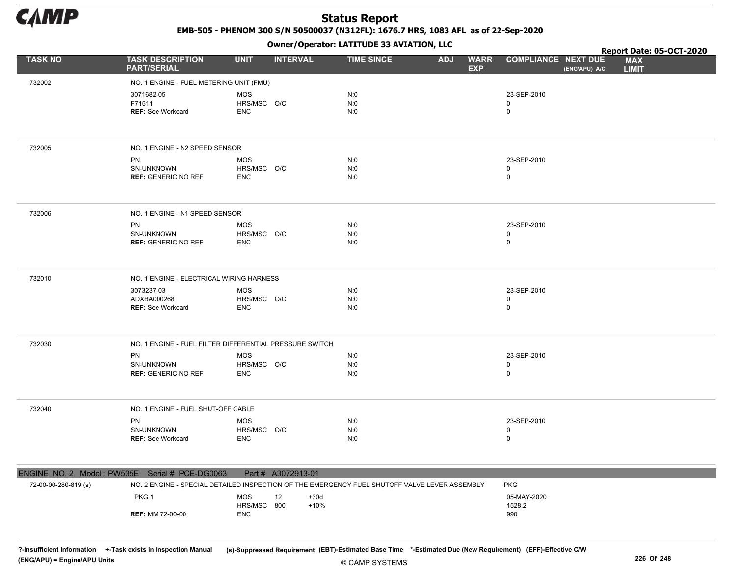

EMB-505 - PHENOM 300 S/N 50500037 (N312FL): 1676.7 HRS, 1083 AFL as of 22-Sep-2020

Owner/Operator: LATITUDE 33 AVIATION, LLC

|                |                                                       |                                                         | Owner/Operator. EATITODE 33 AVIATION, LLC |                                         |                                             | Report Date: 05-OCT-2020   |
|----------------|-------------------------------------------------------|---------------------------------------------------------|-------------------------------------------|-----------------------------------------|---------------------------------------------|----------------------------|
| <b>TASK NO</b> | <b>TASK DESCRIPTION</b><br><b>PART/SERIAL</b>         | <b>UNIT</b><br><b>INTERVAL</b>                          | <b>TIME SINCE</b>                         | <b>ADJ</b><br><b>WARR</b><br><b>EXP</b> | <b>COMPLIANCE NEXT DUE</b><br>(ENG/APU) A/C | <b>MAX</b><br><b>LIMIT</b> |
| 732002         | NO. 1 ENGINE - FUEL METERING UNIT (FMU)               |                                                         |                                           |                                         |                                             |                            |
|                | 3071682-05<br>F71511<br><b>REF: See Workcard</b>      | <b>MOS</b><br>HRS/MSC O/C<br><b>ENC</b>                 | N:0<br>N:0<br>N:0                         |                                         | 23-SEP-2010<br>$\mathsf 0$<br>$\mathsf 0$   |                            |
| 732005         | NO. 1 ENGINE - N2 SPEED SENSOR                        |                                                         |                                           |                                         |                                             |                            |
|                | PN<br>SN-UNKNOWN<br><b>REF: GENERIC NO REF</b>        | <b>MOS</b><br>HRS/MSC O/C<br><b>ENC</b>                 | N:0<br>N:0<br>N:0                         |                                         | 23-SEP-2010<br>$\mathbf 0$<br>$\mathsf 0$   |                            |
| 732006         | NO. 1 ENGINE - N1 SPEED SENSOR                        |                                                         |                                           |                                         |                                             |                            |
|                | PN<br>SN-UNKNOWN<br><b>REF: GENERIC NO REF</b>        | <b>MOS</b><br>HRS/MSC O/C<br><b>ENC</b>                 | N:0<br>N:0<br>N:0                         |                                         | 23-SEP-2010<br>$\mathbf 0$<br>$\mathsf 0$   |                            |
| 732010         | NO. 1 ENGINE - ELECTRICAL WIRING HARNESS              |                                                         |                                           |                                         |                                             |                            |
|                | 3073237-03<br>ADXBA000268<br><b>REF: See Workcard</b> | <b>MOS</b><br>HRS/MSC O/C<br><b>ENC</b>                 | N:0<br>N:0<br>N:0                         |                                         | 23-SEP-2010<br>$\mathbf 0$<br>$\mathsf 0$   |                            |
| 732030         |                                                       | NO. 1 ENGINE - FUEL FILTER DIFFERENTIAL PRESSURE SWITCH |                                           |                                         |                                             |                            |
|                | PN<br>SN-UNKNOWN<br><b>REF: GENERIC NO REF</b>        | <b>MOS</b><br>HRS/MSC O/C<br><b>ENC</b>                 | N:0<br>N:0<br>N:0                         |                                         | 23-SEP-2010<br>$\mathbf 0$<br>$\mathsf 0$   |                            |
| 732040         | NO. 1 ENGINE - FUEL SHUT-OFF CABLE                    |                                                         |                                           |                                         |                                             |                            |
|                | PN<br>SN-UNKNOWN<br><b>REF: See Workcard</b>          | <b>MOS</b><br>HRS/MSC O/C<br><b>ENC</b>                 | N:0<br>N:0<br>N:0                         |                                         | 23-SEP-2010<br>0<br>$\mathsf 0$             |                            |

|                      | ENGINE NO. 2 Model: PW535E Serial # PCE-DG0063 |             | Part # A3072913-01 |                                                                                               |             |
|----------------------|------------------------------------------------|-------------|--------------------|-----------------------------------------------------------------------------------------------|-------------|
| 72-00-00-280-819 (s) |                                                |             |                    | NO. 2 ENGINE - SPECIAL DETAILED INSPECTION OF THE EMERGENCY FUEL SHUTOFF VALVE LEVER ASSEMBLY | <b>PKG</b>  |
|                      | PKG <sub>1</sub>                               | MOS         |                    | $+30d$                                                                                        | 05-MAY-2020 |
|                      |                                                | HRS/MSC 800 |                    | $+10%$                                                                                        | 1528.2      |
|                      | <b>REF: MM 72-00-00</b>                        | <b>ENC</b>  |                    |                                                                                               | 990         |
|                      |                                                |             |                    |                                                                                               |             |

?-Insufficient Information +-Task exists in Inspection Manual (s)-Suppressed Requirement (EBT)-Estimated Base Time \*-Estimated Due (New Requirement) (EFF)-Effective C/W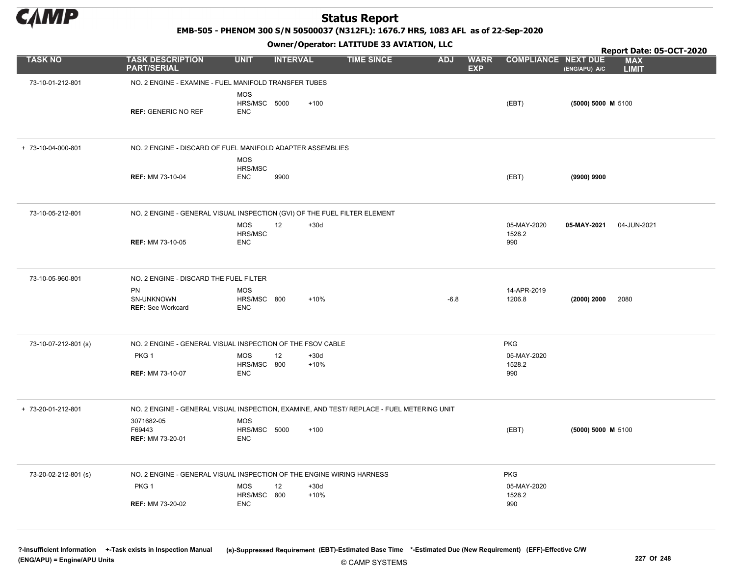

EMB-505 - PHENOM 300 S/N 50500037 (N312FL): 1676.7 HRS, 1083 AFL as of 22-Sep-2020

Owner/Operator: LATITUDE 33 AVIATION, LLC

|                      |                                                                                           |                                   | .               |                  |                   |            |                           |                              |                    | Report Date: 05-OCT-2020   |
|----------------------|-------------------------------------------------------------------------------------------|-----------------------------------|-----------------|------------------|-------------------|------------|---------------------------|------------------------------|--------------------|----------------------------|
| <b>TASK NO</b>       | <b>TASK DESCRIPTION</b><br><b>PART/SERIAL</b>                                             | <b>UNIT</b>                       | <b>INTERVAL</b> |                  | <b>TIME SINCE</b> | <b>ADJ</b> | <b>WARR</b><br><b>EXP</b> | <b>COMPLIANCE NEXT DUE</b>   | (ENG/APU) A/C      | <b>MAX</b><br><b>LIMIT</b> |
| 73-10-01-212-801     | NO. 2 ENGINE - EXAMINE - FUEL MANIFOLD TRANSFER TUBES                                     |                                   |                 |                  |                   |            |                           |                              |                    |                            |
|                      | <b>REF: GENERIC NO REF</b>                                                                | MOS<br>HRS/MSC 5000<br><b>ENC</b> |                 | $+100$           |                   |            |                           | (EBT)                        | (5000) 5000 M 5100 |                            |
| + 73-10-04-000-801   | NO. 2 ENGINE - DISCARD OF FUEL MANIFOLD ADAPTER ASSEMBLIES                                |                                   |                 |                  |                   |            |                           |                              |                    |                            |
|                      | <b>REF: MM 73-10-04</b>                                                                   | MOS<br>HRS/MSC<br><b>ENC</b>      | 9900            |                  |                   |            |                           | (EBT)                        | (9900) 9900        |                            |
| 73-10-05-212-801     | NO. 2 ENGINE - GENERAL VISUAL INSPECTION (GVI) OF THE FUEL FILTER ELEMENT                 |                                   |                 |                  |                   |            |                           |                              |                    |                            |
|                      | <b>REF: MM 73-10-05</b>                                                                   | MOS<br>HRS/MSC<br><b>ENC</b>      | 12              | $+30d$           |                   |            |                           | 05-MAY-2020<br>1528.2<br>990 | 05-MAY-2021        | 04-JUN-2021                |
| 73-10-05-960-801     | NO. 2 ENGINE - DISCARD THE FUEL FILTER                                                    |                                   |                 |                  |                   |            |                           |                              |                    |                            |
|                      | PN<br>SN-UNKNOWN<br><b>REF: See Workcard</b>                                              | MOS<br>HRS/MSC 800<br><b>ENC</b>  |                 | $+10%$           |                   | -6.8       |                           | 14-APR-2019<br>1206.8        | (2000) 2000        | 2080                       |
| 73-10-07-212-801 (s) | NO. 2 ENGINE - GENERAL VISUAL INSPECTION OF THE FSOV CABLE                                |                                   |                 |                  |                   |            |                           | <b>PKG</b>                   |                    |                            |
|                      | PKG <sub>1</sub><br><b>REF: MM 73-10-07</b>                                               | MOS<br>HRS/MSC 800<br><b>ENC</b>  | 12              | $+30d$<br>$+10%$ |                   |            |                           | 05-MAY-2020<br>1528.2<br>990 |                    |                            |
| + 73-20-01-212-801   | NO. 2 ENGINE - GENERAL VISUAL INSPECTION, EXAMINE, AND TEST/ REPLACE - FUEL METERING UNIT |                                   |                 |                  |                   |            |                           |                              |                    |                            |
|                      | 3071682-05<br>F69443<br><b>REF: MM 73-20-01</b>                                           | MOS<br>HRS/MSC 5000<br>ENC        |                 | $+100$           |                   |            |                           | (EBT)                        | (5000) 5000 M 5100 |                            |
| 73-20-02-212-801 (s) | NO. 2 ENGINE - GENERAL VISUAL INSPECTION OF THE ENGINE WIRING HARNESS                     |                                   |                 |                  |                   |            |                           | PKG                          |                    |                            |
|                      | PKG 1                                                                                     | MOS<br>HRS/MSC 800                | 12              | $+30d$<br>$+10%$ |                   |            |                           | 05-MAY-2020<br>1528.2        |                    |                            |
|                      | <b>REF: MM 73-20-02</b>                                                                   | <b>ENC</b>                        |                 |                  |                   |            |                           | 990                          |                    |                            |
|                      |                                                                                           |                                   |                 |                  |                   |            |                           |                              |                    |                            |

© CAMP SYSTEMS ?-Insufficient Information +-Task exists in Inspection Manual (s)-Suppressed Requirement (EBT)-Estimated Base Time \*-Estimated Due (New Requirement) (EFF)-Effective C/W (ENG/APU) = Engine/APU Units 227 Of 248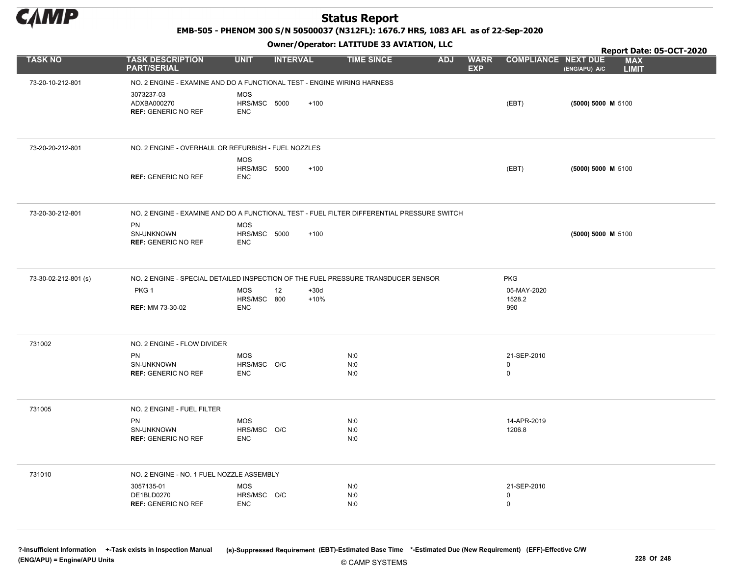

EMB-505 - PHENOM 300 S/N 50500037 (N312FL): 1676.7 HRS, 1083 AFL as of 22-Sep-2020

#### Owner/Operator: LATITUDE 33 AVIATION, LLC

|                      |                                                         | .                                                                                          |                   |                                         |                              | Report Date: 05-OCT-2020                    |
|----------------------|---------------------------------------------------------|--------------------------------------------------------------------------------------------|-------------------|-----------------------------------------|------------------------------|---------------------------------------------|
| <b>TASK NO</b>       | <b>TASK DESCRIPTION</b><br><b>PART/SERIAL</b>           | <b>UNIT</b><br><b>INTERVAL</b>                                                             | <b>TIME SINCE</b> | <b>WARR</b><br><b>ADJ</b><br><b>EXP</b> | <b>COMPLIANCE NEXT DUE</b>   | <b>MAX</b><br>(ENG/APU) A/C<br><b>LIMIT</b> |
| 73-20-10-212-801     |                                                         | NO. 2 ENGINE - EXAMINE AND DO A FUNCTIONAL TEST - ENGINE WIRING HARNESS                    |                   |                                         |                              |                                             |
|                      | 3073237-03<br>ADXBA000270<br><b>REF: GENERIC NO REF</b> | <b>MOS</b><br>HRS/MSC 5000<br>$+100$<br><b>ENC</b>                                         |                   |                                         | (EBT)                        | (5000) 5000 M 5100                          |
| 73-20-20-212-801     |                                                         | NO. 2 ENGINE - OVERHAUL OR REFURBISH - FUEL NOZZLES                                        |                   |                                         |                              |                                             |
|                      | <b>REF: GENERIC NO REF</b>                              | <b>MOS</b><br>HRS/MSC 5000<br>$+100$<br><b>ENC</b>                                         |                   |                                         | (EBT)                        | (5000) 5000 M 5100                          |
| 73-20-30-212-801     |                                                         | NO. 2 ENGINE - EXAMINE AND DO A FUNCTIONAL TEST - FUEL FILTER DIFFERENTIAL PRESSURE SWITCH |                   |                                         |                              |                                             |
|                      | PN<br>SN-UNKNOWN<br><b>REF: GENERIC NO REF</b>          | <b>MOS</b><br>HRS/MSC 5000<br>$+100$<br><b>ENC</b>                                         |                   |                                         |                              | (5000) 5000 M 5100                          |
| 73-30-02-212-801 (s) |                                                         | NO. 2 ENGINE - SPECIAL DETAILED INSPECTION OF THE FUEL PRESSURE TRANSDUCER SENSOR          |                   |                                         | <b>PKG</b>                   |                                             |
|                      | PKG <sub>1</sub><br><b>REF: MM 73-30-02</b>             | <b>MOS</b><br>$+30d$<br>12<br>HRS/MSC 800<br>$+10%$<br><b>ENC</b>                          |                   |                                         | 05-MAY-2020<br>1528.2<br>990 |                                             |
| 731002               | NO. 2 ENGINE - FLOW DIVIDER                             |                                                                                            |                   |                                         |                              |                                             |
|                      | PN<br>SN-UNKNOWN                                        | <b>MOS</b><br>HRS/MSC O/C                                                                  | N:0<br>N:0        |                                         | 21-SEP-2010<br>0             |                                             |
|                      | <b>REF: GENERIC NO REF</b>                              | <b>ENC</b>                                                                                 | N:0               |                                         | 0                            |                                             |
| 731005               | NO. 2 ENGINE - FUEL FILTER                              |                                                                                            |                   |                                         |                              |                                             |
|                      | PN<br>SN-UNKNOWN                                        | <b>MOS</b><br>HRS/MSC O/C                                                                  | N:0<br>N:0        |                                         | 14-APR-2019<br>1206.8        |                                             |
|                      | <b>REF: GENERIC NO REF</b>                              | <b>ENC</b>                                                                                 | N:0               |                                         |                              |                                             |
| 731010               | NO. 2 ENGINE - NO. 1 FUEL NOZZLE ASSEMBLY               |                                                                                            |                   |                                         |                              |                                             |
|                      | 3057135-01<br>DE1BLD0270                                | <b>MOS</b><br>HRS/MSC O/C                                                                  | N:0<br>N:0        |                                         | 21-SEP-2010<br>0             |                                             |
|                      | <b>REF: GENERIC NO REF</b>                              | <b>ENC</b>                                                                                 | N:0               |                                         | $\mathbf 0$                  |                                             |
|                      |                                                         |                                                                                            |                   |                                         |                              |                                             |

© CAMP SYSTEMS ?-Insufficient Information +-Task exists in Inspection Manual (s)-Suppressed Requirement (EBT)-Estimated Base Time \*-Estimated Due (New Requirement) (EFF)-Effective C/W (ENG/APU) = Engine/APU Units 228 Of 248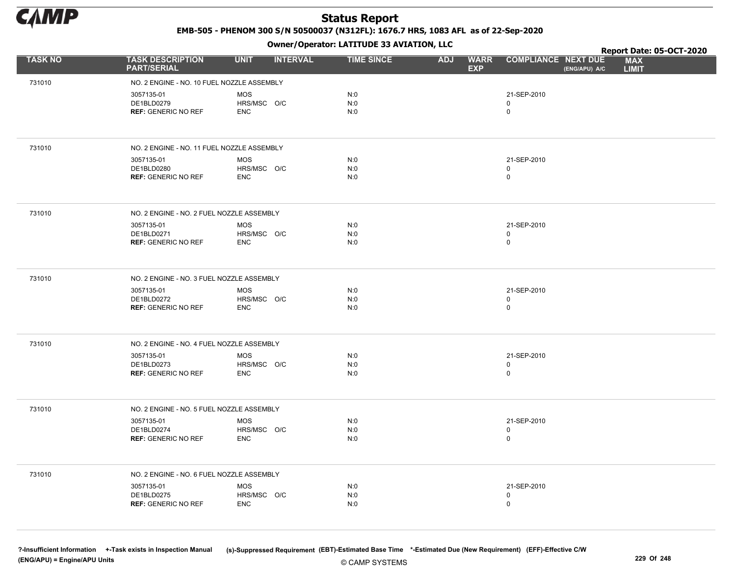

EMB-505 - PHENOM 300 S/N 50500037 (N312FL): 1676.7 HRS, 1083 AFL as of 22-Sep-2020

Owner/Operator: LATITUDE 33 AVIATION, LLC

|                |                                               | .                              |                   |                                         |                                             | Report Date: 05-OCT-2020   |
|----------------|-----------------------------------------------|--------------------------------|-------------------|-----------------------------------------|---------------------------------------------|----------------------------|
| <b>TASK NO</b> | <b>TASK DESCRIPTION</b><br><b>PART/SERIAL</b> | <b>UNIT</b><br><b>INTERVAL</b> | <b>TIME SINCE</b> | <b>ADJ</b><br><b>WARR</b><br><b>EXP</b> | <b>COMPLIANCE NEXT DUE</b><br>(ENG/APU) A/C | <b>MAX</b><br><b>LIMIT</b> |
| 731010         | NO. 2 ENGINE - NO. 10 FUEL NOZZLE ASSEMBLY    |                                |                   |                                         |                                             |                            |
|                | 3057135-01                                    | <b>MOS</b>                     | N:0               |                                         | 21-SEP-2010                                 |                            |
|                | DE1BLD0279                                    | HRS/MSC O/C                    | N:0               |                                         | 0                                           |                            |
|                | <b>REF: GENERIC NO REF</b>                    | <b>ENC</b>                     | N:0               |                                         | $\mathsf{O}\xspace$                         |                            |
| 731010         | NO. 2 ENGINE - NO. 11 FUEL NOZZLE ASSEMBLY    |                                |                   |                                         |                                             |                            |
|                | 3057135-01                                    | <b>MOS</b>                     | N:0               |                                         | 21-SEP-2010                                 |                            |
|                | DE1BLD0280<br><b>REF: GENERIC NO REF</b>      | HRS/MSC O/C<br><b>ENC</b>      | N:0<br>N:0        |                                         | 0<br>0                                      |                            |
|                |                                               |                                |                   |                                         |                                             |                            |
| 731010         | NO. 2 ENGINE - NO. 2 FUEL NOZZLE ASSEMBLY     |                                |                   |                                         |                                             |                            |
|                | 3057135-01                                    | <b>MOS</b>                     | N:0               |                                         | 21-SEP-2010                                 |                            |
|                | DE1BLD0271<br><b>REF: GENERIC NO REF</b>      | HRS/MSC O/C<br><b>ENC</b>      | N:0<br>N:0        |                                         | 0<br>$\mathbf 0$                            |                            |
|                |                                               |                                |                   |                                         |                                             |                            |
| 731010         | NO. 2 ENGINE - NO. 3 FUEL NOZZLE ASSEMBLY     |                                |                   |                                         |                                             |                            |
|                | 3057135-01                                    | <b>MOS</b>                     | N:0               |                                         | 21-SEP-2010                                 |                            |
|                | DE1BLD0272<br><b>REF: GENERIC NO REF</b>      | HRS/MSC O/C<br><b>ENC</b>      | N:0<br>N:0        |                                         | 0<br>0                                      |                            |
|                |                                               |                                |                   |                                         |                                             |                            |
| 731010         | NO. 2 ENGINE - NO. 4 FUEL NOZZLE ASSEMBLY     |                                |                   |                                         |                                             |                            |
|                | 3057135-01                                    | <b>MOS</b>                     | N:0               |                                         | 21-SEP-2010                                 |                            |
|                | DE1BLD0273<br><b>REF: GENERIC NO REF</b>      | HRS/MSC O/C<br><b>ENC</b>      | N:0<br>N:0        |                                         | 0<br>0                                      |                            |
|                |                                               |                                |                   |                                         |                                             |                            |
| 731010         | NO. 2 ENGINE - NO. 5 FUEL NOZZLE ASSEMBLY     |                                |                   |                                         |                                             |                            |
|                | 3057135-01<br>DE1BLD0274                      | MOS                            | N:0               |                                         | 21-SEP-2010                                 |                            |
|                | <b>REF: GENERIC NO REF</b>                    | HRS/MSC O/C<br><b>ENC</b>      | N:0<br>N:0        |                                         | 0<br>0                                      |                            |
|                |                                               |                                |                   |                                         |                                             |                            |
| 731010         | NO. 2 ENGINE - NO. 6 FUEL NOZZLE ASSEMBLY     |                                |                   |                                         |                                             |                            |
|                | 3057135-01                                    | <b>MOS</b>                     | N:0               |                                         | 21-SEP-2010                                 |                            |
|                | DE1BLD0275<br><b>REF: GENERIC NO REF</b>      | HRS/MSC O/C<br><b>ENC</b>      | N:0<br>N:0        |                                         | 0<br>0                                      |                            |
|                |                                               |                                |                   |                                         |                                             |                            |
|                |                                               |                                |                   |                                         |                                             |                            |

© CAMP SYSTEMS ?-Insufficient Information +-Task exists in Inspection Manual (s)-Suppressed Requirement (EBT)-Estimated Base Time \*-Estimated Due (New Requirement) (EFF)-Effective C/W (ENG/APU) = Engine/APU Units 229 Of 248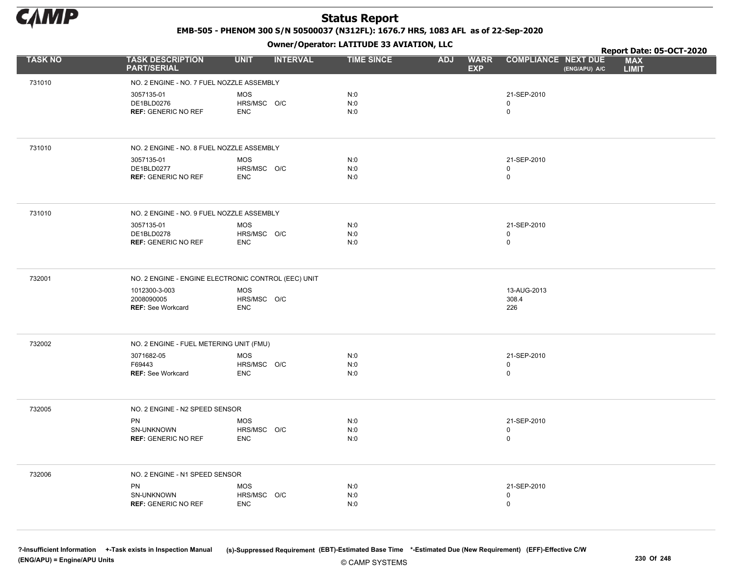

EMB-505 - PHENOM 300 S/N 50500037 (N312FL): 1676.7 HRS, 1083 AFL as of 22-Sep-2020

Owner/Operator: LATITUDE 33 AVIATION, LLC

|                |                                                     | .                              |                   |                                         |                                             | Report Date: 05-OCT-2020   |
|----------------|-----------------------------------------------------|--------------------------------|-------------------|-----------------------------------------|---------------------------------------------|----------------------------|
| <b>TASK NO</b> | <b>TASK DESCRIPTION</b><br><b>PART/SERIAL</b>       | <b>UNIT</b><br><b>INTERVAL</b> | <b>TIME SINCE</b> | <b>WARR</b><br><b>ADJ</b><br><b>EXP</b> | <b>COMPLIANCE NEXT DUE</b><br>(ENG/APU) A/C | <b>MAX</b><br><b>LIMIT</b> |
| 731010         | NO. 2 ENGINE - NO. 7 FUEL NOZZLE ASSEMBLY           |                                |                   |                                         |                                             |                            |
|                | 3057135-01                                          | <b>MOS</b>                     | N:0               |                                         | 21-SEP-2010                                 |                            |
|                | DE1BLD0276                                          | HRS/MSC O/C                    | N:0               |                                         | 0                                           |                            |
|                | <b>REF: GENERIC NO REF</b>                          | <b>ENC</b>                     | N:0               |                                         | 0                                           |                            |
|                |                                                     |                                |                   |                                         |                                             |                            |
| 731010         | NO. 2 ENGINE - NO. 8 FUEL NOZZLE ASSEMBLY           |                                |                   |                                         |                                             |                            |
|                | 3057135-01                                          | <b>MOS</b>                     | N:0               |                                         | 21-SEP-2010                                 |                            |
|                | DE1BLD0277<br><b>REF: GENERIC NO REF</b>            | HRS/MSC O/C<br><b>ENC</b>      | N:0<br>N:0        |                                         | 0<br>0                                      |                            |
|                |                                                     |                                |                   |                                         |                                             |                            |
| 731010         | NO. 2 ENGINE - NO. 9 FUEL NOZZLE ASSEMBLY           |                                |                   |                                         |                                             |                            |
|                | 3057135-01                                          | <b>MOS</b>                     | N:0               |                                         | 21-SEP-2010                                 |                            |
|                | DE1BLD0278<br><b>REF: GENERIC NO REF</b>            | HRS/MSC O/C<br><b>ENC</b>      | N:0<br>N:0        |                                         | 0<br>$\mathbf 0$                            |                            |
|                |                                                     |                                |                   |                                         |                                             |                            |
| 732001         | NO. 2 ENGINE - ENGINE ELECTRONIC CONTROL (EEC) UNIT |                                |                   |                                         |                                             |                            |
|                | 1012300-3-003                                       | MOS                            |                   |                                         | 13-AUG-2013                                 |                            |
|                | 2008090005                                          | HRS/MSC O/C                    |                   |                                         | 308.4                                       |                            |
|                | <b>REF: See Workcard</b>                            | <b>ENC</b>                     |                   |                                         | 226                                         |                            |
|                |                                                     |                                |                   |                                         |                                             |                            |
| 732002         | NO. 2 ENGINE - FUEL METERING UNIT (FMU)             |                                |                   |                                         |                                             |                            |
|                | 3071682-05                                          | <b>MOS</b>                     | N:0               |                                         | 21-SEP-2010                                 |                            |
|                | F69443<br>REF: See Workcard                         | HRS/MSC O/C<br><b>ENC</b>      | N:0<br>N:0        |                                         | $\pmb{0}$<br>$\mathbf 0$                    |                            |
|                |                                                     |                                |                   |                                         |                                             |                            |
| 732005         | NO. 2 ENGINE - N2 SPEED SENSOR                      |                                |                   |                                         |                                             |                            |
|                | PN                                                  | <b>MOS</b>                     | N:0               |                                         | 21-SEP-2010                                 |                            |
|                | SN-UNKNOWN                                          | HRS/MSC O/C                    | N:0               |                                         | $\mathbf 0$                                 |                            |
|                | <b>REF: GENERIC NO REF</b>                          | <b>ENC</b>                     | N:0               |                                         | 0                                           |                            |
| 732006         | NO. 2 ENGINE - N1 SPEED SENSOR                      |                                |                   |                                         |                                             |                            |
|                | PN                                                  | <b>MOS</b>                     | N:0               |                                         | 21-SEP-2010                                 |                            |
|                | SN-UNKNOWN                                          | HRS/MSC O/C                    | N:0               |                                         | 0                                           |                            |
|                | <b>REF: GENERIC NO REF</b>                          | <b>ENC</b>                     | N:0               |                                         | $\mathbf 0$                                 |                            |
|                |                                                     |                                |                   |                                         |                                             |                            |
|                |                                                     |                                |                   |                                         |                                             |                            |

© CAMP SYSTEMS ?-Insufficient Information +-Task exists in Inspection Manual (s)-Suppressed Requirement (EBT)-Estimated Base Time \*-Estimated Due (New Requirement) (EFF)-Effective C/W (ENG/APU) = Engine/APU Units 230 Of 248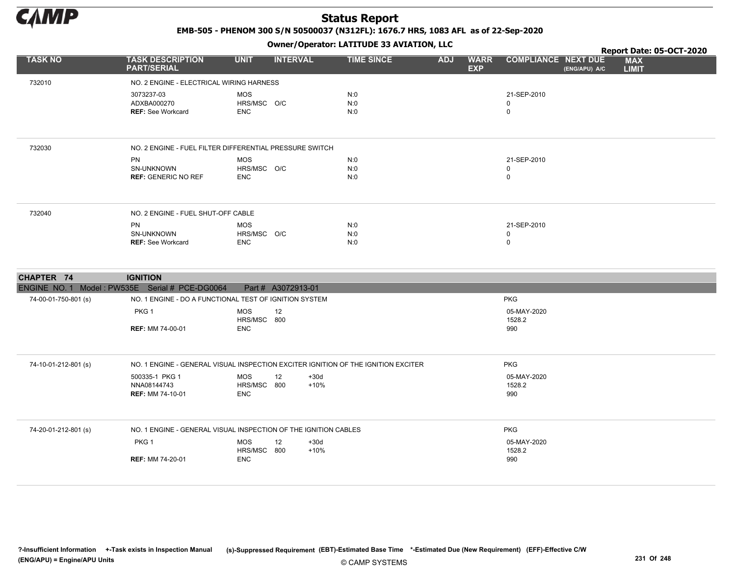

EMB-505 - PHENOM 300 S/N 50500037 (N312FL): 1676.7 HRS, 1083 AFL as of 22-Sep-2020

Owner/Operator: LATITUDE 33 AVIATION, LLC

|                      |                                                              |                                                         |                   |                                         |                                             | Report Date: 05-OCT-2020   |
|----------------------|--------------------------------------------------------------|---------------------------------------------------------|-------------------|-----------------------------------------|---------------------------------------------|----------------------------|
| <b>TASK NO</b>       | <b>TASK DESCRIPTION</b><br><b>PART/SERIAL</b>                | <b>INTERVAL</b><br><b>UNIT</b>                          | <b>TIME SINCE</b> | <b>WARR</b><br><b>ADJ</b><br><b>EXP</b> | <b>COMPLIANCE NEXT DUE</b><br>(ENG/APU) A/C | <b>MAX</b><br><b>LIMIT</b> |
| 732010               | NO. 2 ENGINE - ELECTRICAL WIRING HARNESS                     |                                                         |                   |                                         |                                             |                            |
|                      | 3073237-03<br>ADXBA000270<br><b>REF: See Workcard</b>        | MOS<br>HRS/MSC O/C<br><b>ENC</b>                        | N:0<br>N:0<br>N:0 |                                         | 21-SEP-2010<br>0<br>$\mathbf 0$             |                            |
| 732030               |                                                              | NO. 2 ENGINE - FUEL FILTER DIFFERENTIAL PRESSURE SWITCH |                   |                                         |                                             |                            |
|                      | <b>PN</b><br><b>SN-UNKNOWN</b><br><b>REF: GENERIC NO REF</b> | <b>MOS</b><br>HRS/MSC O/C<br><b>ENC</b>                 | N:0<br>N:0<br>N:0 |                                         | 21-SEP-2010<br>0<br>$\mathbf 0$             |                            |
| 732040               | NO. 2 ENGINE - FUEL SHUT-OFF CABLE                           |                                                         |                   |                                         |                                             |                            |
|                      | <b>PN</b><br><b>SN-UNKNOWN</b><br><b>REF: See Workcard</b>   | MOS<br>HRS/MSC O/C<br><b>ENC</b>                        | N:0<br>N:0<br>N:0 |                                         | 21-SEP-2010<br>0<br>$\mathbf 0$             |                            |
| CHAPTER 74           | <b>IGNITION</b>                                              |                                                         |                   |                                         |                                             |                            |
|                      | ENGINE NO. 1 Model: PW535E Serial # PCE-DG0064               | Part # A3072913-01                                      |                   |                                         |                                             |                            |
| 74-00-01-750-801 (s) |                                                              | NO. 1 ENGINE - DO A FUNCTIONAL TEST OF IGNITION SYSTEM  |                   |                                         | <b>PKG</b>                                  |                            |
|                      | PKG <sub>1</sub><br><b>REF: MM 74-00-01</b>                  | <b>MOS</b><br>12<br>HRS/MSC 800<br><b>ENC</b>           |                   |                                         | 05-MAY-2020<br>1528.2<br>990                |                            |

| 74-10-01-212-801 (s) |                                                          | NO. 1 ENGINE - GENERAL VISUAL INSPECTION EXCITER IGNITION OF THE IGNITION EXCITER | <b>PKG</b>                   |  |
|----------------------|----------------------------------------------------------|-----------------------------------------------------------------------------------|------------------------------|--|
|                      | 500335-1 PKG 1<br>NNA08144743<br><b>REF: MM 74-10-01</b> | 12<br>MOS<br>$+30d$<br>HRS/MSC<br>$+10%$<br>800<br>ENC                            | 05-MAY-2020<br>1528.2<br>990 |  |
| 74-20-01-212-801 (s) |                                                          | NO. 1 ENGINE - GENERAL VISUAL INSPECTION OF THE IGNITION CABLES                   | <b>PKG</b>                   |  |
|                      | PKG <sub>1</sub><br><b>REF: MM 74-20-01</b>              | 12<br>MOS<br>$+30d$<br>HRS/MSC<br>$+10%$<br>800<br>ENC.                           | 05-MAY-2020<br>1528.2<br>990 |  |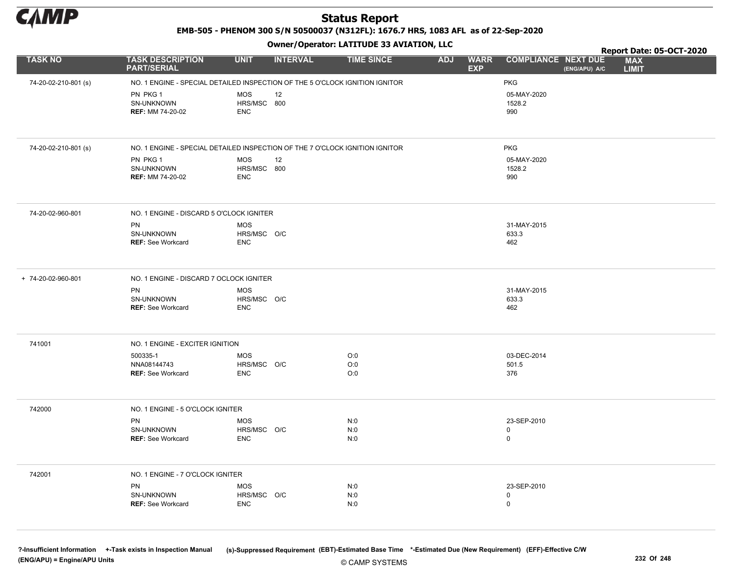

EMB-505 - PHENOM 300 S/N 50500037 (N312FL): 1676.7 HRS, 1083 AFL as of 22-Sep-2020

Owner/Operator: LATITUDE 33 AVIATION, LLC

|                      |                                                                              |                           | - - -           |                   |            |                           | Report Date: 05-OCT-2020                                                  |  |
|----------------------|------------------------------------------------------------------------------|---------------------------|-----------------|-------------------|------------|---------------------------|---------------------------------------------------------------------------|--|
| <b>TASK NO</b>       | <b>TASK DESCRIPTION</b><br><b>PART/SERIAL</b>                                | <b>UNIT</b>               | <b>INTERVAL</b> | <b>TIME SINCE</b> | <b>ADJ</b> | <b>WARR</b><br><b>EXP</b> | <b>COMPLIANCE NEXT DUE</b><br><b>MAX</b><br>(ENG/APU) A/C<br><b>LIMIT</b> |  |
| 74-20-02-210-801 (s) | NO. 1 ENGINE - SPECIAL DETAILED INSPECTION OF THE 5 O'CLOCK IGNITION IGNITOR |                           |                 |                   |            |                           | <b>PKG</b>                                                                |  |
|                      | PN PKG 1                                                                     | <b>MOS</b>                | 12              |                   |            |                           | 05-MAY-2020                                                               |  |
|                      | SN-UNKNOWN                                                                   | HRS/MSC 800               |                 |                   |            |                           | 1528.2                                                                    |  |
|                      | <b>REF: MM 74-20-02</b>                                                      | <b>ENC</b>                |                 |                   |            |                           | 990                                                                       |  |
|                      |                                                                              |                           |                 |                   |            |                           |                                                                           |  |
| 74-20-02-210-801 (s) | NO. 1 ENGINE - SPECIAL DETAILED INSPECTION OF THE 7 O'CLOCK IGNITION IGNITOR |                           |                 |                   |            |                           | <b>PKG</b>                                                                |  |
|                      | PN PKG 1                                                                     | <b>MOS</b>                | 12              |                   |            |                           | 05-MAY-2020                                                               |  |
|                      | SN-UNKNOWN<br><b>REF: MM 74-20-02</b>                                        | HRS/MSC 800<br><b>ENC</b> |                 |                   |            |                           | 1528.2<br>990                                                             |  |
|                      |                                                                              |                           |                 |                   |            |                           |                                                                           |  |
| 74-20-02-960-801     | NO. 1 ENGINE - DISCARD 5 O'CLOCK IGNITER                                     |                           |                 |                   |            |                           |                                                                           |  |
|                      | PN                                                                           | <b>MOS</b>                |                 |                   |            |                           | 31-MAY-2015                                                               |  |
|                      | SN-UNKNOWN<br><b>REF: See Workcard</b>                                       | HRS/MSC O/C<br><b>ENC</b> |                 |                   |            |                           | 633.3<br>462                                                              |  |
|                      |                                                                              |                           |                 |                   |            |                           |                                                                           |  |
| + 74-20-02-960-801   | NO. 1 ENGINE - DISCARD 7 OCLOCK IGNITER                                      |                           |                 |                   |            |                           |                                                                           |  |
|                      | PN<br>SN-UNKNOWN                                                             | <b>MOS</b>                |                 |                   |            |                           | 31-MAY-2015                                                               |  |
|                      | <b>REF: See Workcard</b>                                                     | HRS/MSC O/C<br><b>ENC</b> |                 |                   |            |                           | 633.3<br>462                                                              |  |
|                      |                                                                              |                           |                 |                   |            |                           |                                                                           |  |
| 741001               | NO. 1 ENGINE - EXCITER IGNITION                                              |                           |                 |                   |            |                           |                                                                           |  |
|                      | 500335-1                                                                     | <b>MOS</b>                |                 | O:0               |            |                           | 03-DEC-2014                                                               |  |
|                      | NNA08144743<br><b>REF: See Workcard</b>                                      | HRS/MSC O/C<br><b>ENC</b> |                 | O:0<br>O:0        |            |                           | 501.5<br>376                                                              |  |
|                      |                                                                              |                           |                 |                   |            |                           |                                                                           |  |
| 742000               | NO. 1 ENGINE - 5 O'CLOCK IGNITER                                             |                           |                 |                   |            |                           |                                                                           |  |
|                      | PN                                                                           | <b>MOS</b>                |                 | N:0               |            |                           | 23-SEP-2010                                                               |  |
|                      | SN-UNKNOWN                                                                   | HRS/MSC O/C               |                 | N:0               |            |                           | $\mathbf 0$<br>$\mathbf 0$                                                |  |
|                      | <b>REF: See Workcard</b>                                                     | <b>ENC</b>                |                 | N:0               |            |                           |                                                                           |  |
| 742001               | NO. 1 ENGINE - 7 O'CLOCK IGNITER                                             |                           |                 |                   |            |                           |                                                                           |  |
|                      | PN                                                                           | <b>MOS</b>                |                 | N:0               |            |                           | 23-SEP-2010                                                               |  |
|                      | SN-UNKNOWN                                                                   | HRS/MSC O/C               |                 | N:0               |            |                           | $\mathbf 0$                                                               |  |
|                      | <b>REF: See Workcard</b>                                                     | <b>ENC</b>                |                 | N:0               |            |                           | $\mathbf 0$                                                               |  |
|                      |                                                                              |                           |                 |                   |            |                           |                                                                           |  |

© CAMP SYSTEMS ?-Insufficient Information +-Task exists in Inspection Manual (s)-Suppressed Requirement (EBT)-Estimated Base Time \*-Estimated Due (New Requirement) (EFF)-Effective C/W (ENG/APU) = Engine/APU Units 232 Of 248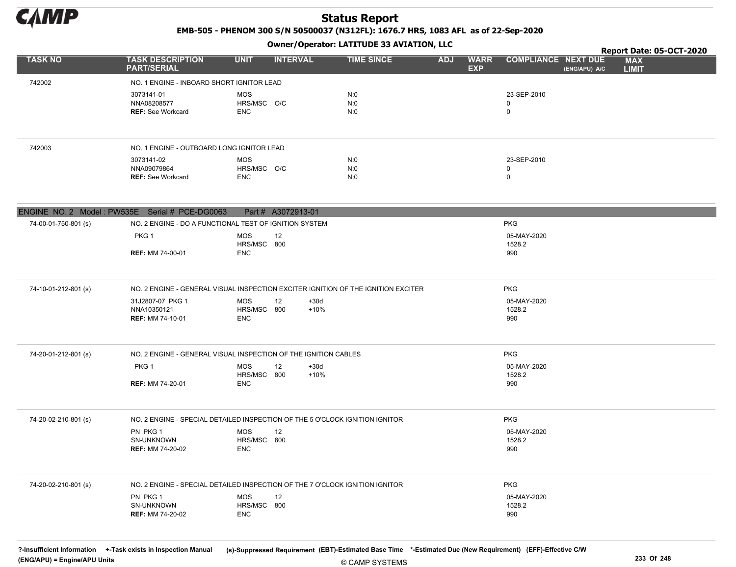

EMB-505 - PHENOM 300 S/N 50500037 (N312FL): 1676.7 HRS, 1083 AFL as of 22-Sep-2020

## $\overline{a}$   $\overline{a}$   $\overline{b}$   $\overline{a}$   $\overline{b}$   $\overline{c}$   $\overline{c}$   $\overline{c}$   $\overline{c}$   $\overline{c}$   $\overline{c}$   $\overline{c}$   $\overline{c}$   $\overline{c}$   $\overline{c}$   $\overline{c}$   $\overline{c}$   $\overline{c}$   $\overline{c}$   $\overline{c}$   $\overline{c}$   $\overline{c}$   $\overline{c}$   $\overline{c}$   $\overline{$

|                      |                                                                                                       |                                         |                        | Owner/Operator: LATITUDE 33 AVIATION, LLC | Report Date: 05-OCT-2020                |                                             |                            |
|----------------------|-------------------------------------------------------------------------------------------------------|-----------------------------------------|------------------------|-------------------------------------------|-----------------------------------------|---------------------------------------------|----------------------------|
| <b>TASK NO</b>       | <b>TASK DESCRIPTION</b><br><b>PART/SERIAL</b>                                                         | <b>UNIT</b>                             | <b>INTERVAL</b>        | <b>TIME SINCE</b>                         | <b>ADJ</b><br><b>WARR</b><br><b>EXP</b> | <b>COMPLIANCE NEXT DUE</b><br>(ENG/APU) A/C | <b>MAX</b><br><b>LIMIT</b> |
| 742002               | NO. 1 ENGINE - INBOARD SHORT IGNITOR LEAD                                                             |                                         |                        |                                           |                                         |                                             |                            |
|                      | 3073141-01<br>NNA08208577<br><b>REF: See Workcard</b>                                                 | <b>MOS</b><br>HRS/MSC O/C<br><b>ENC</b> |                        | N:0<br>N:0<br>N:0                         |                                         | 23-SEP-2010<br>$\mathsf{O}$<br>$\mathsf{O}$ |                            |
| 742003               | NO. 1 ENGINE - OUTBOARD LONG IGNITOR LEAD                                                             |                                         |                        |                                           |                                         |                                             |                            |
|                      | 3073141-02<br>NNA09079864<br><b>REF: See Workcard</b>                                                 | <b>MOS</b><br>HRS/MSC O/C<br><b>ENC</b> |                        | N:0<br>N:0<br>N:0                         |                                         | 23-SEP-2010<br>0<br>$\mathbf 0$             |                            |
|                      | ENGINE NO. 2 Model: PW535E Serial # PCE-DG0063                                                        |                                         | Part # A3072913-01     |                                           |                                         |                                             |                            |
| 74-00-01-750-801 (s) | NO. 2 ENGINE - DO A FUNCTIONAL TEST OF IGNITION SYSTEM                                                |                                         |                        |                                           |                                         | <b>PKG</b>                                  |                            |
|                      | PKG <sub>1</sub><br><b>REF: MM 74-00-01</b>                                                           | <b>MOS</b><br>HRS/MSC 800<br><b>ENC</b> | 12                     |                                           |                                         | 05-MAY-2020<br>1528.2<br>990                |                            |
| 74-10-01-212-801 (s) | NO. 2 ENGINE - GENERAL VISUAL INSPECTION EXCITER IGNITION OF THE IGNITION EXCITER<br>31J2807-07 PKG 1 | <b>MOS</b>                              | 12<br>$+30d$           |                                           |                                         | <b>PKG</b><br>05-MAY-2020                   |                            |
|                      | NNA10350121<br><b>REF: MM 74-10-01</b>                                                                | HRS/MSC 800<br><b>ENC</b>               | $+10%$                 |                                           |                                         | 1528.2<br>990                               |                            |
| 74-20-01-212-801 (s) | NO. 2 ENGINE - GENERAL VISUAL INSPECTION OF THE IGNITION CABLES                                       |                                         |                        |                                           |                                         | <b>PKG</b>                                  |                            |
|                      | PKG <sub>1</sub><br><b>REF: MM 74-20-01</b>                                                           | <b>MOS</b><br>HRS/MSC 800<br><b>ENC</b> | 12<br>$+30d$<br>$+10%$ |                                           |                                         | 05-MAY-2020<br>1528.2<br>990                |                            |
| 74-20-02-210-801 (s) | NO. 2 ENGINE - SPECIAL DETAILED INSPECTION OF THE 5 O'CLOCK IGNITION IGNITOR                          |                                         |                        |                                           |                                         | <b>PKG</b>                                  |                            |
|                      | PN PKG 1<br>SN-UNKNOWN<br><b>REF: MM 74-20-02</b>                                                     | <b>MOS</b><br>HRS/MSC 800<br><b>ENC</b> | 12                     |                                           |                                         | 05-MAY-2020<br>1528.2<br>990                |                            |
| 74-20-02-210-801 (s) | NO. 2 ENGINE - SPECIAL DETAILED INSPECTION OF THE 7 O'CLOCK IGNITION IGNITOR                          |                                         |                        |                                           |                                         | <b>PKG</b>                                  |                            |
|                      | PN PKG 1<br>SN-UNKNOWN<br><b>REF: MM 74-20-02</b>                                                     | <b>MOS</b><br>HRS/MSC 800<br><b>ENC</b> | 12                     |                                           |                                         | 05-MAY-2020<br>1528.2<br>990                |                            |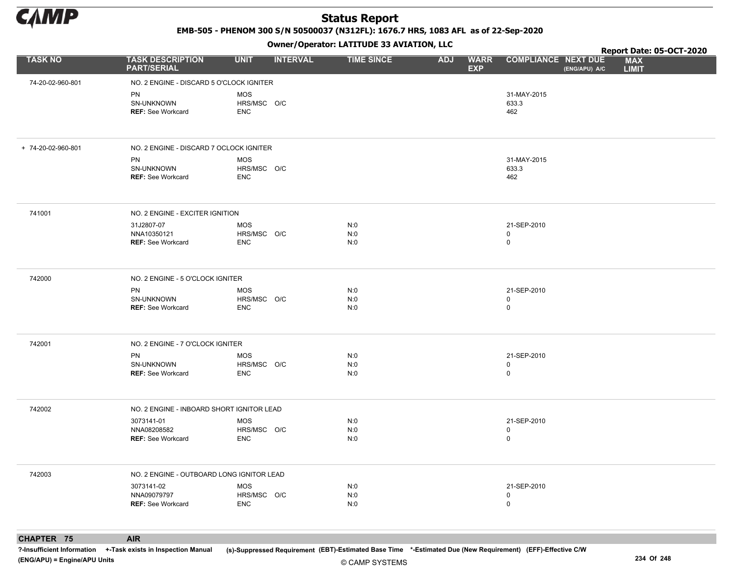

EMB-505 - PHENOM 300 S/N 50500037 (N312FL): 1676.7 HRS, 1083 AFL as of 22-Sep-2020

Owner/Operator: LATITUDE 33 AVIATION, LLC

|                    |                                                       |                                         | Owner/Operator. LATTTODE 33 AVIATION, LLC |                                         | Report Date: 05-OCT-2020                    |                            |  |  |
|--------------------|-------------------------------------------------------|-----------------------------------------|-------------------------------------------|-----------------------------------------|---------------------------------------------|----------------------------|--|--|
| <b>TASK NO</b>     | <b>TASK DESCRIPTION</b><br><b>PART/SERIAL</b>         | <b>UNIT</b><br><b>INTERVAL</b>          | <b>TIME SINCE</b>                         | <b>ADJ</b><br><b>WARR</b><br><b>EXP</b> | <b>COMPLIANCE NEXT DUE</b><br>(ENG/APU) A/C | <b>MAX</b><br><b>LIMIT</b> |  |  |
| 74-20-02-960-801   | NO. 2 ENGINE - DISCARD 5 O'CLOCK IGNITER              |                                         |                                           |                                         |                                             |                            |  |  |
|                    | PN<br>SN-UNKNOWN<br><b>REF: See Workcard</b>          | <b>MOS</b><br>HRS/MSC O/C<br><b>ENC</b> |                                           |                                         | 31-MAY-2015<br>633.3<br>462                 |                            |  |  |
| + 74-20-02-960-801 | NO. 2 ENGINE - DISCARD 7 OCLOCK IGNITER               |                                         |                                           |                                         |                                             |                            |  |  |
|                    | PN<br>SN-UNKNOWN<br>REF: See Workcard                 | MOS<br>HRS/MSC O/C<br><b>ENC</b>        |                                           |                                         | 31-MAY-2015<br>633.3<br>462                 |                            |  |  |
| 741001             | NO. 2 ENGINE - EXCITER IGNITION                       |                                         |                                           |                                         |                                             |                            |  |  |
|                    | 31J2807-07<br>NNA10350121<br><b>REF: See Workcard</b> | MOS<br>HRS/MSC O/C<br><b>ENC</b>        | N:0<br>N:0<br>N:0                         |                                         | 21-SEP-2010<br>0<br>0                       |                            |  |  |
| 742000             | NO. 2 ENGINE - 5 O'CLOCK IGNITER                      |                                         |                                           |                                         |                                             |                            |  |  |
|                    | PN<br>SN-UNKNOWN<br><b>REF: See Workcard</b>          | MOS<br>HRS/MSC O/C<br><b>ENC</b>        | N:0<br>N:0<br>N:0                         |                                         | 21-SEP-2010<br>0<br>0                       |                            |  |  |
| 742001             | NO. 2 ENGINE - 7 O'CLOCK IGNITER                      |                                         |                                           |                                         |                                             |                            |  |  |
|                    | PN<br>SN-UNKNOWN<br><b>REF: See Workcard</b>          | MOS<br>HRS/MSC O/C<br><b>ENC</b>        | N:0<br>N:0<br>N:0                         |                                         | 21-SEP-2010<br>0<br>0                       |                            |  |  |
| 742002             | NO. 2 ENGINE - INBOARD SHORT IGNITOR LEAD             |                                         |                                           |                                         |                                             |                            |  |  |
|                    | 3073141-01<br>NNA08208582<br><b>REF: See Workcard</b> | MOS<br>HRS/MSC O/C<br><b>ENC</b>        | N:0<br>N:0<br>N:0                         |                                         | 21-SEP-2010<br>0<br>0                       |                            |  |  |
| 742003             | NO. 2 ENGINE - OUTBOARD LONG IGNITOR LEAD             |                                         |                                           |                                         |                                             |                            |  |  |
|                    | 3073141-02<br>NNA09079797<br><b>REF: See Workcard</b> | MOS<br>HRS/MSC O/C<br><b>ENC</b>        | N:0<br>N:0<br>N:0                         |                                         | 21-SEP-2010<br>0<br>0                       |                            |  |  |
|                    |                                                       |                                         |                                           |                                         |                                             |                            |  |  |

CHAPTER 75 AIR

?-Insufficient Information +-Task exists in Inspection Manual (s)-Suppressed Requirement (EBT)-Estimated Base Time \*-Estimated Due (New Requirement) (EFF)-Effective C/W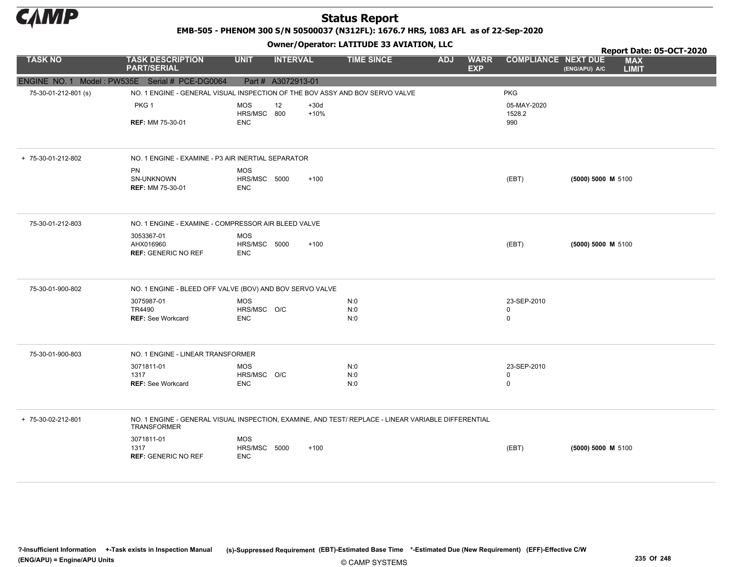

EMB-505 - PHENOM 300 S/N 50500037 (N312FL): 1676.7 HRS, 1083 AFL as of 22-Sep-2020

#### Owner/Operator: LATITUDE 33 AVIATION, LLC

|                      |                                                                                                                           |                                          |                    |                  |                   |            |                           |                            |                    |                            | Report Date: 05-OCT-2020 |
|----------------------|---------------------------------------------------------------------------------------------------------------------------|------------------------------------------|--------------------|------------------|-------------------|------------|---------------------------|----------------------------|--------------------|----------------------------|--------------------------|
| <b>TASK NO</b>       | <b>TASK DESCRIPTION</b><br><b>PART/SERIAL</b>                                                                             | <b>UNIT</b>                              | <b>INTERVAL</b>    |                  | <b>TIME SINCE</b> | <b>ADJ</b> | <b>WARR</b><br><b>EXP</b> | <b>COMPLIANCE NEXT DUE</b> | (ENG/APU) A/C      | <b>MAX</b><br><b>LIMIT</b> |                          |
|                      | ENGINE NO. 1 Model: PW535E Serial # PCE-DG0064                                                                            |                                          | Part # A3072913-01 |                  |                   |            |                           |                            |                    |                            |                          |
| 75-30-01-212-801 (s) | NO. 1 ENGINE - GENERAL VISUAL INSPECTION OF THE BOV ASSY AND BOV SERVO VALVE                                              |                                          |                    |                  |                   |            |                           | <b>PKG</b>                 |                    |                            |                          |
|                      | PKG <sub>1</sub>                                                                                                          | <b>MOS</b><br>HRS/MSC 800                | 12                 | $+30d$<br>$+10%$ |                   |            |                           | 05-MAY-2020<br>1528.2      |                    |                            |                          |
|                      | <b>REF: MM 75-30-01</b>                                                                                                   | <b>ENC</b>                               |                    |                  |                   |            |                           | 990                        |                    |                            |                          |
| + 75-30-01-212-802   | NO. 1 ENGINE - EXAMINE - P3 AIR INERTIAL SEPARATOR                                                                        |                                          |                    |                  |                   |            |                           |                            |                    |                            |                          |
|                      | PN<br>SN-UNKNOWN<br><b>REF: MM 75-30-01</b>                                                                               | <b>MOS</b><br>HRS/MSC 5000<br><b>ENC</b> |                    | $+100$           |                   |            |                           | (EBT)                      | (5000) 5000 M 5100 |                            |                          |
| 75-30-01-212-803     | NO. 1 ENGINE - EXAMINE - COMPRESSOR AIR BLEED VALVE                                                                       |                                          |                    |                  |                   |            |                           |                            |                    |                            |                          |
|                      | 3053367-01<br>AHX016960<br><b>REF: GENERIC NO REF</b>                                                                     | <b>MOS</b><br>HRS/MSC 5000<br><b>ENC</b> |                    | $+100$           |                   |            |                           | (EBT)                      | (5000) 5000 M 5100 |                            |                          |
| 75-30-01-900-802     | NO. 1 ENGINE - BLEED OFF VALVE (BOV) AND BOV SERVO VALVE                                                                  |                                          |                    |                  |                   |            |                           |                            |                    |                            |                          |
|                      | 3075987-01                                                                                                                | <b>MOS</b>                               |                    |                  | N:0               |            |                           | 23-SEP-2010                |                    |                            |                          |
|                      | TR4490<br><b>REF: See Workcard</b>                                                                                        | HRS/MSC O/C<br><b>ENC</b>                |                    |                  | N:0<br>N:0        |            |                           | $\mathbf 0$<br>$\mathbf 0$ |                    |                            |                          |
| 75-30-01-900-803     | NO. 1 ENGINE - LINEAR TRANSFORMER                                                                                         |                                          |                    |                  |                   |            |                           |                            |                    |                            |                          |
|                      | 3071811-01                                                                                                                | <b>MOS</b>                               |                    |                  | N:0               |            |                           | 23-SEP-2010                |                    |                            |                          |
|                      | 1317<br><b>REF: See Workcard</b>                                                                                          | HRS/MSC O/C<br><b>ENC</b>                |                    |                  | N:0<br>N:0        |            |                           | 0<br>$\mathbf 0$           |                    |                            |                          |
| + 75-30-02-212-801   | NO. 1 ENGINE - GENERAL VISUAL INSPECTION, EXAMINE, AND TEST/ REPLACE - LINEAR VARIABLE DIFFERENTIAL<br><b>TRANSFORMER</b> |                                          |                    |                  |                   |            |                           |                            |                    |                            |                          |
|                      | 3071811-01<br>1317<br><b>REF: GENERIC NO REF</b>                                                                          | <b>MOS</b><br>HRS/MSC 5000<br><b>ENC</b> |                    | $+100$           |                   |            |                           | (EBT)                      | (5000) 5000 M 5100 |                            |                          |
|                      |                                                                                                                           |                                          |                    |                  |                   |            |                           |                            |                    |                            |                          |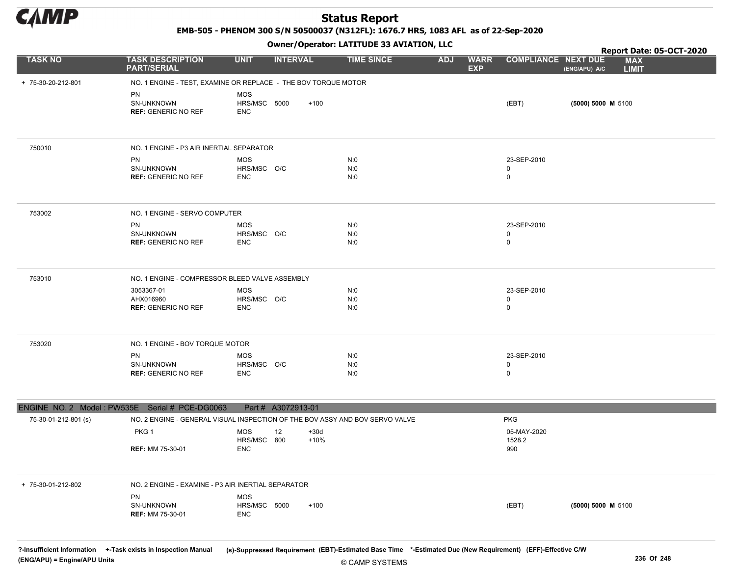

EMB-505 - PHENOM 300 S/N 50500037 (N312FL): 1676.7 HRS, 1083 AFL as of 22-Sep-2020

Owner/Operator: LATITUDE 33 AVIATION, LLC

|                      |                                                                              |                                          | - - - -                |                   |                                         |                                 | Report Date: 05-OCT-2020                    |
|----------------------|------------------------------------------------------------------------------|------------------------------------------|------------------------|-------------------|-----------------------------------------|---------------------------------|---------------------------------------------|
| <b>TASK NO</b>       | <b>TASK DESCRIPTION</b><br><b>PART/SERIAL</b>                                | <b>UNIT</b>                              | <b>INTERVAL</b>        | <b>TIME SINCE</b> | <b>ADJ</b><br><b>WARR</b><br><b>EXP</b> | <b>COMPLIANCE NEXT DUE</b>      | <b>MAX</b><br><b>LIMIT</b><br>(ENG/APU) A/C |
| + 75-30-20-212-801   | NO. 1 ENGINE - TEST, EXAMINE OR REPLACE - THE BOV TORQUE MOTOR               |                                          |                        |                   |                                         |                                 |                                             |
|                      | PN<br>SN-UNKNOWN<br><b>REF: GENERIC NO REF</b>                               | <b>MOS</b><br>HRS/MSC 5000<br><b>ENC</b> | $+100$                 |                   |                                         | (EBT)                           | (5000) 5000 M 5100                          |
| 750010               | NO. 1 ENGINE - P3 AIR INERTIAL SEPARATOR                                     |                                          |                        |                   |                                         |                                 |                                             |
|                      | PN<br>SN-UNKNOWN<br><b>REF: GENERIC NO REF</b>                               | <b>MOS</b><br>HRS/MSC O/C<br><b>ENC</b>  |                        | N:0<br>N:0<br>N:0 |                                         | 23-SEP-2010<br>0<br>$\mathbf 0$ |                                             |
| 753002               | NO. 1 ENGINE - SERVO COMPUTER                                                |                                          |                        |                   |                                         |                                 |                                             |
|                      | PN<br>SN-UNKNOWN<br><b>REF: GENERIC NO REF</b>                               | <b>MOS</b><br>HRS/MSC O/C<br><b>ENC</b>  |                        | N:0<br>N:0<br>N:0 |                                         | 23-SEP-2010<br>0<br>$\mathbf 0$ |                                             |
| 753010               | NO. 1 ENGINE - COMPRESSOR BLEED VALVE ASSEMBLY                               |                                          |                        |                   |                                         |                                 |                                             |
|                      | 3053367-01<br>AHX016960<br><b>REF: GENERIC NO REF</b>                        | <b>MOS</b><br>HRS/MSC O/C<br><b>ENC</b>  |                        | N:0<br>N:0<br>N:0 |                                         | 23-SEP-2010<br>0<br>$\mathbf 0$ |                                             |
| 753020               | NO. 1 ENGINE - BOV TORQUE MOTOR                                              |                                          |                        |                   |                                         |                                 |                                             |
|                      | PN<br>SN-UNKNOWN<br><b>REF: GENERIC NO REF</b>                               | MOS<br>HRS/MSC O/C<br><b>ENC</b>         |                        | N:0<br>N:0<br>N:0 |                                         | 23-SEP-2010<br>0<br>$\mathbf 0$ |                                             |
|                      | ENGINE NO. 2 Model: PW535E Serial # PCE-DG0063                               |                                          | Part # A3072913-01     |                   |                                         |                                 |                                             |
| 75-30-01-212-801 (s) | NO. 2 ENGINE - GENERAL VISUAL INSPECTION OF THE BOV ASSY AND BOV SERVO VALVE |                                          |                        |                   |                                         | <b>PKG</b>                      |                                             |
|                      | PKG 1                                                                        | <b>MOS</b><br>HRS/MSC 800                | 12<br>$+30d$<br>$+10%$ |                   |                                         | 05-MAY-2020<br>1528.2           |                                             |
|                      | <b>REF: MM 75-30-01</b>                                                      | <b>ENC</b>                               |                        |                   |                                         | 990                             |                                             |
| + 75-30-01-212-802   | NO. 2 ENGINE - EXAMINE - P3 AIR INERTIAL SEPARATOR                           |                                          |                        |                   |                                         |                                 |                                             |
|                      | PN<br>SN-UNKNOWN<br><b>REF: MM 75-30-01</b>                                  | <b>MOS</b><br>HRS/MSC 5000<br>ENC        | $+100$                 |                   |                                         | (EBT)                           | (5000) 5000 M 5100                          |
|                      |                                                                              |                                          |                        |                   |                                         |                                 |                                             |

© CAMP SYSTEMS ?-Insufficient Information +-Task exists in Inspection Manual (s)-Suppressed Requirement (EBT)-Estimated Base Time \*-Estimated Due (New Requirement) (EFF)-Effective C/W (ENG/APU) = Engine/APU Units 236 Of 248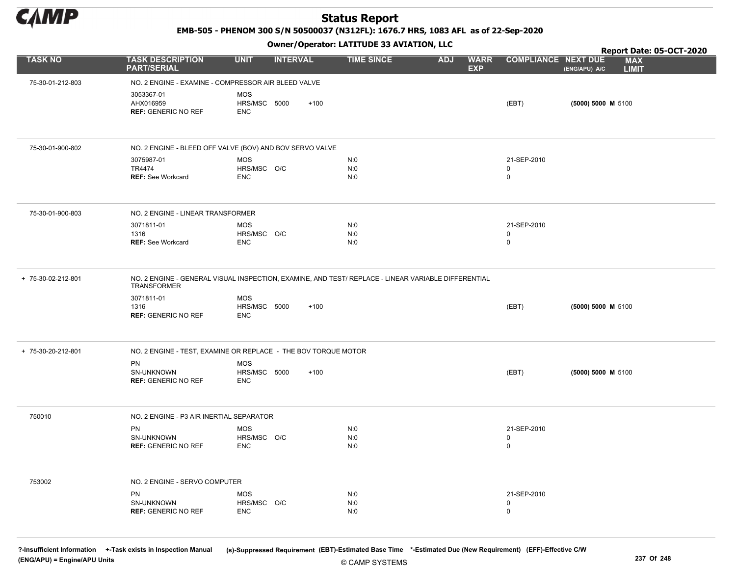

EMB-505 - PHENOM 300 S/N 50500037 (N312FL): 1676.7 HRS, 1083 AFL as of 22-Sep-2020

Owner/Operator: LATITUDE 33 AVIATION, LLC

|                    |                                                                                                                           |                                          | .               |                   |                                         |                                 | Report Date: 05-OCT-2020                    |  |  |  |
|--------------------|---------------------------------------------------------------------------------------------------------------------------|------------------------------------------|-----------------|-------------------|-----------------------------------------|---------------------------------|---------------------------------------------|--|--|--|
| <b>TASK NO</b>     | <b>TASK DESCRIPTION</b><br><b>PART/SERIAL</b>                                                                             | <b>UNIT</b>                              | <b>INTERVAL</b> | <b>TIME SINCE</b> | <b>WARR</b><br><b>ADJ</b><br><b>EXP</b> | <b>COMPLIANCE NEXT DUE</b>      | <b>MAX</b><br>(ENG/APU) A/C<br><b>LIMIT</b> |  |  |  |
| 75-30-01-212-803   | NO. 2 ENGINE - EXAMINE - COMPRESSOR AIR BLEED VALVE                                                                       |                                          |                 |                   |                                         |                                 |                                             |  |  |  |
|                    | 3053367-01<br>AHX016959<br><b>REF: GENERIC NO REF</b>                                                                     | <b>MOS</b><br>HRS/MSC 5000<br><b>ENC</b> | $+100$          |                   |                                         | (EBT)                           | (5000) 5000 M 5100                          |  |  |  |
| 75-30-01-900-802   | NO. 2 ENGINE - BLEED OFF VALVE (BOV) AND BOV SERVO VALVE                                                                  |                                          |                 |                   |                                         |                                 |                                             |  |  |  |
|                    | 3075987-01<br>TR4474<br><b>REF: See Workcard</b>                                                                          | <b>MOS</b><br>HRS/MSC O/C<br><b>ENC</b>  |                 | N:0<br>N:0<br>N:0 |                                         | 21-SEP-2010<br>0<br>$\mathbf 0$ |                                             |  |  |  |
| 75-30-01-900-803   | NO. 2 ENGINE - LINEAR TRANSFORMER                                                                                         |                                          |                 |                   |                                         |                                 |                                             |  |  |  |
|                    | 3071811-01<br>1316<br><b>REF: See Workcard</b>                                                                            | <b>MOS</b><br>HRS/MSC O/C<br><b>ENC</b>  |                 | N:0<br>N:0<br>N:0 |                                         | 21-SEP-2010<br>0<br>$\mathsf 0$ |                                             |  |  |  |
| + 75-30-02-212-801 | NO. 2 ENGINE - GENERAL VISUAL INSPECTION, EXAMINE, AND TEST/ REPLACE - LINEAR VARIABLE DIFFERENTIAL<br><b>TRANSFORMER</b> |                                          |                 |                   |                                         |                                 |                                             |  |  |  |
|                    | 3071811-01<br>1316<br><b>REF: GENERIC NO REF</b>                                                                          | <b>MOS</b><br>HRS/MSC 5000<br><b>ENC</b> | $+100$          |                   |                                         | (EBT)                           | (5000) 5000 M 5100                          |  |  |  |
| + 75-30-20-212-801 | NO. 2 ENGINE - TEST, EXAMINE OR REPLACE - THE BOV TORQUE MOTOR                                                            |                                          |                 |                   |                                         |                                 |                                             |  |  |  |
|                    | PN<br>SN-UNKNOWN<br><b>REF: GENERIC NO REF</b>                                                                            | <b>MOS</b><br>HRS/MSC 5000<br><b>ENC</b> | $+100$          |                   |                                         | (EBT)                           | (5000) 5000 M 5100                          |  |  |  |
| 750010             | NO. 2 ENGINE - P3 AIR INERTIAL SEPARATOR                                                                                  |                                          |                 |                   |                                         |                                 |                                             |  |  |  |
|                    | PN<br>SN-UNKNOWN<br><b>REF: GENERIC NO REF</b>                                                                            | <b>MOS</b><br>HRS/MSC O/C<br><b>ENC</b>  |                 | N:0<br>N:0<br>N:0 |                                         | 21-SEP-2010<br>0<br>$\mathbf 0$ |                                             |  |  |  |
| 753002             | NO. 2 ENGINE - SERVO COMPUTER                                                                                             |                                          |                 |                   |                                         |                                 |                                             |  |  |  |
|                    | PN<br>SN-UNKNOWN<br><b>REF: GENERIC NO REF</b>                                                                            | <b>MOS</b><br>HRS/MSC O/C<br><b>ENC</b>  |                 | N:0<br>N:0<br>N:0 |                                         | 21-SEP-2010<br>0<br>$\mathbf 0$ |                                             |  |  |  |

© CAMP SYSTEMS ?-Insufficient Information +-Task exists in Inspection Manual (s)-Suppressed Requirement (EBT)-Estimated Base Time \*-Estimated Due (New Requirement) (EFF)-Effective C/W (ENG/APU) = Engine/APU Units 237 Of 248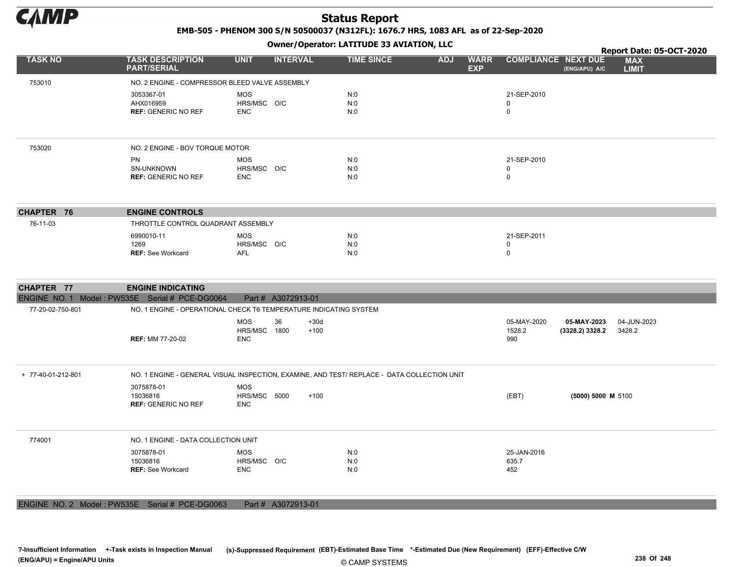

EMB-505 - PHENOM 300 S/N 50500037 (N312FL): 1676.7 HRS, 1083 AFL as of 22-Sep-2020

Owner/Operator: LATITUDE 33 AVIATION, LLC

|                    |                                                                                              |                                                | Owner/Operator. EATITODE 33 AVIATION, LEC                                                   | Report Date: 05-OCT-2020                |                              |                                |                            |  |
|--------------------|----------------------------------------------------------------------------------------------|------------------------------------------------|---------------------------------------------------------------------------------------------|-----------------------------------------|------------------------------|--------------------------------|----------------------------|--|
| <b>TASK NO</b>     | <b>TASK DESCRIPTION</b><br><b>PART/SERIAL</b>                                                | <b>UNIT</b><br><b>INTERVAL</b>                 | <b>TIME SINCE</b>                                                                           | <b>WARR</b><br><b>ADJ</b><br><b>EXP</b> | <b>COMPLIANCE NEXT DUE</b>   | (ENG/APU) A/C                  | <b>MAX</b><br><b>LIMIT</b> |  |
| 753010             | NO. 2 ENGINE - COMPRESSOR BLEED VALVE ASSEMBLY                                               |                                                |                                                                                             |                                         |                              |                                |                            |  |
|                    | 3053367-01<br>AHX016959<br><b>REF: GENERIC NO REF</b>                                        | <b>MOS</b><br>HRS/MSC O/C<br><b>ENC</b>        | N:0<br>N:0<br>N:0                                                                           |                                         | 21-SEP-2010<br>$\Omega$<br>0 |                                |                            |  |
| 753020             | NO. 2 ENGINE - BOV TORQUE MOTOR                                                              |                                                |                                                                                             |                                         |                              |                                |                            |  |
|                    | <b>PN</b><br>SN-UNKNOWN<br><b>REF: GENERIC NO REF</b>                                        | <b>MOS</b><br>HRS/MSC O/C<br><b>ENC</b>        | N:0<br>N:0<br>N:0                                                                           |                                         | 21-SEP-2010<br>0<br>0        |                                |                            |  |
| CHAPTER 76         | <b>ENGINE CONTROLS</b>                                                                       |                                                |                                                                                             |                                         |                              |                                |                            |  |
| 76-11-03           | THROTTLE CONTROL QUADRANT ASSEMBLY                                                           |                                                |                                                                                             |                                         |                              |                                |                            |  |
|                    | 6990010-11<br>1269<br><b>REF: See Workcard</b>                                               | <b>MOS</b><br>HRS/MSC O/C<br>AFL               | N:0<br>N:0<br>N:0                                                                           |                                         | 21-SEP-2011<br>0<br>0        |                                |                            |  |
|                    |                                                                                              |                                                |                                                                                             |                                         |                              |                                |                            |  |
| CHAPTER 77         | <b>ENGINE INDICATING</b>                                                                     |                                                |                                                                                             |                                         |                              |                                |                            |  |
|                    | ENGINE NO. 1 Model: PW535E Serial # PCE-DG0064                                               | Part # A3072913-01                             |                                                                                             |                                         |                              |                                |                            |  |
| 77-20-02-750-801   | NO. 1 ENGINE - OPERATIONAL CHECK T6 TEMPERATURE INDICATING SYSTEM<br><b>REF: MM 77-20-02</b> | <b>MOS</b><br>36<br>HRS/MSC 1800<br><b>ENC</b> | $+30d$<br>$+100$                                                                            |                                         | 05-MAY-2020<br>1528.2<br>990 | 05-MAY-2023<br>(3328.2) 3328.2 | 04-JUN-2023<br>3428.2      |  |
| + 77-40-01-212-801 |                                                                                              |                                                | NO. 1 ENGINE - GENERAL VISUAL INSPECTION, EXAMINE, AND TEST/ REPLACE - DATA COLLECTION UNIT |                                         |                              |                                |                            |  |
|                    | 3075878-01<br>15036816<br><b>REF: GENERIC NO REF</b>                                         | <b>MOS</b><br>HRS/MSC 5000<br><b>ENC</b>       | $+100$                                                                                      |                                         | (EBT)                        | (5000) 5000 M 5100             |                            |  |
| 774001             | NO. 1 ENGINE - DATA COLLECTION UNIT                                                          |                                                |                                                                                             |                                         |                              |                                |                            |  |
|                    | 3075878-01<br>15036816<br><b>REF: See Workcard</b>                                           | <b>MOS</b><br>HRS/MSC O/C<br><b>ENC</b>        | N:0<br>N:0<br>N:0                                                                           |                                         | 25-JAN-2016<br>635.7<br>452  |                                |                            |  |

ENGINE NO. 2 Model : PW535E Serial # PCE-DG0063 Part # A3072913-01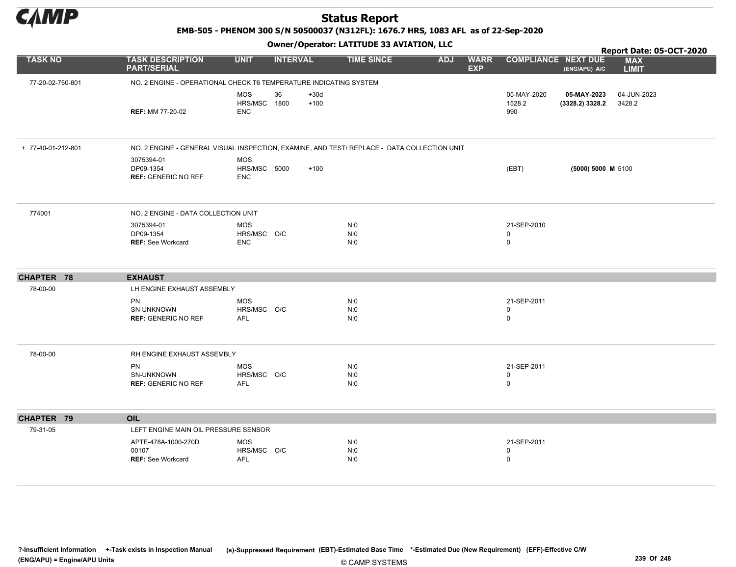

EMB-505 - PHENOM 300 S/N 50500037 (N312FL): 1676.7 HRS, 1083 AFL as of 22-Sep-2020

Owner/Operator: LATITUDE 33 AVIATION, LLC

|                    |                                                                                             |                                          | Report Date: 05-OCT-2020       |                   |                          |             |                                 |                                |                            |
|--------------------|---------------------------------------------------------------------------------------------|------------------------------------------|--------------------------------|-------------------|--------------------------|-------------|---------------------------------|--------------------------------|----------------------------|
| <b>TASK NO</b>     | <b>TASK DESCRIPTION</b><br><b>PART/SERIAL</b>                                               | <b>UNIT</b>                              | <b>INTERVAL</b>                | <b>TIME SINCE</b> | <b>ADJ</b><br><b>EXP</b> | <b>WARR</b> | <b>COMPLIANCE NEXT DUE</b>      | (ENG/APU) A/C                  | <b>MAX</b><br><b>LIMIT</b> |
| 77-20-02-750-801   | NO. 2 ENGINE - OPERATIONAL CHECK T6 TEMPERATURE INDICATING SYSTEM                           |                                          |                                |                   |                          |             |                                 |                                |                            |
|                    | <b>REF: MM 77-20-02</b>                                                                     | <b>MOS</b><br>HRS/MSC<br><b>ENC</b>      | 36<br>$+30d$<br>1800<br>$+100$ |                   |                          |             | 05-MAY-2020<br>1528.2<br>990    | 05-MAY-2023<br>(3328.2) 3328.2 | 04-JUN-2023<br>3428.2      |
| + 77-40-01-212-801 | NO. 2 ENGINE - GENERAL VISUAL INSPECTION, EXAMINE, AND TEST/ REPLACE - DATA COLLECTION UNIT |                                          |                                |                   |                          |             |                                 |                                |                            |
|                    | 3075394-01<br>DP09-1354<br><b>REF: GENERIC NO REF</b>                                       | <b>MOS</b><br>HRS/MSC 5000<br><b>ENC</b> | $+100$                         |                   |                          |             | (EBT)                           | (5000) 5000 M 5100             |                            |
| 774001             | NO. 2 ENGINE - DATA COLLECTION UNIT                                                         |                                          |                                |                   |                          |             |                                 |                                |                            |
|                    | 3075394-01<br>DP09-1354<br><b>REF: See Workcard</b>                                         | <b>MOS</b><br>HRS/MSC O/C<br><b>ENC</b>  |                                | N:0<br>N:0<br>N:0 |                          |             | 21-SEP-2010<br>0<br>0           |                                |                            |
| CHAPTER 78         | <b>EXHAUST</b>                                                                              |                                          |                                |                   |                          |             |                                 |                                |                            |
| 78-00-00           | LH ENGINE EXHAUST ASSEMBLY                                                                  |                                          |                                |                   |                          |             |                                 |                                |                            |
|                    | PN<br>SN-UNKNOWN<br><b>REF: GENERIC NO REF</b>                                              | <b>MOS</b><br>HRS/MSC O/C<br><b>AFL</b>  |                                | N:0<br>N:0<br>N:0 |                          |             | 21-SEP-2011<br>0<br>0           |                                |                            |
| 78-00-00           | RH ENGINE EXHAUST ASSEMBLY                                                                  |                                          |                                |                   |                          |             |                                 |                                |                            |
|                    | PN<br>SN-UNKNOWN<br><b>REF: GENERIC NO REF</b>                                              | <b>MOS</b><br>HRS/MSC O/C<br>AFL         |                                | N:0<br>N:0<br>N:0 |                          |             | 21-SEP-2011<br>0<br>$\pmb{0}$   |                                |                            |
| CHAPTER 79         | OIL                                                                                         |                                          |                                |                   |                          |             |                                 |                                |                            |
| 79-31-05           | LEFT ENGINE MAIN OIL PRESSURE SENSOR                                                        |                                          |                                |                   |                          |             |                                 |                                |                            |
|                    | APTE-478A-1000-270D<br>00107<br><b>REF: See Workcard</b>                                    | <b>MOS</b><br>HRS/MSC O/C<br>AFL         |                                | N:0<br>N:0<br>N:0 |                          |             | 21-SEP-2011<br>0<br>$\mathsf 0$ |                                |                            |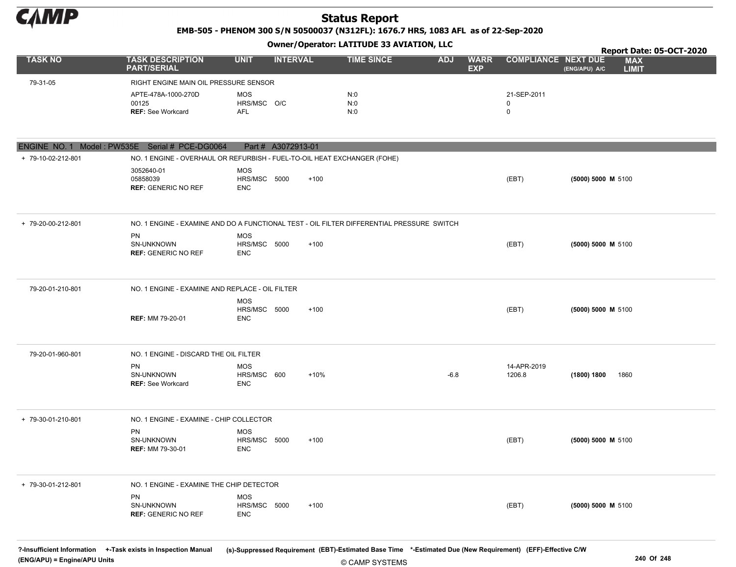

EMB-505 - PHENOM 300 S/N 50500037 (N312FL): 1676.7 HRS, 1083 AFL as of 22-Sep-2020

#### Owner/Operator: LATITUDE 33 AVIATION, LLC

|                                                |                                                                                           |                                   | ------ <i>-- 1</i> - P |        |                   |            |                           |                            |                      | Report Date: 05-OCT-2020   |
|------------------------------------------------|-------------------------------------------------------------------------------------------|-----------------------------------|------------------------|--------|-------------------|------------|---------------------------|----------------------------|----------------------|----------------------------|
| <b>TASK NO</b>                                 | <b>TASK DESCRIPTION</b><br><b>PART/SERIAL</b>                                             | <b>UNIT</b>                       | <b>INTERVAL</b>        |        | <b>TIME SINCE</b> | <b>ADJ</b> | <b>WARR</b><br><b>EXP</b> | <b>COMPLIANCE NEXT DUE</b> | (ENG/APU) A/C        | <b>MAX</b><br><b>LIMIT</b> |
| 79-31-05                                       | RIGHT ENGINE MAIN OIL PRESSURE SENSOR                                                     |                                   |                        |        |                   |            |                           |                            |                      |                            |
|                                                | APTE-478A-1000-270D                                                                       | <b>MOS</b>                        |                        |        | N:0               |            |                           | 21-SEP-2011                |                      |                            |
|                                                | 00125                                                                                     | HRS/MSC O/C                       |                        |        | N:0               |            |                           | $\mathbf 0$                |                      |                            |
|                                                | <b>REF: See Workcard</b>                                                                  | AFL                               |                        |        | N:0               |            |                           | $\mathbf 0$                |                      |                            |
|                                                |                                                                                           |                                   |                        |        |                   |            |                           |                            |                      |                            |
| ENGINE NO. 1 Model: PW535E Serial # PCE-DG0064 |                                                                                           |                                   | Part # A3072913-01     |        |                   |            |                           |                            |                      |                            |
| + 79-10-02-212-801                             | NO. 1 ENGINE - OVERHAUL OR REFURBISH - FUEL-TO-OIL HEAT EXCHANGER (FOHE)                  |                                   |                        |        |                   |            |                           |                            |                      |                            |
|                                                | 3052640-01<br>05858039<br><b>REF: GENERIC NO REF</b>                                      | MOS<br>HRS/MSC 5000<br><b>ENC</b> |                        | $+100$ |                   |            |                           | (EBT)                      | (5000) 5000 M 5100   |                            |
| + 79-20-00-212-801                             | NO. 1 ENGINE - EXAMINE AND DO A FUNCTIONAL TEST - OIL FILTER DIFFERENTIAL PRESSURE SWITCH |                                   |                        |        |                   |            |                           |                            |                      |                            |
|                                                | PN                                                                                        | <b>MOS</b>                        |                        |        |                   |            |                           |                            |                      |                            |
|                                                | SN-UNKNOWN<br><b>REF: GENERIC NO REF</b>                                                  | HRS/MSC 5000<br><b>ENC</b>        |                        | $+100$ |                   |            |                           | (EBT)                      | $(5000) 5000$ M 5100 |                            |
|                                                |                                                                                           |                                   |                        |        |                   |            |                           |                            |                      |                            |
| 79-20-01-210-801                               | NO. 1 ENGINE - EXAMINE AND REPLACE - OIL FILTER                                           |                                   |                        |        |                   |            |                           |                            |                      |                            |
|                                                |                                                                                           | <b>MOS</b>                        |                        |        |                   |            |                           |                            |                      |                            |
|                                                |                                                                                           | HRS/MSC 5000                      |                        | $+100$ |                   |            |                           | (EBT)                      | (5000) 5000 M 5100   |                            |
|                                                | <b>REF: MM 79-20-01</b>                                                                   | <b>ENC</b>                        |                        |        |                   |            |                           |                            |                      |                            |
| 79-20-01-960-801                               | NO. 1 ENGINE - DISCARD THE OIL FILTER                                                     |                                   |                        |        |                   |            |                           |                            |                      |                            |
|                                                | <b>PN</b>                                                                                 | MOS                               |                        |        |                   |            |                           | 14-APR-2019                |                      |                            |
|                                                | SN-UNKNOWN                                                                                | HRS/MSC 600                       |                        | +10%   |                   | $-6.8$     |                           | 1206.8                     | (1800) 1800<br>1860  |                            |
|                                                | <b>REF: See Workcard</b>                                                                  | <b>ENC</b>                        |                        |        |                   |            |                           |                            |                      |                            |
| + 79-30-01-210-801                             | NO. 1 ENGINE - EXAMINE - CHIP COLLECTOR                                                   |                                   |                        |        |                   |            |                           |                            |                      |                            |
|                                                | PN                                                                                        | <b>MOS</b>                        |                        |        |                   |            |                           |                            |                      |                            |
|                                                | SN-UNKNOWN<br><b>REF: MM 79-30-01</b>                                                     | HRS/MSC 5000<br>ENC               |                        | $+100$ |                   |            |                           | (EBT)                      | (5000) 5000 M 5100   |                            |
|                                                |                                                                                           |                                   |                        |        |                   |            |                           |                            |                      |                            |
| + 79-30-01-212-801                             | NO. 1 ENGINE - EXAMINE THE CHIP DETECTOR                                                  |                                   |                        |        |                   |            |                           |                            |                      |                            |
|                                                | PN                                                                                        | MOS                               |                        |        |                   |            |                           |                            |                      |                            |
|                                                | SN-UNKNOWN                                                                                | HRS/MSC 5000                      |                        | $+100$ |                   |            |                           | (EBT)                      | (5000) 5000 M 5100   |                            |
|                                                | <b>REF: GENERIC NO REF</b>                                                                | <b>ENC</b>                        |                        |        |                   |            |                           |                            |                      |                            |
|                                                |                                                                                           |                                   |                        |        |                   |            |                           |                            |                      |                            |

© CAMP SYSTEMS ?-Insufficient Information +-Task exists in Inspection Manual (s)-Suppressed Requirement (EBT)-Estimated Base Time \*-Estimated Due (New Requirement) (EFF)-Effective C/W (ENG/APU) = Engine/APU Units 240 Of 248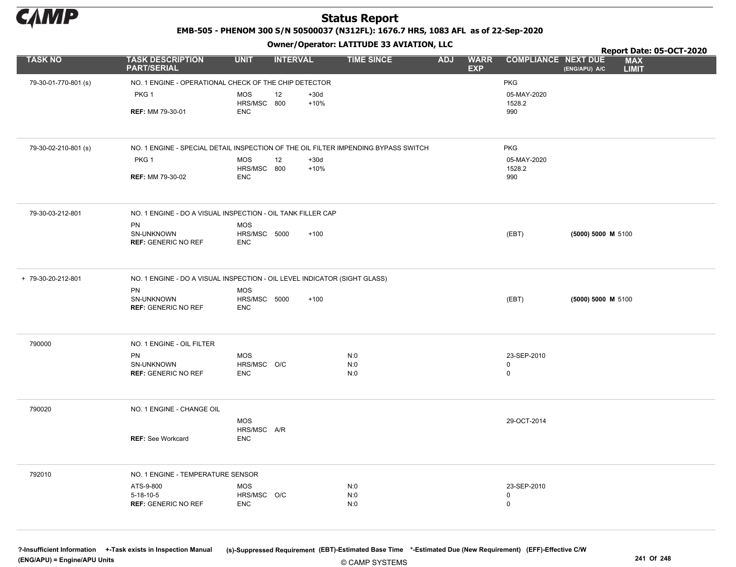

EMB-505 - PHENOM 300 S/N 50500037 (N312FL): 1676.7 HRS, 1083 AFL as of 22-Sep-2020

Owner/Operator: LATITUDE 33 AVIATION, LLC

|                      |                                                                                    |                            | .               |                  |                   |            |                           |                            |                    | Report Date: 05-OCT-2020   |  |
|----------------------|------------------------------------------------------------------------------------|----------------------------|-----------------|------------------|-------------------|------------|---------------------------|----------------------------|--------------------|----------------------------|--|
| <b>TASK NO</b>       | <b>TASK DESCRIPTION</b><br><b>PART/SERIAL</b>                                      | <b>UNIT</b>                | <b>INTERVAL</b> |                  | <b>TIME SINCE</b> | <b>ADJ</b> | <b>WARR</b><br><b>EXP</b> | <b>COMPLIANCE NEXT DUE</b> | (ENG/APU) A/C      | <b>MAX</b><br><b>LIMIT</b> |  |
| 79-30-01-770-801 (s) | NO. 1 ENGINE - OPERATIONAL CHECK OF THE CHIP DETECTOR                              |                            |                 |                  |                   |            |                           | <b>PKG</b>                 |                    |                            |  |
|                      | PKG <sub>1</sub>                                                                   | <b>MOS</b>                 | 12              | $+30d$           |                   |            |                           | 05-MAY-2020                |                    |                            |  |
|                      |                                                                                    | HRS/MSC 800                |                 | $+10%$           |                   |            |                           | 1528.2                     |                    |                            |  |
|                      | <b>REF: MM 79-30-01</b>                                                            | <b>ENC</b>                 |                 |                  |                   |            |                           | 990                        |                    |                            |  |
|                      |                                                                                    |                            |                 |                  |                   |            |                           |                            |                    |                            |  |
| 79-30-02-210-801 (s) | NO. 1 ENGINE - SPECIAL DETAIL INSPECTION OF THE OIL FILTER IMPENDING BYPASS SWITCH |                            |                 |                  |                   |            |                           | <b>PKG</b>                 |                    |                            |  |
|                      | PKG <sub>1</sub>                                                                   | <b>MOS</b><br>HRS/MSC 800  | 12              | $+30d$<br>$+10%$ |                   |            |                           | 05-MAY-2020<br>1528.2      |                    |                            |  |
|                      | <b>REF: MM 79-30-02</b>                                                            | <b>ENC</b>                 |                 |                  |                   |            |                           | 990                        |                    |                            |  |
|                      |                                                                                    |                            |                 |                  |                   |            |                           |                            |                    |                            |  |
| 79-30-03-212-801     | NO. 1 ENGINE - DO A VISUAL INSPECTION - OIL TANK FILLER CAP                        |                            |                 |                  |                   |            |                           |                            |                    |                            |  |
|                      | PN<br>SN-UNKNOWN                                                                   | <b>MOS</b><br>HRS/MSC 5000 |                 | $+100$           |                   |            |                           | (EBT)                      |                    |                            |  |
|                      | <b>REF: GENERIC NO REF</b>                                                         | <b>ENC</b>                 |                 |                  |                   |            |                           |                            | (5000) 5000 M 5100 |                            |  |
|                      |                                                                                    |                            |                 |                  |                   |            |                           |                            |                    |                            |  |
| + 79-30-20-212-801   | NO. 1 ENGINE - DO A VISUAL INSPECTION - OIL LEVEL INDICATOR (SIGHT GLASS)          |                            |                 |                  |                   |            |                           |                            |                    |                            |  |
|                      | PN                                                                                 | <b>MOS</b><br>HRS/MSC 5000 |                 | $+100$           |                   |            |                           |                            |                    |                            |  |
|                      | SN-UNKNOWN<br><b>REF: GENERIC NO REF</b>                                           | <b>ENC</b>                 |                 |                  |                   |            |                           | (EBT)                      | (5000) 5000 M 5100 |                            |  |
|                      |                                                                                    |                            |                 |                  |                   |            |                           |                            |                    |                            |  |
| 790000               | NO. 1 ENGINE - OIL FILTER                                                          |                            |                 |                  |                   |            |                           |                            |                    |                            |  |
|                      | PN                                                                                 | <b>MOS</b>                 |                 |                  | N:0               |            |                           | 23-SEP-2010                |                    |                            |  |
|                      | SN-UNKNOWN<br><b>REF: GENERIC NO REF</b>                                           | HRS/MSC O/C<br><b>ENC</b>  |                 |                  | N:0<br>N:0        |            |                           | $\mathbf 0$<br>$\mathsf 0$ |                    |                            |  |
|                      |                                                                                    |                            |                 |                  |                   |            |                           |                            |                    |                            |  |
| 790020               | NO. 1 ENGINE - CHANGE OIL                                                          |                            |                 |                  |                   |            |                           |                            |                    |                            |  |
|                      |                                                                                    | <b>MOS</b>                 |                 |                  |                   |            |                           | 29-OCT-2014                |                    |                            |  |
|                      | <b>REF: See Workcard</b>                                                           | HRS/MSC A/R<br><b>ENC</b>  |                 |                  |                   |            |                           |                            |                    |                            |  |
|                      |                                                                                    |                            |                 |                  |                   |            |                           |                            |                    |                            |  |
| 792010               | NO. 1 ENGINE - TEMPERATURE SENSOR                                                  |                            |                 |                  |                   |            |                           |                            |                    |                            |  |
|                      | ATS-9-800                                                                          | <b>MOS</b>                 |                 |                  | N:0               |            |                           | 23-SEP-2010                |                    |                            |  |
|                      | $5 - 18 - 10 - 5$                                                                  | HRS/MSC O/C                |                 |                  | N:0               |            |                           | $\mathbf 0$                |                    |                            |  |
|                      | <b>REF: GENERIC NO REF</b>                                                         | <b>ENC</b>                 |                 |                  | N:0               |            |                           | $\mathbf 0$                |                    |                            |  |
|                      |                                                                                    |                            |                 |                  |                   |            |                           |                            |                    |                            |  |

© CAMP SYSTEMS ?-Insufficient Information +-Task exists in Inspection Manual (s)-Suppressed Requirement (EBT)-Estimated Base Time \*-Estimated Due (New Requirement) (EFF)-Effective C/W (ENG/APU) = Engine/APU Units 241 Of 248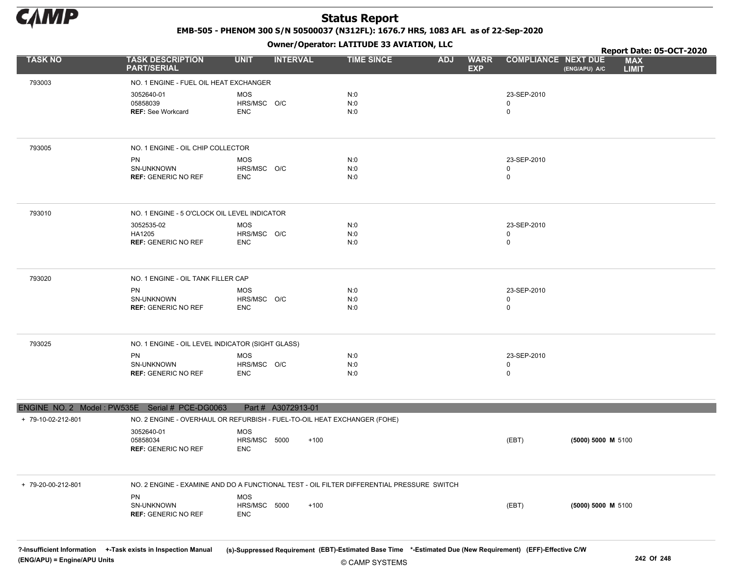

EMB-505 - PHENOM 300 S/N 50500037 (N312FL): 1676.7 HRS, 1083 AFL as of 22-Sep-2020

Owner/Operator: LATITUDE 33 AVIATION, LLC

|                    |                                                                                           |                            | - - - -            |                   |                                         |                            | Report Date: 05-OCT-2020                    |
|--------------------|-------------------------------------------------------------------------------------------|----------------------------|--------------------|-------------------|-----------------------------------------|----------------------------|---------------------------------------------|
| <b>TASK NO</b>     | <b>TASK DESCRIPTION</b><br><b>PART/SERIAL</b>                                             | <b>UNIT</b>                | <b>INTERVAL</b>    | <b>TIME SINCE</b> | <b>ADJ</b><br><b>WARR</b><br><b>EXP</b> | <b>COMPLIANCE NEXT DUE</b> | <b>MAX</b><br><b>LIMIT</b><br>(ENG/APU) A/C |
| 793003             | NO. 1 ENGINE - FUEL OIL HEAT EXCHANGER                                                    |                            |                    |                   |                                         |                            |                                             |
|                    | 3052640-01                                                                                | MOS                        |                    | N:0               |                                         | 23-SEP-2010                |                                             |
|                    | 05858039                                                                                  | HRS/MSC O/C                |                    | N:0               |                                         | 0                          |                                             |
|                    | <b>REF: See Workcard</b>                                                                  | <b>ENC</b>                 |                    | N:0               |                                         | 0                          |                                             |
|                    |                                                                                           |                            |                    |                   |                                         |                            |                                             |
| 793005             | NO. 1 ENGINE - OIL CHIP COLLECTOR                                                         |                            |                    |                   |                                         |                            |                                             |
|                    | PN                                                                                        | MOS                        |                    | N:0               |                                         | 23-SEP-2010                |                                             |
|                    | SN-UNKNOWN<br><b>REF: GENERIC NO REF</b>                                                  | HRS/MSC O/C<br><b>ENC</b>  |                    | N:0<br>N:0        |                                         | 0<br>0                     |                                             |
|                    |                                                                                           |                            |                    |                   |                                         |                            |                                             |
| 793010             | NO. 1 ENGINE - 5 O'CLOCK OIL LEVEL INDICATOR                                              |                            |                    |                   |                                         |                            |                                             |
|                    | 3052535-02                                                                                | MOS                        |                    | N:0               |                                         | 23-SEP-2010                |                                             |
|                    | HA1205<br><b>REF: GENERIC NO REF</b>                                                      | HRS/MSC O/C<br><b>ENC</b>  |                    | N:0<br>N:0        |                                         | 0<br>0                     |                                             |
|                    |                                                                                           |                            |                    |                   |                                         |                            |                                             |
| 793020             | NO. 1 ENGINE - OIL TANK FILLER CAP                                                        |                            |                    |                   |                                         |                            |                                             |
|                    | PN                                                                                        | MOS                        |                    | N:0               |                                         | 23-SEP-2010                |                                             |
|                    | SN-UNKNOWN<br><b>REF: GENERIC NO REF</b>                                                  | HRS/MSC O/C<br><b>ENC</b>  |                    | N:0<br>N:0        |                                         | 0<br>0                     |                                             |
|                    |                                                                                           |                            |                    |                   |                                         |                            |                                             |
| 793025             | NO. 1 ENGINE - OIL LEVEL INDICATOR (SIGHT GLASS)                                          |                            |                    |                   |                                         |                            |                                             |
|                    | PN                                                                                        | MOS                        |                    | N:0               |                                         | 23-SEP-2010                |                                             |
|                    | SN-UNKNOWN<br><b>REF: GENERIC NO REF</b>                                                  | HRS/MSC O/C<br><b>ENC</b>  |                    | N:0<br>N:0        |                                         | 0<br>0                     |                                             |
|                    |                                                                                           |                            |                    |                   |                                         |                            |                                             |
|                    | ENGINE NO. 2 Model: PW535E Serial # PCE-DG0063                                            |                            | Part # A3072913-01 |                   |                                         |                            |                                             |
| + 79-10-02-212-801 | NO. 2 ENGINE - OVERHAUL OR REFURBISH - FUEL-TO-OIL HEAT EXCHANGER (FOHE)                  |                            |                    |                   |                                         |                            |                                             |
|                    | 3052640-01<br>05858034                                                                    | <b>MOS</b><br>HRS/MSC 5000 | $+100$             |                   |                                         |                            |                                             |
|                    | <b>REF: GENERIC NO REF</b>                                                                | ENC                        |                    |                   |                                         | (EBT)                      | (5000) 5000 M 5100                          |
|                    |                                                                                           |                            |                    |                   |                                         |                            |                                             |
| + 79-20-00-212-801 | NO. 2 ENGINE - EXAMINE AND DO A FUNCTIONAL TEST - OIL FILTER DIFFERENTIAL PRESSURE SWITCH |                            |                    |                   |                                         |                            |                                             |
|                    | <b>PN</b>                                                                                 | <b>MOS</b>                 |                    |                   |                                         |                            |                                             |
|                    | SN-UNKNOWN<br><b>REF: GENERIC NO REF</b>                                                  | HRS/MSC 5000<br><b>ENC</b> | $+100$             |                   |                                         | (EBT)                      | (5000) 5000 M 5100                          |
|                    |                                                                                           |                            |                    |                   |                                         |                            |                                             |
|                    |                                                                                           |                            |                    |                   |                                         |                            |                                             |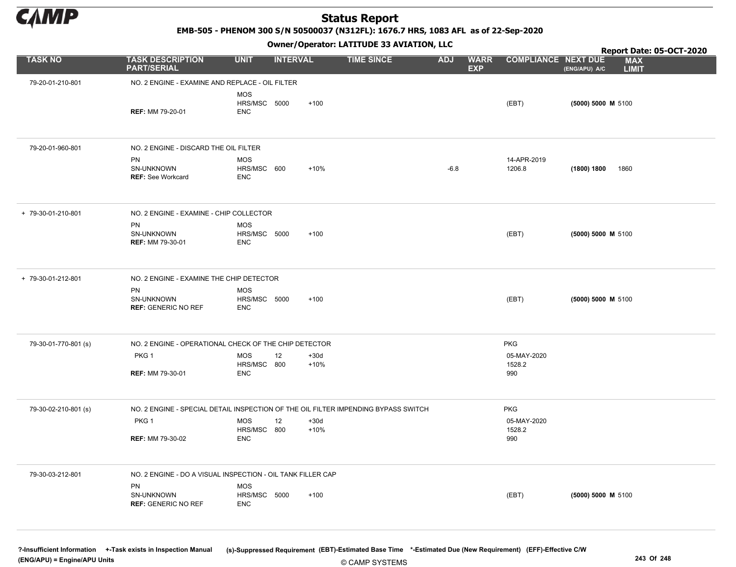

EMB-505 - PHENOM 300 S/N 50500037 (N312FL): 1676.7 HRS, 1083 AFL as of 22-Sep-2020

Owner/Operator: LATITUDE 33 AVIATION, LLC

|                      |                                                                                       |                                          |                 |                  | Owner / Operator. EATITODE 33 AVIATION, LLC |            | Report Date: 05-OCT-2020  |                              |                    |                            |
|----------------------|---------------------------------------------------------------------------------------|------------------------------------------|-----------------|------------------|---------------------------------------------|------------|---------------------------|------------------------------|--------------------|----------------------------|
| <b>TASK NO</b>       | <b>TASK DESCRIPTION</b><br><b>PART/SERIAL</b>                                         | <b>UNIT</b>                              | <b>INTERVAL</b> |                  | <b>TIME SINCE</b>                           | <b>ADJ</b> | <b>WARR</b><br><b>EXP</b> | <b>COMPLIANCE NEXT DUE</b>   | (ENG/APU) A/C      | <b>MAX</b><br><b>LIMIT</b> |
| 79-20-01-210-801     | NO. 2 ENGINE - EXAMINE AND REPLACE - OIL FILTER                                       |                                          |                 |                  |                                             |            |                           |                              |                    |                            |
|                      | <b>REF: MM 79-20-01</b>                                                               | <b>MOS</b><br>HRS/MSC 5000<br><b>ENC</b> |                 | $+100$           |                                             |            |                           | (EBT)                        | (5000) 5000 M 5100 |                            |
| 79-20-01-960-801     | NO. 2 ENGINE - DISCARD THE OIL FILTER<br>PN<br>SN-UNKNOWN<br><b>REF: See Workcard</b> | <b>MOS</b><br>HRS/MSC 600<br><b>ENC</b>  |                 | $+10%$           |                                             | $-6.8$     |                           | 14-APR-2019<br>1206.8        | (1800) 1800        | 1860                       |
| + 79-30-01-210-801   | NO. 2 ENGINE - EXAMINE - CHIP COLLECTOR                                               |                                          |                 |                  |                                             |            |                           |                              |                    |                            |
|                      | PN<br>SN-UNKNOWN<br><b>REF: MM 79-30-01</b>                                           | <b>MOS</b><br>HRS/MSC 5000<br><b>ENC</b> |                 | $+100$           |                                             |            |                           | (EBT)                        | (5000) 5000 M 5100 |                            |
| + 79-30-01-212-801   | NO. 2 ENGINE - EXAMINE THE CHIP DETECTOR                                              |                                          |                 |                  |                                             |            |                           |                              |                    |                            |
|                      | PN<br>SN-UNKNOWN<br><b>REF: GENERIC NO REF</b>                                        | <b>MOS</b><br>HRS/MSC 5000<br><b>ENC</b> |                 | $+100$           |                                             |            |                           | (EBT)                        | (5000) 5000 M 5100 |                            |
| 79-30-01-770-801 (s) | NO. 2 ENGINE - OPERATIONAL CHECK OF THE CHIP DETECTOR                                 |                                          |                 |                  |                                             |            |                           | <b>PKG</b>                   |                    |                            |
|                      | PKG 1<br><b>REF: MM 79-30-01</b>                                                      | <b>MOS</b><br>HRS/MSC 800<br><b>ENC</b>  | 12              | $+30d$<br>$+10%$ |                                             |            |                           | 05-MAY-2020<br>1528.2<br>990 |                    |                            |
| 79-30-02-210-801 (s) | NO. 2 ENGINE - SPECIAL DETAIL INSPECTION OF THE OIL FILTER IMPENDING BYPASS SWITCH    |                                          |                 |                  |                                             |            |                           | <b>PKG</b>                   |                    |                            |
|                      | PKG 1<br><b>REF: MM 79-30-02</b>                                                      | <b>MOS</b><br>HRS/MSC 800<br><b>ENC</b>  | 12              | $+30d$<br>$+10%$ |                                             |            |                           | 05-MAY-2020<br>1528.2<br>990 |                    |                            |
| 79-30-03-212-801     | NO. 2 ENGINE - DO A VISUAL INSPECTION - OIL TANK FILLER CAP                           |                                          |                 |                  |                                             |            |                           |                              |                    |                            |
|                      | PN<br>SN-UNKNOWN<br><b>REF: GENERIC NO REF</b>                                        | <b>MOS</b><br>HRS/MSC 5000<br><b>ENC</b> |                 | $+100$           |                                             |            |                           | (EBT)                        | (5000) 5000 M 5100 |                            |
|                      |                                                                                       |                                          |                 |                  |                                             |            |                           |                              |                    |                            |

© CAMP SYSTEMS ?-Insufficient Information +-Task exists in Inspection Manual (s)-Suppressed Requirement (EBT)-Estimated Base Time \*-Estimated Due (New Requirement) (EFF)-Effective C/W (ENG/APU) = Engine/APU Units 243 Of 248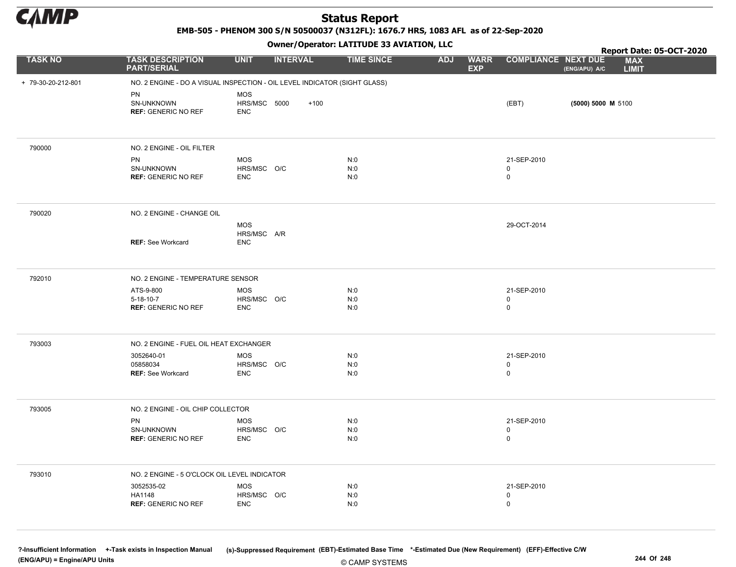

EMB-505 - PHENOM 300 S/N 50500037 (N312FL): 1676.7 HRS, 1083 AFL as of 22-Sep-2020

#### Owner/Operator: LATITUDE 33 AVIATION, LLC

|                    |                                                                           |                           | .               |                   |                                         |                                    | Report Date: 05-OCT-2020                    |
|--------------------|---------------------------------------------------------------------------|---------------------------|-----------------|-------------------|-----------------------------------------|------------------------------------|---------------------------------------------|
| <b>TASK NO</b>     | <b>TASK DESCRIPTION</b><br><b>PART/SERIAL</b>                             | <b>UNIT</b>               | <b>INTERVAL</b> | <b>TIME SINCE</b> | <b>WARR</b><br><b>ADJ</b><br><b>EXP</b> | <b>COMPLIANCE NEXT DUE</b>         | <b>MAX</b><br>(ENG/APU) A/C<br><b>LIMIT</b> |
| + 79-30-20-212-801 | NO. 2 ENGINE - DO A VISUAL INSPECTION - OIL LEVEL INDICATOR (SIGHT GLASS) |                           |                 |                   |                                         |                                    |                                             |
|                    | PN                                                                        | <b>MOS</b>                |                 |                   |                                         |                                    |                                             |
|                    | SN-UNKNOWN                                                                | HRS/MSC 5000              | $+100$          |                   |                                         | (EBT)                              | (5000) 5000 M 5100                          |
|                    | <b>REF: GENERIC NO REF</b>                                                | <b>ENC</b>                |                 |                   |                                         |                                    |                                             |
|                    |                                                                           |                           |                 |                   |                                         |                                    |                                             |
| 790000             | NO. 2 ENGINE - OIL FILTER                                                 |                           |                 |                   |                                         |                                    |                                             |
|                    | PN                                                                        | <b>MOS</b>                |                 | N:0               |                                         | 21-SEP-2010                        |                                             |
|                    | SN-UNKNOWN                                                                | HRS/MSC O/C               |                 | N:0               |                                         | $\mathbf 0$                        |                                             |
|                    | <b>REF: GENERIC NO REF</b>                                                | <b>ENC</b>                |                 | N:0               |                                         | $\mathbf 0$                        |                                             |
|                    |                                                                           |                           |                 |                   |                                         |                                    |                                             |
| 790020             | NO. 2 ENGINE - CHANGE OIL                                                 |                           |                 |                   |                                         |                                    |                                             |
|                    |                                                                           | <b>MOS</b>                |                 |                   |                                         | 29-OCT-2014                        |                                             |
|                    | <b>REF: See Workcard</b>                                                  | HRS/MSC A/R<br><b>ENC</b> |                 |                   |                                         |                                    |                                             |
|                    |                                                                           |                           |                 |                   |                                         |                                    |                                             |
| 792010             | NO. 2 ENGINE - TEMPERATURE SENSOR                                         |                           |                 |                   |                                         |                                    |                                             |
|                    | ATS-9-800                                                                 | <b>MOS</b>                |                 | N:0               |                                         | 21-SEP-2010                        |                                             |
|                    | $5 - 18 - 10 - 7$                                                         | HRS/MSC O/C               |                 | N:0               |                                         | $\mathbf 0$                        |                                             |
|                    | <b>REF: GENERIC NO REF</b>                                                | <b>ENC</b>                |                 | N:0               |                                         | $\mathsf 0$                        |                                             |
|                    |                                                                           |                           |                 |                   |                                         |                                    |                                             |
| 793003             | NO. 2 ENGINE - FUEL OIL HEAT EXCHANGER                                    |                           |                 |                   |                                         |                                    |                                             |
|                    | 3052640-01                                                                | <b>MOS</b>                |                 | N:0               |                                         | 21-SEP-2010                        |                                             |
|                    | 05858034<br><b>REF: See Workcard</b>                                      | HRS/MSC O/C<br><b>ENC</b> |                 | N:0<br>N:0        |                                         | $\mathsf{O}\xspace$<br>$\mathbf 0$ |                                             |
|                    |                                                                           |                           |                 |                   |                                         |                                    |                                             |
| 793005             | NO. 2 ENGINE - OIL CHIP COLLECTOR                                         |                           |                 |                   |                                         |                                    |                                             |
|                    | PN                                                                        | <b>MOS</b>                |                 | N:0               |                                         | 21-SEP-2010                        |                                             |
|                    | SN-UNKNOWN                                                                | HRS/MSC O/C               |                 | N:0               |                                         | $\mathbf 0$                        |                                             |
|                    | <b>REF: GENERIC NO REF</b>                                                | <b>ENC</b>                |                 | N:0               |                                         | $\mathsf{O}\xspace$                |                                             |
| 793010             | NO. 2 ENGINE - 5 O'CLOCK OIL LEVEL INDICATOR                              |                           |                 |                   |                                         |                                    |                                             |
|                    | 3052535-02                                                                | <b>MOS</b>                |                 | N:0               |                                         | 21-SEP-2010                        |                                             |
|                    | HA1148                                                                    | HRS/MSC O/C               |                 | N:0               |                                         | 0                                  |                                             |
|                    | <b>REF: GENERIC NO REF</b>                                                | <b>ENC</b>                |                 | N:0               |                                         | $\mathbf 0$                        |                                             |
|                    |                                                                           |                           |                 |                   |                                         |                                    |                                             |
|                    |                                                                           |                           |                 |                   |                                         |                                    |                                             |

© CAMP SYSTEMS ?-Insufficient Information +-Task exists in Inspection Manual (s)-Suppressed Requirement (EBT)-Estimated Base Time \*-Estimated Due (New Requirement) (EFF)-Effective C/W (ENG/APU) = Engine/APU Units 244 Of 248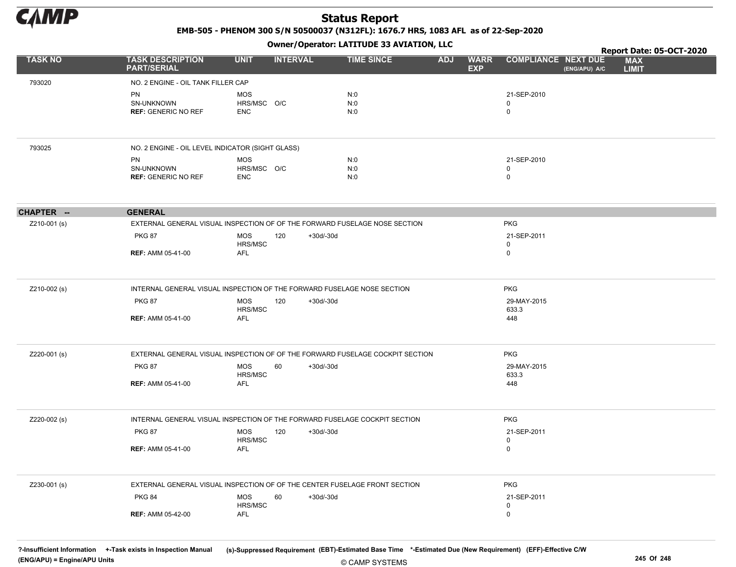

EMB-505 - PHENOM 300 S/N 50500037 (N312FL): 1676.7 HRS, 1083 AFL as of 22-Sep-2020

Owner/Operator: LATITUDE 33 AVIATION, LLC

|                |                                                                               |                           |                 |             |                   |            |                           |                            |               | Report Date: 05-OCT-2020   |  |
|----------------|-------------------------------------------------------------------------------|---------------------------|-----------------|-------------|-------------------|------------|---------------------------|----------------------------|---------------|----------------------------|--|
| <b>TASK NO</b> | <b>TASK DESCRIPTION</b><br><b>PART/SERIAL</b>                                 | <b>UNIT</b>               | <b>INTERVAL</b> |             | <b>TIME SINCE</b> | <b>ADJ</b> | <b>WARR</b><br><b>EXP</b> | <b>COMPLIANCE NEXT DUE</b> | (ENG/APU) A/C | <b>MAX</b><br><b>LIMIT</b> |  |
| 793020         | NO. 2 ENGINE - OIL TANK FILLER CAP                                            |                           |                 |             |                   |            |                           |                            |               |                            |  |
|                | PN                                                                            | <b>MOS</b>                |                 |             | N:0               |            |                           | 21-SEP-2010                |               |                            |  |
|                | SN-UNKNOWN                                                                    | HRS/MSC O/C               |                 |             | N:0               |            |                           | 0                          |               |                            |  |
|                | <b>REF: GENERIC NO REF</b>                                                    | ENC                       |                 |             | N:0               |            |                           | $\mathbf 0$                |               |                            |  |
|                |                                                                               |                           |                 |             |                   |            |                           |                            |               |                            |  |
| 793025         | NO. 2 ENGINE - OIL LEVEL INDICATOR (SIGHT GLASS)                              |                           |                 |             |                   |            |                           |                            |               |                            |  |
|                | PN                                                                            | MOS                       |                 |             | N:0               |            |                           | 21-SEP-2010                |               |                            |  |
|                | SN-UNKNOWN<br><b>REF: GENERIC NO REF</b>                                      | HRS/MSC O/C<br><b>ENC</b> |                 |             | N:0<br>N:0        |            |                           | $\mathbf 0$<br>$\mathbf 0$ |               |                            |  |
|                |                                                                               |                           |                 |             |                   |            |                           |                            |               |                            |  |
| CHAPTER --     | <b>GENERAL</b>                                                                |                           |                 |             |                   |            |                           |                            |               |                            |  |
| Z210-001 (s)   | EXTERNAL GENERAL VISUAL INSPECTION OF OF THE FORWARD FUSELAGE NOSE SECTION    |                           |                 |             |                   |            |                           | <b>PKG</b>                 |               |                            |  |
|                | <b>PKG 87</b>                                                                 | <b>MOS</b>                | 120             | +30d/-30d   |                   |            |                           | 21-SEP-2011                |               |                            |  |
|                | <b>REF: AMM 05-41-00</b>                                                      | HRS/MSC<br>AFL            |                 |             |                   |            |                           | 0<br>$\mathbf 0$           |               |                            |  |
|                |                                                                               |                           |                 |             |                   |            |                           |                            |               |                            |  |
| Z210-002 (s)   | INTERNAL GENERAL VISUAL INSPECTION OF THE FORWARD FUSELAGE NOSE SECTION       |                           |                 |             |                   |            |                           | <b>PKG</b>                 |               |                            |  |
|                | <b>PKG 87</b>                                                                 | <b>MOS</b><br>HRS/MSC     | 120             | +30d/-30d   |                   |            |                           | 29-MAY-2015<br>633.3       |               |                            |  |
|                | <b>REF: AMM 05-41-00</b>                                                      | AFL                       |                 |             |                   |            |                           | 448                        |               |                            |  |
| Z220-001 (s)   | EXTERNAL GENERAL VISUAL INSPECTION OF OF THE FORWARD FUSELAGE COCKPIT SECTION |                           |                 |             |                   |            |                           | <b>PKG</b>                 |               |                            |  |
|                | <b>PKG 87</b>                                                                 | <b>MOS</b>                | 60              | +30d/-30d   |                   |            |                           | 29-MAY-2015                |               |                            |  |
|                |                                                                               | HRS/MSC                   |                 |             |                   |            |                           | 633.3                      |               |                            |  |
|                | <b>REF: AMM 05-41-00</b>                                                      | AFL                       |                 |             |                   |            |                           | 448                        |               |                            |  |
| Z220-002 (s)   | INTERNAL GENERAL VISUAL INSPECTION OF THE FORWARD FUSELAGE COCKPIT SECTION    |                           |                 |             |                   |            |                           | <b>PKG</b>                 |               |                            |  |
|                | <b>PKG 87</b>                                                                 | MOS<br>HRS/MSC            | 120             | $+30d/-30d$ |                   |            |                           | 21-SEP-2011<br>$\mathbf 0$ |               |                            |  |
|                | <b>REF: AMM 05-41-00</b>                                                      | AFL                       |                 |             |                   |            |                           | $\mathbf 0$                |               |                            |  |
| Z230-001 (s)   | EXTERNAL GENERAL VISUAL INSPECTION OF OF THE CENTER FUSELAGE FRONT SECTION    |                           |                 |             |                   |            |                           | <b>PKG</b>                 |               |                            |  |
|                | <b>PKG 84</b>                                                                 | <b>MOS</b>                | 60              | $+30d/-30d$ |                   |            |                           | 21-SEP-2011                |               |                            |  |
|                |                                                                               | HRS/MSC                   |                 |             |                   |            |                           | 0                          |               |                            |  |
|                | <b>REF: AMM 05-42-00</b>                                                      | AFL                       |                 |             |                   |            |                           | 0                          |               |                            |  |
|                |                                                                               |                           |                 |             |                   |            |                           |                            |               |                            |  |

© CAMP SYSTEMS ?-Insufficient Information +-Task exists in Inspection Manual (s)-Suppressed Requirement (EBT)-Estimated Base Time \*-Estimated Due (New Requirement) (EFF)-Effective C/W (ENG/APU) = Engine/APU Units 245 Of 248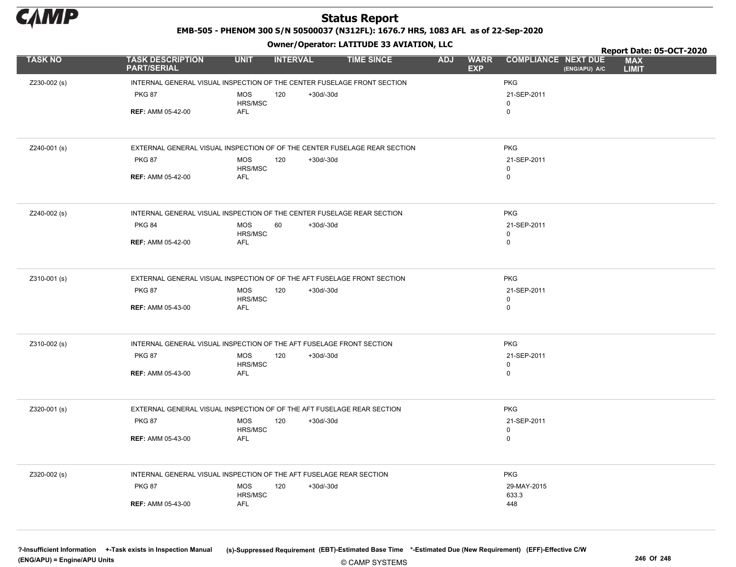

EMB-505 - PHENOM 300 S/N 50500037 (N312FL): 1676.7 HRS, 1083 AFL as of 22-Sep-2020

Owner/Operator: LATITUDE 33 AVIATION, LLC

|                |                                                                           |                       | .                  |                   |                                         |                            |               | Report Date: 05-OCT-2020   |  |
|----------------|---------------------------------------------------------------------------|-----------------------|--------------------|-------------------|-----------------------------------------|----------------------------|---------------|----------------------------|--|
| <b>TASK NO</b> | <b>TASK DESCRIPTION</b><br><b>PART/SERIAL</b>                             | <b>UNIT</b>           | <b>INTERVAL</b>    | <b>TIME SINCE</b> | <b>ADJ</b><br><b>WARR</b><br><b>EXP</b> | <b>COMPLIANCE NEXT DUE</b> | (ENG/APU) A/C | <b>MAX</b><br><b>LIMIT</b> |  |
| Z230-002 (s)   | INTERNAL GENERAL VISUAL INSPECTION OF THE CENTER FUSELAGE FRONT SECTION   |                       |                    |                   |                                         | <b>PKG</b>                 |               |                            |  |
|                | <b>PKG 87</b>                                                             | <b>MOS</b><br>HRS/MSC | $+30d/-30d$<br>120 |                   |                                         | 21-SEP-2011<br>$\mathbf 0$ |               |                            |  |
|                | <b>REF: AMM 05-42-00</b>                                                  | AFL                   |                    |                   |                                         | $\mathsf 0$                |               |                            |  |
|                |                                                                           |                       |                    |                   |                                         |                            |               |                            |  |
| Z240-001 (s)   | EXTERNAL GENERAL VISUAL INSPECTION OF OF THE CENTER FUSELAGE REAR SECTION |                       |                    |                   |                                         | <b>PKG</b>                 |               |                            |  |
|                | <b>PKG 87</b>                                                             | <b>MOS</b><br>HRS/MSC | $+30d/-30d$<br>120 |                   |                                         | 21-SEP-2011<br>$\mathbf 0$ |               |                            |  |
|                | <b>REF: AMM 05-42-00</b>                                                  | AFL                   |                    |                   |                                         | $\mathsf 0$                |               |                            |  |
|                |                                                                           |                       |                    |                   |                                         |                            |               |                            |  |
| Z240-002 (s)   | INTERNAL GENERAL VISUAL INSPECTION OF THE CENTER FUSELAGE REAR SECTION    |                       |                    |                   |                                         | <b>PKG</b>                 |               |                            |  |
|                | <b>PKG 84</b>                                                             | <b>MOS</b><br>HRS/MSC | $+30d/-30d$<br>60  |                   |                                         | 21-SEP-2011<br>$\pmb{0}$   |               |                            |  |
|                | <b>REF: AMM 05-42-00</b>                                                  | <b>AFL</b>            |                    |                   |                                         | $\mathbf 0$                |               |                            |  |
|                |                                                                           |                       |                    |                   |                                         |                            |               |                            |  |
| Z310-001 (s)   | EXTERNAL GENERAL VISUAL INSPECTION OF OF THE AFT FUSELAGE FRONT SECTION   |                       |                    |                   |                                         | <b>PKG</b>                 |               |                            |  |
|                | <b>PKG 87</b>                                                             | <b>MOS</b><br>HRS/MSC | 120<br>$+30d/-30d$ |                   |                                         | 21-SEP-2011<br>0           |               |                            |  |
|                | <b>REF: AMM 05-43-00</b>                                                  | <b>AFL</b>            |                    |                   |                                         | $\mathbf 0$                |               |                            |  |
|                |                                                                           |                       |                    |                   |                                         |                            |               |                            |  |
| Z310-002 (s)   | INTERNAL GENERAL VISUAL INSPECTION OF THE AFT FUSELAGE FRONT SECTION      |                       |                    |                   |                                         | <b>PKG</b>                 |               |                            |  |
|                | <b>PKG 87</b>                                                             | <b>MOS</b><br>HRS/MSC | 120<br>$+30d/-30d$ |                   |                                         | 21-SEP-2011<br>$\pmb{0}$   |               |                            |  |
|                | <b>REF: AMM 05-43-00</b>                                                  | <b>AFL</b>            |                    |                   |                                         | $\mathbf 0$                |               |                            |  |
|                |                                                                           |                       |                    |                   |                                         |                            |               |                            |  |
| Z320-001 (s)   | EXTERNAL GENERAL VISUAL INSPECTION OF OF THE AFT FUSELAGE REAR SECTION    |                       |                    |                   |                                         | <b>PKG</b>                 |               |                            |  |
|                | <b>PKG 87</b>                                                             | <b>MOS</b><br>HRS/MSC | 120<br>$+30d/-30d$ |                   |                                         | 21-SEP-2011<br>$\mathbf 0$ |               |                            |  |
|                | <b>REF: AMM 05-43-00</b>                                                  | <b>AFL</b>            |                    |                   |                                         | $\pmb{0}$                  |               |                            |  |
|                |                                                                           |                       |                    |                   |                                         |                            |               |                            |  |
| Z320-002 (s)   | INTERNAL GENERAL VISUAL INSPECTION OF THE AFT FUSELAGE REAR SECTION       |                       |                    |                   |                                         | <b>PKG</b>                 |               |                            |  |
|                | <b>PKG 87</b>                                                             | <b>MOS</b><br>HRS/MSC | 120<br>$+30d/-30d$ |                   |                                         | 29-MAY-2015<br>633.3       |               |                            |  |
|                | <b>REF: AMM 05-43-00</b>                                                  | <b>AFL</b>            |                    |                   |                                         | 448                        |               |                            |  |
|                |                                                                           |                       |                    |                   |                                         |                            |               |                            |  |
|                |                                                                           |                       |                    |                   |                                         |                            |               |                            |  |

© CAMP SYSTEMS ?-Insufficient Information +-Task exists in Inspection Manual (s)-Suppressed Requirement (EBT)-Estimated Base Time \*-Estimated Due (New Requirement) (EFF)-Effective C/W (ENG/APU) = Engine/APU Units 246 Of 248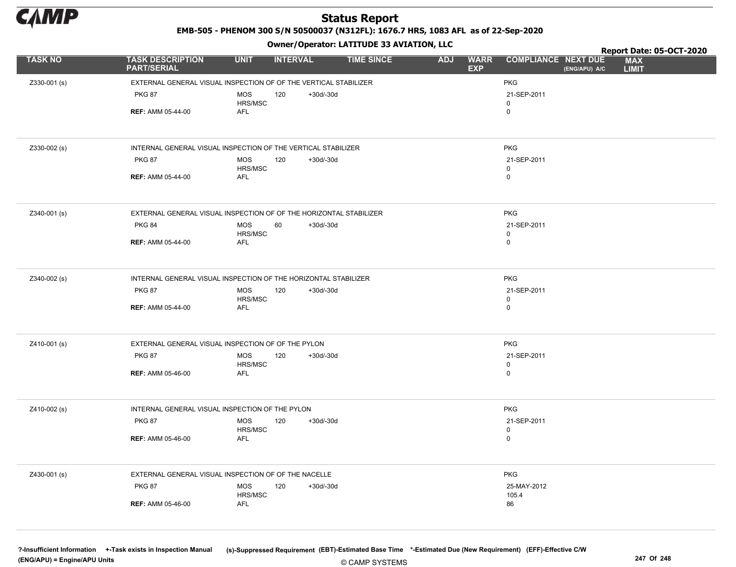

EMB-505 - PHENOM 300 S/N 50500037 (N312FL): 1676.7 HRS, 1083 AFL as of 22-Sep-2020

Owner/Operator: LATITUDE 33 AVIATION, LLC

|                |                                                                    |                       | .               |             |                   |            |                           |                                             | Report Date: 05-OCT-2020   |
|----------------|--------------------------------------------------------------------|-----------------------|-----------------|-------------|-------------------|------------|---------------------------|---------------------------------------------|----------------------------|
| <b>TASK NO</b> | <b>TASK DESCRIPTION</b><br><b>PART/SERIAL</b>                      | <b>UNIT</b>           | <b>INTERVAL</b> |             | <b>TIME SINCE</b> | <b>ADJ</b> | <b>WARR</b><br><b>EXP</b> | <b>COMPLIANCE NEXT DUE</b><br>(ENG/APU) A/C | <b>MAX</b><br><b>LIMIT</b> |
| Z330-001 (s)   | EXTERNAL GENERAL VISUAL INSPECTION OF OF THE VERTICAL STABILIZER   |                       |                 |             |                   |            |                           | <b>PKG</b>                                  |                            |
|                | <b>PKG 87</b>                                                      | <b>MOS</b>            | 120             | +30d/-30d   |                   |            |                           | 21-SEP-2011                                 |                            |
|                |                                                                    | HRS/MSC               |                 |             |                   |            |                           | 0                                           |                            |
|                | <b>REF: AMM 05-44-00</b>                                           | AFL                   |                 |             |                   |            |                           | 0                                           |                            |
|                |                                                                    |                       |                 |             |                   |            |                           |                                             |                            |
| Z330-002 (s)   | INTERNAL GENERAL VISUAL INSPECTION OF THE VERTICAL STABILIZER      |                       |                 |             |                   |            |                           | <b>PKG</b>                                  |                            |
|                | <b>PKG 87</b>                                                      | <b>MOS</b><br>HRS/MSC | 120             | $+30d/-30d$ |                   |            |                           | 21-SEP-2011<br>0                            |                            |
|                | <b>REF: AMM 05-44-00</b>                                           | AFL                   |                 |             |                   |            |                           | 0                                           |                            |
|                |                                                                    |                       |                 |             |                   |            |                           |                                             |                            |
| Z340-001 (s)   | EXTERNAL GENERAL VISUAL INSPECTION OF OF THE HORIZONTAL STABILIZER |                       |                 |             |                   |            |                           | <b>PKG</b>                                  |                            |
|                | <b>PKG 84</b>                                                      | <b>MOS</b>            | 60              | $+30d/-30d$ |                   |            |                           | 21-SEP-2011                                 |                            |
|                |                                                                    | HRS/MSC               |                 |             |                   |            |                           | 0                                           |                            |
|                | <b>REF: AMM 05-44-00</b>                                           | <b>AFL</b>            |                 |             |                   |            |                           | 0                                           |                            |
|                |                                                                    |                       |                 |             |                   |            |                           |                                             |                            |
| Z340-002 (s)   | INTERNAL GENERAL VISUAL INSPECTION OF THE HORIZONTAL STABILIZER    |                       |                 |             |                   |            |                           | <b>PKG</b>                                  |                            |
|                | <b>PKG 87</b>                                                      | <b>MOS</b>            | 120             | $+30d/-30d$ |                   |            |                           | 21-SEP-2011                                 |                            |
|                | <b>REF: AMM 05-44-00</b>                                           | HRS/MSC<br><b>AFL</b> |                 |             |                   |            |                           | 0<br>0                                      |                            |
|                |                                                                    |                       |                 |             |                   |            |                           |                                             |                            |
|                |                                                                    |                       |                 |             |                   |            |                           |                                             |                            |
| Z410-001 (s)   | EXTERNAL GENERAL VISUAL INSPECTION OF OF THE PYLON                 |                       |                 |             |                   |            |                           | <b>PKG</b>                                  |                            |
|                | <b>PKG 87</b>                                                      | <b>MOS</b>            | 120             | $+30d/-30d$ |                   |            |                           | 21-SEP-2011                                 |                            |
|                | <b>REF: AMM 05-46-00</b>                                           | HRS/MSC<br>AFL        |                 |             |                   |            |                           | 0<br>$\mathbf 0$                            |                            |
|                |                                                                    |                       |                 |             |                   |            |                           |                                             |                            |
|                |                                                                    |                       |                 |             |                   |            |                           |                                             |                            |
| Z410-002 (s)   | INTERNAL GENERAL VISUAL INSPECTION OF THE PYLON                    |                       |                 |             |                   |            |                           | <b>PKG</b>                                  |                            |
|                | <b>PKG 87</b>                                                      | <b>MOS</b>            | 120             | $+30d/-30d$ |                   |            |                           | 21-SEP-2011                                 |                            |
|                | <b>REF: AMM 05-46-00</b>                                           | HRS/MSC<br><b>AFL</b> |                 |             |                   |            |                           | 0<br>0                                      |                            |
|                |                                                                    |                       |                 |             |                   |            |                           |                                             |                            |
| Z430-001 (s)   | EXTERNAL GENERAL VISUAL INSPECTION OF OF THE NACELLE               |                       |                 |             |                   |            |                           | <b>PKG</b>                                  |                            |
|                | <b>PKG 87</b>                                                      | <b>MOS</b>            | 120             | $+30d/-30d$ |                   |            |                           | 25-MAY-2012                                 |                            |
|                |                                                                    | HRS/MSC               |                 |             |                   |            |                           | 105.4                                       |                            |
|                | <b>REF: AMM 05-46-00</b>                                           | AFL                   |                 |             |                   |            |                           | 86                                          |                            |
|                |                                                                    |                       |                 |             |                   |            |                           |                                             |                            |

© CAMP SYSTEMS ?-Insufficient Information +-Task exists in Inspection Manual (s)-Suppressed Requirement (EBT)-Estimated Base Time \*-Estimated Due (New Requirement) (EFF)-Effective C/W (ENG/APU) = Engine/APU Units 247 Of 248